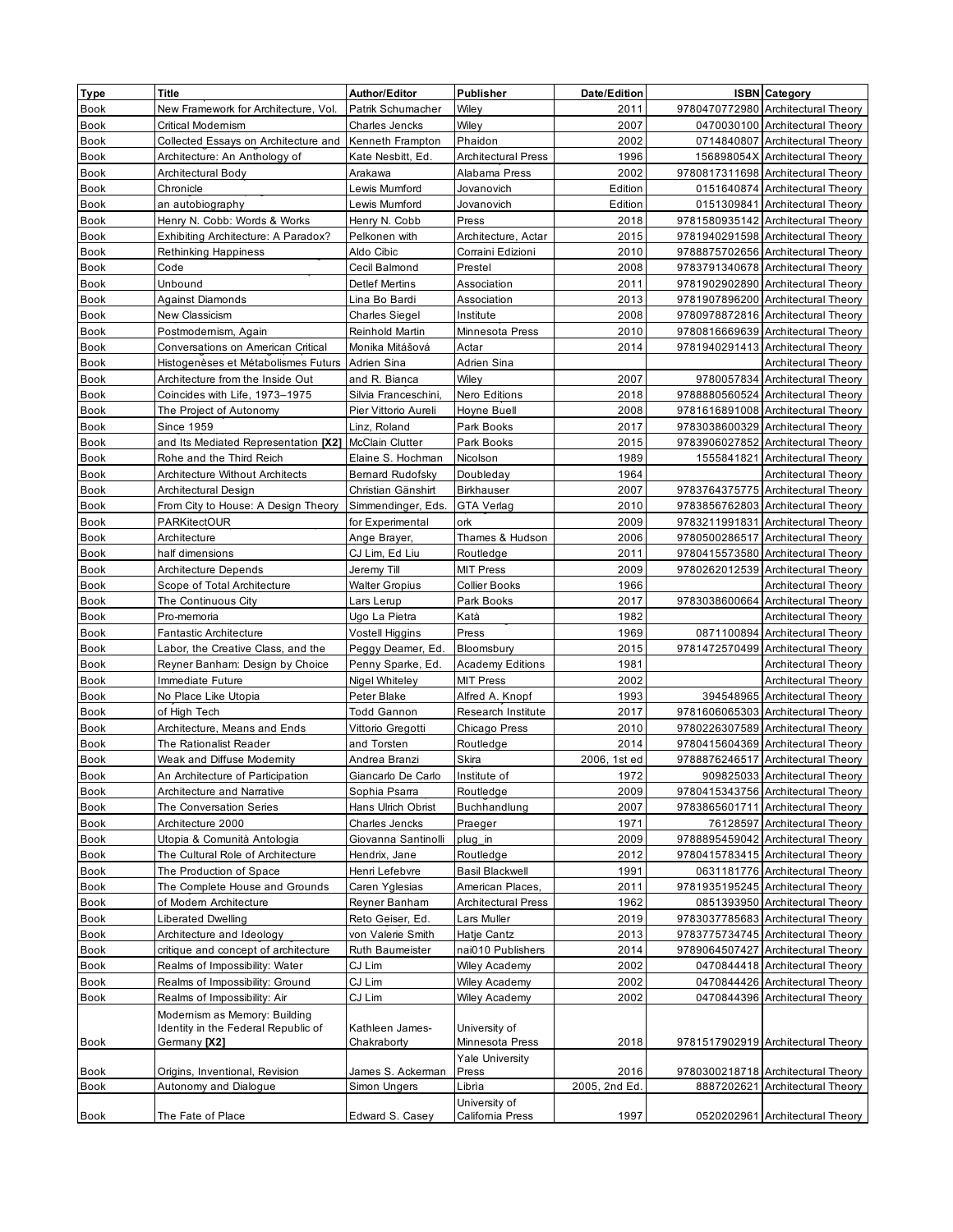| <b>Type</b> | Title                                                                                       | Author/Editor                  | Publisher                        | Date/Edition          | <b>ISBN</b> Category                                                  |
|-------------|---------------------------------------------------------------------------------------------|--------------------------------|----------------------------------|-----------------------|-----------------------------------------------------------------------|
| Book        | New Framework for Architecture, Vol.                                                        | Patrik Schumacher              | Wiley                            | 2011                  | 9780470772980 Architectural Theory                                    |
| <b>Book</b> | <b>Critical Modernism</b>                                                                   | Charles Jencks                 | Wiley                            | 2007                  | 0470030100 Architectural Theory                                       |
| <b>Book</b> | Collected Essays on Architecture and                                                        | Kenneth Frampton               | Phaidon                          | 2002                  | 0714840807 Architectural Theory                                       |
| Book        | Architecture: An Anthology of                                                               | Kate Nesbitt, Ed.              | <b>Architectural Press</b>       | 1996                  | 156898054X Architectural Theory                                       |
| Book        | Architectural Body                                                                          | Arakawa                        | Alabama Press                    | 2002                  | 9780817311698 Architectural Theory                                    |
| Book        | Chronicle                                                                                   | Lewis Mumford                  | Jovanovich                       | Edition               | 0151640874 Architectural Theory                                       |
| Book        | an autobiography                                                                            | Lewis Mumford                  | Jovanovich                       | Edition               | 0151309841 Architectural Theory                                       |
| Book        | Henry N. Cobb: Words & Works                                                                | Henry N. Cobb                  | Press                            | 2018                  | 9781580935142 Architectural Theory                                    |
| Book        | Exhibiting Architecture: A Paradox?                                                         | Pelkonen with                  | Architecture, Actar              | 2015                  | 9781940291598 Architectural Theory                                    |
| Book        | Rethinking Happiness                                                                        | Aldo Cibic                     | Corraini Edizioni                | 2010                  | 9788875702656 Architectural Theory                                    |
| Book        | Code                                                                                        | Cecil Balmond                  | Prestel                          | 2008                  | 9783791340678 Architectural Theory                                    |
| <b>Book</b> | Unbound                                                                                     | <b>Detlef Mertins</b>          | Association                      | 2011                  | 9781902902890 Architectural Theory                                    |
| <b>Book</b> | <b>Against Diamonds</b>                                                                     | Lina Bo Bardi                  | Association                      | 2013                  | 9781907896200 Architectural Theory                                    |
| Book        | New Classicism                                                                              | Charles Siegel                 | Institute                        | 2008                  | 9780978872816 Architectural Theory                                    |
| <b>Book</b> | Postmodernism, Again                                                                        | Reinhold Martin                | Minnesota Press                  | 2010                  | 9780816669639 Architectural Theory                                    |
| <b>Book</b> | Conversations on American Critical                                                          | Monika Mitášová                | Actar                            | 2014                  | 9781940291413 Architectural Theory                                    |
| Book        | Histogenèses et Métabolismes Futurs                                                         | Adrien Sina                    | Adrien Sina                      |                       | Architectural Theory                                                  |
| <b>Book</b> | Architecture from the Inside Out                                                            | and R. Bianca                  | Wiley                            | 2007                  | 9780057834 Architectural Theory                                       |
| Book        | Coincides with Life, 1973-1975                                                              | Silvia Franceschini,           | Nero Editions                    | 2018                  | 9788880560524 Architectural Theory                                    |
| <b>Book</b> | The Project of Autonomy                                                                     | Pier Vittorio Aureli           | Hoyne Buell                      | 2008                  | 9781616891008 Architectural Theory                                    |
| Book        | <b>Since 1959</b>                                                                           | Linz, Roland                   | Park Books                       | 2017                  | 9783038600329 Architectural Theory                                    |
| <b>Book</b> | and Its Mediated Representation [X2]                                                        | <b>McClain Clutter</b>         | Park Books                       | 2015                  | 9783906027852 Architectural Theory                                    |
| <b>Book</b> | Rohe and the Third Reich                                                                    | Elaine S. Hochman              | Nicolson                         | 1989                  | 1555841821 Architectural Theory                                       |
| <b>Book</b> | <b>Architecture Without Architects</b>                                                      | <b>Bernard Rudofsky</b>        | Doubleday                        | 1964                  | Architectural Theory                                                  |
| Book        | Architectural Design                                                                        | Christian Gänshirt             | <b>Birkhauser</b>                | 2007                  | 9783764375775 Architectural Theory                                    |
| Book        | From City to House: A Design Theory                                                         | Simmendinger, Eds.             | <b>GTA Verlag</b>                | 2010                  | 9783856762803 Architectural Theory                                    |
| Book        | PARKitectOUR                                                                                | for Experimental               | ork                              | 2009                  | 9783211991831 Architectural Theory                                    |
| Book        | Architecture                                                                                | Ange Brayer,                   | Thames & Hudson                  | 2006                  | 9780500286517 Architectural Theory                                    |
| Book        | half dimensions                                                                             | CJ Lim, Ed Liu                 | Routledge                        | 2011                  | 9780415573580 Architectural Theory                                    |
| Book        | Architecture Depends                                                                        | Jeremy Till                    | <b>MIT Press</b>                 | 2009                  | 9780262012539 Architectural Theory                                    |
| Book        | Scope of Total Architecture                                                                 | Walter Gropius                 | Collier Books                    | 1966                  | Architectural Theory                                                  |
| <b>Book</b> | The Continuous City                                                                         | Lars Lerup                     | Park Books                       | 2017                  | 9783038600664 Architectural Theory                                    |
| <b>Book</b> | Pro-memoria                                                                                 | Ugo La Pietra                  | Katà                             | 1982                  | Architectural Theory                                                  |
| Book        | Fantastic Architecture                                                                      | Vostell Higgins                | Press                            | 1969                  | 0871100894 Architectural Theory                                       |
| <b>Book</b> | Labor, the Creative Class, and the                                                          | Peggy Deamer, Ed.              | Bloomsbury                       | 2015                  | 9781472570499 Architectural Theory                                    |
| Book        | Reyner Banham: Design by Choice                                                             | Penny Sparke, Ed.              | <b>Academy Editions</b>          | 1981                  | Architectural Theory                                                  |
| <b>Book</b> | Immediate Future                                                                            | Nigel Whiteley                 | <b>MIT Press</b>                 | 2002                  | Architectural Theory                                                  |
| Book        | No Place Like Utopia                                                                        | Peter Blake                    | Alfred A. Knopf                  | 1993                  | 394548965 Architectural Theory                                        |
| Book        | of High Tech                                                                                | <b>Todd Gannon</b>             | Research Institute               | 2017                  | 9781606065303 Architectural Theory                                    |
| <b>Book</b> | Architecture, Means and Ends                                                                | Vittorio Gregotti              | Chicago Press                    | 2010                  | 9780226307589 Architectural Theory                                    |
| Book        | The Rationalist Reader                                                                      | and Torsten                    | Routledge                        | 2014                  | 9780415604369 Architectural Theory                                    |
| <b>Book</b> | Weak and Diffuse Modernity                                                                  | Andrea Branzi                  | Skira                            | 2006, 1st ed          | 9788876246517 Architectural Theory                                    |
| <b>Book</b> | An Architecture of Participation                                                            | Giancarlo De Carlo             | Institute of                     | 1972                  | 909825033 Architectural Theory                                        |
| Book        | Architecture and Narrative                                                                  | Sophia Psarra                  | Routledge                        | 2009                  | 9780415343756 Architectural Theory                                    |
| <b>Book</b> | <b>The Conversation Series</b>                                                              | Hans Ulrich Obrist             | Buchhandlung                     | 2007                  | 9783865601711 Architectural Theory                                    |
| Book        | Architecture 2000                                                                           | Charles Jencks                 | Praeger                          | 1971                  | 76128597 Architectural Theory                                         |
| Book        | Utopia & Comunità Antologia                                                                 | Giovanna Santinolli            | plug_in                          | 2009                  | 9788895459042 Architectural Theory                                    |
| Book        | The Cultural Role of Architecture                                                           | Hendrix, Jane                  | Routledge                        | 2012                  | 9780415783415 Architectural Theory                                    |
| Book        | The Production of Space                                                                     | Henri Lefebvre                 | <b>Basil Blackwell</b>           | 1991                  | 0631181776 Architectural Theory                                       |
| Book        | The Complete House and Grounds                                                              | Caren Yglesias                 | American Places,                 | 2011                  | 9781935195245 Architectural Theory                                    |
| Book        | of Modern Architecture                                                                      | Reyner Banham                  | <b>Architectural Press</b>       | 1962                  | 0851393950 Architectural Theory                                       |
| Book        | Liberated Dwelling                                                                          | Reto Geiser, Ed.               | Lars Muller                      | 2019                  | 9783037785683 Architectural Theory                                    |
| Book        | Architecture and Ideology                                                                   | von Valerie Smith              | Hatje Cantz                      | 2013                  | 9783775734745 Architectural Theory                                    |
| Book        | critique and concept of architecture                                                        | Ruth Baumeister                | nai010 Publishers                | 2014                  | 9789064507427 Architectural Theory                                    |
| Book        | Realms of Impossibility: Water                                                              | CJ Lim                         | <b>Wiley Academy</b>             | 2002                  | 0470844418 Architectural Theory                                       |
| Book        | Realms of Impossibility: Ground                                                             | CJ Lim                         | Wiley Academy                    | 2002                  | 0470844426 Architectural Theory                                       |
| Book        | Realms of Impossibility: Air                                                                | CJ Lim                         | Wiley Academy                    | 2002                  | 0470844396 Architectural Theory                                       |
| Book        | Modernism as Memory: Building<br>Identity in the Federal Republic of<br>Germany <b>[X2]</b> | Kathleen James-<br>Chakraborty | University of<br>Minnesota Press | 2018                  | 9781517902919 Architectural Theory                                    |
|             |                                                                                             |                                | <b>Yale University</b>           |                       |                                                                       |
| Book        | Origins, Inventional, Revision<br>Autonomy and Dialogue                                     | James S. Ackerman              | Press<br>Librìa                  | 2016<br>2005, 2nd Ed. | 9780300218718 Architectural Theory<br>8887202621 Architectural Theory |
| Book        |                                                                                             | Simon Ungers                   | University of                    |                       |                                                                       |
| Book        | The Fate of Place                                                                           | Edward S. Casey                | California Press                 | 1997                  | 0520202961 Architectural Theory                                       |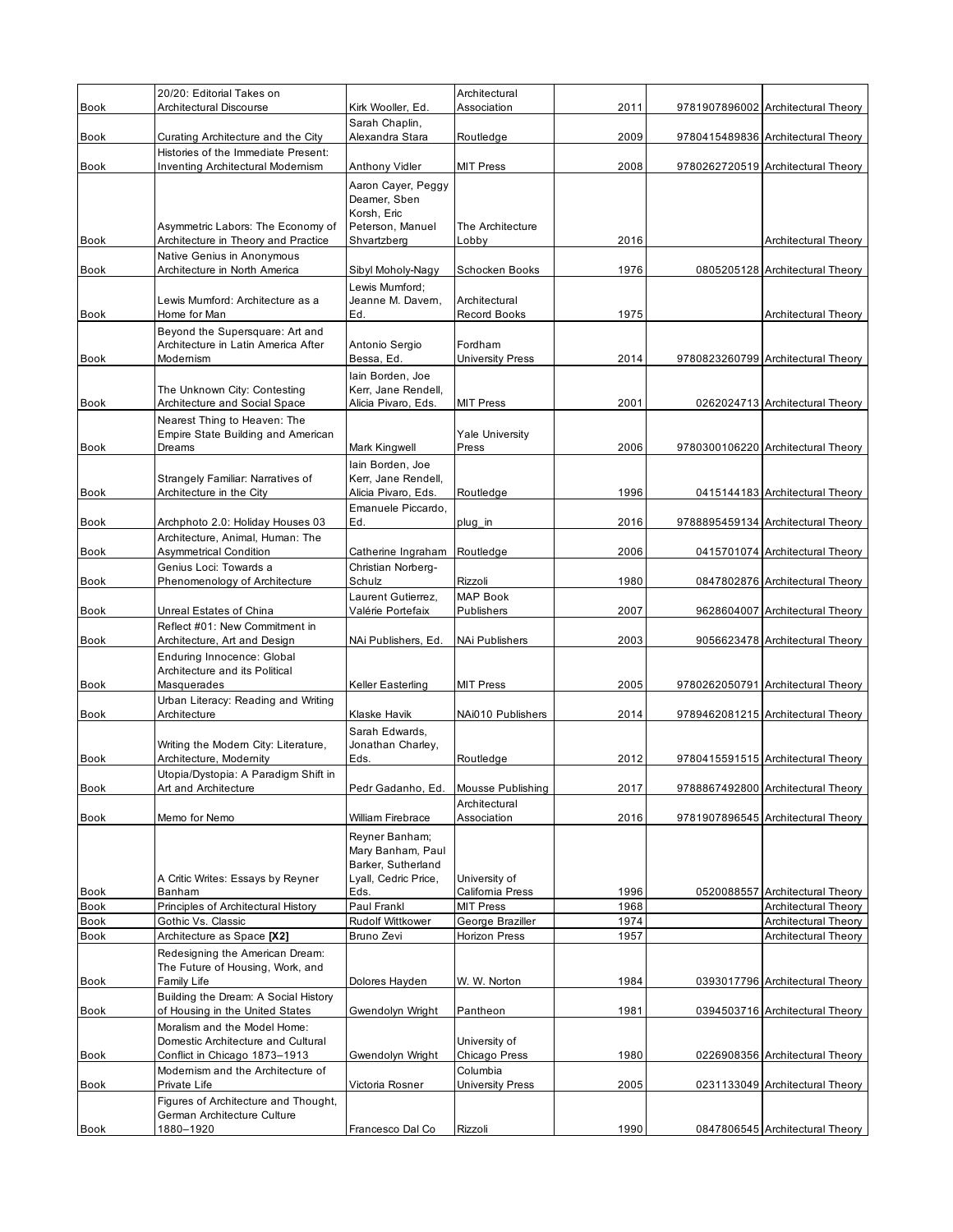|                     | 20/20: Editorial Takes on                                               |                                                   | Architectural                     |      |                                    |
|---------------------|-------------------------------------------------------------------------|---------------------------------------------------|-----------------------------------|------|------------------------------------|
| <b>Book</b>         | Architectural Discourse                                                 | Kirk Wooller, Ed.                                 | Association                       | 2011 | 9781907896002 Architectural Theory |
| Book                | Curating Architecture and the City                                      | Sarah Chaplin,<br>Alexandra Stara                 | Routledge                         | 2009 | 9780415489836 Architectural Theory |
|                     | Histories of the Immediate Present:                                     |                                                   |                                   |      |                                    |
| <b>Book</b>         | <b>Inventing Architectural Modernism</b>                                | Anthony Vidler                                    | <b>MIT Press</b>                  | 2008 | 9780262720519 Architectural Theory |
|                     |                                                                         | Aaron Cayer, Peggy<br>Deamer, Sben<br>Korsh, Eric |                                   |      |                                    |
|                     | Asymmetric Labors: The Economy of                                       | Peterson, Manuel                                  | The Architecture                  |      |                                    |
| <b>Book</b>         | Architecture in Theory and Practice<br>Native Genius in Anonymous       | Shvartzberg                                       | Lobby                             | 2016 | Architectural Theory               |
| Book                | Architecture in North America                                           | Sibyl Moholy-Nagy                                 | Schocken Books                    | 1976 | 0805205128 Architectural Theory    |
|                     |                                                                         | Lewis Mumford:                                    |                                   |      |                                    |
|                     | Lewis Mumford: Architecture as a                                        | Jeanne M. Davem.                                  | Architectural                     |      |                                    |
| <b>Book</b>         | Home for Man<br>Beyond the Supersquare: Art and                         | Ed.                                               | <b>Record Books</b>               | 1975 | Architectural Theory               |
|                     | Architecture in Latin America After                                     | Antonio Sergio                                    | Fordham                           |      |                                    |
| Book                | Modernism                                                               | Bessa, Ed.                                        | <b>University Press</b>           | 2014 | 9780823260799 Architectural Theory |
|                     |                                                                         | lain Borden, Joe<br>Kerr. Jane Rendell.           |                                   |      |                                    |
| <b>Book</b>         | The Unknown City: Contesting<br>Architecture and Social Space           | Alicia Pivaro, Eds.                               | <b>MIT Press</b>                  | 2001 | 0262024713 Architectural Theory    |
|                     | Nearest Thing to Heaven: The                                            |                                                   |                                   |      |                                    |
|                     | <b>Empire State Building and American</b>                               |                                                   | <b>Yale University</b>            |      |                                    |
| <b>Book</b>         | Dreams                                                                  | Mark Kingwell                                     | Press                             | 2006 | 9780300106220 Architectural Theory |
|                     | Strangely Familiar: Narratives of                                       | lain Borden, Joe<br>Kerr, Jane Rendell,           |                                   |      |                                    |
| Book                | Architecture in the City                                                | Alicia Pivaro, Eds.                               | Routledge                         | 1996 | 0415144183 Architectural Theory    |
|                     |                                                                         | Emanuele Piccardo,                                |                                   |      |                                    |
| <b>Book</b>         | Archphoto 2.0: Holiday Houses 03<br>Architecture, Animal, Human: The    | Ed.                                               | plug_in                           | 2016 | 9788895459134 Architectural Theory |
| <b>Book</b>         | <b>Asymmetrical Condition</b>                                           | Catherine Ingraham                                | Routledge                         | 2006 | 0415701074 Architectural Theory    |
|                     | Genius Loci: Towards a                                                  | Christian Norberg-                                |                                   |      |                                    |
| <b>Book</b>         | Phenomenology of Architecture                                           | Schulz                                            | Rizzoli                           | 1980 | 0847802876 Architectural Theory    |
| <b>Book</b>         | Unreal Estates of China                                                 | Laurent Gutierrez,<br>Valérie Portefaix           | <b>MAP Book</b><br>Publishers     | 2007 | 9628604007 Architectural Theory    |
|                     | Reflect #01: New Commitment in                                          |                                                   |                                   |      |                                    |
| <b>Book</b>         | Architecture, Art and Design                                            | NAi Publishers, Ed.                               | NAi Publishers                    | 2003 | 9056623478 Architectural Theory    |
|                     | Enduring Innocence: Global                                              |                                                   |                                   |      |                                    |
| Book                | Architecture and its Political<br>Masquerades                           | Keller Easterling                                 | <b>MIT Press</b>                  | 2005 | 9780262050791 Architectural Theory |
|                     | Urban Literacy: Reading and Writing                                     |                                                   |                                   |      |                                    |
| <b>Book</b>         | Architecture                                                            | Klaske Havik                                      | NAi010 Publishers                 | 2014 | 9789462081215 Architectural Theory |
|                     |                                                                         | Sarah Edwards,                                    |                                   |      |                                    |
| <b>Book</b>         | Writing the Modern City: Literature,<br>Architecture, Modernity         | Jonathan Charley,<br>Eds.                         | Routledge                         | 2012 | 9780415591515 Architectural Theory |
|                     | Utopia/Dystopia: A Paradigm Shift in                                    |                                                   |                                   |      |                                    |
| Book                | Art and Architecture                                                    | Pedr Gadanho, Ed.                                 | Mousse Publishing                 | 2017 | 9788867492800 Architectural Theory |
| <b>Book</b>         | Memo for Nemo                                                           | William Firebrace                                 | Architectural<br>Association      | 2016 | 9781907896545 Architectural Theory |
|                     |                                                                         |                                                   |                                   |      |                                    |
|                     |                                                                         | Reyner Banham;<br>Mary Banham, Paul               |                                   |      |                                    |
|                     |                                                                         | Barker, Sutherland                                |                                   |      |                                    |
|                     | A Critic Writes: Essays by Reyner<br>Banham                             | Lyall, Cedric Price,<br>Eds.                      | University of<br>California Press | 1996 | 0520088557 Architectural Theory    |
| Book<br><b>Book</b> | Principles of Architectural History                                     | Paul Frankl                                       | <b>MIT Press</b>                  | 1968 | Architectural Theory               |
| Book                | Gothic Vs. Classic                                                      | Rudolf Wittkower                                  | George Braziller                  | 1974 | Architectural Theory               |
| Book                | Architecture as Space [X2]                                              | Bruno Zevi                                        | Horizon Press                     | 1957 | Architectural Theory               |
|                     | Redesigning the American Dream:                                         |                                                   |                                   |      |                                    |
| <b>Book</b>         | The Future of Housing, Work, and<br>Family Life                         | Dolores Hayden                                    | W. W. Norton                      | 1984 | 0393017796 Architectural Theory    |
| Book                | Building the Dream: A Social History<br>of Housing in the United States | Gwendolyn Wright                                  | Pantheon                          | 1981 | 0394503716 Architectural Theory    |
|                     | Moralism and the Model Home:                                            |                                                   |                                   |      |                                    |
|                     | Domestic Architecture and Cultural                                      |                                                   | University of                     | 1980 |                                    |
| <b>Book</b>         | Conflict in Chicago 1873-1913<br>Modernism and the Architecture of      | Gwendolyn Wright                                  | Chicago Press<br>Columbia         |      | 0226908356 Architectural Theory    |
| Book                | Private Life                                                            | Victoria Rosner                                   | <b>University Press</b>           | 2005 | 0231133049 Architectural Theory    |
|                     | Figures of Architecture and Thought,                                    |                                                   |                                   |      |                                    |
|                     | German Architecture Culture                                             | Francesco Dal Co                                  | Rizzoli                           | 1990 | 0847806545 Architectural Theory    |
| <b>Book</b>         | 1880-1920                                                               |                                                   |                                   |      |                                    |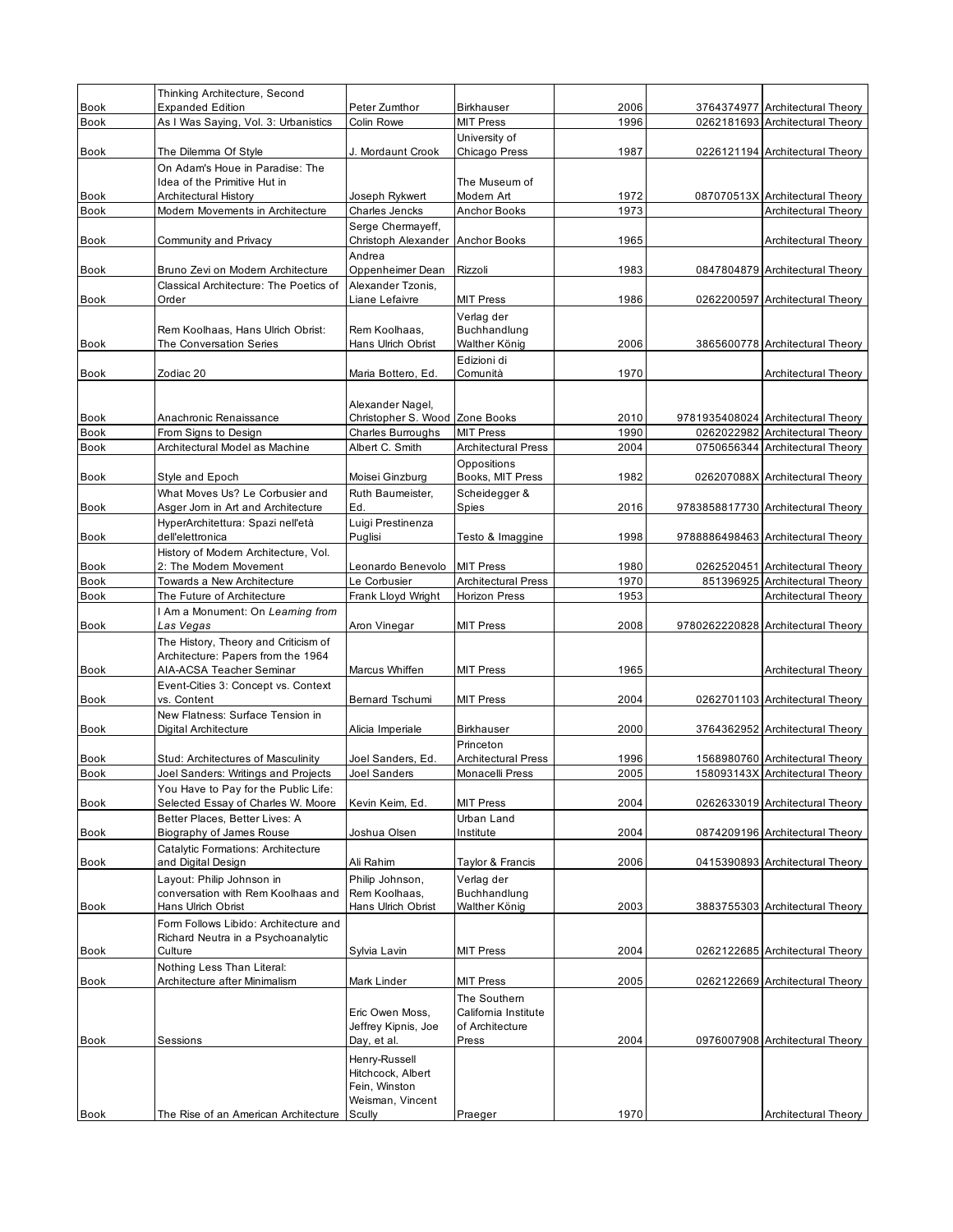| Book<br><b>Expanded Edition</b><br>Peter Zumthor<br>2006<br><b>Architectural Theory</b><br><b>Birkhauser</b><br>3764374977<br><b>Book</b><br>As I Was Saying, Vol. 3: Urbanistics<br><b>MIT Press</b><br>1996<br>0262181693 Architectural Theory<br>Colin Rowe<br>University of<br>Chicago Press<br>1987<br>Book<br>The Dilemma Of Style<br>J. Mordaunt Crook<br>0226121194 Architectural Theory<br>On Adam's Houe in Paradise: The<br>Idea of the Primitive Hut in<br>The Museum of<br>Book<br>Joseph Rykwert<br>Modern Art<br>1972<br>087070513X Architectural Theory<br>Architectural History<br>1973<br><b>Book</b><br>Modern Movements in Architecture<br><b>Charles Jencks</b><br><b>Anchor Books</b><br>Architectural Theory<br>Serge Chermayeff,<br>Christoph Alexander Anchor Books<br>1965<br>Book<br>Community and Privacy<br>Architectural Theory<br>Andrea<br>Book<br>Oppenheimer Dean<br>1983<br>0847804879 Architectural Theory<br>Bruno Zevi on Modern Architecture<br>Rizzoli<br>Classical Architecture: The Poetics of<br>Alexander Tzonis.<br>Liane Lefaivre<br><b>MIT Press</b><br>1986<br>Book<br>Order<br>0262200597 Architectural Theory<br>Verlag der<br>Rem Koolhaas, Hans Ulrich Obrist:<br>Rem Koolhaas,<br>Buchhandlung<br>The Conversation Series<br>Walther König<br>2006<br>Book<br>Hans Ulrich Obrist<br>3865600778 Architectural Theory<br>Edizioni di<br>Comunità<br>1970<br>Zodiac 20<br>Maria Bottero, Ed.<br>Architectural Theory<br>Alexander Nagel,<br>Christopher S. Wood Zone Books<br>Book<br>Anachronic Renaissance<br>2010<br>9781935408024 Architectural Theory<br><b>MIT Press</b><br>1990<br>0262022982 Architectural Theory<br><b>Book</b><br>From Signs to Design<br>Charles Burroughs<br><b>Book</b><br>Architectural Model as Machine<br>Albert C. Smith<br><b>Architectural Press</b><br>2004<br>0750656344 Architectural Theory<br>Oppositions<br>Books, MIT Press<br>1982<br>026207088X Architectural Theory<br>Style and Epoch<br>Moisei Ginzburg<br>What Moves Us? Le Corbusier and<br>Scheidegger &<br>Ruth Baumeister,<br>Asger Jorn in Art and Architecture<br>Spies<br>2016<br>9783858817730 Architectural Theory<br>Book<br>Ed.<br>HyperArchitettura: Spazi nell'età<br>Luigi Prestinenza<br>dell'elettronica<br>Puglisi<br>Testo & Imaggine<br>1998<br>9788886498463 Architectural Theory<br>Book<br>History of Modern Architecture, Vol.<br>Book<br>2: The Modern Movement<br><b>MIT Press</b><br>1980<br>0262520451 Architectural Theory<br>Leonardo Benevolo<br><b>Book</b><br><b>Architectural Press</b><br>1970<br>851396925 Architectural Theory<br>Towards a New Architecture<br>Le Corbusier<br>The Future of Architecture<br>Frank Lloyd Wright<br><b>Horizon Press</b><br>1953<br>Architectural Theory<br><b>Book</b><br>I Am a Monument: On Learning from<br>Book<br>Las Vegas<br>Aron Vinegar<br><b>MIT Press</b><br>2008<br>9780262220828 Architectural Theory<br>The History, Theory and Criticism of<br>Architecture: Papers from the 1964<br>AIA-ACSA Teacher Seminar<br><b>MIT Press</b><br>1965<br>Book<br>Marcus Whiffen<br>Architectural Theory<br>Event-Cities 3: Concept vs. Context<br>Book<br><b>MIT Press</b><br>2004<br>0262701103 Architectural Theory<br>vs. Content<br><b>Bernard Tschumi</b><br>New Flatness: Surface Tension in<br><b>Book</b><br>Digital Architecture<br>2000<br>3764362952 Architectural Theory<br>Alicia Imperiale<br><b>Birkhauser</b><br>Princeton<br>Book<br>Stud: Architectures of Masculinity<br>Joel Sanders, Ed.<br><b>Architectural Press</b><br>1996<br>1568980760 Architectural Theory<br>2005<br>158093143X Architectural Theory<br>Joel Sanders: Writings and Projects<br>Monacelli Press<br><b>Book</b><br><b>Joel Sanders</b><br>You Have to Pay for the Public Life:<br>Selected Essay of Charles W. Moore<br>Book<br><b>MIT Press</b><br>2004<br>0262633019 Architectural Theory<br>Kevin Keim, Ed.<br>Better Places, Better Lives: A<br>Urban Land<br>Biography of James Rouse<br>Joshua Olsen<br>2004<br>Book<br>Institute<br>0874209196 Architectural Theory<br>Catalytic Formations: Architecture<br>and Digital Design<br>Ali Rahim<br>2006<br>0415390893 Architectural Theory<br>Book<br>Taylor & Francis<br>Layout: Philip Johnson in<br>Philip Johnson,<br>Verlag der<br>conversation with Rem Koolhaas and<br>Rem Koolhaas,<br>Buchhandlung<br>Hans Ulrich Obrist<br><b>Hans Ulrich Obrist</b><br>Walther König<br>2003<br>3883755303 Architectural Theory<br>Book<br>Form Follows Libido: Architecture and<br>Richard Neutra in a Psychoanalytic<br>Sylvia Lavin<br><b>MIT Press</b><br>2004<br>0262122685 Architectural Theory<br>Book<br>Culture<br>Nothing Less Than Literal:<br>Architecture after Minimalism<br>Mark Linder<br><b>MIT Press</b><br>2005<br>0262122669 Architectural Theory<br>Book<br>The Southern<br>Eric Owen Moss,<br>California Institute<br>Jeffrey Kipnis, Joe<br>of Architecture<br>Press<br>2004<br>0976007908 Architectural Theory<br>Book<br>Sessions<br>Day, et al.<br>Henry-Russell<br>Hitchcock, Albert<br>Fein, Winston<br>Weisman, Vincent<br>1970<br>Praeger<br>Book<br>The Rise of an American Architecture<br>Scully<br>Architectural Theory |      |                               |  |  |  |
|-------------------------------------------------------------------------------------------------------------------------------------------------------------------------------------------------------------------------------------------------------------------------------------------------------------------------------------------------------------------------------------------------------------------------------------------------------------------------------------------------------------------------------------------------------------------------------------------------------------------------------------------------------------------------------------------------------------------------------------------------------------------------------------------------------------------------------------------------------------------------------------------------------------------------------------------------------------------------------------------------------------------------------------------------------------------------------------------------------------------------------------------------------------------------------------------------------------------------------------------------------------------------------------------------------------------------------------------------------------------------------------------------------------------------------------------------------------------------------------------------------------------------------------------------------------------------------------------------------------------------------------------------------------------------------------------------------------------------------------------------------------------------------------------------------------------------------------------------------------------------------------------------------------------------------------------------------------------------------------------------------------------------------------------------------------------------------------------------------------------------------------------------------------------------------------------------------------------------------------------------------------------------------------------------------------------------------------------------------------------------------------------------------------------------------------------------------------------------------------------------------------------------------------------------------------------------------------------------------------------------------------------------------------------------------------------------------------------------------------------------------------------------------------------------------------------------------------------------------------------------------------------------------------------------------------------------------------------------------------------------------------------------------------------------------------------------------------------------------------------------------------------------------------------------------------------------------------------------------------------------------------------------------------------------------------------------------------------------------------------------------------------------------------------------------------------------------------------------------------------------------------------------------------------------------------------------------------------------------------------------------------------------------------------------------------------------------------------------------------------------------------------------------------------------------------------------------------------------------------------------------------------------------------------------------------------------------------------------------------------------------------------------------------------------------------------------------------------------------------------------------------------------------------------------------------------------------------------------------------------------------------------------------------------------------------------------------------------------------------------------------------------------------------------------------------------------------------------------------------------------------------------------------------------------------------------------------------------------------------------------------------------------------------------------------------------------------------------------------------------------------------------------------------------------------------------------------------------------------------------------------------------------------------------------------------------------------------------------------------------------------------------------------------------------------------------------------------------------------------------------------------------------------------------------------------------------------------------------------|------|-------------------------------|--|--|--|
|                                                                                                                                                                                                                                                                                                                                                                                                                                                                                                                                                                                                                                                                                                                                                                                                                                                                                                                                                                                                                                                                                                                                                                                                                                                                                                                                                                                                                                                                                                                                                                                                                                                                                                                                                                                                                                                                                                                                                                                                                                                                                                                                                                                                                                                                                                                                                                                                                                                                                                                                                                                                                                                                                                                                                                                                                                                                                                                                                                                                                                                                                                                                                                                                                                                                                                                                                                                                                                                                                                                                                                                                                                                                                                                                                                                                                                                                                                                                                                                                                                                                                                                                                                                                                                                                                                                                                                                                                                                                                                                                                                                                                                                                                                                                                                                                                                                                                                                                                                                                                                                                                                                                                                                                                               |      | Thinking Architecture, Second |  |  |  |
|                                                                                                                                                                                                                                                                                                                                                                                                                                                                                                                                                                                                                                                                                                                                                                                                                                                                                                                                                                                                                                                                                                                                                                                                                                                                                                                                                                                                                                                                                                                                                                                                                                                                                                                                                                                                                                                                                                                                                                                                                                                                                                                                                                                                                                                                                                                                                                                                                                                                                                                                                                                                                                                                                                                                                                                                                                                                                                                                                                                                                                                                                                                                                                                                                                                                                                                                                                                                                                                                                                                                                                                                                                                                                                                                                                                                                                                                                                                                                                                                                                                                                                                                                                                                                                                                                                                                                                                                                                                                                                                                                                                                                                                                                                                                                                                                                                                                                                                                                                                                                                                                                                                                                                                                                               |      |                               |  |  |  |
|                                                                                                                                                                                                                                                                                                                                                                                                                                                                                                                                                                                                                                                                                                                                                                                                                                                                                                                                                                                                                                                                                                                                                                                                                                                                                                                                                                                                                                                                                                                                                                                                                                                                                                                                                                                                                                                                                                                                                                                                                                                                                                                                                                                                                                                                                                                                                                                                                                                                                                                                                                                                                                                                                                                                                                                                                                                                                                                                                                                                                                                                                                                                                                                                                                                                                                                                                                                                                                                                                                                                                                                                                                                                                                                                                                                                                                                                                                                                                                                                                                                                                                                                                                                                                                                                                                                                                                                                                                                                                                                                                                                                                                                                                                                                                                                                                                                                                                                                                                                                                                                                                                                                                                                                                               |      |                               |  |  |  |
|                                                                                                                                                                                                                                                                                                                                                                                                                                                                                                                                                                                                                                                                                                                                                                                                                                                                                                                                                                                                                                                                                                                                                                                                                                                                                                                                                                                                                                                                                                                                                                                                                                                                                                                                                                                                                                                                                                                                                                                                                                                                                                                                                                                                                                                                                                                                                                                                                                                                                                                                                                                                                                                                                                                                                                                                                                                                                                                                                                                                                                                                                                                                                                                                                                                                                                                                                                                                                                                                                                                                                                                                                                                                                                                                                                                                                                                                                                                                                                                                                                                                                                                                                                                                                                                                                                                                                                                                                                                                                                                                                                                                                                                                                                                                                                                                                                                                                                                                                                                                                                                                                                                                                                                                                               |      |                               |  |  |  |
|                                                                                                                                                                                                                                                                                                                                                                                                                                                                                                                                                                                                                                                                                                                                                                                                                                                                                                                                                                                                                                                                                                                                                                                                                                                                                                                                                                                                                                                                                                                                                                                                                                                                                                                                                                                                                                                                                                                                                                                                                                                                                                                                                                                                                                                                                                                                                                                                                                                                                                                                                                                                                                                                                                                                                                                                                                                                                                                                                                                                                                                                                                                                                                                                                                                                                                                                                                                                                                                                                                                                                                                                                                                                                                                                                                                                                                                                                                                                                                                                                                                                                                                                                                                                                                                                                                                                                                                                                                                                                                                                                                                                                                                                                                                                                                                                                                                                                                                                                                                                                                                                                                                                                                                                                               |      |                               |  |  |  |
|                                                                                                                                                                                                                                                                                                                                                                                                                                                                                                                                                                                                                                                                                                                                                                                                                                                                                                                                                                                                                                                                                                                                                                                                                                                                                                                                                                                                                                                                                                                                                                                                                                                                                                                                                                                                                                                                                                                                                                                                                                                                                                                                                                                                                                                                                                                                                                                                                                                                                                                                                                                                                                                                                                                                                                                                                                                                                                                                                                                                                                                                                                                                                                                                                                                                                                                                                                                                                                                                                                                                                                                                                                                                                                                                                                                                                                                                                                                                                                                                                                                                                                                                                                                                                                                                                                                                                                                                                                                                                                                                                                                                                                                                                                                                                                                                                                                                                                                                                                                                                                                                                                                                                                                                                               |      |                               |  |  |  |
|                                                                                                                                                                                                                                                                                                                                                                                                                                                                                                                                                                                                                                                                                                                                                                                                                                                                                                                                                                                                                                                                                                                                                                                                                                                                                                                                                                                                                                                                                                                                                                                                                                                                                                                                                                                                                                                                                                                                                                                                                                                                                                                                                                                                                                                                                                                                                                                                                                                                                                                                                                                                                                                                                                                                                                                                                                                                                                                                                                                                                                                                                                                                                                                                                                                                                                                                                                                                                                                                                                                                                                                                                                                                                                                                                                                                                                                                                                                                                                                                                                                                                                                                                                                                                                                                                                                                                                                                                                                                                                                                                                                                                                                                                                                                                                                                                                                                                                                                                                                                                                                                                                                                                                                                                               |      |                               |  |  |  |
|                                                                                                                                                                                                                                                                                                                                                                                                                                                                                                                                                                                                                                                                                                                                                                                                                                                                                                                                                                                                                                                                                                                                                                                                                                                                                                                                                                                                                                                                                                                                                                                                                                                                                                                                                                                                                                                                                                                                                                                                                                                                                                                                                                                                                                                                                                                                                                                                                                                                                                                                                                                                                                                                                                                                                                                                                                                                                                                                                                                                                                                                                                                                                                                                                                                                                                                                                                                                                                                                                                                                                                                                                                                                                                                                                                                                                                                                                                                                                                                                                                                                                                                                                                                                                                                                                                                                                                                                                                                                                                                                                                                                                                                                                                                                                                                                                                                                                                                                                                                                                                                                                                                                                                                                                               |      |                               |  |  |  |
|                                                                                                                                                                                                                                                                                                                                                                                                                                                                                                                                                                                                                                                                                                                                                                                                                                                                                                                                                                                                                                                                                                                                                                                                                                                                                                                                                                                                                                                                                                                                                                                                                                                                                                                                                                                                                                                                                                                                                                                                                                                                                                                                                                                                                                                                                                                                                                                                                                                                                                                                                                                                                                                                                                                                                                                                                                                                                                                                                                                                                                                                                                                                                                                                                                                                                                                                                                                                                                                                                                                                                                                                                                                                                                                                                                                                                                                                                                                                                                                                                                                                                                                                                                                                                                                                                                                                                                                                                                                                                                                                                                                                                                                                                                                                                                                                                                                                                                                                                                                                                                                                                                                                                                                                                               |      |                               |  |  |  |
|                                                                                                                                                                                                                                                                                                                                                                                                                                                                                                                                                                                                                                                                                                                                                                                                                                                                                                                                                                                                                                                                                                                                                                                                                                                                                                                                                                                                                                                                                                                                                                                                                                                                                                                                                                                                                                                                                                                                                                                                                                                                                                                                                                                                                                                                                                                                                                                                                                                                                                                                                                                                                                                                                                                                                                                                                                                                                                                                                                                                                                                                                                                                                                                                                                                                                                                                                                                                                                                                                                                                                                                                                                                                                                                                                                                                                                                                                                                                                                                                                                                                                                                                                                                                                                                                                                                                                                                                                                                                                                                                                                                                                                                                                                                                                                                                                                                                                                                                                                                                                                                                                                                                                                                                                               |      |                               |  |  |  |
|                                                                                                                                                                                                                                                                                                                                                                                                                                                                                                                                                                                                                                                                                                                                                                                                                                                                                                                                                                                                                                                                                                                                                                                                                                                                                                                                                                                                                                                                                                                                                                                                                                                                                                                                                                                                                                                                                                                                                                                                                                                                                                                                                                                                                                                                                                                                                                                                                                                                                                                                                                                                                                                                                                                                                                                                                                                                                                                                                                                                                                                                                                                                                                                                                                                                                                                                                                                                                                                                                                                                                                                                                                                                                                                                                                                                                                                                                                                                                                                                                                                                                                                                                                                                                                                                                                                                                                                                                                                                                                                                                                                                                                                                                                                                                                                                                                                                                                                                                                                                                                                                                                                                                                                                                               |      |                               |  |  |  |
|                                                                                                                                                                                                                                                                                                                                                                                                                                                                                                                                                                                                                                                                                                                                                                                                                                                                                                                                                                                                                                                                                                                                                                                                                                                                                                                                                                                                                                                                                                                                                                                                                                                                                                                                                                                                                                                                                                                                                                                                                                                                                                                                                                                                                                                                                                                                                                                                                                                                                                                                                                                                                                                                                                                                                                                                                                                                                                                                                                                                                                                                                                                                                                                                                                                                                                                                                                                                                                                                                                                                                                                                                                                                                                                                                                                                                                                                                                                                                                                                                                                                                                                                                                                                                                                                                                                                                                                                                                                                                                                                                                                                                                                                                                                                                                                                                                                                                                                                                                                                                                                                                                                                                                                                                               |      |                               |  |  |  |
|                                                                                                                                                                                                                                                                                                                                                                                                                                                                                                                                                                                                                                                                                                                                                                                                                                                                                                                                                                                                                                                                                                                                                                                                                                                                                                                                                                                                                                                                                                                                                                                                                                                                                                                                                                                                                                                                                                                                                                                                                                                                                                                                                                                                                                                                                                                                                                                                                                                                                                                                                                                                                                                                                                                                                                                                                                                                                                                                                                                                                                                                                                                                                                                                                                                                                                                                                                                                                                                                                                                                                                                                                                                                                                                                                                                                                                                                                                                                                                                                                                                                                                                                                                                                                                                                                                                                                                                                                                                                                                                                                                                                                                                                                                                                                                                                                                                                                                                                                                                                                                                                                                                                                                                                                               |      |                               |  |  |  |
|                                                                                                                                                                                                                                                                                                                                                                                                                                                                                                                                                                                                                                                                                                                                                                                                                                                                                                                                                                                                                                                                                                                                                                                                                                                                                                                                                                                                                                                                                                                                                                                                                                                                                                                                                                                                                                                                                                                                                                                                                                                                                                                                                                                                                                                                                                                                                                                                                                                                                                                                                                                                                                                                                                                                                                                                                                                                                                                                                                                                                                                                                                                                                                                                                                                                                                                                                                                                                                                                                                                                                                                                                                                                                                                                                                                                                                                                                                                                                                                                                                                                                                                                                                                                                                                                                                                                                                                                                                                                                                                                                                                                                                                                                                                                                                                                                                                                                                                                                                                                                                                                                                                                                                                                                               |      |                               |  |  |  |
|                                                                                                                                                                                                                                                                                                                                                                                                                                                                                                                                                                                                                                                                                                                                                                                                                                                                                                                                                                                                                                                                                                                                                                                                                                                                                                                                                                                                                                                                                                                                                                                                                                                                                                                                                                                                                                                                                                                                                                                                                                                                                                                                                                                                                                                                                                                                                                                                                                                                                                                                                                                                                                                                                                                                                                                                                                                                                                                                                                                                                                                                                                                                                                                                                                                                                                                                                                                                                                                                                                                                                                                                                                                                                                                                                                                                                                                                                                                                                                                                                                                                                                                                                                                                                                                                                                                                                                                                                                                                                                                                                                                                                                                                                                                                                                                                                                                                                                                                                                                                                                                                                                                                                                                                                               |      |                               |  |  |  |
|                                                                                                                                                                                                                                                                                                                                                                                                                                                                                                                                                                                                                                                                                                                                                                                                                                                                                                                                                                                                                                                                                                                                                                                                                                                                                                                                                                                                                                                                                                                                                                                                                                                                                                                                                                                                                                                                                                                                                                                                                                                                                                                                                                                                                                                                                                                                                                                                                                                                                                                                                                                                                                                                                                                                                                                                                                                                                                                                                                                                                                                                                                                                                                                                                                                                                                                                                                                                                                                                                                                                                                                                                                                                                                                                                                                                                                                                                                                                                                                                                                                                                                                                                                                                                                                                                                                                                                                                                                                                                                                                                                                                                                                                                                                                                                                                                                                                                                                                                                                                                                                                                                                                                                                                                               |      |                               |  |  |  |
|                                                                                                                                                                                                                                                                                                                                                                                                                                                                                                                                                                                                                                                                                                                                                                                                                                                                                                                                                                                                                                                                                                                                                                                                                                                                                                                                                                                                                                                                                                                                                                                                                                                                                                                                                                                                                                                                                                                                                                                                                                                                                                                                                                                                                                                                                                                                                                                                                                                                                                                                                                                                                                                                                                                                                                                                                                                                                                                                                                                                                                                                                                                                                                                                                                                                                                                                                                                                                                                                                                                                                                                                                                                                                                                                                                                                                                                                                                                                                                                                                                                                                                                                                                                                                                                                                                                                                                                                                                                                                                                                                                                                                                                                                                                                                                                                                                                                                                                                                                                                                                                                                                                                                                                                                               |      |                               |  |  |  |
|                                                                                                                                                                                                                                                                                                                                                                                                                                                                                                                                                                                                                                                                                                                                                                                                                                                                                                                                                                                                                                                                                                                                                                                                                                                                                                                                                                                                                                                                                                                                                                                                                                                                                                                                                                                                                                                                                                                                                                                                                                                                                                                                                                                                                                                                                                                                                                                                                                                                                                                                                                                                                                                                                                                                                                                                                                                                                                                                                                                                                                                                                                                                                                                                                                                                                                                                                                                                                                                                                                                                                                                                                                                                                                                                                                                                                                                                                                                                                                                                                                                                                                                                                                                                                                                                                                                                                                                                                                                                                                                                                                                                                                                                                                                                                                                                                                                                                                                                                                                                                                                                                                                                                                                                                               |      |                               |  |  |  |
|                                                                                                                                                                                                                                                                                                                                                                                                                                                                                                                                                                                                                                                                                                                                                                                                                                                                                                                                                                                                                                                                                                                                                                                                                                                                                                                                                                                                                                                                                                                                                                                                                                                                                                                                                                                                                                                                                                                                                                                                                                                                                                                                                                                                                                                                                                                                                                                                                                                                                                                                                                                                                                                                                                                                                                                                                                                                                                                                                                                                                                                                                                                                                                                                                                                                                                                                                                                                                                                                                                                                                                                                                                                                                                                                                                                                                                                                                                                                                                                                                                                                                                                                                                                                                                                                                                                                                                                                                                                                                                                                                                                                                                                                                                                                                                                                                                                                                                                                                                                                                                                                                                                                                                                                                               |      |                               |  |  |  |
|                                                                                                                                                                                                                                                                                                                                                                                                                                                                                                                                                                                                                                                                                                                                                                                                                                                                                                                                                                                                                                                                                                                                                                                                                                                                                                                                                                                                                                                                                                                                                                                                                                                                                                                                                                                                                                                                                                                                                                                                                                                                                                                                                                                                                                                                                                                                                                                                                                                                                                                                                                                                                                                                                                                                                                                                                                                                                                                                                                                                                                                                                                                                                                                                                                                                                                                                                                                                                                                                                                                                                                                                                                                                                                                                                                                                                                                                                                                                                                                                                                                                                                                                                                                                                                                                                                                                                                                                                                                                                                                                                                                                                                                                                                                                                                                                                                                                                                                                                                                                                                                                                                                                                                                                                               |      |                               |  |  |  |
|                                                                                                                                                                                                                                                                                                                                                                                                                                                                                                                                                                                                                                                                                                                                                                                                                                                                                                                                                                                                                                                                                                                                                                                                                                                                                                                                                                                                                                                                                                                                                                                                                                                                                                                                                                                                                                                                                                                                                                                                                                                                                                                                                                                                                                                                                                                                                                                                                                                                                                                                                                                                                                                                                                                                                                                                                                                                                                                                                                                                                                                                                                                                                                                                                                                                                                                                                                                                                                                                                                                                                                                                                                                                                                                                                                                                                                                                                                                                                                                                                                                                                                                                                                                                                                                                                                                                                                                                                                                                                                                                                                                                                                                                                                                                                                                                                                                                                                                                                                                                                                                                                                                                                                                                                               |      |                               |  |  |  |
|                                                                                                                                                                                                                                                                                                                                                                                                                                                                                                                                                                                                                                                                                                                                                                                                                                                                                                                                                                                                                                                                                                                                                                                                                                                                                                                                                                                                                                                                                                                                                                                                                                                                                                                                                                                                                                                                                                                                                                                                                                                                                                                                                                                                                                                                                                                                                                                                                                                                                                                                                                                                                                                                                                                                                                                                                                                                                                                                                                                                                                                                                                                                                                                                                                                                                                                                                                                                                                                                                                                                                                                                                                                                                                                                                                                                                                                                                                                                                                                                                                                                                                                                                                                                                                                                                                                                                                                                                                                                                                                                                                                                                                                                                                                                                                                                                                                                                                                                                                                                                                                                                                                                                                                                                               | Book |                               |  |  |  |
|                                                                                                                                                                                                                                                                                                                                                                                                                                                                                                                                                                                                                                                                                                                                                                                                                                                                                                                                                                                                                                                                                                                                                                                                                                                                                                                                                                                                                                                                                                                                                                                                                                                                                                                                                                                                                                                                                                                                                                                                                                                                                                                                                                                                                                                                                                                                                                                                                                                                                                                                                                                                                                                                                                                                                                                                                                                                                                                                                                                                                                                                                                                                                                                                                                                                                                                                                                                                                                                                                                                                                                                                                                                                                                                                                                                                                                                                                                                                                                                                                                                                                                                                                                                                                                                                                                                                                                                                                                                                                                                                                                                                                                                                                                                                                                                                                                                                                                                                                                                                                                                                                                                                                                                                                               |      |                               |  |  |  |
|                                                                                                                                                                                                                                                                                                                                                                                                                                                                                                                                                                                                                                                                                                                                                                                                                                                                                                                                                                                                                                                                                                                                                                                                                                                                                                                                                                                                                                                                                                                                                                                                                                                                                                                                                                                                                                                                                                                                                                                                                                                                                                                                                                                                                                                                                                                                                                                                                                                                                                                                                                                                                                                                                                                                                                                                                                                                                                                                                                                                                                                                                                                                                                                                                                                                                                                                                                                                                                                                                                                                                                                                                                                                                                                                                                                                                                                                                                                                                                                                                                                                                                                                                                                                                                                                                                                                                                                                                                                                                                                                                                                                                                                                                                                                                                                                                                                                                                                                                                                                                                                                                                                                                                                                                               |      |                               |  |  |  |
|                                                                                                                                                                                                                                                                                                                                                                                                                                                                                                                                                                                                                                                                                                                                                                                                                                                                                                                                                                                                                                                                                                                                                                                                                                                                                                                                                                                                                                                                                                                                                                                                                                                                                                                                                                                                                                                                                                                                                                                                                                                                                                                                                                                                                                                                                                                                                                                                                                                                                                                                                                                                                                                                                                                                                                                                                                                                                                                                                                                                                                                                                                                                                                                                                                                                                                                                                                                                                                                                                                                                                                                                                                                                                                                                                                                                                                                                                                                                                                                                                                                                                                                                                                                                                                                                                                                                                                                                                                                                                                                                                                                                                                                                                                                                                                                                                                                                                                                                                                                                                                                                                                                                                                                                                               |      |                               |  |  |  |
|                                                                                                                                                                                                                                                                                                                                                                                                                                                                                                                                                                                                                                                                                                                                                                                                                                                                                                                                                                                                                                                                                                                                                                                                                                                                                                                                                                                                                                                                                                                                                                                                                                                                                                                                                                                                                                                                                                                                                                                                                                                                                                                                                                                                                                                                                                                                                                                                                                                                                                                                                                                                                                                                                                                                                                                                                                                                                                                                                                                                                                                                                                                                                                                                                                                                                                                                                                                                                                                                                                                                                                                                                                                                                                                                                                                                                                                                                                                                                                                                                                                                                                                                                                                                                                                                                                                                                                                                                                                                                                                                                                                                                                                                                                                                                                                                                                                                                                                                                                                                                                                                                                                                                                                                                               |      |                               |  |  |  |
|                                                                                                                                                                                                                                                                                                                                                                                                                                                                                                                                                                                                                                                                                                                                                                                                                                                                                                                                                                                                                                                                                                                                                                                                                                                                                                                                                                                                                                                                                                                                                                                                                                                                                                                                                                                                                                                                                                                                                                                                                                                                                                                                                                                                                                                                                                                                                                                                                                                                                                                                                                                                                                                                                                                                                                                                                                                                                                                                                                                                                                                                                                                                                                                                                                                                                                                                                                                                                                                                                                                                                                                                                                                                                                                                                                                                                                                                                                                                                                                                                                                                                                                                                                                                                                                                                                                                                                                                                                                                                                                                                                                                                                                                                                                                                                                                                                                                                                                                                                                                                                                                                                                                                                                                                               |      |                               |  |  |  |
|                                                                                                                                                                                                                                                                                                                                                                                                                                                                                                                                                                                                                                                                                                                                                                                                                                                                                                                                                                                                                                                                                                                                                                                                                                                                                                                                                                                                                                                                                                                                                                                                                                                                                                                                                                                                                                                                                                                                                                                                                                                                                                                                                                                                                                                                                                                                                                                                                                                                                                                                                                                                                                                                                                                                                                                                                                                                                                                                                                                                                                                                                                                                                                                                                                                                                                                                                                                                                                                                                                                                                                                                                                                                                                                                                                                                                                                                                                                                                                                                                                                                                                                                                                                                                                                                                                                                                                                                                                                                                                                                                                                                                                                                                                                                                                                                                                                                                                                                                                                                                                                                                                                                                                                                                               |      |                               |  |  |  |
|                                                                                                                                                                                                                                                                                                                                                                                                                                                                                                                                                                                                                                                                                                                                                                                                                                                                                                                                                                                                                                                                                                                                                                                                                                                                                                                                                                                                                                                                                                                                                                                                                                                                                                                                                                                                                                                                                                                                                                                                                                                                                                                                                                                                                                                                                                                                                                                                                                                                                                                                                                                                                                                                                                                                                                                                                                                                                                                                                                                                                                                                                                                                                                                                                                                                                                                                                                                                                                                                                                                                                                                                                                                                                                                                                                                                                                                                                                                                                                                                                                                                                                                                                                                                                                                                                                                                                                                                                                                                                                                                                                                                                                                                                                                                                                                                                                                                                                                                                                                                                                                                                                                                                                                                                               |      |                               |  |  |  |
|                                                                                                                                                                                                                                                                                                                                                                                                                                                                                                                                                                                                                                                                                                                                                                                                                                                                                                                                                                                                                                                                                                                                                                                                                                                                                                                                                                                                                                                                                                                                                                                                                                                                                                                                                                                                                                                                                                                                                                                                                                                                                                                                                                                                                                                                                                                                                                                                                                                                                                                                                                                                                                                                                                                                                                                                                                                                                                                                                                                                                                                                                                                                                                                                                                                                                                                                                                                                                                                                                                                                                                                                                                                                                                                                                                                                                                                                                                                                                                                                                                                                                                                                                                                                                                                                                                                                                                                                                                                                                                                                                                                                                                                                                                                                                                                                                                                                                                                                                                                                                                                                                                                                                                                                                               | Book |                               |  |  |  |
|                                                                                                                                                                                                                                                                                                                                                                                                                                                                                                                                                                                                                                                                                                                                                                                                                                                                                                                                                                                                                                                                                                                                                                                                                                                                                                                                                                                                                                                                                                                                                                                                                                                                                                                                                                                                                                                                                                                                                                                                                                                                                                                                                                                                                                                                                                                                                                                                                                                                                                                                                                                                                                                                                                                                                                                                                                                                                                                                                                                                                                                                                                                                                                                                                                                                                                                                                                                                                                                                                                                                                                                                                                                                                                                                                                                                                                                                                                                                                                                                                                                                                                                                                                                                                                                                                                                                                                                                                                                                                                                                                                                                                                                                                                                                                                                                                                                                                                                                                                                                                                                                                                                                                                                                                               |      |                               |  |  |  |
|                                                                                                                                                                                                                                                                                                                                                                                                                                                                                                                                                                                                                                                                                                                                                                                                                                                                                                                                                                                                                                                                                                                                                                                                                                                                                                                                                                                                                                                                                                                                                                                                                                                                                                                                                                                                                                                                                                                                                                                                                                                                                                                                                                                                                                                                                                                                                                                                                                                                                                                                                                                                                                                                                                                                                                                                                                                                                                                                                                                                                                                                                                                                                                                                                                                                                                                                                                                                                                                                                                                                                                                                                                                                                                                                                                                                                                                                                                                                                                                                                                                                                                                                                                                                                                                                                                                                                                                                                                                                                                                                                                                                                                                                                                                                                                                                                                                                                                                                                                                                                                                                                                                                                                                                                               |      |                               |  |  |  |
|                                                                                                                                                                                                                                                                                                                                                                                                                                                                                                                                                                                                                                                                                                                                                                                                                                                                                                                                                                                                                                                                                                                                                                                                                                                                                                                                                                                                                                                                                                                                                                                                                                                                                                                                                                                                                                                                                                                                                                                                                                                                                                                                                                                                                                                                                                                                                                                                                                                                                                                                                                                                                                                                                                                                                                                                                                                                                                                                                                                                                                                                                                                                                                                                                                                                                                                                                                                                                                                                                                                                                                                                                                                                                                                                                                                                                                                                                                                                                                                                                                                                                                                                                                                                                                                                                                                                                                                                                                                                                                                                                                                                                                                                                                                                                                                                                                                                                                                                                                                                                                                                                                                                                                                                                               |      |                               |  |  |  |
|                                                                                                                                                                                                                                                                                                                                                                                                                                                                                                                                                                                                                                                                                                                                                                                                                                                                                                                                                                                                                                                                                                                                                                                                                                                                                                                                                                                                                                                                                                                                                                                                                                                                                                                                                                                                                                                                                                                                                                                                                                                                                                                                                                                                                                                                                                                                                                                                                                                                                                                                                                                                                                                                                                                                                                                                                                                                                                                                                                                                                                                                                                                                                                                                                                                                                                                                                                                                                                                                                                                                                                                                                                                                                                                                                                                                                                                                                                                                                                                                                                                                                                                                                                                                                                                                                                                                                                                                                                                                                                                                                                                                                                                                                                                                                                                                                                                                                                                                                                                                                                                                                                                                                                                                                               |      |                               |  |  |  |
|                                                                                                                                                                                                                                                                                                                                                                                                                                                                                                                                                                                                                                                                                                                                                                                                                                                                                                                                                                                                                                                                                                                                                                                                                                                                                                                                                                                                                                                                                                                                                                                                                                                                                                                                                                                                                                                                                                                                                                                                                                                                                                                                                                                                                                                                                                                                                                                                                                                                                                                                                                                                                                                                                                                                                                                                                                                                                                                                                                                                                                                                                                                                                                                                                                                                                                                                                                                                                                                                                                                                                                                                                                                                                                                                                                                                                                                                                                                                                                                                                                                                                                                                                                                                                                                                                                                                                                                                                                                                                                                                                                                                                                                                                                                                                                                                                                                                                                                                                                                                                                                                                                                                                                                                                               |      |                               |  |  |  |
|                                                                                                                                                                                                                                                                                                                                                                                                                                                                                                                                                                                                                                                                                                                                                                                                                                                                                                                                                                                                                                                                                                                                                                                                                                                                                                                                                                                                                                                                                                                                                                                                                                                                                                                                                                                                                                                                                                                                                                                                                                                                                                                                                                                                                                                                                                                                                                                                                                                                                                                                                                                                                                                                                                                                                                                                                                                                                                                                                                                                                                                                                                                                                                                                                                                                                                                                                                                                                                                                                                                                                                                                                                                                                                                                                                                                                                                                                                                                                                                                                                                                                                                                                                                                                                                                                                                                                                                                                                                                                                                                                                                                                                                                                                                                                                                                                                                                                                                                                                                                                                                                                                                                                                                                                               |      |                               |  |  |  |
|                                                                                                                                                                                                                                                                                                                                                                                                                                                                                                                                                                                                                                                                                                                                                                                                                                                                                                                                                                                                                                                                                                                                                                                                                                                                                                                                                                                                                                                                                                                                                                                                                                                                                                                                                                                                                                                                                                                                                                                                                                                                                                                                                                                                                                                                                                                                                                                                                                                                                                                                                                                                                                                                                                                                                                                                                                                                                                                                                                                                                                                                                                                                                                                                                                                                                                                                                                                                                                                                                                                                                                                                                                                                                                                                                                                                                                                                                                                                                                                                                                                                                                                                                                                                                                                                                                                                                                                                                                                                                                                                                                                                                                                                                                                                                                                                                                                                                                                                                                                                                                                                                                                                                                                                                               |      |                               |  |  |  |
|                                                                                                                                                                                                                                                                                                                                                                                                                                                                                                                                                                                                                                                                                                                                                                                                                                                                                                                                                                                                                                                                                                                                                                                                                                                                                                                                                                                                                                                                                                                                                                                                                                                                                                                                                                                                                                                                                                                                                                                                                                                                                                                                                                                                                                                                                                                                                                                                                                                                                                                                                                                                                                                                                                                                                                                                                                                                                                                                                                                                                                                                                                                                                                                                                                                                                                                                                                                                                                                                                                                                                                                                                                                                                                                                                                                                                                                                                                                                                                                                                                                                                                                                                                                                                                                                                                                                                                                                                                                                                                                                                                                                                                                                                                                                                                                                                                                                                                                                                                                                                                                                                                                                                                                                                               |      |                               |  |  |  |
|                                                                                                                                                                                                                                                                                                                                                                                                                                                                                                                                                                                                                                                                                                                                                                                                                                                                                                                                                                                                                                                                                                                                                                                                                                                                                                                                                                                                                                                                                                                                                                                                                                                                                                                                                                                                                                                                                                                                                                                                                                                                                                                                                                                                                                                                                                                                                                                                                                                                                                                                                                                                                                                                                                                                                                                                                                                                                                                                                                                                                                                                                                                                                                                                                                                                                                                                                                                                                                                                                                                                                                                                                                                                                                                                                                                                                                                                                                                                                                                                                                                                                                                                                                                                                                                                                                                                                                                                                                                                                                                                                                                                                                                                                                                                                                                                                                                                                                                                                                                                                                                                                                                                                                                                                               |      |                               |  |  |  |
|                                                                                                                                                                                                                                                                                                                                                                                                                                                                                                                                                                                                                                                                                                                                                                                                                                                                                                                                                                                                                                                                                                                                                                                                                                                                                                                                                                                                                                                                                                                                                                                                                                                                                                                                                                                                                                                                                                                                                                                                                                                                                                                                                                                                                                                                                                                                                                                                                                                                                                                                                                                                                                                                                                                                                                                                                                                                                                                                                                                                                                                                                                                                                                                                                                                                                                                                                                                                                                                                                                                                                                                                                                                                                                                                                                                                                                                                                                                                                                                                                                                                                                                                                                                                                                                                                                                                                                                                                                                                                                                                                                                                                                                                                                                                                                                                                                                                                                                                                                                                                                                                                                                                                                                                                               |      |                               |  |  |  |
|                                                                                                                                                                                                                                                                                                                                                                                                                                                                                                                                                                                                                                                                                                                                                                                                                                                                                                                                                                                                                                                                                                                                                                                                                                                                                                                                                                                                                                                                                                                                                                                                                                                                                                                                                                                                                                                                                                                                                                                                                                                                                                                                                                                                                                                                                                                                                                                                                                                                                                                                                                                                                                                                                                                                                                                                                                                                                                                                                                                                                                                                                                                                                                                                                                                                                                                                                                                                                                                                                                                                                                                                                                                                                                                                                                                                                                                                                                                                                                                                                                                                                                                                                                                                                                                                                                                                                                                                                                                                                                                                                                                                                                                                                                                                                                                                                                                                                                                                                                                                                                                                                                                                                                                                                               |      |                               |  |  |  |
|                                                                                                                                                                                                                                                                                                                                                                                                                                                                                                                                                                                                                                                                                                                                                                                                                                                                                                                                                                                                                                                                                                                                                                                                                                                                                                                                                                                                                                                                                                                                                                                                                                                                                                                                                                                                                                                                                                                                                                                                                                                                                                                                                                                                                                                                                                                                                                                                                                                                                                                                                                                                                                                                                                                                                                                                                                                                                                                                                                                                                                                                                                                                                                                                                                                                                                                                                                                                                                                                                                                                                                                                                                                                                                                                                                                                                                                                                                                                                                                                                                                                                                                                                                                                                                                                                                                                                                                                                                                                                                                                                                                                                                                                                                                                                                                                                                                                                                                                                                                                                                                                                                                                                                                                                               |      |                               |  |  |  |
|                                                                                                                                                                                                                                                                                                                                                                                                                                                                                                                                                                                                                                                                                                                                                                                                                                                                                                                                                                                                                                                                                                                                                                                                                                                                                                                                                                                                                                                                                                                                                                                                                                                                                                                                                                                                                                                                                                                                                                                                                                                                                                                                                                                                                                                                                                                                                                                                                                                                                                                                                                                                                                                                                                                                                                                                                                                                                                                                                                                                                                                                                                                                                                                                                                                                                                                                                                                                                                                                                                                                                                                                                                                                                                                                                                                                                                                                                                                                                                                                                                                                                                                                                                                                                                                                                                                                                                                                                                                                                                                                                                                                                                                                                                                                                                                                                                                                                                                                                                                                                                                                                                                                                                                                                               |      |                               |  |  |  |
|                                                                                                                                                                                                                                                                                                                                                                                                                                                                                                                                                                                                                                                                                                                                                                                                                                                                                                                                                                                                                                                                                                                                                                                                                                                                                                                                                                                                                                                                                                                                                                                                                                                                                                                                                                                                                                                                                                                                                                                                                                                                                                                                                                                                                                                                                                                                                                                                                                                                                                                                                                                                                                                                                                                                                                                                                                                                                                                                                                                                                                                                                                                                                                                                                                                                                                                                                                                                                                                                                                                                                                                                                                                                                                                                                                                                                                                                                                                                                                                                                                                                                                                                                                                                                                                                                                                                                                                                                                                                                                                                                                                                                                                                                                                                                                                                                                                                                                                                                                                                                                                                                                                                                                                                                               |      |                               |  |  |  |
|                                                                                                                                                                                                                                                                                                                                                                                                                                                                                                                                                                                                                                                                                                                                                                                                                                                                                                                                                                                                                                                                                                                                                                                                                                                                                                                                                                                                                                                                                                                                                                                                                                                                                                                                                                                                                                                                                                                                                                                                                                                                                                                                                                                                                                                                                                                                                                                                                                                                                                                                                                                                                                                                                                                                                                                                                                                                                                                                                                                                                                                                                                                                                                                                                                                                                                                                                                                                                                                                                                                                                                                                                                                                                                                                                                                                                                                                                                                                                                                                                                                                                                                                                                                                                                                                                                                                                                                                                                                                                                                                                                                                                                                                                                                                                                                                                                                                                                                                                                                                                                                                                                                                                                                                                               |      |                               |  |  |  |
|                                                                                                                                                                                                                                                                                                                                                                                                                                                                                                                                                                                                                                                                                                                                                                                                                                                                                                                                                                                                                                                                                                                                                                                                                                                                                                                                                                                                                                                                                                                                                                                                                                                                                                                                                                                                                                                                                                                                                                                                                                                                                                                                                                                                                                                                                                                                                                                                                                                                                                                                                                                                                                                                                                                                                                                                                                                                                                                                                                                                                                                                                                                                                                                                                                                                                                                                                                                                                                                                                                                                                                                                                                                                                                                                                                                                                                                                                                                                                                                                                                                                                                                                                                                                                                                                                                                                                                                                                                                                                                                                                                                                                                                                                                                                                                                                                                                                                                                                                                                                                                                                                                                                                                                                                               |      |                               |  |  |  |
|                                                                                                                                                                                                                                                                                                                                                                                                                                                                                                                                                                                                                                                                                                                                                                                                                                                                                                                                                                                                                                                                                                                                                                                                                                                                                                                                                                                                                                                                                                                                                                                                                                                                                                                                                                                                                                                                                                                                                                                                                                                                                                                                                                                                                                                                                                                                                                                                                                                                                                                                                                                                                                                                                                                                                                                                                                                                                                                                                                                                                                                                                                                                                                                                                                                                                                                                                                                                                                                                                                                                                                                                                                                                                                                                                                                                                                                                                                                                                                                                                                                                                                                                                                                                                                                                                                                                                                                                                                                                                                                                                                                                                                                                                                                                                                                                                                                                                                                                                                                                                                                                                                                                                                                                                               |      |                               |  |  |  |
|                                                                                                                                                                                                                                                                                                                                                                                                                                                                                                                                                                                                                                                                                                                                                                                                                                                                                                                                                                                                                                                                                                                                                                                                                                                                                                                                                                                                                                                                                                                                                                                                                                                                                                                                                                                                                                                                                                                                                                                                                                                                                                                                                                                                                                                                                                                                                                                                                                                                                                                                                                                                                                                                                                                                                                                                                                                                                                                                                                                                                                                                                                                                                                                                                                                                                                                                                                                                                                                                                                                                                                                                                                                                                                                                                                                                                                                                                                                                                                                                                                                                                                                                                                                                                                                                                                                                                                                                                                                                                                                                                                                                                                                                                                                                                                                                                                                                                                                                                                                                                                                                                                                                                                                                                               |      |                               |  |  |  |
|                                                                                                                                                                                                                                                                                                                                                                                                                                                                                                                                                                                                                                                                                                                                                                                                                                                                                                                                                                                                                                                                                                                                                                                                                                                                                                                                                                                                                                                                                                                                                                                                                                                                                                                                                                                                                                                                                                                                                                                                                                                                                                                                                                                                                                                                                                                                                                                                                                                                                                                                                                                                                                                                                                                                                                                                                                                                                                                                                                                                                                                                                                                                                                                                                                                                                                                                                                                                                                                                                                                                                                                                                                                                                                                                                                                                                                                                                                                                                                                                                                                                                                                                                                                                                                                                                                                                                                                                                                                                                                                                                                                                                                                                                                                                                                                                                                                                                                                                                                                                                                                                                                                                                                                                                               |      |                               |  |  |  |
|                                                                                                                                                                                                                                                                                                                                                                                                                                                                                                                                                                                                                                                                                                                                                                                                                                                                                                                                                                                                                                                                                                                                                                                                                                                                                                                                                                                                                                                                                                                                                                                                                                                                                                                                                                                                                                                                                                                                                                                                                                                                                                                                                                                                                                                                                                                                                                                                                                                                                                                                                                                                                                                                                                                                                                                                                                                                                                                                                                                                                                                                                                                                                                                                                                                                                                                                                                                                                                                                                                                                                                                                                                                                                                                                                                                                                                                                                                                                                                                                                                                                                                                                                                                                                                                                                                                                                                                                                                                                                                                                                                                                                                                                                                                                                                                                                                                                                                                                                                                                                                                                                                                                                                                                                               |      |                               |  |  |  |
|                                                                                                                                                                                                                                                                                                                                                                                                                                                                                                                                                                                                                                                                                                                                                                                                                                                                                                                                                                                                                                                                                                                                                                                                                                                                                                                                                                                                                                                                                                                                                                                                                                                                                                                                                                                                                                                                                                                                                                                                                                                                                                                                                                                                                                                                                                                                                                                                                                                                                                                                                                                                                                                                                                                                                                                                                                                                                                                                                                                                                                                                                                                                                                                                                                                                                                                                                                                                                                                                                                                                                                                                                                                                                                                                                                                                                                                                                                                                                                                                                                                                                                                                                                                                                                                                                                                                                                                                                                                                                                                                                                                                                                                                                                                                                                                                                                                                                                                                                                                                                                                                                                                                                                                                                               |      |                               |  |  |  |
|                                                                                                                                                                                                                                                                                                                                                                                                                                                                                                                                                                                                                                                                                                                                                                                                                                                                                                                                                                                                                                                                                                                                                                                                                                                                                                                                                                                                                                                                                                                                                                                                                                                                                                                                                                                                                                                                                                                                                                                                                                                                                                                                                                                                                                                                                                                                                                                                                                                                                                                                                                                                                                                                                                                                                                                                                                                                                                                                                                                                                                                                                                                                                                                                                                                                                                                                                                                                                                                                                                                                                                                                                                                                                                                                                                                                                                                                                                                                                                                                                                                                                                                                                                                                                                                                                                                                                                                                                                                                                                                                                                                                                                                                                                                                                                                                                                                                                                                                                                                                                                                                                                                                                                                                                               |      |                               |  |  |  |
|                                                                                                                                                                                                                                                                                                                                                                                                                                                                                                                                                                                                                                                                                                                                                                                                                                                                                                                                                                                                                                                                                                                                                                                                                                                                                                                                                                                                                                                                                                                                                                                                                                                                                                                                                                                                                                                                                                                                                                                                                                                                                                                                                                                                                                                                                                                                                                                                                                                                                                                                                                                                                                                                                                                                                                                                                                                                                                                                                                                                                                                                                                                                                                                                                                                                                                                                                                                                                                                                                                                                                                                                                                                                                                                                                                                                                                                                                                                                                                                                                                                                                                                                                                                                                                                                                                                                                                                                                                                                                                                                                                                                                                                                                                                                                                                                                                                                                                                                                                                                                                                                                                                                                                                                                               |      |                               |  |  |  |
|                                                                                                                                                                                                                                                                                                                                                                                                                                                                                                                                                                                                                                                                                                                                                                                                                                                                                                                                                                                                                                                                                                                                                                                                                                                                                                                                                                                                                                                                                                                                                                                                                                                                                                                                                                                                                                                                                                                                                                                                                                                                                                                                                                                                                                                                                                                                                                                                                                                                                                                                                                                                                                                                                                                                                                                                                                                                                                                                                                                                                                                                                                                                                                                                                                                                                                                                                                                                                                                                                                                                                                                                                                                                                                                                                                                                                                                                                                                                                                                                                                                                                                                                                                                                                                                                                                                                                                                                                                                                                                                                                                                                                                                                                                                                                                                                                                                                                                                                                                                                                                                                                                                                                                                                                               |      |                               |  |  |  |
|                                                                                                                                                                                                                                                                                                                                                                                                                                                                                                                                                                                                                                                                                                                                                                                                                                                                                                                                                                                                                                                                                                                                                                                                                                                                                                                                                                                                                                                                                                                                                                                                                                                                                                                                                                                                                                                                                                                                                                                                                                                                                                                                                                                                                                                                                                                                                                                                                                                                                                                                                                                                                                                                                                                                                                                                                                                                                                                                                                                                                                                                                                                                                                                                                                                                                                                                                                                                                                                                                                                                                                                                                                                                                                                                                                                                                                                                                                                                                                                                                                                                                                                                                                                                                                                                                                                                                                                                                                                                                                                                                                                                                                                                                                                                                                                                                                                                                                                                                                                                                                                                                                                                                                                                                               |      |                               |  |  |  |
|                                                                                                                                                                                                                                                                                                                                                                                                                                                                                                                                                                                                                                                                                                                                                                                                                                                                                                                                                                                                                                                                                                                                                                                                                                                                                                                                                                                                                                                                                                                                                                                                                                                                                                                                                                                                                                                                                                                                                                                                                                                                                                                                                                                                                                                                                                                                                                                                                                                                                                                                                                                                                                                                                                                                                                                                                                                                                                                                                                                                                                                                                                                                                                                                                                                                                                                                                                                                                                                                                                                                                                                                                                                                                                                                                                                                                                                                                                                                                                                                                                                                                                                                                                                                                                                                                                                                                                                                                                                                                                                                                                                                                                                                                                                                                                                                                                                                                                                                                                                                                                                                                                                                                                                                                               |      |                               |  |  |  |
|                                                                                                                                                                                                                                                                                                                                                                                                                                                                                                                                                                                                                                                                                                                                                                                                                                                                                                                                                                                                                                                                                                                                                                                                                                                                                                                                                                                                                                                                                                                                                                                                                                                                                                                                                                                                                                                                                                                                                                                                                                                                                                                                                                                                                                                                                                                                                                                                                                                                                                                                                                                                                                                                                                                                                                                                                                                                                                                                                                                                                                                                                                                                                                                                                                                                                                                                                                                                                                                                                                                                                                                                                                                                                                                                                                                                                                                                                                                                                                                                                                                                                                                                                                                                                                                                                                                                                                                                                                                                                                                                                                                                                                                                                                                                                                                                                                                                                                                                                                                                                                                                                                                                                                                                                               |      |                               |  |  |  |
|                                                                                                                                                                                                                                                                                                                                                                                                                                                                                                                                                                                                                                                                                                                                                                                                                                                                                                                                                                                                                                                                                                                                                                                                                                                                                                                                                                                                                                                                                                                                                                                                                                                                                                                                                                                                                                                                                                                                                                                                                                                                                                                                                                                                                                                                                                                                                                                                                                                                                                                                                                                                                                                                                                                                                                                                                                                                                                                                                                                                                                                                                                                                                                                                                                                                                                                                                                                                                                                                                                                                                                                                                                                                                                                                                                                                                                                                                                                                                                                                                                                                                                                                                                                                                                                                                                                                                                                                                                                                                                                                                                                                                                                                                                                                                                                                                                                                                                                                                                                                                                                                                                                                                                                                                               |      |                               |  |  |  |
|                                                                                                                                                                                                                                                                                                                                                                                                                                                                                                                                                                                                                                                                                                                                                                                                                                                                                                                                                                                                                                                                                                                                                                                                                                                                                                                                                                                                                                                                                                                                                                                                                                                                                                                                                                                                                                                                                                                                                                                                                                                                                                                                                                                                                                                                                                                                                                                                                                                                                                                                                                                                                                                                                                                                                                                                                                                                                                                                                                                                                                                                                                                                                                                                                                                                                                                                                                                                                                                                                                                                                                                                                                                                                                                                                                                                                                                                                                                                                                                                                                                                                                                                                                                                                                                                                                                                                                                                                                                                                                                                                                                                                                                                                                                                                                                                                                                                                                                                                                                                                                                                                                                                                                                                                               |      |                               |  |  |  |
|                                                                                                                                                                                                                                                                                                                                                                                                                                                                                                                                                                                                                                                                                                                                                                                                                                                                                                                                                                                                                                                                                                                                                                                                                                                                                                                                                                                                                                                                                                                                                                                                                                                                                                                                                                                                                                                                                                                                                                                                                                                                                                                                                                                                                                                                                                                                                                                                                                                                                                                                                                                                                                                                                                                                                                                                                                                                                                                                                                                                                                                                                                                                                                                                                                                                                                                                                                                                                                                                                                                                                                                                                                                                                                                                                                                                                                                                                                                                                                                                                                                                                                                                                                                                                                                                                                                                                                                                                                                                                                                                                                                                                                                                                                                                                                                                                                                                                                                                                                                                                                                                                                                                                                                                                               |      |                               |  |  |  |
|                                                                                                                                                                                                                                                                                                                                                                                                                                                                                                                                                                                                                                                                                                                                                                                                                                                                                                                                                                                                                                                                                                                                                                                                                                                                                                                                                                                                                                                                                                                                                                                                                                                                                                                                                                                                                                                                                                                                                                                                                                                                                                                                                                                                                                                                                                                                                                                                                                                                                                                                                                                                                                                                                                                                                                                                                                                                                                                                                                                                                                                                                                                                                                                                                                                                                                                                                                                                                                                                                                                                                                                                                                                                                                                                                                                                                                                                                                                                                                                                                                                                                                                                                                                                                                                                                                                                                                                                                                                                                                                                                                                                                                                                                                                                                                                                                                                                                                                                                                                                                                                                                                                                                                                                                               |      |                               |  |  |  |
|                                                                                                                                                                                                                                                                                                                                                                                                                                                                                                                                                                                                                                                                                                                                                                                                                                                                                                                                                                                                                                                                                                                                                                                                                                                                                                                                                                                                                                                                                                                                                                                                                                                                                                                                                                                                                                                                                                                                                                                                                                                                                                                                                                                                                                                                                                                                                                                                                                                                                                                                                                                                                                                                                                                                                                                                                                                                                                                                                                                                                                                                                                                                                                                                                                                                                                                                                                                                                                                                                                                                                                                                                                                                                                                                                                                                                                                                                                                                                                                                                                                                                                                                                                                                                                                                                                                                                                                                                                                                                                                                                                                                                                                                                                                                                                                                                                                                                                                                                                                                                                                                                                                                                                                                                               |      |                               |  |  |  |
|                                                                                                                                                                                                                                                                                                                                                                                                                                                                                                                                                                                                                                                                                                                                                                                                                                                                                                                                                                                                                                                                                                                                                                                                                                                                                                                                                                                                                                                                                                                                                                                                                                                                                                                                                                                                                                                                                                                                                                                                                                                                                                                                                                                                                                                                                                                                                                                                                                                                                                                                                                                                                                                                                                                                                                                                                                                                                                                                                                                                                                                                                                                                                                                                                                                                                                                                                                                                                                                                                                                                                                                                                                                                                                                                                                                                                                                                                                                                                                                                                                                                                                                                                                                                                                                                                                                                                                                                                                                                                                                                                                                                                                                                                                                                                                                                                                                                                                                                                                                                                                                                                                                                                                                                                               |      |                               |  |  |  |
|                                                                                                                                                                                                                                                                                                                                                                                                                                                                                                                                                                                                                                                                                                                                                                                                                                                                                                                                                                                                                                                                                                                                                                                                                                                                                                                                                                                                                                                                                                                                                                                                                                                                                                                                                                                                                                                                                                                                                                                                                                                                                                                                                                                                                                                                                                                                                                                                                                                                                                                                                                                                                                                                                                                                                                                                                                                                                                                                                                                                                                                                                                                                                                                                                                                                                                                                                                                                                                                                                                                                                                                                                                                                                                                                                                                                                                                                                                                                                                                                                                                                                                                                                                                                                                                                                                                                                                                                                                                                                                                                                                                                                                                                                                                                                                                                                                                                                                                                                                                                                                                                                                                                                                                                                               |      |                               |  |  |  |
|                                                                                                                                                                                                                                                                                                                                                                                                                                                                                                                                                                                                                                                                                                                                                                                                                                                                                                                                                                                                                                                                                                                                                                                                                                                                                                                                                                                                                                                                                                                                                                                                                                                                                                                                                                                                                                                                                                                                                                                                                                                                                                                                                                                                                                                                                                                                                                                                                                                                                                                                                                                                                                                                                                                                                                                                                                                                                                                                                                                                                                                                                                                                                                                                                                                                                                                                                                                                                                                                                                                                                                                                                                                                                                                                                                                                                                                                                                                                                                                                                                                                                                                                                                                                                                                                                                                                                                                                                                                                                                                                                                                                                                                                                                                                                                                                                                                                                                                                                                                                                                                                                                                                                                                                                               |      |                               |  |  |  |
|                                                                                                                                                                                                                                                                                                                                                                                                                                                                                                                                                                                                                                                                                                                                                                                                                                                                                                                                                                                                                                                                                                                                                                                                                                                                                                                                                                                                                                                                                                                                                                                                                                                                                                                                                                                                                                                                                                                                                                                                                                                                                                                                                                                                                                                                                                                                                                                                                                                                                                                                                                                                                                                                                                                                                                                                                                                                                                                                                                                                                                                                                                                                                                                                                                                                                                                                                                                                                                                                                                                                                                                                                                                                                                                                                                                                                                                                                                                                                                                                                                                                                                                                                                                                                                                                                                                                                                                                                                                                                                                                                                                                                                                                                                                                                                                                                                                                                                                                                                                                                                                                                                                                                                                                                               |      |                               |  |  |  |
|                                                                                                                                                                                                                                                                                                                                                                                                                                                                                                                                                                                                                                                                                                                                                                                                                                                                                                                                                                                                                                                                                                                                                                                                                                                                                                                                                                                                                                                                                                                                                                                                                                                                                                                                                                                                                                                                                                                                                                                                                                                                                                                                                                                                                                                                                                                                                                                                                                                                                                                                                                                                                                                                                                                                                                                                                                                                                                                                                                                                                                                                                                                                                                                                                                                                                                                                                                                                                                                                                                                                                                                                                                                                                                                                                                                                                                                                                                                                                                                                                                                                                                                                                                                                                                                                                                                                                                                                                                                                                                                                                                                                                                                                                                                                                                                                                                                                                                                                                                                                                                                                                                                                                                                                                               |      |                               |  |  |  |
|                                                                                                                                                                                                                                                                                                                                                                                                                                                                                                                                                                                                                                                                                                                                                                                                                                                                                                                                                                                                                                                                                                                                                                                                                                                                                                                                                                                                                                                                                                                                                                                                                                                                                                                                                                                                                                                                                                                                                                                                                                                                                                                                                                                                                                                                                                                                                                                                                                                                                                                                                                                                                                                                                                                                                                                                                                                                                                                                                                                                                                                                                                                                                                                                                                                                                                                                                                                                                                                                                                                                                                                                                                                                                                                                                                                                                                                                                                                                                                                                                                                                                                                                                                                                                                                                                                                                                                                                                                                                                                                                                                                                                                                                                                                                                                                                                                                                                                                                                                                                                                                                                                                                                                                                                               |      |                               |  |  |  |
|                                                                                                                                                                                                                                                                                                                                                                                                                                                                                                                                                                                                                                                                                                                                                                                                                                                                                                                                                                                                                                                                                                                                                                                                                                                                                                                                                                                                                                                                                                                                                                                                                                                                                                                                                                                                                                                                                                                                                                                                                                                                                                                                                                                                                                                                                                                                                                                                                                                                                                                                                                                                                                                                                                                                                                                                                                                                                                                                                                                                                                                                                                                                                                                                                                                                                                                                                                                                                                                                                                                                                                                                                                                                                                                                                                                                                                                                                                                                                                                                                                                                                                                                                                                                                                                                                                                                                                                                                                                                                                                                                                                                                                                                                                                                                                                                                                                                                                                                                                                                                                                                                                                                                                                                                               |      |                               |  |  |  |
|                                                                                                                                                                                                                                                                                                                                                                                                                                                                                                                                                                                                                                                                                                                                                                                                                                                                                                                                                                                                                                                                                                                                                                                                                                                                                                                                                                                                                                                                                                                                                                                                                                                                                                                                                                                                                                                                                                                                                                                                                                                                                                                                                                                                                                                                                                                                                                                                                                                                                                                                                                                                                                                                                                                                                                                                                                                                                                                                                                                                                                                                                                                                                                                                                                                                                                                                                                                                                                                                                                                                                                                                                                                                                                                                                                                                                                                                                                                                                                                                                                                                                                                                                                                                                                                                                                                                                                                                                                                                                                                                                                                                                                                                                                                                                                                                                                                                                                                                                                                                                                                                                                                                                                                                                               |      |                               |  |  |  |
|                                                                                                                                                                                                                                                                                                                                                                                                                                                                                                                                                                                                                                                                                                                                                                                                                                                                                                                                                                                                                                                                                                                                                                                                                                                                                                                                                                                                                                                                                                                                                                                                                                                                                                                                                                                                                                                                                                                                                                                                                                                                                                                                                                                                                                                                                                                                                                                                                                                                                                                                                                                                                                                                                                                                                                                                                                                                                                                                                                                                                                                                                                                                                                                                                                                                                                                                                                                                                                                                                                                                                                                                                                                                                                                                                                                                                                                                                                                                                                                                                                                                                                                                                                                                                                                                                                                                                                                                                                                                                                                                                                                                                                                                                                                                                                                                                                                                                                                                                                                                                                                                                                                                                                                                                               |      |                               |  |  |  |
|                                                                                                                                                                                                                                                                                                                                                                                                                                                                                                                                                                                                                                                                                                                                                                                                                                                                                                                                                                                                                                                                                                                                                                                                                                                                                                                                                                                                                                                                                                                                                                                                                                                                                                                                                                                                                                                                                                                                                                                                                                                                                                                                                                                                                                                                                                                                                                                                                                                                                                                                                                                                                                                                                                                                                                                                                                                                                                                                                                                                                                                                                                                                                                                                                                                                                                                                                                                                                                                                                                                                                                                                                                                                                                                                                                                                                                                                                                                                                                                                                                                                                                                                                                                                                                                                                                                                                                                                                                                                                                                                                                                                                                                                                                                                                                                                                                                                                                                                                                                                                                                                                                                                                                                                                               |      |                               |  |  |  |
|                                                                                                                                                                                                                                                                                                                                                                                                                                                                                                                                                                                                                                                                                                                                                                                                                                                                                                                                                                                                                                                                                                                                                                                                                                                                                                                                                                                                                                                                                                                                                                                                                                                                                                                                                                                                                                                                                                                                                                                                                                                                                                                                                                                                                                                                                                                                                                                                                                                                                                                                                                                                                                                                                                                                                                                                                                                                                                                                                                                                                                                                                                                                                                                                                                                                                                                                                                                                                                                                                                                                                                                                                                                                                                                                                                                                                                                                                                                                                                                                                                                                                                                                                                                                                                                                                                                                                                                                                                                                                                                                                                                                                                                                                                                                                                                                                                                                                                                                                                                                                                                                                                                                                                                                                               |      |                               |  |  |  |
|                                                                                                                                                                                                                                                                                                                                                                                                                                                                                                                                                                                                                                                                                                                                                                                                                                                                                                                                                                                                                                                                                                                                                                                                                                                                                                                                                                                                                                                                                                                                                                                                                                                                                                                                                                                                                                                                                                                                                                                                                                                                                                                                                                                                                                                                                                                                                                                                                                                                                                                                                                                                                                                                                                                                                                                                                                                                                                                                                                                                                                                                                                                                                                                                                                                                                                                                                                                                                                                                                                                                                                                                                                                                                                                                                                                                                                                                                                                                                                                                                                                                                                                                                                                                                                                                                                                                                                                                                                                                                                                                                                                                                                                                                                                                                                                                                                                                                                                                                                                                                                                                                                                                                                                                                               |      |                               |  |  |  |
|                                                                                                                                                                                                                                                                                                                                                                                                                                                                                                                                                                                                                                                                                                                                                                                                                                                                                                                                                                                                                                                                                                                                                                                                                                                                                                                                                                                                                                                                                                                                                                                                                                                                                                                                                                                                                                                                                                                                                                                                                                                                                                                                                                                                                                                                                                                                                                                                                                                                                                                                                                                                                                                                                                                                                                                                                                                                                                                                                                                                                                                                                                                                                                                                                                                                                                                                                                                                                                                                                                                                                                                                                                                                                                                                                                                                                                                                                                                                                                                                                                                                                                                                                                                                                                                                                                                                                                                                                                                                                                                                                                                                                                                                                                                                                                                                                                                                                                                                                                                                                                                                                                                                                                                                                               |      |                               |  |  |  |
|                                                                                                                                                                                                                                                                                                                                                                                                                                                                                                                                                                                                                                                                                                                                                                                                                                                                                                                                                                                                                                                                                                                                                                                                                                                                                                                                                                                                                                                                                                                                                                                                                                                                                                                                                                                                                                                                                                                                                                                                                                                                                                                                                                                                                                                                                                                                                                                                                                                                                                                                                                                                                                                                                                                                                                                                                                                                                                                                                                                                                                                                                                                                                                                                                                                                                                                                                                                                                                                                                                                                                                                                                                                                                                                                                                                                                                                                                                                                                                                                                                                                                                                                                                                                                                                                                                                                                                                                                                                                                                                                                                                                                                                                                                                                                                                                                                                                                                                                                                                                                                                                                                                                                                                                                               |      |                               |  |  |  |
|                                                                                                                                                                                                                                                                                                                                                                                                                                                                                                                                                                                                                                                                                                                                                                                                                                                                                                                                                                                                                                                                                                                                                                                                                                                                                                                                                                                                                                                                                                                                                                                                                                                                                                                                                                                                                                                                                                                                                                                                                                                                                                                                                                                                                                                                                                                                                                                                                                                                                                                                                                                                                                                                                                                                                                                                                                                                                                                                                                                                                                                                                                                                                                                                                                                                                                                                                                                                                                                                                                                                                                                                                                                                                                                                                                                                                                                                                                                                                                                                                                                                                                                                                                                                                                                                                                                                                                                                                                                                                                                                                                                                                                                                                                                                                                                                                                                                                                                                                                                                                                                                                                                                                                                                                               |      |                               |  |  |  |
|                                                                                                                                                                                                                                                                                                                                                                                                                                                                                                                                                                                                                                                                                                                                                                                                                                                                                                                                                                                                                                                                                                                                                                                                                                                                                                                                                                                                                                                                                                                                                                                                                                                                                                                                                                                                                                                                                                                                                                                                                                                                                                                                                                                                                                                                                                                                                                                                                                                                                                                                                                                                                                                                                                                                                                                                                                                                                                                                                                                                                                                                                                                                                                                                                                                                                                                                                                                                                                                                                                                                                                                                                                                                                                                                                                                                                                                                                                                                                                                                                                                                                                                                                                                                                                                                                                                                                                                                                                                                                                                                                                                                                                                                                                                                                                                                                                                                                                                                                                                                                                                                                                                                                                                                                               |      |                               |  |  |  |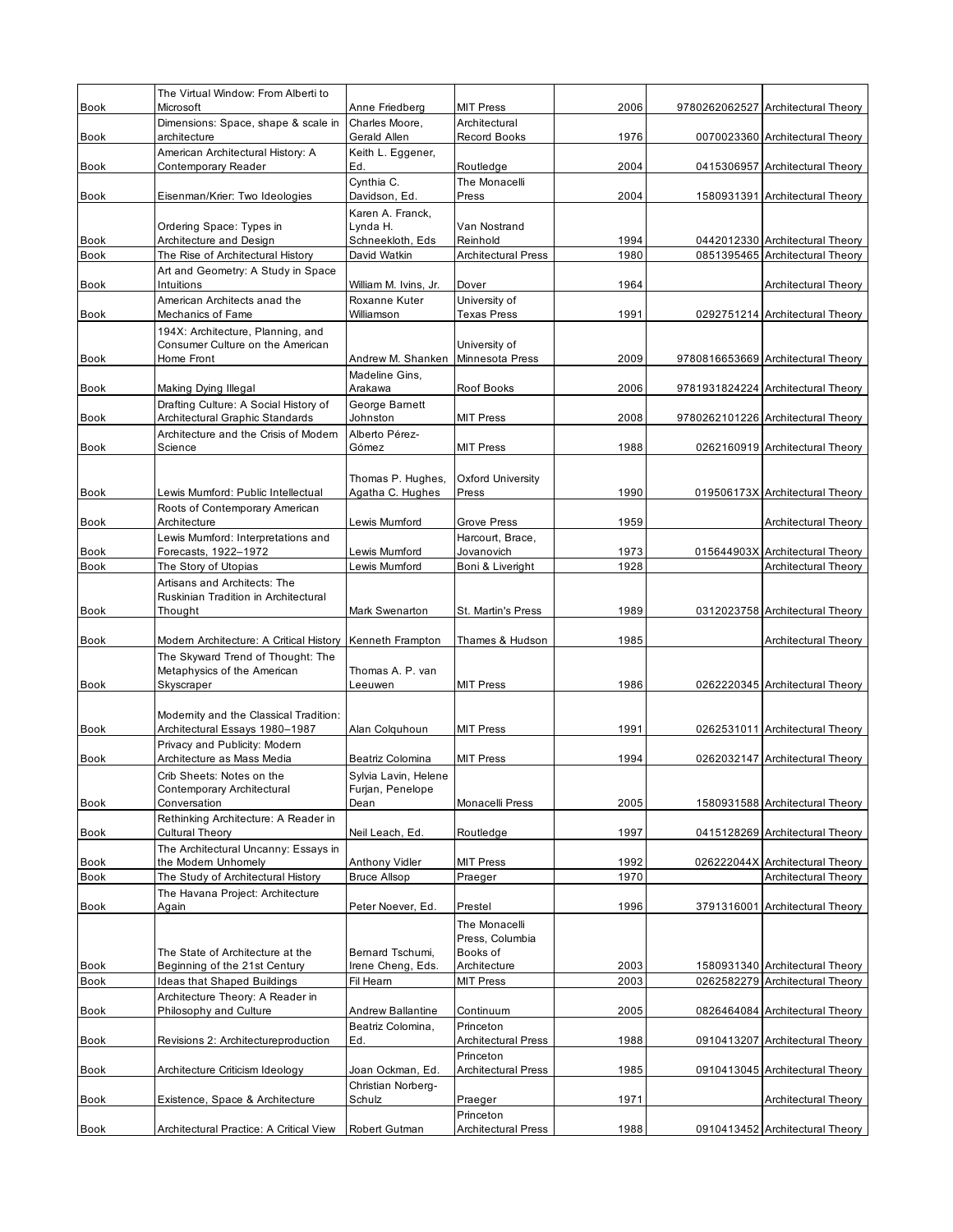| <b>Book</b>                | The Virtual Window: From Alberti to<br>Microsoft                         | Anne Friedberg                         | <b>MIT Press</b>                 | 2006         | 9780262062527 Architectural Theory                      |
|----------------------------|--------------------------------------------------------------------------|----------------------------------------|----------------------------------|--------------|---------------------------------------------------------|
|                            | Dimensions: Space, shape & scale in                                      | Charles Moore,                         | Architectural                    |              |                                                         |
| <b>Book</b>                | architecture                                                             | Gerald Allen                           | Record Books                     | 1976         | 0070023360 Architectural Theory                         |
| Book                       | American Architectural History: A<br>Contemporary Reader                 | Keith L. Eggener,<br>Ed.               | Routledge                        | 2004         | 0415306957 Architectural Theory                         |
| <b>Book</b>                | Eisenman/Krier: Two Ideologies                                           | Cynthia C.<br>Davidson, Ed.            | The Monacelli<br>Press           | 2004         | 1580931391 Architectural Theory                         |
|                            | Ordering Space: Types in                                                 | Karen A. Franck,<br>Lynda H.           | Van Nostrand                     |              |                                                         |
| Book                       | Architecture and Design                                                  | Schneekloth, Eds                       | Reinhold                         | 1994         | 0442012330 Architectural Theory                         |
| <b>Book</b>                | The Rise of Architectural History                                        | David Watkin                           | <b>Architectural Press</b>       | 1980         | 0851395465 Architectural Theory                         |
| Book                       | Art and Geometry: A Study in Space<br>Intuitions                         | William M. Ivins, Jr.                  | Dover                            | 1964         | Architectural Theory                                    |
|                            | American Architects anad the                                             | Roxanne Kuter                          | University of                    |              |                                                         |
| <b>Book</b>                | Mechanics of Fame                                                        | Williamson                             | <b>Texas Press</b>               | 1991         | 0292751214 Architectural Theory                         |
|                            | 194X: Architecture, Planning, and                                        |                                        |                                  |              |                                                         |
|                            | Consumer Culture on the American<br>Home Front                           | Andrew M. Shanken                      | University of<br>Minnesota Press | 2009         |                                                         |
| <b>Book</b>                |                                                                          | Madeline Gins,                         |                                  |              | 9780816653669 Architectural Theory                      |
| <b>Book</b>                | Making Dying Illegal                                                     | Arakawa                                | Roof Books                       | 2006         | 9781931824224 Architectural Theory                      |
| <b>Book</b>                | Drafting Culture: A Social History of<br>Architectural Graphic Standards | George Barnett<br>Johnston             | <b>MIT Press</b>                 | 2008         | 9780262101226 Architectural Theory                      |
|                            | Architecture and the Crisis of Modern                                    | Alberto Pérez-                         |                                  |              |                                                         |
| <b>Book</b>                | Science                                                                  | Gómez                                  | <b>MIT Press</b>                 | 1988         | 0262160919 Architectural Theory                         |
|                            |                                                                          | Thomas P. Hughes,                      | Oxford University                |              |                                                         |
| <b>Book</b>                | Lewis Mumford: Public Intellectual                                       | Agatha C. Hughes                       | Press                            | 1990         | 019506173X Architectural Theory                         |
|                            | Roots of Contemporary American                                           |                                        |                                  |              |                                                         |
| <b>Book</b>                | Architecture                                                             | Lewis Mumford                          | Grove Press                      | 1959         | Architectural Theory                                    |
|                            | Lewis Mumford: Interpretations and                                       |                                        | Harcourt, Brace,                 |              |                                                         |
| <b>Book</b><br><b>Book</b> | Forecasts, 1922-1972<br>The Story of Utopias                             | Lewis Mumford<br>Lewis Mumford         | Jovanovich<br>Boni & Liveright   | 1973<br>1928 | 015644903X Architectural Theory<br>Architectural Theory |
|                            | Artisans and Architects: The                                             |                                        |                                  |              |                                                         |
|                            | Ruskinian Tradition in Architectural                                     |                                        |                                  |              |                                                         |
| <b>Book</b>                | Thought                                                                  | Mark Swenarton                         | St. Martin's Press               | 1989         | 0312023758 Architectural Theory                         |
| <b>Book</b>                | Modern Architecture: A Critical History                                  | Kenneth Frampton                       | Thames & Hudson                  | 1985         | Architectural Theory                                    |
|                            | The Skyward Trend of Thought: The                                        |                                        |                                  |              |                                                         |
|                            | Metaphysics of the American                                              | Thomas A. P. van                       |                                  |              |                                                         |
| <b>Book</b>                | Skyscraper                                                               | Leeuwen                                | <b>MIT Press</b>                 | 1986         | 0262220345 Architectural Theory                         |
|                            |                                                                          |                                        |                                  |              |                                                         |
| <b>Book</b>                | Modernity and the Classical Tradition:<br>Architectural Essays 1980-1987 |                                        | <b>MIT Press</b>                 | 1991         | 0262531011 Architectural Theory                         |
|                            | Privacy and Publicity: Modern                                            | Alan Colquhoun                         |                                  |              |                                                         |
| <b>Book</b>                | Architecture as Mass Media                                               | Beatriz Colomina                       | <b>MIT Press</b>                 | 1994         | 0262032147 Architectural Theory                         |
|                            | Crib Sheets: Notes on the                                                | Sylvia Lavin, Helene                   |                                  |              |                                                         |
|                            | Contemporary Architectural                                               | Furjan, Penelope                       |                                  |              |                                                         |
| Book                       | Conversation<br>Rethinking Architecture: A Reader in                     | Dean                                   | Monacelli Press                  | 2005         | 1580931588 Architectural Theory                         |
| Book                       | Cultural Theory                                                          | Neil Leach, Ed.                        | Routledge                        | 1997         | 0415128269 Architectural Theory                         |
|                            | The Architectural Uncanny: Essays in                                     |                                        |                                  |              |                                                         |
| Book                       | the Modern Unhomely                                                      | Anthony Vidler                         | <b>MIT Press</b>                 | 1992         | 026222044X Architectural Theory                         |
| <b>Book</b>                | The Study of Architectural History                                       | <b>Bruce Allsop</b>                    | Praeger                          | 1970         | Architectural Theory                                    |
| Book                       | The Havana Project: Architecture<br>Again                                | Peter Noever, Ed.                      | Prestel                          | 1996         | 3791316001 Architectural Theory                         |
|                            |                                                                          |                                        | The Monacelli                    |              |                                                         |
|                            |                                                                          |                                        | Press, Columbia                  |              |                                                         |
|                            | The State of Architecture at the                                         | Bernard Tschumi,                       | Books of                         |              |                                                         |
| Book                       | Beginning of the 21st Century                                            | Irene Cheng, Eds.                      | Architecture                     | 2003         | 1580931340 Architectural Theory                         |
| <b>Book</b>                | Ideas that Shaped Buildings<br>Architecture Theory: A Reader in          | Fil Heam                               | <b>MIT Press</b>                 | 2003         | 0262582279 Architectural Theory                         |
| Book                       | Philosophy and Culture                                                   | Andrew Ballantine                      | Continuum                        | 2005         | 0826464084 Architectural Theory                         |
|                            |                                                                          | Beatriz Colomina,                      | Princeton                        |              |                                                         |
| Book                       | Revisions 2: Architectureproduction                                      | Ed.                                    | <b>Architectural Press</b>       | 1988         | 0910413207 Architectural Theory                         |
|                            |                                                                          |                                        | Princeton                        | 1985         |                                                         |
| <b>Book</b>                | Architecture Criticism Ideology                                          | Joan Ockman, Ed.<br>Christian Norberg- | <b>Architectural Press</b>       |              | 0910413045 Architectural Theory                         |
| Book                       | Existence, Space & Architecture                                          | Schulz                                 | Praeger                          | 1971         | Architectural Theory                                    |
|                            |                                                                          |                                        | Princeton                        |              |                                                         |
| <b>Book</b>                | Architectural Practice: A Critical View                                  | Robert Gutman                          | <b>Architectural Press</b>       | 1988         | 0910413452 Architectural Theory                         |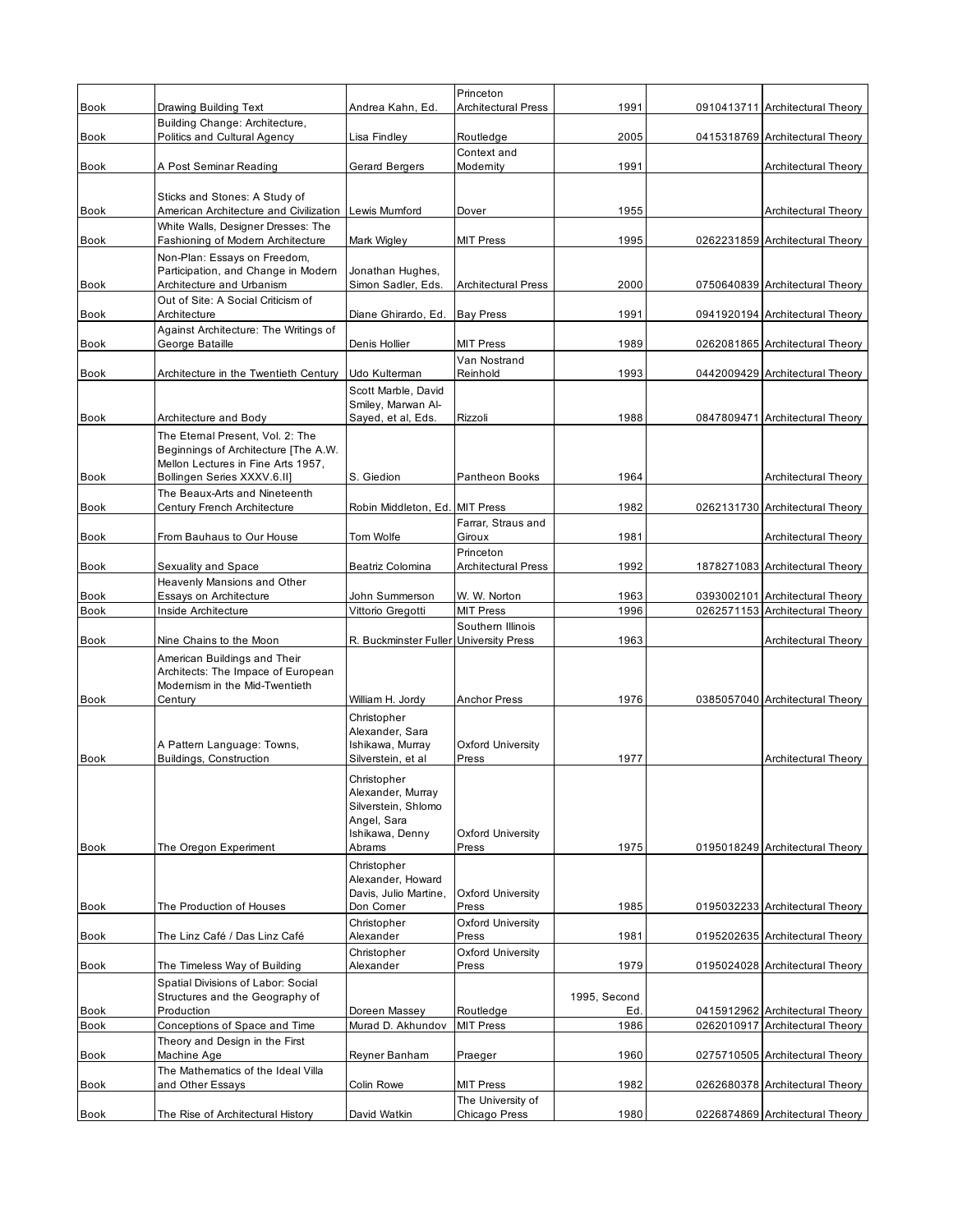|                     |                                                                                                      |                                                                                                                 | Princeton<br><b>Architectural Press</b> |              |                                                                    |
|---------------------|------------------------------------------------------------------------------------------------------|-----------------------------------------------------------------------------------------------------------------|-----------------------------------------|--------------|--------------------------------------------------------------------|
| Book                | Drawing Building Text<br>Building Change: Architecture,                                              | Andrea Kahn, Ed.                                                                                                |                                         | 1991         | 0910413711 Architectural Theory                                    |
| <b>Book</b>         | Politics and Cultural Agency                                                                         | Lisa Findley                                                                                                    | Routledge                               | 2005         | 0415318769 Architectural Theory                                    |
|                     |                                                                                                      |                                                                                                                 | Context and                             |              |                                                                    |
| <b>Book</b>         | A Post Seminar Reading                                                                               | Gerard Bergers                                                                                                  | Modernity                               | 1991         | Architectural Theory                                               |
| Book                | Sticks and Stones: A Study of<br>American Architecture and Civilization                              | Lewis Mumford                                                                                                   | Dover                                   | 1955         | Architectural Theory                                               |
| <b>Book</b>         | White Walls, Designer Dresses: The<br>Fashioning of Modern Architecture                              | Mark Wigley                                                                                                     | <b>MIT Press</b>                        | 1995         | 0262231859 Architectural Theory                                    |
|                     | Non-Plan: Essays on Freedom,                                                                         |                                                                                                                 |                                         |              |                                                                    |
|                     | Participation, and Change in Modern                                                                  | Jonathan Hughes,                                                                                                |                                         |              |                                                                    |
| Book                | Architecture and Urbanism<br>Out of Site: A Social Criticism of                                      | Simon Sadler, Eds.                                                                                              | <b>Architectural Press</b>              | 2000         | 0750640839 Architectural Theory                                    |
| <b>Book</b>         | Architecture                                                                                         | Diane Ghirardo, Ed.                                                                                             | <b>Bay Press</b>                        | 1991         | 0941920194 Architectural Theory                                    |
|                     | Against Architecture: The Writings of                                                                |                                                                                                                 |                                         |              |                                                                    |
| <b>Book</b>         | George Bataille                                                                                      | Denis Hollier                                                                                                   | <b>MIT Press</b>                        | 1989         | 0262081865 Architectural Theory                                    |
| <b>Book</b>         | Architecture in the Twentieth Century                                                                | Udo Kulterman                                                                                                   | Van Nostrand<br>Reinhold                | 1993         | 0442009429 Architectural Theory                                    |
|                     |                                                                                                      | Scott Marble, David                                                                                             |                                         |              |                                                                    |
|                     |                                                                                                      | Smiley, Marwan Al-                                                                                              |                                         |              |                                                                    |
| Book                | Architecture and Body                                                                                | Sayed, et al, Eds.                                                                                              | Rizzoli                                 | 1988         | 0847809471 Architectural Theory                                    |
|                     | The Eternal Present, Vol. 2: The<br>Beginnings of Architecture [The A.W.                             |                                                                                                                 |                                         |              |                                                                    |
|                     | Mellon Lectures in Fine Arts 1957.                                                                   |                                                                                                                 |                                         |              |                                                                    |
| <b>Book</b>         | Bollingen Series XXXV.6.II]                                                                          | S. Giedion                                                                                                      | Pantheon Books                          | 1964         | Architectural Theory                                               |
| <b>Book</b>         | The Beaux-Arts and Nineteenth<br>Century French Architecture                                         | Robin Middleton, Ed. MIT Press                                                                                  |                                         | 1982         | 0262131730 Architectural Theory                                    |
|                     |                                                                                                      |                                                                                                                 | Farrar, Straus and                      |              |                                                                    |
| <b>Book</b>         | From Bauhaus to Our House                                                                            | Tom Wolfe                                                                                                       | Giroux                                  | 1981         | Architectural Theory                                               |
| <b>Book</b>         | Sexuality and Space                                                                                  | Beatriz Colomina                                                                                                | Princeton<br><b>Architectural Press</b> | 1992         | 1878271083 Architectural Theory                                    |
|                     | Heavenly Mansions and Other                                                                          |                                                                                                                 |                                         |              |                                                                    |
| <b>Book</b>         | Essays on Architecture                                                                               | John Summerson                                                                                                  | W. W. Norton                            | 1963         | 0393002101 Architectural Theory                                    |
| <b>Book</b>         | Inside Architecture                                                                                  | Vittorio Gregotti                                                                                               | <b>MIT Press</b>                        | 1996         | 0262571153 Architectural Theory                                    |
| <b>Book</b>         | Nine Chains to the Moon                                                                              | R. Buckminster Fuller University Press                                                                          | Southern Illinois                       | 1963         | Architectural Theory                                               |
|                     | American Buildings and Their<br>Architects: The Impace of European<br>Modernism in the Mid-Twentieth |                                                                                                                 |                                         |              |                                                                    |
| Book                | Century                                                                                              | William H. Jordy                                                                                                | <b>Anchor Press</b>                     | 1976         | 0385057040 Architectural Theory                                    |
|                     | A Pattern Language: Towns,                                                                           | Christopher<br>Alexander, Sara<br>Ishikawa, Murray                                                              | Oxford University                       |              |                                                                    |
| <b>Book</b>         | Buildings, Construction                                                                              | Silverstein, et al<br>Christopher<br>Alexander, Murray<br>Silverstein, Shlomo<br>Angel, Sara<br>Ishikawa, Denny | Press<br><b>Oxford University</b>       | 1977         | Architectural Theory                                               |
| Book                | The Oregon Experiment                                                                                | Abrams                                                                                                          | Press                                   | 1975         | 0195018249 Architectural Theory                                    |
| <b>Book</b>         | The Production of Houses                                                                             | Christopher<br>Alexander, Howard<br>Davis, Julio Martine,<br>Don Comer                                          | <b>Oxford University</b><br>Press       | 1985         | 0195032233 Architectural Theory                                    |
|                     |                                                                                                      | Christopher                                                                                                     | Oxford University                       |              |                                                                    |
| Book                | The Linz Café / Das Linz Café                                                                        | Alexander<br>Christopher                                                                                        | Press<br>Oxford University              | 1981         | 0195202635 Architectural Theory                                    |
| Book                | The Timeless Way of Building                                                                         | Alexander                                                                                                       | Press                                   | 1979         | 0195024028 Architectural Theory                                    |
|                     | Spatial Divisions of Labor: Social<br>Structures and the Geography of                                |                                                                                                                 |                                         | 1995, Second |                                                                    |
| Book<br><b>Book</b> | Production<br>Conceptions of Space and Time                                                          | Doreen Massey<br>Murad D. Akhundov                                                                              | Routledge<br><b>MIT Press</b>           | Ed<br>1986   | 0415912962 Architectural Theory<br>0262010917 Architectural Theory |
|                     | Theory and Design in the First                                                                       |                                                                                                                 |                                         |              |                                                                    |
| Book                | Machine Age                                                                                          | Reyner Banham                                                                                                   | Praeger                                 | 1960         | 0275710505 Architectural Theory                                    |
| <b>Book</b>         | The Mathematics of the Ideal Villa<br>and Other Essays                                               | Colin Rowe                                                                                                      | <b>MIT Press</b>                        | 1982         | 0262680378 Architectural Theory                                    |
| <b>Book</b>         | The Rise of Architectural History                                                                    | David Watkin                                                                                                    | The University of<br>Chicago Press      | 1980         | 0226874869 Architectural Theory                                    |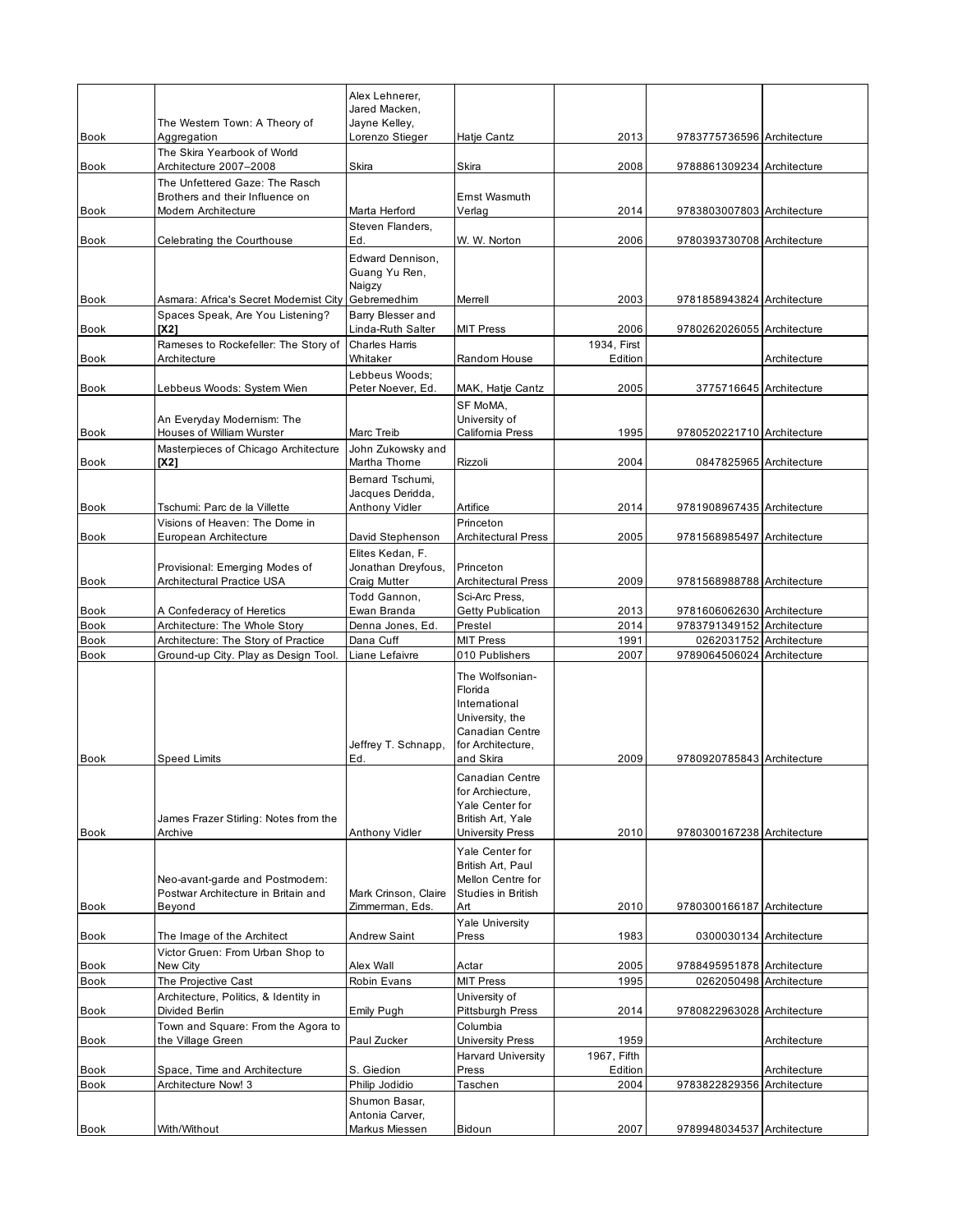|                     |                                                                                          | Alex Lehnerer,<br>Jared Macken.                            |                                                                                                                     |                     |                                                       |              |
|---------------------|------------------------------------------------------------------------------------------|------------------------------------------------------------|---------------------------------------------------------------------------------------------------------------------|---------------------|-------------------------------------------------------|--------------|
| Book                | The Western Town: A Theory of                                                            | Jayne Kelley,<br>Lorenzo Stieger                           | Hatje Cantz                                                                                                         | 2013                | 9783775736596 Architecture                            |              |
|                     | Aggregation<br>The Skira Yearbook of World                                               |                                                            |                                                                                                                     |                     |                                                       |              |
| Book                | Architecture 2007-2008                                                                   | Skira                                                      | Skira                                                                                                               | 2008                | 9788861309234 Architecture                            |              |
| Book                | The Unfettered Gaze: The Rasch<br>Brothers and their Influence on<br>Modern Architecture | Marta Herford                                              | Emst Wasmuth<br>Verlag                                                                                              | 2014                | 9783803007803 Architecture                            |              |
| <b>Book</b>         | Celebrating the Courthouse                                                               | Steven Flanders,<br>Ed.                                    | W. W. Norton                                                                                                        | 2006                | 9780393730708 Architecture                            |              |
| <b>Book</b>         | Asmara: Africa's Secret Modernist City                                                   | Edward Dennison,<br>Guang Yu Ren,<br>Naigzy<br>Gebremedhim | Merrell                                                                                                             | 2003                | 9781858943824 Architecture                            |              |
| Book                | Spaces Speak, Are You Listening?<br>[X2]                                                 | Barry Blesser and<br>Linda-Ruth Salter                     | <b>MIT Press</b>                                                                                                    | 2006                | 9780262026055 Architecture                            |              |
|                     | Rameses to Rockefeller: The Story of                                                     | <b>Charles Harris</b>                                      |                                                                                                                     | 1934, First         |                                                       |              |
| <b>Book</b>         | Architecture                                                                             | Whitaker<br>Lebbeus Woods;                                 | Random House                                                                                                        | Edition             |                                                       | Architecture |
| <b>Book</b>         | Lebbeus Woods: System Wien                                                               | Peter Noever, Ed.                                          | MAK, Hatje Cantz                                                                                                    | 2005                | 3775716645 Architecture                               |              |
| Book                | An Everyday Modernism: The<br>Houses of William Wurster                                  | Marc Treib                                                 | SF MoMA.<br>University of<br>California Press                                                                       | 1995                | 9780520221710 Architecture                            |              |
| Book                | Masterpieces of Chicago Architecture<br>[X2]                                             | John Zukowsky and<br>Martha Thorne                         | Rizzoli                                                                                                             | 2004                | 0847825965 Architecture                               |              |
|                     |                                                                                          | Bernard Tschumi.                                           |                                                                                                                     |                     |                                                       |              |
| Book                | Tschumi: Parc de la Villette                                                             | Jacques Deridda,<br>Anthony Vidler                         | Artifice                                                                                                            | 2014                | 9781908967435 Architecture                            |              |
|                     | Visions of Heaven: The Dome in                                                           |                                                            | Princeton                                                                                                           |                     |                                                       |              |
| Book                | European Architecture                                                                    | David Stephenson<br>Elites Kedan, F.                       | <b>Architectural Press</b>                                                                                          | 2005                | 9781568985497 Architecture                            |              |
|                     | Provisional: Emerging Modes of                                                           | Jonathan Dreyfous,                                         | Princeton                                                                                                           |                     |                                                       |              |
| Book                | Architectural Practice USA                                                               | Craig Mutter                                               | <b>Architectural Press</b>                                                                                          | 2009                | 9781568988788 Architecture                            |              |
| Book                | A Confederacy of Heretics                                                                | Todd Gannon,<br>Ewan Branda                                | Sci-Arc Press,<br><b>Getty Publication</b>                                                                          | 2013                | 9781606062630 Architecture                            |              |
| Book                | Architecture: The Whole Story                                                            | Denna Jones, Ed.                                           | Prestel                                                                                                             | 2014                | 9783791349152 Architecture                            |              |
| Book<br>Book        | Architecture: The Story of Practice<br>Ground-up City. Play as Design Tool.              | Dana Cuff<br>Liane Lefaivre                                | <b>MIT Press</b><br>010 Publishers                                                                                  | 1991<br>2007        | 0262031752 Architecture<br>9789064506024 Architecture |              |
| <b>Book</b>         | <b>Speed Limits</b>                                                                      | Jeffrey T. Schnapp,<br>Ed.                                 | The Wolfsonian-<br>Florida<br>International<br>University, the<br>Canadian Centre<br>for Architecture,<br>and Skira | 2009                | 9780920785843 Architecture                            |              |
| Book                | James Frazer Stirling: Notes from the<br>Archive                                         | Anthony Vidler                                             | Canadian Centre<br>for Archiecture,<br>Yale Center for<br>British Art, Yale<br><b>University Press</b>              | 2010                | 9780300167238 Architecture                            |              |
| Book                | Neo-avant-garde and Postmodern:<br>Postwar Architecture in Britain and<br>Beyond         | Mark Crinson, Claire<br>Zimmerman, Eds.                    | Yale Center for<br>British Art, Paul<br>Mellon Centre for<br><b>Studies in British</b><br>Art                       | 2010                | 9780300166187 Architecture                            |              |
|                     |                                                                                          |                                                            | <b>Yale University</b>                                                                                              |                     |                                                       |              |
| Book                | The Image of the Architect<br>Victor Gruen: From Urban Shop to                           | <b>Andrew Saint</b>                                        | Press                                                                                                               | 1983                | 0300030134 Architecture                               |              |
| Book                | New City                                                                                 | Alex Wall                                                  | Actar                                                                                                               | 2005                | 9788495951878 Architecture                            |              |
| <b>Book</b><br>Book | The Projective Cast<br>Architecture, Politics, & Identity in<br>Divided Berlin           | Robin Evans<br>Emily Pugh                                  | <b>MIT Press</b><br>University of<br>Pittsburgh Press                                                               | 1995<br>2014        | 0262050498 Architecture<br>9780822963028 Architecture |              |
|                     | Town and Square: From the Agora to                                                       |                                                            | Columbia                                                                                                            |                     |                                                       |              |
| Book                | the Village Green                                                                        | Paul Zucker                                                | University Press<br><b>Harvard University</b>                                                                       | 1959<br>1967, Fifth |                                                       | Architecture |
| Book                | Space, Time and Architecture                                                             | S. Giedion                                                 | Press                                                                                                               | Edition             |                                                       | Architecture |
| Book                | Architecture Now! 3                                                                      | Philip Jodidio<br>Shumon Basar,                            | Taschen                                                                                                             | 2004                | 9783822829356 Architecture                            |              |
| Book                | With/Without                                                                             | Antonia Carver,<br>Markus Miessen                          | Bidoun                                                                                                              | 2007                | 9789948034537 Architecture                            |              |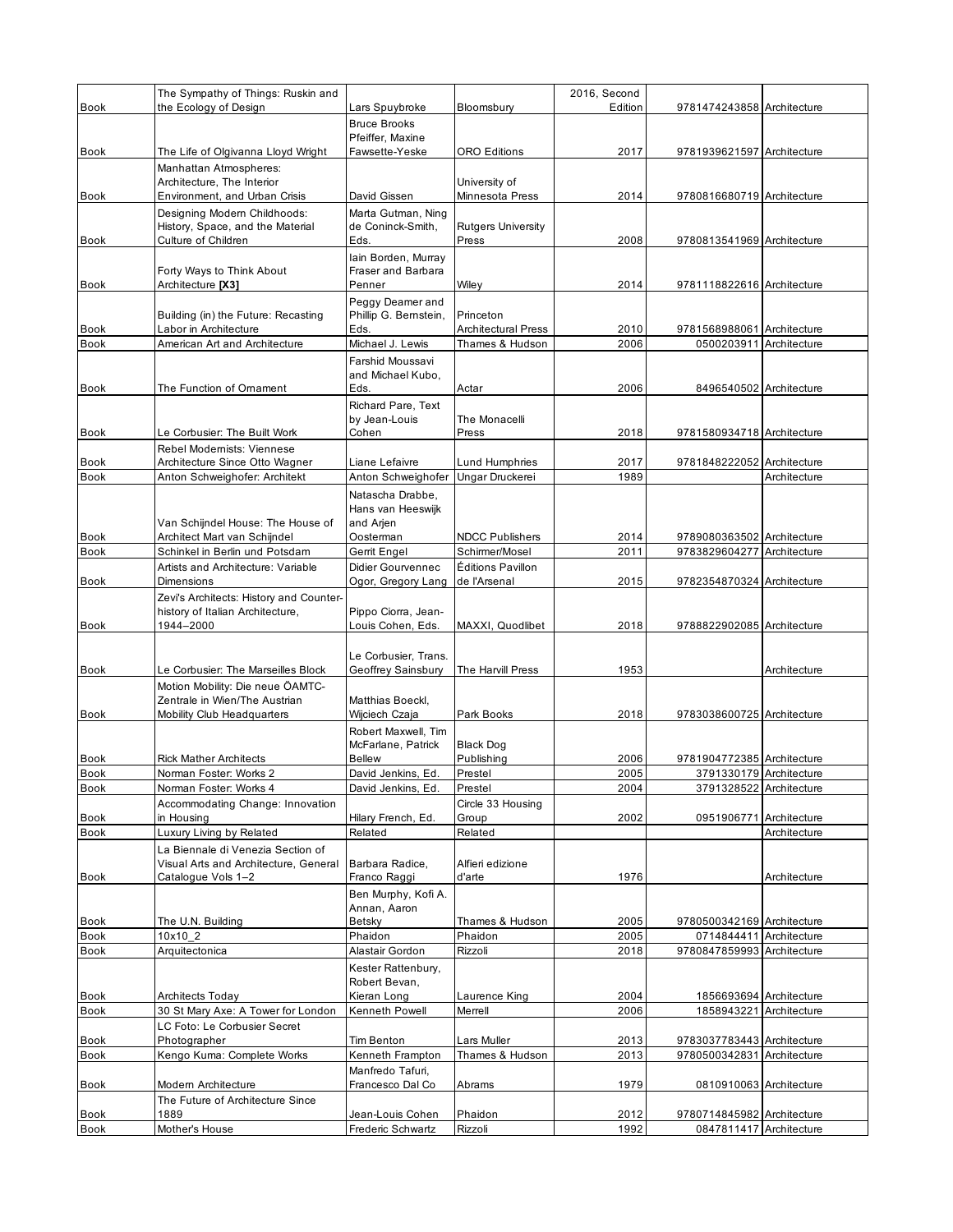|              | The Sympathy of Things: Ruskin and                               |                                          |                                         | 2016, Second |                                       |              |
|--------------|------------------------------------------------------------------|------------------------------------------|-----------------------------------------|--------------|---------------------------------------|--------------|
| <b>Book</b>  | the Ecology of Design                                            | Lars Spuybroke<br><b>Bruce Brooks</b>    | Bloomsbury                              | Edition      | 9781474243858 Architecture            |              |
|              |                                                                  | Pfeiffer, Maxine                         |                                         |              |                                       |              |
| Book         | The Life of Olgivanna Lloyd Wright                               | Fawsette-Yeske                           | <b>ORO</b> Editions                     | 2017         | 9781939621597 Architecture            |              |
|              | Manhattan Atmospheres:                                           |                                          |                                         |              |                                       |              |
|              | Architecture, The Interior                                       |                                          | University of                           |              |                                       |              |
| Book         | Environment, and Urban Crisis                                    | David Gissen                             | Minnesota Press                         | 2014         | 9780816680719 Architecture            |              |
|              | Designing Modern Childhoods:<br>History, Space, and the Material | Marta Gutman, Ning<br>de Coninck-Smith,  | <b>Rutgers University</b>               |              |                                       |              |
| Book         | Culture of Children                                              | Eds.                                     | Press                                   | 2008         | 9780813541969 Architecture            |              |
|              |                                                                  | lain Borden, Murray                      |                                         |              |                                       |              |
|              | Forty Ways to Think About                                        | Fraser and Barbara                       |                                         |              |                                       |              |
| Book         | Architecture [X3]                                                | Penner                                   | Wiley                                   | 2014         | 9781118822616 Architecture            |              |
|              |                                                                  | Peggy Deamer and                         |                                         |              |                                       |              |
| Book         | Building (in) the Future: Recasting<br>Labor in Architecture     | Phillip G. Bernstein,<br>Eds.            | Princeton<br><b>Architectural Press</b> | 2010         | 9781568988061 Architecture            |              |
| <b>Book</b>  | American Art and Architecture                                    | Michael J. Lewis                         | Thames & Hudson                         | 2006         | 0500203911                            | Architecture |
|              |                                                                  | Farshid Moussavi                         |                                         |              |                                       |              |
|              |                                                                  | and Michael Kubo,                        |                                         |              |                                       |              |
| Book         | The Function of Ornament                                         | Eds.                                     | Actar                                   | 2006         | 8496540502 Architecture               |              |
|              |                                                                  | Richard Pare, Text                       |                                         |              |                                       |              |
| <b>Book</b>  | Le Corbusier: The Built Work                                     | by Jean-Louis<br>Cohen                   | The Monacelli<br>Press                  | 2018         | 9781580934718 Architecture            |              |
|              | Rebel Modemists: Viennese                                        |                                          |                                         |              |                                       |              |
| <b>Book</b>  | Architecture Since Otto Wagner                                   | Liane Lefaivre                           | Lund Humphries                          | 2017         | 9781848222052                         | Architecture |
| <b>Book</b>  | Anton Schweighofer: Architekt                                    | Anton Schweighofer                       | Ungar Druckerei                         | 1989         |                                       | Architecture |
|              |                                                                  | Natascha Drabbe,                         |                                         |              |                                       |              |
|              | Van Schijndel House: The House of                                | Hans van Heeswijk                        |                                         |              |                                       |              |
| <b>Book</b>  | Architect Mart van Schijndel                                     | and Arjen<br>Oosterman                   | <b>NDCC Publishers</b>                  | 2014         | 9789080363502 Architecture            |              |
| Book         | Schinkel in Berlin und Potsdam                                   | Gerrit Engel                             | Schirmer/Mosel                          | 2011         | 9783829604277                         | Architecture |
|              | Artists and Architecture: Variable                               | Didier Gourvennec                        | Éditions Pavillon                       |              |                                       |              |
| Book         | Dimensions                                                       | Ogor, Gregory Lang                       | de l'Arsenal                            | 2015         | 9782354870324 Architecture            |              |
|              | Zevi's Architects: History and Counter-                          |                                          |                                         |              |                                       |              |
| <b>Book</b>  | history of Italian Architecture,<br>1944-2000                    | Pippo Ciorra, Jean-<br>Louis Cohen, Eds. | MAXXI, Quodlibet                        | 2018         | 9788822902085 Architecture            |              |
|              |                                                                  |                                          |                                         |              |                                       |              |
|              |                                                                  | Le Corbusier, Trans.                     |                                         |              |                                       |              |
| Book         | Le Corbusier: The Marseilles Block                               | Geoffrey Sainsbury                       | The Harvill Press                       | 1953         |                                       | Architecture |
|              | Motion Mobility: Die neue ÖAMTC-                                 |                                          |                                         |              |                                       |              |
|              | Zentrale in Wien/The Austrian                                    | Matthias Boeckl,                         |                                         |              |                                       |              |
| Book         | Mobility Club Headquarters                                       | Wijciech Czaja<br>Robert Maxwell, Tim    | Park Books                              | 2018         | 9783038600725 Architecture            |              |
|              |                                                                  | McFarlane, Patrick                       | <b>Black Dog</b>                        |              |                                       |              |
| Book         | <b>Rick Mather Architects</b>                                    | <b>Bellew</b>                            | Publishing                              | 2006         | 9781904772385 Architecture            |              |
| <b>Book</b>  | Norman Foster: Works 2                                           | David Jenkins, Ed.                       | Prestel                                 | 2005         | 3791330179 Architecture               |              |
| Book         | Norman Foster: Works 4                                           | David Jenkins, Ed.                       | Prestel                                 | 2004         | 3791328522 Architecture               |              |
| Book         | Accommodating Change: Innovation<br>in Housing                   | Hilary French, Ed.                       | Circle 33 Housing<br>Group              | 2002         | 0951906771                            | Architecture |
| Book         | Luxury Living by Related                                         | Related                                  | Related                                 |              |                                       | Architecture |
|              | La Biennale di Venezia Section of                                |                                          |                                         |              |                                       |              |
|              | Visual Arts and Architecture, General                            | Barbara Radice,                          | Alfieri edizione                        |              |                                       |              |
| Book         | Catalogue Vols 1-2                                               | Franco Raggi                             | d'arte                                  | 1976         |                                       | Architecture |
|              |                                                                  | Ben Murphy, Kofi A.                      |                                         |              |                                       |              |
| Book         | The U.N. Building                                                | Annan, Aaron<br>Betsky                   | Thames & Hudson                         | 2005         | 9780500342169 Architecture            |              |
| Book         | 10x10 2                                                          | Phaidon                                  | Phaidon                                 | 2005         | 0714844411                            | Architecture |
| Book         | Arquitectonica                                                   | Alastair Gordon                          | Rizzoli                                 | 2018         | 9780847859993 Architecture            |              |
|              |                                                                  | Kester Rattenbury,                       |                                         |              |                                       |              |
|              |                                                                  | Robert Bevan,                            |                                         |              |                                       |              |
| Book<br>Book | Architects Today<br>30 St Mary Axe: A Tower for London           | Kieran Long<br>Kenneth Powell            | Laurence King<br>Merrell                | 2004<br>2006 | 1856693694 Architecture<br>1858943221 | Architecture |
|              | LC Foto: Le Corbusier Secret                                     |                                          |                                         |              |                                       |              |
| Book         | Photographer                                                     | Tim Benton                               | Lars Muller                             | 2013         | 9783037783443 Architecture            |              |
| <b>Book</b>  | Kengo Kuma: Complete Works                                       | Kenneth Frampton                         | Thames & Hudson                         | 2013         | 9780500342831 Architecture            |              |
|              |                                                                  | Manfredo Tafuri,                         |                                         |              |                                       |              |
| <b>Book</b>  | Modern Architecture                                              | Francesco Dal Co                         | Abrams                                  | 1979         | 0810910063 Architecture               |              |
| Book         | The Future of Architecture Since<br>1889                         | Jean-Louis Cohen                         | Phaidon                                 | 2012         | 9780714845982 Architecture            |              |
| Book         | Mother's House                                                   | Frederic Schwartz                        | Rizzoli                                 | 1992         | 0847811417 Architecture               |              |
|              |                                                                  |                                          |                                         |              |                                       |              |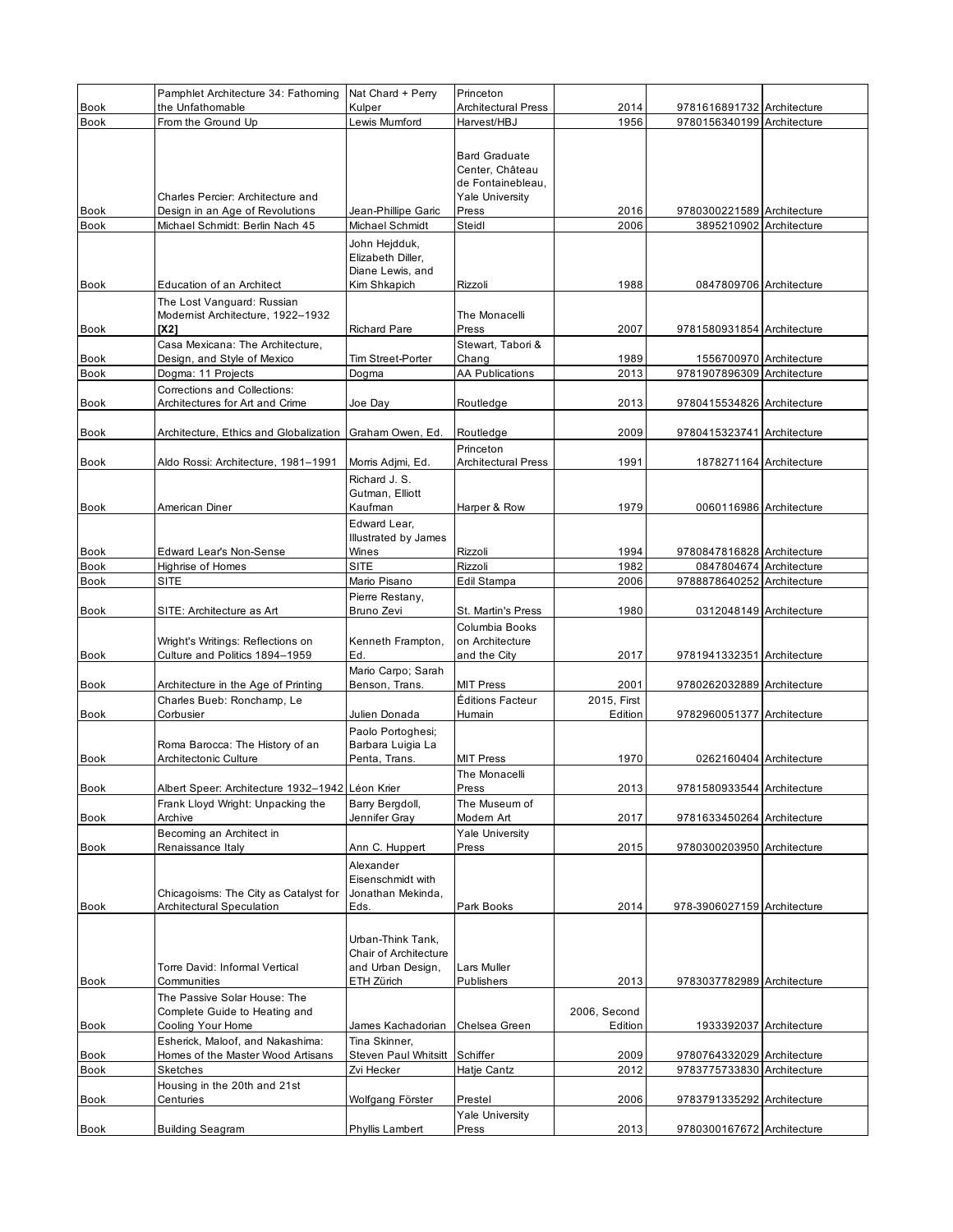|                     | Pamphlet Architecture 34: Fathoming                             | Nat Chard + Perry                          | Princeton                                 |                         |                                                          |  |
|---------------------|-----------------------------------------------------------------|--------------------------------------------|-------------------------------------------|-------------------------|----------------------------------------------------------|--|
| <b>Book</b><br>Book | the Unfathomable<br>From the Ground Up                          | Kulper<br>Lewis Mumford                    | <b>Architectural Press</b><br>Harvest/HBJ | 2014<br>1956            | 9781616891732 Architecture<br>9780156340199 Architecture |  |
|                     |                                                                 |                                            |                                           |                         |                                                          |  |
|                     |                                                                 |                                            | <b>Bard Graduate</b>                      |                         |                                                          |  |
|                     |                                                                 |                                            | Center, Château<br>de Fontainebleau,      |                         |                                                          |  |
|                     | Charles Percier: Architecture and                               |                                            | <b>Yale University</b>                    |                         |                                                          |  |
| Book                | Design in an Age of Revolutions                                 | Jean-Phillipe Garic                        | Press                                     | 2016                    | 9780300221589 Architecture                               |  |
| <b>Book</b>         | Michael Schmidt: Berlin Nach 45                                 | Michael Schmidt                            | Steidl                                    | 2006                    | 3895210902 Architecture                                  |  |
|                     |                                                                 | John Hejdduk,                              |                                           |                         |                                                          |  |
|                     |                                                                 | Elizabeth Diller,<br>Diane Lewis, and      |                                           |                         |                                                          |  |
| <b>Book</b>         | Education of an Architect                                       | Kim Shkapich                               | Rizzoli                                   | 1988                    | 0847809706 Architecture                                  |  |
|                     | The Lost Vanguard: Russian                                      |                                            |                                           |                         |                                                          |  |
|                     | Modernist Architecture, 1922-1932                               |                                            | The Monacelli                             |                         |                                                          |  |
| <b>Book</b>         | [X2]                                                            | <b>Richard Pare</b>                        | Press                                     | 2007                    | 9781580931854 Architecture                               |  |
| Book                | Casa Mexicana: The Architecture,<br>Design, and Style of Mexico | Tim Street-Porter                          | Stewart, Tabori &<br>Chang                | 1989                    | 1556700970 Architecture                                  |  |
| <b>Book</b>         | Dogma: 11 Projects                                              | Dogma                                      | <b>AA Publications</b>                    | 2013                    | 9781907896309 Architecture                               |  |
|                     | Corrections and Collections:                                    |                                            |                                           |                         |                                                          |  |
| Book                | Architectures for Art and Crime                                 | Joe Day                                    | Routledge                                 | 2013                    | 9780415534826 Architecture                               |  |
| Book                | Architecture, Ethics and Globalization Graham Owen, Ed.         |                                            | Routledge                                 | 2009                    | 9780415323741 Architecture                               |  |
|                     |                                                                 |                                            | Princeton                                 |                         |                                                          |  |
| Book                | Aldo Rossi: Architecture, 1981-1991                             | Morris Adjmi, Ed.                          | <b>Architectural Press</b>                | 1991                    | 1878271164 Architecture                                  |  |
|                     |                                                                 | Richard J. S.                              |                                           |                         |                                                          |  |
| <b>Book</b>         | American Diner                                                  | Gutman, Elliott<br>Kaufman                 | Harper & Row                              | 1979                    | 0060116986 Architecture                                  |  |
|                     |                                                                 | Edward Lear.                               |                                           |                         |                                                          |  |
|                     |                                                                 | Illustrated by James                       |                                           |                         |                                                          |  |
| <b>Book</b>         | Edward Lear's Non-Sense                                         | Wines                                      | Rizzoli                                   | 1994                    | 9780847816828 Architecture                               |  |
| <b>Book</b>         | <b>Highrise of Homes</b>                                        | SITE                                       | Rizzoli                                   | 1982                    | 0847804674 Architecture                                  |  |
| <b>Book</b>         | <b>SITE</b>                                                     | Mario Pisano<br>Pierre Restany,            | Edil Stampa                               | 2006                    | 9788878640252 Architecture                               |  |
| <b>Book</b>         | SITE: Architecture as Art                                       | Bruno Zevi                                 | St. Martin's Press                        | 1980                    | 0312048149 Architecture                                  |  |
|                     |                                                                 |                                            | Columbia Books                            |                         |                                                          |  |
|                     | Wright's Writings: Reflections on                               | Kenneth Frampton,                          | on Architecture                           |                         |                                                          |  |
| Book                | Culture and Politics 1894-1959                                  | Ed.                                        | and the City                              | 2017                    | 9781941332351 Architecture                               |  |
| Book                | Architecture in the Age of Printing                             | Mario Carpo; Sarah<br>Benson, Trans.       | <b>MIT Press</b>                          | 2001                    | 9780262032889 Architecture                               |  |
|                     | Charles Bueb: Ronchamp, Le                                      |                                            | Éditions Facteur                          | 2015, First             |                                                          |  |
| <b>Book</b>         | Corbusier                                                       | Julien Donada                              | Humain                                    | Edition                 | 9782960051377 Architecture                               |  |
|                     |                                                                 | Paolo Portoghesi;                          |                                           |                         |                                                          |  |
|                     | Roma Barocca: The History of an                                 | Barbara Luigia La                          |                                           |                         |                                                          |  |
| <b>Book</b>         | Architectonic Culture                                           | Penta, Trans.                              | <b>MIT Press</b><br>The Monacelli         | 1970                    | 0262160404 Architecture                                  |  |
| Book                | Albert Speer: Architecture 1932-1942 Léon Krier                 |                                            | Press                                     | 2013                    | 9781580933544 Architecture                               |  |
|                     | Frank Lloyd Wright: Unpacking the                               | Barry Bergdoll,                            | The Museum of                             |                         |                                                          |  |
| Book                | Archive                                                         | Jennifer Gray                              | Modern Art                                | 2017                    | 9781633450264 Architecture                               |  |
|                     | Becoming an Architect in                                        |                                            | <b>Yale University</b>                    |                         |                                                          |  |
| Book                | Renaissance Italy                                               | Ann C. Huppert<br>Alexander                | Press                                     | 2015                    | 9780300203950 Architecture                               |  |
|                     |                                                                 | Eisenschmidt with                          |                                           |                         |                                                          |  |
|                     | Chicagoisms: The City as Catalyst for                           | Jonathan Mekinda,                          |                                           |                         |                                                          |  |
| Book                | <b>Architectural Speculation</b>                                | Eds.                                       | Park Books                                | 2014                    | 978-3906027159 Architecture                              |  |
|                     |                                                                 |                                            |                                           |                         |                                                          |  |
|                     |                                                                 | Urban-Think Tank,<br>Chair of Architecture |                                           |                         |                                                          |  |
|                     | Torre David: Informal Vertical                                  | and Urban Design,                          | Lars Muller                               |                         |                                                          |  |
| Book                | Communities                                                     | ETH Zürich                                 | Publishers                                | 2013                    | 9783037782989 Architecture                               |  |
|                     | The Passive Solar House: The                                    |                                            |                                           |                         |                                                          |  |
|                     | Complete Guide to Heating and                                   |                                            |                                           | 2006, Second<br>Edition | 1933392037 Architecture                                  |  |
| Book                | Cooling Your Home<br>Esherick, Maloof, and Nakashima:           | James Kachadorian<br>Tina Skinner,         | Chelsea Green                             |                         |                                                          |  |
| Book                | Homes of the Master Wood Artisans                               | Steven Paul Whitsitt                       | Schiffer                                  | 2009                    | 9780764332029 Architecture                               |  |
| <b>Book</b>         | <b>Sketches</b>                                                 | Zvi Hecker                                 | Hatje Cantz                               | 2012                    | 9783775733830 Architecture                               |  |
|                     | Housing in the 20th and 21st                                    |                                            |                                           |                         |                                                          |  |
| Book                | Centuries                                                       | Wolfgang Förster                           | Prestel                                   | 2006                    | 9783791335292 Architecture                               |  |
| <b>Book</b>         | <b>Building Seagram</b>                                         | Phyllis Lambert                            | <b>Yale University</b><br>Press           | 2013                    | 9780300167672 Architecture                               |  |
|                     |                                                                 |                                            |                                           |                         |                                                          |  |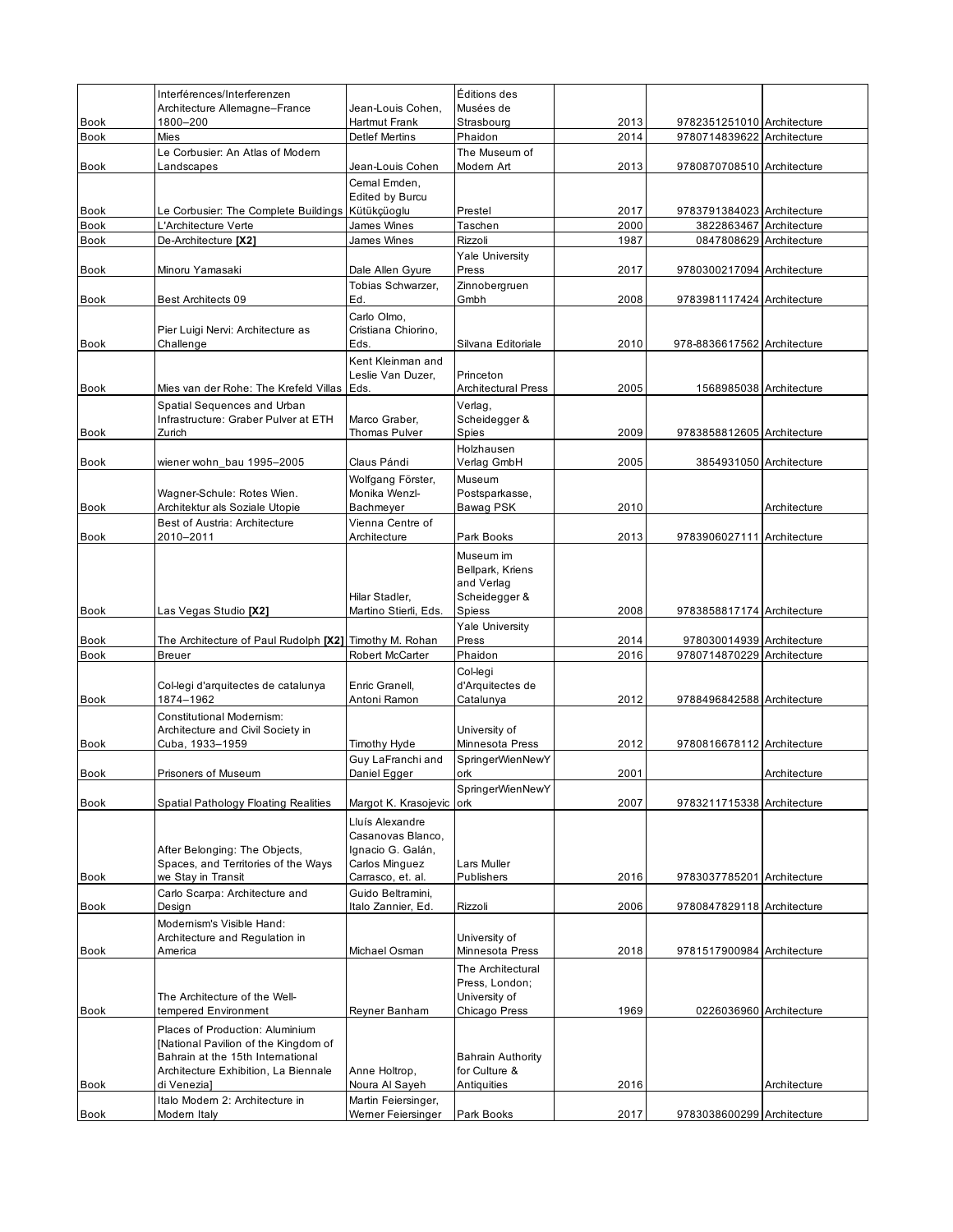|                            | Interférences/Interferenzen                                              |                                           | Éditions des                     |              |                                                          |              |
|----------------------------|--------------------------------------------------------------------------|-------------------------------------------|----------------------------------|--------------|----------------------------------------------------------|--------------|
|                            | Architecture Allemagne-France                                            | Jean-Louis Cohen.                         | Musées de                        |              |                                                          |              |
| Book<br><b>Book</b>        | 1800-200<br>Mies                                                         | Hartmut Frank<br><b>Detlef Mertins</b>    | Strasbourg<br>Phaidon            | 2013<br>2014 | 9782351251010 Architecture<br>9780714839622 Architecture |              |
|                            | Le Corbusier: An Atlas of Modern                                         |                                           | The Museum of                    |              |                                                          |              |
| <b>Book</b>                | Landscapes                                                               | Jean-Louis Cohen                          | Modern Art                       | 2013         | 9780870708510 Architecture                               |              |
|                            |                                                                          | Cemal Emden,                              |                                  |              |                                                          |              |
|                            |                                                                          | <b>Edited by Burcu</b>                    |                                  |              |                                                          |              |
| <b>Book</b><br><b>Book</b> | Le Corbusier: The Complete Buildings Kütükçüoglu<br>L'Architecture Verte | James Wines                               | Prestel<br>Taschen               | 2017<br>2000 | 9783791384023 Architecture<br>3822863467 Architecture    |              |
| <b>Book</b>                | De-Architecture [X2]                                                     | James Wines                               | Rizzoli                          | 1987         | 0847808629 Architecture                                  |              |
|                            |                                                                          |                                           | Yale University                  |              |                                                          |              |
| <b>Book</b>                | Minoru Yamasaki                                                          | Dale Allen Gyure                          | Press                            | 2017         | 9780300217094 Architecture                               |              |
|                            | <b>Best Architects 09</b>                                                | Tobias Schwarzer,<br>Ed.                  | Zinnobergruen<br>Gmbh            | 2008         |                                                          |              |
| <b>Book</b>                |                                                                          | Carlo Olmo,                               |                                  |              | 9783981117424 Architecture                               |              |
|                            | Pier Luigi Nervi: Architecture as                                        | Cristiana Chiorino,                       |                                  |              |                                                          |              |
| <b>Book</b>                | Challenge                                                                | Eds.                                      | Silvana Editoriale               | 2010         | 978-8836617562 Architecture                              |              |
|                            |                                                                          | Kent Kleinman and                         |                                  |              |                                                          |              |
|                            |                                                                          | Leslie Van Duzer,                         | Princeton                        |              |                                                          |              |
| <b>Book</b>                | Mies van der Rohe: The Krefeld Villas Eds.                               |                                           | <b>Architectural Press</b>       | 2005         | 1568985038 Architecture                                  |              |
|                            | Spatial Sequences and Urban<br>Infrastructure: Graber Pulver at ETH      | Marco Graber.                             | Verlag,<br>Scheidegger &         |              |                                                          |              |
| <b>Book</b>                | Zurich                                                                   | Thomas Pulver                             | Spies                            | 2009         | 9783858812605 Architecture                               |              |
|                            |                                                                          |                                           | Holzhausen                       |              |                                                          |              |
| <b>Book</b>                | wiener wohn bau 1995-2005                                                | Claus Pándi                               | Verlag GmbH                      | 2005         | 3854931050 Architecture                                  |              |
|                            |                                                                          | Wolfgang Förster,                         | Museum                           |              |                                                          |              |
|                            | Wagner-Schule: Rotes Wien.<br>Architektur als Soziale Utopie             | Monika Wenzl-<br>Bachmeyer                | Postsparkasse,<br>Bawag PSK      | 2010         |                                                          |              |
| Book                       | Best of Austria: Architecture                                            | Vienna Centre of                          |                                  |              |                                                          | Architecture |
| <b>Book</b>                | 2010–2011                                                                | Architecture                              | Park Books                       | 2013         | 9783906027111 Architecture                               |              |
|                            |                                                                          |                                           | Museum im                        |              |                                                          |              |
|                            |                                                                          |                                           | Bellpark, Kriens                 |              |                                                          |              |
|                            |                                                                          |                                           | and Verlag                       |              |                                                          |              |
| <b>Book</b>                |                                                                          | Hilar Stadler,                            | Scheidegger &                    | 2008         |                                                          |              |
|                            | Las Vegas Studio [X2]                                                    | Martino Stierli, Eds.                     | Spiess<br><b>Yale University</b> |              | 9783858817174 Architecture                               |              |
| Book                       | The Architecture of Paul Rudolph [X2] Timothy M. Rohan                   |                                           | Press                            | 2014         | 978030014939 Architecture                                |              |
| <b>Book</b>                | <b>Breuer</b>                                                            | Robert McCarter                           | Phaidon                          | 2016         | 9780714870229 Architecture                               |              |
|                            |                                                                          |                                           | Col-legi                         |              |                                                          |              |
|                            | Col-legi d'arquitectes de catalunya                                      | Enric Granell,                            | d'Arquitectes de                 |              |                                                          |              |
| <b>Book</b>                | 1874-1962                                                                | Antoni Ramon                              | Catalunya                        | 2012         | 9788496842588 Architecture                               |              |
|                            | Constitutional Modernism:<br>Architecture and Civil Society in           |                                           | University of                    |              |                                                          |              |
| <b>Book</b>                | Cuba, 1933-1959                                                          | Timothy Hyde                              | Minnesota Press                  | 2012         | 9780816678112 Architecture                               |              |
|                            |                                                                          | Guy LaFranchi and                         | SpringerWienNewY                 |              |                                                          |              |
| <b>Book</b>                | Prisoners of Museum                                                      | Daniel Egger                              | ork                              | 2001         |                                                          | Architecture |
|                            |                                                                          |                                           | SpringerWienNewY                 |              |                                                          |              |
| <b>Book</b>                | <b>Spatial Pathology Floating Realities</b>                              | Margot K. Krasojevic                      | <b>ork</b>                       | 2007         | 9783211715338 Architecture                               |              |
|                            |                                                                          | Lluís Alexandre<br>Casanovas Blanco.      |                                  |              |                                                          |              |
|                            | After Belonging: The Objects,                                            | Ignacio G. Galán,                         |                                  |              |                                                          |              |
|                            | Spaces, and Territories of the Ways                                      | Carlos Minguez                            | Lars Muller                      |              |                                                          |              |
| <b>Book</b>                | we Stay in Transit                                                       | Carrasco, et. al.                         | Publishers                       | 2016         | 9783037785201 Architecture                               |              |
|                            | Carlo Scarpa: Architecture and                                           | Guido Beltramini,                         |                                  |              |                                                          |              |
| <b>Book</b>                | Design<br>Modernism's Visible Hand:                                      | Italo Zannier, Ed.                        | Rizzoli                          | 2006         | 9780847829118 Architecture                               |              |
|                            | Architecture and Regulation in                                           |                                           | University of                    |              |                                                          |              |
| Book                       | America                                                                  | Michael Osman                             | Minnesota Press                  | 2018         | 9781517900984 Architecture                               |              |
|                            |                                                                          |                                           | The Architectural                |              |                                                          |              |
|                            |                                                                          |                                           | Press, London;                   |              |                                                          |              |
|                            | The Architecture of the Well-<br>tempered Environment                    |                                           | University of<br>Chicago Press   | 1969         | 0226036960 Architecture                                  |              |
| Book                       |                                                                          | Reyner Banham                             |                                  |              |                                                          |              |
|                            | Places of Production: Aluminium<br>[National Pavilion of the Kingdom of  |                                           |                                  |              |                                                          |              |
|                            | Bahrain at the 15th International                                        |                                           | <b>Bahrain Authority</b>         |              |                                                          |              |
|                            | Architecture Exhibition, La Biennale                                     | Anne Holtrop,                             | for Culture &                    |              |                                                          |              |
| Book                       | di Venezia]                                                              | Noura Al Sayeh                            | Antiquities                      | 2016         |                                                          | Architecture |
| <b>Book</b>                | Italo Modern 2: Architecture in<br>Modern Italy                          | Martin Feiersinger,<br>Werner Feiersinger | Park Books                       | 2017         |                                                          |              |
|                            |                                                                          |                                           |                                  |              | 9783038600299 Architecture                               |              |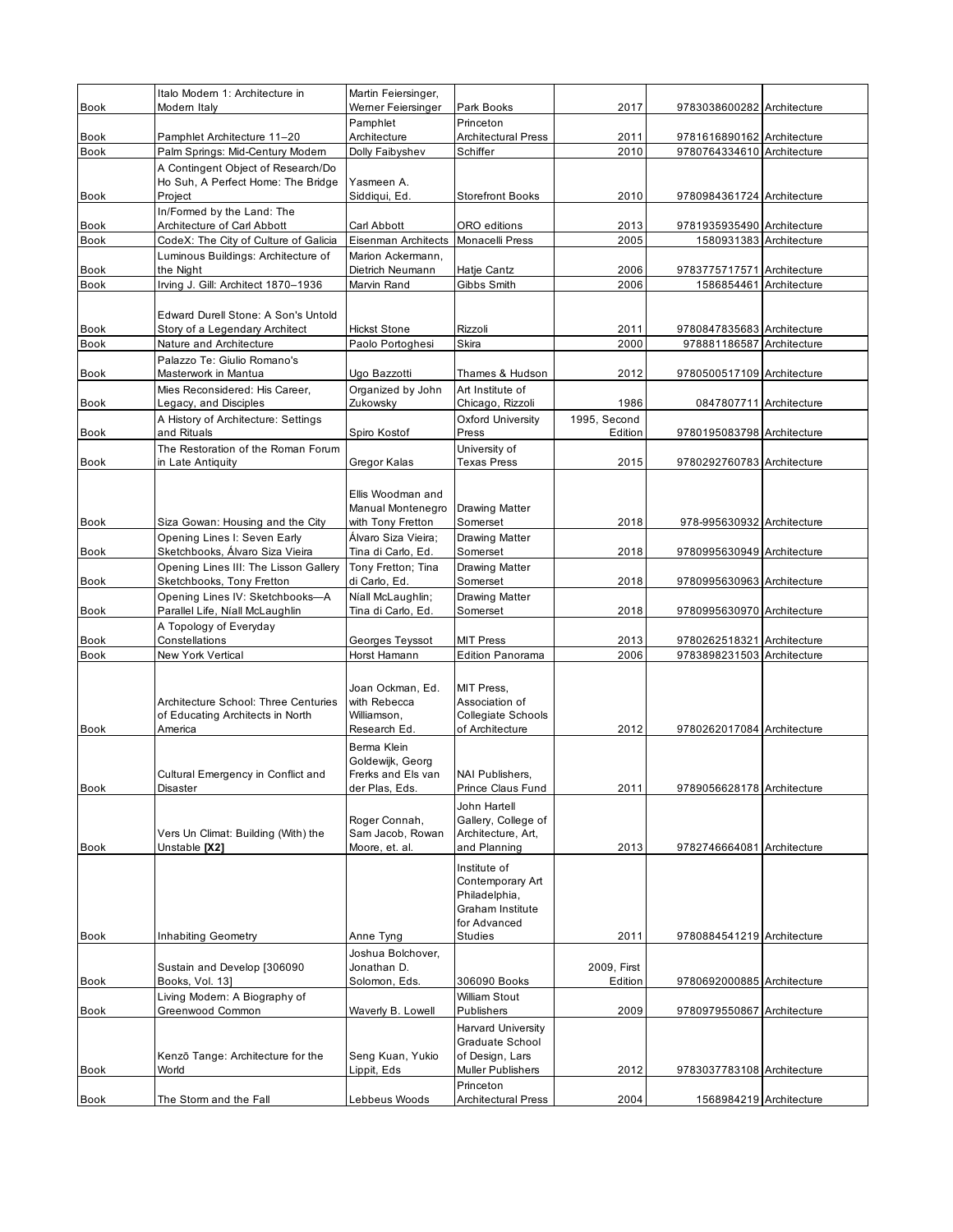|                     | Italo Modern 1: Architecture in                              | Martin Feiersinger,                    |                                           |                         |                                                       |  |
|---------------------|--------------------------------------------------------------|----------------------------------------|-------------------------------------------|-------------------------|-------------------------------------------------------|--|
| <b>Book</b>         | Modern Italy                                                 | Werner Feiersinger                     | Park Books                                | 2017                    | 9783038600282 Architecture                            |  |
| <b>Book</b>         | Pamphlet Architecture 11-20                                  | Pamphlet<br>Architecture               | Princeton<br><b>Architectural Press</b>   | 2011                    | 9781616890162 Architecture                            |  |
| Book                | Palm Springs: Mid-Century Modern                             | Dolly Faibyshev                        | Schiffer                                  | 2010                    | 9780764334610 Architecture                            |  |
|                     | A Contingent Object of Research/Do                           |                                        |                                           |                         |                                                       |  |
|                     | Ho Suh, A Perfect Home: The Bridge                           | Yasmeen A.<br>Siddiqui, Ed.            | <b>Storefront Books</b>                   |                         |                                                       |  |
| <b>Book</b>         | Project<br>In/Formed by the Land: The                        |                                        |                                           | 2010                    | 9780984361724 Architecture                            |  |
| <b>Book</b>         | Architecture of Carl Abbott                                  | Carl Abbott                            | ORO editions                              | 2013                    | 9781935935490 Architecture                            |  |
| Book                | CodeX: The City of Culture of Galicia                        | Eisenman Architects                    | <b>Monacelli Press</b>                    | 2005                    | 1580931383 Architecture                               |  |
|                     | Luminous Buildings: Architecture of                          | Marion Ackermann,                      |                                           |                         |                                                       |  |
| Book<br><b>Book</b> | the Night<br>Irving J. Gill: Architect 1870-1936             | Dietrich Neumann<br>Marvin Rand        | Hatje Cantz<br>Gibbs Smith                | 2006<br>2006            | 9783775717571 Architecture<br>1586854461 Architecture |  |
|                     |                                                              |                                        |                                           |                         |                                                       |  |
|                     | Edward Durell Stone: A Son's Untold                          |                                        |                                           |                         |                                                       |  |
| <b>Book</b>         | Story of a Legendary Architect                               | <b>Hickst Stone</b>                    | Rizzoli                                   | 2011                    | 9780847835683 Architecture                            |  |
| <b>Book</b>         | Nature and Architecture<br>Palazzo Te: Giulio Romano's       | Paolo Portoghesi                       | Skira                                     | 2000                    | 978881186587 Architecture                             |  |
| <b>Book</b>         | Masterwork in Mantua                                         | Ugo Bazzotti                           | Thames & Hudson                           | 2012                    | 9780500517109 Architecture                            |  |
|                     | Mies Reconsidered: His Career,                               | Organized by John                      | Art Institute of                          |                         |                                                       |  |
| <b>Book</b>         | Legacy, and Disciples                                        | Zukowsky                               | Chicago, Rizzoli                          | 1986                    | 0847807711 Architecture                               |  |
| Book                | A History of Architecture: Settings<br>and Rituals           | Spiro Kostof                           | Oxford University<br>Press                | 1995. Second<br>Edition | 9780195083798 Architecture                            |  |
|                     | The Restoration of the Roman Forum                           |                                        | University of                             |                         |                                                       |  |
| Book                | in Late Antiquity                                            | Gregor Kalas                           | <b>Texas Press</b>                        | 2015                    | 9780292760783 Architecture                            |  |
|                     |                                                              |                                        |                                           |                         |                                                       |  |
|                     |                                                              | Ellis Woodman and                      |                                           |                         |                                                       |  |
| <b>Book</b>         | Siza Gowan: Housing and the City                             | Manual Montenegro<br>with Tony Fretton | <b>Drawing Matter</b><br>Somerset         | 2018                    | 978-995630932 Architecture                            |  |
|                     | Opening Lines I: Seven Early                                 | Álvaro Siza Vieira;                    | Drawing Matter                            |                         |                                                       |  |
| <b>Book</b>         | Sketchbooks, Álvaro Siza Vieira                              | Tina di Carlo, Ed.                     | Somerset                                  | 2018                    | 9780995630949 Architecture                            |  |
|                     | Opening Lines III: The Lisson Gallery                        | Tony Fretton; Tina                     | Drawing Matter                            |                         |                                                       |  |
| Book                | Sketchbooks, Tony Fretton<br>Opening Lines IV: Sketchbooks-A | di Carlo, Ed.<br>Níall McLaughlin;     | Somerset<br>Drawing Matter                | 2018                    | 9780995630963 Architecture                            |  |
| Book                | Parallel Life, Níall McLaughlin                              | Tina di Carlo, Ed.                     | Somerset                                  | 2018                    | 9780995630970 Architecture                            |  |
|                     | A Topology of Everyday                                       |                                        |                                           |                         |                                                       |  |
| Book                | Constellations                                               | Georges Teyssot                        | <b>MIT Press</b>                          | 2013                    | 9780262518321 Architecture                            |  |
| <b>Book</b>         | New York Vertical                                            | Horst Hamann                           | <b>Edition Panorama</b>                   | 2006                    | 9783898231503 Architecture                            |  |
|                     |                                                              | Joan Ockman, Ed.                       | MIT Press,                                |                         |                                                       |  |
|                     | Architecture School: Three Centuries                         | with Rebecca                           | Association of                            |                         |                                                       |  |
|                     | of Educating Architects in North                             | Williamson.                            | Collegiate Schools                        |                         |                                                       |  |
| <b>Book</b>         | America                                                      | Research Ed.                           | of Architecture                           | 2012                    | 9780262017084 Architecture                            |  |
|                     |                                                              | Berma Klein<br>Goldewijk, Georg        |                                           |                         |                                                       |  |
|                     | Cultural Emergency in Conflict and                           | Frerks and Els van                     | <b>NAI Publishers,</b>                    |                         |                                                       |  |
| Book                | Disaster                                                     | der Plas, Eds.                         | Prince Claus Fund                         | 2011                    | 9789056628178 Architecture                            |  |
|                     |                                                              |                                        | John Hartell                              |                         |                                                       |  |
|                     | Vers Un Climat: Building (With) the                          | Roger Connah,<br>Sam Jacob, Rowan      | Gallery, College of<br>Architecture, Art, |                         |                                                       |  |
| Book                | Unstable [X2]                                                | Moore, et. al.                         | and Planning                              | 2013                    | 9782746664081 Architecture                            |  |
|                     |                                                              |                                        | Institute of                              |                         |                                                       |  |
|                     |                                                              |                                        | Contemporary Art                          |                         |                                                       |  |
|                     |                                                              |                                        | Philadelphia,<br>Graham Institute         |                         |                                                       |  |
|                     |                                                              |                                        | for Advanced                              |                         |                                                       |  |
| Book                | <b>Inhabiting Geometry</b>                                   | Anne Tyng                              | Studies                                   | 2011                    | 9780884541219 Architecture                            |  |
|                     |                                                              | Joshua Bolchover,                      |                                           |                         |                                                       |  |
| Book                | Sustain and Develop [306090<br>Books, Vol. 13]               | Jonathan D.<br>Solomon, Eds.           | 306090 Books                              | 2009, First<br>Edition  | 9780692000885 Architecture                            |  |
|                     | Living Modern: A Biography of                                |                                        | <b>William Stout</b>                      |                         |                                                       |  |
| Book                | Greenwood Common                                             | Waverly B. Lowell                      | Publishers                                | 2009                    | 9780979550867 Architecture                            |  |
|                     |                                                              |                                        | <b>Harvard University</b>                 |                         |                                                       |  |
|                     | Kenzō Tange: Architecture for the                            | Seng Kuan, Yukio                       | Graduate School<br>of Design, Lars        |                         |                                                       |  |
| Book                | World                                                        | Lippit, Eds                            | Muller Publishers                         | 2012                    | 9783037783108 Architecture                            |  |
|                     |                                                              |                                        | Princeton                                 |                         |                                                       |  |
| Book                | The Storm and the Fall                                       | Lebbeus Woods                          | <b>Architectural Press</b>                | 2004                    | 1568984219 Architecture                               |  |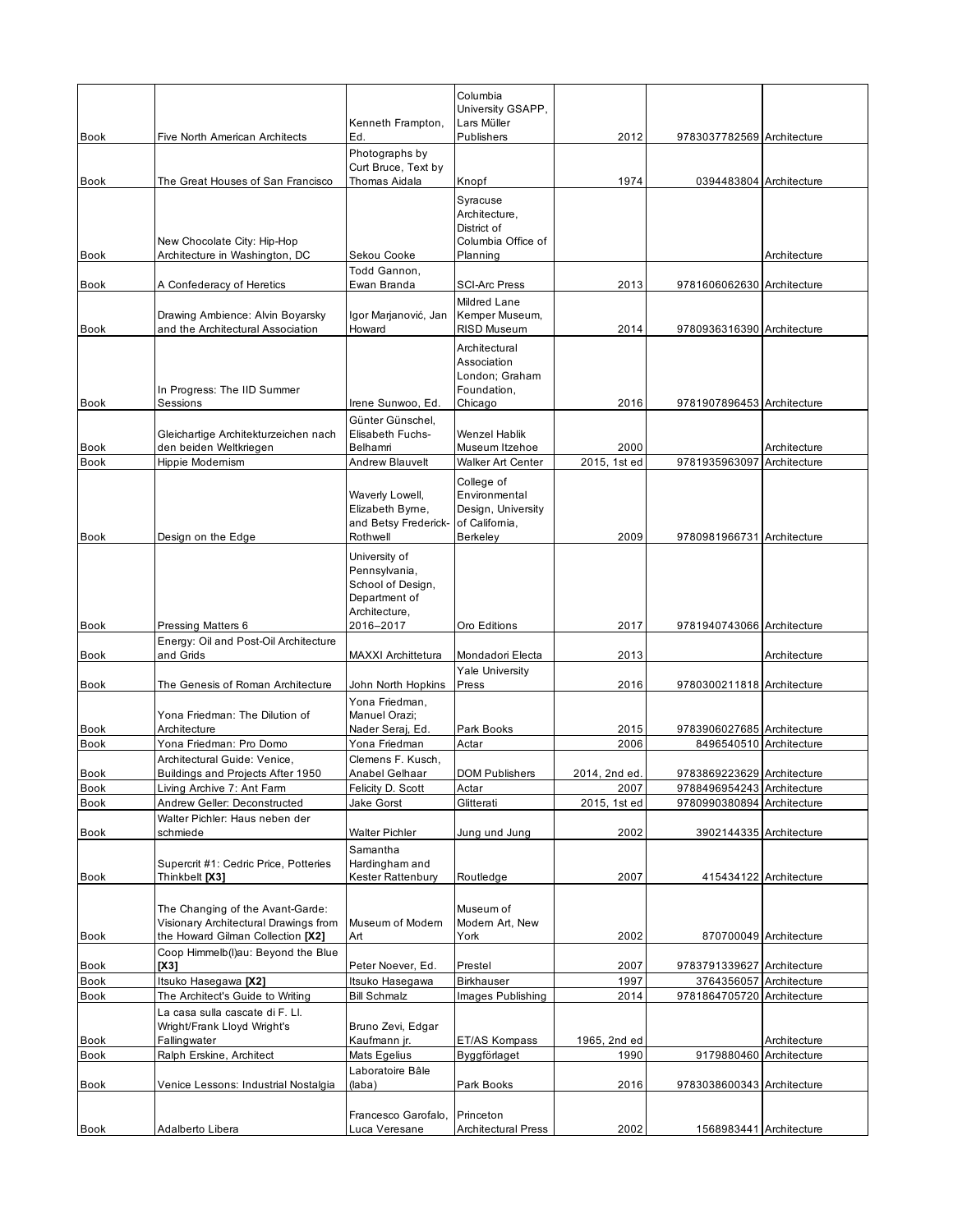|                            |                                                                                                                | Kenneth Frampton,                                                                     | Columbia<br>University GSAPP,<br>Lars Müller                             |                      |                                                       |                              |
|----------------------------|----------------------------------------------------------------------------------------------------------------|---------------------------------------------------------------------------------------|--------------------------------------------------------------------------|----------------------|-------------------------------------------------------|------------------------------|
| <b>Book</b>                | Five North American Architects                                                                                 | Ed.<br>Photographs by                                                                 | Publishers                                                               | 2012                 | 9783037782569 Architecture                            |                              |
|                            |                                                                                                                | Curt Bruce, Text by                                                                   |                                                                          |                      |                                                       |                              |
| Book                       | The Great Houses of San Francisco<br>New Chocolate City: Hip-Hop                                               | Thomas Aidala                                                                         | Knopf<br>Syracuse<br>Architecture,<br>District of<br>Columbia Office of  | 1974                 | 0394483804 Architecture                               |                              |
| Book                       | Architecture in Washington, DC                                                                                 | Sekou Cooke<br>Todd Gannon,                                                           | Planning                                                                 |                      |                                                       | Architecture                 |
| <b>Book</b>                | A Confederacy of Heretics                                                                                      | Ewan Branda                                                                           | <b>SCI-Arc Press</b><br>Mildred Lane                                     | 2013                 | 9781606062630 Architecture                            |                              |
| <b>Book</b>                | Drawing Ambience: Alvin Boyarsky<br>and the Architectural Association                                          | Igor Marjanović, Jan<br>Howard                                                        | Kemper Museum,<br><b>RISD Museum</b>                                     | 2014                 | 9780936316390 Architecture                            |                              |
| <b>Book</b>                | In Progress: The IID Summer<br>Sessions                                                                        | Irene Sunwoo, Ed.                                                                     | Architectural<br>Association<br>London; Graham<br>Foundation,<br>Chicago | 2016                 | 9781907896453 Architecture                            |                              |
|                            | Gleichartige Architekturzeichen nach                                                                           | Günter Günschel,<br>Elisabeth Fuchs-                                                  | <b>Wenzel Hablik</b>                                                     |                      |                                                       |                              |
| Book<br><b>Book</b>        | den beiden Weltkriegen<br>Hippie Modernism                                                                     | Belhamri<br><b>Andrew Blauvelt</b>                                                    | Museum Itzehoe<br><b>Walker Art Center</b>                               | 2000<br>2015, 1st ed | 9781935963097                                         | Architecture<br>Architecture |
|                            |                                                                                                                | Waverly Lowell,<br>Elizabeth Byrne,<br>and Betsy Frederick-                           | College of<br>Environmental<br>Design, University<br>of California,      |                      |                                                       |                              |
| <b>Book</b>                | Design on the Edge                                                                                             | Rothwell                                                                              | Berkeley                                                                 | 2009                 | 9780981966731 Architecture                            |                              |
|                            |                                                                                                                | University of<br>Pennsylvania,<br>School of Design,<br>Department of<br>Architecture, |                                                                          |                      |                                                       |                              |
| Book                       | Pressing Matters 6<br>Energy: Oil and Post-Oil Architecture                                                    | 2016-2017                                                                             | Oro Editions                                                             | 2017                 | 9781940743066 Architecture                            |                              |
| <b>Book</b>                | and Grids                                                                                                      | <b>MAXXI Archittetura</b>                                                             | Mondadori Electa                                                         | 2013                 |                                                       | Architecture                 |
| Book                       | The Genesis of Roman Architecture                                                                              | John North Hopkins                                                                    | <b>Yale University</b><br>Press                                          | 2016                 | 9780300211818 Architecture                            |                              |
|                            | Yona Friedman: The Dilution of                                                                                 | Yona Friedman,<br>Manuel Orazi;                                                       |                                                                          |                      |                                                       |                              |
| <b>Book</b><br><b>Book</b> | Architecture<br>Yona Friedman: Pro Domo                                                                        | Nader Seraj, Ed.<br>Yona Friedman                                                     | Park Books<br>Actar                                                      | 2015<br>2006         | 9783906027685 Architecture<br>8496540510 Architecture |                              |
|                            | Architectural Guide: Venice.                                                                                   | Clemens F. Kusch,                                                                     |                                                                          |                      |                                                       |                              |
| Book                       | Buildings and Projects After 1950                                                                              | Anabel Gelhaar                                                                        | <b>DOM Publishers</b>                                                    | 2014, 2nd ed.        | 9783869223629 Architecture                            |                              |
| Book                       | Living Archive 7: Ant Farm                                                                                     | Felicity D. Scott                                                                     | Actar                                                                    | 2007                 | 9788496954243 Architecture                            |                              |
| Book<br>Book               | Andrew Geller: Deconstructed<br>Walter Pichler: Haus neben der<br>schmiede                                     | Jake Gorst<br>Walter Pichler                                                          | Glitterati<br>Jung und Jung                                              | 2015, 1st ed<br>2002 | 9780990380894 Architecture<br>3902144335 Architecture |                              |
| Book                       | Supercrit #1: Cedric Price, Potteries<br>Thinkbelt [X3]                                                        | Samantha<br>Hardingham and<br>Kester Rattenbury                                       | Routledge                                                                | 2007                 |                                                       | 415434122 Architecture       |
| Book                       | The Changing of the Avant-Garde:<br>Visionary Architectural Drawings from<br>the Howard Gilman Collection [X2] | Museum of Modern<br>Art                                                               | Museum of<br>Modern Art, New<br>York                                     | 2002                 |                                                       | 870700049 Architecture       |
| Book                       | Coop Himmelb(I)au: Beyond the Blue<br>IX31                                                                     | Peter Noever, Ed.                                                                     | Prestel                                                                  | 2007                 | 9783791339627 Architecture                            |                              |
| Book                       | Itsuko Hasegawa [X2]                                                                                           | Itsuko Hasegawa                                                                       | <b>Birkhauser</b>                                                        | 1997                 | 3764356057 Architecture                               |                              |
| Book                       | The Architect's Guide to Writing                                                                               | <b>Bill Schmalz</b>                                                                   | Images Publishing                                                        | 2014                 | 9781864705720 Architecture                            |                              |
|                            | La casa sulla cascate di F. Ll.<br>Wright/Frank Lloyd Wright's                                                 | Bruno Zevi, Edgar                                                                     |                                                                          |                      |                                                       |                              |
| Book                       | Fallingwater                                                                                                   | Kaufmann jr.                                                                          | ET/AS Kompass                                                            | 1965, 2nd ed         |                                                       | Architecture                 |
| Book                       | Ralph Erskine, Architect                                                                                       | Mats Egelius<br>Laboratoire Bâle                                                      | Byggförlaget                                                             | 1990                 | 9179880460                                            | Architecture                 |
| Book                       | Venice Lessons: Industrial Nostalgia                                                                           | (laba)                                                                                | Park Books                                                               | 2016                 | 9783038600343 Architecture                            |                              |
| Book                       | Adalberto Libera                                                                                               | Francesco Garofalo,<br>Luca Veresane                                                  | Princeton<br><b>Architectural Press</b>                                  | 2002                 | 1568983441 Architecture                               |                              |
|                            |                                                                                                                |                                                                                       |                                                                          |                      |                                                       |                              |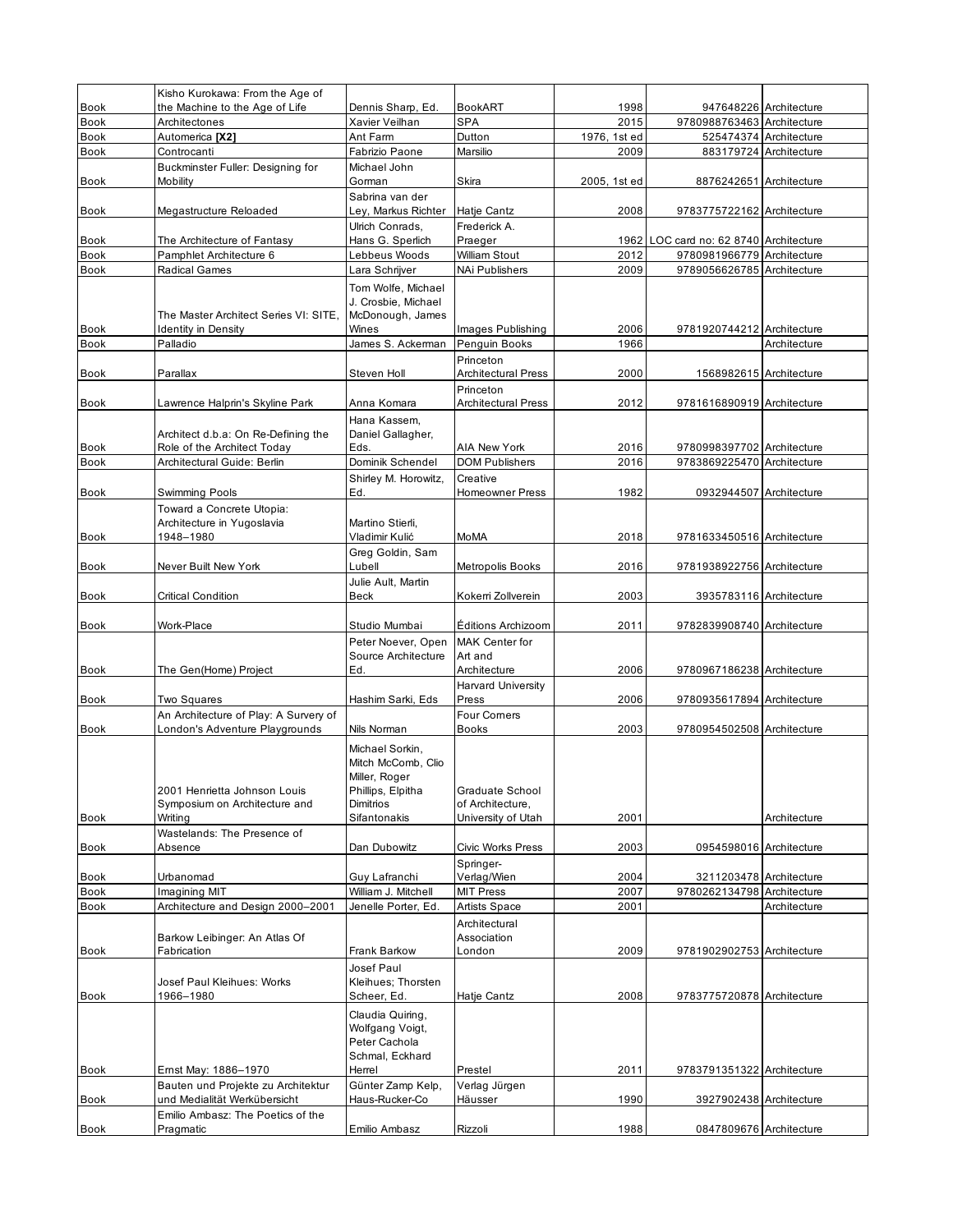|                     | Kisho Kurokawa: From the Age of                               |                                                                                          |                                         |                      |                                                       |                        |
|---------------------|---------------------------------------------------------------|------------------------------------------------------------------------------------------|-----------------------------------------|----------------------|-------------------------------------------------------|------------------------|
| <b>Book</b>         | the Machine to the Age of Life                                | Dennis Sharp, Ed.                                                                        | <b>BookART</b>                          | 1998                 |                                                       | 947648226 Architecture |
| Book<br><b>Book</b> | Architectones<br>Automerica [X2]                              | Xavier Veilhan<br>Ant Farm                                                               | <b>SPA</b><br>Dutton                    | 2015<br>1976, 1st ed | 9780988763463 Architecture                            | 525474374 Architecture |
| Book                | Controcanti                                                   | Fabrizio Paone                                                                           | Marsilio                                | 2009                 |                                                       | 883179724 Architecture |
|                     | Buckminster Fuller: Designing for                             | Michael John                                                                             |                                         |                      |                                                       |                        |
| Book                | Mobility                                                      | Gorman                                                                                   | Skira                                   | 2005, 1st ed         | 8876242651 Architecture                               |                        |
| <b>Book</b>         | Megastructure Reloaded                                        | Sabrina van der<br>Ley, Markus Richter                                                   | Hatje Cantz                             | 2008                 | 9783775722162 Architecture                            |                        |
|                     |                                                               | Ulrich Conrads,                                                                          | Frederick A.                            |                      |                                                       |                        |
| <b>Book</b>         | The Architecture of Fantasy                                   | Hans G. Sperlich                                                                         | Praeger                                 |                      | 1962 LOC card no: 62 8740 Architecture                |                        |
| <b>Book</b>         | Pamphlet Architecture 6                                       | Lebbeus Woods                                                                            | William Stout                           | 2012                 | 9780981966779 Architecture                            |                        |
| <b>Book</b>         | Radical Games                                                 | Lara Schrijver                                                                           | NAi Publishers                          | 2009                 | 9789056626785 Architecture                            |                        |
|                     | The Master Architect Series VI: SITE,                         | Tom Wolfe, Michael<br>J. Crosbie, Michael<br>McDonough, James                            |                                         |                      |                                                       |                        |
| Book                | Identity in Density                                           | Wines                                                                                    | Images Publishing                       | 2006                 | 9781920744212 Architecture                            |                        |
| <b>Book</b>         | Palladio                                                      | James S. Ackerman                                                                        | Penguin Books                           | 1966                 |                                                       | Architecture           |
| Book                | Parallax                                                      | Steven Holl                                                                              | Princeton<br><b>Architectural Press</b> | 2000                 | 1568982615 Architecture                               |                        |
|                     |                                                               |                                                                                          | Princeton                               |                      |                                                       |                        |
| <b>Book</b>         | Lawrence Halprin's Skyline Park                               | Anna Komara                                                                              | <b>Architectural Press</b>              | 2012                 | 9781616890919 Architecture                            |                        |
|                     | Architect d.b.a: On Re-Defining the                           | Hana Kassem,<br>Daniel Gallagher,                                                        |                                         |                      |                                                       |                        |
| <b>Book</b>         | Role of the Architect Today                                   | Eds.                                                                                     | <b>AIA New York</b>                     | 2016                 | 9780998397702 Architecture                            |                        |
| <b>Book</b>         | Architectural Guide: Berlin                                   | Dominik Schendel                                                                         | <b>DOM Publishers</b>                   | 2016                 | 9783869225470 Architecture                            |                        |
| <b>Book</b>         |                                                               | Shirley M. Horowitz,<br>Ed.                                                              | Creative<br><b>Homeowner Press</b>      | 1982                 | 0932944507 Architecture                               |                        |
|                     | Swimming Pools<br>Toward a Concrete Utopia:                   |                                                                                          |                                         |                      |                                                       |                        |
|                     | Architecture in Yugoslavia                                    | Martino Stierli.                                                                         |                                         |                      |                                                       |                        |
| <b>Book</b>         | 1948-1980                                                     | Vladimir Kulić                                                                           | <b>MoMA</b>                             | 2018                 | 9781633450516 Architecture                            |                        |
|                     |                                                               | Greg Goldin, Sam                                                                         |                                         |                      |                                                       |                        |
| Book                | Never Built New York                                          | Lubell                                                                                   | Metropolis Books                        | 2016                 | 9781938922756 Architecture                            |                        |
|                     |                                                               | Julie Ault, Martin                                                                       |                                         |                      |                                                       |                        |
| Book                | Critical Condition                                            | Beck                                                                                     | Kokerri Zollverein                      | 2003                 | 3935783116 Architecture                               |                        |
| <b>Book</b>         | Work-Place                                                    | Studio Mumbai                                                                            | Éditions Archizoom                      | 2011                 | 9782839908740 Architecture                            |                        |
|                     |                                                               | Peter Noever, Open                                                                       | <b>MAK Center for</b>                   |                      |                                                       |                        |
|                     |                                                               | Source Architecture                                                                      | Art and                                 |                      |                                                       |                        |
| Book                | The Gen(Home) Project                                         | Ed.                                                                                      | Architecture                            | 2006                 | 9780967186238 Architecture                            |                        |
|                     |                                                               |                                                                                          | <b>Harvard University</b>               |                      |                                                       |                        |
| <b>Book</b>         | Two Squares<br>An Architecture of Play: A Survery of          | Hashim Sarki, Eds                                                                        | Press<br><b>Four Corners</b>            | 2006                 | 9780935617894 Architecture                            |                        |
| <b>Book</b>         | London's Adventure Playgrounds                                | Nils Norman                                                                              | Books                                   | 2003                 | 9780954502508 Architecture                            |                        |
|                     | 2001 Henrietta Johnson Louis<br>Symposium on Architecture and | Michael Sorkin,<br>Mitch McComb, Clio<br>Miller, Roger<br>Phillips, Elpitha<br>Dimitrios | Graduate School<br>of Architecture,     |                      |                                                       |                        |
| Book                | Writing                                                       | Sifantonakis                                                                             | University of Utah                      | 2001                 |                                                       | Architecture           |
| Book                | Wastelands: The Presence of<br>Absence                        | Dan Dubowitz                                                                             | Civic Works Press                       | 2003                 | 0954598016 Architecture                               |                        |
|                     |                                                               |                                                                                          | Springer-                               |                      |                                                       |                        |
| Book<br>Book        | Urbanomad<br>Imagining MIT                                    | Guy Lafranchi<br>William J. Mitchell                                                     | Verlag/Wien<br><b>MIT Press</b>         | 2004<br>2007         | 3211203478 Architecture<br>9780262134798 Architecture |                        |
| Book                | Architecture and Design 2000-2001                             | Jenelle Porter, Ed.                                                                      | <b>Artists Space</b>                    | 2001                 |                                                       | Architecture           |
|                     |                                                               |                                                                                          | Architectural                           |                      |                                                       |                        |
|                     | Barkow Leibinger: An Atlas Of                                 |                                                                                          | Association                             |                      |                                                       |                        |
| Book                | Fabrication                                                   | Frank Barkow                                                                             | London                                  | 2009                 | 9781902902753 Architecture                            |                        |
|                     |                                                               | Josef Paul                                                                               |                                         |                      |                                                       |                        |
| Book                | Josef Paul Kleihues: Works<br>1966-1980                       | Kleihues; Thorsten<br>Scheer, Ed.                                                        | Hatje Cantz                             | 2008                 | 9783775720878 Architecture                            |                        |
| Book                | Emst May: 1886-1970                                           | Claudia Quiring,<br>Wolfgang Voigt,<br>Peter Cachola<br>Schmal, Eckhard<br>Herrel        | Prestel                                 | 2011                 | 9783791351322 Architecture                            |                        |
|                     | Bauten und Projekte zu Architektur                            | Günter Zamp Kelp,                                                                        | Verlag Jürgen                           |                      |                                                       |                        |
| Book                | und Medialität Werkübersicht                                  | Haus-Rucker-Co                                                                           | Häusser                                 | 1990                 | 3927902438 Architecture                               |                        |
| <b>Book</b>         | Emilio Ambasz: The Poetics of the<br>Pragmatic                | Emilio Ambasz                                                                            | Rizzoli                                 | 1988                 | 0847809676 Architecture                               |                        |
|                     |                                                               |                                                                                          |                                         |                      |                                                       |                        |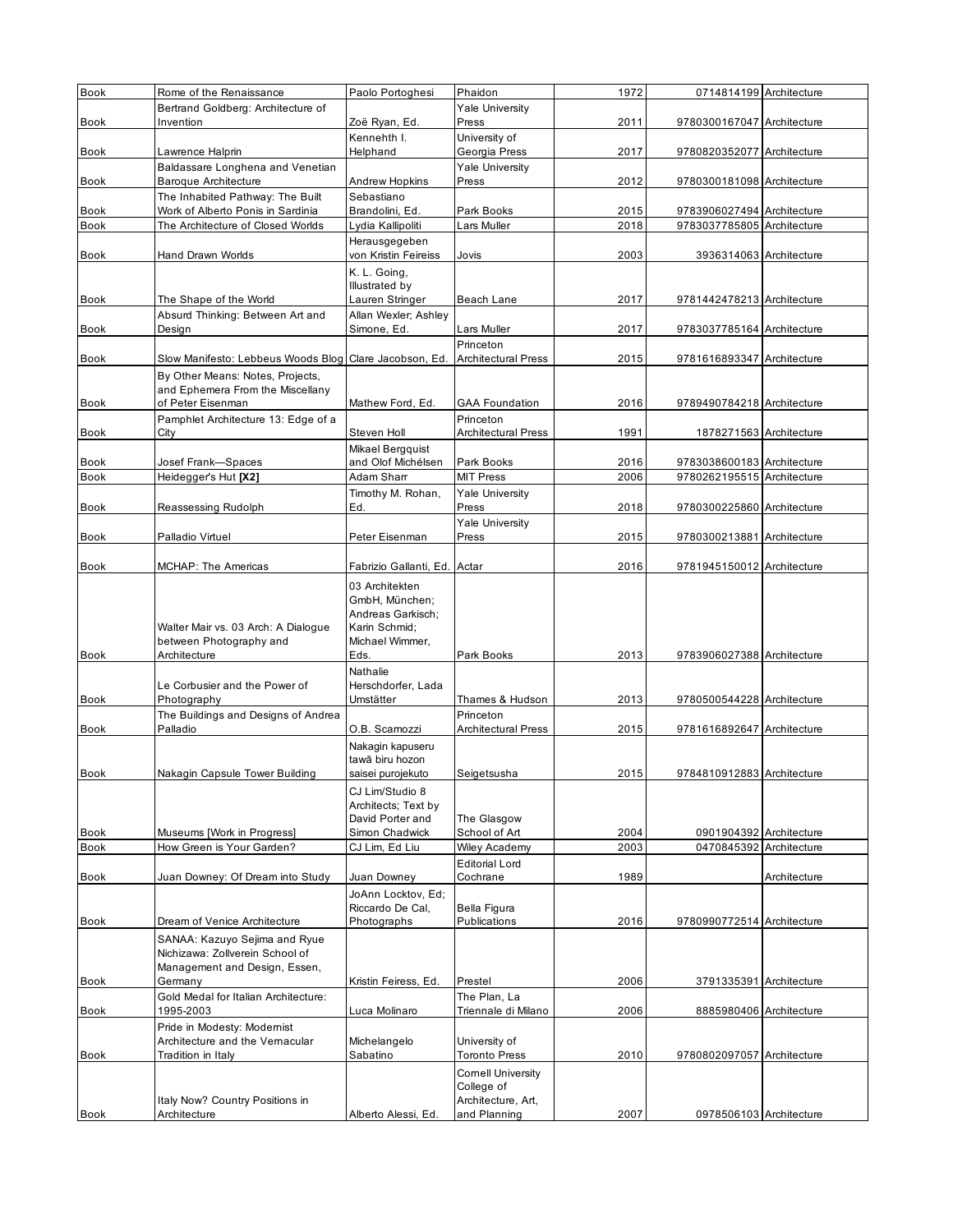| Book                | Rome of the Renaissance                                                | Paolo Portoghesi                     | Phaidon                          | 1972         | 0714814199 Architecture                                  |              |
|---------------------|------------------------------------------------------------------------|--------------------------------------|----------------------------------|--------------|----------------------------------------------------------|--------------|
|                     | Bertrand Goldberg: Architecture of                                     |                                      | <b>Yale University</b>           |              |                                                          |              |
| Book                | Invention                                                              | Zoë Ryan, Ed.                        | Press                            | 2011         | 9780300167047 Architecture                               |              |
|                     |                                                                        | Kennehth I.                          | University of                    |              |                                                          |              |
| Book                | Lawrence Halprin                                                       | Helphand                             | Georgia Press                    | 2017         | 9780820352077 Architecture                               |              |
|                     | Baldassare Longhena and Venetian                                       |                                      | <b>Yale University</b>           |              |                                                          |              |
| Book                | <b>Baroque Architecture</b>                                            | Andrew Hopkins                       | Press                            | 2012         | 9780300181098 Architecture                               |              |
|                     | The Inhabited Pathway: The Built                                       | Sebastiano                           |                                  |              |                                                          |              |
| Book<br><b>Book</b> | Work of Alberto Ponis in Sardinia<br>The Architecture of Closed Worlds | Brandolini, Ed.<br>Lydia Kallipoliti | Park Books<br>Lars Muller        | 2015<br>2018 | 9783906027494 Architecture<br>9783037785805 Architecture |              |
|                     |                                                                        | Herausgegeben                        |                                  |              |                                                          |              |
| Book                | Hand Drawn Worlds                                                      | von Kristin Feireiss                 | Jovis                            | 2003         | 3936314063 Architecture                                  |              |
|                     |                                                                        | K. L. Going,                         |                                  |              |                                                          |              |
|                     |                                                                        | Illustrated by                       |                                  |              |                                                          |              |
| Book                | The Shape of the World                                                 | Lauren Stringer                      | Beach Lane                       | 2017         | 9781442478213 Architecture                               |              |
|                     | Absurd Thinking: Between Art and                                       | Allan Wexler; Ashley                 |                                  |              |                                                          |              |
| Book                | Design                                                                 | Simone, Ed.                          | Lars Muller                      | 2017         | 9783037785164 Architecture                               |              |
|                     |                                                                        |                                      | Princeton                        |              |                                                          |              |
| <b>Book</b>         | Slow Manifesto: Lebbeus Woods Blog                                     | Clare Jacobson, Ed.                  | <b>Architectural Press</b>       | 2015         | 9781616893347 Architecture                               |              |
|                     | By Other Means: Notes, Projects,                                       |                                      |                                  |              |                                                          |              |
| <b>Book</b>         | and Ephemera From the Miscellany<br>of Peter Eisenman                  | Mathew Ford, Ed.                     | <b>GAA Foundation</b>            | 2016         | 9789490784218 Architecture                               |              |
|                     | Pamphlet Architecture 13: Edge of a                                    |                                      | Princeton                        |              |                                                          |              |
| Book                | City                                                                   | Steven Holl                          | <b>Architectural Press</b>       | 1991         | 1878271563 Architecture                                  |              |
|                     |                                                                        | Mikael Bergquist                     |                                  |              |                                                          |              |
| Book                | Josef Frank-Spaces                                                     | and Olof Michélsen                   | Park Books                       | 2016         | 9783038600183 Architecture                               |              |
| <b>Book</b>         | Heidegger's Hut [X2]                                                   | Adam Sharr                           | <b>MIT Press</b>                 | 2006         | 9780262195515 Architecture                               |              |
|                     |                                                                        | Timothy M. Rohan,                    | <b>Yale University</b>           |              |                                                          |              |
| Book                | Reassessing Rudolph                                                    | Ed.                                  | Press                            | 2018         | 9780300225860 Architecture                               |              |
|                     |                                                                        |                                      | <b>Yale University</b>           |              |                                                          |              |
| <b>Book</b>         | Palladio Virtuel                                                       | Peter Eisenman                       | Press                            | 2015         | 9780300213881 Architecture                               |              |
| <b>Book</b>         | MCHAP: The Americas                                                    | Fabrizio Gallanti, Ed.               | Actar                            | 2016         | 9781945150012 Architecture                               |              |
|                     |                                                                        |                                      |                                  |              |                                                          |              |
|                     |                                                                        | 03 Architekten                       |                                  |              |                                                          |              |
|                     |                                                                        | GmbH, München;<br>Andreas Garkisch;  |                                  |              |                                                          |              |
|                     | Walter Mair vs. 03 Arch: A Dialogue                                    | Karin Schmid:                        |                                  |              |                                                          |              |
|                     | between Photography and                                                | Michael Wimmer,                      |                                  |              |                                                          |              |
| <b>Book</b>         | Architecture                                                           | Eds.                                 | Park Books                       | 2013         | 9783906027388 Architecture                               |              |
|                     |                                                                        | Nathalie                             |                                  |              |                                                          |              |
|                     | Le Corbusier and the Power of                                          | Herschdorfer, Lada                   |                                  |              |                                                          |              |
| <b>Book</b>         | Photography                                                            | Umstätter                            | Thames & Hudson                  | 2013         | 9780500544228 Architecture                               |              |
|                     | The Buildings and Designs of Andrea                                    |                                      | Princeton                        |              |                                                          |              |
| <b>Book</b>         | Palladio                                                               | O.B. Scamozzi                        | <b>Architectural Press</b>       | 2015         | 9781616892647 Architecture                               |              |
|                     |                                                                        | Nakagin kapuseru<br>tawā biru hozon  |                                  |              |                                                          |              |
| <b>Book</b>         | Nakagin Capsule Tower Building                                         | saisei purojekuto                    | Seigetsusha                      | 2015         | 9784810912883 Architecture                               |              |
|                     |                                                                        | CJ Lim/Studio 8                      |                                  |              |                                                          |              |
|                     |                                                                        | Architects; Text by                  |                                  |              |                                                          |              |
|                     |                                                                        | David Porter and                     | The Glasgow                      |              |                                                          |              |
| <b>Book</b>         | Museums [Work in Progress]                                             | Simon Chadwick                       | School of Art                    | 2004         | 0901904392 Architecture                                  |              |
| Book                | How Green is Your Garden?                                              | CJ Lim, Ed Liu                       | <b>Wiley Academy</b>             | 2003         | 0470845392 Architecture                                  |              |
|                     |                                                                        |                                      | <b>Editorial Lord</b>            |              |                                                          |              |
| Book                | Juan Downey: Of Dream into Study                                       | Juan Downey                          | Cochrane                         | 1989         |                                                          | Architecture |
|                     |                                                                        | JoAnn Locktov, Ed;                   |                                  |              |                                                          |              |
| Book                | Dream of Venice Architecture                                           | Riccardo De Cal,<br>Photographs      | Bella Figura<br>Publications     | 2016         | 9780990772514 Architecture                               |              |
|                     |                                                                        |                                      |                                  |              |                                                          |              |
|                     | SANAA: Kazuyo Sejima and Ryue<br>Nichizawa: Zollverein School of       |                                      |                                  |              |                                                          |              |
|                     | Management and Design, Essen,                                          |                                      |                                  |              |                                                          |              |
| Book                | Germany                                                                | Kristin Feiress, Ed.                 | Prestel                          | 2006         | 3791335391 Architecture                                  |              |
|                     | Gold Medal for Italian Architecture:                                   |                                      | The Plan, La                     |              |                                                          |              |
| Book                | 1995-2003                                                              | Luca Molinaro                        | Triennale di Milano              | 2006         | 8885980406 Architecture                                  |              |
|                     | Pride in Modesty: Modernist                                            |                                      |                                  |              |                                                          |              |
|                     | Architecture and the Vernacular                                        | Michelangelo                         | University of                    |              |                                                          |              |
| Book                | Tradition in Italy                                                     | Sabatino                             | <b>Toronto Press</b>             | 2010         | 9780802097057 Architecture                               |              |
|                     |                                                                        |                                      | <b>Cornell University</b>        |              |                                                          |              |
|                     | Italy Now? Country Positions in                                        |                                      | College of<br>Architecture, Art, |              |                                                          |              |
| Book                | Architecture                                                           | Alberto Alessi, Ed.                  | and Planning                     | 2007         | 0978506103 Architecture                                  |              |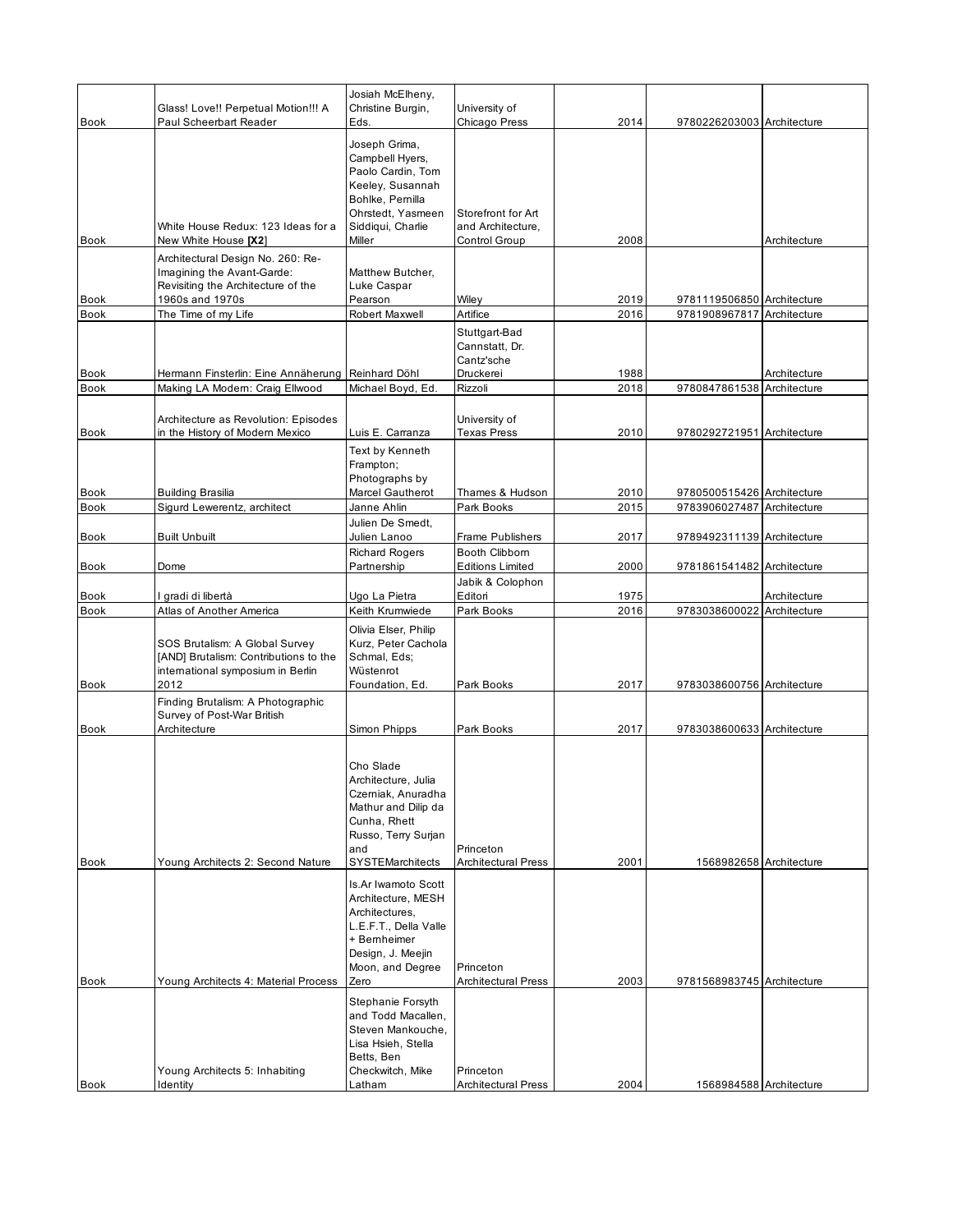|             |                                                   | Josiah McElheny,                     |                                 |      |                            |              |
|-------------|---------------------------------------------------|--------------------------------------|---------------------------------|------|----------------------------|--------------|
|             | Glass! Love!! Perpetual Motion!!! A               | Christine Burgin,                    | University of                   |      |                            |              |
| Book        | Paul Scheerbart Reader                            | Eds.                                 | Chicago Press                   | 2014 | 9780226203003 Architecture |              |
|             |                                                   | Joseph Grima,                        |                                 |      |                            |              |
|             |                                                   | Campbell Hyers,                      |                                 |      |                            |              |
|             |                                                   | Paolo Cardin, Tom                    |                                 |      |                            |              |
|             |                                                   | Keeley, Susannah                     |                                 |      |                            |              |
|             |                                                   | Bohlke, Pemilla                      |                                 |      |                            |              |
|             |                                                   | Ohrstedt, Yasmeen                    | Storefront for Art              |      |                            |              |
|             | White House Redux: 123 Ideas for a                | Siddiqui, Charlie                    | and Architecture,               |      |                            |              |
| Book        | New White House [X2]                              | Miller                               | Control Group                   | 2008 |                            | Architecture |
|             | Architectural Design No. 260: Re-                 |                                      |                                 |      |                            |              |
|             | Imagining the Avant-Garde:                        | Matthew Butcher,                     |                                 |      |                            |              |
|             | Revisiting the Architecture of the                | Luke Caspar                          |                                 |      |                            |              |
| <b>Book</b> | 1960s and 1970s                                   | Pearson                              | Wiley                           | 2019 | 9781119506850 Architecture |              |
| <b>Book</b> | The Time of my Life                               | Robert Maxwell                       | Artifice                        | 2016 | 9781908967817 Architecture |              |
|             |                                                   |                                      |                                 |      |                            |              |
|             |                                                   |                                      | Stuttgart-Bad<br>Cannstatt, Dr. |      |                            |              |
|             |                                                   |                                      |                                 |      |                            |              |
|             |                                                   |                                      | Cantz'sche                      |      |                            |              |
| <b>Book</b> | Hermann Finsterlin: Eine Annäherung Reinhard Döhl |                                      | Druckerei                       | 1988 |                            | Architecture |
| <b>Book</b> | Making LA Modern: Craig Ellwood                   | Michael Boyd, Ed.                    | Rizzoli                         | 2018 | 9780847861538 Architecture |              |
|             |                                                   |                                      |                                 |      |                            |              |
|             | Architecture as Revolution: Episodes              |                                      | University of                   |      |                            |              |
| Book        | in the History of Modern Mexico                   | Luis E. Carranza                     | Texas Press                     | 2010 | 9780292721951 Architecture |              |
|             |                                                   | Text by Kenneth                      |                                 |      |                            |              |
|             |                                                   | Frampton;                            |                                 |      |                            |              |
|             |                                                   | Photographs by                       |                                 |      |                            |              |
| Book        | <b>Building Brasilia</b>                          | Marcel Gautherot                     | Thames & Hudson                 | 2010 | 9780500515426 Architecture |              |
| <b>Book</b> | Sigurd Lewerentz, architect                       | Janne Ahlin                          | Park Books                      | 2015 | 9783906027487 Architecture |              |
|             |                                                   | Julien De Smedt.                     |                                 |      |                            |              |
| Book        | <b>Built Unbuilt</b>                              | Julien Lanoo                         | <b>Frame Publishers</b>         | 2017 | 9789492311139 Architecture |              |
|             |                                                   |                                      | Booth Clibborn                  |      |                            |              |
| <b>Book</b> | Dome                                              | <b>Richard Rogers</b><br>Partnership | <b>Editions Limited</b>         | 2000 | 9781861541482 Architecture |              |
|             |                                                   |                                      |                                 |      |                            |              |
|             |                                                   |                                      | Jabik & Colophon                |      |                            |              |
| Book        | l gradi di libertà                                | Ugo La Pietra                        | Editori                         | 1975 |                            | Architecture |
| <b>Book</b> | Atlas of Another America                          | Keith Krumwiede                      | Park Books                      | 2016 | 9783038600022 Architecture |              |
|             |                                                   | Olivia Elser, Philip                 |                                 |      |                            |              |
|             | SOS Brutalism: A Global Survey                    | Kurz, Peter Cachola                  |                                 |      |                            |              |
|             | [AND] Brutalism: Contributions to the             | Schmal, Eds;                         |                                 |      |                            |              |
|             | international symposium in Berlin                 | Wüstenrot                            |                                 |      |                            |              |
| Book        | 2012                                              | Foundation, Ed.                      | Park Books                      | 2017 | 9783038600756 Architecture |              |
|             | Finding Brutalism: A Photographic                 |                                      |                                 |      |                            |              |
|             | Survey of Post-War British                        |                                      |                                 |      |                            |              |
| <b>Book</b> | Architecture                                      | Simon Phipps                         | Park Books                      | 2017 | 9783038600633 Architecture |              |
|             |                                                   |                                      |                                 |      |                            |              |
|             |                                                   |                                      |                                 |      |                            |              |
|             |                                                   | Cho Slade                            |                                 |      |                            |              |
|             |                                                   | Architecture, Julia                  |                                 |      |                            |              |
|             |                                                   | Czemiak, Anuradha                    |                                 |      |                            |              |
|             |                                                   | Mathur and Dilip da                  |                                 |      |                            |              |
|             |                                                   | Cunha, Rhett                         |                                 |      |                            |              |
|             |                                                   | Russo, Terry Surjan                  |                                 |      |                            |              |
|             |                                                   | and                                  | Princeton                       |      |                            |              |
| Book        | Young Architects 2: Second Nature                 | SYSTEMarchitects                     | <b>Architectural Press</b>      | 2001 | 1568982658 Architecture    |              |
|             |                                                   | Is.Ar Iwamoto Scott                  |                                 |      |                            |              |
|             |                                                   | Architecture, MESH                   |                                 |      |                            |              |
|             |                                                   | Architectures,                       |                                 |      |                            |              |
|             |                                                   | L.E.F.T., Della Valle                |                                 |      |                            |              |
|             |                                                   | + Bernheimer                         |                                 |      |                            |              |
|             |                                                   | Design, J. Meejin                    |                                 |      |                            |              |
|             |                                                   | Moon, and Degree                     | Princeton                       |      |                            |              |
| <b>Book</b> | Young Architects 4: Material Process              | Zero                                 | <b>Architectural Press</b>      | 2003 | 9781568983745 Architecture |              |
|             |                                                   |                                      |                                 |      |                            |              |
|             |                                                   | Stephanie Forsyth                    |                                 |      |                            |              |
|             |                                                   | and Todd Macallen,                   |                                 |      |                            |              |
|             |                                                   | Steven Mankouche,                    |                                 |      |                            |              |
|             |                                                   | Lisa Hsieh, Stella                   |                                 |      |                            |              |
|             |                                                   | Betts, Ben                           |                                 |      |                            |              |
|             | Young Architects 5: Inhabiting                    | Checkwitch, Mike                     | Princeton                       |      |                            |              |
| Book        | ldentity                                          | Latham                               | <b>Architectural Press</b>      | 2004 | 1568984588 Architecture    |              |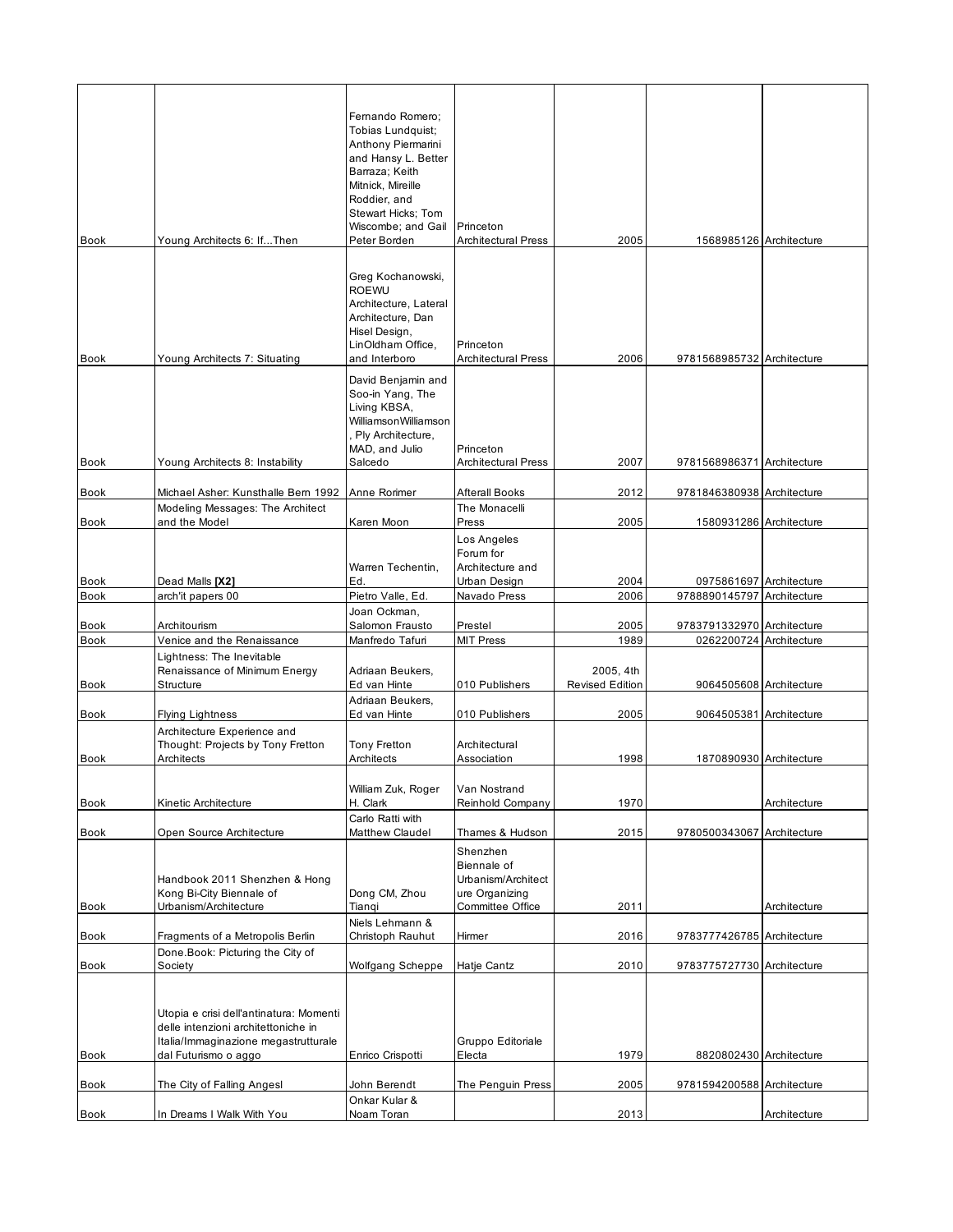|             |                                                                             | Femando Romero;<br>Tobias Lundquist:       |                                      |                        |                            |              |
|-------------|-----------------------------------------------------------------------------|--------------------------------------------|--------------------------------------|------------------------|----------------------------|--------------|
|             |                                                                             | Anthony Piermarini                         |                                      |                        |                            |              |
|             |                                                                             | and Hansy L. Better                        |                                      |                        |                            |              |
|             |                                                                             | Barraza; Keith                             |                                      |                        |                            |              |
|             |                                                                             | Mitnick, Mireille                          |                                      |                        |                            |              |
|             |                                                                             | Roddier, and                               |                                      |                        |                            |              |
|             |                                                                             | Stewart Hicks; Tom                         |                                      |                        |                            |              |
|             |                                                                             | Wiscombe; and Gail                         | Princeton                            |                        |                            |              |
| <b>Book</b> | Young Architects 6: IfThen                                                  | Peter Borden                               | <b>Architectural Press</b>           | 2005                   | 1568985126 Architecture    |              |
|             |                                                                             |                                            |                                      |                        |                            |              |
|             |                                                                             | Greg Kochanowski,                          |                                      |                        |                            |              |
|             |                                                                             | <b>ROEWU</b>                               |                                      |                        |                            |              |
|             |                                                                             | Architecture, Lateral<br>Architecture, Dan |                                      |                        |                            |              |
|             |                                                                             | Hisel Design,                              |                                      |                        |                            |              |
|             |                                                                             | LinOldham Office,                          | Princeton                            |                        |                            |              |
| <b>Book</b> | Young Architects 7: Situating                                               | and Interboro                              | <b>Architectural Press</b>           | 2006                   | 9781568985732 Architecture |              |
|             |                                                                             | David Benjamin and                         |                                      |                        |                            |              |
|             |                                                                             | Soo-in Yang, The                           |                                      |                        |                            |              |
|             |                                                                             | Living KBSA,                               |                                      |                        |                            |              |
|             |                                                                             | WilliamsonWilliamson                       |                                      |                        |                            |              |
|             |                                                                             | Ply Architecture,                          |                                      |                        |                            |              |
|             |                                                                             | MAD, and Julio                             | Princeton                            |                        |                            |              |
| <b>Book</b> | Young Architects 8: Instability                                             | Salcedo                                    | <b>Architectural Press</b>           | 2007                   | 9781568986371 Architecture |              |
| <b>Book</b> | Michael Asher: Kunsthalle Bern 1992                                         | Anne Rorimer                               | <b>Afterall Books</b>                | 2012                   | 9781846380938 Architecture |              |
|             | Modeling Messages: The Architect                                            |                                            | The Monacelli                        |                        |                            |              |
| Book        | and the Model                                                               | Karen Moon                                 | Press                                | 2005                   | 1580931286 Architecture    |              |
|             |                                                                             |                                            | Los Angeles                          |                        |                            |              |
|             |                                                                             |                                            | Forum for                            |                        |                            |              |
|             |                                                                             | Warren Techentin,                          | Architecture and                     |                        |                            |              |
| <b>Book</b> | Dead Malls [X2]                                                             | Ed.                                        | Urban Design                         | 2004                   | 0975861697 Architecture    |              |
| <b>Book</b> | arch'it papers 00                                                           | Pietro Valle, Ed.                          | Navado Press                         | 2006                   | 9788890145797 Architecture |              |
|             |                                                                             | Joan Ockman,                               |                                      |                        |                            |              |
| <b>Book</b> | Architourism                                                                | Salomon Frausto                            | Prestel                              | 2005                   | 9783791332970 Architecture |              |
| <b>Book</b> | Venice and the Renaissance                                                  | Manfredo Tafuri                            | <b>MIT Press</b>                     | 1989                   | 0262200724 Architecture    |              |
|             | Lightness: The Inevitable                                                   | Adriaan Beukers,                           |                                      | 2005, 4th              |                            |              |
| Book        | Renaissance of Minimum Energy<br>Structure                                  | Ed van Hinte                               | 010 Publishers                       | <b>Revised Edition</b> | 9064505608 Architecture    |              |
|             |                                                                             | Adriaan Beukers,                           |                                      |                        |                            |              |
| <b>Book</b> | <b>Flying Lightness</b>                                                     | Ed van Hinte                               | 010 Publishers                       | 2005                   | 9064505381 Architecture    |              |
|             | Architecture Experience and                                                 |                                            |                                      |                        |                            |              |
|             | Thought: Projects by Tony Fretton                                           | <b>Tony Fretton</b>                        | Architectural                        |                        |                            |              |
| Book        | Architects                                                                  | Architects                                 | Association                          | 1998                   | 1870890930 Architecture    |              |
|             |                                                                             |                                            |                                      |                        |                            |              |
|             |                                                                             | William Zuk, Roger                         | Van Nostrand                         |                        |                            |              |
| Book        | Kinetic Architecture                                                        | H. Clark                                   | Reinhold Company                     | 1970                   |                            | Architecture |
|             |                                                                             | Carlo Ratti with                           |                                      |                        |                            |              |
| <b>Book</b> | Open Source Architecture                                                    | Matthew Claudel                            | Thames & Hudson                      | 2015                   | 9780500343067 Architecture |              |
|             |                                                                             |                                            | Shenzhen                             |                        |                            |              |
|             |                                                                             |                                            | Biennale of                          |                        |                            |              |
|             | Handbook 2011 Shenzhen & Hong<br>Kong Bi-City Biennale of                   | Dong CM, Zhou                              | Urbanism/Architect<br>ure Organizing |                        |                            |              |
| <b>Book</b> | Urbanism/Architecture                                                       | Tiangi                                     | Committee Office                     | 2011                   |                            | Architecture |
|             |                                                                             | Niels Lehmann &                            |                                      |                        |                            |              |
| Book        | Fragments of a Metropolis Berlin                                            | Christoph Rauhut                           | Hirmer                               | 2016                   | 9783777426785 Architecture |              |
|             | Done.Book: Picturing the City of                                            |                                            |                                      |                        |                            |              |
| <b>Book</b> | Society                                                                     | Wolfgang Scheppe                           | Hatje Cantz                          | 2010                   | 9783775727730 Architecture |              |
|             |                                                                             |                                            |                                      |                        |                            |              |
|             |                                                                             |                                            |                                      |                        |                            |              |
|             | Utopia e crisi dell'antinatura: Momenti                                     |                                            |                                      |                        |                            |              |
|             | delle intenzioni architettoniche in<br>Italia/Immaginazione megastrutturale |                                            | Gruppo Editoriale                    |                        |                            |              |
| Book        | dal Futurismo o aggo                                                        | Enrico Crispotti                           | Electa                               | 1979                   | 8820802430 Architecture    |              |
|             |                                                                             |                                            |                                      |                        |                            |              |
| Book        | The City of Falling Angesl                                                  | John Berendt                               | The Penguin Press                    | 2005                   | 9781594200588 Architecture |              |
|             |                                                                             | Onkar Kular &                              |                                      |                        |                            |              |
| Book        | In Dreams I Walk With You                                                   | Noam Toran                                 |                                      | 2013                   |                            | Architecture |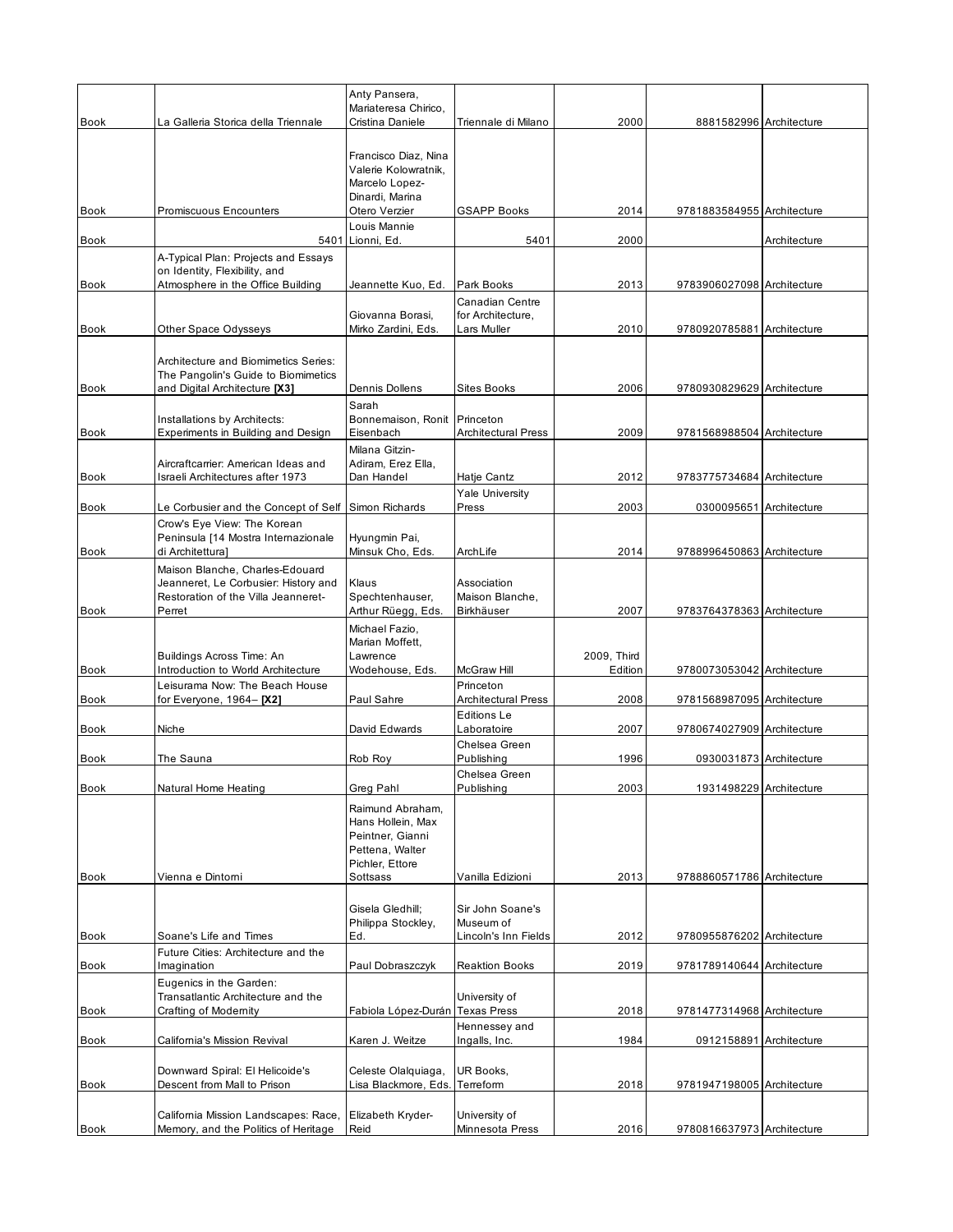| <b>Book</b> | La Galleria Storica della Triennale                                                                                      | Anty Pansera,<br>Mariateresa Chirico,<br>Cristina Daniele                                                   | Triennale di Milano                                 | 2000        | 8881582996 Architecture    |              |
|-------------|--------------------------------------------------------------------------------------------------------------------------|-------------------------------------------------------------------------------------------------------------|-----------------------------------------------------|-------------|----------------------------|--------------|
|             |                                                                                                                          | Francisco Diaz, Nina<br>Valerie Kolowratnik,                                                                |                                                     |             |                            |              |
| Book        | Promiscuous Encounters                                                                                                   | Marcelo Lopez-<br>Dinardi, Marina<br>Otero Verzier                                                          | <b>GSAPP Books</b>                                  | 2014        | 9781883584955 Architecture |              |
| Book        |                                                                                                                          | Louis Mannie<br>5401 Lionni, Ed.                                                                            | 5401                                                | 2000        |                            | Architecture |
|             | A-Typical Plan: Projects and Essays<br>on Identity, Flexibility, and                                                     |                                                                                                             |                                                     |             |                            |              |
| <b>Book</b> | Atmosphere in the Office Building                                                                                        | Jeannette Kuo, Ed.                                                                                          | Park Books                                          | 2013        | 9783906027098 Architecture |              |
| Book        | Other Space Odysseys                                                                                                     | Giovanna Borasi,<br>Mirko Zardini, Eds.                                                                     | Canadian Centre<br>for Architecture,<br>Lars Muller | 2010        | 9780920785881 Architecture |              |
| Book        | Architecture and Biomimetics Series:<br>The Pangolin's Guide to Biomimetics<br>and Digital Architecture [X3]             | Dennis Dollens                                                                                              | Sites Books                                         | 2006        | 9780930829629 Architecture |              |
|             |                                                                                                                          | Sarah                                                                                                       |                                                     |             |                            |              |
| Book        | Installations by Architects:<br>Experiments in Building and Design                                                       | Bonnemaison, Ronit<br>Eisenbach                                                                             | Princeton<br><b>Architectural Press</b>             | 2009        | 9781568988504 Architecture |              |
| <b>Book</b> | Aircraftcarrier: American Ideas and<br>Israeli Architectures after 1973                                                  | Milana Gitzin-<br>Adiram, Erez Ella,<br>Dan Handel                                                          | Hatje Cantz                                         | 2012        | 9783775734684 Architecture |              |
|             |                                                                                                                          |                                                                                                             | <b>Yale University</b>                              |             |                            |              |
| Book        | Le Corbusier and the Concept of Self Simon Richards<br>Crow's Eye View: The Korean                                       |                                                                                                             | Press                                               | 2003        | 0300095651 Architecture    |              |
| <b>Book</b> | Peninsula [14 Mostra Internazionale<br>di Architettura]                                                                  | Hyungmin Pai,<br>Minsuk Cho, Eds.                                                                           | ArchLife                                            | 2014        | 9788996450863 Architecture |              |
| Book        | Maison Blanche, Charles-Edouard<br>Jeanneret, Le Corbusier: History and<br>Restoration of the Villa Jeanneret-<br>Perret | Klaus<br>Spechtenhauser,<br>Arthur Rüegg, Eds.                                                              | Association<br>Maison Blanche,<br>Birkhäuser        | 2007        | 9783764378363 Architecture |              |
|             | Buildings Across Time: An                                                                                                | Michael Fazio,<br>Marian Moffett,<br>Lawrence                                                               |                                                     | 2009, Third |                            |              |
| Book        | Introduction to World Architecture<br>Leisurama Now: The Beach House                                                     | Wodehouse, Eds.                                                                                             | McGraw Hill<br>Princeton                            | Edition     | 9780073053042 Architecture |              |
| Book        | for Everyone, 1964– <b>[X2]</b>                                                                                          | Paul Sahre                                                                                                  | <b>Architectural Press</b><br><b>Editions Le</b>    | 2008        | 9781568987095 Architecture |              |
| <b>Book</b> | Niche                                                                                                                    | David Edwards                                                                                               | Laboratoire                                         | 2007        | 9780674027909 Architecture |              |
| Book        | The Sauna                                                                                                                | Rob Roy                                                                                                     | Chelsea Green<br>Publishing                         | 1996        | 0930031873 Architecture    |              |
| Book        | Natural Home Heating                                                                                                     | Greg Pahl                                                                                                   | Chelsea Green<br>Publishing                         | 2003        | 1931498229 Architecture    |              |
| Book        | Vienna e Dintorni                                                                                                        | Raimund Abraham,<br>Hans Hollein, Max<br>Peintner, Gianni<br>Pettena, Walter<br>Pichler, Ettore<br>Sottsass | Vanilla Edizioni                                    | 2013        | 9788860571786 Architecture |              |
|             |                                                                                                                          | Gisela Gledhill;<br>Philippa Stockley,                                                                      | Sir John Soane's<br>Museum of                       |             |                            |              |
| Book        | Soane's Life and Times<br>Future Cities: Architecture and the                                                            | Ed.                                                                                                         | Lincoln's Inn Fields                                | 2012        | 9780955876202 Architecture |              |
| Book        | Imagination                                                                                                              | Paul Dobraszczyk                                                                                            | <b>Reaktion Books</b>                               | 2019        | 9781789140644 Architecture |              |
| Book        | Eugenics in the Garden:<br>Transatlantic Architecture and the<br>Crafting of Modernity                                   | Fabiola López-Durán Texas Press                                                                             | University of                                       | 2018        | 9781477314968 Architecture |              |
| Book        | California's Mission Revival                                                                                             | Karen J. Weitze                                                                                             | Hennessey and<br>Ingalls, Inc.                      | 1984        | 0912158891 Architecture    |              |
|             | Downward Spiral: El Helicoide's                                                                                          | Celeste Olalquiaga,                                                                                         | UR Books,                                           |             |                            |              |
| Book        | Descent from Mall to Prison                                                                                              | Lisa Blackmore, Eds.                                                                                        | Terreform                                           | 2018        | 9781947198005 Architecture |              |
|             | California Mission Landscapes: Race,                                                                                     | Elizabeth Kryder-                                                                                           | University of                                       |             |                            |              |
| Book        | Memory, and the Politics of Heritage                                                                                     | Reid                                                                                                        | Minnesota Press                                     | 2016        | 9780816637973 Architecture |              |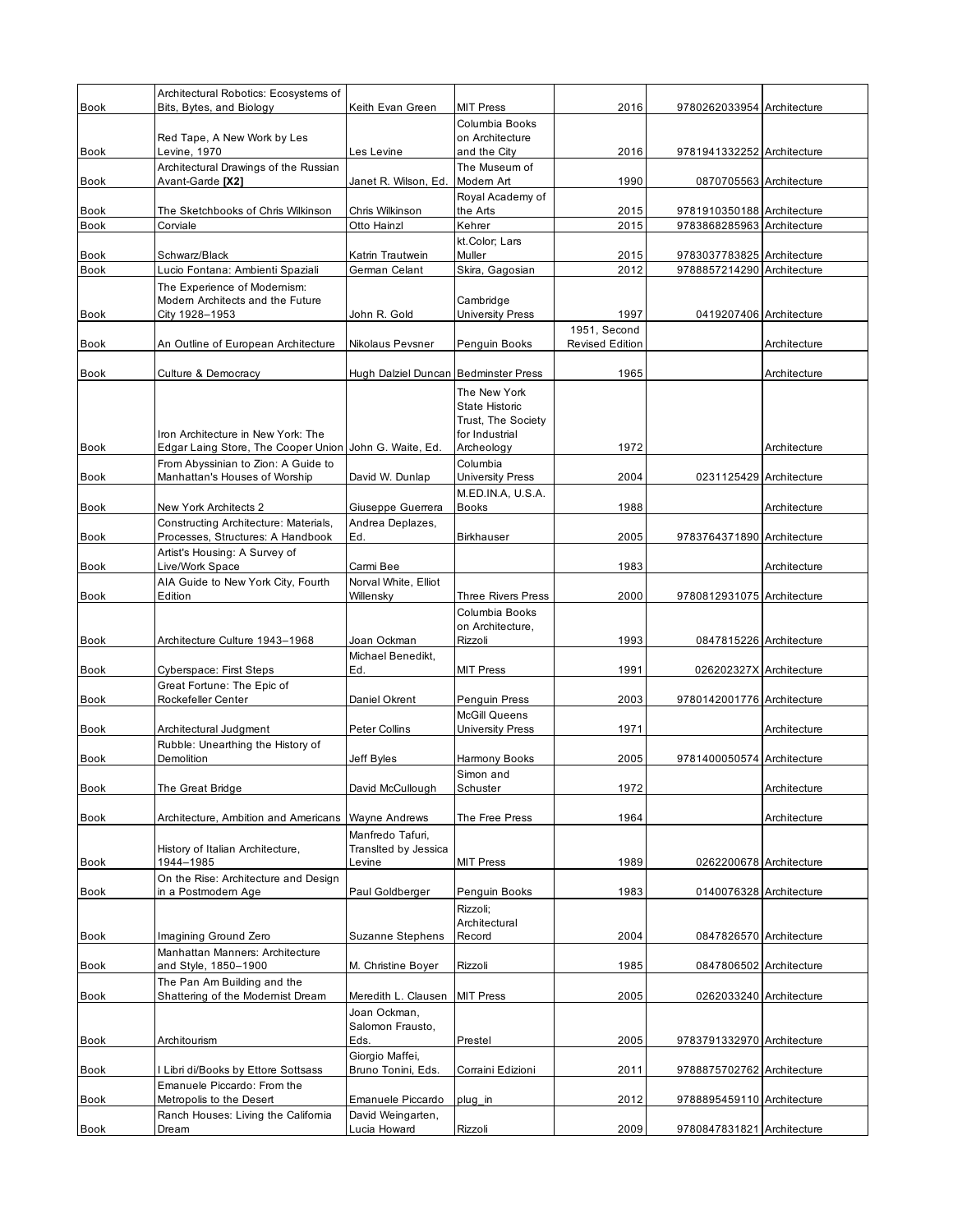|             | Architectural Robotics: Ecosystems of                            |                                        |                                |                        |                            |              |
|-------------|------------------------------------------------------------------|----------------------------------------|--------------------------------|------------------------|----------------------------|--------------|
| <b>Book</b> | Bits, Bytes, and Biology                                         | Keith Evan Green                       | <b>MIT Press</b>               | 2016                   | 9780262033954 Architecture |              |
|             |                                                                  |                                        | Columbia Books                 |                        |                            |              |
|             | Red Tape, A New Work by Les                                      |                                        | on Architecture                |                        |                            |              |
| <b>Book</b> | Levine, 1970<br>Architectural Drawings of the Russian            | Les Levine                             | and the City<br>The Museum of  | 2016                   | 9781941332252 Architecture |              |
| <b>Book</b> | Avant-Garde [X2]                                                 | Janet R. Wilson, Ed.                   | Modern Art                     | 1990                   | 0870705563 Architecture    |              |
|             |                                                                  |                                        | Royal Academy of               |                        |                            |              |
| Book        | The Sketchbooks of Chris Wilkinson                               | Chris Wilkinson                        | the Arts                       | 2015                   | 9781910350188 Architecture |              |
| <b>Book</b> | Corviale                                                         | Otto Hainzl                            | Kehrer                         | 2015                   | 9783868285963 Architecture |              |
|             |                                                                  |                                        | kt.Color; Lars                 |                        |                            |              |
| Book        | Schwarz/Black                                                    | Katrin Trautwein                       | Muller                         | 2015                   | 9783037783825 Architecture |              |
| <b>Book</b> | Lucio Fontana: Ambienti Spaziali                                 | German Celant                          | Skira, Gagosian                | 2012                   | 9788857214290 Architecture |              |
|             | The Experience of Modernism:<br>Modern Architects and the Future |                                        | Cambridge                      |                        |                            |              |
| Book        | City 1928-1953                                                   | John R. Gold                           | <b>University Press</b>        | 1997                   | 0419207406 Architecture    |              |
|             |                                                                  |                                        |                                | 1951, Second           |                            |              |
| Book        | An Outline of European Architecture                              | Nikolaus Pevsner                       | Penguin Books                  | <b>Revised Edition</b> |                            | Architecture |
|             |                                                                  |                                        |                                |                        |                            |              |
| <b>Book</b> | Culture & Democracy                                              | Hugh Dalziel Duncan Bedminster Press   |                                | 1965                   |                            | Architecture |
|             |                                                                  |                                        | The New York<br>State Historic |                        |                            |              |
|             |                                                                  |                                        | Trust, The Society             |                        |                            |              |
|             | Iron Architecture in New York: The                               |                                        | for Industrial                 |                        |                            |              |
| Book        | Edgar Laing Store, The Cooper Union                              | John G. Waite, Ed.                     | Archeology                     | 1972                   |                            | Architecture |
|             | From Abyssinian to Zion: A Guide to                              |                                        | Columbia                       |                        |                            |              |
| <b>Book</b> | Manhattan's Houses of Worship                                    | David W. Dunlap                        | <b>University Press</b>        | 2004                   | 0231125429 Architecture    |              |
|             |                                                                  |                                        | M.ED.IN.A, U.S.A.              |                        |                            |              |
| Book        | New York Architects 2<br>Constructing Architecture: Materials,   | Giuseppe Guerrera<br>Andrea Deplazes,  | <b>Books</b>                   | 1988                   |                            | Architecture |
| <b>Book</b> | Processes, Structures: A Handbook                                | Ed.                                    | <b>Birkhauser</b>              | 2005                   | 9783764371890 Architecture |              |
|             | Artist's Housing: A Survey of                                    |                                        |                                |                        |                            |              |
| Book        | Live/Work Space                                                  | Carmi Bee                              |                                | 1983                   |                            | Architecture |
|             | AIA Guide to New York City, Fourth                               | Norval White, Elliot                   |                                |                        |                            |              |
| <b>Book</b> | Edition                                                          | Willensky                              | <b>Three Rivers Press</b>      | 2000                   | 9780812931075 Architecture |              |
|             |                                                                  |                                        | Columbia Books                 |                        |                            |              |
| Book        | Architecture Culture 1943-1968                                   | Joan Ockman                            | on Architecture,<br>Rizzoli    | 1993                   | 0847815226 Architecture    |              |
|             |                                                                  | Michael Benedikt,                      |                                |                        |                            |              |
| <b>Book</b> | Cyberspace: First Steps                                          | Ed.                                    | <b>MIT Press</b>               | 1991                   | 026202327X Architecture    |              |
|             | Great Fortune: The Epic of                                       |                                        |                                |                        |                            |              |
| Book        | Rockefeller Center                                               | Daniel Okrent                          | Penguin Press                  | 2003                   | 9780142001776 Architecture |              |
|             |                                                                  |                                        | <b>McGill Queens</b>           |                        |                            |              |
| <b>Book</b> | Architectural Judgment<br>Rubble: Unearthing the History of      | Peter Collins                          | <b>University Press</b>        | 1971                   |                            | Architecture |
| <b>Book</b> | Demolition                                                       | Jeff Byles                             | Harmony Books                  | 2005                   | 9781400050574 Architecture |              |
|             |                                                                  |                                        | Simon and                      |                        |                            |              |
| Book        | The Great Bridge                                                 | David McCullough                       | Schuster                       | 1972                   |                            | Architecture |
|             |                                                                  |                                        |                                |                        |                            |              |
| Book        | Architecture, Ambition and Americans                             | <b>Wayne Andrews</b>                   | The Free Press                 | 1964                   |                            | Architecture |
|             |                                                                  | Manfredo Tafuri.                       |                                |                        |                            |              |
| Book        | History of Italian Architecture,<br>1944-1985                    | Transited by Jessica<br>Levine         | <b>MIT Press</b>               | 1989                   | 0262200678 Architecture    |              |
|             | On the Rise: Architecture and Design                             |                                        |                                |                        |                            |              |
| Book        | in a Postmodern Age                                              | Paul Goldberger                        | Penguin Books                  | 1983                   | 0140076328 Architecture    |              |
|             |                                                                  |                                        | Rizzoli;                       |                        |                            |              |
|             |                                                                  |                                        | Architectural                  |                        |                            |              |
| Book        | Imagining Ground Zero                                            | Suzanne Stephens                       | Record                         | 2004                   | 0847826570 Architecture    |              |
|             | Manhattan Manners: Architecture                                  |                                        |                                |                        |                            |              |
| Book        | and Style, 1850-1900<br>The Pan Am Building and the              | M. Christine Boyer                     | Rizzoli                        | 1985                   | 0847806502 Architecture    |              |
| Book        | Shattering of the Modernist Dream                                | Meredith L. Clausen                    | <b>MIT Press</b>               | 2005                   | 0262033240 Architecture    |              |
|             |                                                                  | Joan Ockman,                           |                                |                        |                            |              |
|             |                                                                  | Salomon Frausto,                       |                                |                        |                            |              |
| Book        | Architourism                                                     | Eds.                                   | Prestel                        | 2005                   | 9783791332970 Architecture |              |
|             |                                                                  | Giorgio Maffei,                        |                                |                        |                            |              |
| Book        | I Libri di/Books by Ettore Sottsass                              | Bruno Tonini, Eds.                     | Corraini Edizioni              | 2011                   | 9788875702762 Architecture |              |
| <b>Book</b> |                                                                  |                                        |                                |                        |                            |              |
|             | Emanuele Piccardo: From the                                      |                                        |                                |                        |                            |              |
|             | Metropolis to the Desert<br>Ranch Houses: Living the California  | Emanuele Piccardo<br>David Weingarten, | plug in                        | 2012                   | 9788895459110 Architecture |              |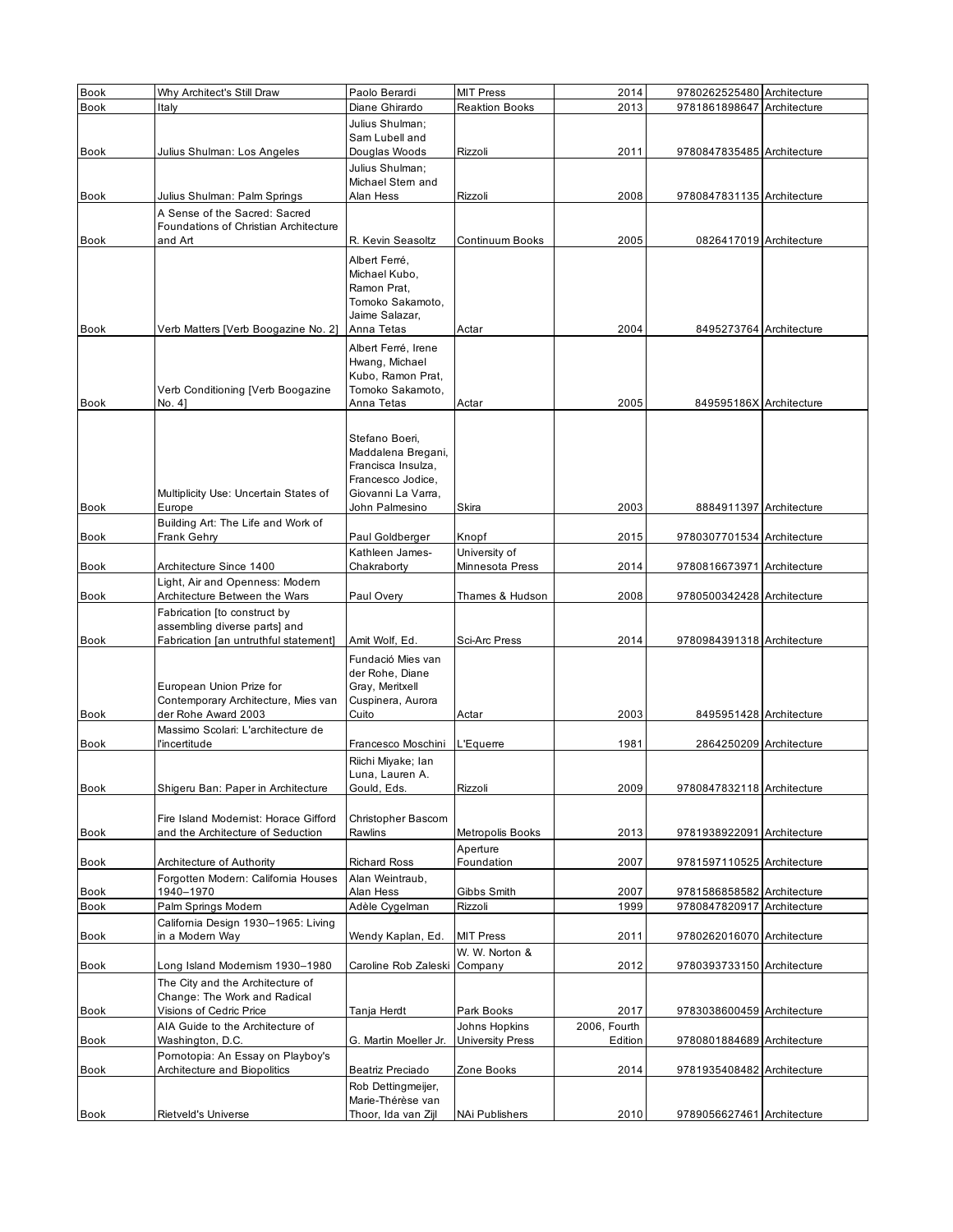| <b>Book</b>         | Why Architect's Still Draw                       | Paolo Berardi                         | <b>MIT Press</b>        | 2014         | 9780262525480 Architecture |  |
|---------------------|--------------------------------------------------|---------------------------------------|-------------------------|--------------|----------------------------|--|
| <b>Book</b>         | Italy                                            | Diane Ghirardo                        | <b>Reaktion Books</b>   | 2013         | 9781861898647 Architecture |  |
|                     |                                                  | Julius Shulman:                       |                         |              |                            |  |
|                     |                                                  | Sam Lubell and                        |                         |              |                            |  |
| Book                | Julius Shulman: Los Angeles                      | Douglas Woods                         | Rizzoli                 | 2011         | 9780847835485 Architecture |  |
|                     |                                                  | Julius Shulman;                       |                         |              |                            |  |
|                     |                                                  | Michael Stern and                     |                         |              |                            |  |
| Book                | Julius Shulman: Palm Springs                     | Alan Hess                             | Rizzoli                 | 2008         | 9780847831135 Architecture |  |
|                     | A Sense of the Sacred: Sacred                    |                                       |                         |              |                            |  |
|                     | Foundations of Christian Architecture            |                                       |                         |              |                            |  |
| <b>Book</b>         | and Art                                          | R. Kevin Seasoltz                     | Continuum Books         | 2005         | 0826417019 Architecture    |  |
|                     |                                                  | Albert Ferré,                         |                         |              |                            |  |
|                     |                                                  | Michael Kubo,                         |                         |              |                            |  |
|                     |                                                  | Ramon Prat,                           |                         |              |                            |  |
|                     |                                                  | Tomoko Sakamoto.                      |                         |              |                            |  |
| <b>Book</b>         |                                                  | Jaime Salazar,<br>Anna Tetas          | Actar                   | 2004         | 8495273764 Architecture    |  |
|                     | Verb Matters [Verb Boogazine No. 2]              |                                       |                         |              |                            |  |
|                     |                                                  | Albert Ferré, Irene                   |                         |              |                            |  |
|                     |                                                  | Hwang, Michael                        |                         |              |                            |  |
|                     | Verb Conditioning [Verb Boogazine                | Kubo, Ramon Prat,<br>Tomoko Sakamoto, |                         |              |                            |  |
| <b>Book</b>         | No. 4]                                           | Anna Tetas                            | Actar                   | 2005         | 849595186X Architecture    |  |
|                     |                                                  |                                       |                         |              |                            |  |
|                     |                                                  |                                       |                         |              |                            |  |
|                     |                                                  | Stefano Boeri,<br>Maddalena Bregani,  |                         |              |                            |  |
|                     |                                                  | Francisca Insulza,                    |                         |              |                            |  |
|                     |                                                  | Francesco Jodice,                     |                         |              |                            |  |
|                     | Multiplicity Use: Uncertain States of            | Giovanni La Varra,                    |                         |              |                            |  |
| Book                | Europe                                           | John Palmesino                        | Skira                   | 2003         | 8884911397 Architecture    |  |
|                     | Building Art: The Life and Work of               |                                       |                         |              |                            |  |
| <b>Book</b>         | Frank Gehry                                      | Paul Goldberger                       | Knopf                   | 2015         | 9780307701534 Architecture |  |
|                     |                                                  | Kathleen James-                       | University of           |              |                            |  |
| Book                | Architecture Since 1400                          | Chakraborty                           | Minnesota Press         | 2014         | 9780816673971 Architecture |  |
|                     | Light, Air and Openness: Modem                   |                                       |                         |              |                            |  |
| Book                | Architecture Between the Wars                    | Paul Overy                            | Thames & Hudson         | 2008         | 9780500342428 Architecture |  |
|                     | Fabrication [to construct by                     |                                       |                         |              |                            |  |
|                     | assembling diverse parts] and                    |                                       |                         |              |                            |  |
| <b>Book</b>         | Fabrication [an untruthful statement]            | Amit Wolf, Ed.                        | Sci-Arc Press           | 2014         | 9780984391318 Architecture |  |
|                     |                                                  | Fundació Mies van                     |                         |              |                            |  |
|                     | European Union Prize for                         | der Rohe, Diane<br>Gray, Meritxell    |                         |              |                            |  |
|                     | Contemporary Architecture, Mies van              | Cuspinera, Aurora                     |                         |              |                            |  |
| Book                | der Rohe Award 2003                              | Cuito                                 | Actar                   | 2003         | 8495951428 Architecture    |  |
|                     | Massimo Scolari: L'architecture de               |                                       |                         |              |                            |  |
| <b>Book</b>         | l'incertitude                                    | Francesco Moschini                    | L'Equerre               | 1981         | 2864250209 Architecture    |  |
|                     |                                                  | Riichi Miyake; Ian                    |                         |              |                            |  |
|                     |                                                  | Luna, Lauren A.                       |                         |              |                            |  |
| Book                | Shigeru Ban: Paper in Architecture               | Gould, Eds.                           | Rizzoli                 | 2009         | 9780847832118 Architecture |  |
|                     |                                                  |                                       |                         |              |                            |  |
|                     | Fire Island Modernist: Horace Gifford            | Christopher Bascom                    |                         |              |                            |  |
| <b>Book</b>         | and the Architecture of Seduction                | Rawlins                               | Metropolis Books        | 2013         | 9781938922091 Architecture |  |
|                     |                                                  |                                       | Aperture                |              |                            |  |
| Book                | Architecture of Authority                        | <b>Richard Ross</b>                   | Foundation              | 2007         | 9781597110525 Architecture |  |
|                     | Forgotten Modern: California Houses<br>1940-1970 | Alan Weintraub,<br>Alan Hess          | Gibbs Smith             | 2007         | 9781586858582 Architecture |  |
| Book<br><b>Book</b> | Palm Springs Modern                              | Adèle Cygelman                        | Rizzoli                 | 1999         | 9780847820917 Architecture |  |
|                     | California Design 1930-1965: Living              |                                       |                         |              |                            |  |
| Book                | in a Modern Way                                  | Wendy Kaplan, Ed.                     | <b>MIT Press</b>        | 2011         | 9780262016070 Architecture |  |
|                     |                                                  |                                       | W. W. Norton &          |              |                            |  |
| Book                | Long Island Modernism 1930-1980                  | Caroline Rob Zaleski                  | Company                 | 2012         | 9780393733150 Architecture |  |
|                     | The City and the Architecture of                 |                                       |                         |              |                            |  |
|                     | Change: The Work and Radical                     |                                       |                         |              |                            |  |
| Book                | Visions of Cedric Price                          | Tanja Herdt                           | Park Books              | 2017         | 9783038600459 Architecture |  |
|                     | AIA Guide to the Architecture of                 |                                       | Johns Hopkins           | 2006, Fourth |                            |  |
| Book                | Washington, D.C.                                 | G. Martin Moeller Jr.                 | <b>University Press</b> | Edition      | 9780801884689 Architecture |  |
|                     | Pomotopia: An Essay on Playboy's                 |                                       |                         |              |                            |  |
| Book                | Architecture and Biopolitics                     | Beatriz Preciado                      | Zone Books              | 2014         | 9781935408482 Architecture |  |
|                     |                                                  | Rob Dettingmeijer,                    |                         |              |                            |  |
|                     |                                                  | Marie-Thérèse van                     |                         |              |                            |  |
| Book                | Rietveld's Universe                              | Thoor, Ida van Zijl                   | NAi Publishers          | 2010         | 9789056627461 Architecture |  |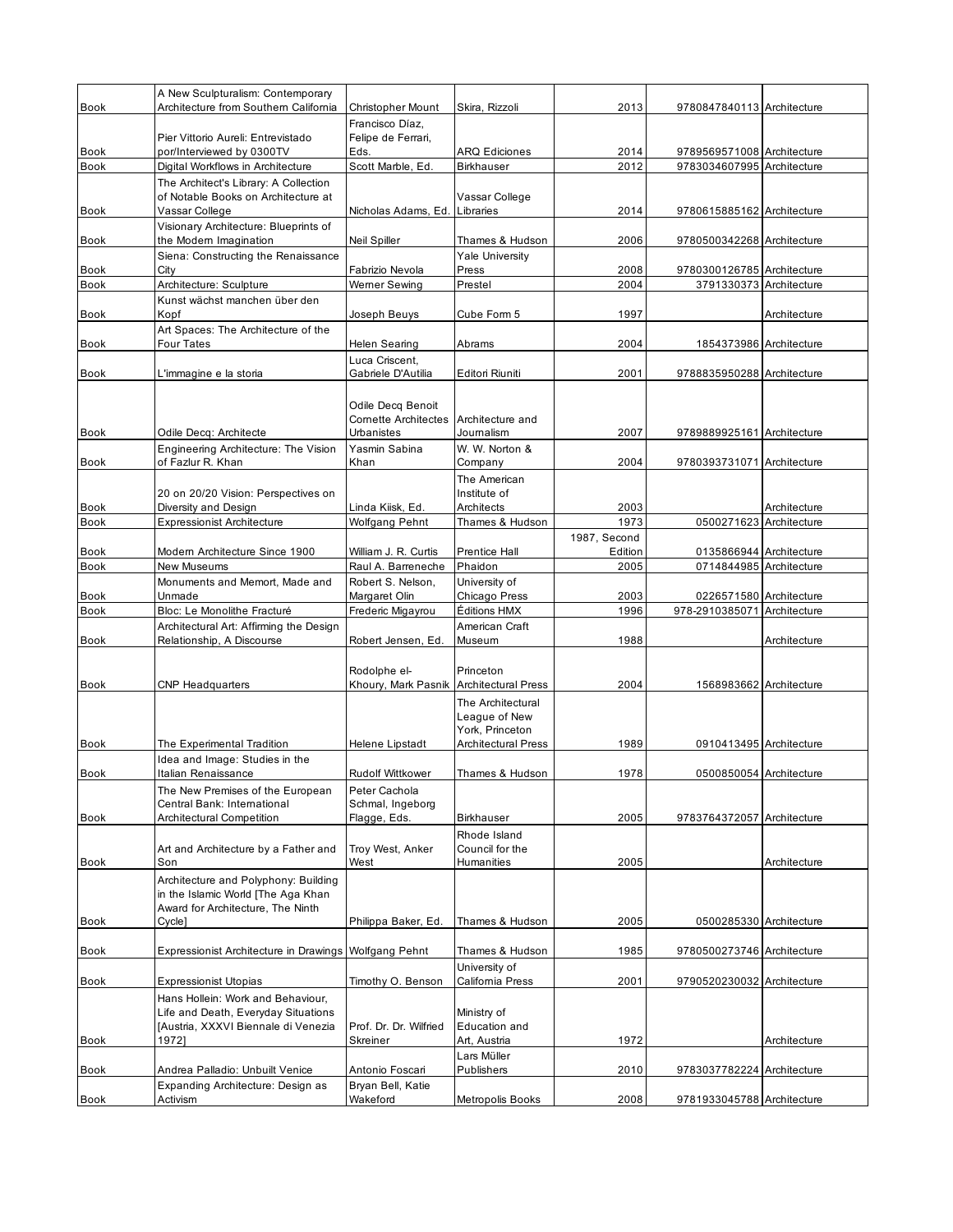|             | A New Sculpturalism: Contemporary                     |                                         |                            |              |                            |                         |
|-------------|-------------------------------------------------------|-----------------------------------------|----------------------------|--------------|----------------------------|-------------------------|
| <b>Book</b> | Architecture from Southern California                 | <b>Christopher Mount</b>                | Skira, Rizzoli             | 2013         | 9780847840113 Architecture |                         |
|             |                                                       | Francisco Díaz.                         |                            |              |                            |                         |
|             | Pier Vittorio Aureli: Entrevistado                    | Felipe de Ferrari,                      |                            |              |                            |                         |
| <b>Book</b> | por/Interviewed by 0300TV                             | Eds.                                    | ARQ Ediciones              | 2014         | 9789569571008 Architecture |                         |
| <b>Book</b> | Digital Workflows in Architecture                     | Scott Marble, Ed.                       | <b>Birkhauser</b>          | 2012         | 9783034607995 Architecture |                         |
|             | The Architect's Library: A Collection                 |                                         |                            |              |                            |                         |
|             | of Notable Books on Architecture at                   |                                         | Vassar College             |              |                            |                         |
| Book        | Vassar College                                        | Nicholas Adams, Ed. Libraries           |                            | 2014         | 9780615885162 Architecture |                         |
|             | Visionary Architecture: Blueprints of                 |                                         |                            |              |                            |                         |
| Book        | the Modern Imagination                                | Neil Spiller                            | Thames & Hudson            | 2006         | 9780500342268 Architecture |                         |
|             | Siena: Constructing the Renaissance                   |                                         | Yale University            |              |                            |                         |
| <b>Book</b> | City                                                  | Fabrizio Nevola                         | Press                      | 2008         | 9780300126785 Architecture |                         |
| Book        | Architecture: Sculpture                               | Werner Sewing                           | Prestel                    | 2004         | 3791330373 Architecture    |                         |
|             | Kunst wächst manchen über den                         |                                         |                            |              |                            |                         |
| Book        | Kopf                                                  | Joseph Beuys                            | Cube Form 5                | 1997         |                            | Architecture            |
|             | Art Spaces: The Architecture of the                   |                                         |                            |              |                            |                         |
| Book        | Four Tates                                            | Helen Searing                           | Abrams                     | 2004         | 1854373986 Architecture    |                         |
|             |                                                       |                                         |                            |              |                            |                         |
| <b>Book</b> | L'immagine e la storia                                | Luca Criscent,<br>Gabriele D'Autilia    | Editori Riuniti            | 2001         | 9788835950288 Architecture |                         |
|             |                                                       |                                         |                            |              |                            |                         |
|             |                                                       |                                         |                            |              |                            |                         |
|             |                                                       | Odile Decq Benoit                       |                            |              |                            |                         |
|             |                                                       | <b>Cornette Architectes</b>             | Architecture and           |              |                            |                         |
| <b>Book</b> | Odile Decq: Architecte                                | <b>Urbanistes</b>                       | Journalism                 | 2007         | 9789889925161 Architecture |                         |
|             | Engineering Architecture: The Vision                  | Yasmin Sabina                           | W. W. Norton &             |              |                            |                         |
| <b>Book</b> | of Fazlur R. Khan                                     | Khan                                    | Company                    | 2004         | 9780393731071 Architecture |                         |
|             |                                                       |                                         | The American               |              |                            |                         |
|             | 20 on 20/20 Vision: Perspectives on                   |                                         | Institute of               |              |                            |                         |
| <b>Book</b> | Diversity and Design                                  | Linda Kiisk, Ed.                        | Architects                 | 2003         |                            | Architecture            |
| <b>Book</b> | <b>Expressionist Architecture</b>                     | Wolfgang Pehnt                          | Thames & Hudson            | 1973         | 0500271623 Architecture    |                         |
|             |                                                       |                                         |                            | 1987, Second |                            |                         |
| <b>Book</b> | Modern Architecture Since 1900                        | William J. R. Curtis                    | <b>Prentice Hall</b>       | Edition      | 0135866944 Architecture    |                         |
| <b>Book</b> | New Museums                                           | Raul A. Barreneche                      | Phaidon                    | 2005         | 0714844985 Architecture    |                         |
|             | Monuments and Memort, Made and                        | Robert S. Nelson,                       | University of              |              |                            |                         |
| Book        | Unmade                                                | Margaret Olin                           | Chicago Press              | 2003         |                            | 0226571580 Architecture |
|             |                                                       |                                         |                            |              |                            |                         |
| Book        | Bloc: Le Monolithe Fracturé                           | Frederic Migayrou                       | Éditions HMX               | 1996         | 978-2910385071             | Architecture            |
|             | Architectural Art: Affirming the Design               |                                         | American Craft             |              |                            |                         |
| <b>Book</b> | Relationship, A Discourse                             | Robert Jensen, Ed.                      | Museum                     | 1988         |                            | Architecture            |
|             |                                                       |                                         |                            |              |                            |                         |
|             |                                                       | Rodolphe el-                            | Princeton                  |              |                            |                         |
| <b>Book</b> | <b>CNP Headquarters</b>                               | Khoury, Mark Pasnik Architectural Press |                            | 2004         | 1568983662 Architecture    |                         |
|             |                                                       |                                         | The Architectural          |              |                            |                         |
|             |                                                       |                                         | League of New              |              |                            |                         |
|             |                                                       |                                         | York. Princeton            |              |                            |                         |
| <b>Book</b> | The Experimental Tradition                            | Helene Lipstadt                         | <b>Architectural Press</b> | 1989         | 0910413495 Architecture    |                         |
|             | Idea and Image: Studies in the                        |                                         |                            |              |                            |                         |
| Book        | Italian Renaissance                                   | <b>Rudolf Wittkower</b>                 | Thames & Hudson            | 1978         | 0500850054 Architecture    |                         |
|             | The New Premises of the European                      | Peter Cachola                           |                            |              |                            |                         |
|             | Central Bank: International                           | Schmal, Ingeborg                        |                            |              |                            |                         |
| Book        | <b>Architectural Competition</b>                      | Flagge, Eds.                            | <b>Birkhauser</b>          | 2005         | 9783764372057 Architecture |                         |
|             |                                                       |                                         | Rhode Island               |              |                            |                         |
|             | Art and Architecture by a Father and                  | Troy West, Anker                        | Council for the            |              |                            |                         |
| Book        | Son                                                   | West                                    | Humanities                 | 2005         |                            | Architecture            |
|             | Architecture and Polyphony: Building                  |                                         |                            |              |                            |                         |
|             | in the Islamic World [The Aga Khan                    |                                         |                            |              |                            |                         |
|             | Award for Architecture, The Ninth                     |                                         |                            |              |                            |                         |
| Book        | Cycle]                                                | Philippa Baker, Ed.                     | Thames & Hudson            | 2005         | 0500285330 Architecture    |                         |
|             |                                                       |                                         |                            |              |                            |                         |
| Book        | Expressionist Architecture in Drawings Wolfgang Pehnt |                                         | Thames & Hudson            | 1985         | 9780500273746 Architecture |                         |
|             |                                                       |                                         | University of              |              |                            |                         |
| Book        | <b>Expressionist Utopias</b>                          | Timothy O. Benson                       | California Press           | 2001         | 9790520230032 Architecture |                         |
|             | Hans Hollein: Work and Behaviour,                     |                                         |                            |              |                            |                         |
|             | Life and Death, Everyday Situations                   |                                         | Ministry of                |              |                            |                         |
|             | [Austria, XXXVI Biennale di Venezia                   | Prof. Dr. Dr. Wilfried                  | Education and              |              |                            |                         |
| Book        | 1972]                                                 | Skreiner                                | Art, Austria               | 1972         |                            | Architecture            |
|             |                                                       |                                         | Lars Müller                |              |                            |                         |
| Book        | Andrea Palladio: Unbuilt Venice                       | Antonio Foscari                         | Publishers                 | 2010         | 9783037782224 Architecture |                         |
|             | Expanding Architecture: Design as                     | Bryan Bell, Katie<br>Wakeford           | Metropolis Books           | 2008         | 9781933045788 Architecture |                         |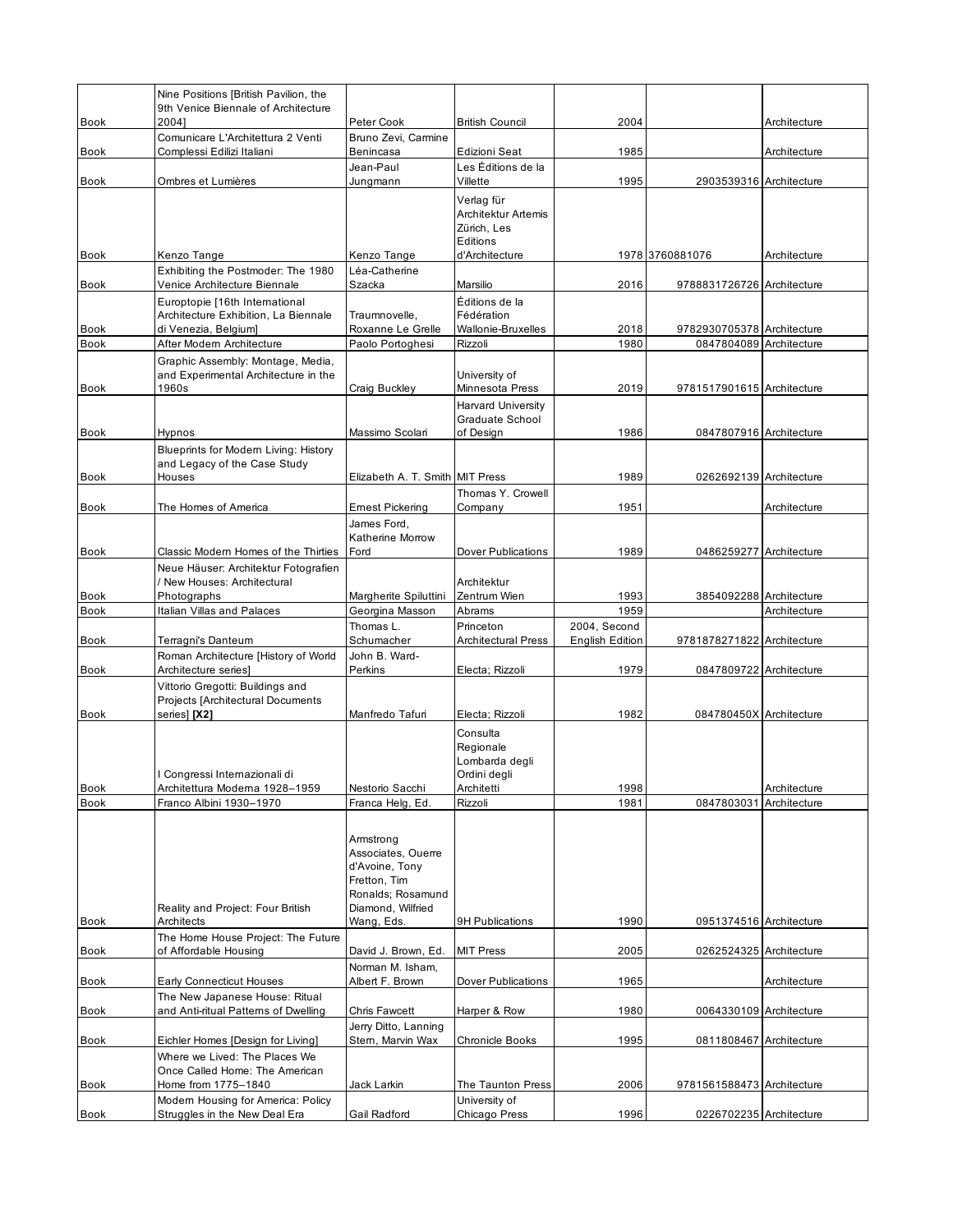|                     | Nine Positions [British Pavilion, the<br>9th Venice Biennale of Architecture                   |                                                                                                             |                                                                                          |                        |                            |                         |
|---------------------|------------------------------------------------------------------------------------------------|-------------------------------------------------------------------------------------------------------------|------------------------------------------------------------------------------------------|------------------------|----------------------------|-------------------------|
| <b>Book</b>         | 20041                                                                                          | Peter Cook                                                                                                  | <b>British Council</b>                                                                   | 2004                   |                            | Architecture            |
| Book                | Comunicare L'Architettura 2 Venti<br>Complessi Edilizi Italiani                                | Bruno Zevi, Carmine<br>Benincasa                                                                            | Edizioni Seat                                                                            | 1985                   |                            | Architecture            |
| <b>Book</b>         | Ombres et Lumières                                                                             | Jean-Paul<br>Jungmann                                                                                       | Les Éditions de la<br>Villette                                                           | 1995                   | 2903539316 Architecture    |                         |
| Book                | Kenzo Tange                                                                                    | Kenzo Tange                                                                                                 | Verlag für<br>Architektur Artemis<br>Zürich, Les<br>Editions<br>d'Architecture           |                        | 1978 3760881076            | Architecture            |
|                     | Exhibiting the Postmoder: The 1980                                                             | Léa-Catherine                                                                                               |                                                                                          |                        |                            |                         |
| Book                | Venice Architecture Biennale                                                                   | Szacka                                                                                                      | Marsilio                                                                                 | 2016                   | 9788831726726 Architecture |                         |
| Book                | Europtopie [16th International<br>Architecture Exhibition, La Biennale<br>di Venezia, Belgium] | Traumnovelle,<br>Roxanne Le Grelle                                                                          | Éditions de la<br>Fédération<br>Wallonie-Bruxelles                                       | 2018                   | 9782930705378 Architecture |                         |
| <b>Book</b>         | After Modern Architecture                                                                      | Paolo Portoghesi                                                                                            | Rizzoli                                                                                  | 1980                   | 0847804089 Architecture    |                         |
| Book                | Graphic Assembly: Montage, Media,<br>and Experimental Architecture in the<br>1960s             | Craig Buckley                                                                                               | University of<br>Minnesota Press                                                         | 2019                   | 9781517901615 Architecture |                         |
|                     |                                                                                                |                                                                                                             | <b>Harvard University</b><br><b>Graduate School</b>                                      |                        |                            |                         |
| Book                | Hypnos<br>Blueprints for Modern Living: History<br>and Legacy of the Case Study                | Massimo Scolari                                                                                             | of Design                                                                                | 1986                   | 0847807916 Architecture    |                         |
| <b>Book</b>         | Houses                                                                                         | Elizabeth A. T. Smith MIT Press                                                                             |                                                                                          | 1989                   | 0262692139 Architecture    |                         |
|                     |                                                                                                |                                                                                                             | Thomas Y. Crowell                                                                        |                        |                            |                         |
| Book                | The Homes of America                                                                           | <b>Emest Pickering</b><br>James Ford.<br>Katherine Morrow                                                   | Company                                                                                  | 1951                   |                            | Architecture            |
| Book                | Classic Modern Homes of the Thirties                                                           | Ford                                                                                                        | Dover Publications                                                                       | 1989                   | 0486259277 Architecture    |                         |
|                     | Neue Häuser: Architektur Fotografien<br>New Houses: Architectural                              |                                                                                                             | Architektur                                                                              |                        |                            |                         |
| Book                | Photographs                                                                                    | Margherite Spiluttini                                                                                       | Zentrum Wien                                                                             | 1993                   |                            | 3854092288 Architecture |
|                     |                                                                                                |                                                                                                             |                                                                                          |                        |                            |                         |
| <b>Book</b>         | <b>Italian Villas and Palaces</b>                                                              | Georgina Masson<br>Thomas L.                                                                                | Abrams<br>Princeton                                                                      | 1959<br>2004, Second   |                            | Architecture            |
| Book                | Terragni's Danteum                                                                             | Schumacher                                                                                                  | <b>Architectural Press</b>                                                               | <b>English Edition</b> | 9781878271822 Architecture |                         |
| Book                | Roman Architecture [History of World<br>Architecture series]                                   | John B. Ward-<br>Perkins                                                                                    | Electa; Rizzoli                                                                          | 1979                   | 0847809722 Architecture    |                         |
|                     | Vittorio Gregotti: Buildings and<br>Projects [Architectural Documents                          |                                                                                                             |                                                                                          |                        |                            |                         |
| <b>Book</b><br>Book | series] [X2]<br>Congressi Internazionali di<br>Architettura Moderna 1928-1959                  | Manfredo Tafuri<br>Nestorio Sacchi                                                                          | Electa; Rizzoli<br>Consulta<br>Regionale<br>Lombarda degli<br>Ordini degli<br>Architetti | 1982<br>1998           | 084780450X Architecture    | Architecture            |
| Book                | Franco Albini 1930-1970                                                                        | Franca Helg, Ed.                                                                                            | Rizzoli                                                                                  | 1981                   | 0847803031                 | Architecture            |
|                     | Reality and Project: Four British                                                              | Armstrong<br>Associates, Ouerre<br>d'Avoine, Tony<br>Fretton, Tim<br>Ronalds; Rosamund<br>Diamond, Wilfried |                                                                                          |                        |                            |                         |
| <b>Book</b>         | Architects                                                                                     | Wang, Eds.                                                                                                  | <b>9H Publications</b>                                                                   | 1990                   | 0951374516 Architecture    |                         |
| Book                | The Home House Project: The Future<br>of Affordable Housing                                    | David J. Brown, Ed.                                                                                         | <b>MIT Press</b>                                                                         | 2005                   | 0262524325 Architecture    |                         |
| Book                | <b>Early Connecticut Houses</b>                                                                | Norman M. Isham,<br>Albert F. Brown                                                                         | Dover Publications                                                                       | 1965                   |                            | Architecture            |
|                     | The New Japanese House: Ritual                                                                 |                                                                                                             |                                                                                          |                        |                            |                         |
| Book                | and Anti-ritual Patterns of Dwelling                                                           | Chris Fawcett<br>Jerry Ditto, Lanning                                                                       | Harper & Row                                                                             | 1980                   | 0064330109 Architecture    |                         |
| Book                | Eichler Homes [Design for Living]<br>Where we Lived: The Places We                             | Stern, Marvin Wax                                                                                           | Chronicle Books                                                                          | 1995                   | 0811808467 Architecture    |                         |
| Book                | Once Called Home: The American<br>Home from 1775-1840<br>Modern Housing for America: Policy    | Jack Larkin                                                                                                 | The Taunton Press<br>University of                                                       | 2006                   | 9781561588473 Architecture |                         |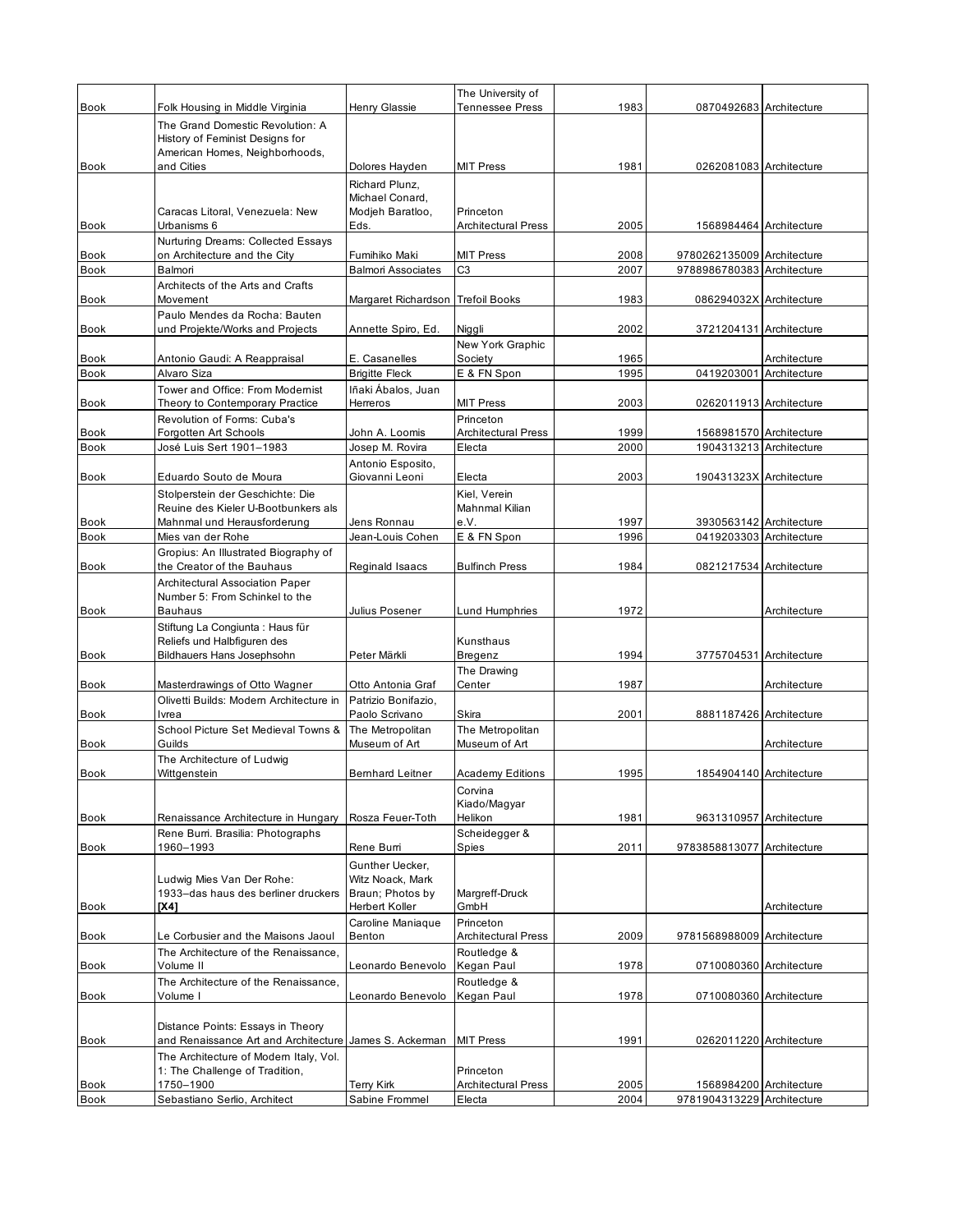|                     |                                                                                                       |                                                       | The University of                       |              |                                                       |              |
|---------------------|-------------------------------------------------------------------------------------------------------|-------------------------------------------------------|-----------------------------------------|--------------|-------------------------------------------------------|--------------|
| <b>Book</b>         | Folk Housing in Middle Virginia                                                                       | Henry Glassie                                         | <b>Tennessee Press</b>                  | 1983         | 0870492683 Architecture                               |              |
|                     | The Grand Domestic Revolution: A<br>History of Feminist Designs for<br>American Homes, Neighborhoods, |                                                       |                                         |              |                                                       |              |
| <b>Book</b>         | and Cities                                                                                            | Dolores Hayden                                        | <b>MIT Press</b>                        | 1981         | 0262081083 Architecture                               |              |
|                     | Caracas Litoral, Venezuela: New                                                                       | Richard Plunz,<br>Michael Conard,<br>Modjeh Baratloo, | Princeton                               |              |                                                       |              |
| <b>Book</b>         | Urbanisms 6                                                                                           | Eds.                                                  | <b>Architectural Press</b>              | 2005         | 1568984464 Architecture                               |              |
| <b>Book</b>         | Nurturing Dreams: Collected Essays<br>on Architecture and the City                                    | Fumihiko Maki                                         | <b>MIT Press</b>                        | 2008         | 9780262135009 Architecture                            |              |
| <b>Book</b>         | Balmori                                                                                               | <b>Balmori Associates</b>                             | C3                                      | 2007         | 9788986780383 Architecture                            |              |
| Book                | Architects of the Arts and Crafts<br>Movement                                                         | Margaret Richardson   Trefoil Books                   |                                         | 1983         | 086294032X Architecture                               |              |
| Book                | Paulo Mendes da Rocha: Bauten<br>und Projekte/Works and Projects                                      | Annette Spiro, Ed.                                    | Niggli                                  | 2002         | 3721204131 Architecture                               |              |
|                     |                                                                                                       |                                                       | New York Graphic                        |              |                                                       |              |
| Book                | Antonio Gaudi: A Reappraisal                                                                          | E. Casanelles                                         | Society                                 | 1965         |                                                       | Architecture |
| <b>Book</b>         | Alvaro Siza                                                                                           | <b>Brigitte Fleck</b>                                 | E & FN Spon                             | 1995         | 0419203001                                            | Architecture |
| Book                | Tower and Office: From Modernist<br>Theory to Contemporary Practice                                   | lñaki Ábalos, Juan<br>Herreros                        | <b>MIT Press</b>                        | 2003         | 0262011913 Architecture                               |              |
| <b>Book</b>         | Revolution of Forms: Cuba's<br>Forgotten Art Schools                                                  | John A. Loomis                                        | Princeton<br><b>Architectural Press</b> | 1999         | 1568981570 Architecture                               |              |
| <b>Book</b>         | José Luis Sert 1901-1983                                                                              | Josep M. Rovira                                       | Electa                                  | 2000         | 1904313213 Architecture                               |              |
|                     |                                                                                                       | Antonio Esposito,                                     |                                         |              |                                                       |              |
| <b>Book</b>         | Eduardo Souto de Moura                                                                                | Giovanni Leoni                                        | Electa                                  | 2003         | 190431323X Architecture                               |              |
|                     | Stolperstein der Geschichte: Die                                                                      |                                                       | Kiel, Verein                            |              |                                                       |              |
| <b>Book</b>         | Reuine des Kieler U-Bootbunkers als<br>Mahnmal und Herausforderung                                    | Jens Ronnau                                           | Mahnmal Kilian<br>e.V.                  | 1997         | 3930563142 Architecture                               |              |
| <b>Book</b>         | Mies van der Rohe                                                                                     | Jean-Louis Cohen                                      | E & FN Spon                             | 1996         | 0419203303 Architecture                               |              |
|                     | Gropius: An Illustrated Biography of                                                                  |                                                       |                                         |              |                                                       |              |
| <b>Book</b>         | the Creator of the Bauhaus                                                                            | Reginald Isaacs                                       | <b>Bulfinch Press</b>                   | 1984         | 0821217534 Architecture                               |              |
|                     | <b>Architectural Association Paper</b><br>Number 5: From Schinkel to the                              |                                                       |                                         |              |                                                       |              |
| <b>Book</b>         | <b>Bauhaus</b>                                                                                        | Julius Posener                                        | Lund Humphries                          | 1972         |                                                       | Architecture |
| <b>Book</b>         | Stiftung La Congiunta : Haus für<br>Reliefs und Halbfiguren des<br>Bildhauers Hans Josephsohn         | Peter Märkli                                          | Kunsthaus<br>Bregenz                    | 1994         | 3775704531 Architecture                               |              |
| <b>Book</b>         | Masterdrawings of Otto Wagner                                                                         | Otto Antonia Graf                                     | The Drawing<br>Center                   | 1987         |                                                       | Architecture |
|                     | Olivetti Builds: Modern Architecture in                                                               | Patrizio Bonifazio,                                   |                                         |              |                                                       |              |
| <b>Book</b>         | Ivrea                                                                                                 | Paolo Scrivano                                        | Skira                                   | 2001         | 8881187426 Architecture                               |              |
| <b>Book</b>         | School Picture Set Medieval Towns &<br>Guilds                                                         | The Metropolitan<br>Museum of Art                     | The Metropolitan<br>Museum of Art       |              |                                                       | Architecture |
|                     | The Architecture of Ludwig                                                                            |                                                       |                                         |              |                                                       |              |
| <b>Book</b>         | Wittgenstein                                                                                          | <b>Bernhard Leitner</b>                               | <b>Academy Editions</b>                 | 1995         | 1854904140 Architecture                               |              |
|                     |                                                                                                       |                                                       | Corvina<br>Kiado/Magyar                 |              |                                                       |              |
| Book                | Renaissance Architecture in Hungary                                                                   | Rosza Feuer-Toth                                      | Helikon                                 | 1981         | 9631310957 Architecture                               |              |
| Book                | Rene Burri. Brasilia: Photographs<br>1960-1993                                                        | Rene Burri                                            | Scheidegger &<br>Spies                  | 2011         | 9783858813077 Architecture                            |              |
|                     | Ludwig Mies Van Der Rohe:                                                                             | Gunther Uecker,<br>Witz Noack, Mark                   |                                         |              |                                                       |              |
|                     | 1933-das haus des berliner druckers                                                                   | Braun; Photos by                                      | Margreff-Druck                          |              |                                                       |              |
| <b>Book</b>         | [X4]                                                                                                  | Herbert Koller                                        | GmbH                                    |              |                                                       | Architecture |
| Book                | Le Corbusier and the Maisons Jaoul                                                                    | Caroline Maniaque<br>Benton                           | Princeton<br><b>Architectural Press</b> | 2009         | 9781568988009 Architecture                            |              |
| Book                | The Architecture of the Renaissance,<br>Volume II                                                     | Leonardo Benevolo                                     | Routledge &<br>Kegan Paul               | 1978         | 0710080360 Architecture                               |              |
|                     | The Architecture of the Renaissance,                                                                  |                                                       | Routledge &                             |              |                                                       |              |
| Book                | Volume I                                                                                              | Leonardo Benevolo                                     | Kegan Paul                              | 1978         | 0710080360 Architecture                               |              |
|                     | Distance Points: Essays in Theory                                                                     |                                                       |                                         |              |                                                       |              |
| Book                | and Renaissance Art and Architecture<br>The Architecture of Modern Italy, Vol.                        | James S. Ackerman                                     | <b>MIT Press</b>                        | 1991         | 0262011220 Architecture                               |              |
|                     | 1: The Challenge of Tradition,                                                                        |                                                       | Princeton                               |              |                                                       |              |
| Book<br><b>Book</b> | 1750-1900<br>Sebastiano Serlio, Architect                                                             | Terry Kirk<br>Sabine Frommel                          | <b>Architectural Press</b><br>Electa    | 2005<br>2004 | 1568984200 Architecture<br>9781904313229 Architecture |              |
|                     |                                                                                                       |                                                       |                                         |              |                                                       |              |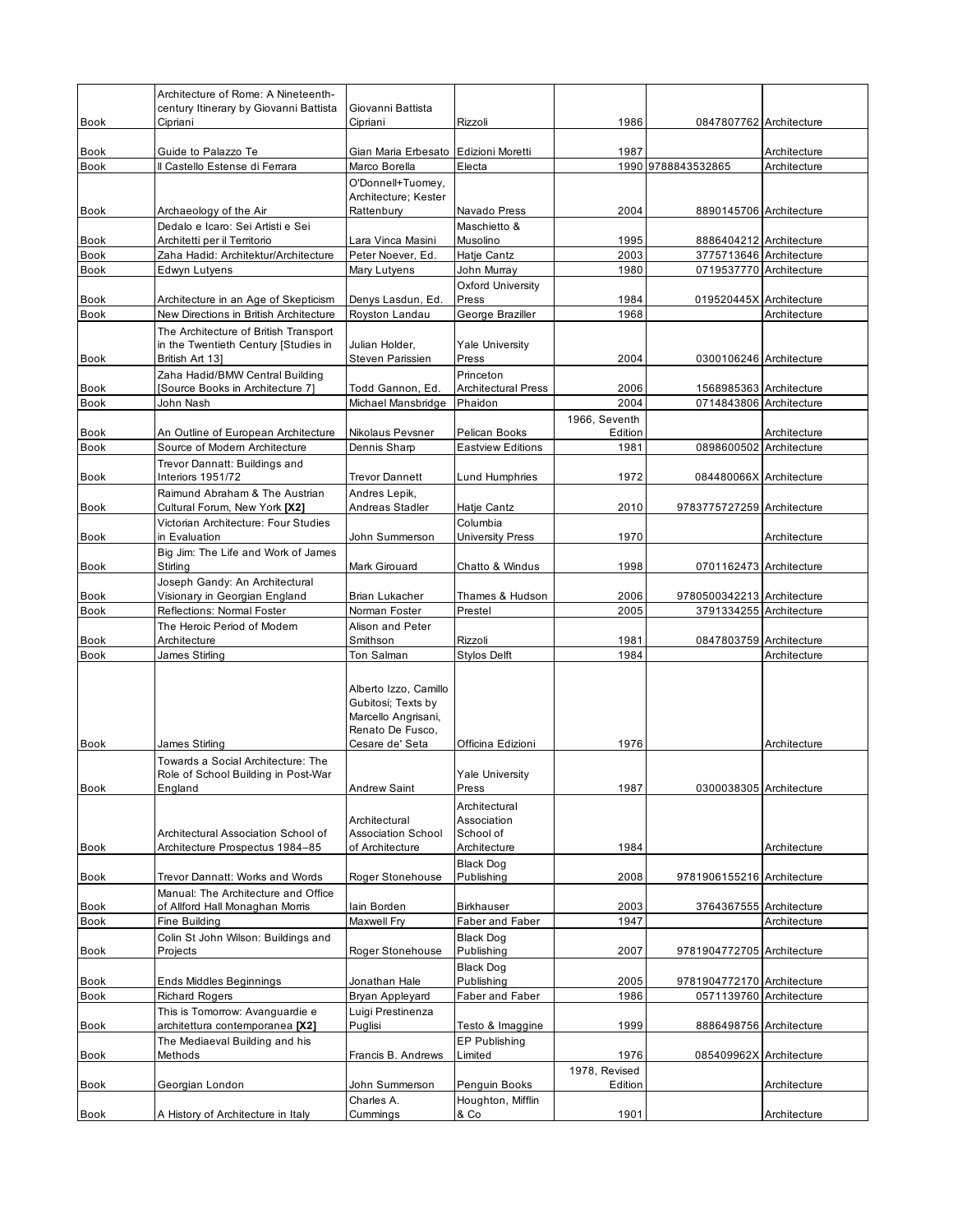|                            | Architecture of Rome: A Nineteenth-                                       |                                                                    |                                           |               |                                                       |              |
|----------------------------|---------------------------------------------------------------------------|--------------------------------------------------------------------|-------------------------------------------|---------------|-------------------------------------------------------|--------------|
| <b>Book</b>                | century Itinerary by Giovanni Battista<br>Cipriani                        | Giovanni Battista<br>Cipriani                                      | Rizzoli                                   | 1986          | 0847807762 Architecture                               |              |
|                            |                                                                           |                                                                    |                                           | 1987          |                                                       | Architecture |
| <b>Book</b><br><b>Book</b> | Guide to Palazzo Te<br>Il Castello Estense di Ferrara                     | Gian Maria Erbesato Edizioni Moretti<br>Marco Borella              | Electa                                    |               | 1990 9788843532865                                    | Architecture |
|                            |                                                                           | O'Donnell+Tuomey,                                                  |                                           |               |                                                       |              |
| Book                       | Archaeology of the Air                                                    | Architecture; Kester<br>Rattenbury                                 | Navado Press                              | 2004          | 8890145706 Architecture                               |              |
|                            | Dedalo e Icaro: Sei Artisti e Sei                                         |                                                                    | Maschietto &                              |               |                                                       |              |
| <b>Book</b>                | Architetti per il Territorio                                              | Lara Vinca Masini                                                  | Musolino                                  | 1995          | 8886404212 Architecture                               |              |
| Book                       | Zaha Hadid: Architektur/Architecture                                      | Peter Noever, Ed.                                                  | Hatje Cantz                               | 2003          | 3775713646 Architecture                               |              |
| <b>Book</b>                | Edwyn Lutyens                                                             | Mary Lutyens                                                       | John Murray                               | 1980          | 0719537770 Architecture                               |              |
| <b>Book</b>                | Architecture in an Age of Skepticism                                      | Denys Lasdun, Ed.                                                  | <b>Oxford University</b><br>Press         | 1984          | 019520445X Architecture                               |              |
| <b>Book</b>                | New Directions in British Architecture                                    | Royston Landau                                                     | George Braziller                          | 1968          |                                                       | Architecture |
|                            | The Architecture of British Transport                                     |                                                                    |                                           |               |                                                       |              |
|                            | in the Twentieth Century [Studies in                                      | Julian Holder,                                                     | <b>Yale University</b>                    |               |                                                       |              |
| Book                       | British Art 13]                                                           | Steven Parissien                                                   | Press                                     | 2004          | 0300106246 Architecture                               |              |
|                            | Zaha Hadid/BMW Central Building                                           |                                                                    | Princeton                                 |               |                                                       |              |
| Book                       | [Source Books in Architecture 7]                                          | Todd Gannon, Ed.                                                   | <b>Architectural Press</b>                | 2006          | 1568985363 Architecture                               |              |
| <b>Book</b>                | John Nash                                                                 | Michael Mansbridge                                                 | Phaidon                                   | 2004          | 0714843806 Architecture                               |              |
|                            |                                                                           |                                                                    |                                           | 1966, Seventh |                                                       |              |
| Book                       | An Outline of European Architecture                                       | Nikolaus Pevsner                                                   | Pelican Books<br><b>Eastview Editions</b> | Edition       | 0898600502 Architecture                               | Architecture |
| <b>Book</b>                | Source of Modern Architecture<br>Trevor Dannatt: Buildings and            | Dennis Sharp                                                       |                                           | 1981          |                                                       |              |
| <b>Book</b>                | Interiors 1951/72                                                         | <b>Trevor Dannett</b>                                              | Lund Humphries                            | 1972          | 084480066X Architecture                               |              |
|                            | Raimund Abraham & The Austrian                                            | Andres Lepik,                                                      |                                           |               |                                                       |              |
| Book                       | Cultural Forum, New York [X2]                                             | Andreas Stadler                                                    | Hatje Cantz                               | 2010          | 9783775727259 Architecture                            |              |
|                            | Victorian Architecture: Four Studies                                      |                                                                    | Columbia                                  |               |                                                       |              |
| <b>Book</b>                | in Evaluation                                                             | John Summerson                                                     | <b>University Press</b>                   | 1970          |                                                       | Architecture |
|                            | Big Jim: The Life and Work of James                                       |                                                                    |                                           |               |                                                       |              |
| <b>Book</b>                | Stirling                                                                  | Mark Girouard                                                      | Chatto & Windus                           | 1998          | 0701162473 Architecture                               |              |
|                            | Joseph Gandy: An Architectural                                            |                                                                    |                                           |               |                                                       |              |
| Book                       | Visionary in Georgian England                                             | Brian Lukacher                                                     | Thames & Hudson                           | 2006          | 9780500342213 Architecture                            |              |
| <b>Book</b>                | Reflections: Normal Foster                                                | Norman Foster                                                      | Prestel                                   | 2005          | 3791334255 Architecture                               |              |
| <b>Book</b>                | The Heroic Period of Modern<br>Architecture                               | Alison and Peter<br>Smithson                                       | Rizzoli                                   | 1981          | 0847803759 Architecture                               |              |
| <b>Book</b>                | James Stirling                                                            | Ton Salman                                                         | <b>Stylos Delft</b>                       | 1984          |                                                       | Architecture |
|                            |                                                                           |                                                                    |                                           |               |                                                       |              |
|                            |                                                                           | Alberto Izzo, Camillo<br>Gubitosi; Texts by<br>Marcello Angrisani, |                                           |               |                                                       |              |
|                            |                                                                           | Renato De Fusco,                                                   |                                           |               |                                                       |              |
| <b>Book</b>                | James Stirling                                                            | Cesare de' Seta                                                    | Officina Edizioni                         | 1976          |                                                       | Architecture |
|                            | Towards a Social Architecture: The<br>Role of School Building in Post-War |                                                                    | <b>Yale University</b>                    |               |                                                       |              |
| Book                       | England                                                                   | <b>Andrew Saint</b>                                                | Press                                     | 1987          | 0300038305 Architecture                               |              |
|                            |                                                                           | Architectural                                                      | Architectural<br>Association              |               |                                                       |              |
| <b>Book</b>                | Architectural Association School of<br>Architecture Prospectus 1984-85    | <b>Association School</b><br>of Architecture                       | School of<br>Architecture                 | 1984          |                                                       | Architecture |
|                            |                                                                           |                                                                    | <b>Black Dog</b>                          |               |                                                       |              |
| <b>Book</b>                | Trevor Dannatt: Works and Words                                           | Roger Stonehouse                                                   | Publishing                                | 2008          | 9781906155216 Architecture                            |              |
|                            | Manual: The Architecture and Office                                       |                                                                    |                                           |               |                                                       |              |
| Book                       | of Allford Hall Monaghan Morris                                           | lain Borden                                                        | <b>Birkhauser</b>                         | 2003          | 3764367555 Architecture                               |              |
| Book                       | Fine Building                                                             | Maxwell Fry                                                        | Faber and Faber                           | 1947          |                                                       | Architecture |
|                            | Colin St John Wilson: Buildings and                                       |                                                                    | <b>Black Dog</b>                          |               |                                                       |              |
| Book                       | Projects                                                                  | Roger Stonehouse                                                   | Publishing                                | 2007          | 9781904772705 Architecture                            |              |
|                            |                                                                           |                                                                    | <b>Black Dog</b>                          |               |                                                       |              |
| Book<br><b>Book</b>        | Ends Middles Beginnings<br><b>Richard Rogers</b>                          | Jonathan Hale<br>Bryan Appleyard                                   | Publishing<br>Faber and Faber             | 2005<br>1986  | 9781904772170 Architecture<br>0571139760 Architecture |              |
|                            | This is Tomorrow: Avanguardie e                                           | Luigi Prestinenza                                                  |                                           |               |                                                       |              |
| Book                       | architettura contemporanea [X2]                                           | Puglisi                                                            | Testo & Imaggine                          | 1999          | 8886498756 Architecture                               |              |
|                            | The Mediaeval Building and his                                            |                                                                    | EP Publishing                             |               |                                                       |              |
| Book                       | Methods                                                                   | Francis B. Andrews                                                 | Limited                                   | 1976          | 085409962X Architecture                               |              |
|                            |                                                                           |                                                                    |                                           | 1978, Revised |                                                       |              |
| Book                       | Georgian London                                                           | John Summerson                                                     | Penguin Books                             | Edition       |                                                       | Architecture |
|                            |                                                                           | Charles A.                                                         | Houghton, Mifflin                         |               |                                                       |              |
| <b>Book</b>                | A History of Architecture in Italy                                        | Cummings                                                           | & Co                                      | 1901          |                                                       | Architecture |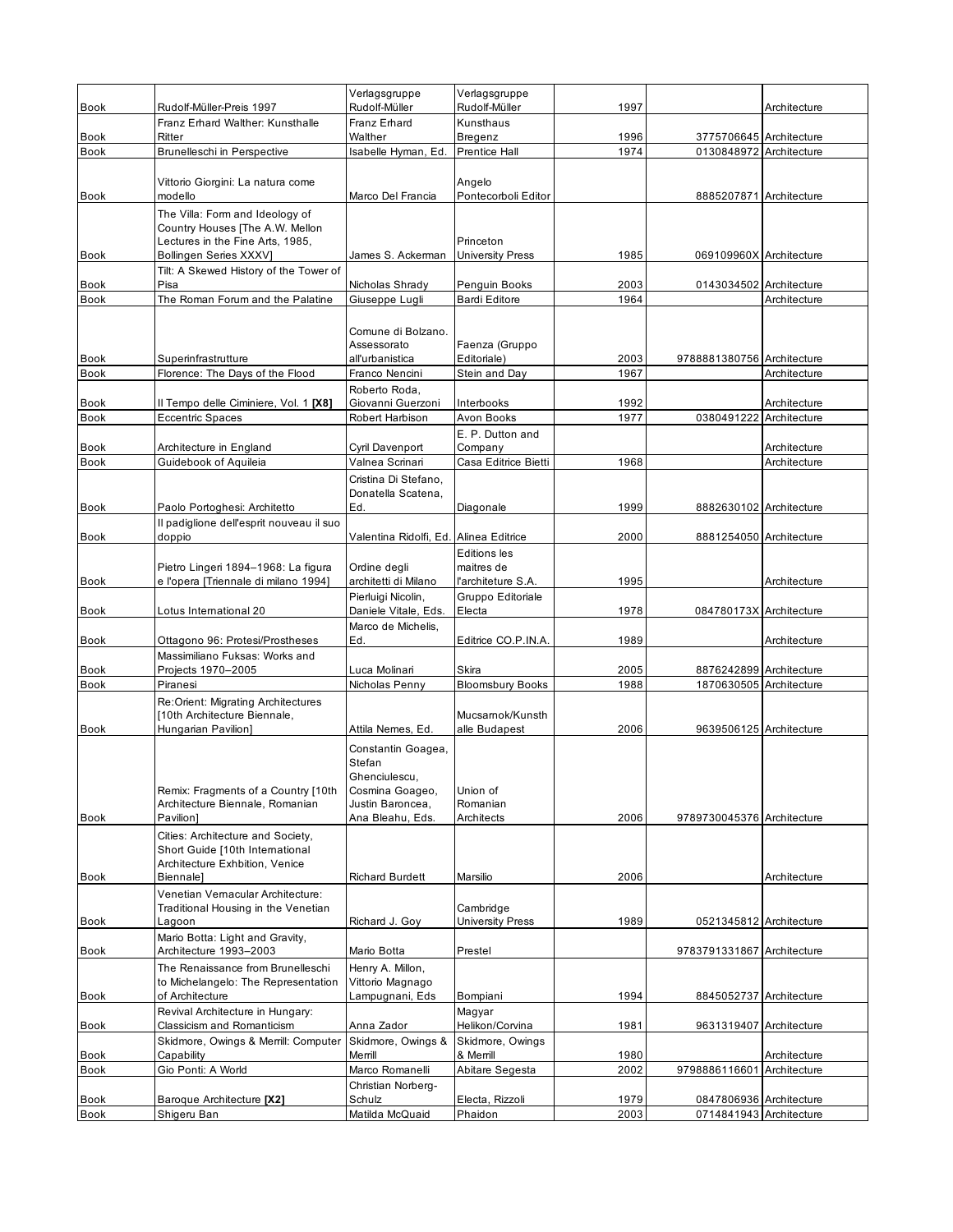| <b>Book</b> | Rudolf-Müller-Preis 1997                                                                                                         | Verlagsgruppe<br>Rudolf-Müller                                                                           | Verlagsgruppe<br>Rudolf-Müller          | 1997         |                            | Architecture |
|-------------|----------------------------------------------------------------------------------------------------------------------------------|----------------------------------------------------------------------------------------------------------|-----------------------------------------|--------------|----------------------------|--------------|
|             | Franz Erhard Walther: Kunsthalle                                                                                                 | Franz Erhard                                                                                             | Kunsthaus                               |              |                            |              |
| <b>Book</b> | Ritter                                                                                                                           | Walther                                                                                                  | Bregenz                                 | 1996         | 3775706645 Architecture    |              |
| <b>Book</b> | <b>Brunelleschi in Perspective</b>                                                                                               | Isabelle Hyman, Ed.                                                                                      | <b>Prentice Hall</b>                    | 1974         | 0130848972 Architecture    |              |
| Book        | Vittorio Giorgini: La natura come<br>modello                                                                                     | Marco Del Francia                                                                                        | Angelo<br>Pontecorboli Editor           |              | 8885207871 Architecture    |              |
| <b>Book</b> | The Villa: Form and Ideology of<br>Country Houses [The A.W. Mellon<br>Lectures in the Fine Arts, 1985,<br>Bollingen Series XXXVI | James S. Ackerman                                                                                        | Princeton<br><b>University Press</b>    | 1985         | 069109960X Architecture    |              |
| Book        | Tilt: A Skewed History of the Tower of<br>Pisa                                                                                   | Nicholas Shrady                                                                                          | Penguin Books                           | 2003         | 0143034502 Architecture    |              |
| <b>Book</b> | The Roman Forum and the Palatine                                                                                                 | Giuseppe Lugli                                                                                           | <b>Bardi Editore</b>                    | 1964         |                            | Architecture |
| <b>Book</b> | Superinfrastrutture                                                                                                              | Comune di Bolzano.<br>Assessorato<br>all'urbanistica                                                     | Faenza (Gruppo<br>Editoriale)           | 2003<br>1967 | 9788881380756 Architecture |              |
| <b>Book</b> | Florence: The Days of the Flood                                                                                                  | Franco Nencini<br>Roberto Roda,                                                                          | Stein and Day                           |              |                            | Architecture |
| <b>Book</b> | Il Tempo delle Ciminiere, Vol. 1 [X8]                                                                                            | Giovanni Guerzoni                                                                                        | Interbooks                              | 1992         |                            | Architecture |
| <b>Book</b> | <b>Eccentric Spaces</b>                                                                                                          | Robert Harbison                                                                                          | Avon Books                              | 1977         | 0380491222 Architecture    |              |
|             |                                                                                                                                  |                                                                                                          | E. P. Dutton and                        |              |                            |              |
| Book        | Architecture in England<br>Guidebook of Aquileia                                                                                 | Cyril Davenport<br>Valnea Scrinari                                                                       | Company<br>Casa Editrice Bietti         | 1968         |                            | Architecture |
| <b>Book</b> |                                                                                                                                  | Cristina Di Stefano,<br>Donatella Scatena.                                                               |                                         |              |                            | Architecture |
| Book        | Paolo Portoghesi: Architetto                                                                                                     | Ed.                                                                                                      | Diagonale                               | 1999         | 8882630102 Architecture    |              |
| <b>Book</b> | Il padiglione dell'esprit nouveau il suo<br>doppio                                                                               | Valentina Ridolfi, Ed. Alinea Editrice                                                                   |                                         | 2000         | 8881254050 Architecture    |              |
|             | Pietro Lingeri 1894-1968: La figura                                                                                              | Ordine degli                                                                                             | <b>Editions</b> les<br>maitres de       |              |                            |              |
| Book        | e l'opera [Triennale di milano 1994]                                                                                             | architetti di Milano<br>Pierluigi Nicolin,                                                               | l'architeture S.A.<br>Gruppo Editoriale | 1995         |                            | Architecture |
| Book        | Lotus International 20                                                                                                           | Daniele Vitale, Eds.<br>Marco de Michelis,                                                               | Electa                                  | 1978         | 084780173X Architecture    |              |
| <b>Book</b> | Ottagono 96: Protesi/Prostheses                                                                                                  | Ed.                                                                                                      | Editrice CO.P.IN.A.                     | 1989         |                            | Architecture |
| Book        | Massimiliano Fuksas: Works and<br>Projects 1970-2005                                                                             | Luca Molinari                                                                                            | Skira                                   | 2005         | 8876242899 Architecture    |              |
| <b>Book</b> | Piranesi                                                                                                                         | Nicholas Penny                                                                                           | <b>Bloomsbury Books</b>                 | 1988         | 1870630505 Architecture    |              |
| Book        | Re:Orient: Migrating Architectures<br>[10th Architecture Biennale,<br>Hungarian Pavilion]                                        | Attila Nemes, Ed.                                                                                        | Mucsamok/Kunsth<br>alle Budapest        | 2006         | 9639506125 Architecture    |              |
| <b>Book</b> | Remix: Fragments of a Country [10th<br>Architecture Biennale, Romanian<br>Pavilion1                                              | Constantin Goagea,<br>Stefan<br>Ghenciulescu,<br>Cosmina Goageo,<br>Justin Baroncea,<br>Ana Bleahu, Eds. | Union of<br>Romanian<br>Architects      | 2006         | 9789730045376 Architecture |              |
|             | Cities: Architecture and Society,<br>Short Guide [10th International<br>Architecture Exhbition, Venice                           |                                                                                                          |                                         |              |                            |              |
| Book        | Biennale]<br>Venetian Vernacular Architecture:                                                                                   | <b>Richard Burdett</b>                                                                                   | Marsilio                                | 2006         |                            | Architecture |
| Book        | Traditional Housing in the Venetian<br>Lagoon                                                                                    | Richard J. Goy                                                                                           | Cambridge<br><b>University Press</b>    | 1989         | 0521345812 Architecture    |              |
| Book        | Mario Botta: Light and Gravity,<br>Architecture 1993-2003                                                                        | Mario Botta                                                                                              | Prestel                                 |              | 9783791331867 Architecture |              |
| Book        | The Renaissance from Brunelleschi<br>to Michelangelo: The Representation<br>of Architecture                                      | Henry A. Millon,<br>Vittorio Magnago<br>Lampugnani, Eds                                                  | Bompiani                                | 1994         | 8845052737 Architecture    |              |
| Book        | Revival Architecture in Hungary:<br><b>Classicism and Romanticism</b>                                                            | Anna Zador                                                                                               | Magyar<br>Helikon/Corvina               | 1981         | 9631319407 Architecture    |              |
| Book        | Skidmore, Owings & Merrill: Computer<br>Capability                                                                               | Skidmore, Owings &<br>Merrill                                                                            | Skidmore, Owings<br>& Merrill           | 1980         |                            | Architecture |
| <b>Book</b> | Gio Ponti: A World                                                                                                               | Marco Romanelli                                                                                          | Abitare Segesta                         | 2002         | 9798886116601 Architecture |              |
| Book        | Baroque Architecture [X2]                                                                                                        | Christian Norberg-<br>Schulz                                                                             | Electa, Rizzoli                         | 1979         | 0847806936 Architecture    |              |
| Book        | Shigeru Ban                                                                                                                      | Matilda McQuaid                                                                                          | Phaidon                                 | 2003         | 0714841943 Architecture    |              |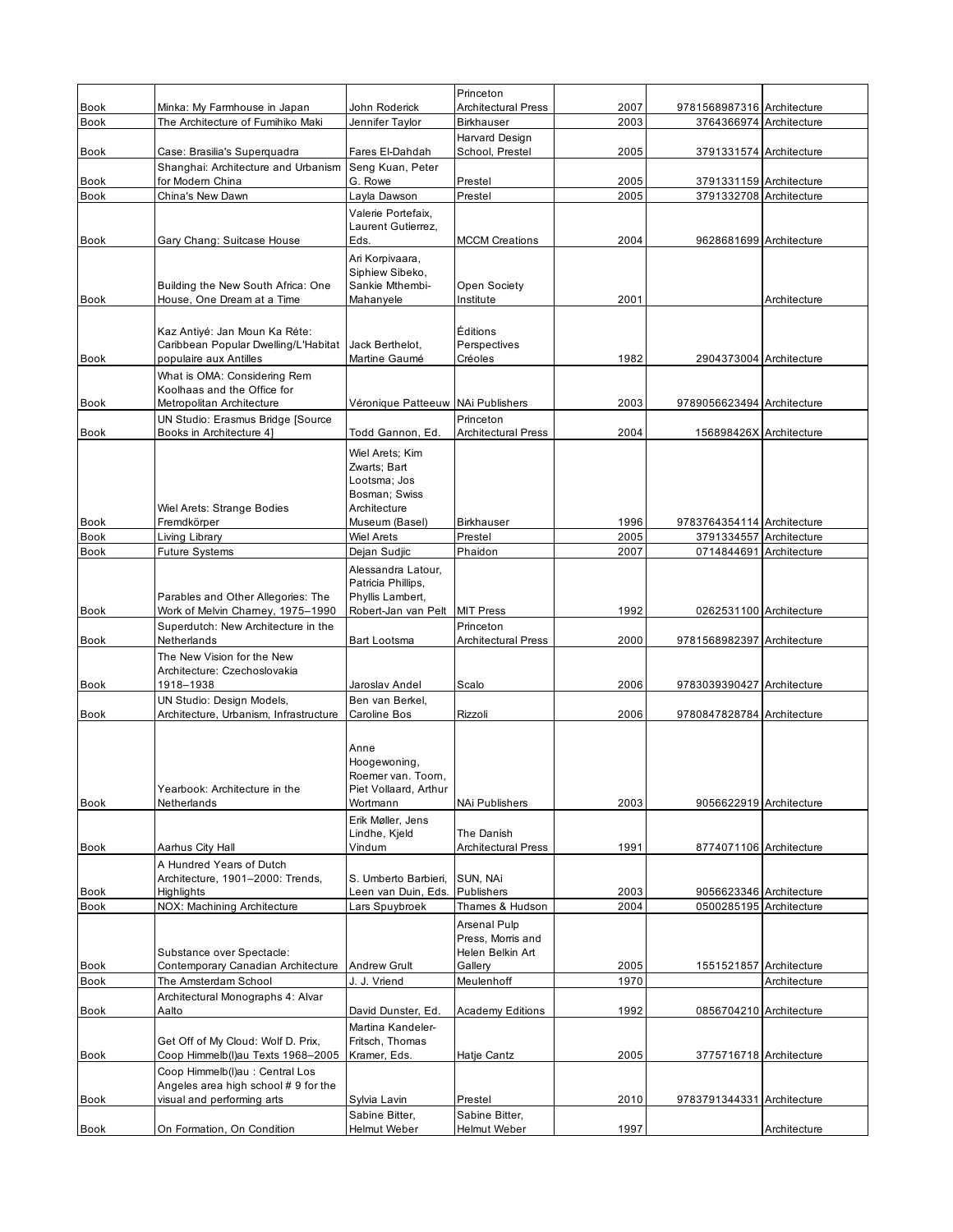|             |                                                                         |                                          | Princeton                           |      |                                                    |              |
|-------------|-------------------------------------------------------------------------|------------------------------------------|-------------------------------------|------|----------------------------------------------------|--------------|
| <b>Book</b> | Minka: My Farmhouse in Japan<br>The Architecture of Fumihiko Maki       | John Roderick                            | <b>Architectural Press</b>          | 2007 | 9781568987316 Architecture                         |              |
| <b>Book</b> |                                                                         | Jennifer Taylor                          | <b>Birkhauser</b><br>Harvard Design | 2003 | 3764366974 Architecture                            |              |
| <b>Book</b> | Case: Brasilia's Superquadra                                            | Fares El-Dahdah                          | School, Prestel                     | 2005 | 3791331574 Architecture                            |              |
|             | Shanghai: Architecture and Urbanism                                     | Seng Kuan, Peter                         |                                     |      |                                                    |              |
| <b>Book</b> | for Modern China                                                        | G. Rowe                                  | Prestel                             | 2005 | 3791331159 Architecture                            |              |
| <b>Book</b> | China's New Dawn                                                        | Layla Dawson                             | Prestel                             | 2005 | 3791332708 Architecture                            |              |
|             |                                                                         | Valerie Portefaix,<br>Laurent Gutierrez, |                                     |      |                                                    |              |
| Book        | Gary Chang: Suitcase House                                              | Eds.                                     | <b>MCCM Creations</b>               | 2004 | 9628681699 Architecture                            |              |
|             |                                                                         | Ari Korpivaara,                          |                                     |      |                                                    |              |
|             |                                                                         | Siphiew Sibeko,                          |                                     |      |                                                    |              |
| <b>Book</b> | Building the New South Africa: One<br>House, One Dream at a Time        | Sankie Mthembi-<br>Mahanyele             | Open Society<br>Institute           | 2001 |                                                    | Architecture |
|             |                                                                         |                                          |                                     |      |                                                    |              |
|             | Kaz Antiyé: Jan Moun Ka Réte:                                           |                                          | Éditions                            |      |                                                    |              |
|             | Caribbean Popular Dwelling/L'Habitat                                    | Jack Berthelot,                          | Perspectives                        |      |                                                    |              |
| <b>Book</b> | populaire aux Antilles                                                  | Martine Gaumé                            | Créoles                             | 1982 | 2904373004 Architecture                            |              |
|             | What is OMA: Considering Rem<br>Koolhaas and the Office for             |                                          |                                     |      |                                                    |              |
| <b>Book</b> | Metropolitan Architecture                                               | Véronique Patteeuw                       | <b>NAi Publishers</b>               | 2003 | 9789056623494 Architecture                         |              |
|             | UN Studio: Erasmus Bridge [Source                                       |                                          | Princeton                           |      |                                                    |              |
| Book        | Books in Architecture 4]                                                | Todd Gannon, Ed.                         | <b>Architectural Press</b>          | 2004 | 156898426X Architecture                            |              |
|             |                                                                         | Wiel Arets; Kim                          |                                     |      |                                                    |              |
|             |                                                                         | Zwarts; Bart                             |                                     |      |                                                    |              |
|             |                                                                         | Lootsma: Jos<br>Bosman; Swiss            |                                     |      |                                                    |              |
|             | <b>Wiel Arets: Strange Bodies</b>                                       | Architecture                             |                                     |      |                                                    |              |
| Book        | Fremdkörper                                                             | Museum (Basel)                           | <b>Birkhauser</b>                   | 1996 | 9783764354114 Architecture                         |              |
| <b>Book</b> | Living Library                                                          | <b>Wiel Arets</b>                        | Prestel                             | 2005 | 3791334557 Architecture                            |              |
| Book        | Future Systems                                                          | Dejan Sudjic                             | Phaidon                             | 2007 | 0714844691 Architecture                            |              |
|             |                                                                         | Alessandra Latour,                       |                                     |      |                                                    |              |
|             |                                                                         | Patricia Phillips,                       |                                     |      |                                                    |              |
| <b>Book</b> | Parables and Other Allegories: The<br>Work of Melvin Charney, 1975-1990 | Phyllis Lambert,<br>Robert-Jan van Pelt  | <b>MIT Press</b>                    | 1992 | 0262531100 Architecture                            |              |
|             | Superdutch: New Architecture in the                                     |                                          | Princeton                           |      |                                                    |              |
| Book        | Netherlands                                                             | Bart Lootsma                             | <b>Architectural Press</b>          | 2000 | 9781568982397 Architecture                         |              |
|             | The New Vision for the New                                              |                                          |                                     |      |                                                    |              |
|             | Architecture: Czechoslovakia                                            |                                          |                                     |      |                                                    |              |
| Book        | 1918-1938                                                               | Jaroslav Andel<br>Ben van Berkel.        | Scalo                               | 2006 | 9783039390427 Architecture                         |              |
| <b>Book</b> | UN Studio: Design Models,<br>Architecture, Urbanism, Infrastructure     | <b>Caroline Bos</b>                      | Rizzoli                             | 2006 | 9780847828784 Architecture                         |              |
|             |                                                                         |                                          |                                     |      |                                                    |              |
|             |                                                                         | Anne                                     |                                     |      |                                                    |              |
|             |                                                                         | Hoogewoning,                             |                                     |      |                                                    |              |
|             |                                                                         | Roemer van. Toom,                        |                                     |      |                                                    |              |
|             | Yearbook: Architecture in the<br>Netherlands                            | Piet Vollaard, Arthur                    |                                     | 2003 | 9056622919 Architecture                            |              |
| <b>Book</b> |                                                                         | Wortmann<br>Erik Møller, Jens            | NAi Publishers                      |      |                                                    |              |
|             |                                                                         | Lindhe, Kjeld                            | The Danish                          |      |                                                    |              |
| Book        | Aarhus City Hall                                                        | Vindum                                   | Architectural Press                 | 1991 | 8774071106 Architecture                            |              |
|             | A Hundred Years of Dutch                                                |                                          |                                     |      |                                                    |              |
|             | Architecture, 1901-2000: Trends,                                        | S. Umberto Barbieri,                     | SUN, NAi                            |      |                                                    |              |
| Book        | Highlights<br>NOX: Machining Architecture                               | Leen van Duin, Eds.                      | Publishers                          | 2003 | 9056623346 Architecture<br>0500285195 Architecture |              |
| Book        |                                                                         | Lars Spuybroek                           | Thames & Hudson                     | 2004 |                                                    |              |
|             |                                                                         |                                          | Arsenal Pulp<br>Press, Morris and   |      |                                                    |              |
|             | Substance over Spectacle:                                               |                                          | Helen Belkin Art                    |      |                                                    |              |
| Book        | Contemporary Canadian Architecture                                      | Andrew Grult                             | Gallery                             | 2005 | 1551521857 Architecture                            |              |
| Book        | The Amsterdam School                                                    | J. J. Vriend                             | Meulenhoff                          | 1970 |                                                    | Architecture |
|             | Architectural Monographs 4: Alvar<br>Aalto                              |                                          |                                     |      | 0856704210 Architecture                            |              |
| Book        |                                                                         | David Dunster, Ed.<br>Martina Kandeler-  | <b>Academy Editions</b>             | 1992 |                                                    |              |
|             | Get Off of My Cloud: Wolf D. Prix,                                      | Fritsch, Thomas                          |                                     |      |                                                    |              |
| Book        | Coop Himmelb(I)au Texts 1968-2005                                       | Kramer, Eds.                             | Hatje Cantz                         | 2005 | 3775716718 Architecture                            |              |
|             | Coop Himmelb(I)au : Central Los                                         |                                          |                                     |      |                                                    |              |
|             | Angeles area high school #9 for the                                     |                                          |                                     |      |                                                    |              |
| Book        | visual and performing arts                                              | Sylvia Lavin                             | Prestel                             | 2010 | 9783791344331 Architecture                         |              |
|             |                                                                         | Sabine Bitter,                           | Sabine Bitter,                      |      |                                                    |              |
| Book        | On Formation, On Condition                                              | Helmut Weber                             | Helmut Weber                        | 1997 |                                                    | Architecture |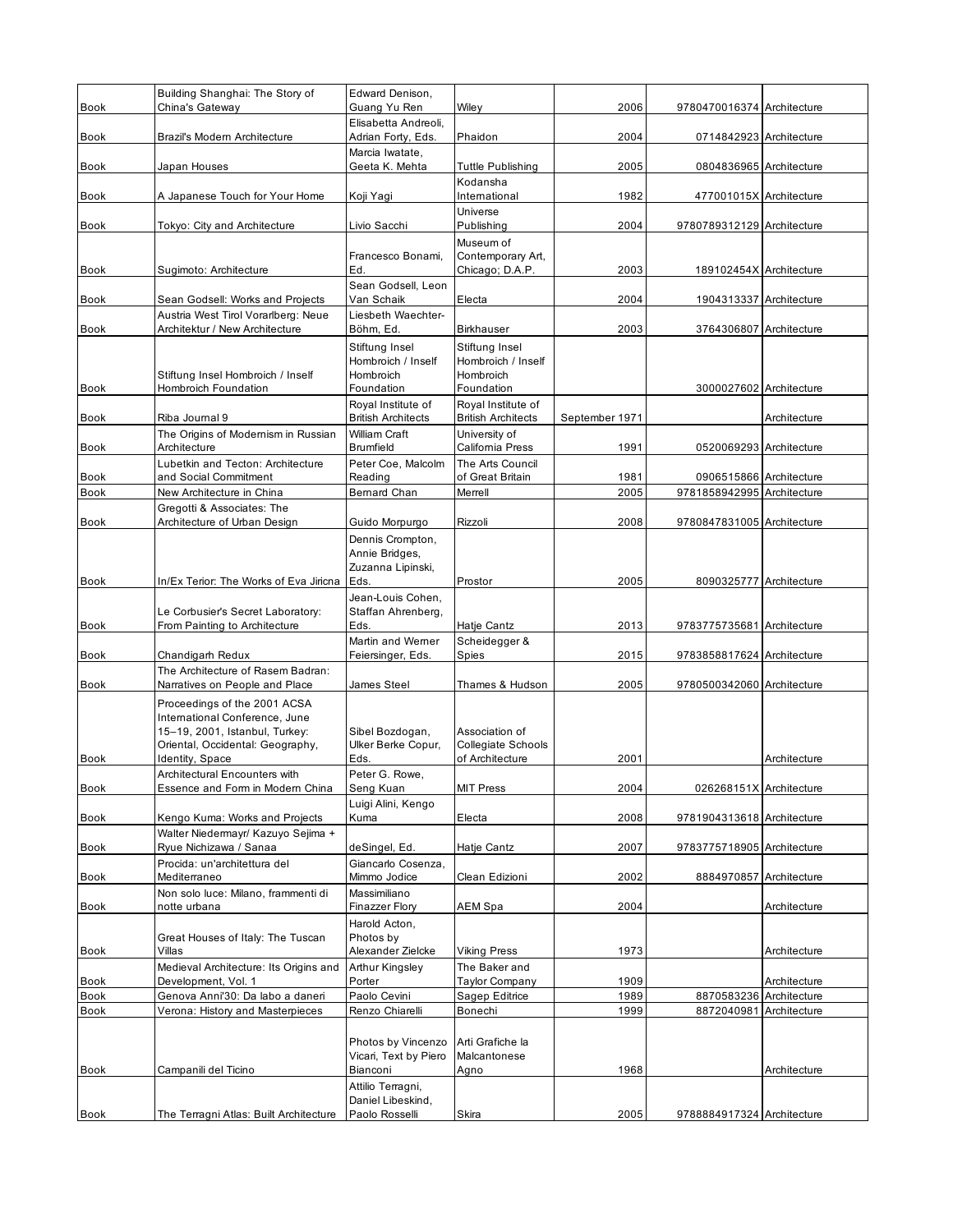| Book         | Building Shanghai: The Story of<br>China's Gateway                    | Edward Denison,<br>Guang Yu Ren                 | Wiley                                           | 2006           | 9780470016374 Architecture |              |
|--------------|-----------------------------------------------------------------------|-------------------------------------------------|-------------------------------------------------|----------------|----------------------------|--------------|
|              |                                                                       | Elisabetta Andreoli,                            |                                                 |                |                            |              |
| Book         | Brazil's Modern Architecture                                          | Adrian Forty, Eds.<br>Marcia Iwatate,           | Phaidon                                         | 2004           | 0714842923 Architecture    |              |
| Book         | Japan Houses                                                          | Geeta K. Mehta                                  | <b>Tuttle Publishing</b>                        | 2005           | 0804836965 Architecture    |              |
| <b>Book</b>  | A Japanese Touch for Your Home                                        | Koji Yagi                                       | Kodansha<br>International                       | 1982           | 477001015X Architecture    |              |
|              |                                                                       |                                                 | Universe                                        |                |                            |              |
| Book         | Tokyo: City and Architecture                                          | Livio Sacchi                                    | Publishing<br>Museum of                         | 2004           | 9780789312129 Architecture |              |
|              |                                                                       | Francesco Bonami,                               | Contemporary Art,                               |                |                            |              |
| Book         | Sugimoto: Architecture                                                | Ed.<br>Sean Godsell, Leon                       | Chicago; D.A.P.                                 | 2003           | 189102454X Architecture    |              |
| Book         | Sean Godsell: Works and Projects                                      | Van Schaik                                      | Electa                                          | 2004           | 1904313337 Architecture    |              |
| Book         | Austria West Tirol Vorarlberg: Neue<br>Architektur / New Architecture | Liesbeth Waechter-<br>Böhm, Ed.                 | <b>Birkhauser</b>                               | 2003           | 3764306807 Architecture    |              |
|              |                                                                       | Stiftung Insel                                  | Stiftung Insel                                  |                |                            |              |
|              | Stiftung Insel Hombroich / Inself                                     | Hombroich / Inself<br>Hombroich                 | Hombroich / Inself<br>Hombroich                 |                |                            |              |
| <b>Book</b>  | Hombroich Foundation                                                  | Foundation                                      | Foundation                                      |                | 3000027602 Architecture    |              |
| Book         | Riba Journal 9                                                        | Royal Institute of<br><b>British Architects</b> | Royal Institute of<br><b>British Architects</b> | September 1971 |                            | Architecture |
|              | The Origins of Modernism in Russian                                   | William Craft                                   | University of                                   |                |                            |              |
| Book         | Architecture<br>Lubetkin and Tecton: Architecture                     | Brumfield<br>Peter Coe, Malcolm                 | California Press<br>The Arts Council            | 1991           | 0520069293 Architecture    |              |
| Book         | and Social Commitment                                                 | Reading                                         | of Great Britain                                | 1981           | 0906515866 Architecture    |              |
| Book         | New Architecture in China                                             | Bernard Chan                                    | Merrell                                         | 2005           | 9781858942995 Architecture |              |
| Book         | Gregotti & Associates: The<br>Architecture of Urban Design            | Guido Morpurgo                                  | Rizzoli                                         | 2008           | 9780847831005 Architecture |              |
|              |                                                                       | Dennis Crompton,                                |                                                 |                |                            |              |
|              |                                                                       | Annie Bridges,<br>Zuzanna Lipinski,             |                                                 |                |                            |              |
| <b>Book</b>  | In/Ex Terior: The Works of Eva Jiricna                                | Eds.                                            | Prostor                                         | 2005           | 8090325777 Architecture    |              |
|              | Le Corbusier's Secret Laboratory:                                     | Jean-Louis Cohen,<br>Staffan Ahrenberg,         |                                                 |                |                            |              |
| Book         | From Painting to Architecture                                         | Eds.                                            | Hatje Cantz                                     | 2013           | 9783775735681 Architecture |              |
|              |                                                                       | Martin and Werner                               | Scheidegger &                                   |                |                            |              |
| Book         | Chandigarh Redux<br>The Architecture of Rasem Badran:                 | Feiersinger, Eds.                               | Spies                                           | 2015           | 9783858817624 Architecture |              |
| Book         | Narratives on People and Place                                        | James Steel                                     | Thames & Hudson                                 | 2005           | 9780500342060 Architecture |              |
|              | Proceedings of the 2001 ACSA<br>International Conference, June        |                                                 |                                                 |                |                            |              |
|              | 15-19, 2001, Istanbul, Turkey:                                        | Sibel Bozdogan,                                 | Association of                                  |                |                            |              |
| Book         | Oriental, Occidental: Geography,<br>Identity, Space                   | Ulker Berke Copur,<br>Eds.                      | <b>Collegiate Schools</b><br>of Architecture    | 2001           |                            | Architecture |
|              | Architectural Encounters with                                         | Peter G. Rowe.                                  |                                                 |                |                            |              |
| Book         | Essence and Form in Modern China                                      | Seng Kuan                                       | <b>MIT Press</b>                                | 2004           | 026268151X Architecture    |              |
| Book         | Kengo Kuma: Works and Projects                                        | Luigi Alini, Kengo<br>Kuma                      | Electa                                          | 2008           | 9781904313618 Architecture |              |
|              | Walter Niedermayr/ Kazuyo Sejima +<br>Ryue Nichizawa / Sanaa          | deSingel, Ed.                                   | Hatje Cantz                                     | 2007           | 9783775718905 Architecture |              |
| Book         | Procida: un'architettura del                                          | Giancarlo Cosenza.                              |                                                 |                |                            |              |
| <b>Book</b>  | Mediterraneo                                                          | Mimmo Jodice                                    | Clean Edizioni                                  | 2002           | 8884970857 Architecture    |              |
| Book         | Non solo luce: Milano, frammenti di<br>notte urbana                   | Massimiliano<br>Finazzer Flory                  | AEM Spa                                         | 2004           |                            | Architecture |
|              |                                                                       | Harold Acton,                                   |                                                 |                |                            |              |
| Book         | Great Houses of Italy: The Tuscan<br>Villas                           | Photos by<br>Alexander Zielcke                  | <b>Viking Press</b>                             | 1973           |                            | Architecture |
|              | Medieval Architecture: Its Origins and                                | Arthur Kingsley                                 | The Baker and                                   |                |                            |              |
| Book<br>Book | Development, Vol. 1<br>Genova Anni'30: Da labo a daneri               | Porter<br>Paolo Cevini                          | <b>Taylor Company</b><br>Sagep Editrice         | 1909<br>1989   | 8870583236 Architecture    | Architecture |
| Book         | Verona: History and Masterpieces                                      | Renzo Chiarelli                                 | Bonechi                                         | 1999           | 8872040981                 | Architecture |
|              |                                                                       |                                                 |                                                 |                |                            |              |
|              |                                                                       | Photos by Vincenzo<br>Vicari, Text by Piero     | Arti Grafiche la<br>Malcantonese                |                |                            |              |
| Book         | Campanili del Ticino                                                  | Bianconi                                        | Agno                                            | 1968           |                            | Architecture |
|              |                                                                       | Attilio Terragni,<br>Daniel Libeskind,          |                                                 |                |                            |              |
| <b>Book</b>  | The Terragni Atlas: Built Architecture                                | Paolo Rosselli                                  | Skira                                           | 2005           | 9788884917324 Architecture |              |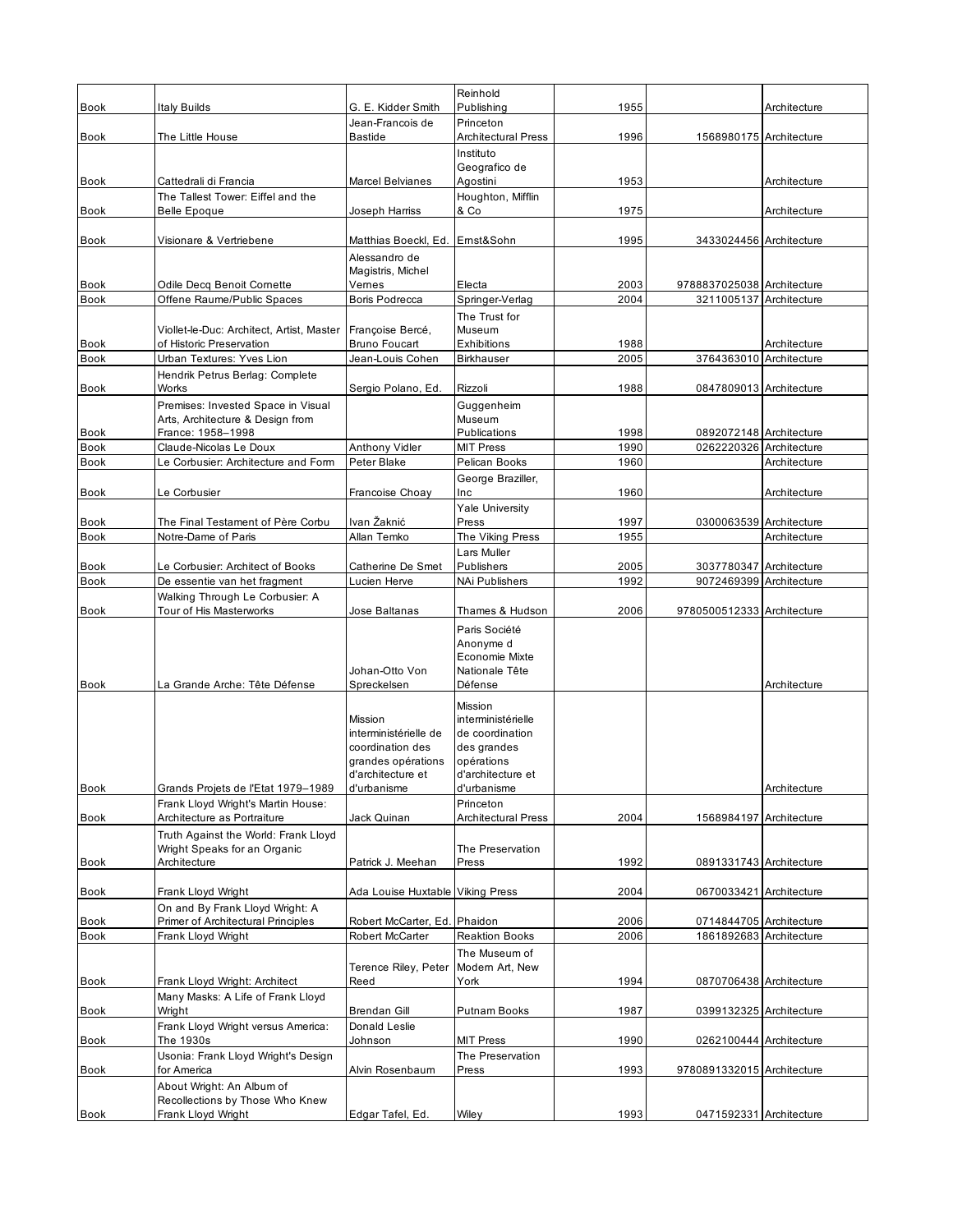| Book                | Italy Builds                                                        | G. E. Kidder Smith                      | Reinhold<br>Publishing               | 1955         |                                                       | Architecture |
|---------------------|---------------------------------------------------------------------|-----------------------------------------|--------------------------------------|--------------|-------------------------------------------------------|--------------|
|                     |                                                                     | Jean-Francois de                        | Princeton                            |              |                                                       |              |
| <b>Book</b>         | The Little House                                                    | Bastide                                 | <b>Architectural Press</b>           | 1996         | 1568980175 Architecture                               |              |
|                     |                                                                     |                                         | Instituto                            |              |                                                       |              |
| Book                | Cattedrali di Francia                                               | <b>Marcel Belvianes</b>                 | Geografico de<br>Agostini            | 1953         |                                                       | Architecture |
|                     | The Tallest Tower: Eiffel and the                                   |                                         | Houghton, Mifflin                    |              |                                                       |              |
| <b>Book</b>         | <b>Belle Epoque</b>                                                 | Joseph Harriss                          | & Co                                 | 1975         |                                                       | Architecture |
| Book                | Visionare & Vertriebene                                             | Matthias Boeckl, Ed.                    | Emst&Sohn                            | 1995         | 3433024456 Architecture                               |              |
|                     |                                                                     | Alessandro de                           |                                      |              |                                                       |              |
|                     |                                                                     | Magistris, Michel                       |                                      |              |                                                       |              |
| Book<br><b>Book</b> | Odile Decq Benoit Cornette<br>Offene Raume/Public Spaces            | Vernes<br>Boris Podrecca                | Electa<br>Springer-Verlag            | 2003<br>2004 | 9788837025038 Architecture<br>3211005137 Architecture |              |
|                     |                                                                     |                                         | The Trust for                        |              |                                                       |              |
|                     | Viollet-le-Duc: Architect, Artist, Master                           | Françoise Bercé,                        | Museum                               |              |                                                       |              |
| Book                | of Historic Preservation                                            | <b>Bruno Foucart</b>                    | Exhibitions                          | 1988         |                                                       | Architecture |
| <b>Book</b>         | Urban Textures: Yves Lion<br>Hendrik Petrus Berlag: Complete        | Jean-Louis Cohen                        | <b>Birkhauser</b>                    | 2005         | 3764363010 Architecture                               |              |
| Book                | Works                                                               | Sergio Polano, Ed.                      | Rizzoli                              | 1988         | 0847809013 Architecture                               |              |
|                     | Premises: Invested Space in Visual                                  |                                         | Guggenheim                           |              |                                                       |              |
|                     | Arts, Architecture & Design from                                    |                                         | Museum<br>Publications               |              |                                                       |              |
| Book<br><b>Book</b> | France: 1958-1998<br>Claude-Nicolas Le Doux                         | Anthony Vidler                          | <b>MIT Press</b>                     | 1998<br>1990 | 0892072148 Architecture<br>0262220326 Architecture    |              |
| <b>Book</b>         | Le Corbusier: Architecture and Form                                 | Peter Blake                             | Pelican Books                        | 1960         |                                                       | Architecture |
|                     |                                                                     |                                         | George Braziller,                    |              |                                                       |              |
| Book                | Le Corbusier                                                        | Francoise Choay                         | Inc<br>Yale University               | 1960         |                                                       | Architecture |
| Book                | The Final Testament of Père Corbu                                   | Ivan Žaknić                             | Press                                | 1997         | 0300063539 Architecture                               |              |
| <b>Book</b>         | Notre-Dame of Paris                                                 | Allan Temko                             | The Viking Press                     | 1955         |                                                       | Architecture |
|                     |                                                                     |                                         | Lars Muller                          |              |                                                       |              |
| Book<br><b>Book</b> | Le Corbusier: Architect of Books<br>De essentie van het fragment    | Catherine De Smet<br>Lucien Herve       | Publishers<br>NAi Publishers         | 2005<br>1992 | 3037780347 Architecture<br>9072469399 Architecture    |              |
|                     | Walking Through Le Corbusier: A                                     |                                         |                                      |              |                                                       |              |
| Book                | Tour of His Masterworks                                             | Jose Baltanas                           | Thames & Hudson                      | 2006         | 9780500512333 Architecture                            |              |
|                     |                                                                     |                                         | Paris Société<br>Anonyme d           |              |                                                       |              |
|                     |                                                                     |                                         | Economie Mixte                       |              |                                                       |              |
|                     |                                                                     | Johan-Otto Von                          | Nationale Tête                       |              |                                                       |              |
| <b>Book</b>         | La Grande Arche: Tête Défense                                       | Spreckelsen                             | Défense                              |              |                                                       | Architecture |
|                     |                                                                     | Mission                                 | <b>Mission</b><br>interministérielle |              |                                                       |              |
|                     |                                                                     | interministérielle de                   | de coordination                      |              |                                                       |              |
|                     |                                                                     | coordination des                        | des grandes                          |              |                                                       |              |
|                     |                                                                     | grandes opérations<br>d'architecture et | opérations<br>d'architecture et      |              |                                                       |              |
| Book                | Grands Projets de l'Etat 1979-1989                                  | d'urbanisme                             | d'urbanisme                          |              |                                                       | Architecture |
|                     | Frank Lloyd Wright's Martin House:                                  |                                         | Princeton                            |              |                                                       |              |
| <b>Book</b>         | Architecture as Portraiture<br>Truth Against the World: Frank Lloyd | Jack Quinan                             | <b>Architectural Press</b>           | 2004         | 1568984197 Architecture                               |              |
|                     | Wright Speaks for an Organic                                        |                                         | The Preservation                     |              |                                                       |              |
| Book                | Architecture                                                        | Patrick J. Meehan                       | Press                                | 1992         | 0891331743 Architecture                               |              |
| Book                | Frank Lloyd Wright                                                  | Ada Louise Huxtable Viking Press        |                                      | 2004         | 0670033421 Architecture                               |              |
|                     | On and By Frank Lloyd Wright: A                                     |                                         |                                      |              |                                                       |              |
| Book                | <b>Primer of Architectural Principles</b>                           | Robert McCarter, Ed. Phaidon            |                                      | 2006         | 0714844705 Architecture                               |              |
| <b>Book</b>         | Frank Lloyd Wright                                                  | Robert McCarter                         | <b>Reaktion Books</b>                | 2006         | 1861892683 Architecture                               |              |
|                     |                                                                     | Terence Riley, Peter                    | The Museum of<br>Modern Art, New     |              |                                                       |              |
| Book                | Frank Lloyd Wright: Architect                                       | Reed                                    | York                                 | 1994         | 0870706438 Architecture                               |              |
|                     | Many Masks: A Life of Frank Lloyd                                   |                                         |                                      |              |                                                       |              |
| Book                | Wright                                                              | <b>Brendan Gill</b>                     | Putnam Books                         | 1987         | 0399132325 Architecture                               |              |
| Book                | Frank Lloyd Wright versus America:<br>The 1930s                     | Donald Leslie<br>Johnson                | <b>MIT Press</b>                     | 1990         | 0262100444 Architecture                               |              |
|                     |                                                                     |                                         |                                      |              |                                                       |              |
|                     | Usonia: Frank Lloyd Wright's Design                                 |                                         | The Preservation                     |              |                                                       |              |
| Book                | for America                                                         | Alvin Rosenbaum                         | Press                                | 1993         | 9780891332015 Architecture                            |              |
|                     | About Wright: An Album of<br>Recollections by Those Who Knew        |                                         |                                      |              |                                                       |              |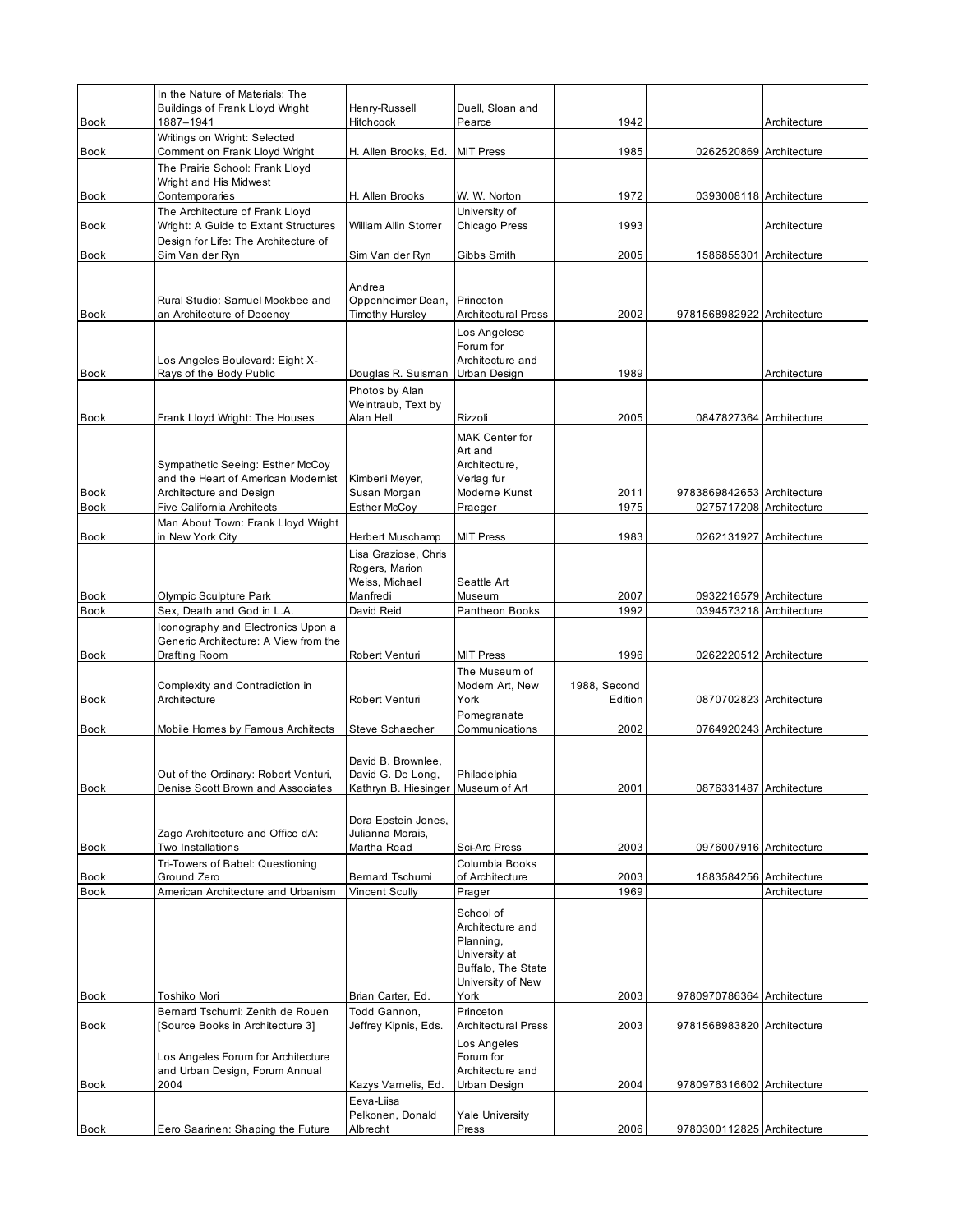|                     | In the Nature of Materials: The<br><b>Buildings of Frank Lloyd Wright</b> | Henry-Russell                            | Duell, Sloan and                           |                         |                                                    |              |
|---------------------|---------------------------------------------------------------------------|------------------------------------------|--------------------------------------------|-------------------------|----------------------------------------------------|--------------|
| <b>Book</b>         | 1887-1941                                                                 | Hitchcock                                | Pearce                                     | 1942                    |                                                    | Architecture |
| <b>Book</b>         | Writings on Wright: Selected<br>Comment on Frank Lloyd Wright             | H. Allen Brooks, Ed.                     | <b>MIT Press</b>                           | 1985                    | 0262520869 Architecture                            |              |
|                     | The Prairie School: Frank Lloyd<br>Wright and His Midwest                 |                                          |                                            |                         |                                                    |              |
| <b>Book</b>         | Contemporaries                                                            | H. Allen Brooks                          | W. W. Norton                               | 1972                    | 0393008118 Architecture                            |              |
| Book                | The Architecture of Frank Lloyd<br>Wright: A Guide to Extant Structures   | William Allin Storrer                    | University of<br>Chicago Press             | 1993                    |                                                    | Architecture |
|                     | Design for Life: The Architecture of                                      |                                          |                                            |                         |                                                    |              |
| Book                | Sim Van der Ryn                                                           | Sim Van der Ryn                          | Gibbs Smith                                | 2005                    | 1586855301 Architecture                            |              |
|                     |                                                                           | Andrea                                   |                                            |                         |                                                    |              |
|                     | Rural Studio: Samuel Mockbee and                                          | Oppenheimer Dean,                        | Princeton                                  |                         |                                                    |              |
| <b>Book</b>         | an Architecture of Decency                                                | <b>Timothy Hursley</b>                   | <b>Architectural Press</b><br>Los Angelese | 2002                    | 9781568982922 Architecture                         |              |
|                     |                                                                           |                                          | Forum for                                  |                         |                                                    |              |
| <b>Book</b>         | Los Angeles Boulevard: Eight X-<br>Rays of the Body Public                | Douglas R. Suisman                       | Architecture and<br>Urban Design           | 1989                    |                                                    | Architecture |
|                     |                                                                           | Photos by Alan                           |                                            |                         |                                                    |              |
| Book                | Frank Lloyd Wright: The Houses                                            | Weintraub, Text by<br>Alan Hell          | Rizzoli                                    | 2005                    | 0847827364 Architecture                            |              |
|                     |                                                                           |                                          | <b>MAK Center for</b>                      |                         |                                                    |              |
|                     |                                                                           |                                          | Art and                                    |                         |                                                    |              |
|                     | Sympathetic Seeing: Esther McCoy<br>and the Heart of American Modernist   | Kimberli Meyer,                          | Architecture,<br>Verlag fur                |                         |                                                    |              |
| Book                | Architecture and Design                                                   | Susan Morgan                             | Moderne Kunst                              | 2011                    | 9783869842653 Architecture                         |              |
| Book                | Five California Architects<br>Man About Town: Frank Lloyd Wright          | <b>Esther McCoy</b>                      | Praeger                                    | 1975                    | 0275717208 Architecture                            |              |
| <b>Book</b>         | in New York City                                                          | Herbert Muschamp                         | <b>MIT Press</b>                           | 1983                    | 0262131927 Architecture                            |              |
|                     |                                                                           | Lisa Graziose, Chris<br>Rogers, Marion   |                                            |                         |                                                    |              |
|                     |                                                                           | Weiss, Michael                           | Seattle Art                                |                         |                                                    |              |
| Book<br><b>Book</b> | Olympic Sculpture Park<br>Sex, Death and God in L.A.                      | Manfredi<br>David Reid                   | Museum<br>Pantheon Books                   | 2007<br>1992            | 0932216579 Architecture<br>0394573218 Architecture |              |
|                     | Iconography and Electronics Upon a                                        |                                          |                                            |                         |                                                    |              |
| <b>Book</b>         | Generic Architecture: A View from the<br>Drafting Room                    | Robert Venturi                           | <b>MIT Press</b>                           | 1996                    | 0262220512 Architecture                            |              |
|                     |                                                                           |                                          | The Museum of                              |                         |                                                    |              |
| Book                | Complexity and Contradiction in<br>Architecture                           | Robert Venturi                           | Modern Art, New<br>York                    | 1988, Second<br>Edition | 0870702823 Architecture                            |              |
|                     |                                                                           |                                          | Pomegranate                                |                         |                                                    |              |
| <b>Book</b>         | Mobile Homes by Famous Architects                                         | Steve Schaecher                          | Communications                             | 2002                    | 0764920243 Architecture                            |              |
|                     |                                                                           | David B. Brownlee,                       |                                            |                         |                                                    |              |
|                     | Out of the Ordinary: Robert Venturi,                                      | David G. De Long,                        | Philadelphia                               |                         |                                                    |              |
| Book                | Denise Scott Brown and Associates                                         | Kathryn B. Hiesinger Museum of Art       |                                            | 2001                    | 0876331487 Architecture                            |              |
|                     |                                                                           | Dora Epstein Jones,                      |                                            |                         |                                                    |              |
| Book                | Zago Architecture and Office dA:<br>Two Installations                     | Julianna Morais,<br>Martha Read          | Sci-Arc Press                              | 2003                    | 0976007916 Architecture                            |              |
|                     | Tri-Towers of Babel: Questioning                                          |                                          | Columbia Books                             |                         |                                                    |              |
| Book<br><b>Book</b> | Ground Zero<br>American Architecture and Urbanism                         | Bernard Tschumi<br><b>Vincent Scully</b> | of Architecture<br>Prager                  | 2003<br>1969            | 1883584256 Architecture                            | Architecture |
|                     |                                                                           |                                          | School of                                  |                         |                                                    |              |
|                     |                                                                           |                                          | Architecture and                           |                         |                                                    |              |
|                     |                                                                           |                                          | Planning,<br>University at                 |                         |                                                    |              |
|                     |                                                                           |                                          | Buffalo, The State                         |                         |                                                    |              |
| Book                | Toshiko Mori                                                              | Brian Carter, Ed.                        | University of New<br>York                  | 2003                    | 9780970786364 Architecture                         |              |
|                     | Bernard Tschumi: Zenith de Rouen                                          | Todd Gannon,                             | Princeton                                  |                         |                                                    |              |
| Book                | [Source Books in Architecture 3]                                          | Jeffrey Kipnis, Eds.                     | <b>Architectural Press</b>                 | 2003                    | 9781568983820 Architecture                         |              |
|                     | Los Angeles Forum for Architecture                                        |                                          | Los Angeles<br>Forum for                   |                         |                                                    |              |
| <b>Book</b>         | and Urban Design, Forum Annual<br>2004                                    | Kazys Vamelis, Ed.                       | Architecture and<br>Urban Design           | 2004                    | 9780976316602 Architecture                         |              |
|                     |                                                                           | Eeva-Liisa                               |                                            |                         |                                                    |              |
|                     |                                                                           | Pelkonen, Donald                         | <b>Yale University</b>                     |                         |                                                    |              |
| <b>Book</b>         | Eero Saarinen: Shaping the Future                                         | Albrecht                                 | Press                                      | 2006                    | 9780300112825 Architecture                         |              |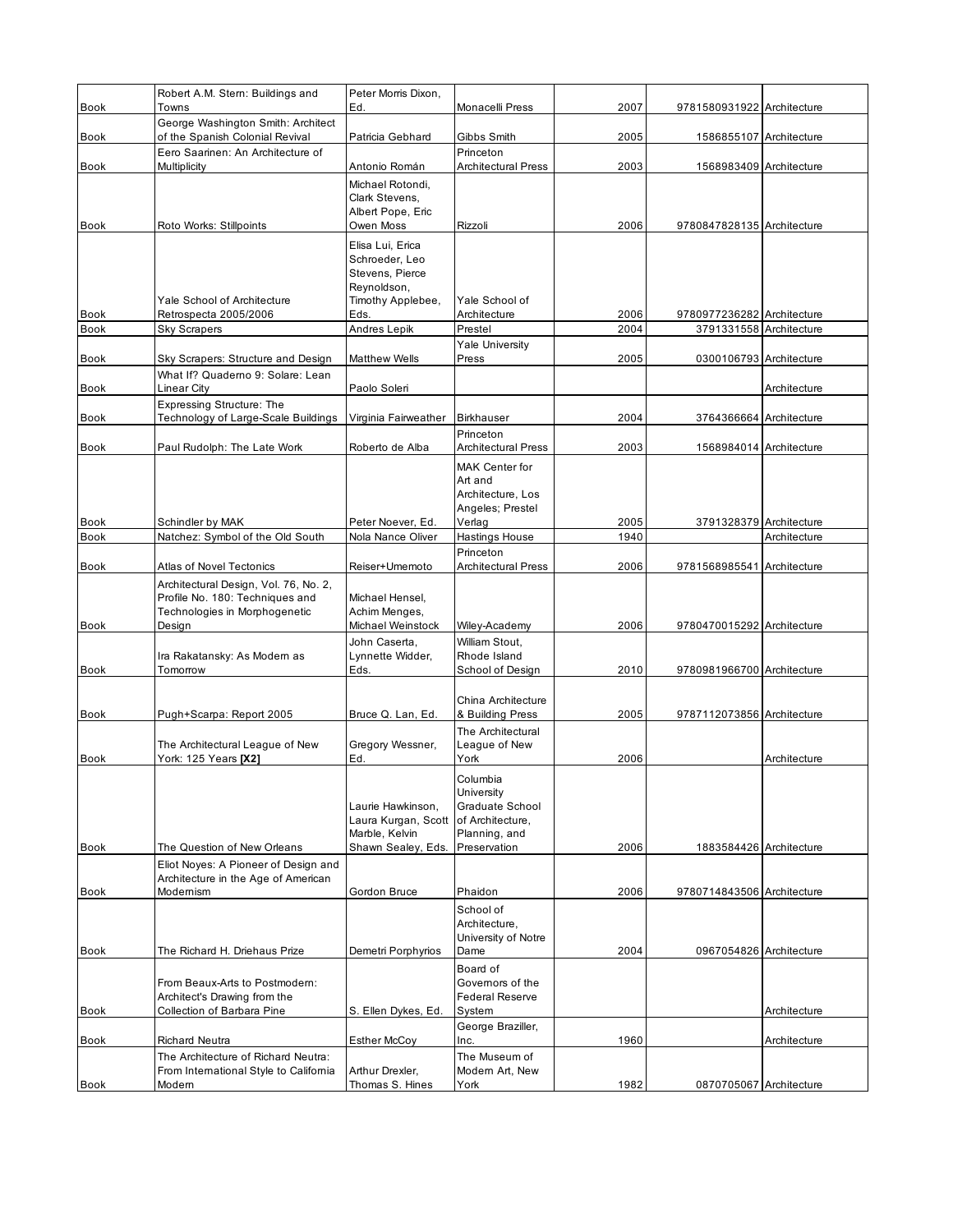| <b>Book</b>                | Robert A.M. Stern: Buildings and<br>Towns                                                                           | Peter Morris Dixon,<br>Ed.                                                                | Monacelli Press                                                                                | 2007         | 9781580931922 Architecture |              |
|----------------------------|---------------------------------------------------------------------------------------------------------------------|-------------------------------------------------------------------------------------------|------------------------------------------------------------------------------------------------|--------------|----------------------------|--------------|
|                            | George Washington Smith: Architect                                                                                  |                                                                                           |                                                                                                |              |                            |              |
| <b>Book</b>                | of the Spanish Colonial Revival                                                                                     | Patricia Gebhard                                                                          | Gibbs Smith                                                                                    | 2005         | 1586855107 Architecture    |              |
| Book                       | Eero Saarinen: An Architecture of<br>Multiplicity                                                                   | Antonio Román                                                                             | Princeton<br><b>Architectural Press</b>                                                        | 2003         | 1568983409 Architecture    |              |
| <b>Book</b>                | Roto Works: Stillpoints                                                                                             | Michael Rotondi,<br>Clark Stevens,<br>Albert Pope, Eric<br>Owen Moss                      | Rizzoli                                                                                        | 2006         | 9780847828135 Architecture |              |
|                            | Yale School of Architecture                                                                                         | Elisa Lui, Erica<br>Schroeder, Leo<br>Stevens, Pierce<br>Reynoldson,<br>Timothy Applebee, | Yale School of                                                                                 |              |                            |              |
| <b>Book</b>                | Retrospecta 2005/2006                                                                                               | Eds.                                                                                      | Architecture                                                                                   | 2006         | 9780977236282 Architecture |              |
| <b>Book</b>                | <b>Sky Scrapers</b>                                                                                                 | Andres Lepik                                                                              | Prestel                                                                                        | 2004         | 3791331558 Architecture    |              |
| Book                       | Sky Scrapers: Structure and Design                                                                                  | <b>Matthew Wells</b>                                                                      | <b>Yale University</b><br>Press                                                                | 2005         | 0300106793 Architecture    |              |
|                            | What If? Quaderno 9: Solare: Lean<br>Linear City                                                                    | Paolo Soleri                                                                              |                                                                                                |              |                            | Architecture |
| <b>Book</b>                | Expressing Structure: The                                                                                           |                                                                                           |                                                                                                |              |                            |              |
| Book                       | Technology of Large-Scale Buildings                                                                                 | Virginia Fairweather                                                                      | <b>Birkhauser</b>                                                                              | 2004         | 3764366664 Architecture    |              |
| <b>Book</b>                | Paul Rudolph: The Late Work                                                                                         | Roberto de Alba                                                                           | Princeton<br><b>Architectural Press</b>                                                        | 2003         | 1568984014 Architecture    |              |
|                            |                                                                                                                     |                                                                                           | MAK Center for<br>Art and<br>Architecture, Los<br>Angeles; Prestel                             |              |                            |              |
| <b>Book</b><br><b>Book</b> | Schindler by MAK<br>Natchez: Symbol of the Old South                                                                | Peter Noever, Ed.<br>Nola Nance Oliver                                                    | Verlag<br><b>Hastings House</b>                                                                | 2005<br>1940 | 3791328379 Architecture    | Architecture |
| <b>Book</b>                | Atlas of Novel Tectonics                                                                                            | Reiser+Umemoto                                                                            | Princeton<br><b>Architectural Press</b>                                                        | 2006         | 9781568985541 Architecture |              |
| <b>Book</b>                | Architectural Design, Vol. 76, No. 2,<br>Profile No. 180: Techniques and<br>Technologies in Morphogenetic<br>Design | Michael Hensel,<br>Achim Menges,<br>Michael Weinstock                                     | Wiley-Academy                                                                                  | 2006         | 9780470015292 Architecture |              |
| Book                       | Ira Rakatansky: As Modern as<br>Tomorrow                                                                            | John Caserta,<br>Lynnette Widder,<br>Eds.                                                 | William Stout,<br>Rhode Island<br>School of Design                                             | 2010         | 9780981966700 Architecture |              |
| <b>Book</b>                | Pugh+Scarpa: Report 2005                                                                                            | Bruce Q. Lan, Ed.                                                                         | China Architecture<br>& Building Press                                                         | 2005         | 9787112073856 Architecture |              |
| Book                       | The Architectural League of New<br>York: 125 Years [X2]                                                             | Gregory Wessner,<br>Ed.                                                                   | The Architectural<br>League of New<br>York                                                     | 2006         |                            | Architecture |
| <b>Book</b>                | The Question of New Orleans                                                                                         | Laurie Hawkinson,<br>Laura Kurgan, Scott<br>Marble, Kelvin<br>Shawn Sealey, Eds.          | Columbia<br>University<br>Graduate School<br>of Architecture.<br>Planning, and<br>Preservation | 2006         | 1883584426 Architecture    |              |
|                            | Eliot Noyes: A Pioneer of Design and<br>Architecture in the Age of American                                         |                                                                                           |                                                                                                |              |                            |              |
| Book                       | Modernism                                                                                                           | Gordon Bruce                                                                              | Phaidon<br>School of                                                                           | 2006         | 9780714843506 Architecture |              |
| <b>Book</b>                | The Richard H. Driehaus Prize                                                                                       | Demetri Porphyrios                                                                        | Architecture,<br>University of Notre<br>Dame                                                   | 2004         | 0967054826 Architecture    |              |
| Book                       | From Beaux-Arts to Postmodern:<br>Architect's Drawing from the<br>Collection of Barbara Pine                        | S. Ellen Dykes, Ed.                                                                       | Board of<br>Govemors of the<br><b>Federal Reserve</b><br>System                                |              |                            | Architecture |
| Book                       | Richard Neutra                                                                                                      | Esther McCoy                                                                              | George Braziller,<br>Inc.                                                                      | 1960         |                            | Architecture |
|                            | The Architecture of Richard Neutra:<br>From International Style to California                                       | Arthur Drexler,                                                                           | The Museum of<br>Modern Art, New                                                               |              |                            |              |
| Book                       | Modern                                                                                                              | Thomas S. Hines                                                                           | York                                                                                           | 1982         | 0870705067 Architecture    |              |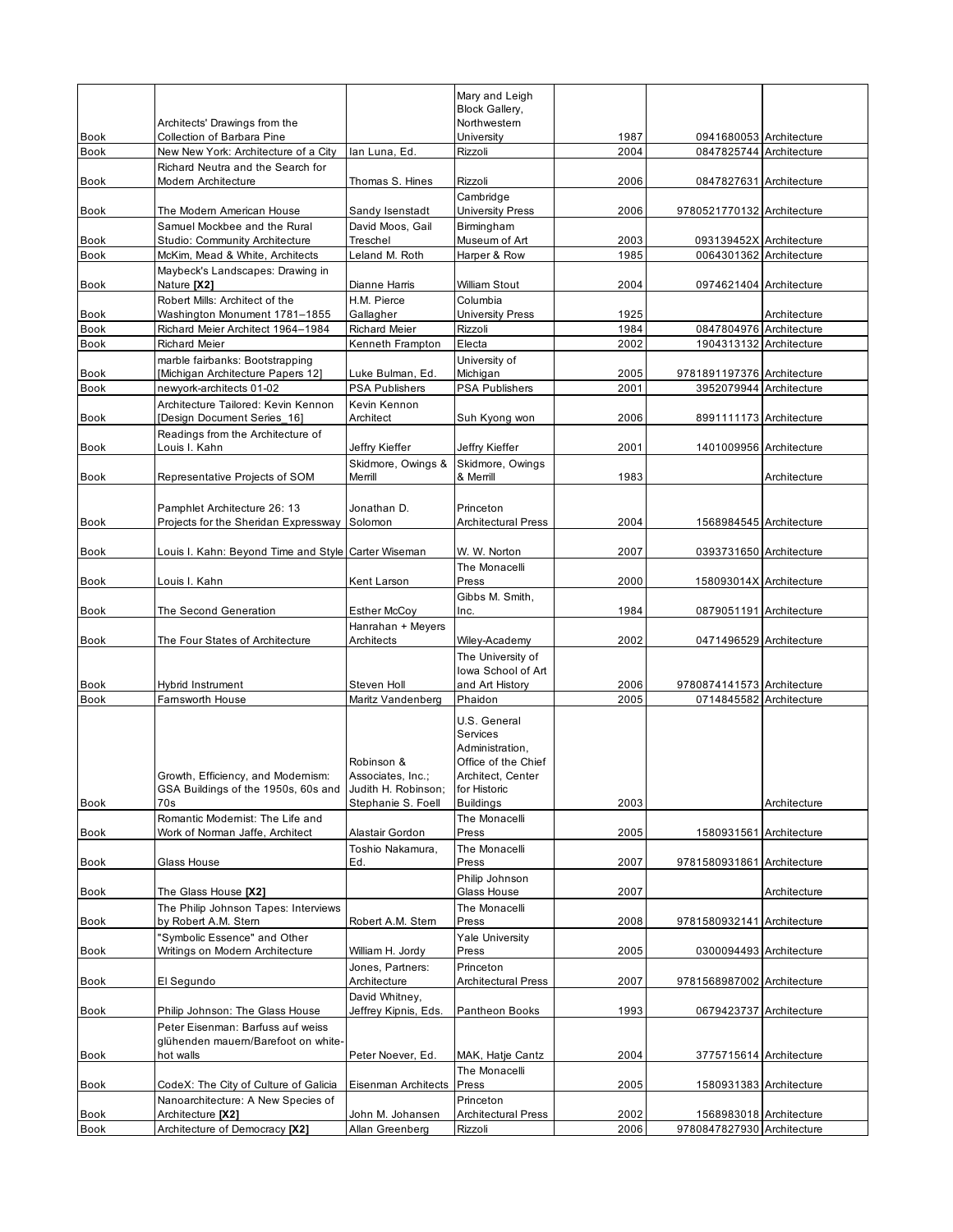|                            |                                                                                       |                                                                              | Mary and Leigh                                                                                                              |              |                                                    |              |
|----------------------------|---------------------------------------------------------------------------------------|------------------------------------------------------------------------------|-----------------------------------------------------------------------------------------------------------------------------|--------------|----------------------------------------------------|--------------|
|                            |                                                                                       |                                                                              | <b>Block Gallery,</b><br>Northwestern                                                                                       |              |                                                    |              |
| <b>Book</b>                | Architects' Drawings from the<br>Collection of Barbara Pine                           |                                                                              | University                                                                                                                  | 1987         | 0941680053 Architecture                            |              |
| <b>Book</b>                | New New York: Architecture of a City                                                  | lan Luna, Ed.                                                                | Rizzoli                                                                                                                     | 2004         | 0847825744 Architecture                            |              |
|                            | Richard Neutra and the Search for                                                     |                                                                              |                                                                                                                             |              |                                                    |              |
| <b>Book</b>                | Modern Architecture                                                                   | Thomas S. Hines                                                              | Rizzoli                                                                                                                     | 2006         | 0847827631 Architecture                            |              |
| Book                       | The Modern American House                                                             | Sandy Isenstadt                                                              | Cambridge<br><b>University Press</b>                                                                                        | 2006         | 9780521770132 Architecture                         |              |
| <b>Book</b>                | Samuel Mockbee and the Rural<br>Studio: Community Architecture                        | David Moos, Gail<br>Treschel                                                 | Birmingham<br>Museum of Art                                                                                                 | 2003         | 093139452X Architecture                            |              |
| <b>Book</b>                | McKim, Mead & White, Architects                                                       | Leland M. Roth                                                               | Harper & Row                                                                                                                | 1985         | 0064301362 Architecture                            |              |
| Book                       | Maybeck's Landscapes: Drawing in<br>Nature [X2]                                       | Dianne Harris                                                                | William Stout                                                                                                               | 2004         | 0974621404 Architecture                            |              |
|                            | Robert Mills: Architect of the                                                        | H.M. Pierce                                                                  | Columbia                                                                                                                    |              |                                                    |              |
| Book                       | Washington Monument 1781-1855                                                         | Gallagher                                                                    | <b>University Press</b>                                                                                                     | 1925         |                                                    | Architecture |
| <b>Book</b><br><b>Book</b> | Richard Meier Architect 1964-1984<br><b>Richard Meier</b>                             | <b>Richard Meier</b><br>Kenneth Frampton                                     | Rizzoli<br>Electa                                                                                                           | 1984<br>2002 | 0847804976 Architecture<br>1904313132 Architecture |              |
| Book                       | marble fairbanks: Bootstrapping<br>[Michigan Architecture Papers 12]                  | Luke Bulman, Ed.                                                             | University of<br>Michigan                                                                                                   | 2005         | 9781891197376 Architecture                         |              |
| <b>Book</b>                | newyork-architects 01-02                                                              | <b>PSA Publishers</b>                                                        | <b>PSA Publishers</b>                                                                                                       | 2001         | 3952079944 Architecture                            |              |
| Book                       | Architecture Tailored: Kevin Kennon<br>[Design Document Series 16]                    | Kevin Kennon<br>Architect                                                    | Suh Kyong won                                                                                                               | 2006         | 8991111173 Architecture                            |              |
|                            | Readings from the Architecture of                                                     |                                                                              |                                                                                                                             |              |                                                    |              |
| <b>Book</b>                | Louis I. Kahn                                                                         | Jeffry Kieffer                                                               | Jeffry Kieffer                                                                                                              | 2001         | 1401009956 Architecture                            |              |
| Book                       | Representative Projects of SOM                                                        | Skidmore, Owings &<br>Merrill                                                | Skidmore, Owings<br>& Merrill                                                                                               | 1983         |                                                    | Architecture |
| Book                       | Pamphlet Architecture 26: 13<br>Projects for the Sheridan Expressway                  | Jonathan D.<br>Solomon                                                       | Princeton<br><b>Architectural Press</b>                                                                                     | 2004         | 1568984545 Architecture                            |              |
| Book                       | Louis I. Kahn: Beyond Time and Style Carter Wiseman                                   |                                                                              | W. W. Norton                                                                                                                | 2007         | 0393731650 Architecture                            |              |
| Book                       | Louis I. Kahn                                                                         | Kent Larson                                                                  | The Monacelli<br>Press                                                                                                      | 2000         | 158093014X Architecture                            |              |
|                            |                                                                                       |                                                                              | Gibbs M. Smith,                                                                                                             |              |                                                    |              |
| Book                       | The Second Generation                                                                 | <b>Esther McCoy</b>                                                          | Inc.                                                                                                                        | 1984         | 0879051191 Architecture                            |              |
|                            |                                                                                       | Hanrahan + Meyers                                                            |                                                                                                                             |              |                                                    |              |
| <b>Book</b>                | The Four States of Architecture                                                       | Architects                                                                   | Wiley-Academy<br>The University of                                                                                          | 2002         | 0471496529 Architecture                            |              |
|                            |                                                                                       |                                                                              | lowa School of Art                                                                                                          |              |                                                    |              |
| <b>Book</b>                | Hybrid Instrument                                                                     | Steven Holl                                                                  | and Art History                                                                                                             | 2006         | 9780874141573 Architecture                         |              |
| Book                       | Farnsworth House                                                                      | Maritz Vandenberg                                                            | Phaidon                                                                                                                     | 2005         | 0714845582 Architecture                            |              |
| Book                       | Growth, Efficiency, and Modernism:<br>GSA Buildings of the 1950s, 60s and<br>70s      | Robinson &<br>Associates, Inc.;<br>Judith H. Robinson;<br>Stephanie S. Foell | U.S. General<br>Services<br>Administration,<br>Office of the Chief<br>Architect, Center<br>for Historic<br><b>Buildings</b> | 2003         |                                                    | Architecture |
|                            | Romantic Modernist: The Life and                                                      |                                                                              | The Monacelli                                                                                                               |              |                                                    |              |
| <b>Book</b>                | Work of Norman Jaffe, Architect                                                       | Alastair Gordon                                                              | Press                                                                                                                       | 2005         | 1580931561 Architecture                            |              |
| <b>Book</b>                | Glass House                                                                           | Toshio Nakamura,<br>Ed.                                                      | The Monacelli<br>Press                                                                                                      | 2007         | 9781580931861 Architecture                         |              |
| Book                       | The Glass House [X2]                                                                  |                                                                              | Philip Johnson<br>Glass House                                                                                               | 2007         |                                                    | Architecture |
| <b>Book</b>                | The Philip Johnson Tapes: Interviews<br>by Robert A.M. Stern                          | Robert A.M. Stern                                                            | The Monacelli<br>Press                                                                                                      | 2008         | 9781580932141 Architecture                         |              |
| Book                       | "Symbolic Essence" and Other<br>Writings on Modern Architecture                       | William H. Jordy                                                             | <b>Yale University</b><br>Press                                                                                             | 2005         | 0300094493 Architecture                            |              |
|                            |                                                                                       | Jones. Partners:                                                             | Princeton                                                                                                                   |              |                                                    |              |
| Book                       | El Segundo                                                                            | Architecture<br>David Whitney,                                               | <b>Architectural Press</b>                                                                                                  | 2007         | 9781568987002 Architecture                         |              |
| Book                       | Philip Johnson: The Glass House                                                       | Jeffrey Kipnis, Eds.                                                         | Pantheon Books                                                                                                              | 1993         | 0679423737 Architecture                            |              |
| Book                       | Peter Eisenman: Barfuss auf weiss<br>glühenden mauern/Barefoot on white-<br>hot walls | Peter Noever, Ed.                                                            | MAK, Hatje Cantz                                                                                                            | 2004         | 3775715614 Architecture                            |              |
|                            |                                                                                       |                                                                              | The Monacelli                                                                                                               |              |                                                    |              |
| Book                       | CodeX: The City of Culture of Galicia                                                 | Eisenman Architects                                                          | Press                                                                                                                       | 2005         | 1580931383 Architecture                            |              |
| Book                       | Nanoarchitecture: A New Species of<br>Architecture [X2]                               | John M. Johansen                                                             | Princeton<br><b>Architectural Press</b>                                                                                     | 2002         | 1568983018 Architecture                            |              |
| Book                       | Architecture of Democracy [X2]                                                        | Allan Greenberg                                                              | Rizzoli                                                                                                                     | 2006         | 9780847827930 Architecture                         |              |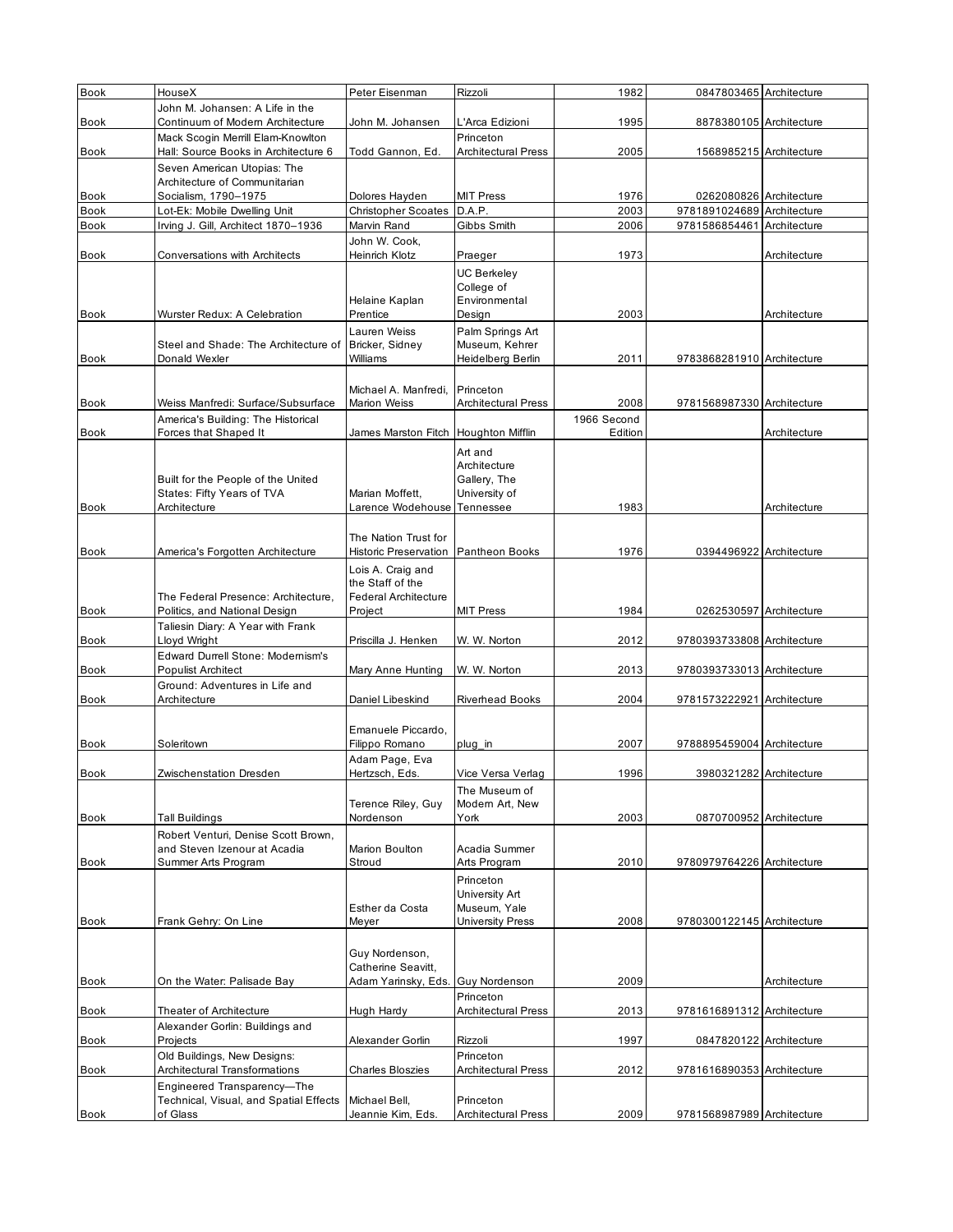| Book                       | HouseX                                                              | Peter Eisenman                              | Rizzoli                                 | 1982         | 0847803465 Architecture                     |              |
|----------------------------|---------------------------------------------------------------------|---------------------------------------------|-----------------------------------------|--------------|---------------------------------------------|--------------|
|                            | John M. Johansen: A Life in the                                     |                                             |                                         |              |                                             |              |
| Book                       | Continuum of Modern Architecture                                    | John M. Johansen                            | L'Arca Edizioni                         | 1995         | 8878380105 Architecture                     |              |
|                            | Mack Scogin Merrill Elam-Knowlton                                   |                                             | Princeton                               |              |                                             |              |
| Book                       | Hall: Source Books in Architecture 6                                | Todd Gannon, Ed.                            | <b>Architectural Press</b>              | 2005         | 1568985215 Architecture                     |              |
|                            | Seven American Utopias: The                                         |                                             |                                         |              |                                             |              |
|                            | Architecture of Communitarian                                       |                                             |                                         |              |                                             |              |
| Book                       | Socialism, 1790-1975                                                | Dolores Hayden                              | <b>MIT Press</b>                        | 1976         | 0262080826 Architecture                     |              |
| <b>Book</b><br><b>Book</b> | Lot-Ek: Mobile Dwelling Unit<br>Irving J. Gill, Architect 1870-1936 | <b>Christopher Scoates</b><br>Marvin Rand   | D.A.P.<br>Gibbs Smith                   | 2003<br>2006 | 9781891024689 Architecture<br>9781586854461 | Architecture |
|                            |                                                                     | John W. Cook,                               |                                         |              |                                             |              |
| <b>Book</b>                | <b>Conversations with Architects</b>                                | <b>Heinrich Klotz</b>                       | Praeger                                 | 1973         |                                             | Architecture |
|                            |                                                                     |                                             | <b>UC Berkeley</b>                      |              |                                             |              |
|                            |                                                                     |                                             | College of                              |              |                                             |              |
|                            |                                                                     | Helaine Kaplan                              | Environmental                           |              |                                             |              |
| <b>Book</b>                | Wurster Redux: A Celebration                                        | Prentice                                    | Design                                  | 2003         |                                             | Architecture |
|                            |                                                                     | Lauren Weiss                                | Palm Springs Art                        |              |                                             |              |
|                            | Steel and Shade: The Architecture of                                | Bricker, Sidney                             | Museum, Kehrer                          |              |                                             |              |
| Book                       | Donald Wexler                                                       | Williams                                    | Heidelberg Berlin                       | 2011         | 9783868281910 Architecture                  |              |
|                            |                                                                     |                                             |                                         |              |                                             |              |
| <b>Book</b>                | Weiss Manfredi: Surface/Subsurface                                  | Michael A. Manfredi,<br><b>Marion Weiss</b> | Princeton<br><b>Architectural Press</b> | 2008         | 9781568987330 Architecture                  |              |
|                            | America's Building: The Historical                                  |                                             |                                         | 1966 Second  |                                             |              |
| <b>Book</b>                | Forces that Shaped It                                               | James Marston Fitch                         | <b>Houghton Mifflin</b>                 | Edition      |                                             | Architecture |
|                            |                                                                     |                                             | Art and                                 |              |                                             |              |
|                            |                                                                     |                                             | Architecture                            |              |                                             |              |
|                            | Built for the People of the United                                  |                                             | Gallery, The                            |              |                                             |              |
|                            | States: Fifty Years of TVA                                          | Marian Moffett,                             | University of                           |              |                                             |              |
| <b>Book</b>                | Architecture                                                        | Larence Wodehouse Tennessee                 |                                         | 1983         |                                             | Architecture |
|                            |                                                                     |                                             |                                         |              |                                             |              |
|                            |                                                                     | The Nation Trust for                        |                                         |              |                                             |              |
| <b>Book</b>                | America's Forgotten Architecture                                    | <b>Historic Preservation</b>                | Pantheon Books                          | 1976         | 0394496922 Architecture                     |              |
|                            |                                                                     | Lois A. Craig and<br>the Staff of the       |                                         |              |                                             |              |
|                            | The Federal Presence: Architecture,                                 | <b>Federal Architecture</b>                 |                                         |              |                                             |              |
| <b>Book</b>                | Politics, and National Design                                       | Project                                     | <b>MIT Press</b>                        | 1984         | 0262530597 Architecture                     |              |
|                            | Taliesin Diary: A Year with Frank                                   |                                             |                                         |              |                                             |              |
| <b>Book</b>                | Lloyd Wright                                                        | Priscilla J. Henken                         | W. W. Norton                            | 2012         | 9780393733808 Architecture                  |              |
|                            | <b>Edward Durrell Stone: Modernism's</b>                            |                                             |                                         |              |                                             |              |
| <b>Book</b>                | <b>Populist Architect</b>                                           | Mary Anne Hunting                           | W. W. Norton                            | 2013         | 9780393733013 Architecture                  |              |
|                            | Ground: Adventures in Life and                                      |                                             |                                         |              |                                             |              |
| <b>Book</b>                | Architecture                                                        | Daniel Libeskind                            | <b>Riverhead Books</b>                  | 2004         | 9781573222921 Architecture                  |              |
|                            |                                                                     |                                             |                                         |              |                                             |              |
| <b>Book</b>                | Soleritown                                                          | Emanuele Piccardo,<br>Filippo Romano        |                                         | 2007         | 9788895459004 Architecture                  |              |
|                            |                                                                     | Adam Page, Eva                              | plug_in                                 |              |                                             |              |
| <b>Book</b>                | Zwischenstation Dresden                                             | Hertzsch, Eds.                              | Vice Versa Verlag                       | 1996         | 3980321282 Architecture                     |              |
|                            |                                                                     |                                             | The Museum of                           |              |                                             |              |
|                            |                                                                     | Terence Riley, Guy                          | Modern Art, New                         |              |                                             |              |
| Book                       | <b>Tall Buildings</b>                                               | Nordenson                                   | York                                    | 2003         | 0870700952 Architecture                     |              |
|                            | Robert Venturi, Denise Scott Brown,                                 |                                             |                                         |              |                                             |              |
|                            | and Steven Izenour at Acadia                                        | Marion Boulton                              | Acadia Summer                           |              |                                             |              |
| Book                       | Summer Arts Program                                                 | Stroud                                      | Arts Program                            | 2010         | 9780979764226 Architecture                  |              |
|                            |                                                                     |                                             | Princeton                               |              |                                             |              |
|                            |                                                                     | Esther da Costa                             | University Art<br>Museum, Yale          |              |                                             |              |
| Book                       | Frank Gehry: On Line                                                | Meyer                                       | University Press                        | 2008         | 9780300122145 Architecture                  |              |
|                            |                                                                     |                                             |                                         |              |                                             |              |
|                            |                                                                     | Guy Nordenson,                              |                                         |              |                                             |              |
|                            |                                                                     | Catherine Seavitt,                          |                                         |              |                                             |              |
| <b>Book</b>                | On the Water: Palisade Bay                                          | Adam Yarinsky, Eds.                         | <b>Guy Nordenson</b>                    | 2009         |                                             | Architecture |
|                            |                                                                     |                                             | Princeton                               |              |                                             |              |
| Book                       | Theater of Architecture                                             | Hugh Hardy                                  | <b>Architectural Press</b>              | 2013         | 9781616891312 Architecture                  |              |
|                            | Alexander Gorlin: Buildings and                                     |                                             |                                         |              |                                             |              |
| <b>Book</b>                | Projects<br>Old Buildings, New Designs:                             | Alexander Gorlin                            | Rizzoli<br>Princeton                    | 1997         | 0847820122 Architecture                     |              |
| Book                       | <b>Architectural Transformations</b>                                | <b>Charles Bloszies</b>                     | <b>Architectural Press</b>              | 2012         | 9781616890353 Architecture                  |              |
|                            | Engineered Transparency-The                                         |                                             |                                         |              |                                             |              |
|                            | Technical, Visual, and Spatial Effects                              | Michael Bell,                               | Princeton                               |              |                                             |              |
| Book                       | of Glass                                                            | Jeannie Kim, Eds.                           | <b>Architectural Press</b>              | 2009         | 9781568987989 Architecture                  |              |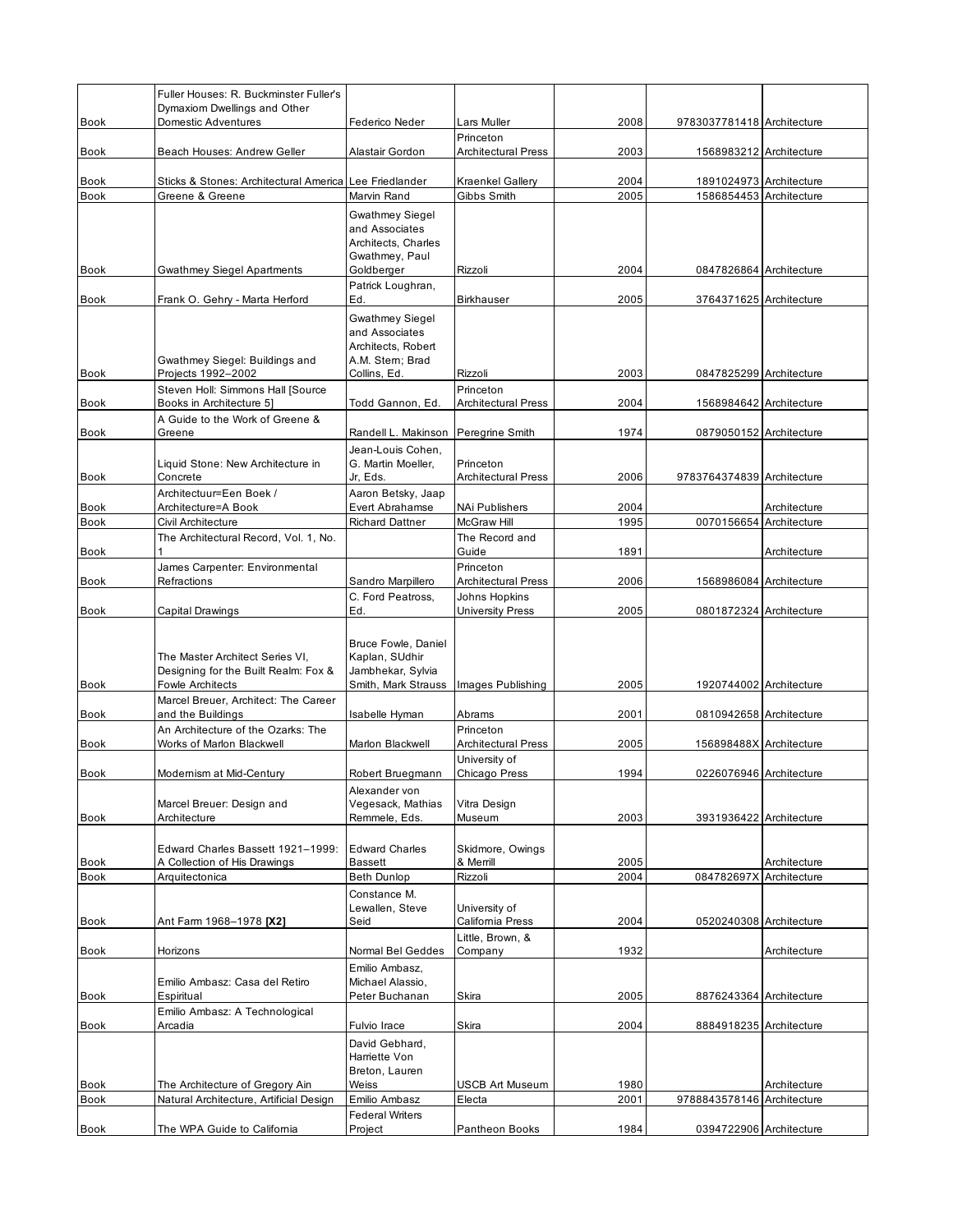|             | Fuller Houses: R. Buckminster Fuller's                            |                                              |                                             |      |                            |              |
|-------------|-------------------------------------------------------------------|----------------------------------------------|---------------------------------------------|------|----------------------------|--------------|
| <b>Book</b> | Dymaxiom Dwellings and Other<br>Domestic Adventures               | Federico Neder                               | Lars Muller                                 | 2008 | 9783037781418 Architecture |              |
|             |                                                                   |                                              | Princeton                                   |      |                            |              |
| Book        | Beach Houses: Andrew Geller                                       | Alastair Gordon                              | <b>Architectural Press</b>                  | 2003 | 1568983212 Architecture    |              |
| Book        | Sticks & Stones: Architectural America                            | Lee Friedlander                              | Kraenkel Gallery                            | 2004 | 1891024973 Architecture    |              |
| <b>Book</b> | Greene & Greene                                                   | Marvin Rand                                  | Gibbs Smith                                 | 2005 | 1586854453 Architecture    |              |
|             |                                                                   | Gwathmey Siegel<br>and Associates            |                                             |      |                            |              |
|             |                                                                   | Architects, Charles                          |                                             |      |                            |              |
| <b>Book</b> | <b>Gwathmey Siegel Apartments</b>                                 | Gwathmey, Paul<br>Goldberger                 | Rizzoli                                     | 2004 | 0847826864 Architecture    |              |
|             |                                                                   | Patrick Loughran,                            |                                             |      |                            |              |
| <b>Book</b> | Frank O. Gehry - Marta Herford                                    | Ed.                                          | <b>Birkhauser</b>                           | 2005 | 3764371625 Architecture    |              |
|             |                                                                   | <b>Gwathmey Siegel</b><br>and Associates     |                                             |      |                            |              |
|             |                                                                   | Architects, Robert                           |                                             |      |                            |              |
| <b>Book</b> | Gwathmey Siegel: Buildings and<br>Projects 1992-2002              | A.M. Stern; Brad<br>Collins, Ed.             | Rizzoli                                     | 2003 | 0847825299 Architecture    |              |
|             | Steven Holl: Simmons Hall [Source                                 |                                              | Princeton                                   |      |                            |              |
| Book        | Books in Architecture 5]                                          | Todd Gannon, Ed.                             | <b>Architectural Press</b>                  | 2004 | 1568984642 Architecture    |              |
| <b>Book</b> | A Guide to the Work of Greene &<br>Greene                         | Randell L. Makinson                          | Peregrine Smith                             | 1974 | 0879050152 Architecture    |              |
|             |                                                                   | Jean-Louis Cohen,                            |                                             |      |                            |              |
|             | Liquid Stone: New Architecture in<br>Concrete                     | G. Martin Moeller,                           | Princeton<br><b>Architectural Press</b>     |      |                            |              |
| <b>Book</b> | Architectuur=Een Boek /                                           | Jr, Eds.<br>Aaron Betsky, Jaap               |                                             | 2006 | 9783764374839 Architecture |              |
| Book        | Architecture=A Book                                               | Evert Abrahamse                              | NAi Publishers                              | 2004 |                            | Architecture |
| Book        | Civil Architecture<br>The Architectural Record, Vol. 1, No.       | <b>Richard Dattner</b>                       | McGraw Hill<br>The Record and               | 1995 | 0070156654                 | Architecture |
| Book        |                                                                   |                                              | Guide                                       | 1891 |                            | Architecture |
|             | James Carpenter: Environmental                                    |                                              | Princeton                                   |      |                            |              |
| Book        | Refractions                                                       | Sandro Marpillero<br>C. Ford Peatross,       | <b>Architectural Press</b><br>Johns Hopkins | 2006 | 1568986084 Architecture    |              |
| <b>Book</b> | Capital Drawings                                                  | Ed.                                          | <b>University Press</b>                     | 2005 | 0801872324 Architecture    |              |
|             |                                                                   |                                              |                                             |      |                            |              |
|             | The Master Architect Series VI,                                   | <b>Bruce Fowle, Daniel</b><br>Kaplan, SUdhir |                                             |      |                            |              |
|             | Designing for the Built Realm: Fox &                              | Jambhekar, Sylvia                            |                                             |      |                            |              |
| Book        | <b>Fowle Architects</b>                                           | Smith, Mark Strauss                          | Images Publishing                           | 2005 | 1920744002 Architecture    |              |
| Book        | Marcel Breuer, Architect: The Career<br>and the Buildings         | Isabelle Hyman                               | Abrams                                      | 2001 | 0810942658 Architecture    |              |
|             | An Architecture of the Ozarks: The                                |                                              | Princeton                                   |      |                            |              |
| <b>Book</b> | Works of Marlon Blackwell                                         | Marlon Blackwell                             | <b>Architectural Press</b><br>University of | 2005 | 156898488X Architecture    |              |
| <b>Book</b> | Modernism at Mid-Century                                          | Robert Bruegmann                             | Chicago Press                               | 1994 | 0226076946 Architecture    |              |
|             |                                                                   | Alexander von                                |                                             |      |                            |              |
| Book        | Marcel Breuer: Design and<br>Architecture                         | Vegesack, Mathias<br>Remmele, Eds.           | Vitra Design<br>Museum                      | 2003 | 3931936422 Architecture    |              |
|             |                                                                   |                                              |                                             |      |                            |              |
| Book        | Edward Charles Bassett 1921-1999:<br>A Collection of His Drawings | <b>Edward Charles</b><br><b>Bassett</b>      | Skidmore, Owings<br>& Merrill               | 2005 |                            | Architecture |
| Book        | Arquitectonica                                                    | <b>Beth Dunlop</b>                           | Rizzoli                                     | 2004 | 084782697X Architecture    |              |
|             |                                                                   | Constance M.                                 |                                             |      |                            |              |
| Book        | Ant Farm 1968-1978 [X2]                                           | Lewallen, Steve<br>Seid                      | University of<br>California Press           | 2004 | 0520240308 Architecture    |              |
|             |                                                                   |                                              | Little, Brown, &                            |      |                            |              |
| <b>Book</b> | Horizons                                                          | Normal Bel Geddes                            | Company                                     | 1932 |                            | Architecture |
|             | Emilio Ambasz: Casa del Retiro                                    | Emilio Ambasz,<br>Michael Alassio,           |                                             |      |                            |              |
| Book        | Espiritual                                                        | Peter Buchanan                               | Skira                                       | 2005 | 8876243364 Architecture    |              |
| Book        | Emilio Ambasz: A Technological<br>Arcadia                         | Fulvio Irace                                 | Skira                                       | 2004 | 8884918235 Architecture    |              |
|             |                                                                   | David Gebhard,                               |                                             |      |                            |              |
|             |                                                                   | Harriette Von                                |                                             |      |                            |              |
| <b>Book</b> | The Architecture of Gregory Ain                                   | Breton, Lauren<br>Weiss                      | <b>USCB Art Museum</b>                      | 1980 |                            | Architecture |
| <b>Book</b> | Natural Architecture, Artificial Design                           | Emilio Ambasz                                | Electa                                      | 2001 | 9788843578146              | Architecture |
| Book        | The WPA Guide to California                                       | <b>Federal Writers</b><br>Project            | Pantheon Books                              | 1984 | 0394722906 Architecture    |              |
|             |                                                                   |                                              |                                             |      |                            |              |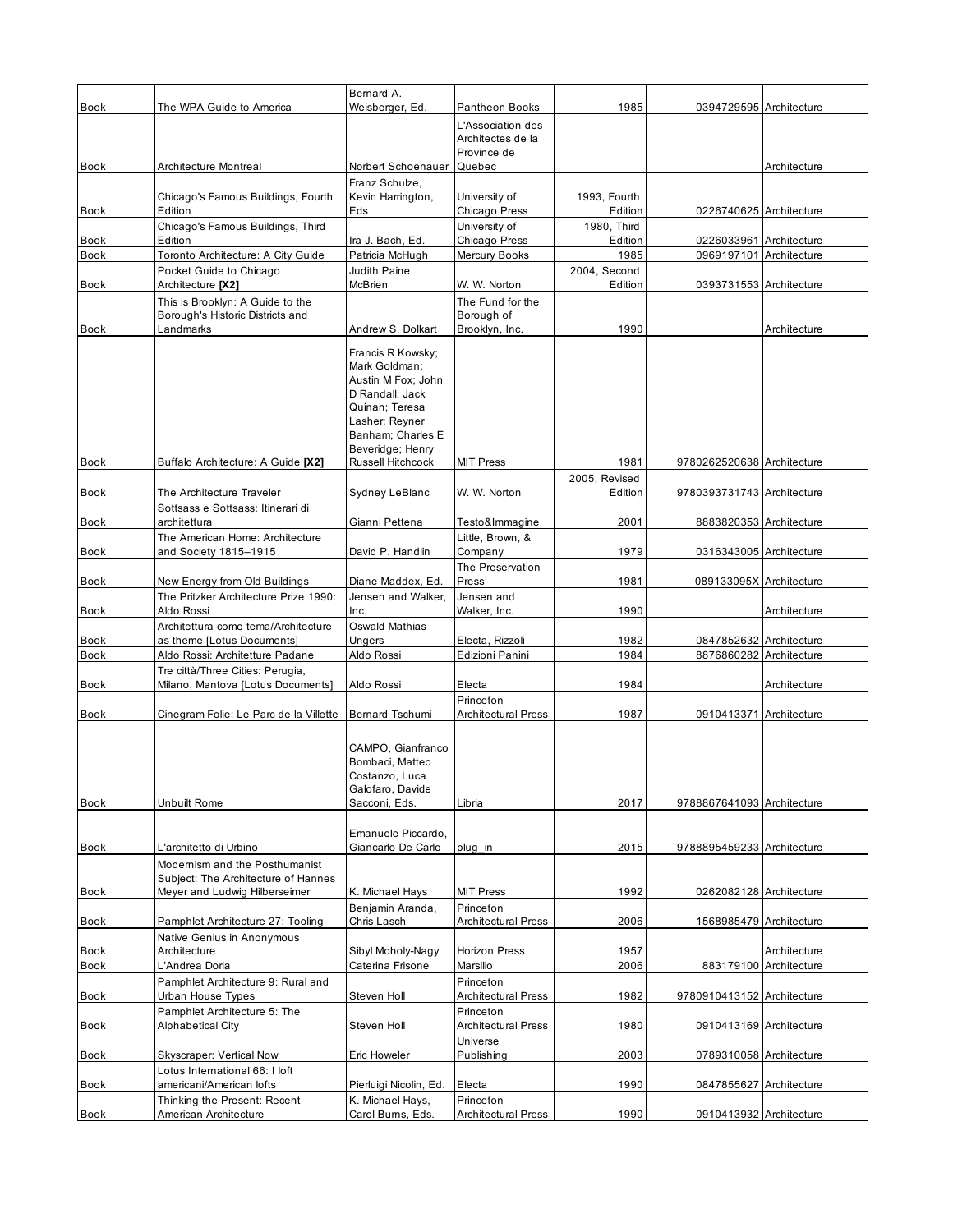| <b>Book</b> | The WPA Guide to America                                             | Bernard A.<br>Weisberger, Ed.         | Pantheon Books                          | 1985                   | 0394729595 Architecture    |                        |
|-------------|----------------------------------------------------------------------|---------------------------------------|-----------------------------------------|------------------------|----------------------------|------------------------|
|             |                                                                      |                                       | L'Association des                       |                        |                            |                        |
|             |                                                                      |                                       | Architectes de la                       |                        |                            |                        |
|             |                                                                      |                                       | Province de                             |                        |                            |                        |
| Book        | Architecture Montreal                                                | Norbert Schoenauer<br>Franz Schulze,  | Quebec                                  |                        |                            | Architecture           |
|             | Chicago's Famous Buildings, Fourth                                   | Kevin Harrington,                     | University of                           | 1993, Fourth           |                            |                        |
| <b>Book</b> | Edition                                                              | Eds                                   | Chicago Press                           | Edition                | 0226740625 Architecture    |                        |
| Book        | Chicago's Famous Buildings, Third<br>Edition                         | Ira J. Bach, Ed.                      | University of<br>Chicago Press          | 1980, Third<br>Edition | 0226033961 Architecture    |                        |
| <b>Book</b> | Toronto Architecture: A City Guide                                   | Patricia McHugh                       | Mercury Books                           | 1985                   | 0969197101 Architecture    |                        |
|             | Pocket Guide to Chicago                                              | Judith Paine                          |                                         | 2004, Second           |                            |                        |
| Book        | Architecture [X2]                                                    | McBrien                               | W. W. Norton                            | Edition                | 0393731553 Architecture    |                        |
|             | This is Brooklyn: A Guide to the<br>Borough's Historic Districts and |                                       | The Fund for the<br>Borough of          |                        |                            |                        |
| <b>Book</b> | Landmarks                                                            | Andrew S. Dolkart                     | Brooklyn, Inc.                          | 1990                   |                            | Architecture           |
|             |                                                                      | Francis R Kowsky;                     |                                         |                        |                            |                        |
|             |                                                                      | Mark Goldman;                         |                                         |                        |                            |                        |
|             |                                                                      | Austin M Fox; John<br>D Randall: Jack |                                         |                        |                            |                        |
|             |                                                                      | Quinan; Teresa                        |                                         |                        |                            |                        |
|             |                                                                      | Lasher; Reyner                        |                                         |                        |                            |                        |
|             |                                                                      | Banham; Charles E<br>Beveridge; Henry |                                         |                        |                            |                        |
| <b>Book</b> | Buffalo Architecture: A Guide [X2]                                   | <b>Russell Hitchcock</b>              | <b>MIT Press</b>                        | 1981                   | 9780262520638 Architecture |                        |
|             |                                                                      |                                       |                                         | 2005, Revised          |                            |                        |
| Book        | The Architecture Traveler<br>Sottsass e Sottsass: Itinerari di       | Sydney LeBlanc                        | W. W. Norton                            | Edition                | 9780393731743 Architecture |                        |
| Book        | architettura                                                         | Gianni Pettena                        | Testo&Immagine                          | 2001                   | 8883820353 Architecture    |                        |
|             | The American Home: Architecture                                      |                                       | Little, Brown, &                        |                        |                            |                        |
| <b>Book</b> | and Society 1815-1915                                                | David P. Handlin                      | Company<br>The Preservation             | 1979                   | 0316343005 Architecture    |                        |
| Book        | New Energy from Old Buildings                                        | Diane Maddex, Ed.                     | Press                                   | 1981                   | 089133095X Architecture    |                        |
|             | The Pritzker Architecture Prize 1990:                                | Jensen and Walker,                    | Jensen and                              |                        |                            |                        |
| Book        | Aldo Rossi                                                           | Inc.                                  | Walker, Inc.                            | 1990                   |                            | Architecture           |
| <b>Book</b> | Architettura come tema/Architecture<br>as theme [Lotus Documents]    | Oswald Mathias<br>Ungers              | Electa, Rizzoli                         | 1982                   | 0847852632 Architecture    |                        |
| <b>Book</b> | Aldo Rossi: Architetture Padane                                      | Aldo Rossi                            | Edizioni Panini                         | 1984                   | 8876860282 Architecture    |                        |
|             | Tre città/Three Cities: Perugia,                                     |                                       |                                         |                        |                            |                        |
| <b>Book</b> | Milano, Mantova [Lotus Documents]                                    | Aldo Rossi                            | Electa<br>Princeton                     | 1984                   |                            | Architecture           |
| <b>Book</b> | Cinegram Folie: Le Parc de la Villette                               | <b>Bernard Tschumi</b>                | <b>Architectural Press</b>              | 1987                   | 0910413371 Architecture    |                        |
|             |                                                                      |                                       |                                         |                        |                            |                        |
|             |                                                                      | CAMPO, Gianfranco                     |                                         |                        |                            |                        |
|             |                                                                      | Bombaci, Matteo<br>Costanzo, Luca     |                                         |                        |                            |                        |
|             |                                                                      | Galofaro, Davide                      |                                         |                        |                            |                        |
| <b>Book</b> | Unbuilt Rome                                                         | Sacconi, Eds.                         | Libria                                  | 2017                   | 9788867641093 Architecture |                        |
|             |                                                                      | Emanuele Piccardo.                    |                                         |                        |                            |                        |
| <b>Book</b> | L'architetto di Urbino                                               | Giancarlo De Carlo                    | plug in                                 | 2015                   | 9788895459233 Architecture |                        |
|             | Modernism and the Posthumanist                                       |                                       |                                         |                        |                            |                        |
| <b>Book</b> | Subject: The Architecture of Hannes<br>Meyer and Ludwig Hilberseimer | K. Michael Hays                       | <b>MIT Press</b>                        | 1992                   | 0262082128 Architecture    |                        |
|             |                                                                      | Benjamin Aranda,                      | Princeton                               |                        |                            |                        |
| Book        | Pamphlet Architecture 27: Tooling                                    | Chris Lasch                           | Architectural Press                     | 2006                   | 1568985479 Architecture    |                        |
| Book        | Native Genius in Anonymous<br>Architecture                           | Sibyl Moholy-Nagy                     | Horizon Press                           | 1957                   |                            | Architecture           |
| Book        | L'Andrea Doria                                                       | Caterina Frisone                      | Marsilio                                | 2006                   |                            | 883179100 Architecture |
|             | Pamphlet Architecture 9: Rural and                                   |                                       | Princeton                               |                        |                            |                        |
| Book        | Urban House Types                                                    | Steven Holl                           | <b>Architectural Press</b><br>Princeton | 1982                   | 9780910413152 Architecture |                        |
| <b>Book</b> | Pamphlet Architecture 5: The<br><b>Alphabetical City</b>             | Steven Holl                           | <b>Architectural Press</b>              | 1980                   | 0910413169 Architecture    |                        |
|             |                                                                      |                                       | Universe                                |                        |                            |                        |
| Book        | Skyscraper: Vertical Now                                             | Eric Howeler                          | Publishing                              | 2003                   | 0789310058 Architecture    |                        |
| <b>Book</b> | Lotus International 66: I loft<br>americani/American lofts           | Pierluigi Nicolin, Ed.                | Electa                                  | 1990                   | 0847855627 Architecture    |                        |
|             | Thinking the Present: Recent                                         | K. Michael Hays,                      | Princeton                               |                        |                            |                        |
| Book        | American Architecture                                                | Carol Burns, Eds.                     | <b>Architectural Press</b>              | 1990                   | 0910413932 Architecture    |                        |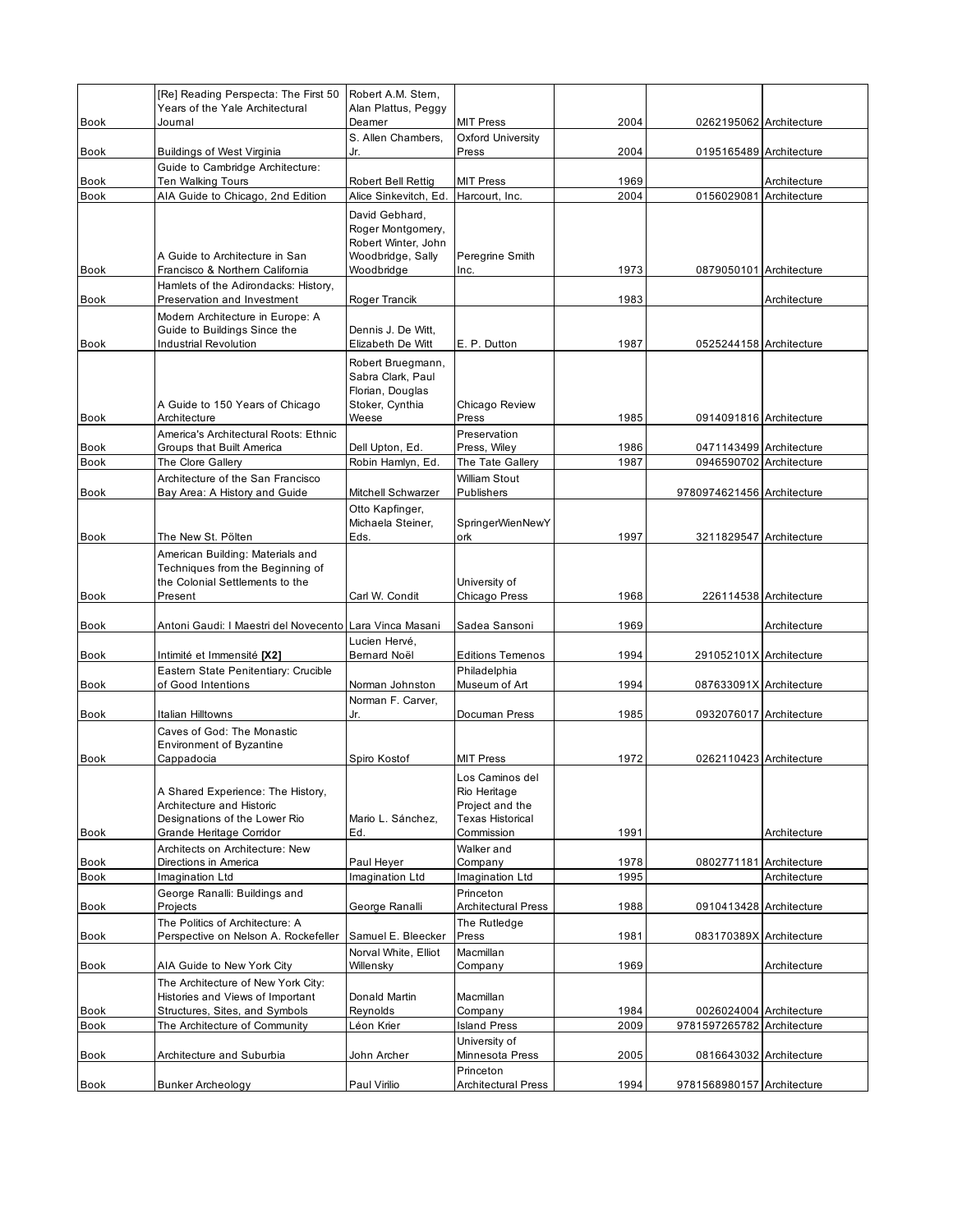| <b>Book</b>  | [Re] Reading Perspecta: The First 50<br>Years of the Yale Architectural<br>Journal                                          | Robert A.M. Stern,<br>Alan Plattus, Peggy<br>Deamer                                    | <b>MIT Press</b>                                                                            | 2004         | 0262195062 Architecture                            |                        |
|--------------|-----------------------------------------------------------------------------------------------------------------------------|----------------------------------------------------------------------------------------|---------------------------------------------------------------------------------------------|--------------|----------------------------------------------------|------------------------|
|              |                                                                                                                             | S. Allen Chambers.                                                                     | Oxford University                                                                           |              |                                                    |                        |
| Book         | Buildings of West Virginia<br>Guide to Cambridge Architecture:                                                              | Jr.                                                                                    | Press                                                                                       | 2004         | 0195165489 Architecture                            |                        |
| <b>Book</b>  | <b>Ten Walking Tours</b>                                                                                                    | Robert Bell Rettig                                                                     | <b>MIT Press</b>                                                                            | 1969         |                                                    | Architecture           |
| <b>Book</b>  | AIA Guide to Chicago, 2nd Edition                                                                                           | Alice Sinkevitch, Ed.                                                                  | Harcourt, Inc.                                                                              | 2004         | 0156029081                                         | Architecture           |
|              | A Guide to Architecture in San                                                                                              | David Gebhard,<br>Roger Montgomery,<br>Robert Winter, John<br>Woodbridge, Sally        | Peregrine Smith                                                                             |              |                                                    |                        |
| <b>Book</b>  | Francisco & Northern California                                                                                             | Woodbridge                                                                             | Inc.                                                                                        | 1973         | 0879050101 Architecture                            |                        |
| <b>Book</b>  | Hamlets of the Adirondacks: History,<br>Preservation and Investment                                                         | Roger Trancik                                                                          |                                                                                             | 1983         |                                                    | Architecture           |
|              | Modern Architecture in Europe: A<br>Guide to Buildings Since the                                                            | Dennis J. De Witt,                                                                     |                                                                                             |              |                                                    |                        |
| <b>Book</b>  | <b>Industrial Revolution</b>                                                                                                | Elizabeth De Witt                                                                      | E. P. Dutton                                                                                | 1987         | 0525244158 Architecture                            |                        |
| Book         | A Guide to 150 Years of Chicago<br>Architecture                                                                             | Robert Bruegmann,<br>Sabra Clark, Paul<br>Florian, Douglas<br>Stoker, Cynthia<br>Weese | Chicago Review<br>Press                                                                     | 1985         | 0914091816 Architecture                            |                        |
|              | America's Architectural Roots: Ethnic                                                                                       |                                                                                        | Preservation                                                                                |              |                                                    |                        |
| <b>Book</b>  | Groups that Built America                                                                                                   | Dell Upton, Ed.                                                                        | Press, Wiley                                                                                | 1986<br>1987 | 0471143499 Architecture<br>0946590702 Architecture |                        |
| <b>Book</b>  | The Clore Gallery<br>Architecture of the San Francisco                                                                      | Robin Hamlyn, Ed.                                                                      | The Tate Gallery<br><b>William Stout</b>                                                    |              |                                                    |                        |
| Book         | Bay Area: A History and Guide                                                                                               | Mitchell Schwarzer                                                                     | Publishers                                                                                  |              | 9780974621456 Architecture                         |                        |
| Book         | The New St. Pölten                                                                                                          | Otto Kapfinger,<br>Michaela Steiner,<br>Eds.                                           | SpringerWienNewY<br>ork                                                                     | 1997         | 3211829547 Architecture                            |                        |
|              | American Building: Materials and<br>Techniques from the Beginning of                                                        |                                                                                        |                                                                                             |              |                                                    |                        |
| <b>Book</b>  | the Colonial Settlements to the<br>Present                                                                                  | Carl W. Condit                                                                         | University of<br>Chicago Press                                                              | 1968         |                                                    | 226114538 Architecture |
|              |                                                                                                                             |                                                                                        |                                                                                             |              |                                                    |                        |
| <b>Book</b>  | Antoni Gaudi: I Maestri del Novecento Lara Vinca Masani                                                                     |                                                                                        | Sadea Sansoni                                                                               | 1969         |                                                    | Architecture           |
|              |                                                                                                                             | Lucien Hervé,                                                                          |                                                                                             |              |                                                    |                        |
| Book         | Intimité et Immensité [X2]<br>Eastern State Penitentiary: Crucible                                                          | Bernard Noël                                                                           | <b>Editions Temenos</b><br>Philadelphia                                                     | 1994         | 291052101X Architecture                            |                        |
| Book         | of Good Intentions                                                                                                          | Norman Johnston                                                                        | Museum of Art                                                                               | 1994         | 087633091X Architecture                            |                        |
|              |                                                                                                                             | Norman F. Carver,                                                                      |                                                                                             |              |                                                    |                        |
| Book         | Italian Hilltowns<br>Caves of God: The Monastic<br><b>Environment of Byzantine</b>                                          | Jr.                                                                                    | Documan Press                                                                               | 1985         | 0932076017 Architecture                            |                        |
| Book         | Cappadocia                                                                                                                  | Spiro Kostof                                                                           | <b>MIT Press</b>                                                                            | 1972         | 0262110423 Architecture                            |                        |
| Book         | A Shared Experience: The History,<br>Architecture and Historic<br>Designations of the Lower Rio<br>Grande Heritage Corridor | Mario L. Sánchez,<br>Ed.                                                               | Los Caminos del<br>Rio Heritage<br>Project and the<br><b>Texas Historical</b><br>Commission | 1991         |                                                    | Architecture           |
|              | Architects on Architecture: New                                                                                             |                                                                                        | Walker and                                                                                  |              |                                                    |                        |
| Book         | Directions in America                                                                                                       | Paul Heyer                                                                             | Company                                                                                     | 1978         | 0802771181 Architecture                            |                        |
| <b>Book</b>  | Imagination Ltd<br>George Ranalli: Buildings and                                                                            | Imagination Ltd                                                                        | Imagination Ltd<br>Princeton                                                                | 1995         |                                                    | Architecture           |
| Book         | Projects                                                                                                                    | George Ranalli                                                                         | <b>Architectural Press</b>                                                                  | 1988         | 0910413428 Architecture                            |                        |
|              | The Politics of Architecture: A<br>Perspective on Nelson A. Rockefeller                                                     | Samuel E. Bleecker                                                                     | The Rutledge                                                                                | 1981         | 083170389X Architecture                            |                        |
| Book<br>Book | AIA Guide to New York City                                                                                                  | Norval White, Elliot<br>Willensky                                                      | Press<br>Macmillan<br>Company                                                               | 1969         |                                                    | Architecture           |
| Book         | The Architecture of New York City:<br>Histories and Views of Important<br>Structures, Sites, and Symbols                    | Donald Martin<br>Reynolds                                                              | Macmillan<br>Company                                                                        | 1984         | 0026024004 Architecture                            |                        |
| Book         | The Architecture of Community                                                                                               | Léon Krier                                                                             | <b>Island Press</b>                                                                         | 2009         | 9781597265782 Architecture                         |                        |
| Book         | Architecture and Suburbia                                                                                                   | John Archer                                                                            | University of<br>Minnesota Press<br>Princeton                                               | 2005         | 0816643032 Architecture                            |                        |
| Book         | <b>Bunker Archeology</b>                                                                                                    | Paul Virilio                                                                           | <b>Architectural Press</b>                                                                  | 1994         | 9781568980157 Architecture                         |                        |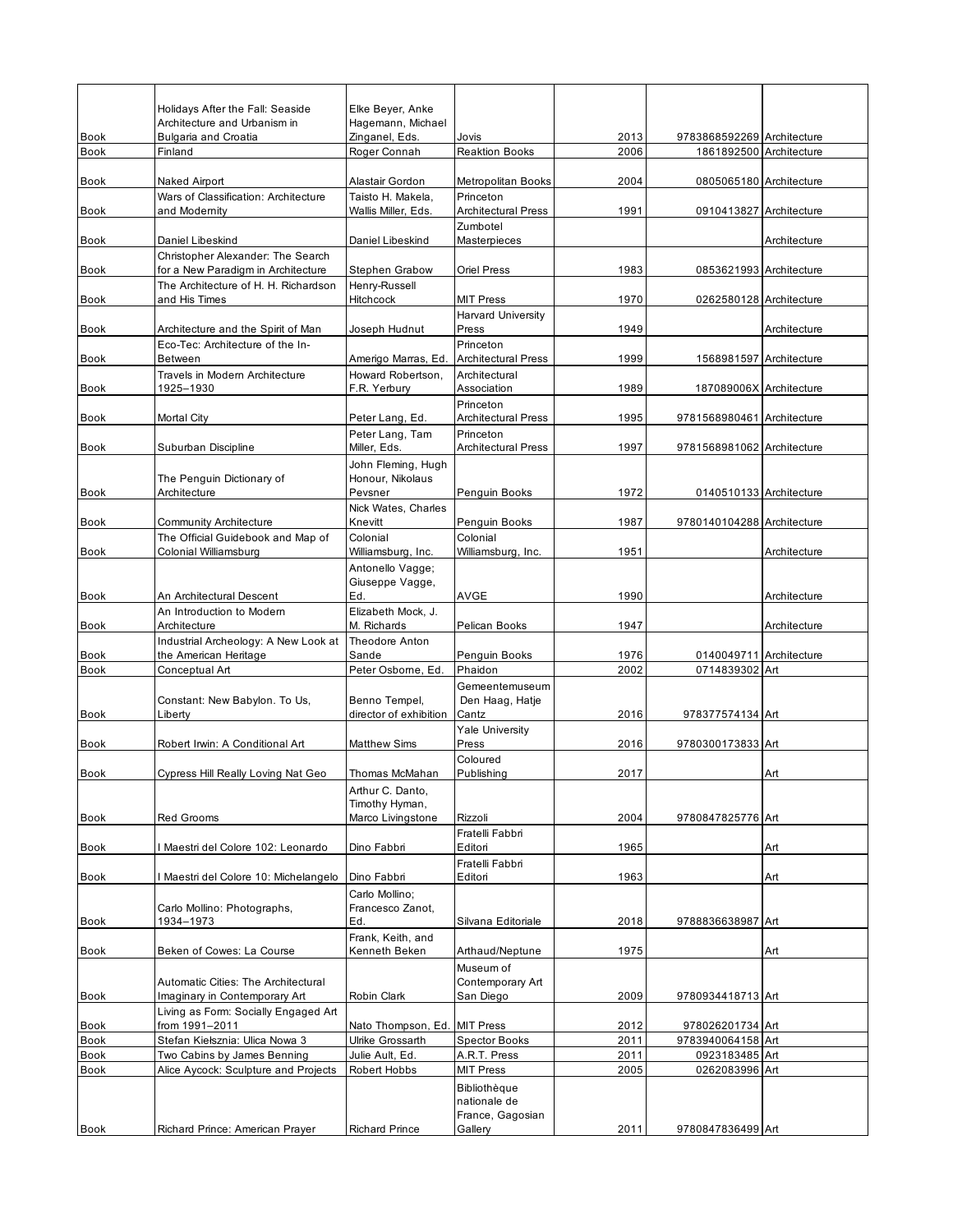|                            | Holidays After the Fall: Seaside                                       | Elke Beyer, Anke                    |                               |              |                                           |              |
|----------------------------|------------------------------------------------------------------------|-------------------------------------|-------------------------------|--------------|-------------------------------------------|--------------|
| <b>Book</b>                | Architecture and Urbanism in<br><b>Bulgaria and Croatia</b>            | Hagemann, Michael<br>Zinganel, Eds. | Jovis                         | 2013         | 9783868592269 Architecture                |              |
| <b>Book</b>                | Finland                                                                | Roger Connah                        | <b>Reaktion Books</b>         | 2006         | 1861892500 Architecture                   |              |
|                            |                                                                        |                                     |                               |              |                                           |              |
| <b>Book</b>                | Naked Airport                                                          | Alastair Gordon                     | <b>Metropolitan Books</b>     | 2004         | 0805065180 Architecture                   |              |
|                            | Wars of Classification: Architecture                                   | Taisto H. Makela,                   | Princeton                     |              |                                           |              |
| Book                       | and Modernity                                                          | Wallis Miller, Eds.                 | <b>Architectural Press</b>    | 1991         | 0910413827 Architecture                   |              |
| <b>Book</b>                | Daniel Libeskind                                                       | Daniel Libeskind                    | Zumbotel<br>Masterpieces      |              |                                           | Architecture |
|                            | Christopher Alexander: The Search                                      |                                     |                               |              |                                           |              |
| <b>Book</b>                | for a New Paradigm in Architecture                                     | <b>Stephen Grabow</b>               | Oriel Press                   | 1983         | 0853621993 Architecture                   |              |
|                            | The Architecture of H. H. Richardson                                   | Henry-Russell                       |                               |              |                                           |              |
| <b>Book</b>                | and His Times                                                          | Hitchcock                           | <b>MIT Press</b>              | 1970         | 0262580128 Architecture                   |              |
|                            |                                                                        |                                     | <b>Harvard University</b>     |              |                                           |              |
| <b>Book</b>                | Architecture and the Spirit of Man<br>Eco-Tec: Architecture of the In- | Joseph Hudnut                       | Press<br>Princeton            | 1949         |                                           | Architecture |
| Book                       | Between                                                                | Amerigo Marras, Ed.                 | <b>Architectural Press</b>    | 1999         | 1568981597 Architecture                   |              |
|                            | Travels in Modern Architecture                                         | Howard Robertson,                   | Architectural                 |              |                                           |              |
| Book                       | 1925-1930                                                              | F.R. Yerbury                        | Association                   | 1989         | 187089006X Architecture                   |              |
|                            |                                                                        |                                     | Princeton                     |              |                                           |              |
| <b>Book</b>                | <b>Mortal City</b>                                                     | Peter Lang, Ed.                     | <b>Architectural Press</b>    | 1995         | 9781568980461 Architecture                |              |
|                            |                                                                        | Peter Lang, Tam                     | Princeton                     |              |                                           |              |
| <b>Book</b>                | Suburban Discipline                                                    | Miller, Eds.<br>John Fleming, Hugh  | <b>Architectural Press</b>    | 1997         | 9781568981062 Architecture                |              |
|                            | The Penguin Dictionary of                                              | Honour, Nikolaus                    |                               |              |                                           |              |
| Book                       | Architecture                                                           | Pevsner                             | Penguin Books                 | 1972         | 0140510133 Architecture                   |              |
|                            |                                                                        | Nick Wates, Charles                 |                               |              |                                           |              |
| <b>Book</b>                | Community Architecture                                                 | Knevitt                             | Penguin Books                 | 1987         | 9780140104288 Architecture                |              |
|                            | The Official Guidebook and Map of                                      | Colonial                            | Colonial                      |              |                                           |              |
| Book                       | Colonial Williamsburg                                                  | Williamsburg, Inc.                  | Williamsburg, Inc.            | 1951         |                                           | Architecture |
|                            |                                                                        | Antonello Vagge;<br>Giuseppe Vagge, |                               |              |                                           |              |
| <b>Book</b>                | An Architectural Descent                                               | Ed.                                 | <b>AVGE</b>                   | 1990         |                                           | Architecture |
|                            | An Introduction to Modern                                              | Elizabeth Mock, J.                  |                               |              |                                           |              |
| Book                       | Architecture                                                           | M. Richards                         | Pelican Books                 | 1947         |                                           | Architecture |
|                            | Industrial Archeology: A New Look at                                   | Theodore Anton                      |                               |              |                                           |              |
| <b>Book</b><br><b>Book</b> | the American Heritage<br>Conceptual Art                                | Sande<br>Peter Osborne, Ed.         | Penguin Books<br>Phaidon      | 1976<br>2002 | 0140049711 Architecture<br>0714839302 Art |              |
|                            |                                                                        |                                     | Gemeentemuseum                |              |                                           |              |
|                            | Constant: New Babylon. To Us,                                          | Benno Tempel,                       | Den Haag, Hatje               |              |                                           |              |
| Book                       | Liberty                                                                | director of exhibition              | Cantz                         | 2016         | 978377574134 Art                          |              |
|                            |                                                                        |                                     | <b>Yale University</b>        |              |                                           |              |
| <b>Book</b>                | Robert Irwin: A Conditional Art                                        | <b>Matthew Sims</b>                 | Press                         | 2016         | 9780300173833 Art                         |              |
| <b>Book</b>                | Cypress Hill Really Loving Nat Geo                                     | Thomas McMahan                      | Coloured<br>Publishing        | 2017         |                                           | Art          |
|                            |                                                                        | Arthur C. Danto,                    |                               |              |                                           |              |
|                            |                                                                        | Timothy Hyman,                      |                               |              |                                           |              |
| Book                       | <b>Red Grooms</b>                                                      | Marco Livingstone                   | Rizzoli                       | 2004         | 9780847825776 Art                         |              |
|                            |                                                                        |                                     | Fratelli Fabbri               |              |                                           |              |
| <b>Book</b>                | Maestri del Colore 102: Leonardo                                       | Dino Fabbri                         | Editori                       | 1965         |                                           | Art          |
| Book                       | Maestri del Colore 10: Michelangelo                                    | Dino Fabbri                         | Fratelli Fabbri<br>Editori    | 1963         |                                           | Art          |
|                            |                                                                        | Carlo Mollino;                      |                               |              |                                           |              |
|                            | Carlo Mollino: Photographs,                                            | Francesco Zanot,                    |                               |              |                                           |              |
| Book                       | 1934-1973                                                              | Ed.                                 | Silvana Editoriale            | 2018         | 9788836638987 Art                         |              |
|                            |                                                                        | Frank, Keith, and                   |                               |              |                                           |              |
| <b>Book</b>                | Beken of Cowes: La Course                                              | Kenneth Beken                       | Arthaud/Neptune               | 1975         |                                           | Art          |
|                            | <b>Automatic Cities: The Architectural</b>                             |                                     | Museum of<br>Contemporary Art |              |                                           |              |
| Book                       | Imaginary in Contemporary Art                                          | Robin Clark                         | San Diego                     | 2009         | 9780934418713 Art                         |              |
|                            | Living as Form: Socially Engaged Art                                   |                                     |                               |              |                                           |              |
| Book                       | from 1991-2011                                                         | Nato Thompson, Ed. MIT Press        |                               | 2012         | 978026201734 Art                          |              |
| Book                       | Stefan Kiełsznia: Ulica Nowa 3                                         | Ulrike Grossarth                    | <b>Spector Books</b>          | 2011         | 9783940064158 Art                         |              |
| Book                       | Two Cabins by James Benning                                            | Julie Ault, Ed.                     | A.R.T. Press                  | 2011         | 0923183485 Art                            |              |
| <b>Book</b>                | Alice Aycock: Sculpture and Projects                                   | Robert Hobbs                        | <b>MIT Press</b>              | 2005         | 0262083996 Art                            |              |
|                            |                                                                        |                                     | Bibliothèque<br>nationale de  |              |                                           |              |
|                            |                                                                        |                                     | France, Gagosian              |              |                                           |              |
| Book                       | Richard Prince: American Prayer                                        | <b>Richard Prince</b>               | Gallery                       | 2011         | 9780847836499 Art                         |              |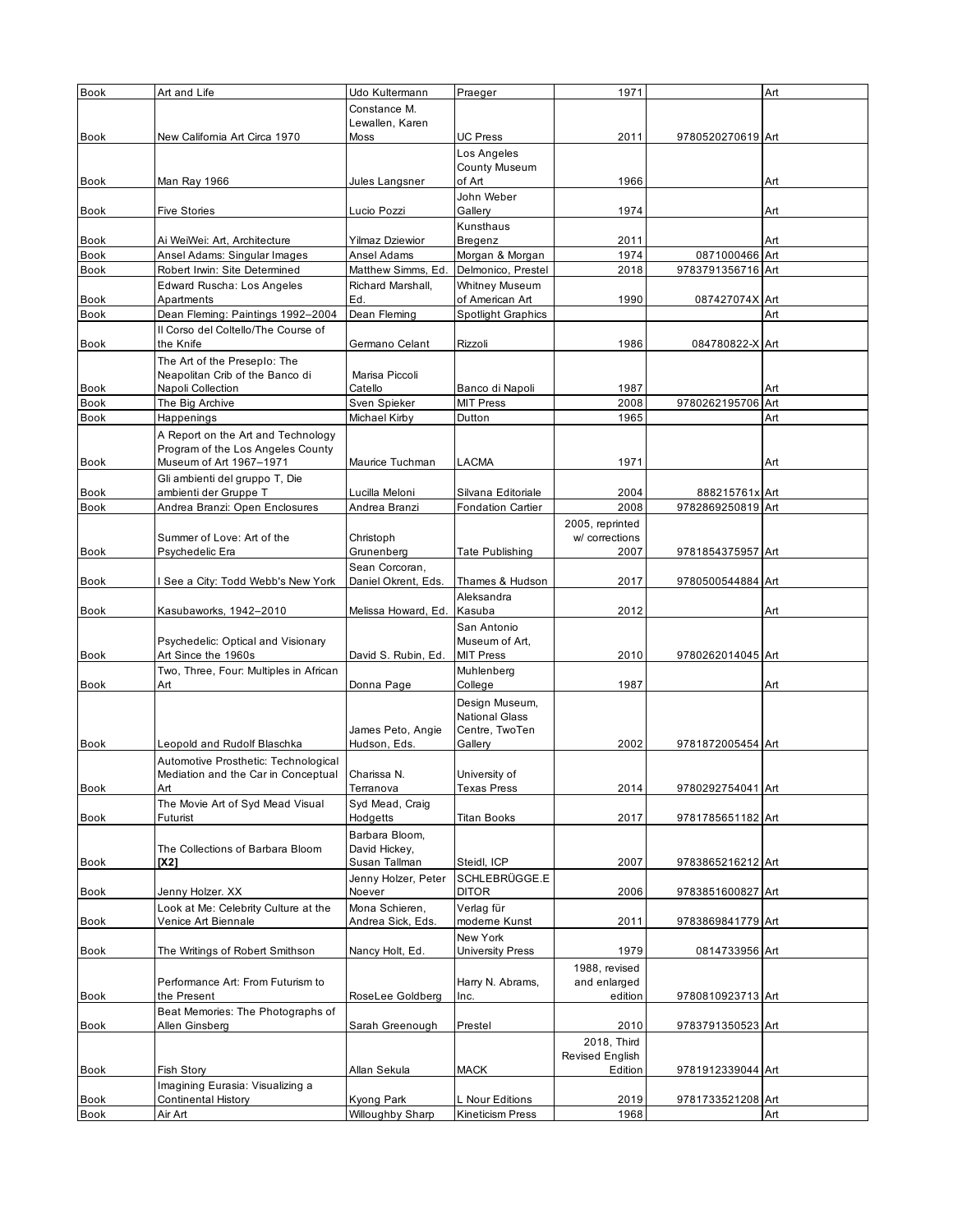| <b>Book</b>         | Art and Life                           | Udo Kultermann                 | Praeger                                    | 1971            |                   | Art |
|---------------------|----------------------------------------|--------------------------------|--------------------------------------------|-----------------|-------------------|-----|
|                     |                                        | Constance M.                   |                                            |                 |                   |     |
|                     |                                        | Lewallen, Karen                |                                            |                 |                   |     |
| <b>Book</b>         | New California Art Circa 1970          | Moss                           | <b>UC Press</b>                            | 2011            | 9780520270619 Art |     |
|                     |                                        |                                | Los Angeles                                |                 |                   |     |
|                     |                                        |                                | <b>County Museum</b>                       |                 |                   |     |
| <b>Book</b>         | Man Ray 1966                           | Jules Langsner                 | of Art                                     | 1966            |                   | Art |
|                     |                                        |                                | John Weber                                 |                 |                   |     |
| <b>Book</b>         | <b>Five Stories</b>                    | Lucio Pozzi                    | Gallery                                    | 1974            |                   | Art |
|                     |                                        |                                | Kunsthaus                                  |                 |                   |     |
| Book                | Ai WeiWei: Art, Architecture           | <b>Yilmaz Dziewior</b>         | Bregenz                                    | 2011            |                   | Art |
| <b>Book</b>         | Ansel Adams: Singular Images           | Ansel Adams                    | Morgan & Morgan                            | 1974            | 0871000466 Art    |     |
| <b>Book</b>         | Robert Irwin: Site Determined          | Matthew Simms, Ed.             | Delmonico, Prestel                         | 2018            | 9783791356716 Art |     |
|                     | Edward Ruscha: Los Angeles             | Richard Marshall,              | <b>Whitney Museum</b>                      |                 |                   |     |
| <b>Book</b>         | Apartments                             | Ed.                            | of American Art                            | 1990            | 087427074X Art    |     |
| <b>Book</b>         | Dean Fleming: Paintings 1992-2004      | Dean Fleming                   | <b>Spotlight Graphics</b>                  |                 |                   | Art |
|                     | Il Corso del Coltello/The Course of    |                                |                                            |                 |                   |     |
| <b>Book</b>         | the Knife                              | Germano Celant                 | Rizzoli                                    | 1986            | 084780822-X Art   |     |
|                     | The Art of the Preseplo: The           |                                |                                            |                 |                   |     |
|                     | Neapolitan Crib of the Banco di        | Marisa Piccoli                 |                                            |                 |                   |     |
| <b>Book</b>         | Napoli Collection                      | Catello                        | Banco di Napoli                            | 1987            |                   | Art |
| <b>Book</b>         | The Big Archive                        | Sven Spieker                   | <b>MIT Press</b>                           | 2008            | 9780262195706 Art |     |
| Book                | Happenings                             | Michael Kirby                  | Dutton                                     | 1965            |                   | Art |
|                     | A Report on the Art and Technology     |                                |                                            |                 |                   |     |
|                     | Program of the Los Angeles County      |                                |                                            |                 |                   |     |
| <b>Book</b>         | Museum of Art 1967-1971                | Maurice Tuchman                | LACMA                                      | 1971            |                   | Art |
|                     | Gli ambienti del gruppo T, Die         |                                |                                            |                 |                   |     |
| <b>Book</b>         | ambienti der Gruppe T                  | Lucilla Meloni                 | Silvana Editoriale                         | 2004            | 888215761x Art    |     |
| Book                | Andrea Branzi: Open Enclosures         | Andrea Branzi                  | <b>Fondation Cartier</b>                   | 2008            | 9782869250819 Art |     |
|                     |                                        |                                |                                            | 2005, reprinted |                   |     |
|                     | Summer of Love: Art of the             | Christoph                      |                                            | w/ corrections  |                   |     |
| <b>Book</b>         | Psychedelic Era                        | Grunenberg                     | Tate Publishing                            | 2007            | 9781854375957 Art |     |
|                     |                                        | Sean Corcoran,                 |                                            |                 |                   |     |
| <b>Book</b>         | See a City: Todd Webb's New York       | Daniel Okrent, Eds.            | Thames & Hudson                            | 2017            | 9780500544884 Art |     |
|                     |                                        |                                | Aleksandra                                 |                 |                   |     |
| <b>Book</b>         | Kasubaworks, 1942-2010                 | Melissa Howard, Ed.            | Kasuba                                     | 2012            |                   | Art |
|                     |                                        |                                | San Antonio                                |                 |                   |     |
|                     | Psychedelic: Optical and Visionary     |                                | Museum of Art,                             |                 |                   |     |
|                     |                                        |                                |                                            |                 |                   |     |
| <b>Book</b>         | Art Since the 1960s                    | David S. Rubin, Ed.            | <b>MIT Press</b>                           | 2010            | 9780262014045 Art |     |
|                     | Two, Three, Four: Multiples in African |                                | Muhlenberg                                 |                 |                   |     |
| <b>Book</b>         | Art                                    | Donna Page                     | College                                    | 1987            |                   | Art |
|                     |                                        |                                | Design Museum,                             |                 |                   |     |
|                     |                                        |                                | <b>National Glass</b>                      |                 |                   |     |
|                     |                                        | James Peto, Angie              | Centre, TwoTen                             |                 |                   |     |
| Book                | Leopold and Rudolf Blaschka            | Hudson, Eds.                   | Gallery                                    | 2002            | 9781872005454 Art |     |
|                     | Automotive Prosthetic: Technological   |                                |                                            |                 |                   |     |
|                     | Mediation and the Car in Conceptual    | Charissa N.                    | University of                              |                 |                   |     |
| Book                | Art                                    | Terranova                      | <b>Texas Press</b>                         | 2014            | 9780292754041 Art |     |
|                     | The Movie Art of Syd Mead Visual       | Syd Mead, Craig                |                                            |                 |                   |     |
| Book                | Futurist                               | Hodgetts                       | <b>Titan Books</b>                         | 2017            | 9781785651182 Art |     |
|                     |                                        | Barbara Bloom,                 |                                            |                 |                   |     |
|                     | The Collections of Barbara Bloom       | David Hickey,                  |                                            |                 |                   |     |
| <b>Book</b>         | [X2]                                   | Susan Tallman                  | Steidl, ICP                                | 2007            | 9783865216212 Art |     |
|                     |                                        | Jenny Holzer, Peter            | SCHLEBRÜGGE.E                              |                 |                   |     |
| <b>Book</b>         | Jenny Holzer. XX                       | Noever                         | <b>DITOR</b>                               | 2006            | 9783851600827 Art |     |
|                     | Look at Me: Celebrity Culture at the   | Mona Schieren,                 | Verlag für                                 |                 |                   |     |
| Book                | Venice Art Biennale                    | Andrea Sick, Eds.              | moderne Kunst                              | 2011            | 9783869841779 Art |     |
|                     |                                        |                                | New York                                   |                 |                   |     |
| <b>Book</b>         | The Writings of Robert Smithson        | Nancy Holt, Ed.                | <b>University Press</b>                    | 1979            | 0814733956 Art    |     |
|                     |                                        |                                |                                            | 1988, revised   |                   |     |
|                     | Performance Art: From Futurism to      |                                | Harry N. Abrams,                           | and enlarged    |                   |     |
| Book                | the Present                            | RoseLee Goldberg               | Inc.                                       | edition         | 9780810923713 Art |     |
|                     | Beat Memories: The Photographs of      |                                |                                            |                 |                   |     |
| Book                | Allen Ginsberg                         | Sarah Greenough                | Prestel                                    | 2010            | 9783791350523 Art |     |
|                     |                                        |                                |                                            | 2018, Third     |                   |     |
|                     |                                        |                                |                                            | Revised English |                   |     |
| Book                | Fish Story                             | Allan Sekula                   | <b>MACK</b>                                | Edition         | 9781912339044 Art |     |
|                     | Imagining Eurasia: Visualizing a       |                                |                                            |                 |                   |     |
| Book<br><b>Book</b> | <b>Continental History</b><br>Air Art  | Kyong Park<br>Willoughby Sharp | L Nour Editions<br><b>Kineticism Press</b> | 2019<br>1968    | 9781733521208 Art | Art |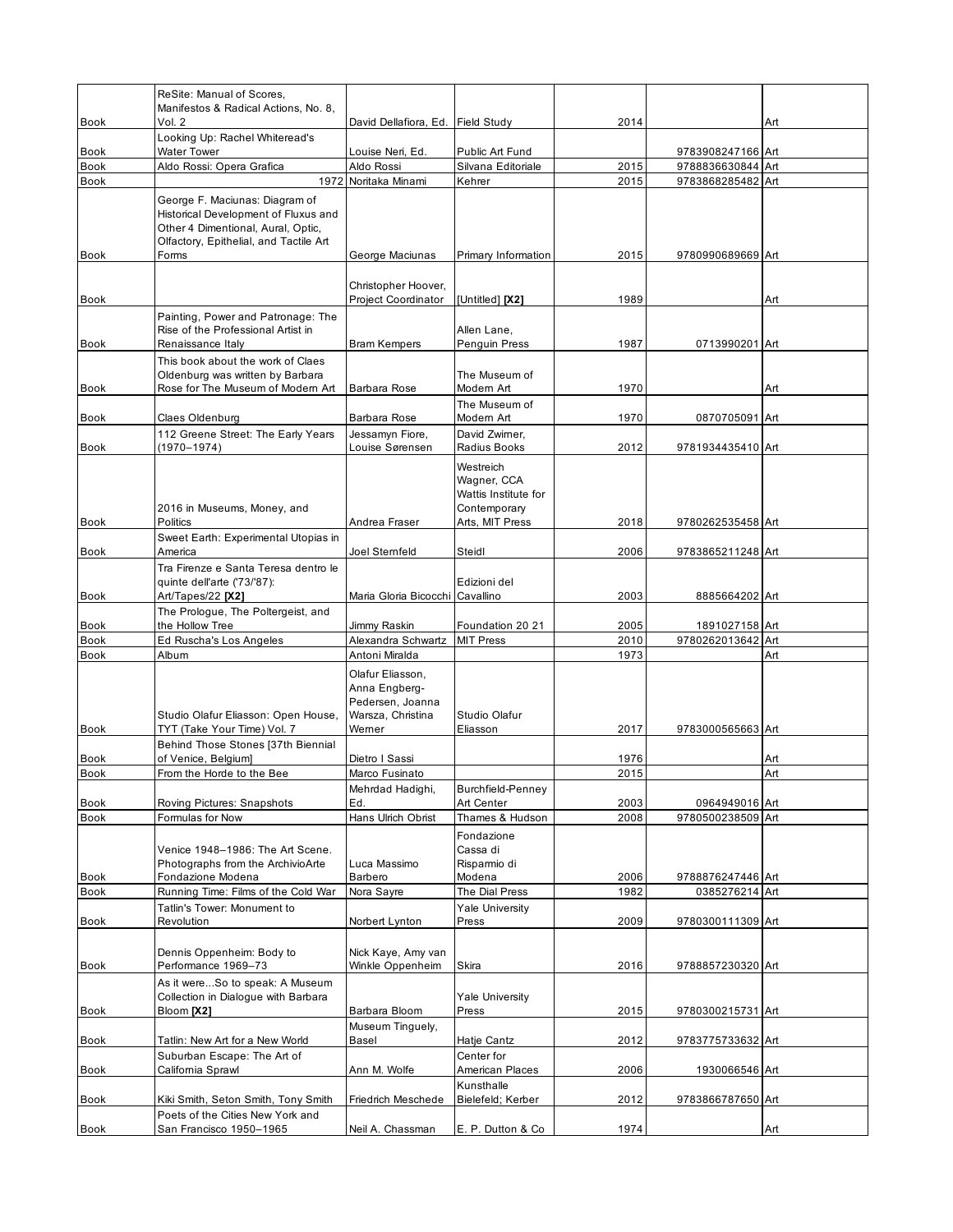| <b>Book</b>                | ReSite: Manual of Scores,<br>Manifestos & Radical Actions, No. 8,<br>Vol. 2                                                                                     | David Dellafiora, Ed. Field Study                                                    |                                                                                     | 2014 |                                        | Art |
|----------------------------|-----------------------------------------------------------------------------------------------------------------------------------------------------------------|--------------------------------------------------------------------------------------|-------------------------------------------------------------------------------------|------|----------------------------------------|-----|
|                            | Looking Up: Rachel Whiteread's<br><b>Water Tower</b>                                                                                                            |                                                                                      |                                                                                     |      |                                        |     |
| <b>Book</b><br><b>Book</b> | Aldo Rossi: Opera Grafica                                                                                                                                       | Louise Neri, Ed.<br>Aldo Rossi                                                       | Public Art Fund<br>Silvana Editoriale                                               | 2015 | 9783908247166 Art<br>9788836630844 Art |     |
| <b>Book</b>                | 1972                                                                                                                                                            | Noritaka Minami                                                                      | Kehrer                                                                              | 2015 | 9783868285482 Art                      |     |
| <b>Book</b>                | George F. Maciunas: Diagram of<br>Historical Development of Fluxus and<br>Other 4 Dimentional, Aural, Optic,<br>Olfactory, Epithelial, and Tactile Art<br>Forms | George Maciunas                                                                      | Primary Information                                                                 | 2015 | 9780990689669 Art                      |     |
| <b>Book</b>                |                                                                                                                                                                 | Christopher Hoover,<br><b>Project Coordinator</b>                                    | [Untitled] [X2]                                                                     | 1989 |                                        | Art |
| Book                       | Painting, Power and Patronage: The<br>Rise of the Professional Artist in<br>Renaissance Italy                                                                   | <b>Bram Kempers</b>                                                                  | Allen Lane,<br>Penguin Press                                                        | 1987 | 0713990201 Art                         |     |
| <b>Book</b>                | This book about the work of Claes<br>Oldenburg was written by Barbara<br>Rose for The Museum of Modern Art                                                      | <b>Barbara Rose</b>                                                                  | The Museum of<br>Modern Art                                                         | 1970 |                                        | Art |
| Book                       | Claes Oldenburg                                                                                                                                                 | Barbara Rose                                                                         | The Museum of<br>Modern Art                                                         | 1970 | 0870705091 Art                         |     |
| Book                       | 112 Greene Street: The Early Years<br>(1970–1974)                                                                                                               | Jessamyn Fiore,<br>Louise Sørensen                                                   | David Zwimer.<br>Radius Books                                                       | 2012 | 9781934435410 Art                      |     |
| <b>Book</b>                | 2016 in Museums, Money, and<br>Politics                                                                                                                         | Andrea Fraser                                                                        | Westreich<br>Wagner, CCA<br>Wattis Institute for<br>Contemporary<br>Arts, MIT Press | 2018 | 9780262535458 Art                      |     |
| <b>Book</b>                | Sweet Earth: Experimental Utopias in<br>America                                                                                                                 | Joel Sternfeld                                                                       | Steidl                                                                              | 2006 | 9783865211248 Art                      |     |
| Book                       | Tra Firenze e Santa Teresa dentro le<br>quinte dell'arte ('73/'87):<br>Art/Tapes/22 [X2]                                                                        | Maria Gloria Bicocchi Cavallino                                                      | Edizioni del                                                                        | 2003 | 8885664202 Art                         |     |
| Book                       | The Prologue, The Poltergeist, and<br>the Hollow Tree                                                                                                           | Jimmy Raskin                                                                         | Foundation 20 21                                                                    | 2005 | 1891027158 Art                         |     |
| <b>Book</b>                | Ed Ruscha's Los Angeles                                                                                                                                         | Alexandra Schwartz                                                                   | <b>MIT Press</b>                                                                    | 2010 | 9780262013642 Art                      |     |
| Book                       | Album                                                                                                                                                           | Antoni Miralda                                                                       |                                                                                     | 1973 |                                        | Art |
| <b>Book</b>                | Studio Olafur Eliasson: Open House,<br>TYT (Take Your Time) Vol. 7                                                                                              | Olafur Eliasson,<br>Anna Engberg-<br>Pedersen, Joanna<br>Warsza, Christina<br>Werner | Studio Olafur<br>Eliasson                                                           | 2017 | 9783000565663 Art                      |     |
| Book                       | Behind Those Stones [37th Biennial<br>of Venice, Belgium]                                                                                                       | Dietro I Sassi                                                                       |                                                                                     | 1976 |                                        | Art |
| <b>Book</b>                | From the Horde to the Bee                                                                                                                                       | Marco Fusinato                                                                       |                                                                                     | 2015 |                                        | Art |
| Book                       | Roving Pictures: Snapshots                                                                                                                                      | Mehrdad Hadighi,<br>Ed.                                                              | Burchfield-Penney<br>Art Center                                                     | 2003 | 0964949016 Art                         |     |
| Book                       | Formulas for Now                                                                                                                                                | Hans Ulrich Obrist                                                                   | Thames & Hudson                                                                     | 2008 | 9780500238509 Art                      |     |
| Book                       | Venice 1948-1986: The Art Scene.<br>Photographs from the ArchivioArte<br>Fondazione Modena                                                                      | Luca Massimo<br>Barbero                                                              | Fondazione<br>Cassa di<br>Risparmio di<br>Modena                                    | 2006 | 9788876247446 Art                      |     |
| Book                       | Running Time: Films of the Cold War<br>Tatlin's Tower: Monument to                                                                                              | Nora Sayre                                                                           | The Dial Press                                                                      | 1982 | 0385276214 Art                         |     |
| Book                       | Revolution                                                                                                                                                      | Norbert Lynton                                                                       | <b>Yale University</b><br>Press                                                     | 2009 | 9780300111309 Art                      |     |
| Book                       | Dennis Oppenheim: Body to<br>Performance 1969-73                                                                                                                | Nick Kaye, Amy van<br>Winkle Oppenheim                                               | Skira                                                                               | 2016 | 9788857230320 Art                      |     |
| Book                       | As it wereSo to speak: A Museum<br>Collection in Dialogue with Barbara<br>Bloom [X2]                                                                            | Barbara Bloom                                                                        | <b>Yale University</b><br>Press                                                     | 2015 | 9780300215731 Art                      |     |
| Book                       | Tatlin: New Art for a New World                                                                                                                                 | Museum Tinguely,<br>Basel                                                            | Hatje Cantz                                                                         | 2012 | 9783775733632 Art                      |     |
| Book                       | Suburban Escape: The Art of<br>California Sprawl                                                                                                                | Ann M. Wolfe                                                                         | Center for<br>American Places                                                       | 2006 | 1930066546 Art                         |     |
| Book                       | Kiki Smith, Seton Smith, Tony Smith                                                                                                                             | Friedrich Meschede                                                                   | Kunsthalle<br>Bielefeld; Kerber                                                     | 2012 | 9783866787650 Art                      |     |
| Book                       | Poets of the Cities New York and<br>San Francisco 1950-1965                                                                                                     | Neil A. Chassman                                                                     | E. P. Dutton & Co.                                                                  | 1974 |                                        | Art |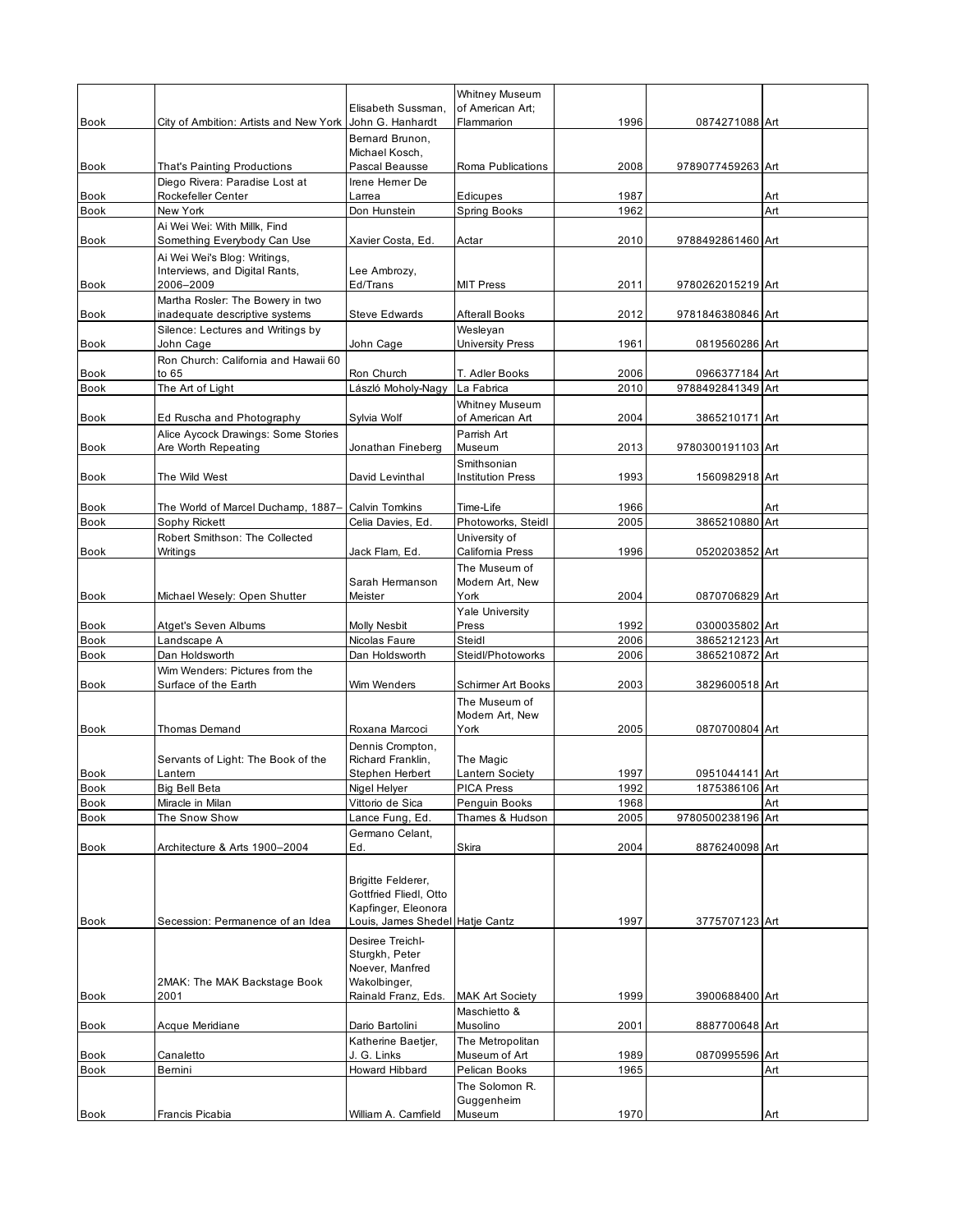| <b>Book</b>                | City of Ambition: Artists and New York                              | Elisabeth Sussman,<br>John G. Hanhardt | <b>Whitney Museum</b><br>of American Art;<br>Flammarion | 1996         | 0874271088 Art                   |     |
|----------------------------|---------------------------------------------------------------------|----------------------------------------|---------------------------------------------------------|--------------|----------------------------------|-----|
|                            |                                                                     | Bernard Brunon,                        |                                                         |              |                                  |     |
| Book                       | That's Painting Productions                                         | Michael Kosch,<br>Pascal Beausse       | Roma Publications                                       | 2008         | 9789077459263 Art                |     |
| Book                       | Diego Rivera: Paradise Lost at<br>Rockefeller Center                | Irene Herner De<br>Larrea              | Edicupes                                                | 1987         |                                  | Art |
| <b>Book</b>                | New York                                                            | Don Hunstein                           | Spring Books                                            | 1962         |                                  | Art |
|                            | Ai Wei Wei: With Millk, Find                                        |                                        |                                                         |              |                                  |     |
| Book                       | Something Everybody Can Use                                         | Xavier Costa, Ed.                      | Actar                                                   | 2010         | 9788492861460 Art                |     |
|                            | Ai Wei Wei's Blog: Writings,<br>Interviews, and Digital Rants,      | Lee Ambrozy,                           |                                                         |              |                                  |     |
| <b>Book</b>                | 2006-2009                                                           | Ed/Trans                               | <b>MIT Press</b>                                        | 2011         | 9780262015219 Art                |     |
|                            | Martha Rosler: The Bowery in two                                    |                                        |                                                         |              |                                  |     |
| Book                       | inadequate descriptive systems<br>Silence: Lectures and Writings by | Steve Edwards                          | <b>Afterall Books</b><br>Wesleyan                       | 2012         | 9781846380846 Art                |     |
| Book                       | John Cage                                                           | John Cage                              | University Press                                        | 1961         | 0819560286 Art                   |     |
|                            | Ron Church: California and Hawaii 60                                |                                        |                                                         |              |                                  |     |
| Book                       | to $65$                                                             | Ron Church                             | T. Adler Books                                          | 2006         | 0966377184 Art                   |     |
| <b>Book</b>                | The Art of Light                                                    | László Moholy-Nagy                     | La Fabrica<br><b>Whitney Museum</b>                     | 2010         | 9788492841349 Art                |     |
| Book                       | Ed Ruscha and Photography                                           | Sylvia Wolf                            | of American Art                                         | 2004         | 3865210171 Art                   |     |
|                            | Alice Aycock Drawings: Some Stories                                 |                                        | Parrish Art                                             |              |                                  |     |
| Book                       | Are Worth Repeating                                                 | Jonathan Fineberg                      | Museum                                                  | 2013         | 9780300191103 Art                |     |
| <b>Book</b>                | The Wild West                                                       | David Levinthal                        | Smithsonian<br><b>Institution Press</b>                 | 1993         | 1560982918 Art                   |     |
|                            |                                                                     |                                        |                                                         |              |                                  |     |
| Book                       | The World of Marcel Duchamp, 1887-                                  | <b>Calvin Tomkins</b>                  | Time-Life                                               | 1966         |                                  | Art |
| Book                       | Sophy Rickett                                                       | Celia Davies, Ed.                      | Photoworks, Steidl                                      | 2005         | 3865210880 Art                   |     |
| Book                       | Robert Smithson: The Collected<br>Writings                          | Jack Flam, Ed.                         | University of<br>California Press                       | 1996         | 0520203852 Art                   |     |
|                            |                                                                     |                                        | The Museum of                                           |              |                                  |     |
|                            |                                                                     | Sarah Hermanson                        | Modern Art, New                                         |              |                                  |     |
| Book                       | Michael Wesely: Open Shutter                                        | Meister                                | York                                                    | 2004         | 0870706829 Art                   |     |
|                            |                                                                     |                                        | Yale University                                         |              |                                  |     |
| Book<br><b>Book</b>        | Atget's Seven Albums<br>Landscape A                                 | Molly Nesbit<br>Nicolas Faure          | Press<br>Steidl                                         | 1992<br>2006 | 0300035802 Art<br>3865212123 Art |     |
| <b>Book</b>                | Dan Holdsworth                                                      | Dan Holdsworth                         | Steidl/Photoworks                                       | 2006         | 3865210872 Art                   |     |
|                            | Wim Wenders: Pictures from the                                      |                                        |                                                         |              |                                  |     |
| Book                       | Surface of the Earth                                                | Wim Wenders                            | Schirmer Art Books                                      | 2003         | 3829600518 Art                   |     |
|                            |                                                                     |                                        | The Museum of                                           |              |                                  |     |
| <b>Book</b>                | Thomas Demand                                                       | Roxana Marcoci                         | Modern Art, New<br>York                                 | 2005         | 0870700804 Art                   |     |
|                            |                                                                     | Dennis Crompton,                       |                                                         |              |                                  |     |
|                            | Servants of Light: The Book of the                                  | Richard Franklin,                      | The Magic                                               |              |                                  |     |
| Book                       | Lantern                                                             | Stephen Herbert                        | Lantern Society                                         | 1997         | 0951044141 Art                   |     |
| Book                       | Big Bell Beta                                                       | Nigel Helyer                           | <b>PICA Press</b>                                       | 1992         | 1875386106 Art                   |     |
| <b>Book</b><br><b>Book</b> | Miracle in Milan<br>The Snow Show                                   | Vittorio de Sica<br>Lance Fung, Ed.    | Penguin Books<br>Thames & Hudson                        | 1968<br>2005 | 9780500238196 Art                | Art |
|                            |                                                                     | Germano Celant,                        |                                                         |              |                                  |     |
| <b>Book</b>                | Architecture & Arts 1900-2004                                       | Ed.                                    | Skira                                                   | 2004         | 8876240098 Art                   |     |
|                            |                                                                     |                                        |                                                         |              |                                  |     |
|                            |                                                                     | Brigitte Felderer,                     |                                                         |              |                                  |     |
|                            |                                                                     | Gottfried Fliedl, Otto                 |                                                         |              |                                  |     |
|                            |                                                                     | Kapfinger, Eleonora                    |                                                         |              |                                  |     |
| <b>Book</b>                | Secession: Permanence of an Idea                                    | Louis, James Shedel Hatje Cantz        |                                                         | 1997         | 3775707123 Art                   |     |
|                            |                                                                     | Desiree Treichl-<br>Sturgkh, Peter     |                                                         |              |                                  |     |
|                            |                                                                     | Noever, Manfred                        |                                                         |              |                                  |     |
|                            | 2MAK: The MAK Backstage Book                                        | Wakolbinger,                           |                                                         |              |                                  |     |
| Book                       | 2001                                                                | Rainald Franz, Eds.                    | <b>MAK Art Society</b>                                  | 1999         | 3900688400 Art                   |     |
|                            |                                                                     |                                        | Maschietto &                                            |              |                                  |     |
| Book                       | Acque Meridiane                                                     | Dario Bartolini<br>Katherine Baetjer,  | Musolino<br>The Metropolitan                            | 2001         | 8887700648 Art                   |     |
| Book                       | Canaletto                                                           | J. G. Links                            | Museum of Art                                           | 1989         | 0870995596 Art                   |     |
| <b>Book</b>                | Bemini                                                              | Howard Hibbard                         | Pelican Books                                           | 1965         |                                  | Art |
|                            |                                                                     |                                        | The Solomon R.                                          |              |                                  |     |
|                            |                                                                     |                                        | Guggenheim                                              |              |                                  |     |
| Book                       | Francis Picabia                                                     | William A. Camfield                    | Museum                                                  | 1970         |                                  | Art |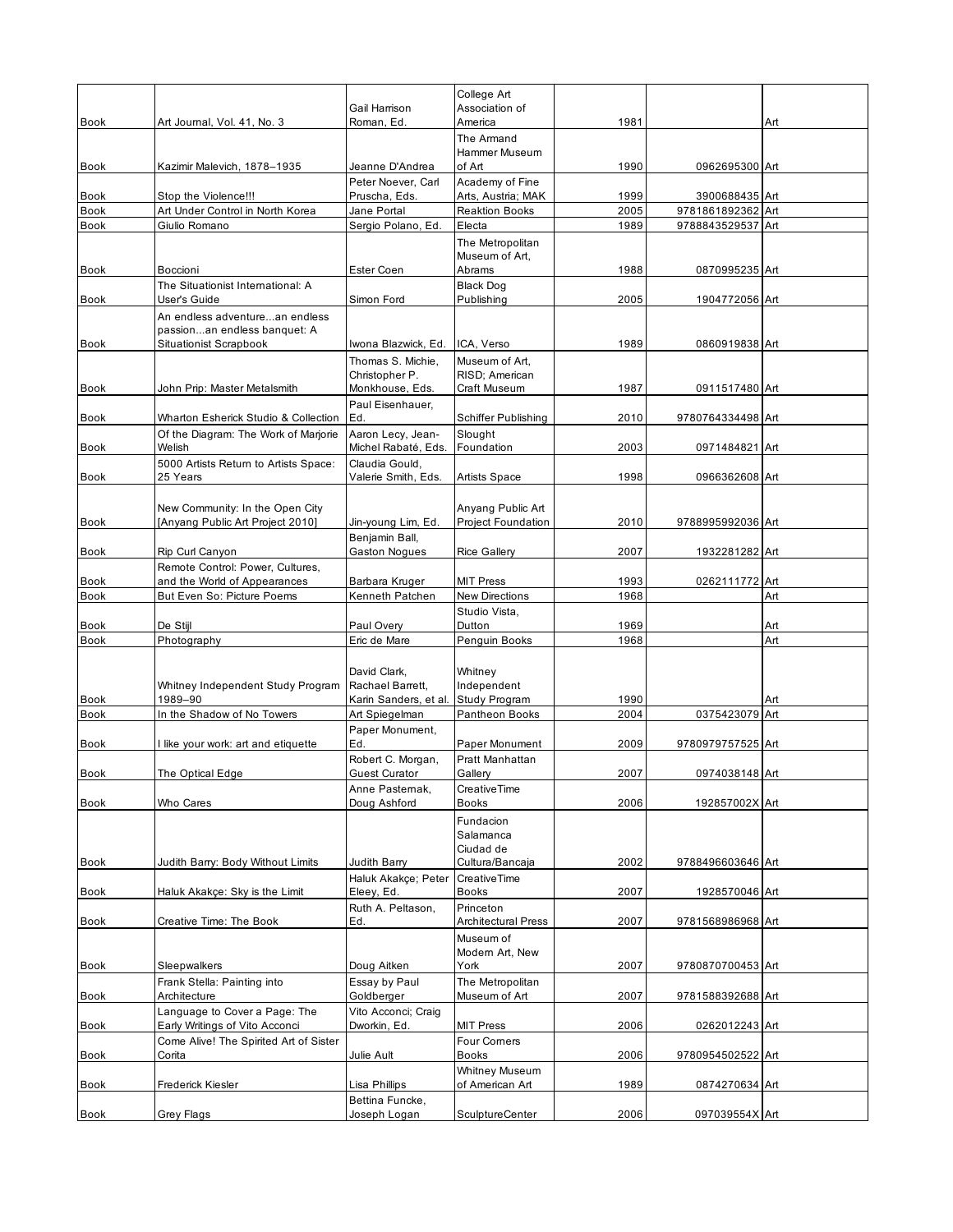|                            |                                                                                                 | Gail Harrison                             | College Art<br>Association of       |              |                   |     |
|----------------------------|-------------------------------------------------------------------------------------------------|-------------------------------------------|-------------------------------------|--------------|-------------------|-----|
| <b>Book</b>                | Art Journal, Vol. 41, No. 3                                                                     | Roman, Ed.                                | America                             | 1981         |                   | Art |
|                            |                                                                                                 |                                           | The Armand<br>Hammer Museum         |              |                   |     |
| Book                       | Kazimir Malevich, 1878-1935                                                                     | Jeanne D'Andrea<br>Peter Noever, Carl     | of Art<br>Academy of Fine           | 1990         | 0962695300 Art    |     |
| Book                       | Stop the Violence!!!                                                                            | Pruscha, Eds.                             | Arts, Austria; MAK                  | 1999         | 3900688435 Art    |     |
| <b>Book</b>                | Art Under Control in North Korea                                                                | Jane Portal                               | <b>Reaktion Books</b>               | 2005         | 9781861892362 Art |     |
| <b>Book</b>                | Giulio Romano                                                                                   | Sergio Polano, Ed.                        | Electa                              | 1989         | 9788843529537 Art |     |
|                            |                                                                                                 |                                           | The Metropolitan<br>Museum of Art,  |              |                   |     |
| Book                       | Boccioni<br>The Situationist International: A                                                   | Ester Coen                                | Abrams<br><b>Black Dog</b>          | 1988         | 0870995235 Art    |     |
| <b>Book</b>                | User's Guide                                                                                    | Simon Ford                                | Publishing                          | 2005         | 1904772056 Art    |     |
| Book                       | An endless adventurean endless<br>passionan endless banquet: A<br><b>Situationist Scrapbook</b> | Iwona Blazwick, Ed.                       | ICA, Verso                          | 1989         | 0860919838 Art    |     |
|                            |                                                                                                 | Thomas S. Michie,                         | Museum of Art,                      |              |                   |     |
| Book                       | John Prip: Master Metalsmith                                                                    | Christopher P.<br>Monkhouse, Eds.         | RISD; American<br>Craft Museum      | 1987         | 0911517480 Art    |     |
|                            |                                                                                                 | Paul Eisenhauer,<br>Ed.                   | Schiffer Publishing                 | 2010         |                   |     |
| Book                       | Wharton Esherick Studio & Collection<br>Of the Diagram: The Work of Marjorie                    | Aaron Lecy, Jean-                         | Slought                             |              | 9780764334498 Art |     |
| Book                       | Welish                                                                                          | Michel Rabaté, Eds.                       | Foundation                          | 2003         | 0971484821 Art    |     |
| Book                       | 5000 Artists Return to Artists Space:<br>25 Years                                               | Claudia Gould,<br>Valerie Smith, Eds.     | <b>Artists Space</b>                | 1998         | 0966362608 Art    |     |
|                            |                                                                                                 |                                           |                                     |              |                   |     |
|                            | New Community: In the Open City                                                                 |                                           | Anyang Public Art                   |              |                   |     |
| Book                       | [Anyang Public Art Project 2010]                                                                | Jin-young Lim, Ed.<br>Benjamin Ball,      | Project Foundation                  | 2010         | 9788995992036 Art |     |
| <b>Book</b>                | Rip Curl Canyon                                                                                 | <b>Gaston Nogues</b>                      | <b>Rice Gallery</b>                 | 2007         | 1932281282 Art    |     |
|                            | Remote Control: Power, Cultures,                                                                |                                           |                                     |              |                   |     |
| <b>Book</b><br><b>Book</b> | and the World of Appearances<br>But Even So: Picture Poems                                      | Barbara Kruger<br>Kenneth Patchen         | <b>MIT Press</b><br>New Directions  | 1993<br>1968 | 0262111772 Art    | Art |
|                            |                                                                                                 |                                           | Studio Vista,                       |              |                   |     |
| <b>Book</b>                | De Stijl                                                                                        | Paul Overy                                | Dutton                              | 1969         |                   | Art |
| <b>Book</b>                | Photography                                                                                     | Eric de Mare                              | Penguin Books                       | 1968         |                   | Art |
|                            | Whitney Independent Study Program                                                               | David Clark,<br>Rachael Barrett,          | Whitney<br>Independent              |              |                   |     |
| <b>Book</b>                | 1989-90<br>In the Shadow of No Towers                                                           | Karin Sanders, et al.                     | <b>Study Program</b>                | 1990         |                   | Art |
| <b>Book</b>                |                                                                                                 | Art Spiegelman<br>Paper Monument,         | Pantheon Books                      | 2004         | 0375423079 Art    |     |
| Book                       | I like your work: art and etiquette                                                             | Ed.                                       | Paper Monument                      | 2009         | 9780979757525 Art |     |
| Book                       | The Optical Edge                                                                                | Robert C. Morgan,<br><b>Guest Curator</b> | Pratt Manhattan<br>Gallery          | 2007         | 0974038148 Art    |     |
| <b>Book</b>                | Who Cares                                                                                       | Anne Pastemak,<br>Doug Ashford            | CreativeTime<br><b>Books</b>        | 2006         | 192857002X Art    |     |
|                            |                                                                                                 |                                           | Fundacion<br>Salamanca<br>Ciudad de |              |                   |     |
| Book                       | Judith Barry: Body Without Limits                                                               | Judith Barry<br>Haluk Akakçe; Peter       | Cultura/Bancaja<br>CreativeTime     | 2002         | 9788496603646 Art |     |
| Book                       | Haluk Akakçe: Sky is the Limit                                                                  | Eleey, Ed.<br>Ruth A. Peltason,           | <b>Books</b><br>Princeton           | 2007         | 1928570046 Art    |     |
| <b>Book</b>                | Creative Time: The Book                                                                         | Ed.                                       | <b>Architectural Press</b>          | 2007         | 9781568986968 Art |     |
|                            |                                                                                                 |                                           | Museum of<br>Modern Art, New        |              |                   |     |
| Book                       | <b>Sleepwalkers</b>                                                                             | Doug Aitken                               | York                                | 2007         | 9780870700453 Art |     |
| Book                       | Frank Stella: Painting into<br>Architecture                                                     | Essay by Paul<br>Goldberger               | The Metropolitan<br>Museum of Art   | 2007         | 9781588392688 Art |     |
| Book                       | Language to Cover a Page: The<br>Early Writings of Vito Acconci                                 | Vito Acconci; Craig<br>Dworkin, Ed.       | <b>MIT Press</b>                    | 2006         | 0262012243 Art    |     |
| Book                       | Come Alive! The Spirited Art of Sister<br>Corita                                                | Julie Ault                                | <b>Four Comers</b><br><b>Books</b>  | 2006         | 9780954502522 Art |     |
| Book                       | <b>Frederick Kiesler</b>                                                                        | Lisa Phillips                             | Whitney Museum<br>of American Art   | 1989         | 0874270634 Art    |     |
|                            |                                                                                                 | Bettina Funcke,                           |                                     |              |                   |     |
| Book                       | <b>Grey Flags</b>                                                                               | Joseph Logan                              | <b>SculptureCenter</b>              | 2006         | 097039554X Art    |     |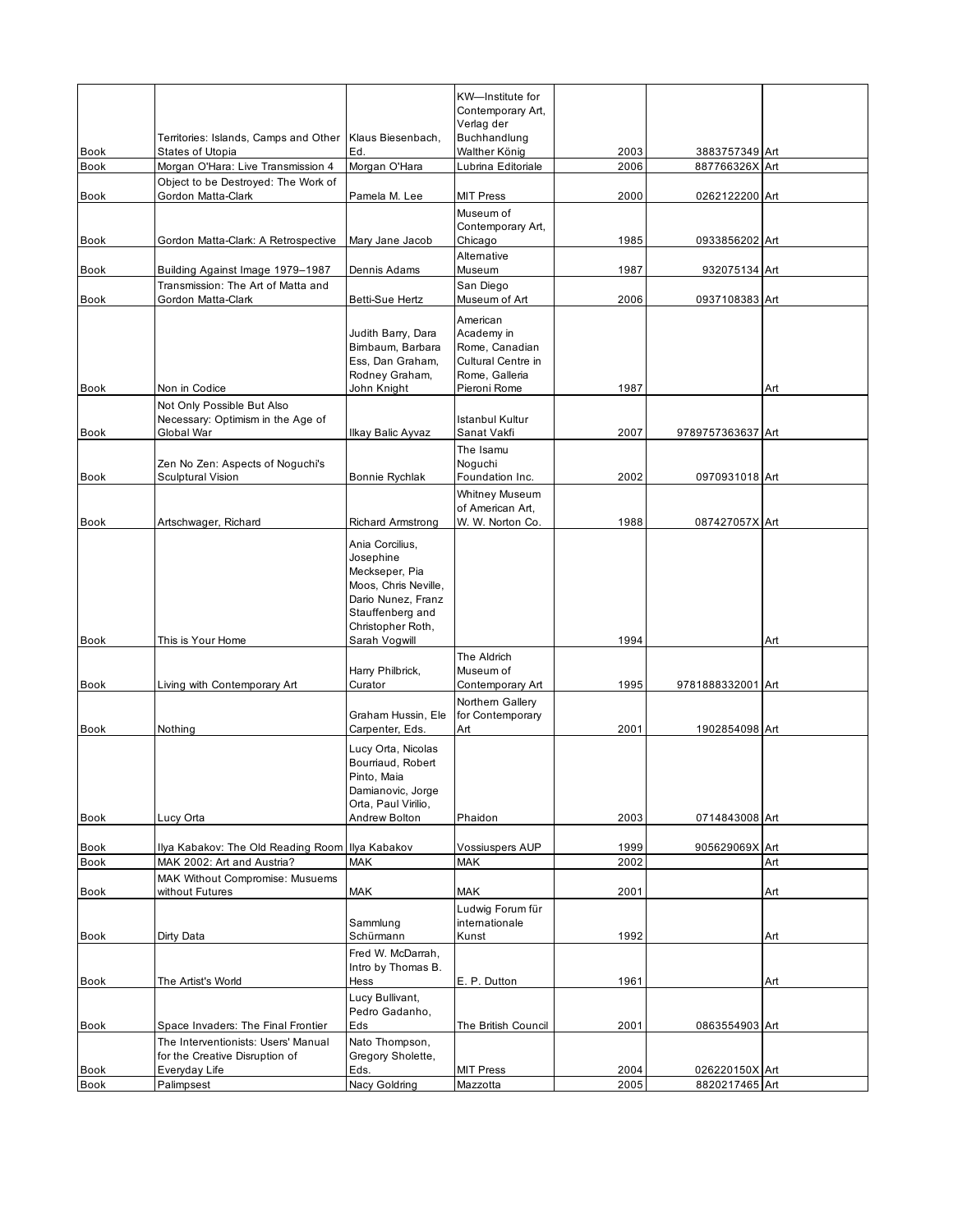|             |                                                                                        |                                                                                                                                       | KW-Institute for<br>Contemporary Art,                                            |      |                   |     |
|-------------|----------------------------------------------------------------------------------------|---------------------------------------------------------------------------------------------------------------------------------------|----------------------------------------------------------------------------------|------|-------------------|-----|
|             | Territories: Islands, Camps and Other                                                  | Klaus Biesenbach,                                                                                                                     | Verlag der<br>Buchhandlung                                                       |      |                   |     |
| <b>Book</b> | <b>States of Utopia</b>                                                                | Ed.                                                                                                                                   | Walther König                                                                    | 2003 | 3883757349 Art    |     |
| <b>Book</b> | Morgan O'Hara: Live Transmission 4                                                     | Morgan O'Hara                                                                                                                         | Lubrina Editoriale                                                               | 2006 | 887766326X Art    |     |
| <b>Book</b> | Object to be Destroyed: The Work of<br>Gordon Matta-Clark                              | Pamela M. Lee                                                                                                                         | <b>MIT Press</b>                                                                 | 2000 | 0262122200 Art    |     |
|             |                                                                                        |                                                                                                                                       | Museum of<br>Contemporary Art,                                                   |      |                   |     |
| Book        | Gordon Matta-Clark: A Retrospective                                                    | Mary Jane Jacob                                                                                                                       | Chicago                                                                          | 1985 | 0933856202 Art    |     |
| Book        | Building Against Image 1979-1987                                                       | Dennis Adams                                                                                                                          | Alternative<br>Museum                                                            | 1987 | 932075134 Art     |     |
| Book        | Transmission: The Art of Matta and<br>Gordon Matta-Clark                               | Betti-Sue Hertz                                                                                                                       | San Diego<br>Museum of Art                                                       | 2006 | 0937108383 Art    |     |
|             |                                                                                        | Judith Barry, Dara<br>Bimbaum, Barbara<br>Ess, Dan Graham,<br>Rodney Graham,                                                          | American<br>Academy in<br>Rome, Canadian<br>Cultural Centre in<br>Rome, Galleria |      |                   |     |
| <b>Book</b> | Non in Codice                                                                          | John Knight                                                                                                                           | Pieroni Rome                                                                     | 1987 |                   | Art |
|             | Not Only Possible But Also<br>Necessary: Optimism in the Age of                        |                                                                                                                                       | Istanbul Kultur                                                                  |      |                   |     |
| Book        | Global War                                                                             | Ilkay Balic Ayvaz                                                                                                                     | Sanat Vakfi                                                                      | 2007 | 9789757363637 Art |     |
|             | Zen No Zen: Aspects of Noguchi's                                                       |                                                                                                                                       | The Isamu<br>Noguchi                                                             |      |                   |     |
| <b>Book</b> | <b>Sculptural Vision</b>                                                               | Bonnie Rychlak                                                                                                                        | Foundation Inc.<br><b>Whitney Museum</b>                                         | 2002 | 0970931018 Art    |     |
| Book        | Artschwager, Richard                                                                   | <b>Richard Armstrong</b>                                                                                                              | of American Art.<br>W. W. Norton Co.                                             | 1988 | 087427057X Art    |     |
|             |                                                                                        | Ania Corcilius,<br>Josephine<br>Meckseper, Pia<br>Moos, Chris Neville,<br>Dario Nunez, Franz<br>Stauffenberg and<br>Christopher Roth, |                                                                                  |      |                   |     |
| <b>Book</b> | This is Your Home                                                                      | Sarah Vogwill                                                                                                                         |                                                                                  | 1994 |                   | Art |
|             |                                                                                        |                                                                                                                                       | The Aldrich<br>Museum of                                                         |      |                   |     |
| Book        | Living with Contemporary Art                                                           | Harry Philbrick,<br>Curator                                                                                                           | Contemporary Art                                                                 | 1995 | 9781888332001 Art |     |
|             |                                                                                        |                                                                                                                                       | Northern Gallery                                                                 |      |                   |     |
|             |                                                                                        | Graham Hussin, Ele                                                                                                                    | for Contemporary                                                                 |      |                   |     |
| <b>Book</b> | Nothing                                                                                | Carpenter, Eds.<br>Lucy Orta, Nicolas<br>Bourriaud, Robert<br>Pinto, Maia<br>Damianovic, Jorge<br>Orta, Paul Virilio,                 | Art                                                                              | 2001 | 1902854098 Art    |     |
| <b>Book</b> | Lucy Orta                                                                              | Andrew Bolton                                                                                                                         | Phaidon                                                                          | 2003 | 0714843008 Art    |     |
| Book        | Ilya Kabakov: The Old Reading Room Ilya Kabakov                                        |                                                                                                                                       | <b>Vossiuspers AUP</b>                                                           | 1999 | 905629069X Art    |     |
| Book        | MAK 2002: Art and Austria?                                                             | MAK                                                                                                                                   | <b>MAK</b>                                                                       | 2002 |                   | Art |
| <b>Book</b> | MAK Without Compromise: Musuems<br>without Futures                                     | MAK                                                                                                                                   | <b>MAK</b>                                                                       | 2001 |                   | Art |
|             |                                                                                        | Sammlung                                                                                                                              | Ludwig Forum für<br>internationale                                               |      |                   |     |
| Book        | Dirty Data                                                                             | Schürmann                                                                                                                             | Kunst                                                                            | 1992 |                   | Art |
|             |                                                                                        | Fred W. McDarrah,                                                                                                                     |                                                                                  |      |                   |     |
| <b>Book</b> | The Artist's World                                                                     | Intro by Thomas B.<br>Hess                                                                                                            | E. P. Dutton                                                                     | 1961 |                   | Art |
|             |                                                                                        | Lucy Bullivant,<br>Pedro Gadanho,                                                                                                     |                                                                                  |      |                   |     |
| Book        | Space Invaders: The Final Frontier                                                     | Eds                                                                                                                                   | The British Council                                                              | 2001 | 0863554903 Art    |     |
| Book        | The Interventionists: Users' Manual<br>for the Creative Disruption of<br>Everyday Life | Nato Thompson,<br>Gregory Sholette,<br>Eds.                                                                                           | <b>MIT Press</b>                                                                 | 2004 | 026220150X Art    |     |
| Book        | Palimpsest                                                                             | Nacy Goldring                                                                                                                         | Mazzotta                                                                         | 2005 | 8820217465 Art    |     |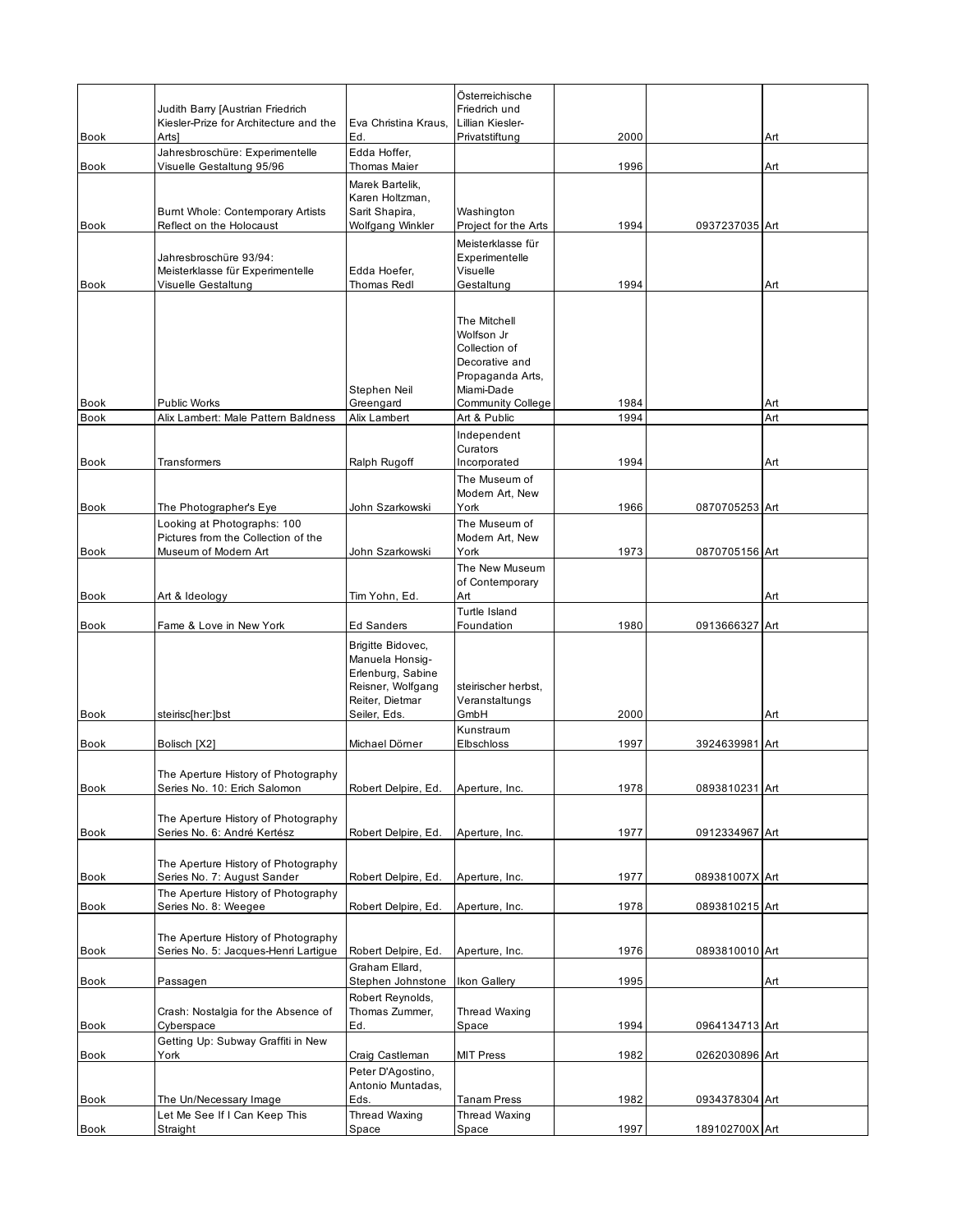|              | Judith Barry [Austrian Friedrich<br>Kiesler-Prize for Architecture and the        | Eva Christina Kraus.                                                                                              | Österreichische<br>Friedrich und<br>Lillian Kiesler-                                                                        |              |                                  |     |
|--------------|-----------------------------------------------------------------------------------|-------------------------------------------------------------------------------------------------------------------|-----------------------------------------------------------------------------------------------------------------------------|--------------|----------------------------------|-----|
| Book         | Arts]<br>Jahresbroschüre: Experimentelle                                          | Ed.<br>Edda Hoffer,                                                                                               | Privatstiftung                                                                                                              | 2000         |                                  | Art |
| Book         | Visuelle Gestaltung 95/96<br>Burnt Whole: Contemporary Artists                    | Thomas Maier<br>Marek Bartelik,<br>Karen Holtzman,<br>Sarit Shapira,                                              | Washington                                                                                                                  | 1996         |                                  | Art |
| <b>Book</b>  | Reflect on the Holocaust                                                          | Wolfgang Winkler                                                                                                  | Project for the Arts                                                                                                        | 1994         | 0937237035 Art                   |     |
| <b>Book</b>  | Jahresbroschüre 93/94:<br>Meisterklasse für Experimentelle<br>Visuelle Gestaltung | Edda Hoefer,<br>Thomas Redl                                                                                       | Meisterklasse für<br>Experimentelle<br>Visuelle<br>Gestaltung                                                               | 1994         |                                  | Art |
| <b>Book</b>  | <b>Public Works</b>                                                               | Stephen Neil<br>Greengard                                                                                         | The Mitchell<br>Wolfson Jr<br>Collection of<br>Decorative and<br>Propaganda Arts,<br>Miami-Dade<br><b>Community College</b> | 1984         |                                  | Art |
| <b>Book</b>  | Alix Lambert: Male Pattern Baldness                                               | Alix Lambert                                                                                                      | Art & Public                                                                                                                | 1994         |                                  | Art |
| Book         | Transformers                                                                      | Ralph Rugoff                                                                                                      | Independent<br>Curators<br>Incorporated                                                                                     | 1994         |                                  | Art |
|              |                                                                                   |                                                                                                                   | The Museum of                                                                                                               |              |                                  |     |
|              |                                                                                   |                                                                                                                   | Modern Art, New                                                                                                             |              |                                  |     |
| Book         | The Photographer's Eye                                                            | John Szarkowski                                                                                                   | York                                                                                                                        | 1966         | 0870705253 Art                   |     |
|              | Looking at Photographs: 100<br>Pictures from the Collection of the                |                                                                                                                   | The Museum of<br>Modern Art, New                                                                                            |              |                                  |     |
| Book         | Museum of Modern Art                                                              | John Szarkowski                                                                                                   | York                                                                                                                        | 1973         | 0870705156 Art                   |     |
| Book         | Art & Ideology                                                                    | Tim Yohn, Ed.                                                                                                     | The New Museum<br>of Contemporary<br>Art                                                                                    |              |                                  | Art |
|              |                                                                                   |                                                                                                                   | Turtle Island                                                                                                               |              |                                  |     |
| <b>Book</b>  | Fame & Love in New York                                                           | <b>Ed Sanders</b>                                                                                                 | Foundation                                                                                                                  | 1980         | 0913666327 Art                   |     |
| <b>Book</b>  | steirisc[her:]bst                                                                 | Brigitte Bidovec,<br>Manuela Honsig-<br>Erlenburg, Sabine<br>Reisner, Wolfgang<br>Reiter, Dietmar<br>Seiler, Eds. | steirischer herbst,<br>Veranstaltungs<br>GmbH<br>Kunstraum                                                                  | 2000         |                                  | Art |
| Book         | Bolisch [X2]                                                                      | Michael Dörner                                                                                                    | Elbschloss                                                                                                                  | 1997         | 3924639981 Art                   |     |
| Book         | The Aperture History of Photography<br>Series No. 10: Erich Salomon               | Robert Delpire, Ed.                                                                                               | Aperture, Inc.                                                                                                              | 1978         | 0893810231 Art                   |     |
| Book         | The Aperture History of Photography<br>Series No. 6: André Kertész                | Robert Delpire, Ed.                                                                                               | Aperture, Inc.                                                                                                              | 1977         | 0912334967 Art                   |     |
| Book         | The Aperture History of Photography<br>Series No. 7: August Sander                | Robert Delpire, Ed.                                                                                               | Aperture, Inc.                                                                                                              | 1977         | 089381007X Art                   |     |
|              | The Aperture History of Photography                                               |                                                                                                                   |                                                                                                                             |              |                                  |     |
| <b>Book</b>  | Series No. 8: Weegee                                                              | Robert Delpire, Ed.                                                                                               | Aperture, Inc.                                                                                                              | 1978         | 0893810215 Art                   |     |
| Book         | The Aperture History of Photography<br>Series No. 5: Jacques-Henri Lartigue       | Robert Delpire, Ed.                                                                                               | Aperture, Inc.                                                                                                              | 1976         | 0893810010 Art                   |     |
|              |                                                                                   | Graham Ellard,                                                                                                    |                                                                                                                             |              |                                  |     |
| Book         | Passagen                                                                          | Stephen Johnstone                                                                                                 | Ikon Gallery                                                                                                                | 1995         |                                  | Art |
| Book         | Crash: Nostalgia for the Absence of<br>Cyberspace                                 | Robert Reynolds,<br>Thomas Zummer,<br>Ed.                                                                         | Thread Waxing<br>Space                                                                                                      | 1994         | 0964134713 Art                   |     |
|              | Getting Up: Subway Graffiti in New<br>York                                        |                                                                                                                   |                                                                                                                             |              |                                  |     |
| Book<br>Book | The Un/Necessary Image                                                            | Craig Castleman<br>Peter D'Agostino,<br>Antonio Muntadas,<br>Eds.                                                 | MIT Press<br>Tanam Press                                                                                                    | 1982<br>1982 | 0262030896 Art<br>0934378304 Art |     |
|              | Let Me See If I Can Keep This                                                     | Thread Waxing                                                                                                     | Thread Waxing                                                                                                               |              |                                  |     |
| Book         | Straight                                                                          | Space                                                                                                             | Space                                                                                                                       | 1997         | 189102700X Art                   |     |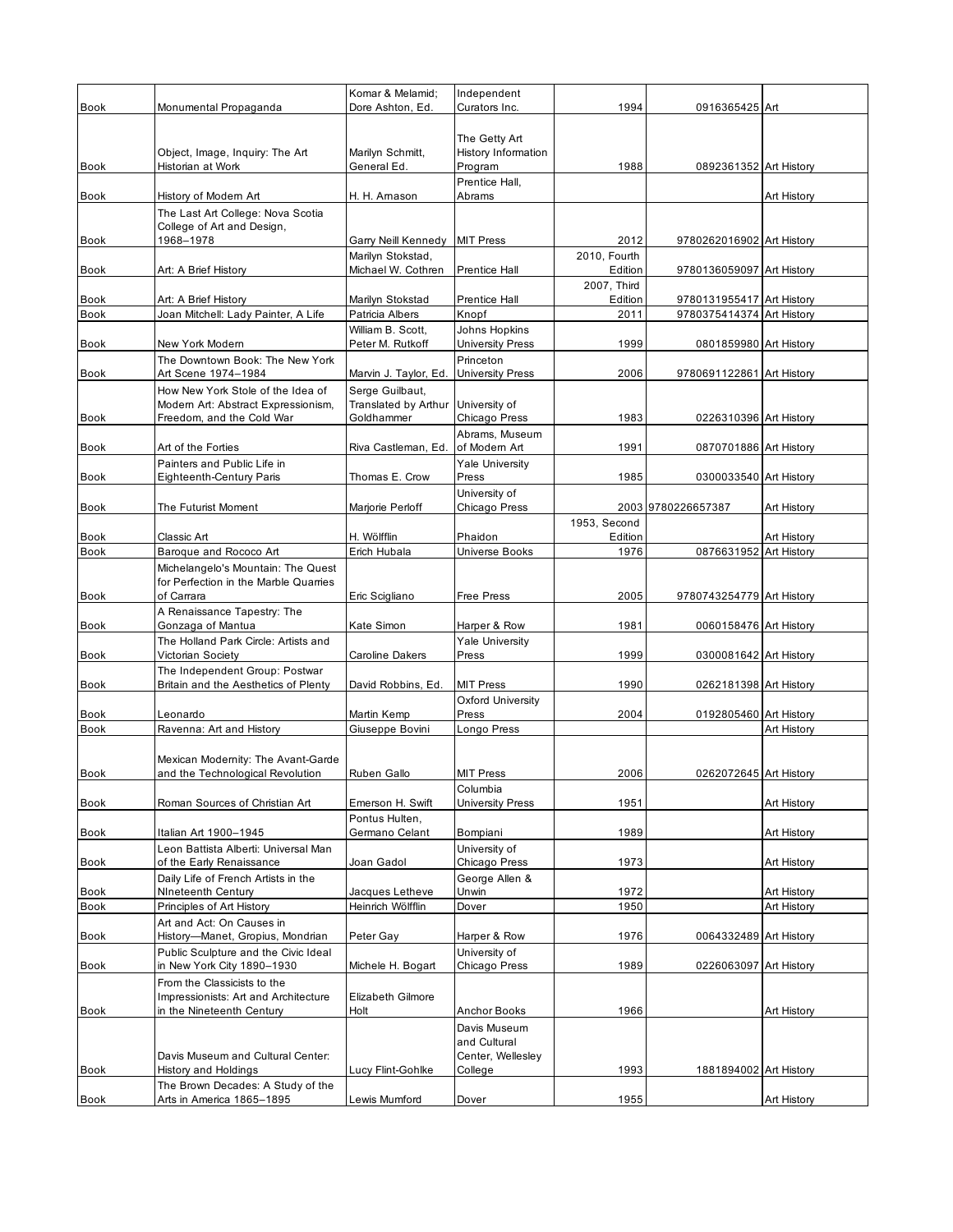| <b>Book</b>                |                                                                                                       | Komar & Melamid;<br>Dore Ashton, Ed.                  | Independent                                     | 1994                    |                           |             |
|----------------------------|-------------------------------------------------------------------------------------------------------|-------------------------------------------------------|-------------------------------------------------|-------------------------|---------------------------|-------------|
|                            | Monumental Propaganda                                                                                 |                                                       | Curators Inc.                                   |                         | 0916365425 Art            |             |
| Book                       | Object, Image, Inquiry: The Art<br>Historian at Work                                                  | Marilyn Schmitt,<br>General Ed.                       | The Getty Art<br>History Information<br>Program | 1988                    | 0892361352 Art History    |             |
| <b>Book</b>                | History of Modern Art                                                                                 | H. H. Amason                                          | Prentice Hall,<br>Abrams                        |                         |                           | Art History |
|                            | The Last Art College: Nova Scotia                                                                     |                                                       |                                                 |                         |                           |             |
|                            | College of Art and Design,                                                                            |                                                       |                                                 |                         |                           |             |
| Book                       | 1968-1978                                                                                             | Garry Neill Kennedy<br>Marilyn Stokstad,              | <b>MIT Press</b>                                | 2012<br>2010, Fourth    | 9780262016902 Art History |             |
| Book                       | Art: A Brief History                                                                                  | Michael W. Cothren                                    | <b>Prentice Hall</b>                            | Edition                 | 9780136059097 Art History |             |
| <b>Book</b>                | Art: A Brief History                                                                                  | Marilyn Stokstad                                      | Prentice Hall                                   | 2007, Third<br>Edition  | 9780131955417 Art History |             |
| <b>Book</b>                | Joan Mitchell: Lady Painter, A Life                                                                   | Patricia Albers                                       | Knopf                                           | 2011                    | 9780375414374 Art History |             |
|                            |                                                                                                       | William B. Scott,                                     | Johns Hopkins                                   |                         |                           |             |
| Book                       | New York Modern<br>The Downtown Book: The New York                                                    | Peter M. Rutkoff                                      | <b>University Press</b><br>Princeton            | 1999                    | 0801859980 Art History    |             |
| Book                       | Art Scene 1974-1984                                                                                   | Marvin J. Taylor, Ed.                                 | <b>University Press</b>                         | 2006                    | 9780691122861 Art History |             |
| <b>Book</b>                | How New York Stole of the Idea of<br>Modern Art: Abstract Expressionism,<br>Freedom, and the Cold War | Serge Guilbaut,<br>Translated by Arthur<br>Goldhammer | University of<br>Chicago Press                  | 1983                    | 0226310396 Art History    |             |
|                            |                                                                                                       |                                                       | Abrams, Museum                                  |                         |                           |             |
| Book                       | Art of the Forties                                                                                    | Riva Castleman, Ed.                                   | of Modern Art                                   | 1991                    | 0870701886 Art History    |             |
| <b>Book</b>                | Painters and Public Life in<br><b>Eighteenth-Century Paris</b>                                        | Thomas E. Crow                                        | <b>Yale University</b><br>Press                 | 1985                    | 0300033540 Art History    |             |
|                            |                                                                                                       |                                                       | University of                                   |                         |                           |             |
| <b>Book</b>                | The Futurist Moment                                                                                   | Mariorie Perloff                                      | Chicago Press                                   |                         | 2003 9780226657387        | Art History |
| <b>Book</b>                | Classic Art                                                                                           | H. Wölfflin                                           | Phaidon                                         | 1953, Second<br>Edition |                           | Art History |
| <b>Book</b>                | Baroque and Rococo Art                                                                                | Erich Hubala                                          | Universe Books                                  | 1976                    | 0876631952                | Art History |
| <b>Book</b>                | Michelangelo's Mountain: The Quest<br>for Perfection in the Marble Quarries<br>of Carrara             | Eric Scigliano                                        | <b>Free Press</b>                               | 2005                    | 9780743254779 Art History |             |
|                            | A Renaissance Tapestry: The                                                                           |                                                       |                                                 |                         |                           |             |
| Book                       | Gonzaga of Mantua<br>The Holland Park Circle: Artists and                                             | Kate Simon                                            | Harper & Row<br><b>Yale University</b>          | 1981                    | 0060158476 Art History    |             |
| Book                       | Victorian Society                                                                                     | Caroline Dakers                                       | Press                                           | 1999                    | 0300081642 Art History    |             |
| <b>Book</b>                | The Independent Group: Postwar<br>Britain and the Aesthetics of Plenty                                | David Robbins, Ed.                                    | <b>MIT Press</b>                                | 1990                    | 0262181398 Art History    |             |
|                            |                                                                                                       |                                                       | Oxford University                               |                         |                           |             |
| <b>Book</b><br><b>Book</b> | Leonardo<br>Ravenna: Art and History                                                                  | Martin Kemp<br>Giuseppe Bovini                        | Press<br>Longo Press                            | 2004                    | 0192805460 Art History    | Art History |
|                            |                                                                                                       |                                                       |                                                 |                         |                           |             |
|                            | Mexican Modernity: The Avant-Garde                                                                    |                                                       |                                                 |                         |                           |             |
| <b>Book</b>                | and the Technological Revolution                                                                      | Ruben Gallo                                           | <b>MIT Press</b><br>Columbia                    | 2006                    | 0262072645 Art History    |             |
| Book                       | Roman Sources of Christian Art                                                                        | Emerson H. Swift                                      | University Press                                | 1951                    |                           | Art History |
| <b>Book</b>                | Italian Art 1900-1945                                                                                 | Pontus Hulten,<br>Germano Celant                      | Bompiani                                        | 1989                    |                           | Art History |
|                            | Leon Battista Alberti: Universal Man                                                                  |                                                       | University of                                   |                         |                           |             |
| Book                       | of the Early Renaissance<br>Daily Life of French Artists in the                                       | Joan Gadol                                            | Chicago Press<br>George Allen &                 | 1973                    |                           | Art History |
| Book                       | NIneteenth Century                                                                                    | Jacques Letheve                                       | Unwin                                           | 1972                    |                           | Art History |
| Book                       | Principles of Art History                                                                             | Heinrich Wölfflin                                     | Dover                                           | 1950                    |                           | Art History |
| Book                       | Art and Act: On Causes in<br>History-Manet, Gropius, Mondrian                                         | Peter Gay                                             | Harper & Row                                    | 1976                    | 0064332489 Art History    |             |
|                            | Public Sculpture and the Civic Ideal                                                                  |                                                       | University of                                   |                         |                           |             |
| Book                       | in New York City 1890-1930<br>From the Classicists to the                                             | Michele H. Bogart                                     | Chicago Press                                   | 1989                    | 0226063097 Art History    |             |
|                            | Impressionists: Art and Architecture                                                                  | <b>Elizabeth Gilmore</b>                              |                                                 |                         |                           |             |
| Book                       | in the Nineteenth Century                                                                             | Holt                                                  | Anchor Books                                    | 1966                    |                           | Art History |
|                            |                                                                                                       |                                                       | Davis Museum                                    |                         |                           |             |
|                            | Davis Museum and Cultural Center:                                                                     |                                                       | and Cultural<br>Center, Wellesley               |                         |                           |             |
| Book                       | History and Holdings                                                                                  | Lucy Flint-Gohlke                                     | College                                         | 1993                    | 1881894002 Art History    |             |
| Book                       | The Brown Decades: A Study of the<br>Arts in America 1865-1895                                        | Lewis Mumford                                         | Dover                                           | 1955                    |                           | Art History |
|                            |                                                                                                       |                                                       |                                                 |                         |                           |             |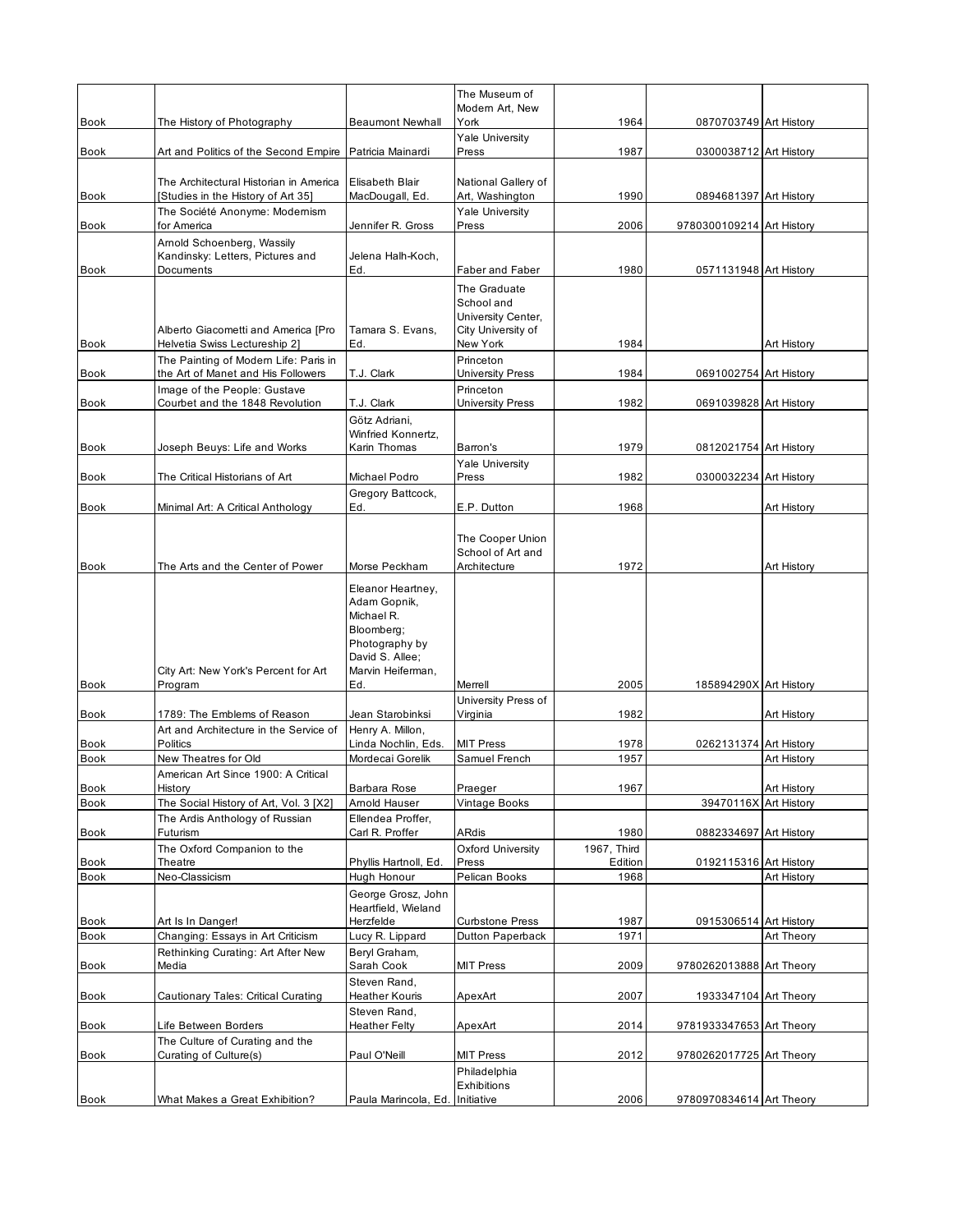|                     |                                                                             |                                                                                                                                | The Museum of<br>Modern Art, New                                       |                 |                           |             |
|---------------------|-----------------------------------------------------------------------------|--------------------------------------------------------------------------------------------------------------------------------|------------------------------------------------------------------------|-----------------|---------------------------|-------------|
| <b>Book</b>         | The History of Photography                                                  | <b>Beaumont Newhall</b>                                                                                                        | York                                                                   | 1964            | 0870703749 Art History    |             |
| <b>Book</b>         | Art and Politics of the Second Empire                                       | Patricia Mainardi                                                                                                              | <b>Yale University</b><br>Press                                        | 1987            | 0300038712 Art History    |             |
|                     | The Architectural Historian in America                                      | Elisabeth Blair                                                                                                                | National Gallery of                                                    |                 |                           |             |
| Book                | [Studies in the History of Art 35]                                          | MacDougall, Ed.                                                                                                                | Art, Washington                                                        | 1990            | 0894681397 Art History    |             |
| <b>Book</b>         | The Société Anonyme: Modernism<br>for America                               | Jennifer R. Gross                                                                                                              | Yale University<br>Press                                               | 2006            | 9780300109214 Art History |             |
| <b>Book</b>         | Arnold Schoenberg, Wassily<br>Kandinsky: Letters, Pictures and<br>Documents | Jelena Halh-Koch,<br>Ed.                                                                                                       | Faber and Faber                                                        | 1980            | 0571131948 Art History    |             |
|                     | Alberto Giacometti and America [Pro                                         | Tamara S. Evans,                                                                                                               | The Graduate<br>School and<br>University Center,<br>City University of |                 |                           |             |
| Book                | Helvetia Swiss Lectureship 2]                                               | Ed.                                                                                                                            | New York                                                               | 1984            |                           | Art History |
| Book                | The Painting of Modern Life: Paris in<br>the Art of Manet and His Followers | T.J. Clark                                                                                                                     | Princeton<br><b>University Press</b>                                   | 1984            | 0691002754 Art History    |             |
| <b>Book</b>         | Image of the People: Gustave<br>Courbet and the 1848 Revolution             | T.J. Clark                                                                                                                     | Princeton<br><b>University Press</b>                                   | 1982            | 0691039828 Art History    |             |
| <b>Book</b>         | Joseph Beuys: Life and Works                                                | Götz Adriani,<br>Winfried Konnertz,<br>Karin Thomas                                                                            | Barron's                                                               | 1979            | 0812021754 Art History    |             |
|                     |                                                                             |                                                                                                                                | <b>Yale University</b>                                                 |                 |                           |             |
| Book                | The Critical Historians of Art                                              | Michael Podro<br>Gregory Battcock,                                                                                             | Press                                                                  | 1982            | 0300032234 Art History    |             |
| Book                | Minimal Art: A Critical Anthology                                           | Ed.                                                                                                                            | E.P. Dutton                                                            | 1968            |                           | Art History |
|                     |                                                                             |                                                                                                                                | The Cooper Union<br>School of Art and                                  |                 |                           |             |
| <b>Book</b>         | The Arts and the Center of Power                                            | Morse Peckham                                                                                                                  | Architecture                                                           | 1972            |                           | Art History |
| Book                | City Art: New York's Percent for Art<br>Program                             | Eleanor Heartney,<br>Adam Gopnik,<br>Michael R.<br>Bloomberg;<br>Photography by<br>David S. Allee;<br>Marvin Heiferman,<br>Ed. | Merrell                                                                | 2005            | 185894290X Art History    |             |
|                     |                                                                             |                                                                                                                                | University Press of                                                    |                 |                           |             |
| <b>Book</b>         | 1789: The Emblems of Reason                                                 | Jean Starobinksi                                                                                                               | Virginia                                                               | 1982            |                           | Art History |
| <b>Book</b>         | Art and Architecture in the Service of<br>Politics                          | Henry A. Millon,<br>Linda Nochlin, Eds.                                                                                        | <b>MIT Press</b>                                                       | 1978            | 0262131374 Art History    |             |
| <b>Book</b>         | New Theatres for Old                                                        | Mordecai Gorelik                                                                                                               | Samuel French                                                          | 1957            |                           | Art History |
| Book                | American Art Since 1900: A Critical<br>History                              | Barbara Rose                                                                                                                   | Praeger                                                                | 1967            |                           | Art History |
| <b>Book</b>         | The Social History of Art, Vol. 3 [X2]                                      | Amold Hauser                                                                                                                   | Vintage Books                                                          |                 | 39470116X Art History     |             |
| Book                | The Ardis Anthology of Russian<br>Futurism                                  | Ellendea Proffer,<br>Carl R. Proffer                                                                                           | ARdis                                                                  | 1980            | 0882334697 Art History    |             |
|                     | The Oxford Companion to the                                                 |                                                                                                                                | Oxford University                                                      | 1967, Third     |                           |             |
| Book<br><b>Book</b> | Theatre<br>Neo-Classicism                                                   | Phyllis Hartnoll, Ed.<br>Hugh Honour                                                                                           | Press<br>Pelican Books                                                 | Edition<br>1968 | 0192115316 Art History    | Art History |
|                     |                                                                             | George Grosz, John<br>Heartfield, Wieland                                                                                      |                                                                        |                 |                           |             |
| Book                | Art Is In Danger!                                                           | Herzfelde                                                                                                                      | <b>Curbstone Press</b>                                                 | 1987            | 0915306514 Art History    |             |
| Book                | Changing: Essays in Art Criticism                                           | Lucy R. Lippard                                                                                                                | Dutton Paperback                                                       | 1971            |                           | Art Theory  |
| <b>Book</b>         | Rethinking Curating: Art After New<br>Media                                 | Beryl Graham,<br>Sarah Cook                                                                                                    | <b>MIT Press</b>                                                       | 2009            | 9780262013888 Art Theory  |             |
| Book                | Cautionary Tales: Critical Curating                                         | Steven Rand,<br>Heather Kouris                                                                                                 | ApexArt                                                                | 2007            | 1933347104 Art Theory     |             |
| Book                | Life Between Borders                                                        | Steven Rand,<br><b>Heather Felty</b>                                                                                           | ApexArt                                                                | 2014            | 9781933347653 Art Theory  |             |
| Book                | The Culture of Curating and the<br>Curating of Culture(s)                   | Paul O'Neill                                                                                                                   | <b>MIT Press</b>                                                       | 2012            | 9780262017725 Art Theory  |             |
|                     |                                                                             |                                                                                                                                | Philadelphia                                                           |                 |                           |             |
| Book                | What Makes a Great Exhibition?                                              | Paula Marincola, Ed.                                                                                                           | Exhibitions<br>Initiative                                              | 2006            | 9780970834614 Art Theory  |             |
|                     |                                                                             |                                                                                                                                |                                                                        |                 |                           |             |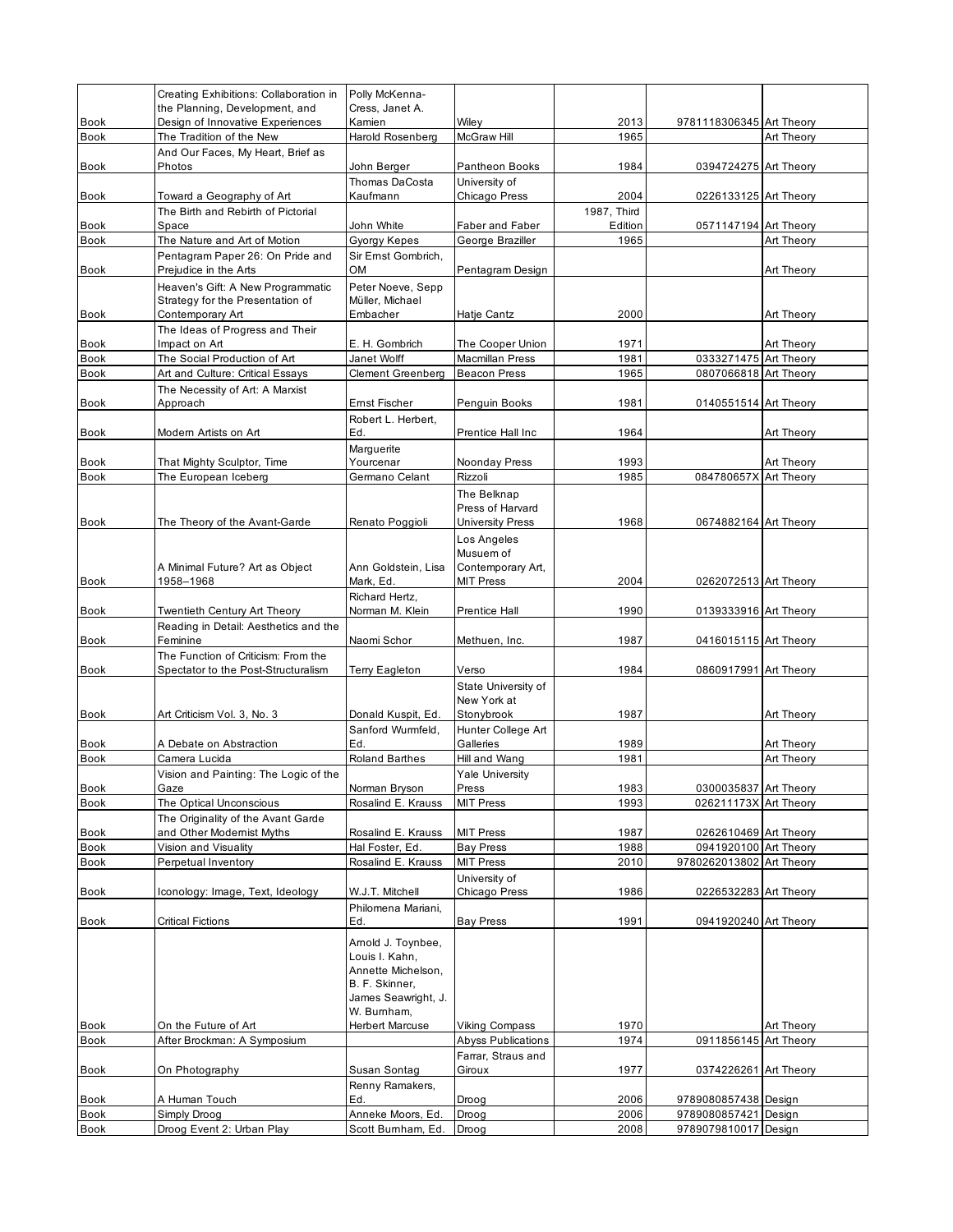|                     | Creating Exhibitions: Collaboration in                                | Polly McKenna-                        |                                             |                     |                                                |            |
|---------------------|-----------------------------------------------------------------------|---------------------------------------|---------------------------------------------|---------------------|------------------------------------------------|------------|
| <b>Book</b>         | the Planning, Development, and<br>Design of Innovative Experiences    | Cress, Janet A.<br>Kamien             | Wiley                                       | 2013                | 9781118306345 Art Theory                       |            |
| Book                | The Tradition of the New                                              | Harold Rosenberg                      | McGraw Hill                                 | 1965                |                                                | Art Theory |
|                     | And Our Faces, My Heart, Brief as                                     |                                       |                                             |                     |                                                |            |
| Book                | Photos                                                                | John Berger                           | Pantheon Books                              | 1984                | 0394724275 Art Theory                          |            |
|                     |                                                                       | Thomas DaCosta                        | University of                               |                     |                                                |            |
| Book                | Toward a Geography of Art<br>The Birth and Rebirth of Pictorial       | Kaufmann                              | Chicago Press                               | 2004<br>1987, Third | 0226133125 Art Theory                          |            |
| Book                | Space                                                                 | John White                            | <b>Faber and Faber</b>                      | Edition             | 0571147194 Art Theory                          |            |
| <b>Book</b>         | The Nature and Art of Motion                                          | Gyorgy Kepes                          | George Braziller                            | 1965                |                                                | Art Theory |
|                     | Pentagram Paper 26: On Pride and                                      | Sir Ernst Gombrich,                   |                                             |                     |                                                |            |
| Book                | Prejudice in the Arts                                                 | ОM                                    | Pentagram Design                            |                     |                                                | Art Theory |
|                     | Heaven's Gift: A New Programmatic<br>Strategy for the Presentation of | Peter Noeve, Sepp<br>Müller. Michael  |                                             |                     |                                                |            |
| <b>Book</b>         | Contemporary Art                                                      | Embacher                              | Hatje Cantz                                 | 2000                |                                                | Art Theory |
|                     | The Ideas of Progress and Their                                       |                                       |                                             |                     |                                                |            |
| <b>Book</b>         | Impact on Art                                                         | E. H. Gombrich                        | The Cooper Union                            | 1971                |                                                | Art Theory |
| Book                | The Social Production of Art                                          | Janet Wolff                           | Macmillan Press                             | 1981                | 0333271475 Art Theory                          |            |
| <b>Book</b>         | Art and Culture: Critical Essays                                      | <b>Clement Greenberg</b>              | <b>Beacon Press</b>                         | 1965                | 0807066818 Art Theory                          |            |
| Book                | The Necessity of Art: A Marxist<br>Approach                           | Ernst Fischer                         |                                             |                     |                                                |            |
|                     |                                                                       | Robert L. Herbert,                    | Penguin Books                               | 1981                | 0140551514 Art Theory                          |            |
| Book                | Modern Artists on Art                                                 | Ed.                                   | Prentice Hall Inc                           | 1964                |                                                | Art Theory |
|                     |                                                                       | Marguerite                            |                                             |                     |                                                |            |
| Book                | That Mighty Sculptor, Time                                            | Yourcenar                             | Noonday Press                               | 1993                |                                                | Art Theory |
| <b>Book</b>         | The European Iceberg                                                  | Germano Celant                        | Rizzoli                                     | 1985                | 084780657X Art Theory                          |            |
|                     |                                                                       |                                       | The Belknap                                 |                     |                                                |            |
| <b>Book</b>         | The Theory of the Avant-Garde                                         | Renato Poggioli                       | Press of Harvard<br><b>University Press</b> | 1968                | 0674882164 Art Theory                          |            |
|                     |                                                                       |                                       |                                             |                     |                                                |            |
|                     |                                                                       |                                       | Los Angeles<br>Musuem of                    |                     |                                                |            |
|                     | A Minimal Future? Art as Object                                       | Ann Goldstein, Lisa                   | Contemporary Art,                           |                     |                                                |            |
| <b>Book</b>         | 1958-1968                                                             | Mark, Ed.                             | <b>MIT Press</b>                            | 2004                | 0262072513 Art Theory                          |            |
|                     |                                                                       | Richard Hertz,                        |                                             |                     |                                                |            |
| Book                | Twentieth Century Art Theory                                          | Norman M. Klein                       | <b>Prentice Hall</b>                        | 1990                | 0139333916 Art Theory                          |            |
| Book                | Reading in Detail: Aesthetics and the<br>Feminine                     | Naomi Schor                           | Methuen, Inc.                               | 1987                | 0416015115 Art Theory                          |            |
|                     | The Function of Criticism: From the                                   |                                       |                                             |                     |                                                |            |
| Book                | Spectator to the Post-Structuralism                                   | Terry Eagleton                        | Verso                                       | 1984                | 0860917991 Art Theory                          |            |
|                     |                                                                       |                                       | State University of                         |                     |                                                |            |
|                     |                                                                       |                                       | New York at                                 |                     |                                                |            |
| <b>Book</b>         | Art Criticism Vol. 3, No. 3                                           | Donald Kuspit, Ed.                    | Stonybrook                                  | 1987                |                                                | Art Theory |
|                     | A Debate on Abstraction                                               | Sanford Wurmfeld,<br>Ed.              | Hunter College Art<br>Galleries             | 1989                |                                                | Art Theory |
| Book<br><b>Book</b> | Camera Lucida                                                         | <b>Roland Barthes</b>                 | Hill and Wang                               | 1981                |                                                | Art Theory |
|                     | Vision and Painting: The Logic of the                                 |                                       | <b>Yale University</b>                      |                     |                                                |            |
| Book                | Gaze                                                                  | Norman Bryson                         | Press                                       | 1983                | 0300035837 Art Theory                          |            |
| Book                | The Optical Unconscious                                               | Rosalind E. Krauss                    | <b>MIT Press</b>                            | 1993                | 026211173X Art Theory                          |            |
|                     | The Originality of the Avant Garde                                    |                                       |                                             |                     |                                                |            |
| Book                | and Other Modernist Myths                                             | Rosalind E. Krauss                    | <b>MIT Press</b>                            | 1987                | 0262610469 Art Theory<br>0941920100 Art Theory |            |
| Book<br>Book        | Vision and Visuality<br>Perpetual Inventory                           | Hal Foster, Ed.<br>Rosalind E. Krauss | <b>Bay Press</b><br><b>MIT Press</b>        | 1988<br>2010        | 9780262013802 Art Theory                       |            |
|                     |                                                                       |                                       | University of                               |                     |                                                |            |
| Book                | Iconology: Image, Text, Ideology                                      | W.J.T. Mitchell                       | Chicago Press                               | 1986                | 0226532283 Art Theory                          |            |
|                     |                                                                       | Philomena Mariani,                    |                                             |                     |                                                |            |
| <b>Book</b>         | <b>Critical Fictions</b>                                              | Ed.                                   | <b>Bay Press</b>                            | 1991                | 0941920240 Art Theory                          |            |
|                     |                                                                       | Arnold J. Toynbee,                    |                                             |                     |                                                |            |
|                     |                                                                       | Louis I. Kahn,                        |                                             |                     |                                                |            |
|                     |                                                                       | Annette Michelson,                    |                                             |                     |                                                |            |
|                     |                                                                       | B. F. Skinner,<br>James Seawright, J. |                                             |                     |                                                |            |
|                     |                                                                       | W. Bumham,                            |                                             |                     |                                                |            |
| Book                | On the Future of Art                                                  | <b>Herbert Marcuse</b>                | Viking Compass                              | 1970                |                                                | Art Theory |
| Book                | After Brockman: A Symposium                                           |                                       | <b>Abyss Publications</b>                   | 1974                | 0911856145 Art Theory                          |            |
|                     |                                                                       |                                       | Farrar, Straus and                          |                     |                                                |            |
| Book                | On Photography                                                        | Susan Sontag                          | Giroux                                      | 1977                | 0374226261 Art Theory                          |            |
| Book                | A Human Touch                                                         | Renny Ramakers,<br>Ed.                | Droog                                       | 2006                | 9789080857438 Design                           |            |
| Book                | Simply Droog                                                          | Anneke Moors, Ed.                     | Droog                                       | 2006                | 9789080857421                                  | Design     |
| Book                | Droog Event 2: Urban Play                                             | Scott Burnham, Ed.                    | Droog                                       | 2008                | 9789079810017 Design                           |            |
|                     |                                                                       |                                       |                                             |                     |                                                |            |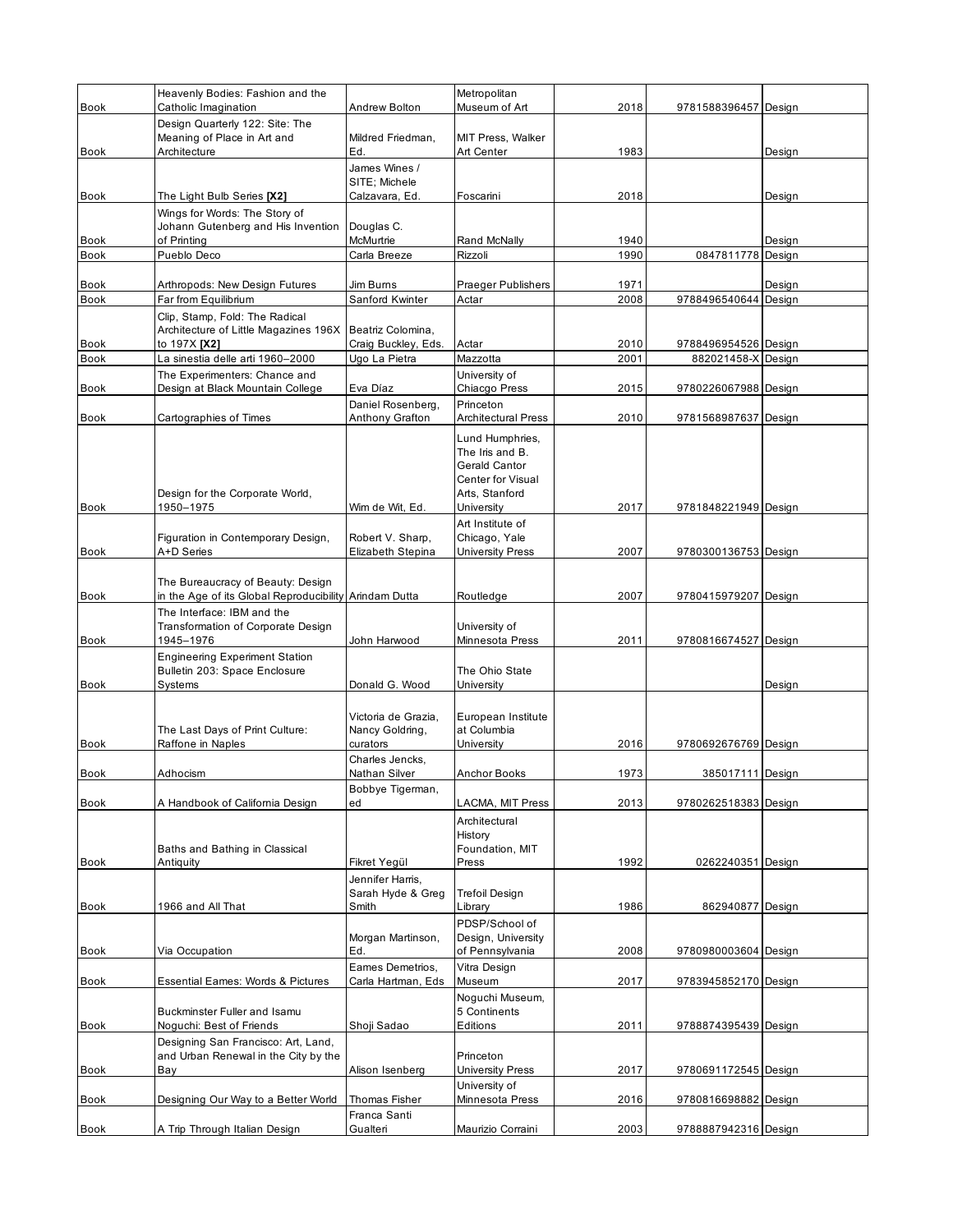| <b>Book</b> | Heavenly Bodies: Fashion and the<br>Catholic Imagination                                    | Andrew Bolton                               | Metropolitan<br>Museum of Art            | 2018 | 9781588396457 Design |        |
|-------------|---------------------------------------------------------------------------------------------|---------------------------------------------|------------------------------------------|------|----------------------|--------|
|             | Design Quarterly 122: Site: The                                                             |                                             |                                          |      |                      |        |
|             | Meaning of Place in Art and                                                                 | Mildred Friedman,                           | MIT Press, Walker                        |      |                      |        |
| Book        | Architecture                                                                                | Ed.<br>James Wines /                        | Art Center                               | 1983 |                      | Design |
|             |                                                                                             | SITE: Michele                               |                                          |      |                      |        |
| Book        | The Light Bulb Series [X2]                                                                  | Calzavara, Ed.                              | Foscarini                                | 2018 |                      | Design |
|             | Wings for Words: The Story of<br>Johann Gutenberg and His Invention                         | Douglas C.                                  |                                          |      |                      |        |
| Book        | of Printing                                                                                 | McMurtrie                                   | Rand McNally                             | 1940 |                      | Design |
| Book        | Pueblo Deco                                                                                 | Carla Breeze                                | Rizzoli                                  | 1990 | 0847811778 Design    |        |
| Book        | Arthropods: New Design Futures                                                              | Jim Burns                                   | Praeger Publishers                       | 1971 |                      | Design |
| <b>Book</b> | Far from Equilibrium                                                                        | Sanford Kwinter                             | Actar                                    | 2008 | 9788496540644 Design |        |
|             | Clip, Stamp, Fold: The Radical                                                              |                                             |                                          |      |                      |        |
| Book        | Architecture of Little Magazines 196X<br>to 197X [X2]                                       | Beatriz Colomina,<br>Craig Buckley, Eds.    | Actar                                    | 2010 | 9788496954526 Design |        |
| <b>Book</b> | La sinestia delle arti 1960-2000                                                            | Ugo La Pietra                               | Mazzotta                                 | 2001 | 882021458-X Design   |        |
|             | The Experimenters: Chance and                                                               |                                             | University of                            |      |                      |        |
| Book        | Design at Black Mountain College                                                            | Eva Díaz                                    | Chiacgo Press<br>Princeton               | 2015 | 9780226067988 Design |        |
| Book        | Cartographies of Times                                                                      | Daniel Rosenberg,<br><b>Anthony Grafton</b> | <b>Architectural Press</b>               | 2010 | 9781568987637 Design |        |
|             |                                                                                             |                                             | Lund Humphries,                          |      |                      |        |
|             |                                                                                             |                                             | The Iris and B.                          |      |                      |        |
|             |                                                                                             |                                             | Gerald Cantor<br>Center for Visual       |      |                      |        |
|             | Design for the Corporate World,                                                             |                                             | Arts, Stanford                           |      |                      |        |
| Book        | 1950–1975                                                                                   | Wim de Wit, Ed.                             | University                               | 2017 | 9781848221949 Design |        |
|             | Figuration in Contemporary Design,                                                          | Robert V. Sharp,                            | Art Institute of<br>Chicago, Yale        |      |                      |        |
| Book        | A+D Series                                                                                  | Elizabeth Stepina                           | University Press                         | 2007 | 9780300136753 Design |        |
|             |                                                                                             |                                             |                                          |      |                      |        |
| Book        | The Bureaucracy of Beauty: Design<br>in the Age of its Global Reproducibility Arindam Dutta |                                             | Routledge                                | 2007 | 9780415979207 Design |        |
|             | The Interface: IBM and the                                                                  |                                             |                                          |      |                      |        |
|             | Transformation of Corporate Design                                                          |                                             | University of                            |      |                      |        |
| Book        | 1945-1976<br><b>Engineering Experiment Station</b>                                          | John Harwood                                | Minnesota Press                          | 2011 | 9780816674527 Design |        |
|             | Bulletin 203: Space Enclosure                                                               |                                             | The Ohio State                           |      |                      |        |
| Book        | Systems                                                                                     | Donald G. Wood                              | University                               |      |                      | Design |
|             |                                                                                             | Victoria de Grazia,                         | European Institute                       |      |                      |        |
|             | The Last Days of Print Culture:                                                             | Nancy Goldring,                             | at Columbia                              |      |                      |        |
| <b>Book</b> | Raffone in Naples                                                                           | curators                                    | University                               | 2016 | 9780692676769 Design |        |
| <b>Book</b> | Adhocism                                                                                    | Charles Jencks,<br>Nathan Silver            | <b>Anchor Books</b>                      | 1973 | 385017111 Design     |        |
|             |                                                                                             | Bobbye Tigerman,                            |                                          |      |                      |        |
| <b>Book</b> | A Handbook of California Design                                                             | ed                                          | LACMA, MIT Press                         | 2013 | 9780262518383 Design |        |
|             |                                                                                             |                                             | Architectural<br>History                 |      |                      |        |
|             | Baths and Bathing in Classical                                                              |                                             | Foundation, MIT                          |      |                      |        |
| Book        | Antiquity                                                                                   | Fikret Yegül                                | Press                                    | 1992 | 0262240351 Design    |        |
|             |                                                                                             | Jennifer Harris,<br>Sarah Hyde & Greg       | <b>Trefoil Design</b>                    |      |                      |        |
| Book        | 1966 and All That                                                                           | Smith                                       | Library                                  | 1986 | 862940877 Design     |        |
|             |                                                                                             |                                             | PDSP/School of                           |      |                      |        |
| Book        | Via Occupation                                                                              | Morgan Martinson,<br>Ed.                    | Design, University<br>of Pennsylvania    | 2008 | 9780980003604 Design |        |
|             |                                                                                             | Eames Demetrios.                            | Vitra Design                             |      |                      |        |
| Book        | <b>Essential Eames: Words &amp; Pictures</b>                                                | Carla Hartman, Eds                          | Museum                                   | 2017 | 9783945852170 Design |        |
|             | Buckminster Fuller and Isamu                                                                |                                             | Noguchi Museum,<br>5 Continents          |      |                      |        |
| Book        | Noguchi: Best of Friends                                                                    | Shoji Sadao                                 | Editions                                 | 2011 | 9788874395439 Design |        |
|             | Designing San Francisco: Art, Land,                                                         |                                             |                                          |      |                      |        |
|             | and Urban Renewal in the City by the                                                        |                                             | Princeton                                |      |                      |        |
| Book        | Bay                                                                                         | Alison Isenberg                             | <b>University Press</b><br>University of | 2017 | 9780691172545 Design |        |
| Book        | Designing Our Way to a Better World                                                         | Thomas Fisher                               | Minnesota Press                          | 2016 | 9780816698882 Design |        |
|             |                                                                                             | Franca Santi                                |                                          |      |                      |        |
| Book        | A Trip Through Italian Design                                                               | Gualteri                                    | Maurizio Corraini                        | 2003 | 9788887942316 Design |        |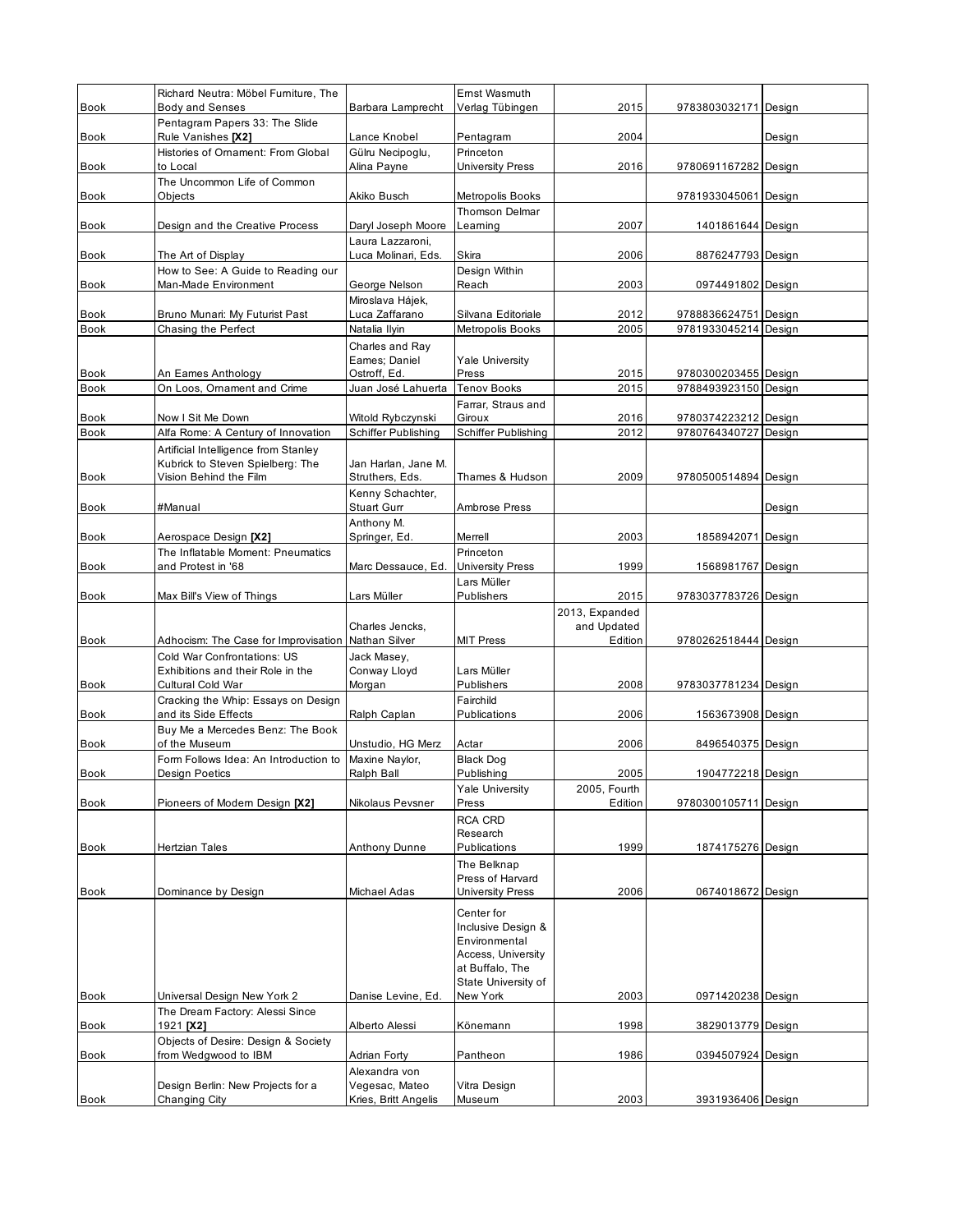|                     | Richard Neutra: Möbel Furniture, The                                                  |                                                  | Ernst Wasmuth                                                                                                     |                        |                                              |        |
|---------------------|---------------------------------------------------------------------------------------|--------------------------------------------------|-------------------------------------------------------------------------------------------------------------------|------------------------|----------------------------------------------|--------|
| <b>Book</b>         | <b>Body and Senses</b><br>Pentagram Papers 33: The Slide                              | Barbara Lamprecht                                | Verlag Tübingen                                                                                                   | 2015                   | 9783803032171                                | Design |
| <b>Book</b>         | Rule Vanishes [X2]                                                                    | Lance Knobel                                     | Pentagram                                                                                                         | 2004                   |                                              | Design |
| <b>Book</b>         | Histories of Ornament: From Global<br>to Local                                        | Gülru Necipoglu,<br>Alina Payne                  | Princeton<br>University Press                                                                                     | 2016                   | 9780691167282 Design                         |        |
| <b>Book</b>         | The Uncommon Life of Common<br>Objects                                                | Akiko Busch                                      | Metropolis Books                                                                                                  |                        | 9781933045061 Design                         |        |
| Book                | Design and the Creative Process                                                       | Daryl Joseph Moore                               | <b>Thomson Delmar</b><br>Leaming                                                                                  | 2007                   | 1401861644 Design                            |        |
| <b>Book</b>         | The Art of Display                                                                    | Laura Lazzaroni,<br>Luca Molinari, Eds.          | Skira                                                                                                             | 2006                   | 8876247793 Design                            |        |
|                     | How to See: A Guide to Reading our                                                    |                                                  | Design Within                                                                                                     |                        |                                              |        |
| Book                | Man-Made Environment                                                                  | George Nelson<br>Miroslava Hájek,                | Reach                                                                                                             | 2003                   | 0974491802 Design                            |        |
| <b>Book</b>         | Bruno Munari: My Futurist Past                                                        | Luca Zaffarano                                   | Silvana Editoriale                                                                                                | 2012                   | 9788836624751 Design                         |        |
| Book                | Chasing the Perfect                                                                   | Natalia Ilyin                                    | Metropolis Books                                                                                                  | 2005                   | 9781933045214 Design                         |        |
| <b>Book</b>         | An Eames Anthology                                                                    | Charles and Ray<br>Eames; Daniel<br>Ostroff, Ed. | <b>Yale University</b><br>Press                                                                                   | 2015                   | 9780300203455 Design                         |        |
| <b>Book</b>         | On Loos, Omament and Crime                                                            | Juan José Lahuerta                               | <b>Tenov Books</b>                                                                                                | 2015                   | 9788493923150 Design                         |        |
|                     |                                                                                       |                                                  | Farrar, Straus and                                                                                                |                        |                                              |        |
| Book<br><b>Book</b> | Now I Sit Me Down<br>Alfa Rome: A Century of Innovation                               | Witold Rybczynski<br>Schiffer Publishing         | Giroux<br>Schiffer Publishing                                                                                     | 2016<br>2012           | 9780374223212 Design<br>9780764340727 Design |        |
|                     | Artificial Intelligence from Stanley                                                  |                                                  |                                                                                                                   |                        |                                              |        |
|                     | Kubrick to Steven Spielberg: The                                                      | Jan Harlan, Jane M.                              |                                                                                                                   |                        |                                              |        |
| Book                | Vision Behind the Film                                                                | Struthers, Eds.<br>Kenny Schachter,              | Thames & Hudson                                                                                                   | 2009                   | 9780500514894 Design                         |        |
| Book                | #Manual                                                                               | Stuart Gurr                                      | Ambrose Press                                                                                                     |                        |                                              | Design |
| <b>Book</b>         | Aerospace Design [X2]                                                                 | Anthony M.<br>Springer, Ed.                      | Merrell                                                                                                           | 2003                   | 1858942071 Design                            |        |
| Book                | The Inflatable Moment: Pneumatics<br>and Protest in '68                               | Marc Dessauce, Ed.                               | Princeton<br><b>University Press</b>                                                                              | 1999                   | 1568981767 Design                            |        |
|                     |                                                                                       | Lars Müller                                      | Lars Müller<br>Publishers                                                                                         | 2015                   |                                              |        |
| <b>Book</b>         | Max Bill's View of Things                                                             |                                                  |                                                                                                                   | 2013, Expanded         | 9783037783726 Design                         |        |
| Book                | Adhocism: The Case for Improvisation Nathan Silver                                    | Charles Jencks,                                  | <b>MIT Press</b>                                                                                                  | and Updated<br>Edition | 9780262518444 Design                         |        |
| <b>Book</b>         | Cold War Confrontations: US<br>Exhibitions and their Role in the<br>Cultural Cold War | Jack Masey,<br>Conway Lloyd<br>Morgan            | Lars Müller<br>Publishers                                                                                         | 2008                   | 9783037781234 Design                         |        |
|                     | Cracking the Whip: Essays on Design                                                   |                                                  | Fairchild                                                                                                         |                        |                                              |        |
| <b>Book</b>         | and its Side Effects<br>Buy Me a Mercedes Benz: The Book                              | Ralph Caplan                                     | Publications                                                                                                      | 2006                   | 1563673908 Design                            |        |
| <b>Book</b>         | of the Museum                                                                         | Unstudio, HG Merz                                | Actar                                                                                                             | 2006                   | 8496540375 Design                            |        |
| <b>Book</b>         | Form Follows Idea: An Introduction to<br>Design Poetics                               | Maxine Naylor,<br>Ralph Ball                     | <b>Black Dog</b><br>Publishing                                                                                    | 2005                   | 1904772218 Design                            |        |
|                     |                                                                                       |                                                  | <b>Yale University</b>                                                                                            | 2005, Fourth           |                                              |        |
| <b>Book</b>         | Pioneers of Modern Design [X2]                                                        | Nikolaus Pevsner                                 | Press<br><b>RCA CRD</b>                                                                                           | Edition                | 9780300105711 Design                         |        |
| Book                | Hertzian Tales                                                                        | <b>Anthony Dunne</b>                             | Research<br>Publications                                                                                          | 1999                   | 1874175276 Design                            |        |
|                     |                                                                                       |                                                  | The Belknap<br>Press of Harvard                                                                                   |                        |                                              |        |
| Book                | Dominance by Design                                                                   | Michael Adas                                     | University Press                                                                                                  | 2006                   | 0674018672 Design                            |        |
|                     |                                                                                       |                                                  | Center for<br>Inclusive Design &<br>Environmental<br>Access, University<br>at Buffalo, The<br>State University of |                        |                                              |        |
| Book                | Universal Design New York 2                                                           | Danise Levine, Ed.                               | New York                                                                                                          | 2003                   | 0971420238 Design                            |        |
| Book                | The Dream Factory: Alessi Since<br>1921 [X2]                                          | Alberto Alessi                                   | Könemann                                                                                                          | 1998                   | 3829013779 Design                            |        |
| Book                | Objects of Desire: Design & Society<br>from Wedgwood to IBM                           | Adrian Forty                                     | Pantheon                                                                                                          | 1986                   | 0394507924 Design                            |        |
|                     |                                                                                       | Alexandra von                                    |                                                                                                                   |                        |                                              |        |
| Book                | Design Berlin: New Projects for a<br>Changing City                                    | Vegesac, Mateo<br>Kries, Britt Angelis           | Vitra Design<br>Museum                                                                                            | 2003                   | 3931936406 Design                            |        |
|                     |                                                                                       |                                                  |                                                                                                                   |                        |                                              |        |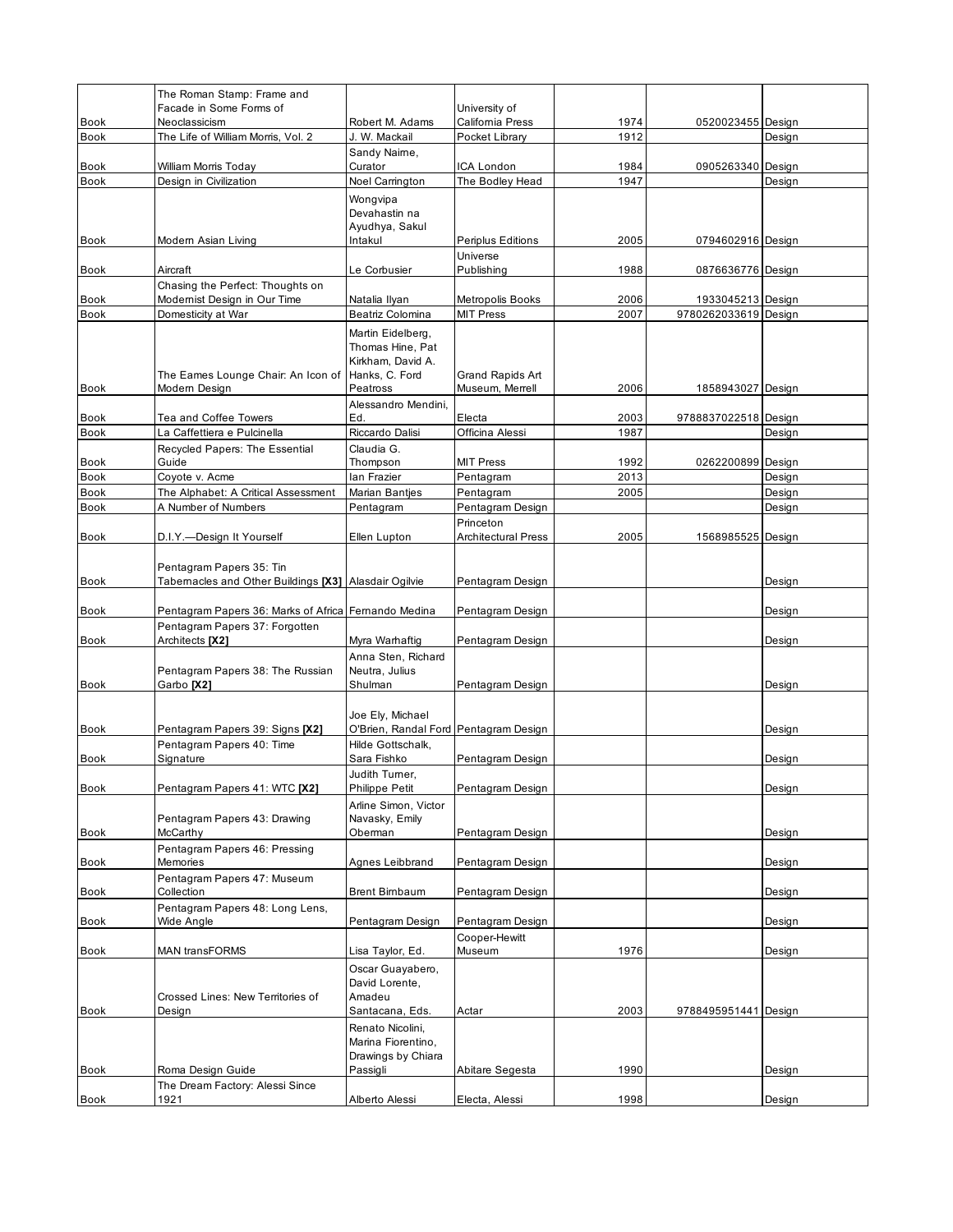|                     | The Roman Stamp: Frame and                                   |                                                            |                                   |              |                      |        |
|---------------------|--------------------------------------------------------------|------------------------------------------------------------|-----------------------------------|--------------|----------------------|--------|
| <b>Book</b>         | Facade in Some Forms of<br>Neoclassicism                     | Robert M. Adams                                            | University of<br>California Press | 1974         | 0520023455 Design    |        |
| <b>Book</b>         | The Life of William Morris, Vol. 2                           | J. W. Mackail                                              | Pocket Library                    | 1912         |                      | Design |
|                     |                                                              | Sandy Naime,                                               |                                   |              |                      |        |
| Book                | William Morris Today                                         | Curator                                                    | ICA London                        | 1984         | 0905263340 Design    |        |
| <b>Book</b>         | Design in Civilization                                       | Noel Carrington                                            | The Bodley Head                   | 1947         |                      | Design |
|                     |                                                              | Wongvipa                                                   |                                   |              |                      |        |
|                     |                                                              | Devahastin na<br>Ayudhya, Sakul                            |                                   |              |                      |        |
| Book                | Modern Asian Living                                          | Intakul                                                    | Periplus Editions                 | 2005         | 0794602916 Design    |        |
|                     |                                                              |                                                            | Universe                          |              |                      |        |
| <b>Book</b>         | Aircraft                                                     | Le Corbusier                                               | Publishing                        | 1988         | 0876636776 Design    |        |
|                     | Chasing the Perfect: Thoughts on                             |                                                            |                                   |              |                      |        |
| Book                | Modernist Design in Our Time                                 | Natalia Ilyan                                              | Metropolis Books                  | 2006         | 1933045213 Design    |        |
| <b>Book</b>         | Domesticity at War                                           | Beatriz Colomina                                           | <b>MIT Press</b>                  | 2007         | 9780262033619 Design |        |
|                     |                                                              | Martin Eidelberg,                                          |                                   |              |                      |        |
|                     |                                                              | Thomas Hine, Pat<br>Kirkham, David A.                      |                                   |              |                      |        |
|                     | The Eames Lounge Chair: An Icon of                           | Hanks, C. Ford                                             | Grand Rapids Art                  |              |                      |        |
| <b>Book</b>         | Modern Design                                                | Peatross                                                   | Museum, Merrell                   | 2006         | 1858943027 Design    |        |
|                     |                                                              | Alessandro Mendini,                                        |                                   |              |                      |        |
| Book                | Tea and Coffee Towers                                        | Ed.                                                        | Electa                            | 2003         | 9788837022518 Design |        |
| <b>Book</b>         | La Caffettiera e Pulcinella                                  | Riccardo Dalisi                                            | Officina Alessi                   | 1987         |                      | Design |
|                     | Recycled Papers: The Essential                               | Claudia G.                                                 |                                   |              |                      |        |
| Book<br><b>Book</b> | Guide<br>Coyote v. Acme                                      | Thompson<br>lan Frazier                                    | <b>MIT Press</b><br>Pentagram     | 1992<br>2013 | 0262200899 Design    | Design |
| Book                | The Alphabet: A Critical Assessment                          | Marian Bantjes                                             | Pentagram                         | 2005         |                      | Design |
| Book                | A Number of Numbers                                          | Pentagram                                                  | Pentagram Design                  |              |                      | Design |
|                     |                                                              |                                                            | Princeton                         |              |                      |        |
| <b>Book</b>         | D.I.Y.--Design It Yourself                                   | Ellen Lupton                                               | <b>Architectural Press</b>        | 2005         | 1568985525 Design    |        |
|                     |                                                              |                                                            |                                   |              |                      |        |
|                     | Pentagram Papers 35: Tin                                     |                                                            |                                   |              |                      |        |
| Book                | Tabernacles and Other Buildings [X3] Alasdair Ogilvie        |                                                            | Pentagram Design                  |              |                      | Design |
| <b>Book</b>         | Pentagram Papers 36: Marks of Africa Fernando Medina         |                                                            | Pentagram Design                  |              |                      | Design |
|                     | Pentagram Papers 37: Forgotten                               |                                                            |                                   |              |                      |        |
| Book                | Architects [X2]                                              | Myra Warhaftig                                             | Pentagram Design                  |              |                      | Design |
|                     |                                                              | Anna Sten, Richard                                         |                                   |              |                      |        |
|                     | Pentagram Papers 38: The Russian                             | Neutra, Julius                                             |                                   |              |                      |        |
| <b>Book</b>         | Garbo <sup>[X2]</sup>                                        | Shulman                                                    | Pentagram Design                  |              |                      | Design |
|                     |                                                              |                                                            |                                   |              |                      |        |
| <b>Book</b>         |                                                              | Joe Ely, Michael                                           |                                   |              |                      |        |
|                     | Pentagram Papers 39: Signs [X2]<br>Pentagram Papers 40: Time | O'Brien, Randal Ford Pentagram Design<br>Hilde Gottschalk, |                                   |              |                      | Design |
| Book                | Signature                                                    | Sara Fishko                                                | Pentagram Design                  |              |                      | Design |
|                     |                                                              | Judith Turner,                                             |                                   |              |                      |        |
| Book                | Pentagram Papers 41: WTC [X2]                                | <b>Philippe Petit</b>                                      | Pentagram Design                  |              |                      | Design |
|                     |                                                              | Arline Simon, Victor                                       |                                   |              |                      |        |
|                     | Pentagram Papers 43: Drawing                                 | Navasky, Emily                                             |                                   |              |                      |        |
| Book                | McCarthy                                                     | Oberman                                                    | Pentagram Design                  |              |                      | Design |
| Book                | Pentagram Papers 46: Pressing<br>Memories                    | Agnes Leibbrand                                            | Pentagram Design                  |              |                      | Design |
|                     | Pentagram Papers 47: Museum                                  |                                                            |                                   |              |                      |        |
| Book                | Collection                                                   | <b>Brent Birnbaum</b>                                      | Pentagram Design                  |              |                      | Design |
|                     | Pentagram Papers 48: Long Lens,                              |                                                            |                                   |              |                      |        |
| Book                | Wide Angle                                                   | Pentagram Design                                           | Pentagram Design                  |              |                      | Design |
|                     |                                                              |                                                            | Cooper-Hewitt                     |              |                      |        |
| Book                | <b>MAN transFORMS</b>                                        | Lisa Taylor, Ed.                                           | Museum                            | 1976         |                      | Design |
|                     |                                                              | Oscar Guayabero,                                           |                                   |              |                      |        |
|                     | Crossed Lines: New Territories of                            | David Lorente,<br>Amadeu                                   |                                   |              |                      |        |
| Book                | Design                                                       | Santacana, Eds.                                            | Actar                             | 2003         | 9788495951441 Design |        |
|                     |                                                              | Renato Nicolini,                                           |                                   |              |                      |        |
|                     |                                                              | Marina Fiorentino,                                         |                                   |              |                      |        |
|                     |                                                              | Drawings by Chiara                                         |                                   |              |                      |        |
| Book                | Roma Design Guide                                            | Passigli                                                   | Abitare Segesta                   | 1990         |                      | Design |
|                     | The Dream Factory: Alessi Since                              |                                                            |                                   |              |                      |        |
| <b>Book</b>         | 1921                                                         | Alberto Alessi                                             | Electa, Alessi                    | 1998         |                      | Design |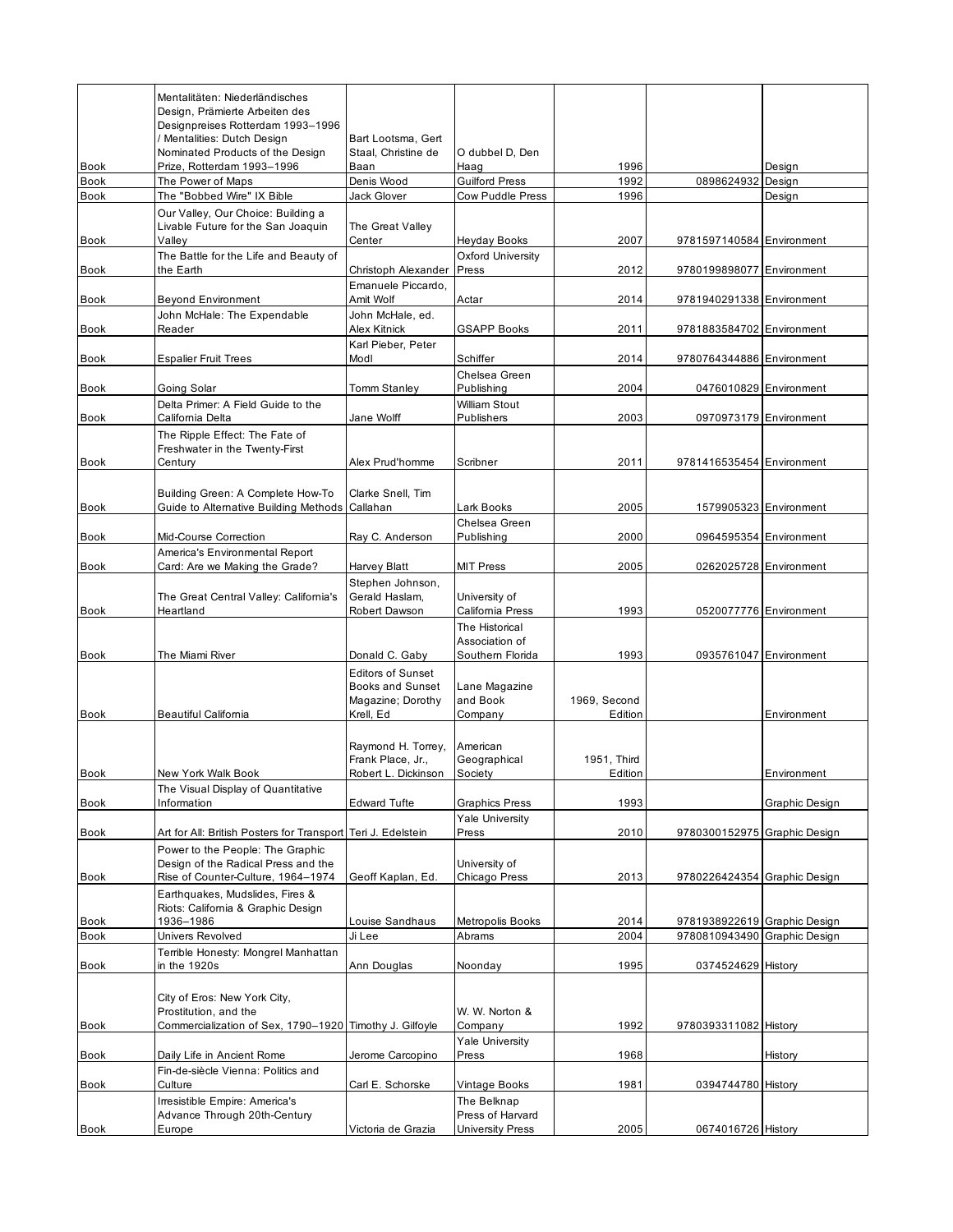|             | Mentalitäten: Niederländisches<br>Design, Prämierte Arbeiten des<br>Designpreises Rotterdam 1993-1996<br>/ Mentalities: Dutch Design | Bart Lootsma, Gert                                                                    |                                                      |                         |                              |                        |
|-------------|--------------------------------------------------------------------------------------------------------------------------------------|---------------------------------------------------------------------------------------|------------------------------------------------------|-------------------------|------------------------------|------------------------|
| <b>Book</b> | Nominated Products of the Design<br>Prize, Rotterdam 1993-1996                                                                       | Staal, Christine de<br>Baan                                                           | O dubbel D, Den<br>Haag                              | 1996                    |                              | Desian                 |
| <b>Book</b> | The Power of Maps                                                                                                                    | Denis Wood                                                                            | <b>Guilford Press</b>                                | 1992                    | 0898624932                   | Design                 |
| <b>Book</b> | The "Bobbed Wire" IX Bible                                                                                                           | Jack Glover                                                                           | Cow Puddle Press                                     | 1996                    |                              | Design                 |
| <b>Book</b> | Our Valley, Our Choice: Building a<br>Livable Future for the San Joaquin<br>Valley                                                   | The Great Valley<br>Center                                                            | Heyday Books                                         | 2007                    | 9781597140584 Environment    |                        |
|             | The Battle for the Life and Beauty of                                                                                                |                                                                                       | Oxford University                                    |                         |                              |                        |
| Book        | the Earth                                                                                                                            | Christoph Alexander                                                                   | Press                                                | 2012                    | 9780199898077 Environment    |                        |
| <b>Book</b> | <b>Beyond Environment</b>                                                                                                            | Emanuele Piccardo,<br>Amit Wolf                                                       | Actar                                                | 2014                    | 9781940291338 Environment    |                        |
| <b>Book</b> | John McHale: The Expendable<br>Reader                                                                                                | John McHale, ed.<br>Alex Kitnick                                                      | <b>GSAPP Books</b>                                   | 2011                    | 9781883584702 Environment    |                        |
|             |                                                                                                                                      | Karl Pieber, Peter                                                                    |                                                      |                         |                              |                        |
| Book        | <b>Espalier Fruit Trees</b>                                                                                                          | Modl                                                                                  | Schiffer                                             | 2014                    | 9780764344886 Environment    |                        |
| <b>Book</b> | Going Solar                                                                                                                          | <b>Tomm Stanley</b>                                                                   | Chelsea Green<br>Publishing                          | 2004                    |                              | 0476010829 Environment |
| Book        | Delta Primer: A Field Guide to the<br>California Delta                                                                               | Jane Wolff                                                                            | <b>William Stout</b><br>Publishers                   | 2003                    |                              | 0970973179 Environment |
|             | The Ripple Effect: The Fate of<br>Freshwater in the Twenty-First                                                                     |                                                                                       |                                                      |                         |                              |                        |
| <b>Book</b> | Century                                                                                                                              | Alex Prud'homme                                                                       | Scribner                                             | 2011                    | 9781416535454 Environment    |                        |
| Book        | Building Green: A Complete How-To<br>Guide to Alternative Building Methods                                                           | Clarke Snell, Tim<br>Callahan                                                         | Lark Books                                           | 2005                    |                              | 1579905323 Environment |
|             |                                                                                                                                      |                                                                                       | Chelsea Green                                        |                         |                              |                        |
| <b>Book</b> | Mid-Course Correction                                                                                                                | Ray C. Anderson                                                                       | Publishing                                           | 2000                    |                              | 0964595354 Environment |
| <b>Book</b> | America's Environmental Report<br>Card: Are we Making the Grade?                                                                     | Harvey Blatt                                                                          | <b>MIT Press</b>                                     | 2005                    |                              | 0262025728 Environment |
| <b>Book</b> | The Great Central Valley: California's<br>Heartland                                                                                  | Stephen Johnson,<br>Gerald Haslam,<br>Robert Dawson                                   | University of<br>California Press                    | 1993                    |                              | 0520077776 Environment |
| <b>Book</b> | The Miami River                                                                                                                      | Donald C. Gaby                                                                        | The Historical<br>Association of<br>Southern Florida | 1993                    |                              | 0935761047 Environment |
| <b>Book</b> | Beautiful California                                                                                                                 | <b>Editors of Sunset</b><br><b>Books and Sunset</b><br>Magazine; Dorothy<br>Krell, Ed | Lane Magazine<br>and Book<br>Company                 | 1969, Second<br>Edition |                              | Environment            |
|             |                                                                                                                                      | Raymond H. Torrey,<br>Frank Place, Jr.,                                               | American<br>Geographical                             | 1951. Third             |                              |                        |
| <b>Book</b> | New York Walk Book<br>The Visual Display of Quantitative                                                                             | Robert L. Dickinson                                                                   | Society                                              | Edition                 |                              | Environment            |
| Book        | Information                                                                                                                          | <b>Edward Tufte</b>                                                                   | <b>Graphics Press</b>                                | 1993                    |                              | Graphic Design         |
| Book        | Art for All: British Posters for Transport Teri J. Edelstein                                                                         |                                                                                       | <b>Yale University</b><br>Press                      | 2010                    | 9780300152975 Graphic Design |                        |
| Book        | Power to the People: The Graphic<br>Design of the Radical Press and the<br>Rise of Counter-Culture, 1964-1974                        | Geoff Kaplan, Ed.                                                                     | University of<br>Chicago Press                       | 2013                    | 9780226424354 Graphic Design |                        |
| Book        | Earthquakes, Mudslides, Fires &<br>Riots: California & Graphic Design<br>1936-1986                                                   | Louise Sandhaus                                                                       | Metropolis Books                                     | 2014                    | 9781938922619 Graphic Design |                        |
| Book        | Univers Revolved                                                                                                                     | Ji Lee                                                                                | Abrams                                               | 2004                    | 9780810943490 Graphic Design |                        |
| Book        | Terrible Honesty: Mongrel Manhattan<br>in the 1920s                                                                                  | Ann Douglas                                                                           | Noonday                                              | 1995                    | 0374524629 History           |                        |
| Book        | City of Eros: New York City,<br>Prostitution, and the<br>Commercialization of Sex, 1790-1920 Timothy J. Gilfoyle                     |                                                                                       | W. W. Norton &<br>Company                            | 1992                    | 9780393311082 History        |                        |
| Book        | Daily Life in Ancient Rome                                                                                                           | Jerome Carcopino                                                                      | <b>Yale University</b><br>Press                      | 1968                    |                              | History                |
| Book        | Fin-de-siècle Vienna: Politics and<br>Culture                                                                                        | Carl E. Schorske                                                                      | Vintage Books                                        | 1981                    | 0394744780 History           |                        |
|             | Irresistible Empire: America's                                                                                                       |                                                                                       | The Belknap                                          |                         |                              |                        |
|             | Advance Through 20th-Century                                                                                                         |                                                                                       | Press of Harvard                                     |                         |                              |                        |
| <b>Book</b> | Europe                                                                                                                               | Victoria de Grazia                                                                    | University Press                                     | 2005                    | 0674016726 History           |                        |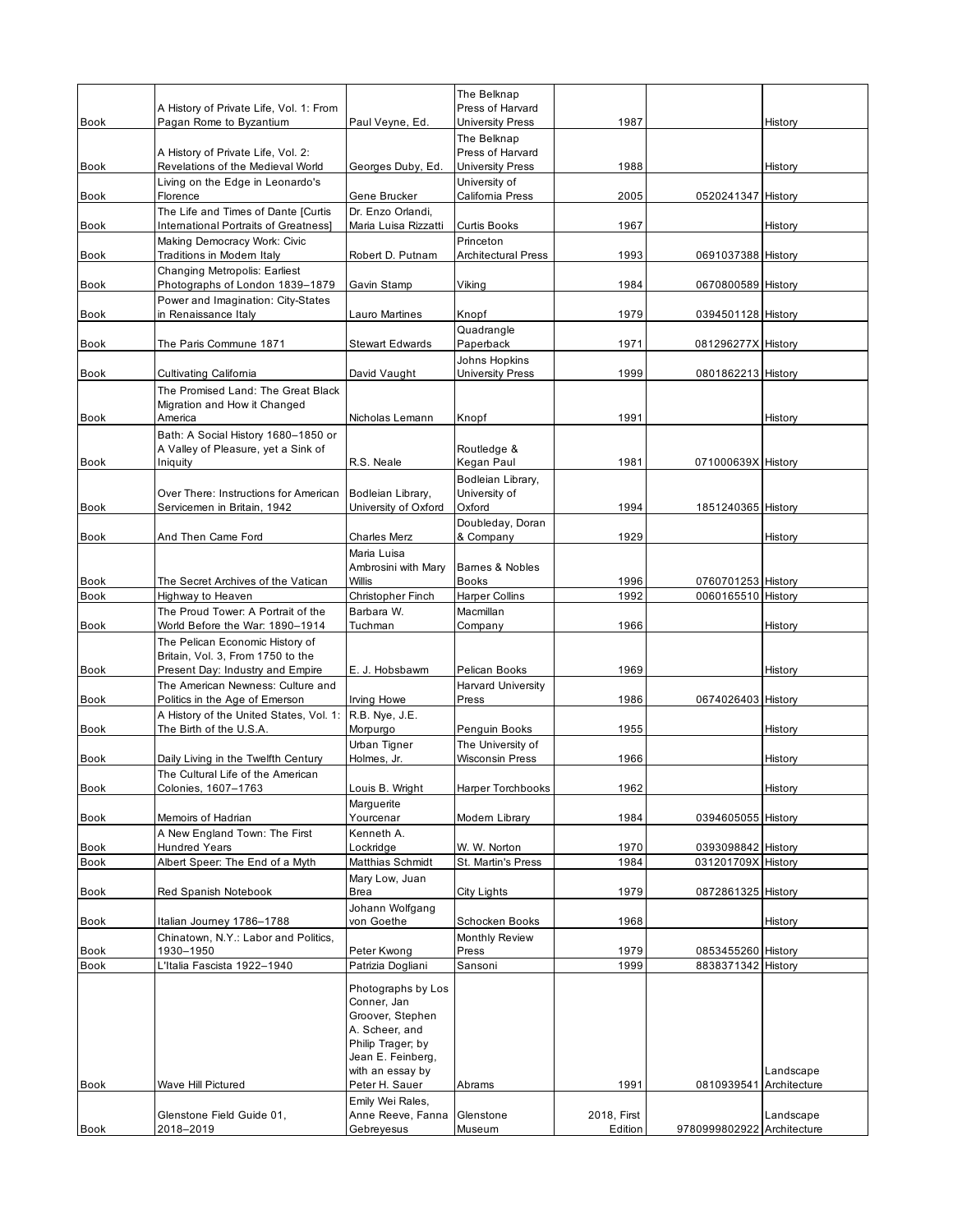|              |                                                                      |                                    | The Belknap                             |              |                                          |           |
|--------------|----------------------------------------------------------------------|------------------------------------|-----------------------------------------|--------------|------------------------------------------|-----------|
|              | A History of Private Life, Vol. 1: From                              |                                    | Press of Harvard                        |              |                                          |           |
| <b>Book</b>  | Pagan Rome to Byzantium                                              | Paul Veyne, Ed.                    | <b>University Press</b><br>The Belknap  | 1987         |                                          | History   |
|              | A History of Private Life, Vol. 2:                                   |                                    | Press of Harvard                        |              |                                          |           |
| Book         | Revelations of the Medieval World                                    | Georges Duby, Ed.                  | <b>University Press</b>                 | 1988         |                                          | History   |
| <b>Book</b>  | Living on the Edge in Leonardo's<br>Florence                         | Gene Brucker                       | University of<br>California Press       | 2005         | 0520241347 History                       |           |
|              | The Life and Times of Dante [Curtis                                  | Dr. Enzo Orlandi,                  |                                         |              |                                          |           |
| Book         | International Portraits of Greatness]                                | Maria Luisa Rizzatti               | <b>Curtis Books</b>                     | 1967         |                                          | History   |
| Book         | Making Democracy Work: Civic<br>Traditions in Modern Italy           | Robert D. Putnam                   | Princeton<br><b>Architectural Press</b> | 1993         | 0691037388 History                       |           |
| <b>Book</b>  | Changing Metropolis: Earliest<br>Photographs of London 1839-1879     | Gavin Stamp                        | Viking                                  | 1984         | 0670800589 History                       |           |
| Book         | Power and Imagination: City-States<br>in Renaissance Italy           | Lauro Martines                     | Knopf                                   | 1979         | 0394501128 History                       |           |
|              |                                                                      |                                    | Quadrangle                              |              |                                          |           |
| Book         | The Paris Commune 1871                                               | <b>Stewart Edwards</b>             | Paperback                               | 1971         | 081296277X History                       |           |
| <b>Book</b>  |                                                                      |                                    | Johns Hopkins                           | 1999         |                                          |           |
|              | Cultivating California<br>The Promised Land: The Great Black         | David Vaught                       | <b>University Press</b>                 |              | 0801862213 History                       |           |
|              | Migration and How it Changed                                         |                                    |                                         |              |                                          |           |
| Book         | America                                                              | Nicholas Lemann                    | Knopf                                   | 1991         |                                          | History   |
|              | Bath: A Social History 1680-1850 or                                  |                                    |                                         |              |                                          |           |
| <b>Book</b>  | A Valley of Pleasure, yet a Sink of<br>Iniquity                      | R.S. Neale                         | Routledge &<br>Kegan Paul               | 1981         | 071000639X History                       |           |
|              |                                                                      |                                    | Bodleian Library,                       |              |                                          |           |
|              | Over There: Instructions for American                                | Bodleian Library,                  | University of                           |              |                                          |           |
| Book         | Servicemen in Britain, 1942                                          | University of Oxford               | Oxford                                  | 1994         | 1851240365 History                       |           |
| <b>Book</b>  | And Then Came Ford                                                   | <b>Charles Merz</b>                | Doubleday, Doran<br>& Company           | 1929         |                                          | History   |
|              |                                                                      | Maria Luisa                        |                                         |              |                                          |           |
|              |                                                                      | Ambrosini with Mary                | Barnes & Nobles                         |              |                                          |           |
| <b>Book</b>  | The Secret Archives of the Vatican                                   | Willis                             | <b>Books</b>                            | 1996         | 0760701253 History                       |           |
| <b>Book</b>  | Highway to Heaven                                                    | Christopher Finch                  | <b>Harper Collins</b>                   | 1992         | 0060165510 History                       |           |
|              | The Proud Tower: A Portrait of the                                   | Barbara W.                         | Macmillan                               |              |                                          |           |
| <b>Book</b>  | World Before the War: 1890-1914                                      | Tuchman                            | Company                                 | 1966         |                                          | History   |
|              | The Pelican Economic History of<br>Britain, Vol. 3, From 1750 to the |                                    |                                         |              |                                          |           |
| <b>Book</b>  | Present Day: Industry and Empire                                     | E. J. Hobsbawm                     | Pelican Books                           | 1969         |                                          | History   |
|              | The American Newness: Culture and                                    |                                    | <b>Harvard University</b>               |              |                                          |           |
| <b>Book</b>  | Politics in the Age of Emerson                                       | Irving Howe                        | Press                                   | 1986         | 0674026403 History                       |           |
| Book         | A History of the United States, Vol. 1:<br>The Birth of the U.S.A.   | R.B. Nye, J.E.<br>Morpurgo         | Penguin Books                           | 1955         |                                          | History   |
|              |                                                                      | Urban Tigner                       | The University of                       |              |                                          |           |
| <b>Book</b>  | Daily Living in the Twelfth Century                                  | Holmes, Jr.                        | Wisconsin Press                         | 1966         |                                          | History   |
|              | The Cultural Life of the American                                    |                                    |                                         |              |                                          |           |
| Book         | Colonies, 1607-1763                                                  | Louis B. Wright                    | Harper Torchbooks                       | 1962         |                                          | History   |
| <b>Book</b>  | Memoirs of Hadrian                                                   | Marguerite<br>Yourcenar            | Modern Library                          | 1984         | 0394605055 History                       |           |
|              | A New England Town: The First                                        | Kenneth A.                         |                                         |              |                                          |           |
| Book         | <b>Hundred Years</b>                                                 | Lockridge                          | W. W. Norton                            | 1970         | 0393098842 History                       |           |
| Book         | Albert Speer: The End of a Myth                                      | Matthias Schmidt                   | St. Martin's Press                      | 1984         | 031201709X History                       |           |
| <b>Book</b>  | Red Spanish Notebook                                                 | Mary Low, Juan<br>Brea             | City Lights                             | 1979         | 0872861325 History                       |           |
|              |                                                                      | Johann Wolfgang                    |                                         |              |                                          |           |
| Book         | Italian Journey 1786-1788                                            | von Goethe                         | Schocken Books                          | 1968         |                                          | History   |
|              | Chinatown, N.Y.: Labor and Politics,                                 |                                    | Monthly Review                          |              |                                          |           |
| Book<br>Book | 1930–1950<br>L'Italia Fascista 1922-1940                             | Peter Kwong<br>Patrizia Dogliani   | Press<br>Sansoni                        | 1979<br>1999 | 0853455260 History<br>8838371342 History |           |
|              |                                                                      |                                    |                                         |              |                                          |           |
|              |                                                                      | Photographs by Los                 |                                         |              |                                          |           |
|              |                                                                      | Conner, Jan<br>Groover, Stephen    |                                         |              |                                          |           |
|              |                                                                      | A. Scheer, and                     |                                         |              |                                          |           |
|              |                                                                      | Philip Trager; by                  |                                         |              |                                          |           |
|              |                                                                      | Jean E. Feinberg,                  |                                         |              |                                          |           |
|              |                                                                      | with an essay by                   |                                         |              |                                          | Landscape |
| Book         | Wave Hill Pictured                                                   | Peter H. Sauer<br>Emily Wei Rales, | Abrams                                  | 1991         | 0810939541 Architecture                  |           |
|              | Glenstone Field Guide 01,                                            | Anne Reeve, Fanna                  | Glenstone                               | 2018, First  |                                          | Landscape |
| Book         | 2018–2019                                                            | Gebreyesus                         | Museum                                  | Edition      | 9780999802922 Architecture               |           |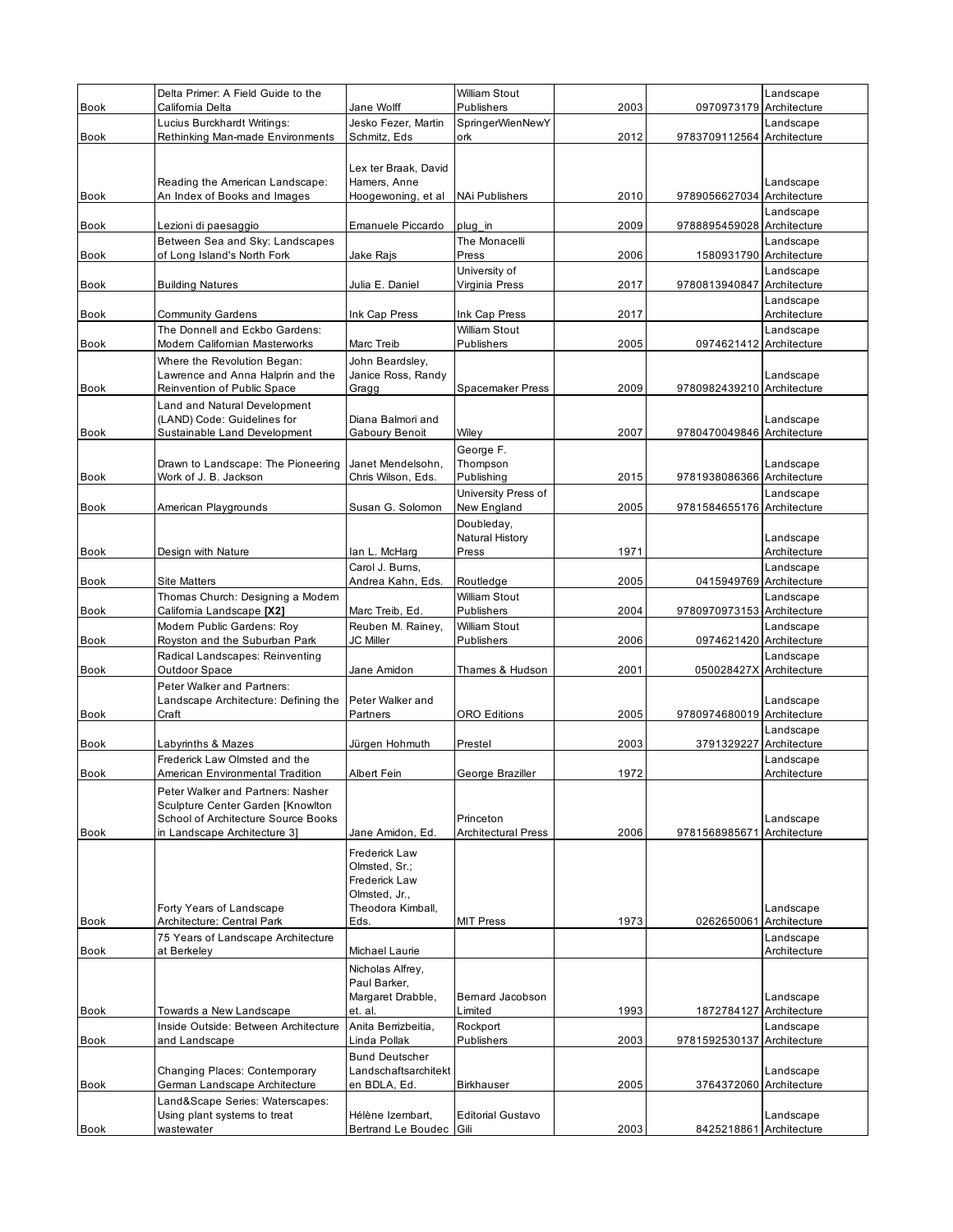|                     | Delta Primer: A Field Guide to the<br>California Delta                                                                                        | Jane Wolff                                                                                    | <b>William Stout</b><br>Publishers                          | 2003 | 0970973179                 | Landscape<br>Architecture                 |
|---------------------|-----------------------------------------------------------------------------------------------------------------------------------------------|-----------------------------------------------------------------------------------------------|-------------------------------------------------------------|------|----------------------------|-------------------------------------------|
| <b>Book</b>         | Lucius Burckhardt Writings:                                                                                                                   | Jesko Fezer, Martin                                                                           | SpringerWienNewY                                            |      |                            | Landscape                                 |
| <b>Book</b>         | Rethinking Man-made Environments                                                                                                              | Schmitz, Eds                                                                                  | ork                                                         | 2012 | 9783709112564 Architecture |                                           |
|                     | Reading the American Landscape:                                                                                                               | Lex ter Braak. David<br>Hamers, Anne                                                          |                                                             |      |                            | Landscape                                 |
| <b>Book</b>         | An Index of Books and Images                                                                                                                  | Hoogewoning, et al                                                                            | <b>NAi Publishers</b>                                       | 2010 | 9789056627034 Architecture |                                           |
| Book                | Lezioni di paesaggio                                                                                                                          | Emanuele Piccardo                                                                             | plug in                                                     | 2009 | 9788895459028 Architecture | Landscape                                 |
| <b>Book</b>         | Between Sea and Sky: Landscapes<br>of Long Island's North Fork                                                                                | Jake Rajs                                                                                     | The Monacelli<br>Press                                      | 2006 | 1580931790 Architecture    | Landscape                                 |
| <b>Book</b>         | <b>Building Natures</b>                                                                                                                       | Julia E. Daniel                                                                               | University of<br>Virginia Press                             | 2017 | 9780813940847              | Landscape<br>Architecture                 |
| <b>Book</b>         | <b>Community Gardens</b>                                                                                                                      | Ink Cap Press                                                                                 | Ink Cap Press                                               | 2017 |                            | Landscape<br>Architecture                 |
| <b>Book</b>         | The Donnell and Eckbo Gardens:<br>Modern Californian Masterworks                                                                              | Marc Treib                                                                                    | <b>William Stout</b><br>Publishers                          | 2005 | 0974621412 Architecture    | Landscape                                 |
| <b>Book</b>         | Where the Revolution Began:<br>Lawrence and Anna Halprin and the<br>Reinvention of Public Space                                               | John Beardsley,<br>Janice Ross, Randy<br>Gragg                                                | Spacemaker Press                                            | 2009 | 9780982439210 Architecture | Landscape                                 |
| Book                | Land and Natural Development<br>(LAND) Code: Guidelines for<br>Sustainable Land Development                                                   | Diana Balmori and<br>Gaboury Benoit                                                           | Wiley                                                       | 2007 | 9780470049846 Architecture | Landscape                                 |
| <b>Book</b>         | Drawn to Landscape: The Pioneering<br>Work of J. B. Jackson                                                                                   | Janet Mendelsohn,<br>Chris Wilson, Eds.                                                       | George F.<br>Thompson<br>Publishing                         | 2015 | 9781938086366 Architecture | Landscape                                 |
| <b>Book</b>         | American Playgrounds                                                                                                                          | Susan G. Solomon                                                                              | University Press of<br>New England                          | 2005 | 9781584655176 Architecture | Landscape                                 |
|                     |                                                                                                                                               |                                                                                               | Doubleday,<br>Natural History                               |      |                            | Landscape                                 |
| <b>Book</b>         | Design with Nature                                                                                                                            | lan L. McHarg                                                                                 | Press                                                       | 1971 |                            | Architecture                              |
| <b>Book</b>         | <b>Site Matters</b>                                                                                                                           | Carol J. Bums,<br>Andrea Kahn, Eds.                                                           | Routledge                                                   | 2005 | 0415949769 Architecture    | Landscape                                 |
| Book                | Thomas Church: Designing a Modern<br>California Landscape [X2]                                                                                | Marc Treib, Ed.                                                                               | William Stout<br>Publishers                                 | 2004 | 9780970973153 Architecture | Landscape                                 |
| <b>Book</b>         | Modern Public Gardens: Roy<br>Royston and the Suburban Park                                                                                   | Reuben M. Rainey,<br>JC Miller                                                                | William Stout<br>Publishers                                 | 2006 | 0974621420 Architecture    | Landscape                                 |
| <b>Book</b>         | Radical Landscapes: Reinventing<br>Outdoor Space                                                                                              | Jane Amidon                                                                                   | Thames & Hudson                                             | 2001 | 050028427X Architecture    | Landscape                                 |
| <b>Book</b>         | Peter Walker and Partners:<br>Landscape Architecture: Defining the<br>Craft                                                                   | Peter Walker and<br>Partners                                                                  | <b>ORO</b> Editions                                         | 2005 | 9780974680019 Architecture | Landscape                                 |
| <b>Book</b>         | Labyrinths & Mazes                                                                                                                            | Jürgen Hohmuth                                                                                | Prestel                                                     | 2003 | 3791329227                 | Landscape<br>Architecture                 |
|                     | Frederick Law Olmsted and the<br>American Environmental Tradition                                                                             | Albert Fein                                                                                   |                                                             | 1972 |                            | Landscape                                 |
| <b>Book</b><br>Book | Peter Walker and Partners: Nasher<br>Sculpture Center Garden [Knowlton<br>School of Architecture Source Books<br>in Landscape Architecture 31 | Jane Amidon, Ed.                                                                              | George Braziller<br>Princeton<br><b>Architectural Press</b> | 2006 | 9781568985671              | Architecture<br>Landscape<br>Architecture |
| Book                | Forty Years of Landscape<br>Architecture: Central Park                                                                                        | Frederick Law<br>Olmsted, Sr.;<br>Frederick Law<br>Olmsted, Jr.,<br>Theodora Kimball,<br>Eds. | <b>MIT Press</b>                                            | 1973 | 0262650061 Architecture    | Landscape                                 |
|                     | 75 Years of Landscape Architecture                                                                                                            |                                                                                               |                                                             |      |                            | Landscape                                 |
| Book                | at Berkeley                                                                                                                                   | Michael Laurie<br>Nicholas Alfrey,<br>Paul Barker,<br>Margaret Drabble,                       | Bernard Jacobson                                            |      |                            | Architecture<br>Landscape                 |
| Book                | Towards a New Landscape<br>Inside Outside: Between Architecture                                                                               | et. al.<br>Anita Berrizbeitia,                                                                | Limited<br>Rockport                                         | 1993 | 1872784127 Architecture    | Landscape                                 |
| Book                | and Landscape                                                                                                                                 | Linda Pollak                                                                                  | Publishers                                                  | 2003 | 9781592530137              | Architecture                              |
| Book                | Changing Places: Contemporary<br>German Landscape Architecture                                                                                | <b>Bund Deutscher</b><br>Landschaftsarchitekt<br>en BDLA, Ed.                                 | <b>Birkhauser</b>                                           | 2005 | 3764372060 Architecture    | Landscape                                 |
|                     | Land&Scape Series: Waterscapes:<br>Using plant systems to treat                                                                               | Hélène Izembart,                                                                              | <b>Editorial Gustavo</b>                                    |      |                            | Landscape                                 |
| Book                | wastewater                                                                                                                                    | Bertrand Le Boudec                                                                            | Gili                                                        | 2003 | 8425218861 Architecture    |                                           |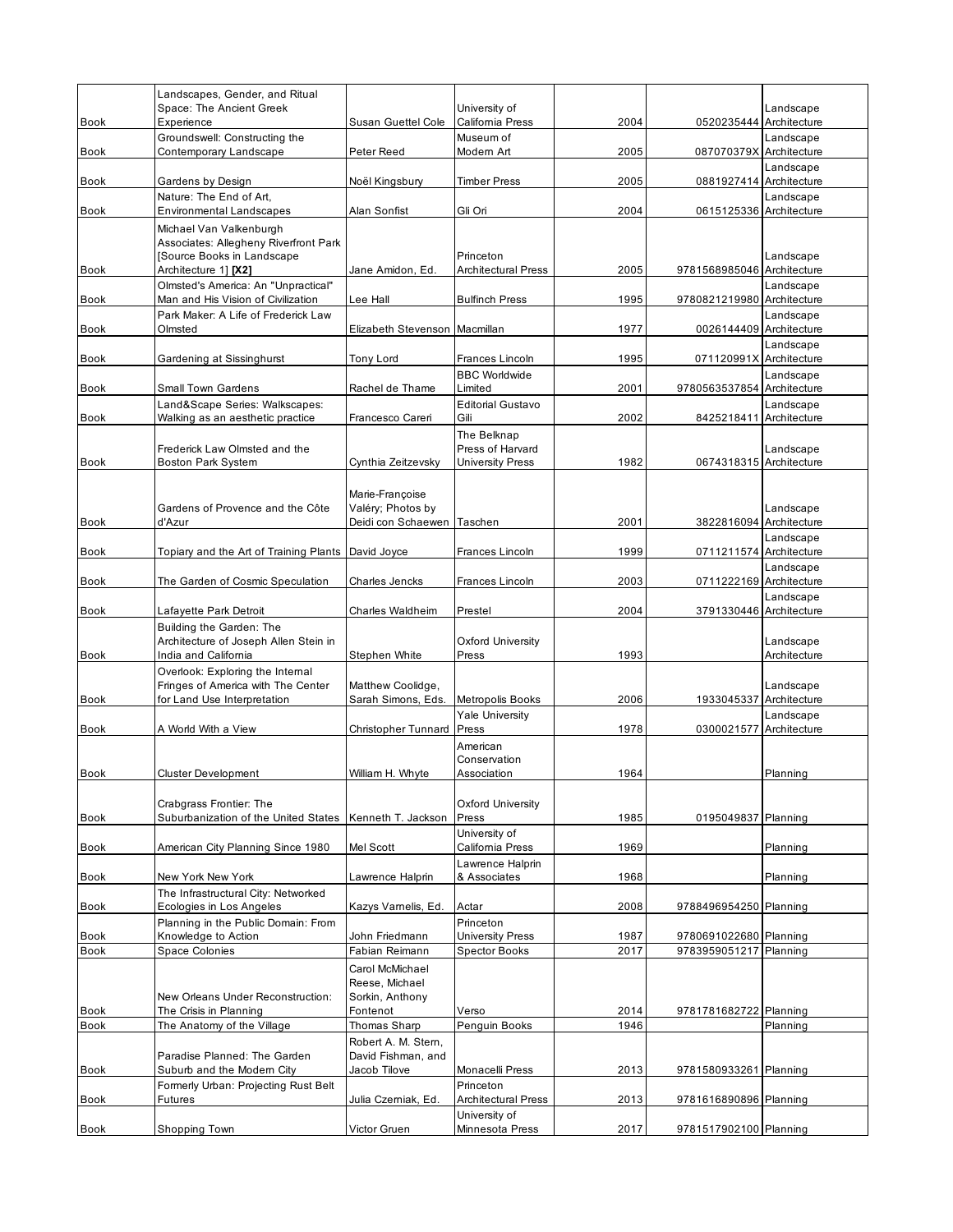| <b>Book</b>                | Landscapes, Gender, and Ritual<br>Space: The Ancient Greek<br>Experience                              | Susan Guettel Cole                                                                 | University of<br>California Press       | 2004         | 0520235444 Architecture                 | Landscape                 |
|----------------------------|-------------------------------------------------------------------------------------------------------|------------------------------------------------------------------------------------|-----------------------------------------|--------------|-----------------------------------------|---------------------------|
| <b>Book</b>                | Groundswell: Constructing the<br>Contemporary Landscape                                               | Peter Reed                                                                         | Museum of<br>Modern Art                 | 2005         | 087070379X Architecture                 | Landscape                 |
|                            |                                                                                                       |                                                                                    |                                         |              |                                         | Landscape                 |
| <b>Book</b>                | Gardens by Design<br>Nature: The End of Art,                                                          | Noël Kingsbury                                                                     | <b>Timber Press</b>                     | 2005         | 0881927414 Architecture                 | Landscape                 |
| <b>Book</b>                | Environmental Landscapes                                                                              | Alan Sonfist                                                                       | Gli Ori                                 | 2004         | 0615125336 Architecture                 |                           |
|                            | Michael Van Valkenburgh<br>Associates: Allegheny Riverfront Park<br>Source Books in Landscape         |                                                                                    | Princeton                               |              |                                         | Landscape                 |
| Book                       | Architecture 1] [X2]                                                                                  | Jane Amidon, Ed.                                                                   | <b>Architectural Press</b>              | 2005         | 9781568985046 Architecture              |                           |
| <b>Book</b>                | Olmsted's America: An "Unpractical"<br>Man and His Vision of Civilization                             | Lee Hall                                                                           | <b>Bulfinch Press</b>                   | 1995         | 9780821219980 Architecture              | Landscape                 |
| <b>Book</b>                | Park Maker: A Life of Frederick Law<br>Olmsted                                                        | Elizabeth Stevenson                                                                | Macmillan                               | 1977         | 0026144409 Architecture                 | Landscape                 |
| Book                       | Gardening at Sissinghurst                                                                             | Tony Lord                                                                          | <b>Frances Lincoln</b>                  | 1995         | 071120991X Architecture                 | Landscape                 |
|                            |                                                                                                       |                                                                                    | <b>BBC Worldwide</b><br>Limited         |              |                                         | Landscape                 |
| <b>Book</b>                | Small Town Gardens<br>Land&Scape Series: Walkscapes:                                                  | Rachel de Thame                                                                    | <b>Editorial Gustavo</b>                | 2001         | 9780563537854 Architecture              | Landscape                 |
| Book                       | Walking as an aesthetic practice                                                                      | Francesco Careri                                                                   | Gili                                    | 2002         | 8425218411 Architecture                 |                           |
|                            | Frederick Law Olmsted and the                                                                         |                                                                                    | The Belknap<br>Press of Harvard         |              |                                         | Landscape                 |
| <b>Book</b>                | <b>Boston Park System</b>                                                                             | Cynthia Zeitzevsky                                                                 | <b>University Press</b>                 | 1982         | 0674318315 Architecture                 |                           |
| <b>Book</b>                | Gardens of Provence and the Côte<br>d'Azur                                                            | Marie-Françoise<br>Valéry; Photos by<br>Deidi con Schaewen                         | Taschen                                 | 2001         | 3822816094 Architecture                 | Landscape                 |
| <b>Book</b>                | Topiary and the Art of Training Plants                                                                | David Joyce                                                                        | Frances Lincoln                         | 1999         | 0711211574 Architecture                 | Landscape                 |
|                            |                                                                                                       |                                                                                    |                                         |              |                                         | Landscape                 |
| <b>Book</b>                | The Garden of Cosmic Speculation                                                                      | Charles Jencks                                                                     | Frances Lincoln                         | 2003         | 0711222169 Architecture                 | Landscape                 |
| <b>Book</b>                | Lafayette Park Detroit                                                                                | Charles Waldheim                                                                   | Prestel                                 | 2004         | 3791330446 Architecture                 |                           |
| <b>Book</b>                | Building the Garden: The<br>Architecture of Joseph Allen Stein in<br>India and California             | Stephen White                                                                      | <b>Oxford University</b><br>Press       | 1993         |                                         | Landscape<br>Architecture |
| Book                       | Overlook: Exploring the Internal<br>Fringes of America with The Center<br>for Land Use Interpretation | Matthew Coolidge,<br>Sarah Simons, Eds.                                            | Metropolis Books                        | 2006         | 1933045337 Architecture                 | Landscape                 |
| <b>Book</b>                | A World With a View                                                                                   | <b>Christopher Tunnard</b>                                                         | <b>Yale University</b><br>Press         | 1978         | 0300021577                              | Landscape<br>Architecture |
|                            |                                                                                                       |                                                                                    | American<br>Conservation                |              |                                         |                           |
| <b>Book</b>                | <b>Cluster Development</b>                                                                            | William H. Whyte                                                                   | Association                             | 1964         |                                         | Planning                  |
|                            | Crabgrass Frontier: The                                                                               |                                                                                    | <b>Oxford University</b>                |              |                                         |                           |
| Book                       | Suburbanization of the United States   Kenneth T. Jackson                                             |                                                                                    | Press                                   | 1985         | 0195049837 Planning                     |                           |
| Book                       | American City Planning Since 1980                                                                     | Mel Scott                                                                          | University of<br>California Press       | 1969         |                                         | Planning                  |
| <b>Book</b>                | New York New York                                                                                     | Lawrence Halprin                                                                   | Lawrence Halprin<br>& Associates        | 1968         |                                         | Planning                  |
|                            | The Infrastructural City: Networked                                                                   |                                                                                    |                                         |              |                                         |                           |
| Book                       | Ecologies in Los Angeles<br>Planning in the Public Domain: From                                       | Kazys Vamelis, Ed.                                                                 | Actar<br>Princeton                      | 2008         | 9788496954250 Planning                  |                           |
| Book                       | Knowledge to Action                                                                                   | John Friedmann                                                                     | <b>University Press</b>                 | 1987         | 9780691022680 Planning                  |                           |
| <b>Book</b><br><b>Book</b> | Space Colonies<br>New Orleans Under Reconstruction:<br>The Crisis in Planning                         | Fabian Reimann<br>Carol McMichael<br>Reese, Michael<br>Sorkin, Anthony<br>Fontenot | <b>Spector Books</b><br>Verso           | 2017<br>2014 | 9783959051217<br>9781781682722 Planning | Planning                  |
| Book                       | The Anatomy of the Village                                                                            | Thomas Sharp                                                                       | Penguin Books                           | 1946         |                                         | Planning                  |
| Book                       | Paradise Planned: The Garden<br>Suburb and the Modern City                                            | Robert A. M. Stern,<br>David Fishman, and<br>Jacob Tilove                          | Monacelli Press                         | 2013         | 9781580933261 Planning                  |                           |
| <b>Book</b>                | Formerly Urban: Projecting Rust Belt<br>Futures                                                       | Julia Czerniak, Ed.                                                                | Princeton<br><b>Architectural Press</b> | 2013         | 9781616890896 Planning                  |                           |
| <b>Book</b>                | Shopping Town                                                                                         | Victor Gruen                                                                       | University of<br>Minnesota Press        | 2017         | 9781517902100 Planning                  |                           |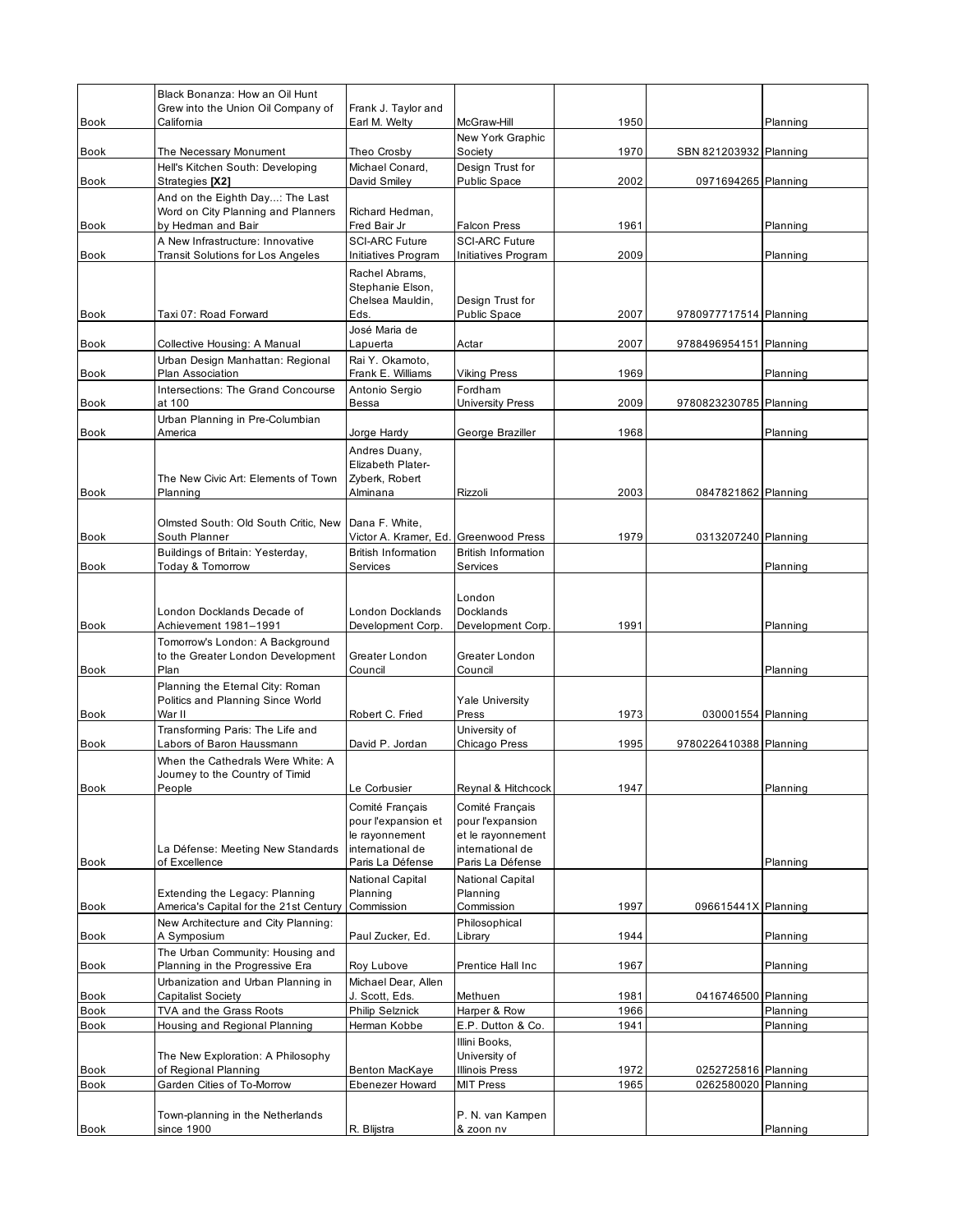|             | Black Bonanza: How an Oil Hunt                                                |                                                     |                                                      |      |                        |          |
|-------------|-------------------------------------------------------------------------------|-----------------------------------------------------|------------------------------------------------------|------|------------------------|----------|
| Book        | Grew into the Union Oil Company of<br>California                              | Frank J. Taylor and<br>Earl M. Welty                | McGraw-Hill                                          | 1950 |                        | Planning |
| Book        | The Necessary Monument                                                        | Theo Crosby                                         | New York Graphic<br>Society                          | 1970 | SBN 821203932 Planning |          |
|             | Hell's Kitchen South: Developing                                              | Michael Conard,                                     | Design Trust for                                     |      |                        |          |
| Book        | Strategies [X2]<br>And on the Eighth Day: The Last                            | David Smiley                                        | Public Space                                         | 2002 | 0971694265 Planning    |          |
|             | Word on City Planning and Planners                                            | Richard Hedman,                                     |                                                      |      |                        |          |
| Book        | by Hedman and Bair                                                            | Fred Bair Jr                                        | <b>Falcon Press</b>                                  | 1961 |                        | Planning |
| Book        | A New Infrastructure: Innovative<br><b>Transit Solutions for Los Angeles</b>  | <b>SCI-ARC Future</b><br>Initiatives Program        | <b>SCI-ARC Future</b><br>Initiatives Program         | 2009 |                        | Planning |
|             |                                                                               | Rachel Abrams,<br>Stephanie Elson,                  |                                                      |      |                        |          |
|             |                                                                               | Chelsea Mauldin,                                    | Design Trust for                                     |      |                        |          |
| <b>Book</b> | Taxi 07: Road Forward                                                         | Eds.<br>José Maria de                               | Public Space                                         | 2007 | 9780977717514 Planning |          |
| <b>Book</b> | Collective Housing: A Manual                                                  | Lapuerta                                            | Actar                                                | 2007 | 9788496954151 Planning |          |
| Book        | Urban Design Manhattan: Regional<br>Plan Association                          | Rai Y. Okamoto,<br>Frank E. Williams                | <b>Viking Press</b>                                  | 1969 |                        | Planning |
|             | Intersections: The Grand Concourse                                            | Antonio Sergio                                      | Fordham                                              |      |                        |          |
| <b>Book</b> | at 100                                                                        | Bessa                                               | <b>University Press</b>                              | 2009 | 9780823230785 Planning |          |
| <b>Book</b> | Urban Planning in Pre-Columbian<br>America                                    | Jorge Hardy                                         | George Braziller                                     | 1968 |                        | Planning |
|             |                                                                               | Andres Duany,<br>Elizabeth Plater-                  |                                                      |      |                        |          |
| <b>Book</b> | The New Civic Art: Elements of Town<br>Planning                               | Zyberk, Robert<br>Alminana                          | Rizzoli                                              | 2003 | 0847821862 Planning    |          |
|             |                                                                               |                                                     |                                                      |      |                        |          |
|             | Olmsted South: Old South Critic, New<br>South Planner                         | Dana F. White,                                      |                                                      | 1979 |                        |          |
| <b>Book</b> | Buildings of Britain: Yesterday,                                              | Victor A. Kramer, Ed.<br><b>British Information</b> | <b>Greenwood Press</b><br><b>British Information</b> |      | 0313207240 Planning    |          |
| <b>Book</b> | Today & Tomorrow                                                              | Services                                            | Services                                             |      |                        | Planning |
|             |                                                                               |                                                     |                                                      |      |                        |          |
|             | London Docklands Decade of                                                    | London Docklands                                    | London<br>Docklands                                  |      |                        |          |
| <b>Book</b> | Achievement 1981–1991                                                         | Development Corp.                                   | Development Corp.                                    | 1991 |                        | Planning |
|             | Tomorrow's London: A Background                                               |                                                     |                                                      |      |                        |          |
| Book        | to the Greater London Development<br>Plan                                     | Greater London<br>Council                           | Greater London<br>Council                            |      |                        | Planning |
|             | Planning the Eternal City: Roman                                              |                                                     |                                                      |      |                        |          |
|             | Politics and Planning Since World                                             |                                                     | <b>Yale University</b>                               |      |                        |          |
| <b>Book</b> | War II                                                                        | Robert C. Fried                                     | Press                                                | 1973 | 030001554 Planning     |          |
| <b>Book</b> | Transforming Paris: The Life and<br>Labors of Baron Haussmann                 | David P. Jordan                                     | University of<br>Chicago Press                       | 1995 | 9780226410388 Planning |          |
|             | When the Cathedrals Were White: A                                             |                                                     |                                                      |      |                        |          |
|             | Journey to the Country of Timid                                               |                                                     |                                                      |      |                        |          |
| Book        | People                                                                        | Le Corbusier                                        | Reynal & Hitchcock                                   | 1947 |                        | Planning |
|             |                                                                               | Comité Français<br>pour l'expansion et              | Comité Français<br>pour l'expansion                  |      |                        |          |
|             |                                                                               | le rayonnement                                      | et le rayonnement                                    |      |                        |          |
| Book        | La Défense: Meeting New Standards<br>of Excellence                            | international de<br>Paris La Défense                | international de<br>Paris La Défense                 |      |                        | Planning |
|             |                                                                               | National Capital                                    | National Capital                                     |      |                        |          |
|             | Extending the Legacy: Planning                                                | Planning                                            | Planning                                             |      |                        |          |
| Book        | America's Capital for the 21st Century<br>New Architecture and City Planning: | Commission                                          | Commission<br>Philosophical                          | 1997 | 096615441X Planning    |          |
| Book        | A Symposium                                                                   | Paul Zucker, Ed.                                    | Library                                              | 1944 |                        | Planning |
| <b>Book</b> | The Urban Community: Housing and<br>Planning in the Progressive Era           | Roy Lubove                                          | Prentice Hall Inc                                    | 1967 |                        | Planning |
|             | Urbanization and Urban Planning in                                            | Michael Dear, Allen                                 |                                                      |      |                        |          |
| Book        | Capitalist Society                                                            | J. Scott, Eds.                                      | Methuen                                              | 1981 | 0416746500 Planning    |          |
| Book        | TVA and the Grass Roots                                                       | <b>Philip Selznick</b>                              | Harper & Row                                         | 1966 |                        | Planning |
| Book        | Housing and Regional Planning                                                 | Herman Kobbe                                        | E.P. Dutton & Co.<br>Illini Books,                   | 1941 |                        | Planning |
|             | The New Exploration: A Philosophy                                             |                                                     | University of                                        |      |                        |          |
| Book        | of Regional Planning                                                          | <b>Benton MacKaye</b>                               | <b>Illinois Press</b>                                | 1972 | 0252725816 Planning    |          |
| Book        | Garden Cities of To-Morrow                                                    | <b>Ebenezer Howard</b>                              | <b>MIT Press</b>                                     | 1965 | 0262580020 Planning    |          |
|             | Town-planning in the Netherlands                                              |                                                     | P. N. van Kampen                                     |      |                        |          |
| Book        | since 1900                                                                    | R. Blijstra                                         | & zoon nv                                            |      |                        | Planning |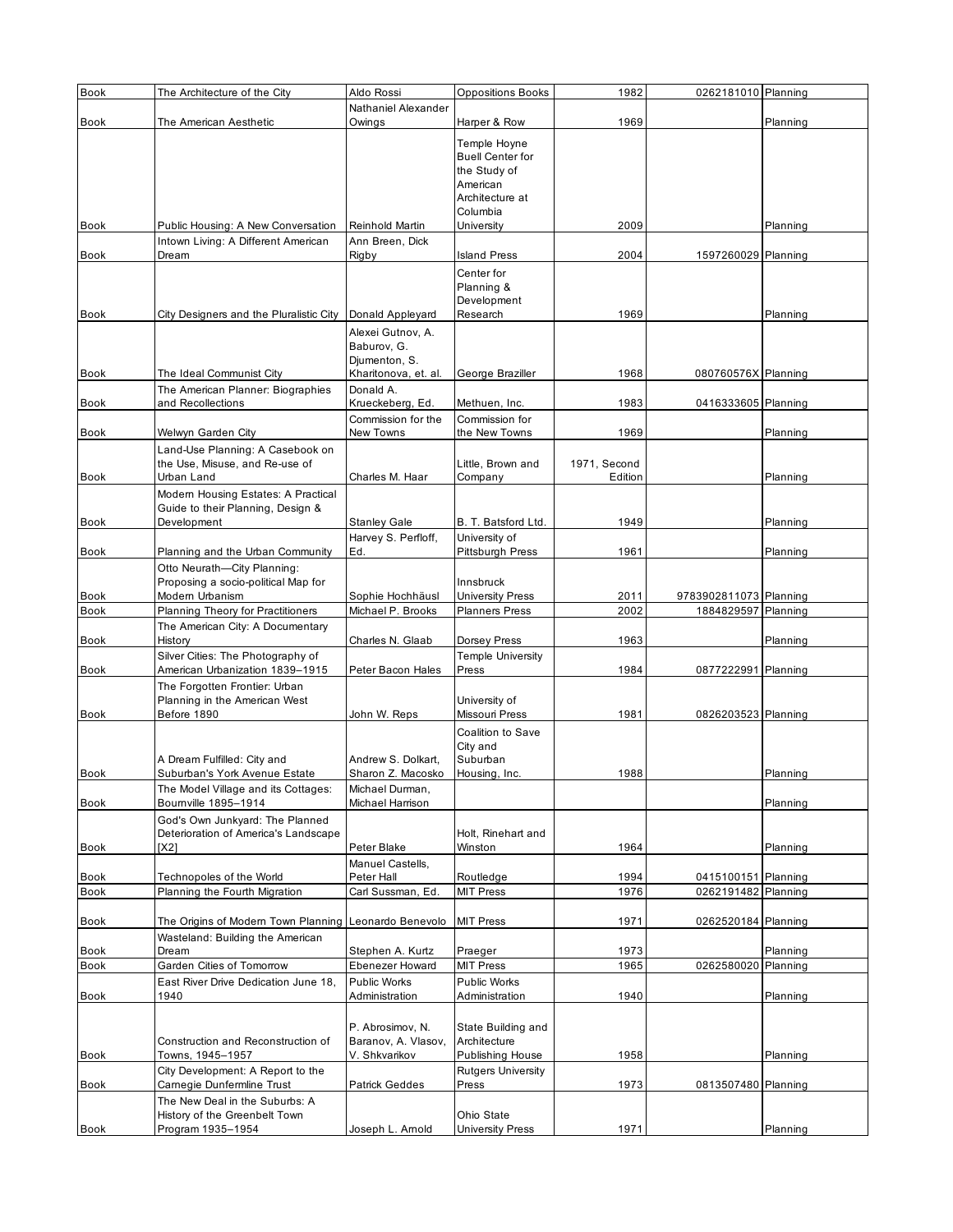| <b>Book</b>  | The Architecture of the City                                             | Aldo Rossi           | <b>Oppositions Books</b>        | 1982                    | 0262181010 Planning    |          |
|--------------|--------------------------------------------------------------------------|----------------------|---------------------------------|-------------------------|------------------------|----------|
|              |                                                                          | Nathaniel Alexander  |                                 |                         |                        |          |
| <b>Book</b>  | The American Aesthetic                                                   | Owings               | Harper & Row                    | 1969                    |                        | Planning |
|              |                                                                          |                      | Temple Hoyne                    |                         |                        |          |
|              |                                                                          |                      | <b>Buell Center for</b>         |                         |                        |          |
|              |                                                                          |                      | the Study of                    |                         |                        |          |
|              |                                                                          |                      | American                        |                         |                        |          |
|              |                                                                          |                      | Architecture at                 |                         |                        |          |
| <b>Book</b>  | Public Housing: A New Conversation                                       | Reinhold Martin      | Columbia<br>University          | 2009                    |                        | Planning |
|              | Intown Living: A Different American                                      | Ann Breen, Dick      |                                 |                         |                        |          |
| Book         | Dream                                                                    | Rigby                | <b>Island Press</b>             | 2004                    | 1597260029 Planning    |          |
|              |                                                                          |                      | Center for                      |                         |                        |          |
|              |                                                                          |                      | Planning &                      |                         |                        |          |
|              |                                                                          |                      | Development                     |                         |                        |          |
| <b>Book</b>  | City Designers and the Pluralistic City                                  | Donald Appleyard     | Research                        | 1969                    |                        | Planning |
|              |                                                                          | Alexei Gutnov, A.    |                                 |                         |                        |          |
|              |                                                                          | Baburov, G.          |                                 |                         |                        |          |
|              |                                                                          | Djumenton, S.        |                                 |                         |                        |          |
| <b>Book</b>  | The Ideal Communist City                                                 | Kharitonova, et. al. | George Braziller                | 1968                    | 080760576X Planning    |          |
|              | The American Planner: Biographies                                        | Donald A.            |                                 |                         |                        |          |
| Book         | and Recollections                                                        | Krueckeberg, Ed.     | Methuen, Inc.                   | 1983                    | 0416333605 Planning    |          |
|              |                                                                          | Commission for the   | Commission for                  |                         |                        |          |
| Book         | Welwyn Garden City                                                       | New Towns            | the New Towns                   | 1969                    |                        | Planning |
|              | Land-Use Planning: A Casebook on<br>the Use, Misuse, and Re-use of       |                      |                                 |                         |                        |          |
| <b>Book</b>  | Urban Land                                                               | Charles M. Haar      | Little, Brown and<br>Company    | 1971, Second<br>Edition |                        | Planning |
|              |                                                                          |                      |                                 |                         |                        |          |
|              | Modern Housing Estates: A Practical<br>Guide to their Planning, Design & |                      |                                 |                         |                        |          |
| <b>Book</b>  | Development                                                              | <b>Stanley Gale</b>  | B. T. Batsford Ltd.             | 1949                    |                        | Planning |
|              |                                                                          | Harvey S. Perfloff,  | University of                   |                         |                        |          |
| Book         | Planning and the Urban Community                                         | Ed.                  | Pittsburgh Press                | 1961                    |                        | Planning |
|              | Otto Neurath-City Planning:                                              |                      |                                 |                         |                        |          |
|              | Proposing a socio-political Map for                                      |                      | Innsbruck                       |                         |                        |          |
| Book         | Modern Urbanism                                                          | Sophie Hochhäusl     | <b>University Press</b>         | 2011                    | 9783902811073 Planning |          |
| <b>Book</b>  | Planning Theory for Practitioners                                        | Michael P. Brooks    | <b>Planners Press</b>           | 2002                    | 1884829597 Planning    |          |
|              | The American City: A Documentary                                         |                      |                                 |                         |                        |          |
| Book         | History                                                                  | Charles N. Glaab     | Dorsey Press                    | 1963                    |                        | Planning |
|              | Silver Cities: The Photography of                                        |                      | <b>Temple University</b>        |                         |                        |          |
| Book         | American Urbanization 1839-1915                                          | Peter Bacon Hales    | Press                           | 1984                    | 0877222991 Planning    |          |
|              | The Forgotten Frontier: Urban                                            |                      |                                 |                         |                        |          |
| <b>Book</b>  | Planning in the American West<br>Before 1890                             |                      | University of<br>Missouri Press | 1981                    |                        |          |
|              |                                                                          | John W. Reps         |                                 |                         | 0826203523 Planning    |          |
|              |                                                                          |                      | Coalition to Save               |                         |                        |          |
|              | A Dream Fulfilled: City and                                              | Andrew S. Dolkart,   | City and<br>Suburban            |                         |                        |          |
| <b>Book</b>  | Suburban's York Avenue Estate                                            | Sharon Z. Macosko    | Housing, Inc.                   | 1988                    |                        | Planning |
|              | The Model Village and its Cottages:                                      | Michael Durman,      |                                 |                         |                        |          |
| Book         | Bournville 1895-1914                                                     | Michael Harrison     |                                 |                         |                        | Planning |
|              | God's Own Junkyard: The Planned                                          |                      |                                 |                         |                        |          |
|              | Deterioration of America's Landscape                                     |                      | Holt, Rinehart and              |                         |                        |          |
| Book         | [X2]                                                                     | Peter Blake          | Winston                         | 1964                    |                        | Planning |
|              |                                                                          | Manuel Castells,     |                                 |                         |                        |          |
| Book         | Technopoles of the World                                                 | Peter Hall           | Routledge                       | 1994                    | 0415100151 Planning    |          |
| <b>Book</b>  | Planning the Fourth Migration                                            | Carl Sussman, Ed.    | <b>MIT Press</b>                | 1976                    | 0262191482 Planning    |          |
|              |                                                                          |                      |                                 |                         |                        |          |
| Book         | The Origins of Modern Town Planning Leonardo Benevolo                    |                      | <b>MIT Press</b>                | 1971                    | 0262520184 Planning    |          |
|              | Wasteland: Building the American<br>Dream                                | Stephen A. Kurtz     | Praeger                         | 1973                    |                        | Planning |
| Book<br>Book | Garden Cities of Tomorrow                                                | Ebenezer Howard      | <b>MIT Press</b>                | 1965                    | 0262580020             | Planning |
|              | East River Drive Dedication June 18.                                     | Public Works         | Public Works                    |                         |                        |          |
| Book         | 1940                                                                     | Administration       | Administration                  | 1940                    |                        | Planning |
|              |                                                                          |                      |                                 |                         |                        |          |
|              |                                                                          | P. Abrosimov, N.     | State Building and              |                         |                        |          |
|              | Construction and Reconstruction of                                       | Baranov, A. Vlasov,  | Architecture                    |                         |                        |          |
| <b>Book</b>  | Towns, 1945-1957                                                         | V. Shkvarikov        | Publishing House                | 1958                    |                        | Planning |
|              | City Development: A Report to the                                        |                      | <b>Rutgers University</b>       |                         |                        |          |
| Book         | Camegie Dunfermline Trust                                                | Patrick Geddes       | Press                           | 1973                    | 0813507480 Planning    |          |
|              | The New Deal in the Suburbs: A                                           |                      |                                 |                         |                        |          |
|              | History of the Greenbelt Town                                            |                      | Ohio State                      |                         |                        |          |
| <b>Book</b>  | Program 1935-1954                                                        | Joseph L. Arnold     | <b>University Press</b>         | 1971                    |                        | Planning |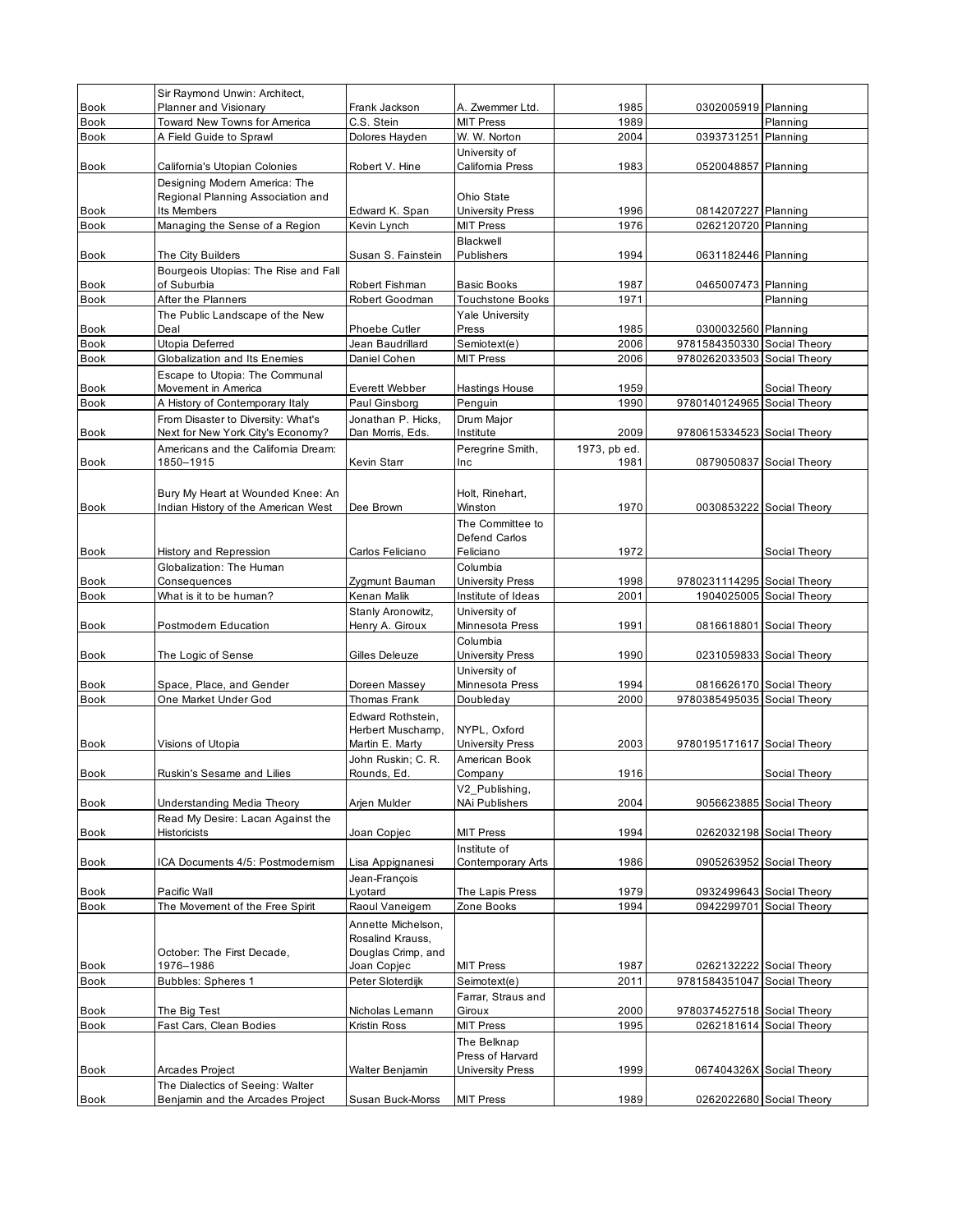|                            | Sir Raymond Unwin: Architect,                                                     |                                                              |                                                                         |              |                             |                                                      |
|----------------------------|-----------------------------------------------------------------------------------|--------------------------------------------------------------|-------------------------------------------------------------------------|--------------|-----------------------------|------------------------------------------------------|
| <b>Book</b>                | Planner and Visionary                                                             | Frank Jackson                                                | A. Zwemmer Ltd.                                                         | 1985         | 0302005919 Planning         |                                                      |
| <b>Book</b>                | Toward New Towns for America                                                      | C.S. Stein                                                   | <b>MIT Press</b>                                                        | 1989         |                             | Planning                                             |
| <b>Book</b>                | A Field Guide to Sprawl                                                           | Dolores Hayden                                               | W. W. Norton                                                            | 2004         | 0393731251                  | Planning                                             |
| <b>Book</b>                | California's Utopian Colonies                                                     | Robert V. Hine                                               | University of<br>California Press                                       | 1983         | 0520048857 Planning         |                                                      |
| Book                       | Designing Modern America: The<br>Regional Planning Association and<br>Its Members | Edward K. Span                                               | Ohio State<br><b>University Press</b>                                   | 1996         | 0814207227 Planning         |                                                      |
| <b>Book</b>                | Managing the Sense of a Region                                                    | Kevin Lynch                                                  | <b>MIT Press</b>                                                        | 1976         | 0262120720 Planning         |                                                      |
| Book                       | The City Builders                                                                 | Susan S. Fainstein                                           | Blackwell<br>Publishers                                                 | 1994         | 0631182446 Planning         |                                                      |
|                            | Bourgeois Utopias: The Rise and Fall                                              |                                                              |                                                                         |              |                             |                                                      |
| <b>Book</b><br><b>Book</b> | of Suburbia<br>After the Planners                                                 | Robert Fishman<br>Robert Goodman                             | <b>Basic Books</b><br><b>Touchstone Books</b>                           | 1987<br>1971 | 0465007473 Planning         | Planning                                             |
|                            | The Public Landscape of the New                                                   |                                                              | <b>Yale University</b>                                                  |              |                             |                                                      |
| <b>Book</b>                | Deal                                                                              | Phoebe Cutler                                                | Press                                                                   | 1985         | 0300032560 Planning         |                                                      |
| Book                       | Utopia Deferred                                                                   | Jean Baudrillard                                             | Semiotext(e)                                                            | 2006         | 9781584350330 Social Theory |                                                      |
| Book                       | <b>Globalization and Its Enemies</b>                                              | Daniel Cohen                                                 | <b>MIT Press</b>                                                        | 2006         | 9780262033503 Social Theory |                                                      |
|                            | Escape to Utopia: The Communal                                                    |                                                              |                                                                         |              |                             |                                                      |
| Book                       | Movement in America                                                               | Everett Webber                                               | <b>Hastings House</b>                                                   | 1959         |                             | Social Theory                                        |
| <b>Book</b>                | A History of Contemporary Italy                                                   | Paul Ginsborg                                                | Penguin                                                                 | 1990         | 9780140124965 Social Theory |                                                      |
| Book                       | From Disaster to Diversity: What's<br>Next for New York City's Economy?           | Jonathan P. Hicks,<br>Dan Morris, Eds.                       | Drum Major<br>Institute                                                 | 2009         | 9780615334523 Social Theory |                                                      |
|                            | Americans and the California Dream:                                               |                                                              | Peregrine Smith,                                                        | 1973, pb ed. |                             |                                                      |
| <b>Book</b>                | 1850-1915                                                                         | Kevin Starr                                                  | Inc                                                                     | 1981         |                             | 0879050837 Social Theory                             |
| Book                       | Bury My Heart at Wounded Knee: An<br>Indian History of the American West          | Dee Brown                                                    | Holt, Rinehart,<br>Winston                                              | 1970         |                             | 0030853222 Social Theory                             |
| Book                       | History and Repression                                                            | Carlos Feliciano                                             | The Committee to<br>Defend Carlos<br>Feliciano                          | 1972         |                             | Social Theory                                        |
|                            | Globalization: The Human                                                          |                                                              | Columbia                                                                |              |                             |                                                      |
| <b>Book</b>                | Consequences                                                                      | Zygmunt Bauman                                               | <b>University Press</b>                                                 | 1998         | 9780231114295 Social Theory |                                                      |
| <b>Book</b>                | What is it to be human?                                                           | Kenan Malik                                                  | Institute of Ideas<br>University of                                     | 2001         |                             | 1904025005 Social Theory                             |
| <b>Book</b>                | Postmodern Education                                                              | Stanly Aronowitz,<br>Henry A. Giroux                         | Minnesota Press                                                         | 1991         |                             | 0816618801 Social Theory                             |
| <b>Book</b>                | The Logic of Sense                                                                | Gilles Deleuze                                               | Columbia<br><b>University Press</b>                                     | 1990         |                             | 0231059833 Social Theory                             |
| Book                       | Space, Place, and Gender                                                          | Doreen Massey                                                | University of<br>Minnesota Press                                        | 1994         |                             | 0816626170 Social Theory                             |
| <b>Book</b>                | One Market Under God                                                              | Thomas Frank                                                 | Doubleday                                                               | 2000         | 9780385495035 Social Theory |                                                      |
| Book                       | Visions of Utopia                                                                 | Edward Rothstein,<br>Herbert Muschamp,<br>Martin E. Marty    | NYPL, Oxford<br><b>University Press</b>                                 | 2003         | 9780195171617 Social Theory |                                                      |
|                            |                                                                                   | John Ruskin; C. R.                                           | American Book                                                           |              |                             |                                                      |
| <b>Book</b>                | Ruskin's Sesame and Lilies                                                        | Rounds, Ed.                                                  | Company<br>V2 Publishing,                                               | 1916         |                             | Social Theory                                        |
| <b>Book</b>                | Understanding Media Theory                                                        | Arjen Mulder                                                 | NAi Publishers                                                          | 2004         |                             | 9056623885 Social Theory                             |
| <b>Book</b>                | Read My Desire: Lacan Against the<br><b>Historicists</b>                          | Joan Copjec                                                  | <b>MIT Press</b>                                                        | 1994         |                             | 0262032198 Social Theory                             |
|                            |                                                                                   |                                                              | Institute of                                                            |              |                             |                                                      |
| Book                       | ICA Documents 4/5: Postmodernism                                                  | Lisa Appignanesi                                             | Contemporary Arts                                                       | 1986         |                             | 0905263952 Social Theory                             |
| Book                       | Pacific Wall                                                                      | Jean-François<br>Lyotard                                     | The Lapis Press                                                         | 1979         |                             | 0932499643 Social Theory                             |
| <b>Book</b>                | The Movement of the Free Spirit                                                   | Raoul Vaneigem                                               | Zone Books                                                              | 1994         | 0942299701                  | Social Theory                                        |
|                            | October: The First Decade,                                                        | Annette Michelson,<br>Rosalind Krauss,<br>Douglas Crimp, and |                                                                         |              |                             |                                                      |
| Book                       | 1976-1986                                                                         | Joan Copjec                                                  | <b>MIT Press</b>                                                        | 1987         |                             | 0262132222 Social Theory                             |
| Book                       | <b>Bubbles: Spheres 1</b>                                                         | Peter Sloterdijk                                             | Seimotext(e)                                                            | 2011         | 9781584351047 Social Theory |                                                      |
|                            |                                                                                   |                                                              | Farrar, Straus and                                                      |              |                             |                                                      |
| Book                       | The Big Test                                                                      | Nicholas Lemann                                              | Giroux                                                                  | 2000         | 9780374527518 Social Theory |                                                      |
| Book<br>Book               | Fast Cars, Clean Bodies<br>Arcades Project                                        | Kristin Ross<br>Walter Benjamin                              | <b>MIT Press</b><br>The Belknap<br>Press of Harvard<br>University Press | 1995<br>1999 |                             | 0262181614 Social Theory<br>067404326X Social Theory |
|                            | The Dialectics of Seeing: Walter                                                  |                                                              |                                                                         |              |                             |                                                      |
| Book                       | Benjamin and the Arcades Project                                                  | Susan Buck-Morss                                             | <b>MIT Press</b>                                                        | 1989         |                             | 0262022680 Social Theory                             |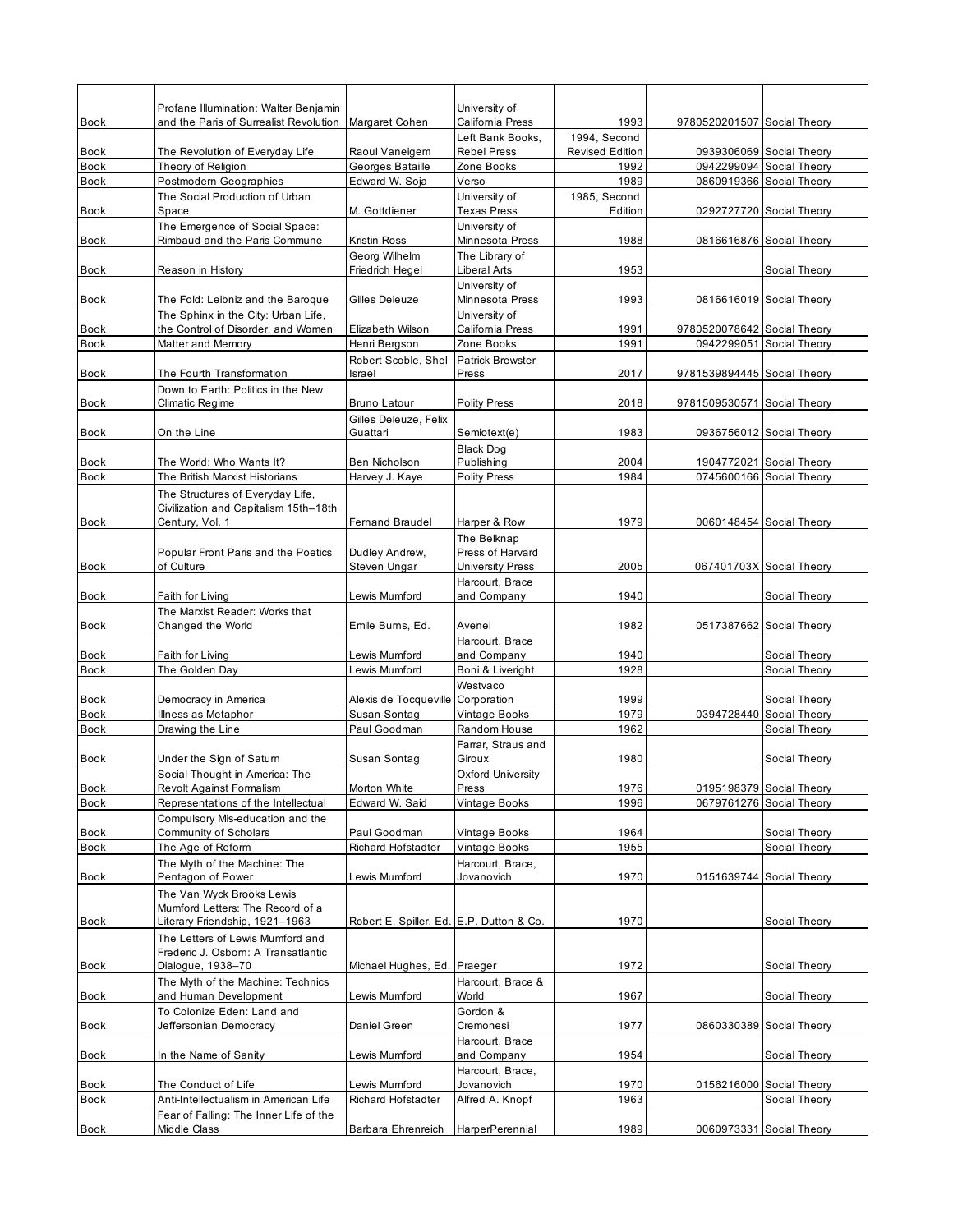| <b>Book</b>         | Profane Illumination: Walter Benjamin<br>and the Paris of Surrealist Revolution | Margaret Cohen                           | University of<br>California Press      | 1993                                   | 9780520201507 Social Theory |                                           |
|---------------------|---------------------------------------------------------------------------------|------------------------------------------|----------------------------------------|----------------------------------------|-----------------------------|-------------------------------------------|
| <b>Book</b>         | The Revolution of Everyday Life                                                 | Raoul Vaneigem                           | Left Bank Books,<br><b>Rebel Press</b> | 1994, Second<br><b>Revised Edition</b> |                             | 0939306069 Social Theory                  |
| <b>Book</b>         | Theory of Religion                                                              | Georges Bataille                         | Zone Books                             | 1992                                   |                             | 0942299094 Social Theory                  |
| Book                | Postmodern Geographies                                                          | Edward W. Soja                           | Verso                                  | 1989                                   |                             | 0860919366 Social Theory                  |
| <b>Book</b>         | The Social Production of Urban<br>Space                                         | M. Gottdiener                            | University of<br><b>Texas Press</b>    | 1985, Second<br>Edition                |                             | 0292727720 Social Theory                  |
| Book                | The Emergence of Social Space:<br>Rimbaud and the Paris Commune                 | Kristin Ross                             | University of<br>Minnesota Press       | 1988                                   |                             | 0816616876 Social Theory                  |
|                     |                                                                                 | Georg Wilhelm                            | The Library of                         |                                        |                             |                                           |
| Book                | Reason in History                                                               | Friedrich Hegel                          | Liberal Arts                           | 1953                                   |                             | Social Theory                             |
| Book                | The Fold: Leibniz and the Baroque                                               | Gilles Deleuze                           | University of<br>Minnesota Press       | 1993                                   |                             | 0816616019 Social Theory                  |
| <b>Book</b>         | The Sphinx in the City: Urban Life,<br>the Control of Disorder, and Women       | Elizabeth Wilson                         | University of<br>California Press      | 1991                                   | 9780520078642 Social Theory |                                           |
| Book                | Matter and Memory                                                               | Henri Bergson                            | Zone Books                             | 1991                                   |                             | 0942299051 Social Theory                  |
|                     |                                                                                 | Robert Scoble, Shel                      | <b>Patrick Brewster</b>                |                                        |                             |                                           |
| Book                | The Fourth Transformation<br>Down to Earth: Politics in the New                 | Israel                                   | Press                                  | 2017                                   | 9781539894445 Social Theory |                                           |
| <b>Book</b>         | Climatic Regime                                                                 | <b>Bruno Latour</b>                      | Polity Press                           | 2018                                   | 9781509530571 Social Theory |                                           |
|                     |                                                                                 | Gilles Deleuze, Felix                    |                                        |                                        |                             |                                           |
| Book                | On the Line                                                                     | Guattari                                 | Semiotext(e)<br><b>Black Dog</b>       | 1983                                   |                             | 0936756012 Social Theory                  |
| <b>Book</b>         | The World: Who Wants It?                                                        | Ben Nicholson                            | Publishing                             | 2004                                   | 1904772021                  | Social Theory                             |
| Book                | The British Marxist Historians                                                  | Harvey J. Kaye                           | <b>Polity Press</b>                    | 1984                                   |                             | 0745600166 Social Theory                  |
|                     | The Structures of Everyday Life,                                                |                                          |                                        |                                        |                             |                                           |
| Book                | Civilization and Capitalism 15th-18th<br>Century, Vol. 1                        | <b>Femand Braudel</b>                    | Harper & Row                           | 1979                                   |                             | 0060148454 Social Theory                  |
|                     |                                                                                 |                                          | The Belknap                            |                                        |                             |                                           |
|                     | Popular Front Paris and the Poetics                                             | Dudley Andrew,                           | Press of Harvard                       |                                        |                             |                                           |
| <b>Book</b>         | of Culture                                                                      | Steven Ungar                             | <b>University Press</b>                | 2005                                   |                             | 067401703X Social Theory                  |
| Book                | Faith for Living                                                                | Lewis Mumford                            | Harcourt, Brace<br>and Company         | 1940                                   |                             | Social Theory                             |
|                     | The Marxist Reader: Works that                                                  |                                          |                                        |                                        |                             |                                           |
| <b>Book</b>         | Changed the World                                                               | Emile Bums, Ed.                          | Avenel<br>Harcourt, Brace              | 1982                                   |                             | 0517387662 Social Theory                  |
| <b>Book</b>         | Faith for Living                                                                | Lewis Mumford                            | and Company                            | 1940                                   |                             | Social Theory                             |
| <b>Book</b>         | The Golden Day                                                                  | Lewis Mumford                            | Boni & Liveright                       | 1928                                   |                             | Social Theory                             |
|                     |                                                                                 |                                          | Westvaco                               |                                        |                             |                                           |
| Book<br><b>Book</b> | Democracy in America<br>Illness as Metaphor                                     | Alexis de Tocqueville<br>Susan Sontag    | Corporation<br>Vintage Books           | 1999<br>1979                           | 0394728440                  | Social Theory<br>Social Theory            |
| <b>Book</b>         | Drawing the Line                                                                | Paul Goodman                             | Random House                           | 1962                                   |                             | Social Theory                             |
|                     |                                                                                 |                                          | Farrar, Straus and                     |                                        |                             |                                           |
| <b>Book</b>         | Under the Sign of Satum                                                         | Susan Sontag                             | Giroux                                 | 1980                                   |                             | Social Theory                             |
| Book                | Social Thought in America: The<br>Revolt Against Formalism                      | Morton White                             | Oxford University<br>Press             | 1976                                   |                             | 0195198379 Social Theory                  |
| <b>Book</b>         | Representations of the Intellectual                                             | Edward W. Said                           | Vintage Books                          | 1996                                   |                             | 0679761276 Social Theory                  |
|                     | Compulsory Mis-education and the                                                |                                          |                                        |                                        |                             |                                           |
| <b>Book</b><br>Book | Community of Scholars<br>The Age of Reform                                      | Paul Goodman<br>Richard Hofstadter       | Vintage Books<br>Vintage Books         | 1964<br>1955                           |                             | Social Theory<br>Social Theory            |
|                     | The Myth of the Machine: The                                                    |                                          | Harcourt, Brace,                       |                                        |                             |                                           |
| Book                | Pentagon of Power                                                               | Lewis Mumford                            | Jovanovich                             | 1970                                   |                             | 0151639744 Social Theory                  |
|                     | The Van Wyck Brooks Lewis                                                       |                                          |                                        |                                        |                             |                                           |
| Book                | Mumford Letters: The Record of a<br>Literary Friendship, 1921-1963              | Robert E. Spiller, Ed. E.P. Dutton & Co. |                                        | 1970                                   |                             | Social Theory                             |
|                     | The Letters of Lewis Mumford and                                                |                                          |                                        |                                        |                             |                                           |
|                     | Frederic J. Osborn: A Transatlantic                                             |                                          |                                        |                                        |                             |                                           |
| Book                | Dialogue, 1938-70                                                               | Michael Hughes, Ed.                      | Praeger                                | 1972                                   |                             | Social Theory                             |
| Book                | The Myth of the Machine: Technics<br>and Human Development                      | Lewis Mumford                            | Harcourt, Brace &<br>World             | 1967                                   |                             | Social Theory                             |
|                     | To Colonize Eden: Land and                                                      |                                          | Gordon &                               |                                        |                             |                                           |
| <b>Book</b>         | Jeffersonian Democracy                                                          | Daniel Green                             | Cremonesi<br>Harcourt, Brace           | 1977                                   |                             | 0860330389 Social Theory                  |
| Book                | In the Name of Sanity                                                           | Lewis Mumford                            | and Company                            | 1954                                   |                             | Social Theory                             |
|                     |                                                                                 |                                          | Harcourt, Brace,                       |                                        |                             |                                           |
| Book<br><b>Book</b> | The Conduct of Life<br>Anti-Intellectualism in American Life                    | Lewis Mumford<br>Richard Hofstadter      | Jovanovich<br>Alfred A. Knopf          | 1970<br>1963                           |                             | 0156216000 Social Theory<br>Social Theory |
|                     | Fear of Falling: The Inner Life of the                                          |                                          |                                        |                                        |                             |                                           |
| Book                | Middle Class                                                                    | Barbara Ehrenreich                       | HarperPerennial                        | 1989                                   |                             | 0060973331 Social Theory                  |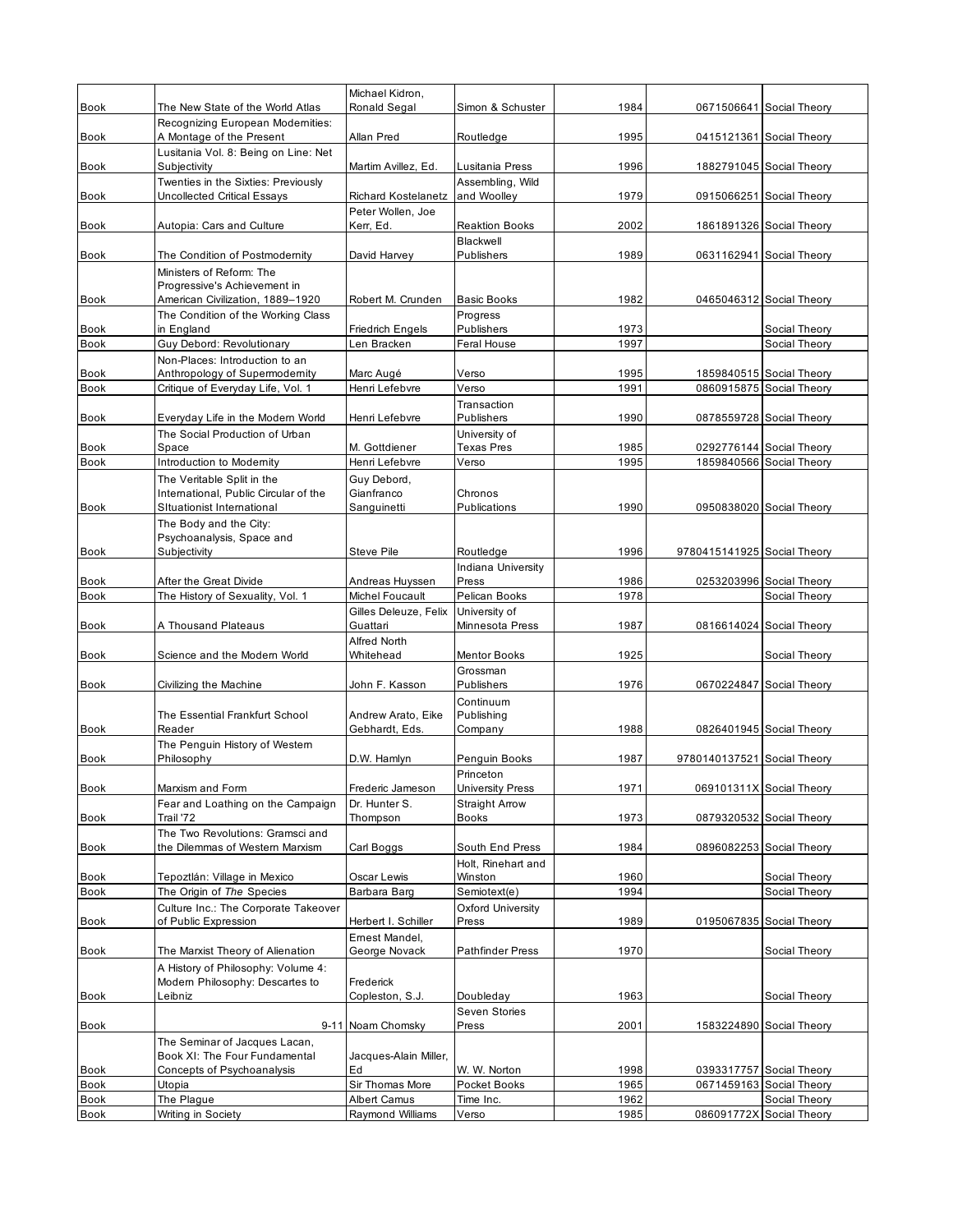|                            |                                                                       | Michael Kidron,                      |                                       |              |                             |                                                      |
|----------------------------|-----------------------------------------------------------------------|--------------------------------------|---------------------------------------|--------------|-----------------------------|------------------------------------------------------|
| <b>Book</b>                | The New State of the World Atlas                                      | <b>Ronald Segal</b>                  | Simon & Schuster                      | 1984         |                             | 0671506641 Social Theory                             |
| Book                       | Recognizing European Modernities:<br>A Montage of the Present         | Allan Pred                           | Routledge                             | 1995         |                             | 0415121361 Social Theory                             |
|                            | Lusitania Vol. 8: Being on Line: Net                                  |                                      |                                       |              |                             |                                                      |
| Book                       | Subjectivity                                                          | Martim Avillez, Ed.                  | Lusitania Press                       | 1996         |                             | 1882791045 Social Theory                             |
|                            | Twenties in the Sixties: Previously                                   |                                      | Assembling, Wild                      |              |                             |                                                      |
| Book                       | Uncollected Critical Essays                                           | <b>Richard Kostelanetz</b>           | and Woolley                           | 1979         |                             | 0915066251 Social Theory                             |
| <b>Book</b>                | Autopia: Cars and Culture                                             | Peter Wollen, Joe<br>Kerr, Ed.       | <b>Reaktion Books</b>                 | 2002         |                             | 1861891326 Social Theory                             |
|                            |                                                                       |                                      | Blackwell                             |              |                             |                                                      |
| <b>Book</b>                | The Condition of Postmodernity                                        | David Harvey                         | Publishers                            | 1989         |                             | 0631162941 Social Theory                             |
|                            | Ministers of Reform: The                                              |                                      |                                       |              |                             |                                                      |
| <b>Book</b>                | Progressive's Achievement in<br>American Civilization, 1889-1920      | Robert M. Crunden                    | <b>Basic Books</b>                    | 1982         |                             | 0465046312 Social Theory                             |
|                            | The Condition of the Working Class                                    |                                      | Progress                              |              |                             |                                                      |
| <b>Book</b>                | in England                                                            | <b>Friedrich Engels</b>              | Publishers                            | 1973         |                             | Social Theory                                        |
| <b>Book</b>                | Guy Debord: Revolutionary                                             | Len Bracken                          | Feral House                           | 1997         |                             | Social Theory                                        |
|                            | Non-Places: Introduction to an                                        |                                      |                                       |              |                             |                                                      |
| <b>Book</b><br><b>Book</b> | Anthropology of Supermodernity<br>Critique of Everyday Life, Vol. 1   | Marc Augé<br>Henri Lefebvre          | Verso<br>Verso                        | 1995<br>1991 |                             | 1859840515 Social Theory<br>0860915875 Social Theory |
|                            |                                                                       |                                      | Transaction                           |              |                             |                                                      |
| <b>Book</b>                | Everyday Life in the Modern World                                     | Henri Lefebvre                       | Publishers                            | 1990         |                             | 0878559728 Social Theory                             |
|                            | The Social Production of Urban                                        |                                      | University of                         |              |                             |                                                      |
| <b>Book</b>                | Space                                                                 | M. Gottdiener                        | <b>Texas Pres</b>                     | 1985         |                             | 0292776144 Social Theory                             |
| <b>Book</b>                | Introduction to Modernity<br>The Veritable Split in the               | Henri Lefebvre<br>Guy Debord,        | Verso                                 | 1995         |                             | 1859840566 Social Theory                             |
|                            | International, Public Circular of the                                 | Gianfranco                           | Chronos                               |              |                             |                                                      |
| <b>Book</b>                | Situationist International                                            | Sanguinetti                          | Publications                          | 1990         |                             | 0950838020 Social Theory                             |
|                            | The Body and the City:                                                |                                      |                                       |              |                             |                                                      |
|                            | Psychoanalysis, Space and                                             |                                      |                                       |              |                             |                                                      |
| <b>Book</b>                | Subjectivity                                                          | Steve Pile                           | Routledge<br>Indiana University       | 1996         | 9780415141925 Social Theory |                                                      |
| Book                       | After the Great Divide                                                | Andreas Huyssen                      | Press                                 | 1986         |                             | 0253203996 Social Theory                             |
| <b>Book</b>                | The History of Sexuality, Vol. 1                                      | Michel Foucault                      | Pelican Books                         | 1978         |                             | Social Theory                                        |
|                            |                                                                       | Gilles Deleuze, Felix                | University of                         |              |                             |                                                      |
| <b>Book</b>                | A Thousand Plateaus                                                   | Guattari<br>Alfred North             | Minnesota Press                       | 1987         |                             | 0816614024 Social Theory                             |
| Book                       | Science and the Modern World                                          | Whitehead                            | <b>Mentor Books</b>                   | 1925         |                             | Social Theory                                        |
|                            |                                                                       |                                      | Grossman                              |              |                             |                                                      |
| <b>Book</b>                | Civilizing the Machine                                                | John F. Kasson                       | Publishers                            | 1976         | 0670224847                  | Social Theory                                        |
|                            |                                                                       |                                      | Continuum                             |              |                             |                                                      |
| <b>Book</b>                | The Essential Frankfurt School<br>Reader                              | Andrew Arato, Eike<br>Gebhardt, Eds. | Publishing<br>Company                 | 1988         |                             | 0826401945 Social Theory                             |
|                            | The Penguin History of Western                                        |                                      |                                       |              |                             |                                                      |
| <b>Book</b>                | Philosophy                                                            | D.W. Hamlyn                          | Penguin Books                         | 1987         | 9780140137521 Social Theory |                                                      |
|                            |                                                                       |                                      | Princeton                             |              |                             |                                                      |
| Book                       | Marxism and Form                                                      | Frederic Jameson                     | <b>University Press</b>               | 1971         |                             | 069101311X Social Theory                             |
| <b>Book</b>                | Fear and Loathing on the Campaign<br>Trail '72                        | Dr. Hunter S.<br>Thompson            | <b>Straight Arrow</b><br><b>Books</b> | 1973         |                             | 0879320532 Social Theory                             |
|                            | The Two Revolutions: Gramsci and                                      |                                      |                                       |              |                             |                                                      |
| Book                       | the Dilemmas of Western Marxism                                       | Carl Boggs                           | South End Press                       | 1984         |                             | 0896082253 Social Theory                             |
|                            |                                                                       |                                      | Holt. Rinehart and                    |              |                             |                                                      |
| Book<br><b>Book</b>        | Tepoztlán: Village in Mexico<br>The Origin of The Species             | Oscar Lewis<br>Barbara Barg          | Winston<br>Semiotext(e)               | 1960<br>1994 |                             | Social Theory<br>Social Theory                       |
|                            | Culture Inc.: The Corporate Takeover                                  |                                      | <b>Oxford University</b>              |              |                             |                                                      |
| Book                       | of Public Expression                                                  | Herbert I. Schiller                  | Press                                 | 1989         |                             | 0195067835 Social Theory                             |
|                            |                                                                       | Ernest Mandel,                       |                                       |              |                             |                                                      |
| <b>Book</b>                | The Marxist Theory of Alienation                                      | George Novack                        | <b>Pathfinder Press</b>               | 1970         |                             | Social Theory                                        |
|                            | A History of Philosophy: Volume 4:<br>Modern Philosophy: Descartes to | Frederick                            |                                       |              |                             |                                                      |
| Book                       | Leibniz                                                               | Copleston, S.J.                      | Doubleday                             | 1963         |                             | Social Theory                                        |
|                            |                                                                       |                                      | Seven Stories                         |              |                             |                                                      |
| Book                       |                                                                       | 9-11 Noam Chomsky                    | Press                                 | 2001         |                             | 1583224890 Social Theory                             |
|                            | The Seminar of Jacques Lacan,                                         |                                      |                                       |              |                             |                                                      |
| Book                       | Book XI: The Four Fundamental<br>Concepts of Psychoanalysis           | Jacques-Alain Miller,<br>Ed          | W. W. Norton                          | 1998         |                             | 0393317757 Social Theory                             |
| Book                       | Utopia                                                                | Sir Thomas More                      | Pocket Books                          | 1965         |                             | 0671459163 Social Theory                             |
| Book                       | The Plague                                                            | <b>Albert Camus</b>                  | Time Inc.                             | 1962         |                             | Social Theory                                        |
| <b>Book</b>                | Writing in Society                                                    | Raymond Williams                     | Verso                                 | 1985         | 086091772X Social Theory    |                                                      |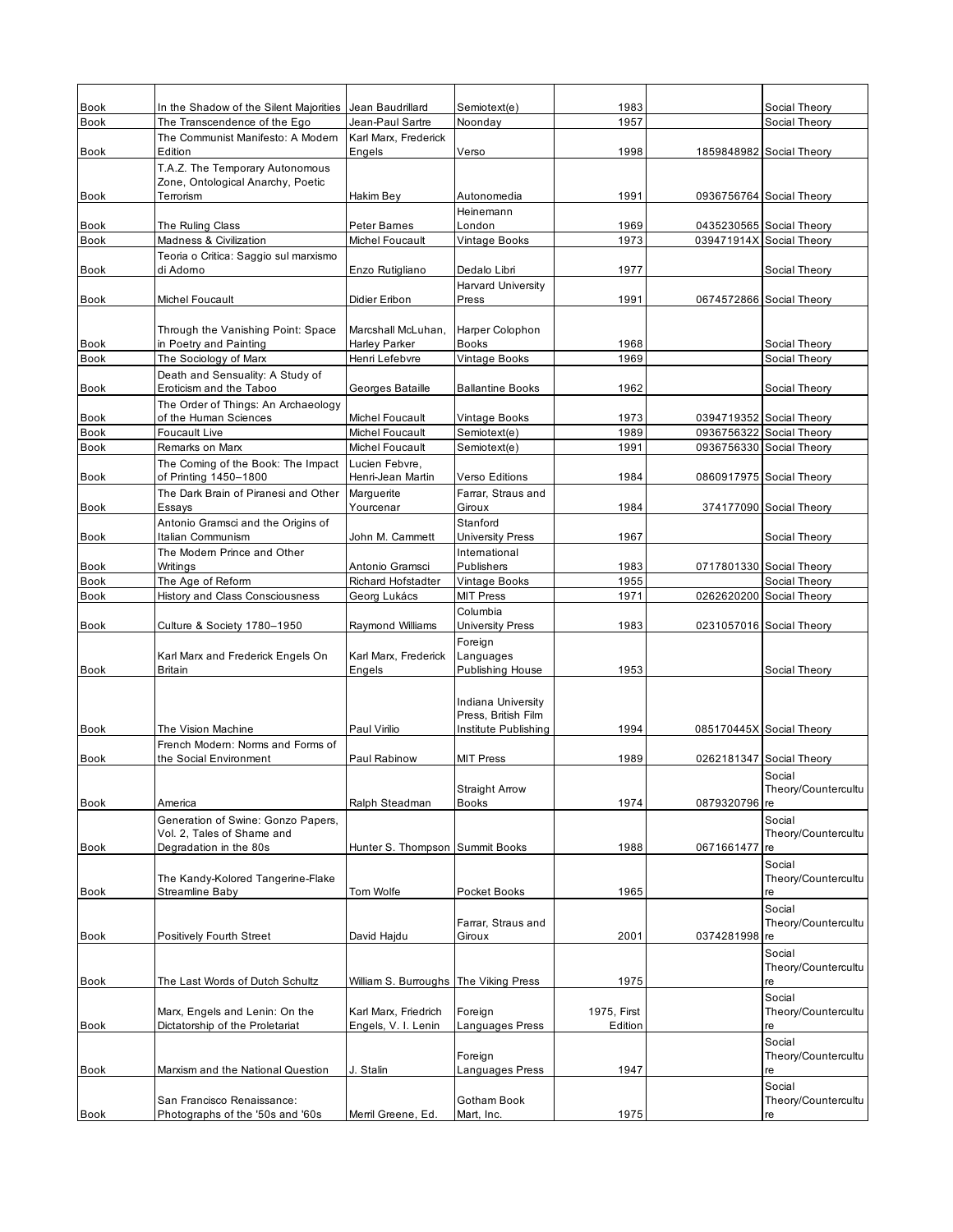| <b>Book</b><br><b>Book</b> | In the Shadow of the Silent Majorities<br>The Transcendence of the Ego | Jean Baudrillard<br>Jean-Paul Sartre | Semiotext(e)<br>Noonday                     | 1983<br>1957 |               | Social Theory<br>Social Theory                       |
|----------------------------|------------------------------------------------------------------------|--------------------------------------|---------------------------------------------|--------------|---------------|------------------------------------------------------|
|                            | The Communist Manifesto: A Modern                                      | Karl Marx, Frederick                 |                                             |              |               |                                                      |
| <b>Book</b>                | Edition                                                                | Engels                               | Verso                                       | 1998         |               | 1859848982 Social Theory                             |
|                            | T.A.Z. The Temporary Autonomous<br>Zone, Ontological Anarchy, Poetic   |                                      |                                             |              |               |                                                      |
| Book                       | Terrorism                                                              | Hakim Bey                            | Autonomedia                                 | 1991         |               | 0936756764 Social Theory                             |
|                            |                                                                        |                                      | Heinemann                                   |              |               |                                                      |
| <b>Book</b>                | The Ruling Class                                                       | Peter Bames                          | London                                      | 1969<br>1973 |               | 0435230565 Social Theory<br>039471914X Social Theory |
| <b>Book</b>                | Madness & Civilization<br>Teoria o Critica: Saggio sul marxismo        | Michel Foucault                      | Vintage Books                               |              |               |                                                      |
| Book                       | di Adorno                                                              | Enzo Rutigliano                      | Dedalo Libri                                | 1977         |               | Social Theory                                        |
|                            |                                                                        |                                      | <b>Harvard University</b>                   |              |               |                                                      |
| <b>Book</b>                | Michel Foucault                                                        | Didier Eribon                        | Press                                       | 1991         |               | 0674572866 Social Theory                             |
|                            | Through the Vanishing Point: Space                                     | Marcshall McLuhan.                   | Harper Colophon                             |              |               |                                                      |
| Book                       | in Poetry and Painting                                                 | Harley Parker                        | <b>Books</b>                                | 1968         |               | Social Theory                                        |
| <b>Book</b>                | The Sociology of Marx                                                  | Henri Lefebvre                       | Vintage Books                               | 1969         |               | Social Theory                                        |
| <b>Book</b>                | Death and Sensuality: A Study of<br>Eroticism and the Taboo            | Georges Bataille                     | <b>Ballantine Books</b>                     | 1962         |               | Social Theory                                        |
|                            | The Order of Things: An Archaeology                                    |                                      |                                             |              |               |                                                      |
| <b>Book</b>                | of the Human Sciences                                                  | Michel Foucault                      | Vintage Books                               | 1973         |               | 0394719352 Social Theory                             |
| <b>Book</b><br><b>Book</b> | Foucault Live<br>Remarks on Marx                                       | Michel Foucault<br>Michel Foucault   | Semiotext(e)<br>Semiotext(e)                | 1989<br>1991 |               | 0936756322 Social Theory<br>0936756330 Social Theory |
|                            | The Coming of the Book: The Impact                                     | Lucien Febvre,                       |                                             |              |               |                                                      |
| Book                       | of Printing 1450-1800                                                  | Henri-Jean Martin                    | <b>Verso Editions</b>                       | 1984         |               | 0860917975 Social Theory                             |
|                            | The Dark Brain of Piranesi and Other                                   | Marguerite                           | Farrar, Straus and                          |              |               |                                                      |
| <b>Book</b>                | Essays                                                                 | Yourcenar                            | Giroux<br>Stanford                          | 1984         |               | 374177090 Social Theory                              |
| <b>Book</b>                | Antonio Gramsci and the Origins of<br>Italian Communism                | John M. Cammett                      | <b>University Press</b>                     | 1967         |               | Social Theory                                        |
|                            | The Modern Prince and Other                                            |                                      | International                               |              |               |                                                      |
| <b>Book</b>                | Writings                                                               | Antonio Gramsci                      | <b>Publishers</b>                           | 1983         |               | 0717801330 Social Theory                             |
| <b>Book</b><br><b>Book</b> | The Age of Reform<br><b>History and Class Consciousness</b>            | Richard Hofstadter<br>Georg Lukács   | Vintage Books<br><b>MIT Press</b>           | 1955<br>1971 |               | Social Theory<br>0262620200 Social Theory            |
|                            |                                                                        |                                      | Columbia                                    |              |               |                                                      |
| <b>Book</b>                | Culture & Society 1780-1950                                            | Raymond Williams                     | <b>University Press</b>                     | 1983         |               | 0231057016 Social Theory                             |
|                            |                                                                        |                                      | Foreign                                     |              |               |                                                      |
| <b>Book</b>                | Karl Marx and Frederick Engels On<br><b>Britain</b>                    | Karl Marx, Frederick<br>Engels       | Languages<br><b>Publishing House</b>        | 1953         |               | Social Theory                                        |
|                            |                                                                        |                                      |                                             |              |               |                                                      |
|                            |                                                                        |                                      | Indiana University                          |              |               |                                                      |
| <b>Book</b>                | The Vision Machine                                                     | Paul Virilio                         | Press, British Film<br>Institute Publishing | 1994         |               | 085170445X Social Theory                             |
|                            | French Modern: Norms and Forms of                                      |                                      |                                             |              |               |                                                      |
| <b>Book</b>                | the Social Environment                                                 | Paul Rabinow                         | <b>MIT Press</b>                            | 1989         |               | 0262181347 Social Theory                             |
|                            |                                                                        |                                      |                                             |              |               | Social                                               |
| Book                       | America                                                                | Ralph Steadman                       | <b>Straight Arrow</b><br><b>Books</b>       | 1974         | 0879320796 re | Theory/Countercultu                                  |
|                            | Generation of Swine: Gonzo Papers,                                     |                                      |                                             |              |               | Social                                               |
|                            | Vol. 2, Tales of Shame and                                             |                                      |                                             |              |               | Theory/Countercultu                                  |
| Book                       | Degradation in the 80s                                                 | Hunter S. Thompson Summit Books      |                                             | 1988         | 0671661477    | re                                                   |
|                            | The Kandy-Kolored Tangerine-Flake                                      |                                      |                                             |              |               | Social<br>Theory/Countercultu                        |
| Book                       | Streamline Baby                                                        | Tom Wolfe                            | Pocket Books                                | 1965         |               | re                                                   |
|                            |                                                                        |                                      |                                             |              |               | Social                                               |
| <b>Book</b>                | Positively Fourth Street                                               | David Hajdu                          | Farrar, Straus and<br>Giroux                | 2001         | 0374281998 re | Theory/Countercultu                                  |
|                            |                                                                        |                                      |                                             |              |               | Social                                               |
|                            |                                                                        |                                      |                                             |              |               | Theory/Countercultu                                  |
| <b>Book</b>                | The Last Words of Dutch Schultz                                        | William S. Burroughs                 | The Viking Press                            | 1975         |               | re                                                   |
|                            | Marx, Engels and Lenin: On the                                         | Karl Marx, Friedrich                 | Foreign                                     | 1975, First  |               | Social<br>Theory/Countercultu                        |
| Book                       | Dictatorship of the Proletariat                                        | Engels, V. I. Lenin                  | Languages Press                             | Edition      |               | re                                                   |
|                            |                                                                        |                                      |                                             |              |               | Social                                               |
| Book                       | Marxism and the National Question                                      | J. Stalin                            | Foreign<br>Languages Press                  | 1947         |               | Theory/Countercultu<br>re                            |
|                            |                                                                        |                                      |                                             |              |               | Social                                               |
|                            | San Francisco Renaissance:                                             |                                      | Gotham Book                                 |              |               | Theory/Countercultu                                  |
| Book                       | Photographs of the '50s and '60s                                       | Merril Greene, Ed.                   | Mart, Inc.                                  | 1975         |               | re                                                   |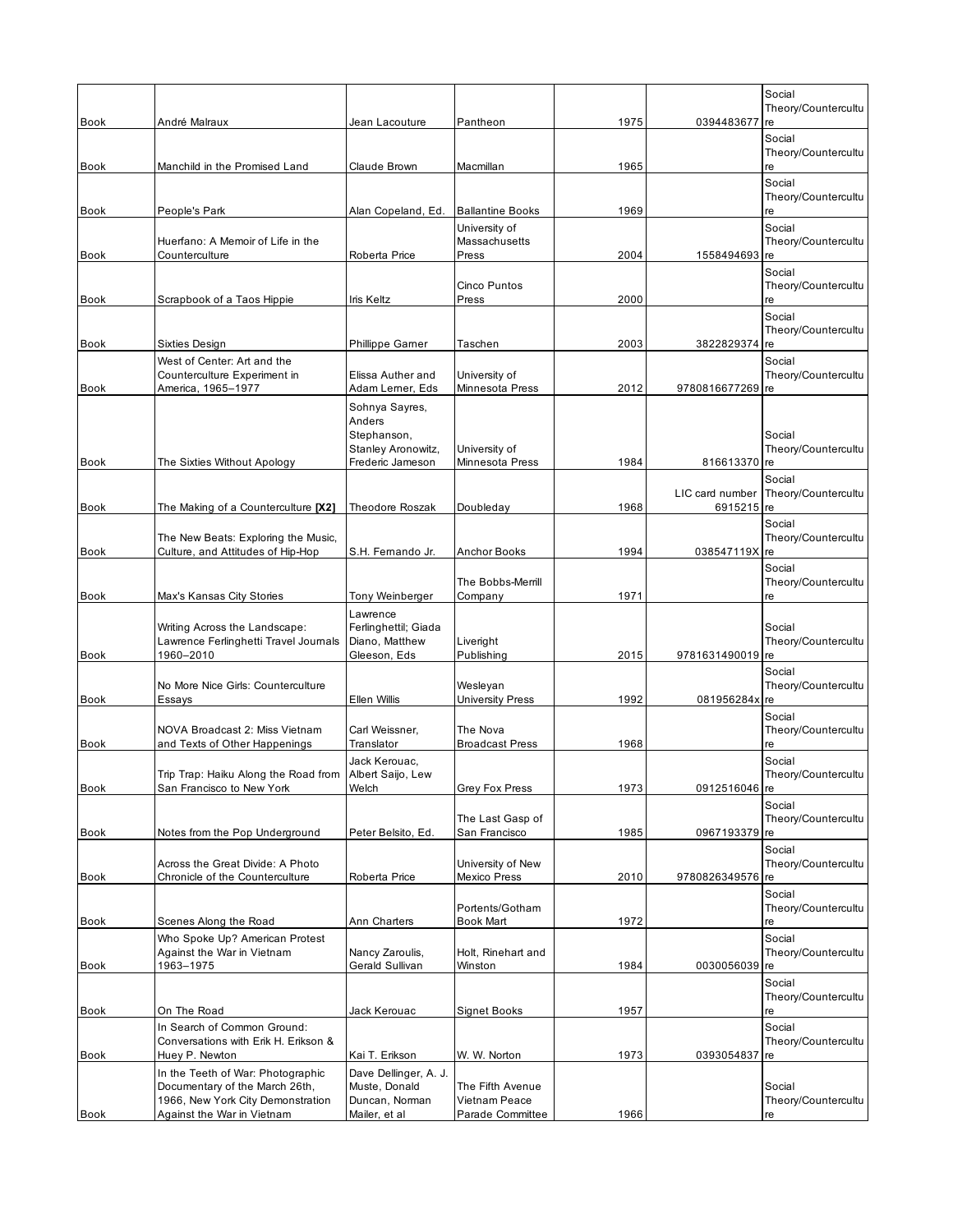|                                                                          | Jean Lacouture                                                                                                                                                                                                                                                                                       | Pantheon                                                                                                                                    |                                                                                                                             |                                      | Social<br>Theory/Countercultu<br>re                           |
|--------------------------------------------------------------------------|------------------------------------------------------------------------------------------------------------------------------------------------------------------------------------------------------------------------------------------------------------------------------------------------------|---------------------------------------------------------------------------------------------------------------------------------------------|-----------------------------------------------------------------------------------------------------------------------------|--------------------------------------|---------------------------------------------------------------|
|                                                                          |                                                                                                                                                                                                                                                                                                      |                                                                                                                                             |                                                                                                                             |                                      | Social<br>Theory/Countercultu                                 |
| Manchild in the Promised Land                                            | Claude Brown                                                                                                                                                                                                                                                                                         | Macmillan                                                                                                                                   | 1965                                                                                                                        |                                      | re<br>Social                                                  |
| People's Park                                                            | Alan Copeland, Ed.                                                                                                                                                                                                                                                                                   | <b>Ballantine Books</b>                                                                                                                     | 1969                                                                                                                        |                                      | Theory/Countercultu<br>re                                     |
| Huerfano: A Memoir of Life in the                                        |                                                                                                                                                                                                                                                                                                      | University of<br>Massachusetts                                                                                                              |                                                                                                                             |                                      | Social<br>Theory/Countercultu<br>re                           |
|                                                                          |                                                                                                                                                                                                                                                                                                      |                                                                                                                                             |                                                                                                                             |                                      | Social<br>Theory/Countercultu                                 |
| Scrapbook of a Taos Hippie                                               | Iris Keltz                                                                                                                                                                                                                                                                                           | Press                                                                                                                                       | 2000                                                                                                                        |                                      | re<br>Social                                                  |
| Sixties Design                                                           | Phillippe Garner                                                                                                                                                                                                                                                                                     | Taschen                                                                                                                                     | 2003                                                                                                                        | 3822829374                           | Theory/Countercultu<br>re                                     |
| West of Center: Art and the<br>Counterculture Experiment in              | Elissa Auther and                                                                                                                                                                                                                                                                                    | University of                                                                                                                               |                                                                                                                             |                                      | Social<br>Theory/Countercultu                                 |
| America, 1965-1977                                                       | Adam Lerner, Eds                                                                                                                                                                                                                                                                                     | Minnesota Press                                                                                                                             | 2012                                                                                                                        | 9780816677269                        | re                                                            |
|                                                                          | Anders<br>Stephanson,                                                                                                                                                                                                                                                                                |                                                                                                                                             |                                                                                                                             |                                      | Social                                                        |
| The Sixties Without Apology                                              | Frederic Jameson                                                                                                                                                                                                                                                                                     | Minnesota Press                                                                                                                             | 1984                                                                                                                        | 816613370 re                         | Theory/Countercultu                                           |
| The Making of a Counterculture [X2]                                      | Theodore Roszak                                                                                                                                                                                                                                                                                      | Doubleday                                                                                                                                   | 1968                                                                                                                        | LIC card number<br>6915215 re        | Social<br>Theory/Countercultu                                 |
| The New Beats: Exploring the Music,<br>Culture, and Attitudes of Hip-Hop | S.H. Femando Jr.                                                                                                                                                                                                                                                                                     | Anchor Books                                                                                                                                | 1994                                                                                                                        | 038547119X                           | Social<br>Theory/Countercultu<br>re                           |
| Max's Kansas City Stories                                                | Tony Weinberger                                                                                                                                                                                                                                                                                      | The Bobbs-Merrill<br>Company                                                                                                                | 1971                                                                                                                        |                                      | Social<br>Theory/Countercultu<br>re                           |
| Writing Across the Landscape:<br>Lawrence Ferlinghetti Travel Journals   | Lawrence<br>Ferlinghettil; Giada<br>Diano, Matthew                                                                                                                                                                                                                                                   | Liveright                                                                                                                                   |                                                                                                                             |                                      | Social<br>Theory/Countercultu                                 |
|                                                                          |                                                                                                                                                                                                                                                                                                      |                                                                                                                                             |                                                                                                                             |                                      | Social<br>Theory/Countercultu                                 |
| Essays                                                                   | Ellen Willis                                                                                                                                                                                                                                                                                         | University Press                                                                                                                            | 1992                                                                                                                        | 081956284x                           | re                                                            |
| NOVA Broadcast 2: Miss Vietnam                                           | Carl Weissner,                                                                                                                                                                                                                                                                                       | The Nova                                                                                                                                    |                                                                                                                             |                                      | Social<br>Theory/Countercultu<br>re                           |
|                                                                          | Jack Kerouac,                                                                                                                                                                                                                                                                                        |                                                                                                                                             |                                                                                                                             |                                      | Social<br>Theory/Countercultu                                 |
| San Francisco to New York                                                | Welch                                                                                                                                                                                                                                                                                                | Grey Fox Press                                                                                                                              | 1973                                                                                                                        | 0912516046 re                        |                                                               |
| Notes from the Pop Underground                                           | Peter Belsito, Ed.                                                                                                                                                                                                                                                                                   | The Last Gasp of<br>San Francisco                                                                                                           | 1985                                                                                                                        | 0967193379 re                        | Social<br>Theory/Countercultu                                 |
| Across the Great Divide: A Photo                                         |                                                                                                                                                                                                                                                                                                      | University of New                                                                                                                           |                                                                                                                             |                                      | Social<br>Theory/Countercultu<br>re                           |
|                                                                          |                                                                                                                                                                                                                                                                                                      | Portents/Gotham                                                                                                                             |                                                                                                                             |                                      | Social<br>Theory/Countercultu                                 |
| Scenes Along the Road                                                    | Ann Charters                                                                                                                                                                                                                                                                                         | Book Mart                                                                                                                                   | 1972                                                                                                                        |                                      | re<br>Social                                                  |
| Against the War in Vietnam<br>1963-1975                                  | Nancy Zaroulis,<br>Gerald Sullivan                                                                                                                                                                                                                                                                   | Holt, Rinehart and<br>Winston                                                                                                               | 1984                                                                                                                        | 0030056039                           | Theory/Countercultu<br>re                                     |
|                                                                          |                                                                                                                                                                                                                                                                                                      |                                                                                                                                             |                                                                                                                             |                                      | Social<br>Theory/Countercultu                                 |
| On The Road                                                              | Jack Kerouac                                                                                                                                                                                                                                                                                         | Signet Books                                                                                                                                | 1957                                                                                                                        |                                      | re<br>Social                                                  |
| Conversations with Erik H. Erikson &<br>Huey P. Newton                   | Kai T. Erikson                                                                                                                                                                                                                                                                                       | W. W. Norton                                                                                                                                | 1973                                                                                                                        | 0393054837                           | Theory/Countercultu<br>re                                     |
| In the Teeth of War: Photographic<br>Documentary of the March 26th,      | Dave Dellinger, A. J.<br>Muste, Donald                                                                                                                                                                                                                                                               | The Fifth Avenue                                                                                                                            |                                                                                                                             |                                      | Social<br>Theory/Countercultu                                 |
| Against the War in Vietnam                                               | Mailer, et al                                                                                                                                                                                                                                                                                        | Parade Committee                                                                                                                            | 1966                                                                                                                        |                                      | re                                                            |
|                                                                          | André Malraux<br>Counterculture<br>1960-2010<br>No More Nice Girls: Counterculture<br>and Texts of Other Happenings<br>Trip Trap: Haiku Along the Road from<br>Chronicle of the Counterculture<br>Who Spoke Up? American Protest<br>In Search of Common Ground:<br>1966, New York City Demonstration | Roberta Price<br>Sohnya Sayres,<br>Stanley Aronowitz,<br>Gleeson, Eds<br>Translator<br>Albert Saijo, Lew<br>Roberta Price<br>Duncan, Norman | Press<br>Cinco Puntos<br>University of<br>Publishing<br>Wesleyan<br><b>Broadcast Press</b><br>Mexico Press<br>Vietnam Peace | 1975<br>2004<br>2015<br>1968<br>2010 | 0394483677<br>1558494693<br>9781631490019 re<br>9780826349576 |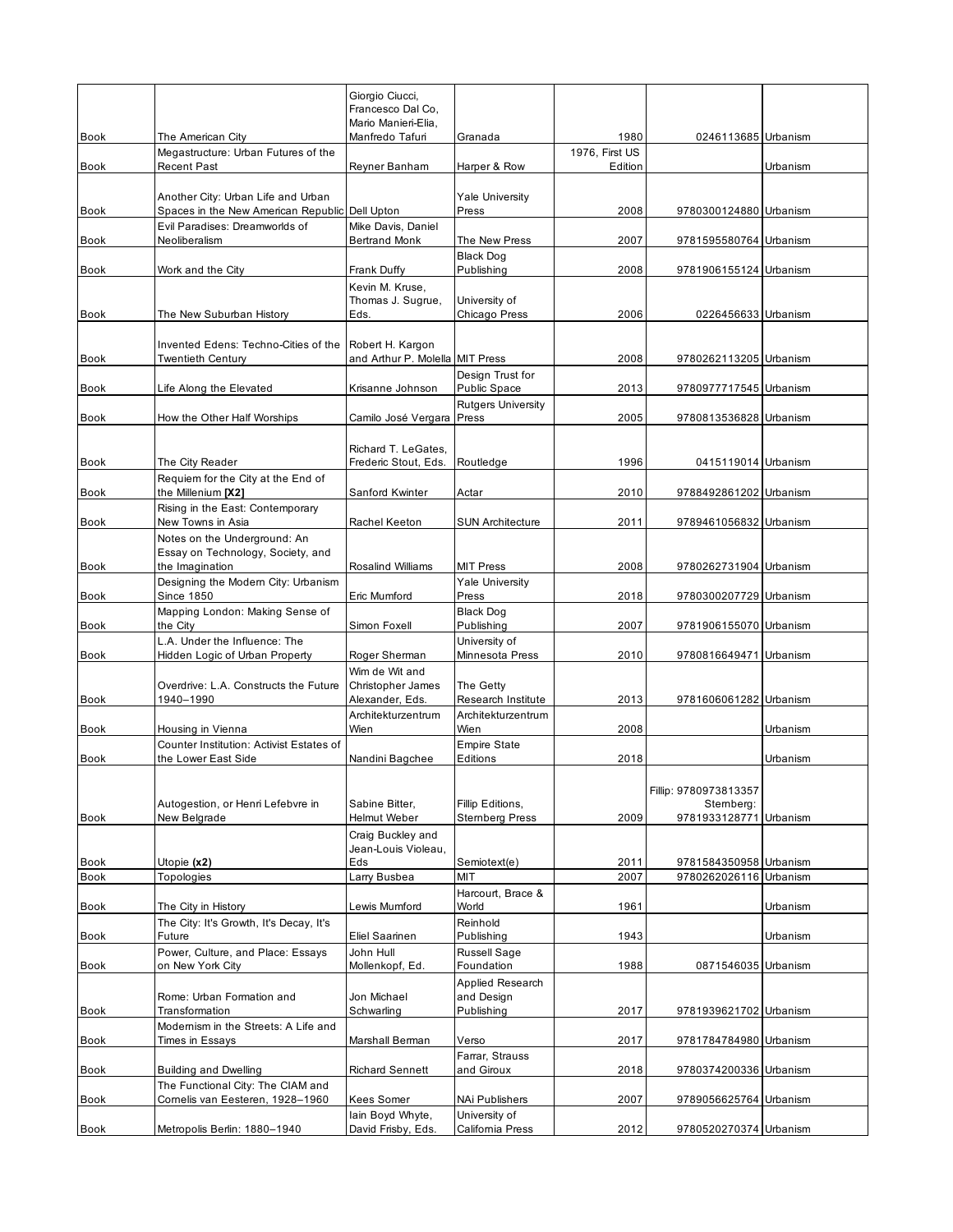|                     |                                                                                      | Giorgio Ciucci,<br>Francesco Dal Co.<br>Mario Manieri-Elia, |                                              |                           |                                                              |                 |
|---------------------|--------------------------------------------------------------------------------------|-------------------------------------------------------------|----------------------------------------------|---------------------------|--------------------------------------------------------------|-----------------|
| <b>Book</b>         | The American City                                                                    | Manfredo Tafuri                                             | Granada                                      | 1980                      | 0246113685 Urbanism                                          |                 |
| Book                | Megastructure: Urban Futures of the<br><b>Recent Past</b>                            | Reyner Banham                                               | Harper & Row                                 | 1976, First US<br>Edition |                                                              | <b>Urbanism</b> |
| Book                | Another City: Urban Life and Urban<br>Spaces in the New American Republic Dell Upton |                                                             | <b>Yale University</b><br>Press              | 2008                      | 9780300124880 Urbanism                                       |                 |
| <b>Book</b>         | Evil Paradises: Dreamworlds of<br>Neoliberalism                                      | Mike Davis, Daniel<br><b>Bertrand Monk</b>                  | The New Press                                | 2007                      | 9781595580764 Urbanism                                       |                 |
| Book                | Work and the City                                                                    | Frank Duffy                                                 | <b>Black Dog</b><br>Publishing               | 2008                      | 9781906155124 Urbanism                                       |                 |
|                     |                                                                                      | Kevin M. Kruse,<br>Thomas J. Sugrue,                        | University of                                |                           |                                                              |                 |
| <b>Book</b>         | The New Suburban History                                                             | Eds.                                                        | Chicago Press                                | 2006                      | 0226456633 Urbanism                                          |                 |
|                     | Invented Edens: Techno-Cities of the                                                 | Robert H. Kargon                                            |                                              |                           |                                                              |                 |
| <b>Book</b>         | Twentieth Century                                                                    | and Arthur P. Molella MIT Press                             | Design Trust for                             | 2008                      | 9780262113205 Urbanism                                       |                 |
| Book                | Life Along the Elevated                                                              | Krisanne Johnson                                            | Public Space                                 | 2013                      | 9780977717545 Urbanism                                       |                 |
| Book                | How the Other Half Worships                                                          | Camilo José Vergara Press                                   | <b>Rutgers University</b>                    | 2005                      | 9780813536828 Urbanism                                       |                 |
| Book                | The City Reader                                                                      | Richard T. LeGates,<br>Frederic Stout, Eds.                 | Routledge                                    | 1996                      | 0415119014 Urbanism                                          |                 |
|                     | Requiem for the City at the End of                                                   |                                                             |                                              |                           |                                                              |                 |
| <b>Book</b>         | the Millenium [X2]<br>Rising in the East: Contemporary                               | Sanford Kwinter                                             | Actar                                        | 2010                      | 9788492861202 Urbanism                                       |                 |
| Book                | New Towns in Asia                                                                    | Rachel Keeton                                               | <b>SUN Architecture</b>                      | 2011                      | 9789461056832 Urbanism                                       |                 |
| Book                | Notes on the Underground: An<br>Essay on Technology, Society, and<br>the Imagination | Rosalind Williams                                           | <b>MIT Press</b>                             | 2008                      | 9780262731904 Urbanism                                       |                 |
| Book                | Designing the Modern City: Urbanism<br>Since 1850                                    | Eric Mumford                                                | <b>Yale University</b><br>Press              | 2018                      | 9780300207729 Urbanism                                       |                 |
| <b>Book</b>         | Mapping London: Making Sense of<br>the City                                          | Simon Foxell                                                | <b>Black Dog</b><br>Publishing               | 2007                      | 9781906155070 Urbanism                                       |                 |
| <b>Book</b>         | L.A. Under the Influence: The<br>Hidden Logic of Urban Property                      | Roger Sherman                                               | University of<br>Minnesota Press             | 2010                      | 9780816649471 Urbanism                                       |                 |
| <b>Book</b>         | Overdrive: L.A. Constructs the Future<br>1940-1990                                   | Wim de Wit and<br>Christopher James<br>Alexander, Eds.      | The Getty<br>Research Institute              | 2013                      | 9781606061282 Urbanism                                       |                 |
|                     |                                                                                      | Architekturzentrum                                          | Architekturzentrum                           |                           |                                                              |                 |
| Book                | Housing in Vienna<br>Counter Institution: Activist Estates of                        | Wien                                                        | Wien<br><b>Empire State</b>                  | 2008                      |                                                              | Urbanism        |
| <b>Book</b>         | the Lower East Side                                                                  | Nandini Bagchee                                             | Editions                                     | 2018                      |                                                              | Urbanism        |
| Book                | Autogestion, or Henri Lefebvre in<br>New Belgrade                                    | Sabine Bitter,<br>Helmut Weber                              | Fillip Editions,<br><b>Stemberg Press</b>    | 2009                      | Fillip: 9780973813357<br>Stemberg:<br>9781933128771 Urbanism |                 |
|                     |                                                                                      | Craig Buckley and<br>Jean-Louis Violeau.                    |                                              |                           |                                                              |                 |
| Book<br><b>Book</b> | Utopie (x2)<br>Topologies                                                            | Eds<br>Larry Busbea                                         | Semiotext(e)<br>MIT                          | 2011<br>2007              | 9781584350958 Urbanism<br>9780262026116 Urbanism             |                 |
|                     |                                                                                      |                                                             | Harcourt, Brace &                            |                           |                                                              |                 |
| Book                | The City in History<br>The City: It's Growth, It's Decay, It's                       | Lewis Mumford                                               | World<br>Reinhold                            | 1961                      |                                                              | Urbanism        |
| Book                | Future                                                                               | Eliel Saarinen                                              | Publishing                                   | 1943                      |                                                              | Urbanism        |
| Book                | Power, Culture, and Place: Essays<br>on New York City                                | John Hull<br>Mollenkopf, Ed.                                | Russell Sage<br>Foundation                   | 1988                      | 0871546035 Urbanism                                          |                 |
| <b>Book</b>         | Rome: Urban Formation and<br>Transformation                                          | Jon Michael<br>Schwarling                                   | Applied Research<br>and Design<br>Publishing | 2017                      | 9781939621702 Urbanism                                       |                 |
| Book                | Modernism in the Streets: A Life and<br>Times in Essays                              | Marshall Berman                                             | Verso                                        | 2017                      | 9781784784980 Urbanism                                       |                 |
| Book                | <b>Building and Dwelling</b>                                                         | <b>Richard Sennett</b>                                      | Farrar, Strauss<br>and Giroux                | 2018                      | 9780374200336 Urbanism                                       |                 |
| <b>Book</b>         | The Functional City: The CIAM and<br>Comelis van Eesteren, 1928-1960                 | Kees Somer                                                  | NAi Publishers                               | 2007                      | 9789056625764 Urbanism                                       |                 |
| <b>Book</b>         | Metropolis Berlin: 1880-1940                                                         | lain Boyd Whyte,<br>David Frisby, Eds.                      | University of<br>California Press            | 2012                      | 9780520270374 Urbanism                                       |                 |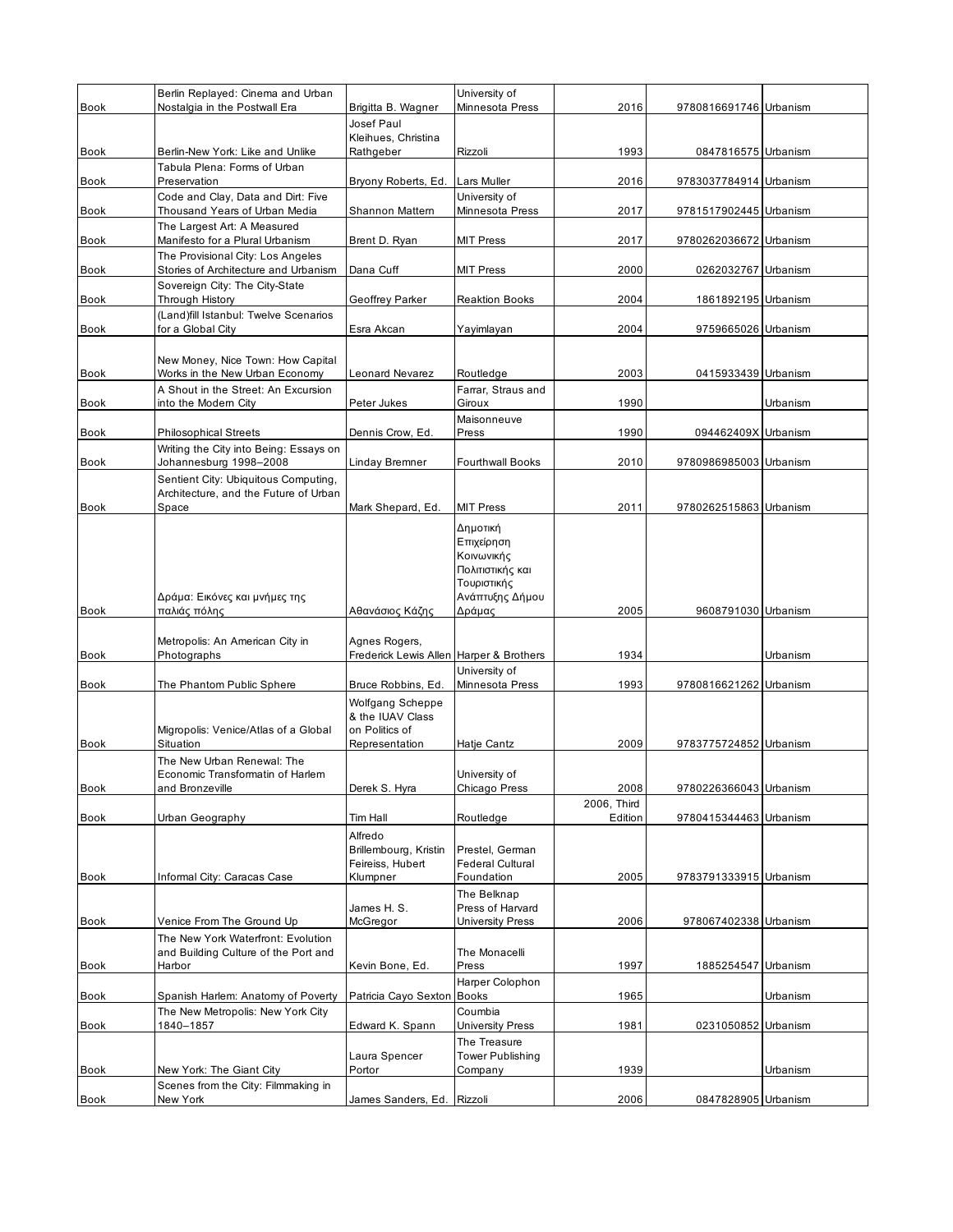|             | Berlin Replayed: Cinema and Urban                                |                                           | University of                              |                     |                        |          |
|-------------|------------------------------------------------------------------|-------------------------------------------|--------------------------------------------|---------------------|------------------------|----------|
| <b>Book</b> | Nostalgia in the Postwall Era                                    | Brigitta B. Wagner                        | Minnesota Press                            | 2016                | 9780816691746 Urbanism |          |
|             |                                                                  | Josef Paul<br>Kleihues, Christina         |                                            |                     |                        |          |
| Book        | Berlin-New York: Like and Unlike                                 | Rathgeber                                 | Rizzoli                                    | 1993                | 0847816575 Urbanism    |          |
| <b>Book</b> | Tabula Plena: Forms of Urban<br>Preservation                     | Bryony Roberts, Ed.                       | Lars Muller                                | 2016                | 9783037784914 Urbanism |          |
|             | Code and Clay, Data and Dirt: Five                               |                                           | University of                              |                     |                        |          |
| Book        | Thousand Years of Urban Media                                    | Shannon Mattern                           | Minnesota Press                            | 2017                | 9781517902445 Urbanism |          |
| Book        | The Largest Art: A Measured<br>Manifesto for a Plural Urbanism   | Brent D. Ryan                             | <b>MIT Press</b>                           | 2017                | 9780262036672 Urbanism |          |
|             | The Provisional City: Los Angeles                                |                                           |                                            |                     |                        |          |
| <b>Book</b> | Stories of Architecture and Urbanism                             | Dana Cuff                                 | MIT Press                                  | 2000                | 0262032767 Urbanism    |          |
| Book        | Sovereign City: The City-State<br>Through History                | Geoffrey Parker                           | <b>Reaktion Books</b>                      | 2004                | 1861892195 Urbanism    |          |
|             | (Land)fill Istanbul: Twelve Scenarios                            |                                           |                                            |                     |                        |          |
| <b>Book</b> | for a Global City                                                | Esra Akcan                                | Yayimlayan                                 | 2004                | 9759665026 Urbanism    |          |
|             | New Money, Nice Town: How Capital                                |                                           |                                            |                     |                        |          |
| Book        | Works in the New Urban Economy                                   | Leonard Nevarez                           | Routledge                                  | 2003                | 0415933439 Urbanism    |          |
| <b>Book</b> | A Shout in the Street: An Excursion<br>into the Modern City      | Peter Jukes                               | Farrar, Straus and<br>Giroux               | 1990                |                        | Urbanism |
|             |                                                                  |                                           | Maisonneuve                                |                     |                        |          |
| Book        | <b>Philosophical Streets</b>                                     | Dennis Crow, Ed.                          | Press                                      | 1990                | 094462409X Urbanism    |          |
| Book        | Writing the City into Being: Essays on<br>Johannesburg 1998-2008 | Linday Bremner                            | <b>Fourthwall Books</b>                    | 2010                | 9780986985003 Urbanism |          |
|             | Sentient City: Ubiquitous Computing,                             |                                           |                                            |                     |                        |          |
| Book        | Architecture, and the Future of Urban<br>Space                   | Mark Shepard, Ed.                         | <b>MIT Press</b>                           | 2011                | 9780262515863 Urbanism |          |
|             |                                                                  |                                           | Δημοτική                                   |                     |                        |          |
|             |                                                                  |                                           | Επιχείρηση                                 |                     |                        |          |
|             |                                                                  |                                           | Κοινωνικής<br>Πολιτιστικής και             |                     |                        |          |
|             |                                                                  |                                           | Τουριστικής                                |                     |                        |          |
|             | Δράμα: Εικόνες και μνήμες της                                    |                                           | Ανάπτυξης Δήμου                            |                     |                        |          |
| <b>Book</b> | παλιάς πόλης                                                     | Αθανάσιος Κάζης                           | Δράμας                                     | 2005                | 9608791030 Urbanism    |          |
|             | Metropolis: An American City in                                  | Agnes Rogers,                             |                                            |                     |                        |          |
| Book        | Photographs                                                      | Frederick Lewis Allen Harper & Brothers   |                                            | 1934                |                        | Urbanism |
| <b>Book</b> | The Phantom Public Sphere                                        | Bruce Robbins, Ed.                        | University of<br>Minnesota Press           | 1993                | 9780816621262 Urbanism |          |
|             |                                                                  | <b>Wolfgang Scheppe</b>                   |                                            |                     |                        |          |
|             |                                                                  | & the IUAV Class                          |                                            |                     |                        |          |
| <b>Book</b> | Migropolis: Venice/Atlas of a Global<br>Situation                | on Politics of<br>Representation          | Hatje Cantz                                | 2009                | 9783775724852 Urbanism |          |
|             | The New Urban Renewal: The                                       |                                           |                                            |                     |                        |          |
|             | Economic Transformatin of Harlem                                 |                                           | University of                              |                     |                        |          |
| Book        | and Bronzeville                                                  | Derek S. Hyra                             | Chicago Press                              | 2008<br>2006, Third | 9780226366043 Urbanism |          |
| Book        | Urban Geography                                                  | Tim Hall                                  | Routledge                                  | Edition             | 9780415344463 Urbanism |          |
|             |                                                                  | Alfredo                                   |                                            |                     |                        |          |
|             |                                                                  | Brillembourg, Kristin<br>Feireiss, Hubert | Prestel. German<br><b>Federal Cultural</b> |                     |                        |          |
| Book        | Informal City: Caracas Case                                      | Klumpner                                  | Foundation                                 | 2005                | 9783791333915 Urbanism |          |
|             |                                                                  |                                           | The Belknap                                |                     |                        |          |
| Book        | Venice From The Ground Up                                        | James H. S.<br>McGregor                   | Press of Harvard<br>University Press       | 2006                | 978067402338 Urbanism  |          |
|             | The New York Waterfront: Evolution                               |                                           |                                            |                     |                        |          |
|             | and Building Culture of the Port and                             |                                           | The Monacelli                              |                     |                        |          |
| Book        | Harbor                                                           | Kevin Bone, Ed.                           | Press<br>Harper Colophon                   | 1997                | 1885254547 Urbanism    |          |
| Book        | Spanish Harlem: Anatomy of Poverty                               | Patricia Cayo Sexton                      | <b>Books</b>                               | 1965                |                        | Urbanism |
| Book        | The New Metropolis: New York City<br>1840–1857                   | Edward K. Spann                           | Coumbia<br><b>University Press</b>         | 1981                | 0231050852 Urbanism    |          |
|             |                                                                  |                                           | The Treasure                               |                     |                        |          |
|             |                                                                  | Laura Spencer                             | <b>Tower Publishing</b>                    |                     |                        |          |
| Book        | New York: The Giant City<br>Scenes from the City: Filmmaking in  | Portor                                    | Company                                    | 1939                |                        | Urbanism |
| Book        | New York                                                         | James Sanders, Ed.                        | Rizzoli                                    | 2006                | 0847828905 Urbanism    |          |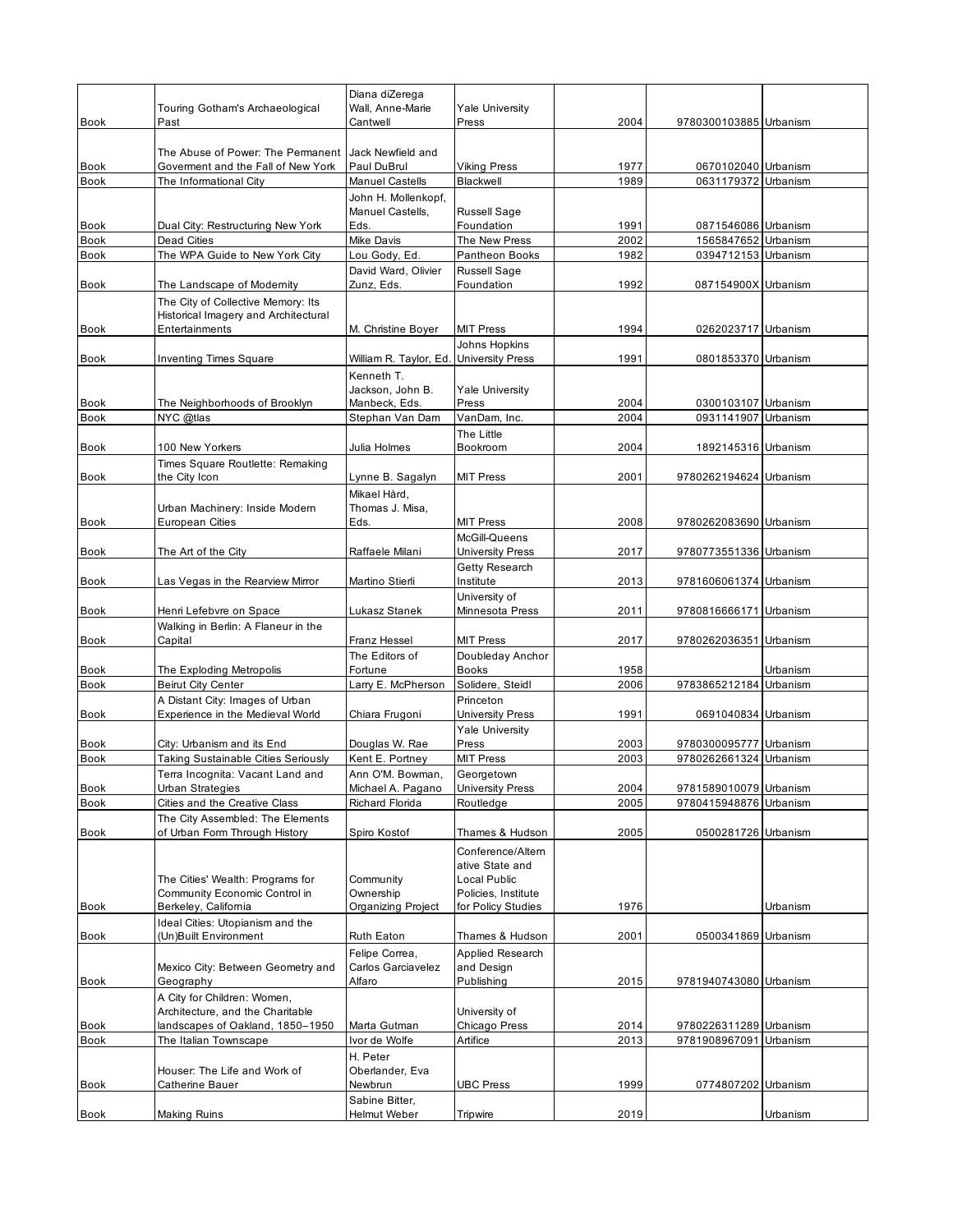|             | Touring Gotham's Archaeological                                            | Diana diZerega<br>Wall, Anne-Marie      | <b>Yale University</b>               |      |                        |          |
|-------------|----------------------------------------------------------------------------|-----------------------------------------|--------------------------------------|------|------------------------|----------|
| <b>Book</b> | Past                                                                       | Cantwell                                | Press                                | 2004 | 9780300103885 Urbanism |          |
| Book        | The Abuse of Power: The Permanent<br>Goverment and the Fall of New York    | Jack Newfield and<br>Paul DuBrul        | <b>Viking Press</b>                  | 1977 | 0670102040 Urbanism    |          |
| Book        | The Informational City                                                     | <b>Manuel Castells</b>                  | Blackwell                            | 1989 | 0631179372 Urbanism    |          |
|             |                                                                            | John H. Mollenkopf,                     |                                      |      |                        |          |
|             |                                                                            | Manuel Castells,                        | Russell Sage                         |      |                        |          |
| <b>Book</b> | Dual City: Restructuring New York                                          | Eds.                                    | Foundation                           | 1991 | 0871546086 Urbanism    |          |
| <b>Book</b> | Dead Cities                                                                | Mike Davis                              | The New Press                        | 2002 | 1565847652 Urbanism    |          |
| Book        | The WPA Guide to New York City                                             | Lou Gody, Ed.                           | Pantheon Books                       | 1982 | 0394712153 Urbanism    |          |
|             |                                                                            | David Ward, Olivier                     | <b>Russell Sage</b>                  |      |                        |          |
| <b>Book</b> | The Landscape of Modernity                                                 | Zunz, Eds.                              | Foundation                           | 1992 | 087154900X Urbanism    |          |
|             | The City of Collective Memory: Its<br>Historical Imagery and Architectural |                                         |                                      |      |                        |          |
| Book        | Entertainments                                                             | M. Christine Boyer                      | <b>MIT Press</b>                     | 1994 | 0262023717 Urbanism    |          |
|             |                                                                            |                                         | Johns Hopkins                        |      |                        |          |
| Book        | <b>Inventing Times Square</b>                                              | William R. Taylor, Ed. University Press |                                      | 1991 | 0801853370 Urbanism    |          |
|             |                                                                            | Kenneth T.                              |                                      |      |                        |          |
|             |                                                                            | Jackson, John B.                        | <b>Yale University</b>               |      |                        |          |
| <b>Book</b> | The Neighborhoods of Brooklyn                                              | Manbeck, Eds.                           | Press                                | 2004 | 0300103107 Urbanism    |          |
| <b>Book</b> | NYC @tlas                                                                  | Stephan Van Dam                         | VanDam, Inc.                         | 2004 | 0931141907 Urbanism    |          |
|             |                                                                            |                                         | The Little                           |      |                        |          |
| Book        | 100 New Yorkers                                                            | Julia Holmes                            | Bookroom                             | 2004 | 1892145316 Urbanism    |          |
|             | Times Square Routlette: Remaking                                           |                                         |                                      |      |                        |          |
| Book        | the City Icon                                                              | Lynne B. Sagalyn                        | <b>MIT Press</b>                     | 2001 | 9780262194624 Urbanism |          |
|             |                                                                            | Mikael Hård,                            |                                      |      |                        |          |
|             | Urban Machinery: Inside Modern                                             | Thomas J. Misa,                         |                                      | 2008 |                        |          |
| Book        | <b>European Cities</b>                                                     | Eds.                                    | <b>MIT Press</b><br>McGill-Queens    |      | 9780262083690 Urbanism |          |
| <b>Book</b> | The Art of the City                                                        | Raffaele Milani                         | University Press                     | 2017 | 9780773551336 Urbanism |          |
|             |                                                                            |                                         | Getty Research                       |      |                        |          |
| <b>Book</b> | Las Vegas in the Rearview Mirror                                           | Martino Stierli                         | Institute                            | 2013 | 9781606061374 Urbanism |          |
|             |                                                                            |                                         | University of                        |      |                        |          |
| Book        | Henri Lefebvre on Space                                                    | Lukasz Stanek                           | Minnesota Press                      | 2011 | 9780816666171 Urbanism |          |
|             | Walking in Berlin: A Flaneur in the                                        |                                         |                                      |      |                        |          |
| Book        | Capital                                                                    | Franz Hessel                            | <b>MIT Press</b>                     | 2017 | 9780262036351 Urbanism |          |
|             |                                                                            | The Editors of                          | Doubleday Anchor                     |      |                        |          |
| Book        | The Exploding Metropolis                                                   | Fortune                                 | <b>Books</b>                         | 1958 |                        | Urbanism |
| <b>Book</b> | <b>Beirut City Center</b>                                                  | Larry E. McPherson                      | Solidere, Steidl                     | 2006 | 9783865212184 Urbanism |          |
| <b>Book</b> | A Distant City: Images of Urban<br>Experience in the Medieval World        | Chiara Frugoni                          | Princeton<br><b>University Press</b> | 1991 | 0691040834 Urbanism    |          |
|             |                                                                            |                                         | <b>Yale University</b>               |      |                        |          |
| Book        | City: Urbanism and its End                                                 | Douglas W. Rae                          | Press                                | 2003 | 9780300095777 Urbanism |          |
| <b>Book</b> | Taking Sustainable Cities Seriously                                        | Kent E. Portney                         | <b>MIT Press</b>                     | 2003 | 9780262661324          | Urbanism |
|             | Terra Incognita: Vacant Land and                                           | Ann O'M. Bowman,                        | Georgetown                           |      |                        |          |
| Book        | Urban Strategies                                                           | Michael A. Pagano                       | <b>University Press</b>              | 2004 | 9781589010079 Urbanism |          |
| <b>Book</b> | Cities and the Creative Class                                              | Richard Florida                         | Routledge                            | 2005 | 9780415948876 Urbanism |          |
|             | The City Assembled: The Elements                                           |                                         |                                      |      |                        |          |
| Book        | of Urban Form Through History                                              | Spiro Kostof                            | Thames & Hudson                      | 2005 | 0500281726 Urbanism    |          |
|             |                                                                            |                                         | Conference/Altern                    |      |                        |          |
|             |                                                                            |                                         | ative State and                      |      |                        |          |
|             | The Cities' Wealth: Programs for                                           | Community                               | Local Public                         |      |                        |          |
|             | Community Economic Control in                                              | Ownership                               | Policies, Institute                  |      |                        |          |
| Book        | Berkeley, California<br>Ideal Cities: Utopianism and the                   | <b>Organizing Project</b>               | for Policy Studies                   | 1976 |                        | Urbanism |
| Book        | (Un)Built Environment                                                      | Ruth Eaton                              | Thames & Hudson                      | 2001 | 0500341869 Urbanism    |          |
|             |                                                                            | Felipe Correa,                          | Applied Research                     |      |                        |          |
|             | Mexico City: Between Geometry and                                          | Carlos Garciavelez                      | and Design                           |      |                        |          |
| Book        | Geography                                                                  | Alfaro                                  | Publishing                           | 2015 | 9781940743080 Urbanism |          |
|             | A City for Children: Women,                                                |                                         |                                      |      |                        |          |
|             | Architecture, and the Charitable                                           |                                         | University of                        |      |                        |          |
| Book        | landscapes of Oakland, 1850-1950                                           | Marta Gutman                            | Chicago Press                        | 2014 | 9780226311289 Urbanism |          |
| Book        | The Italian Townscape                                                      | Ivor de Wolfe                           | Artifice                             | 2013 | 9781908967091          | Urbanism |
|             |                                                                            | H. Peter                                |                                      |      |                        |          |
|             | Houser: The Life and Work of                                               | Oberlander, Eva                         |                                      |      |                        |          |
| Book        | Catherine Bauer                                                            | Newbrun                                 | <b>UBC Press</b>                     | 1999 | 0774807202 Urbanism    |          |
|             |                                                                            | Sabine Bitter,                          |                                      |      |                        |          |
| Book        | <b>Making Ruins</b>                                                        | Helmut Weber                            | Tripwire                             | 2019 |                        | Urbanism |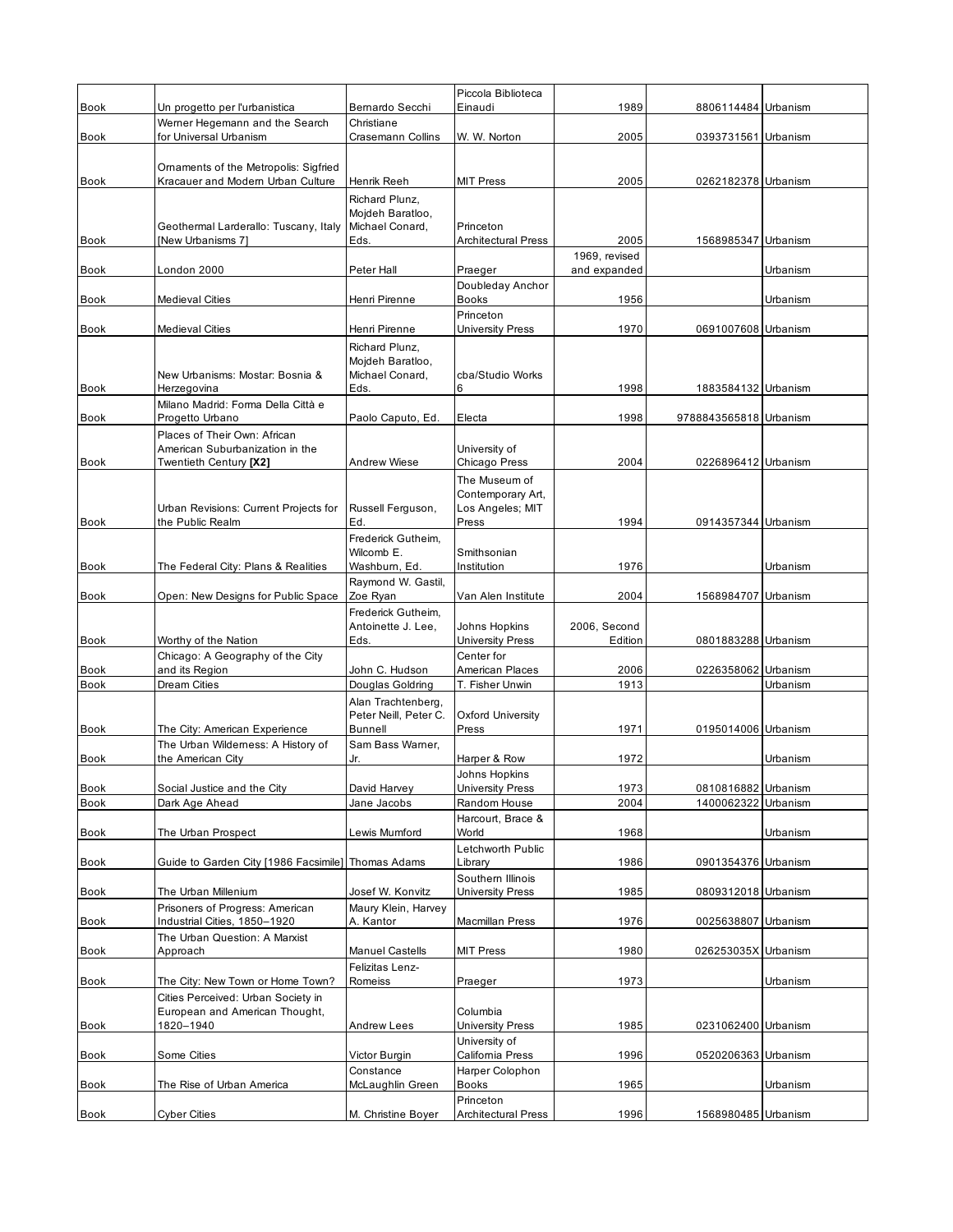|             |                                                                        |                                        | Piccola Biblioteca                       |                               |                        |          |
|-------------|------------------------------------------------------------------------|----------------------------------------|------------------------------------------|-------------------------------|------------------------|----------|
| <b>Book</b> | Un progetto per l'urbanistica<br>Werner Hegemann and the Search        | Bernardo Secchi<br>Christiane          | Einaudi                                  | 1989                          | 8806114484 Urbanism    |          |
| Book        | for Universal Urbanism                                                 | Crasemann Collins                      | W. W. Norton                             | 2005                          | 0393731561 Urbanism    |          |
|             |                                                                        |                                        |                                          |                               |                        |          |
|             | Omaments of the Metropolis: Sigfried                                   |                                        |                                          |                               |                        |          |
| Book        | Kracauer and Modern Urban Culture                                      | Henrik Reeh                            | <b>MIT Press</b>                         | 2005                          | 0262182378 Urbanism    |          |
|             |                                                                        | Richard Plunz,<br>Mojdeh Baratloo,     |                                          |                               |                        |          |
|             | Geothermal Larderallo: Tuscany, Italy                                  | Michael Conard,                        | Princeton                                |                               |                        |          |
| Book        | [New Urbanisms 7]                                                      | Eds.                                   | <b>Architectural Press</b>               | 2005                          | 1568985347 Urbanism    |          |
| Book        | London 2000                                                            | Peter Hall                             | Praeger                                  | 1969, revised<br>and expanded |                        | Urbanism |
|             |                                                                        |                                        | Doubleday Anchor                         |                               |                        |          |
| <b>Book</b> | <b>Medieval Cities</b>                                                 | Henri Pirenne                          | <b>Books</b>                             | 1956                          |                        | Urbanism |
|             |                                                                        |                                        | Princeton                                |                               |                        |          |
| <b>Book</b> | <b>Medieval Cities</b>                                                 | Henri Pirenne                          | <b>University Press</b>                  | 1970                          | 0691007608 Urbanism    |          |
|             |                                                                        | Richard Plunz,<br>Mojdeh Baratloo,     |                                          |                               |                        |          |
|             | New Urbanisms: Mostar: Bosnia &                                        | Michael Conard,                        | cba/Studio Works                         |                               |                        |          |
| <b>Book</b> | Herzegovina                                                            | Eds.                                   | 6                                        | 1998                          | 1883584132 Urbanism    |          |
| <b>Book</b> | Milano Madrid: Forma Della Città e<br>Progetto Urbano                  | Paolo Caputo, Ed.                      | Electa                                   | 1998                          | 9788843565818 Urbanism |          |
|             | Places of Their Own: African                                           |                                        |                                          |                               |                        |          |
|             | American Suburbanization in the                                        |                                        | University of                            |                               |                        |          |
| <b>Book</b> | Twentieth Century [X2]                                                 | Andrew Wiese                           | Chicago Press                            | 2004                          | 0226896412 Urbanism    |          |
|             |                                                                        |                                        | The Museum of<br>Contemporary Art,       |                               |                        |          |
|             | Urban Revisions: Current Projects for                                  | Russell Ferguson,                      | Los Angeles; MIT                         |                               |                        |          |
| Book        | the Public Realm                                                       | Ed.                                    | Press                                    | 1994                          | 0914357344 Urbanism    |          |
|             |                                                                        | Frederick Gutheim,                     |                                          |                               |                        |          |
| Book        | The Federal City: Plans & Realities                                    | Wilcomb E.<br>Washburn, Ed.            | Smithsonian<br>Institution               | 1976                          |                        | Urbanism |
|             |                                                                        | Raymond W. Gastil,                     |                                          |                               |                        |          |
| <b>Book</b> | Open: New Designs for Public Space                                     | Zoe Ryan                               | Van Alen Institute                       | 2004                          | 1568984707 Urbanism    |          |
|             |                                                                        | Frederick Gutheim,                     |                                          |                               |                        |          |
| <b>Book</b> | Worthy of the Nation                                                   | Antoinette J. Lee,<br>Eds.             | Johns Hopkins<br><b>University Press</b> | 2006, Second<br>Edition       | 0801883288 Urbanism    |          |
|             | Chicago: A Geography of the City                                       |                                        | Center for                               |                               |                        |          |
| <b>Book</b> | and its Region                                                         | John C. Hudson                         | American Places                          | 2006                          | 0226358062 Urbanism    |          |
| <b>Book</b> | Dream Cities                                                           | Douglas Goldring<br>Alan Trachtenberg, | T. Fisher Unwin                          | 1913                          |                        | Urbanism |
|             |                                                                        | Peter Neill, Peter C.                  | <b>Oxford University</b>                 |                               |                        |          |
| <b>Book</b> | The City: American Experience                                          | Bunnell                                | Press                                    | 1971                          | 0195014006 Urbanism    |          |
| <b>Book</b> | The Urban Wilderness: A History of                                     | Sam Bass Warner,<br>Jr.                |                                          |                               |                        | Urbanism |
|             | the American City                                                      |                                        | Harper & Row<br>Johns Hopkins            | 1972                          |                        |          |
| Book        | Social Justice and the City                                            | David Harvey                           | <b>University Press</b>                  | 1973                          | 0810816882 Urbanism    |          |
| Book        | Dark Age Ahead                                                         | Jane Jacobs                            | Random House                             | 2004                          | 1400062322             | Urbanism |
| Book        | The Urban Prospect                                                     | Lewis Mumford                          | Harcourt, Brace &                        |                               |                        |          |
|             |                                                                        |                                        |                                          |                               |                        |          |
| Book        |                                                                        |                                        | World                                    | 1968                          |                        | Urbanism |
|             | Guide to Garden City [1986 Facsimile]                                  | Thomas Adams                           | Letchworth Public<br>Library             | 1986                          | 0901354376 Urbanism    |          |
|             |                                                                        |                                        | Southern Illinois                        |                               |                        |          |
| Book        | The Urban Millenium                                                    | Josef W. Konvitz                       | University Press                         | 1985                          | 0809312018 Urbanism    |          |
| Book        | Prisoners of Progress: American<br>Industrial Cities, 1850-1920        | Maury Klein, Harvey<br>A. Kantor       | Macmillan Press                          | 1976                          | 0025638807 Urbanism    |          |
|             | The Urban Question: A Marxist                                          |                                        |                                          |                               |                        |          |
| Book        | Approach                                                               | <b>Manuel Castells</b>                 | <b>MIT Press</b>                         | 1980                          | 026253035X Urbanism    |          |
|             |                                                                        | Felizitas Lenz-                        |                                          |                               |                        |          |
| Book        | The City: New Town or Home Town?<br>Cities Perceived: Urban Society in | Romeiss                                | Praeger                                  | 1973                          |                        | Urbanism |
|             | European and American Thought,                                         |                                        | Columbia                                 |                               |                        |          |
| Book        | 1820-1940                                                              | Andrew Lees                            | <b>University Press</b>                  | 1985                          | 0231062400 Urbanism    |          |
|             |                                                                        |                                        | University of                            |                               |                        |          |
| Book        | Some Cities                                                            | Victor Burgin<br>Constance             | California Press<br>Harper Colophon      | 1996                          | 0520206363 Urbanism    |          |
| Book        | The Rise of Urban America                                              | McLaughlin Green                       | <b>Books</b>                             | 1965                          |                        | Urbanism |
| Book        | <b>Cyber Cities</b>                                                    | M. Christine Boyer                     | Princeton<br><b>Architectural Press</b>  | 1996                          | 1568980485 Urbanism    |          |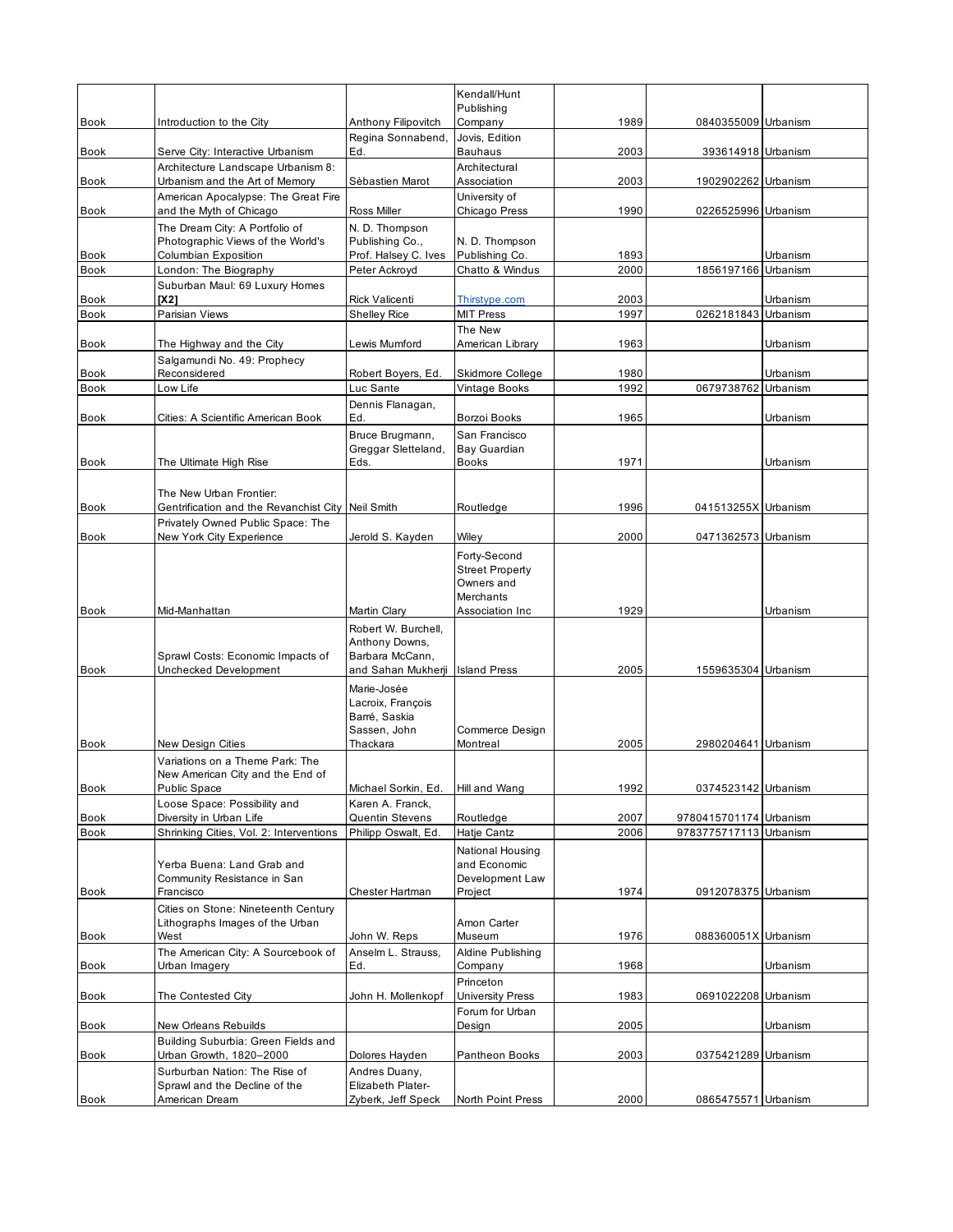|                            |                                                                                |                                                                               | Kendall/Hunt<br>Publishing                                        |              |                        |          |
|----------------------------|--------------------------------------------------------------------------------|-------------------------------------------------------------------------------|-------------------------------------------------------------------|--------------|------------------------|----------|
| <b>Book</b>                | Introduction to the City                                                       | Anthony Filipovitch                                                           | Company                                                           | 1989         | 0840355009 Urbanism    |          |
| <b>Book</b>                | Serve City: Interactive Urbanism                                               | Regina Sonnabend,<br>Ed.                                                      | Jovis, Edition<br><b>Bauhaus</b>                                  | 2003         | 393614918 Urbanism     |          |
| <b>Book</b>                | Architecture Landscape Urbanism 8:<br>Urbanism and the Art of Memory           | Sèbastien Marot                                                               | Architectural<br>Association                                      | 2003         | 1902902262 Urbanism    |          |
| Book                       | American Apocalypse: The Great Fire<br>and the Myth of Chicago                 | Ross Miller                                                                   | University of<br>Chicago Press                                    | 1990         | 0226525996 Urbanism    |          |
|                            | The Dream City: A Portfolio of                                                 | N. D. Thompson                                                                |                                                                   |              |                        |          |
| <b>Book</b>                | Photographic Views of the World's<br>Columbian Exposition                      | Publishing Co.,<br>Prof. Halsey C. Ives                                       | N. D. Thompson<br>Publishing Co.                                  | 1893         |                        | Urbanism |
| <b>Book</b>                | London: The Biography                                                          | Peter Ackroyd                                                                 | Chatto & Windus                                                   | 2000         | 1856197166             | Urbanism |
|                            | Suburban Maul: 69 Luxury Homes                                                 |                                                                               |                                                                   |              |                        |          |
| <b>Book</b><br><b>Book</b> | [X2]<br>Parisian Views                                                         | <b>Rick Valicenti</b><br><b>Shelley Rice</b>                                  | Thirstype.com<br><b>MIT Press</b>                                 | 2003<br>1997 | 0262181843 Urbanism    | Urbanism |
|                            |                                                                                |                                                                               | The New                                                           |              |                        |          |
| Book                       | The Highway and the City                                                       | Lewis Mumford                                                                 | American Library                                                  | 1963         |                        | Urbanism |
| <b>Book</b>                | Salgamundi No. 49: Prophecy<br>Reconsidered                                    | Robert Boyers, Ed.                                                            | Skidmore College                                                  | 1980         |                        | Urbanism |
| <b>Book</b>                | Low Life                                                                       | Luc Sante                                                                     | Vintage Books                                                     | 1992         | 0679738762 Urbanism    |          |
|                            |                                                                                | Dennis Flanagan,                                                              |                                                                   |              |                        |          |
| Book                       | Cities: A Scientific American Book                                             | Ed.                                                                           | Borzoi Books                                                      | 1965         |                        | Urbanism |
|                            |                                                                                | Bruce Brugmann,<br>Greggar Sletteland,                                        | San Francisco<br>Bay Guardian                                     |              |                        |          |
| <b>Book</b>                | The Ultimate High Rise                                                         | Eds.                                                                          | <b>Books</b>                                                      | 1971         |                        | Urbanism |
|                            |                                                                                |                                                                               |                                                                   |              |                        |          |
| Book                       | The New Urban Frontier:<br>Gentrification and the Revanchist City Neil Smith   |                                                                               | Routledge                                                         | 1996         | 041513255X Urbanism    |          |
|                            | Privately Owned Public Space: The                                              |                                                                               |                                                                   |              |                        |          |
| Book                       | New York City Experience                                                       | Jerold S. Kayden                                                              | Wiley                                                             | 2000         | 0471362573 Urbanism    |          |
|                            |                                                                                |                                                                               | Forty-Second<br><b>Street Property</b><br>Owners and<br>Merchants |              |                        |          |
| <b>Book</b>                | Mid-Manhattan                                                                  | Martin Clary                                                                  | Association Inc                                                   | 1929         |                        | Urbanism |
|                            | Sprawl Costs: Economic Impacts of                                              | Robert W. Burchell,<br>Anthony Downs,<br>Barbara McCann,                      |                                                                   |              |                        |          |
| <b>Book</b>                | Unchecked Development                                                          | and Sahan Mukherji                                                            | <b>Island Press</b>                                               | 2005         | 1559635304 Urbanism    |          |
| <b>Book</b>                | New Design Cities                                                              | Marie-Josée<br>Lacroix, François<br>Barré, Saskia<br>Sassen, John<br>Thackara | Commerce Design<br>Montreal                                       | 2005         | 2980204641 Urbanism    |          |
|                            | Variations on a Theme Park: The                                                |                                                                               |                                                                   |              |                        |          |
| Book                       | New American City and the End of<br><b>Public Space</b>                        | Michael Sorkin, Ed.                                                           | Hill and Wang                                                     | 1992         | 0374523142 Urbanism    |          |
|                            | Loose Space: Possibility and                                                   | Karen A. Franck,                                                              |                                                                   |              |                        |          |
| Book                       | Diversity in Urban Life                                                        | <b>Quentin Stevens</b>                                                        | Routledge                                                         | 2007         | 9780415701174 Urbanism |          |
| Book                       | Shrinking Cities, Vol. 2: Interventions                                        | Philipp Oswalt, Ed.                                                           | Hatje Cantz                                                       | 2006         | 9783775717113 Urbanism |          |
|                            | Yerba Buena: Land Grab and<br>Community Resistance in San                      |                                                                               | National Housing<br>and Economic<br>Development Law               |              |                        |          |
| Book                       | Francisco                                                                      | Chester Hartman                                                               | Project                                                           | 1974         | 0912078375 Urbanism    |          |
|                            | Cities on Stone: Nineteenth Century<br>Lithographs Images of the Urban<br>West | John W. Reps                                                                  | Amon Carter<br>Museum                                             | 1976         | 088360051X Urbanism    |          |
| Book                       | The American City: A Sourcebook of                                             | Anselm L. Strauss,                                                            | Aldine Publishing                                                 |              |                        |          |
| Book                       | Urban Imagery                                                                  | Ed.                                                                           | Company                                                           | 1968         |                        | Urbanism |
| Book                       | The Contested City                                                             | John H. Mollenkopf                                                            | Princeton<br><b>University Press</b>                              | 1983         | 0691022208 Urbanism    |          |
| Book                       | New Orleans Rebuilds                                                           |                                                                               | Forum for Urban<br>Design                                         | 2005         |                        | Urbanism |
| Book                       | Building Suburbia: Green Fields and<br>Urban Growth, 1820-2000                 | Dolores Hayden                                                                | Pantheon Books                                                    | 2003         | 0375421289 Urbanism    |          |
|                            |                                                                                |                                                                               |                                                                   |              |                        |          |
|                            | Surburban Nation: The Rise of                                                  | Andres Duany,                                                                 |                                                                   |              |                        |          |
| Book                       | Sprawl and the Decline of the<br>American Dream                                | Elizabeth Plater-<br>Zyberk, Jeff Speck                                       | North Point Press                                                 | 2000         | 0865475571 Urbanism    |          |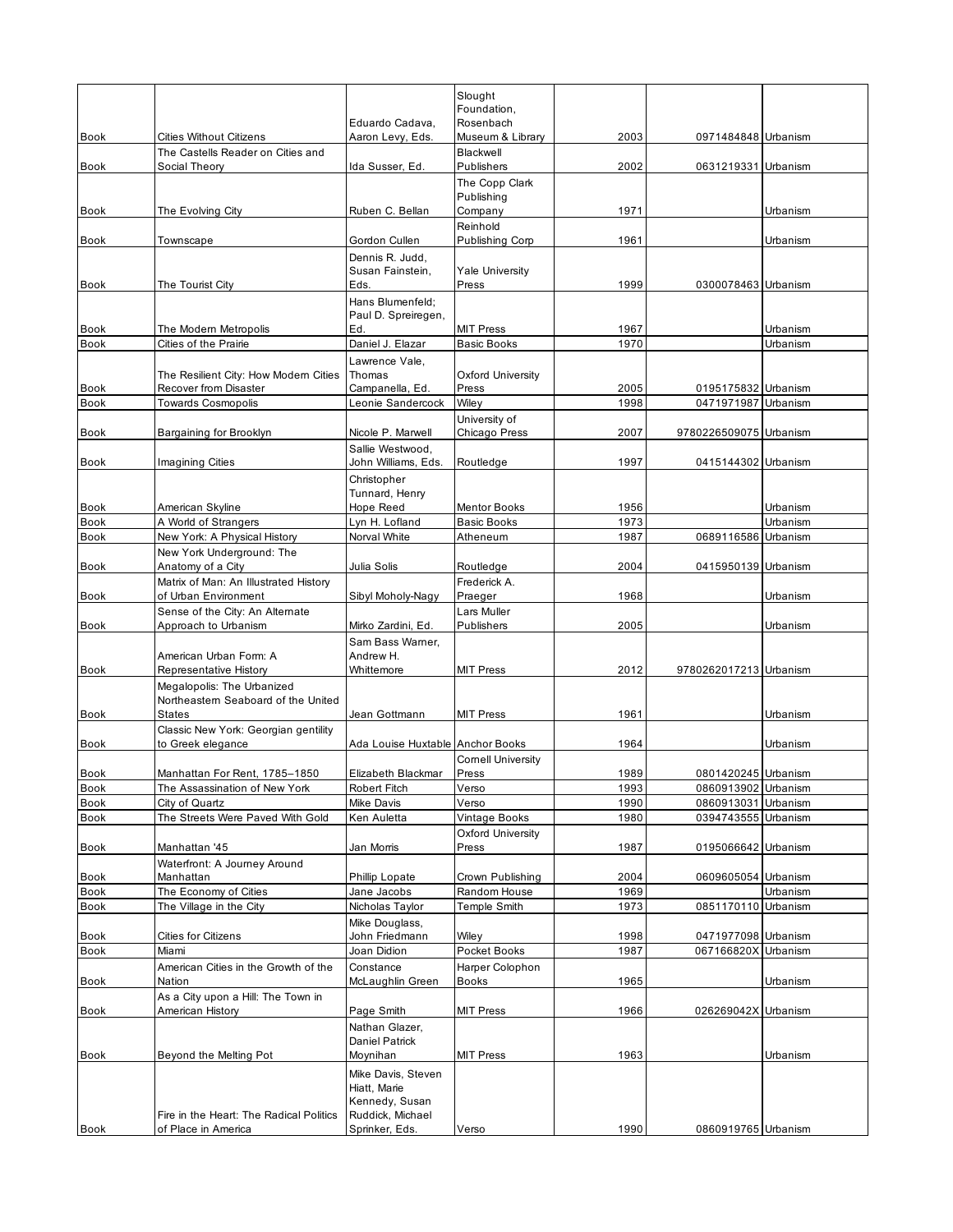|             |                                                                |                                     | Slought                           |      |                        |          |
|-------------|----------------------------------------------------------------|-------------------------------------|-----------------------------------|------|------------------------|----------|
|             |                                                                |                                     | Foundation,                       |      |                        |          |
| <b>Book</b> | <b>Cities Without Citizens</b>                                 | Eduardo Cadava,<br>Aaron Levy, Eds. | Rosenbach<br>Museum & Library     | 2003 | 0971484848 Urbanism    |          |
|             | The Castells Reader on Cities and                              |                                     | Blackwell                         |      |                        |          |
| <b>Book</b> | Social Theory                                                  | Ida Susser, Ed.                     | Publishers                        | 2002 | 0631219331 Urbanism    |          |
|             |                                                                |                                     | The Copp Clark                    |      |                        |          |
| Book        | The Evolving City                                              | Ruben C. Bellan                     | Publishing<br>Company             | 1971 |                        | Urbanism |
|             |                                                                |                                     | Reinhold                          |      |                        |          |
| <b>Book</b> | Townscape                                                      | Gordon Cullen                       | Publishing Corp                   | 1961 |                        | Urbanism |
|             |                                                                | Dennis R. Judd,                     |                                   |      |                        |          |
|             |                                                                | Susan Fainstein,                    | <b>Yale University</b>            |      |                        |          |
| Book        | The Tourist City                                               | Eds.<br>Hans Blumenfeld;            | Press                             | 1999 | 0300078463 Urbanism    |          |
|             |                                                                | Paul D. Spreiregen,                 |                                   |      |                        |          |
| <b>Book</b> | The Modern Metropolis                                          | Ed.                                 | <b>MIT Press</b>                  | 1967 |                        | Urbanism |
| <b>Book</b> | Cities of the Prairie                                          | Daniel J. Elazar                    | <b>Basic Books</b>                | 1970 |                        | Urbanism |
|             |                                                                | Lawrence Vale,                      |                                   |      |                        |          |
| <b>Book</b> | The Resilient City: How Modern Cities<br>Recover from Disaster | Thomas<br>Campanella, Ed.           | Oxford University<br>Press        | 2005 | 0195175832 Urbanism    |          |
| Book        | <b>Towards Cosmopolis</b>                                      | Leonie Sandercock                   | Wiley                             | 1998 | 0471971987             | Urbanism |
|             |                                                                |                                     | University of                     |      |                        |          |
| <b>Book</b> | Bargaining for Brooklyn                                        | Nicole P. Marwell                   | Chicago Press                     | 2007 | 9780226509075 Urbanism |          |
|             |                                                                | Sallie Westwood,                    |                                   |      |                        |          |
| <b>Book</b> | <b>Imagining Cities</b>                                        | John Williams, Eds.                 | Routledge                         | 1997 | 0415144302 Urbanism    |          |
|             |                                                                | Christopher<br>Tunnard, Henry       |                                   |      |                        |          |
| <b>Book</b> | American Skyline                                               | Hope Reed                           | <b>Mentor Books</b>               | 1956 |                        | Urbanism |
| <b>Book</b> | A World of Strangers                                           | Lyn H. Lofland                      | <b>Basic Books</b>                | 1973 |                        | Urbanism |
| <b>Book</b> | New York: A Physical History                                   | Norval White                        | Atheneum                          | 1987 | 0689116586 Urbanism    |          |
| Book        | New York Underground: The                                      | Julia Solis                         |                                   | 2004 | 0415950139 Urbanism    |          |
|             | Anatomy of a City<br>Matrix of Man: An Illustrated History     |                                     | Routledge<br>Frederick A.         |      |                        |          |
| Book        | of Urban Environment                                           | Sibyl Moholy-Nagy                   | Praeger                           | 1968 |                        | Urbanism |
|             | Sense of the City: An Altemate                                 |                                     | Lars Muller                       |      |                        |          |
| Book        | Approach to Urbanism                                           | Mirko Zardini, Ed.                  | Publishers                        | 2005 |                        | Urbanism |
|             |                                                                | Sam Bass Warner,                    |                                   |      |                        |          |
| Book        | American Urban Form: A<br>Representative History               | Andrew H.<br>Whittemore             | <b>MIT Press</b>                  | 2012 | 9780262017213 Urbanism |          |
|             | Megalopolis: The Urbanized                                     |                                     |                                   |      |                        |          |
|             | Northeastern Seaboard of the United                            |                                     |                                   |      |                        |          |
| Book        | <b>States</b>                                                  | Jean Gottmann                       | <b>MIT Press</b>                  | 1961 |                        | Urbanism |
|             | Classic New York: Georgian gentility                           |                                     |                                   |      |                        |          |
| Book        | to Greek elegance                                              | Ada Louise Huxtable Anchor Books    | <b>Cornell University</b>         | 1964 |                        | Urbanism |
| Book        | Manhattan For Rent, 1785-1850                                  | Elizabeth Blackmar                  | Press                             | 1989 | 0801420245 Urbanism    |          |
| Book        | The Assassination of New York                                  | <b>Robert Fitch</b>                 | Verso                             | 1993 | 0860913902 Urbanism    |          |
| Book        | City of Quartz                                                 | Mike Davis                          | Verso                             | 1990 | 0860913031 Urbanism    |          |
| <b>Book</b> | The Streets Were Paved With Gold                               | Ken Auletta                         | Vintage Books                     | 1980 | 0394743555 Urbanism    |          |
| Book        | Manhattan '45                                                  | Jan Morris                          | <b>Oxford University</b><br>Press | 1987 | 0195066642 Urbanism    |          |
|             | Waterfront: A Journey Around                                   |                                     |                                   |      |                        |          |
| Book        | Manhattan                                                      | Phillip Lopate                      | Crown Publishing                  | 2004 | 0609605054 Urbanism    |          |
| Book        | The Economy of Cities                                          | Jane Jacobs                         | Random House                      | 1969 |                        | Urbanism |
| Book        | The Village in the City                                        | Nicholas Taylor                     | Temple Smith                      | 1973 | 0851170110 Urbanism    |          |
| <b>Book</b> | Cities for Citizens                                            | Mike Douglass,<br>John Friedmann    | Wiley                             | 1998 | 0471977098 Urbanism    |          |
| Book        | Miami                                                          | Joan Didion                         | Pocket Books                      | 1987 | 067166820X Urbanism    |          |
|             | American Cities in the Growth of the                           | Constance                           | Harper Colophon                   |      |                        |          |
| Book        | Nation                                                         | McLaughlin Green                    | Books                             | 1965 |                        | Urbanism |
| Book        | As a City upon a Hill: The Town in<br>American History         | Page Smith                          | <b>MIT Press</b>                  | 1966 | 026269042X Urbanism    |          |
|             |                                                                | Nathan Glazer,                      |                                   |      |                        |          |
|             |                                                                | <b>Daniel Patrick</b>               |                                   |      |                        |          |
| Book        | Beyond the Melting Pot                                         | Moynihan                            | <b>MIT Press</b>                  | 1963 |                        | Urbanism |
|             |                                                                | Mike Davis, Steven<br>Hiatt, Marie  |                                   |      |                        |          |
|             |                                                                | Kennedy, Susan                      |                                   |      |                        |          |
|             | Fire in the Heart: The Radical Politics                        | Ruddick, Michael                    |                                   |      |                        |          |
| Book        | of Place in America                                            | Sprinker, Eds.                      | Verso                             | 1990 | 0860919765 Urbanism    |          |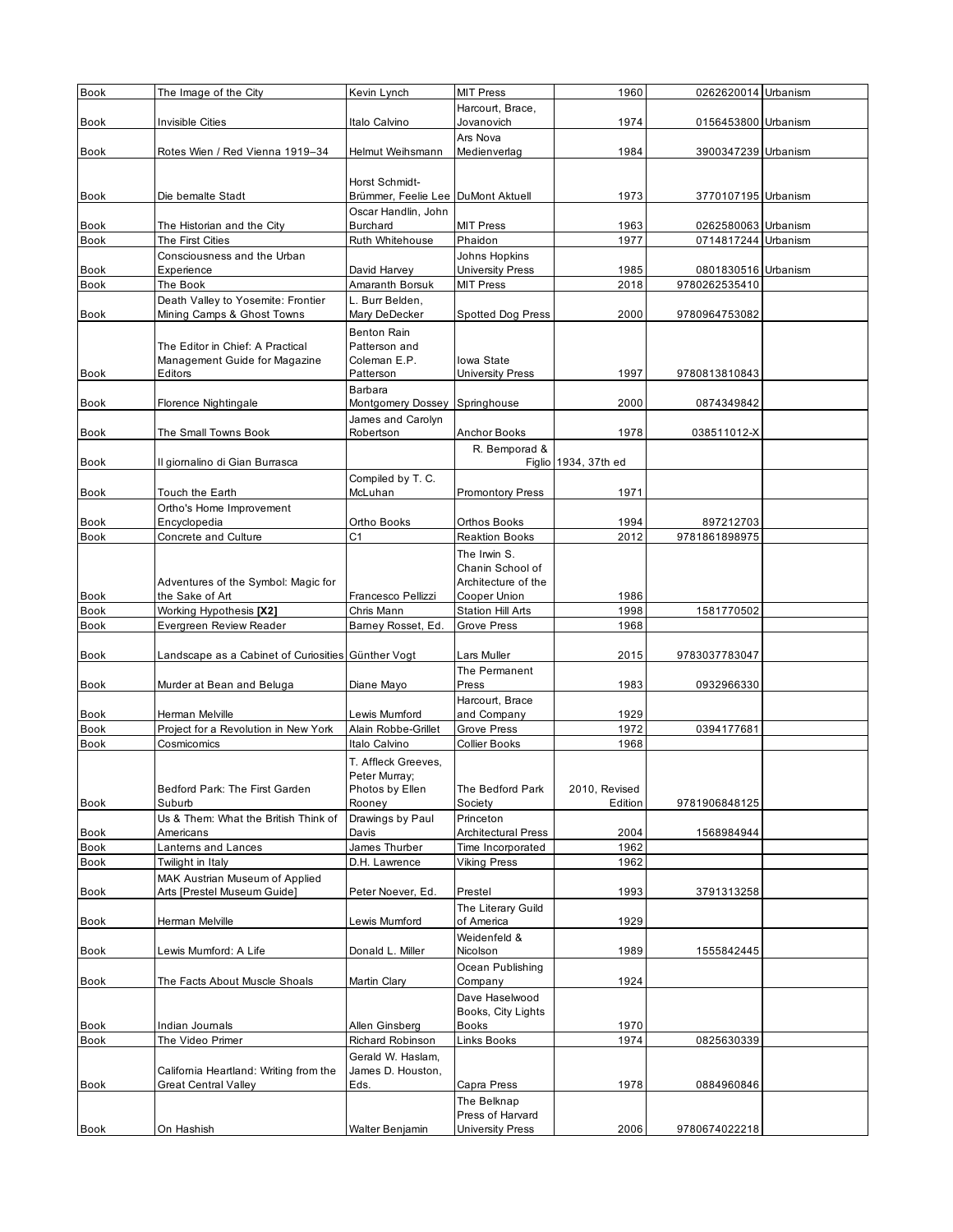| Book         | The Image of the City                                             | Kevin Lynch                                          | <b>MIT Press</b>                        | 1960                 | 0262620014 Urbanism |  |
|--------------|-------------------------------------------------------------------|------------------------------------------------------|-----------------------------------------|----------------------|---------------------|--|
|              |                                                                   |                                                      | Harcourt, Brace,                        |                      |                     |  |
| <b>Book</b>  | Invisible Cities                                                  | Italo Calvino                                        | Jovanovich                              | 1974                 | 0156453800 Urbanism |  |
|              |                                                                   |                                                      | Ars Nova                                |                      |                     |  |
| <b>Book</b>  | Rotes Wien / Red Vienna 1919-34                                   | Helmut Weihsmann                                     | Medienverlag                            | 1984                 | 3900347239 Urbanism |  |
|              |                                                                   |                                                      |                                         |                      |                     |  |
| Book         | Die bemalte Stadt                                                 | Horst Schmidt-<br>Brümmer, Feelie Lee DuMont Aktuell |                                         | 1973                 | 3770107195 Urbanism |  |
|              |                                                                   | Oscar Handlin, John                                  |                                         |                      |                     |  |
| <b>Book</b>  | The Historian and the City                                        | Burchard                                             | <b>MIT Press</b>                        | 1963                 | 0262580063 Urbanism |  |
| <b>Book</b>  | The First Cities                                                  | Ruth Whitehouse                                      | Phaidon                                 | 1977                 | 0714817244 Urbanism |  |
|              | Consciousness and the Urban                                       |                                                      | Johns Hopkins                           |                      |                     |  |
| Book         | Experience                                                        | David Harvey                                         | University Press                        | 1985                 | 0801830516 Urbanism |  |
| <b>Book</b>  | The Book                                                          | Amaranth Borsuk                                      | <b>MIT Press</b>                        | 2018                 | 9780262535410       |  |
|              | Death Valley to Yosemite: Frontier                                | L. Burr Belden.                                      |                                         |                      |                     |  |
| Book         | Mining Camps & Ghost Towns                                        | Mary DeDecker                                        | <b>Spotted Dog Press</b>                | 2000                 | 9780964753082       |  |
|              |                                                                   | <b>Benton Rain</b>                                   |                                         |                      |                     |  |
|              | The Editor in Chief: A Practical<br>Management Guide for Magazine | Patterson and<br>Coleman E.P.                        | <b>lowa State</b>                       |                      |                     |  |
| <b>Book</b>  | Editors                                                           | Patterson                                            | <b>University Press</b>                 | 1997                 | 9780813810843       |  |
|              |                                                                   | Barbara                                              |                                         |                      |                     |  |
| <b>Book</b>  | Florence Nightingale                                              | Montgomery Dossey                                    | Springhouse                             | 2000                 | 0874349842          |  |
|              |                                                                   | James and Carolyn                                    |                                         |                      |                     |  |
| Book         | The Small Towns Book                                              | Robertson                                            | Anchor Books                            | 1978                 | 038511012-X         |  |
|              |                                                                   |                                                      | R. Bemporad &                           |                      |                     |  |
| <b>Book</b>  | Il giornalino di Gian Burrasca                                    |                                                      |                                         | Figlio 1934, 37th ed |                     |  |
| Book         | Touch the Earth                                                   | Compiled by T. C.<br>McLuhan                         | <b>Promontory Press</b>                 | 1971                 |                     |  |
|              | Ortho's Home Improvement                                          |                                                      |                                         |                      |                     |  |
| Book         | Encyclopedia                                                      | Ortho Books                                          | Orthos Books                            | 1994                 | 897212703           |  |
| <b>Book</b>  | Concrete and Culture                                              | C1                                                   | <b>Reaktion Books</b>                   | 2012                 | 9781861898975       |  |
|              |                                                                   |                                                      | The Irwin S.                            |                      |                     |  |
|              |                                                                   |                                                      | Chanin School of                        |                      |                     |  |
|              | Adventures of the Symbol: Magic for                               |                                                      | Architecture of the                     |                      |                     |  |
| Book         | the Sake of Art                                                   | Francesco Pellizzi                                   | Cooper Union                            | 1986                 |                     |  |
| Book<br>Book | Working Hypothesis [X2]<br>Evergreen Review Reader                | Chris Mann<br>Barney Rosset, Ed.                     | <b>Station Hill Arts</b><br>Grove Press | 1998<br>1968         | 1581770502          |  |
|              |                                                                   |                                                      |                                         |                      |                     |  |
| Book         | Landscape as a Cabinet of Curiosities Günther Vogt                |                                                      | Lars Muller                             | 2015                 | 9783037783047       |  |
|              |                                                                   |                                                      | The Permanent                           |                      |                     |  |
| Book         | Murder at Bean and Beluga                                         | Diane Mayo                                           | Press                                   | 1983                 | 0932966330          |  |
|              |                                                                   |                                                      | Harcourt, Brace                         |                      |                     |  |
| Book         | Herman Melville                                                   | Lewis Mumford                                        | and Company                             | 1929                 |                     |  |
| Book         | Project for a Revolution in New York                              | Alain Robbe-Grillet                                  | <b>Grove Press</b>                      | 1972                 | 0394177681          |  |
| Book         | Cosmicomics                                                       | Italo Calvino                                        | <b>Collier Books</b>                    | 1968                 |                     |  |
|              |                                                                   | T. Affleck Greeves.                                  |                                         |                      |                     |  |
|              | Bedford Park: The First Garden                                    | Peter Murray;<br>Photos by Ellen                     | The Bedford Park                        | 2010, Revised        |                     |  |
| Book         | Suburb                                                            | Rooney                                               | Society                                 | Edition              | 9781906848125       |  |
|              | Us & Them: What the British Think of                              | Drawings by Paul                                     | Princeton                               |                      |                     |  |
| Book         | Americans                                                         | Davis                                                | <b>Architectural Press</b>              | 2004                 | 1568984944          |  |
| Book         | Lanterns and Lances                                               | James Thurber                                        | Time Incorporated                       | 1962                 |                     |  |
| Book         | Twilight in Italy                                                 | D.H. Lawrence                                        | Viking Press                            | 1962                 |                     |  |
|              | MAK Austrian Museum of Applied                                    |                                                      |                                         |                      |                     |  |
| Book         | Arts [Prestel Museum Guide]                                       | Peter Noever, Ed.                                    | Prestel                                 | 1993                 | 3791313258          |  |
| Book         | Herman Melville                                                   | Lewis Mumford                                        | The Literary Guild<br>of America        | 1929                 |                     |  |
|              |                                                                   |                                                      | Weidenfeld &                            |                      |                     |  |
| Book         | Lewis Mumford: A Life                                             | Donald L. Miller                                     | Nicolson                                | 1989                 | 1555842445          |  |
|              |                                                                   |                                                      | Ocean Publishing                        |                      |                     |  |
| Book         | The Facts About Muscle Shoals                                     | Martin Clary                                         | Company                                 | 1924                 |                     |  |
|              |                                                                   |                                                      | Dave Haselwood                          |                      |                     |  |
|              |                                                                   |                                                      | Books, City Lights                      |                      |                     |  |
| Book         | Indian Journals                                                   | Allen Ginsberg                                       | Books                                   | 1970                 |                     |  |
| Book         | The Video Primer                                                  | Richard Robinson                                     | Links Books                             | 1974                 | 0825630339          |  |
|              | California Heartland: Writing from the                            | Gerald W. Haslam,<br>James D. Houston,               |                                         |                      |                     |  |
| Book         | Great Central Valley                                              | Eds.                                                 | Capra Press                             | 1978                 | 0884960846          |  |
|              |                                                                   |                                                      | The Belknap                             |                      |                     |  |
|              |                                                                   |                                                      | Press of Harvard                        |                      |                     |  |
| Book         | On Hashish                                                        | Walter Benjamin                                      | <b>University Press</b>                 | 2006                 | 9780674022218       |  |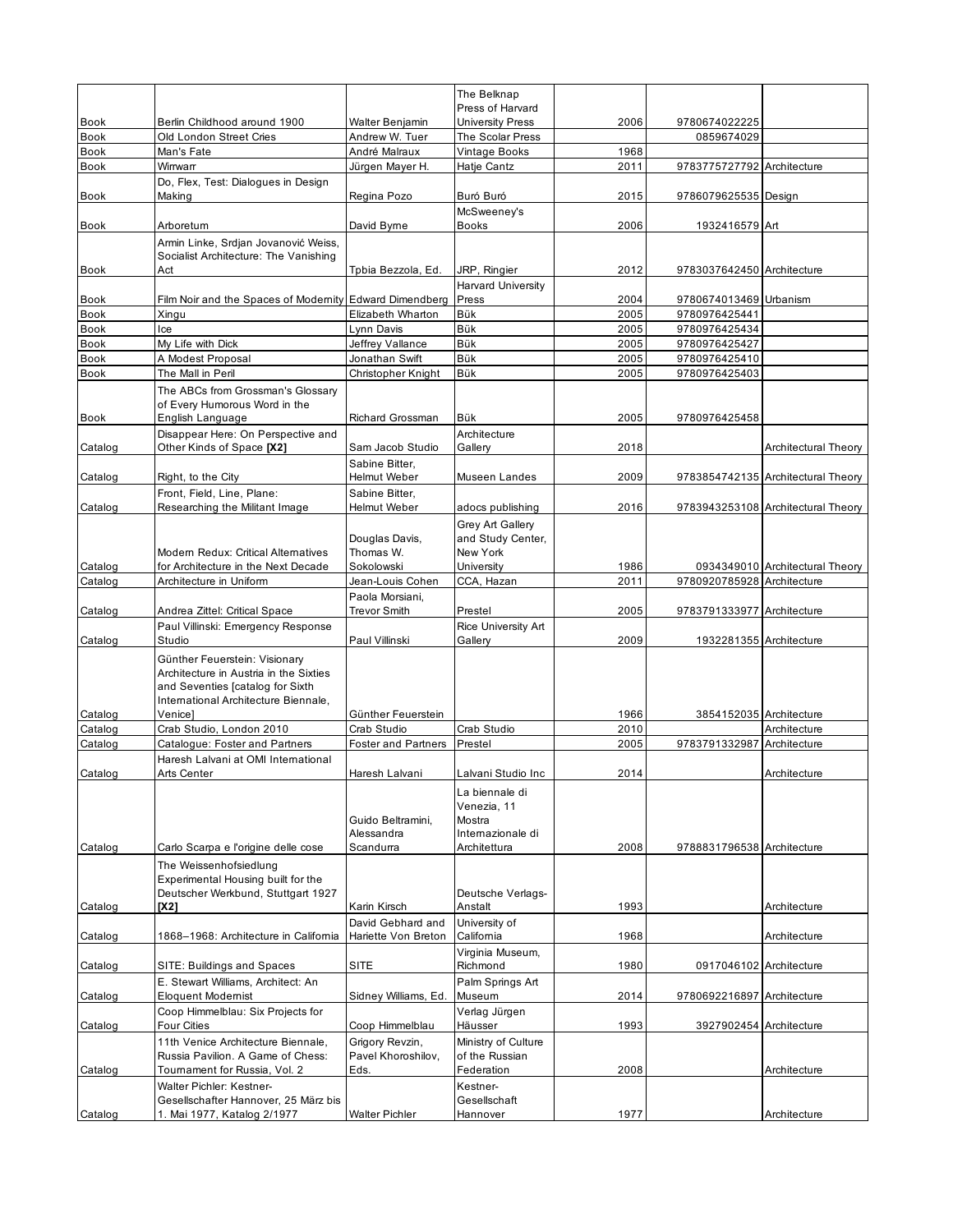|                            |                                                                               |                                      | The Belknap                                        |              |                                |                                    |
|----------------------------|-------------------------------------------------------------------------------|--------------------------------------|----------------------------------------------------|--------------|--------------------------------|------------------------------------|
|                            |                                                                               |                                      | Press of Harvard                                   |              |                                |                                    |
| <b>Book</b><br><b>Book</b> | Berlin Childhood around 1900<br>Old London Street Cries                       | Walter Benjamin<br>Andrew W. Tuer    | <b>University Press</b><br><b>The Scolar Press</b> | 2006         | 9780674022225<br>0859674029    |                                    |
| <b>Book</b>                | Man's Fate                                                                    | André Malraux                        | Vintage Books                                      | 1968         |                                |                                    |
| Book                       | Wirrwarr                                                                      | Jürgen Mayer H.                      | Hatje Cantz                                        | 2011         | 9783775727792 Architecture     |                                    |
|                            | Do, Flex, Test: Dialogues in Design                                           |                                      |                                                    |              |                                |                                    |
| <b>Book</b>                | Making                                                                        | Regina Pozo                          | Buró Buró                                          | 2015         | 9786079625535 Design           |                                    |
|                            |                                                                               |                                      | McSweeney's                                        |              |                                |                                    |
| <b>Book</b>                | Arboretum                                                                     | David Byme                           | Books                                              | 2006         | 1932416579 Art                 |                                    |
|                            | Armin Linke, Srdjan Jovanović Weiss,<br>Socialist Architecture: The Vanishing |                                      |                                                    |              |                                |                                    |
| Book                       | Act                                                                           | Tpbia Bezzola, Ed.                   | JRP, Ringier                                       | 2012         | 9783037642450 Architecture     |                                    |
|                            |                                                                               |                                      | <b>Harvard University</b>                          |              |                                |                                    |
| <b>Book</b>                | Film Noir and the Spaces of Modernity Edward Dimendberg                       |                                      | Press                                              | 2004         | 9780674013469 Urbanism         |                                    |
| <b>Book</b>                | Xingu                                                                         | Elizabeth Wharton                    | Bük                                                | 2005         | 9780976425441                  |                                    |
| <b>Book</b>                | Ice                                                                           | Lynn Davis                           | Bük                                                | 2005         | 9780976425434                  |                                    |
| <b>Book</b>                | My Life with Dick                                                             | Jeffrey Vallance                     | Bük                                                | 2005         | 9780976425427                  |                                    |
| Book<br><b>Book</b>        | A Modest Proposal<br>The Mall in Peril                                        | Jonathan Swift<br>Christopher Knight | Bük<br>Bük                                         | 2005<br>2005 | 9780976425410<br>9780976425403 |                                    |
|                            | The ABCs from Grossman's Glossary                                             |                                      |                                                    |              |                                |                                    |
|                            | of Every Humorous Word in the                                                 |                                      |                                                    |              |                                |                                    |
| <b>Book</b>                | English Language                                                              | <b>Richard Grossman</b>              | Bük                                                | 2005         | 9780976425458                  |                                    |
|                            | Disappear Here: On Perspective and                                            |                                      | Architecture                                       |              |                                |                                    |
| Catalog                    | Other Kinds of Space [X2]                                                     | Sam Jacob Studio                     | Gallery                                            | 2018         |                                | Architectural Theory               |
|                            |                                                                               | Sabine Bitter,                       |                                                    |              |                                |                                    |
| Catalog                    | Right, to the City                                                            | Helmut Weber                         | Museen Landes                                      | 2009         |                                | 9783854742135 Architectural Theory |
| Catalog                    | Front, Field, Line, Plane:<br>Researching the Militant Image                  | Sabine Bitter,<br>Helmut Weber       | adocs publishing                                   | 2016         |                                | 9783943253108 Architectural Theory |
|                            |                                                                               |                                      |                                                    |              |                                |                                    |
|                            |                                                                               | Douglas Davis,                       | Grey Art Gallery<br>and Study Center,              |              |                                |                                    |
|                            | Modern Redux: Critical Alternatives                                           | Thomas W.                            | New York                                           |              |                                |                                    |
| Catalog                    | for Architecture in the Next Decade                                           | Sokolowski                           | University                                         | 1986         |                                | 0934349010 Architectural Theory    |
| Catalog                    | Architecture in Uniform                                                       | Jean-Louis Cohen                     | CCA, Hazan                                         | 2011         | 9780920785928 Architecture     |                                    |
|                            |                                                                               | Paola Morsiani,                      |                                                    |              |                                |                                    |
| Catalog                    | Andrea Zittel: Critical Space                                                 | Trevor Smith                         | Prestel                                            | 2005         | 9783791333977 Architecture     |                                    |
| Catalog                    | Paul Villinski: Emergency Response<br>Studio                                  | Paul Villinski                       | Rice University Art<br>Gallery                     | 2009         | 1932281355 Architecture        |                                    |
|                            |                                                                               |                                      |                                                    |              |                                |                                    |
|                            | Günther Feuerstein: Visionary<br>Architecture in Austria in the Sixties       |                                      |                                                    |              |                                |                                    |
|                            | and Seventies [catalog for Sixth                                              |                                      |                                                    |              |                                |                                    |
|                            | International Architecture Biennale.                                          |                                      |                                                    |              |                                |                                    |
| Catalog                    | Venice]                                                                       | Günther Feuerstein                   |                                                    | 1966         | 3854152035 Architecture        |                                    |
| Catalog                    | Crab Studio, London 2010                                                      | Crab Studio                          | Crab Studio                                        | 2010<br>2005 |                                | Architecture                       |
| Catalog                    | Catalogue: Foster and Partners<br>Haresh Lalvani at OMI International         | <b>Foster and Partners</b>           | Prestel                                            |              | 9783791332987 Architecture     |                                    |
| Catalog                    | Arts Center                                                                   | Haresh Lalvani                       | Lalvani Studio Inc                                 | 2014         |                                | Architecture                       |
|                            |                                                                               |                                      | La biennale di                                     |              |                                |                                    |
|                            |                                                                               |                                      | Venezia, 11                                        |              |                                |                                    |
|                            |                                                                               | Guido Beltramini,                    | Mostra                                             |              |                                |                                    |
|                            |                                                                               | Alessandra                           | Internazionale di                                  |              |                                |                                    |
| Catalog                    | Carlo Scarpa e l'origine delle cose                                           | Scandurra                            | Architettura                                       | 2008         | 9788831796538 Architecture     |                                    |
|                            | The Weissenhofsiedlung                                                        |                                      |                                                    |              |                                |                                    |
|                            | Experimental Housing built for the<br>Deutscher Werkbund, Stuttgart 1927      |                                      | Deutsche Verlags-                                  |              |                                |                                    |
| Catalog                    | [X2]                                                                          | Karin Kirsch                         | Anstalt                                            | 1993         |                                | Architecture                       |
|                            |                                                                               | David Gebhard and                    | University of                                      |              |                                |                                    |
| Catalog                    | 1868-1968: Architecture in California                                         | Hariette Von Breton                  | California                                         | 1968         |                                | Architecture                       |
|                            |                                                                               |                                      | Virginia Museum,                                   |              |                                |                                    |
| Catalog                    | SITE: Buildings and Spaces                                                    | SITE                                 | Richmond                                           | 1980         | 0917046102 Architecture        |                                    |
|                            | E. Stewart Williams. Architect: An                                            |                                      | Palm Springs Art                                   |              |                                |                                    |
| Catalog                    | <b>Eloquent Modernist</b><br>Coop Himmelblau: Six Projects for                | Sidney Williams, Ed.                 | Museum<br>Verlag Jürgen                            | 2014         | 9780692216897 Architecture     |                                    |
| Catalog                    | Four Cities                                                                   | Coop Himmelblau                      | Häusser                                            | 1993         | 3927902454 Architecture        |                                    |
|                            | 11th Venice Architecture Biennale,                                            | Grigory Revzin,                      | Ministry of Culture                                |              |                                |                                    |
|                            | Russia Pavilion. A Game of Chess:                                             | Pavel Khoroshilov,                   | of the Russian                                     |              |                                |                                    |
| Catalog                    | Toumament for Russia, Vol. 2                                                  | Eds.                                 | Federation                                         | 2008         |                                | Architecture                       |
|                            | Walter Pichler: Kestner-                                                      |                                      | Kestner-                                           |              |                                |                                    |
|                            | Gesellschafter Hannover, 25 März bis                                          |                                      | Gesellschaft                                       |              |                                |                                    |
| Catalog                    | 1. Mai 1977, Katalog 2/1977                                                   | Walter Pichler                       | Hannover                                           | 1977         |                                | Architecture                       |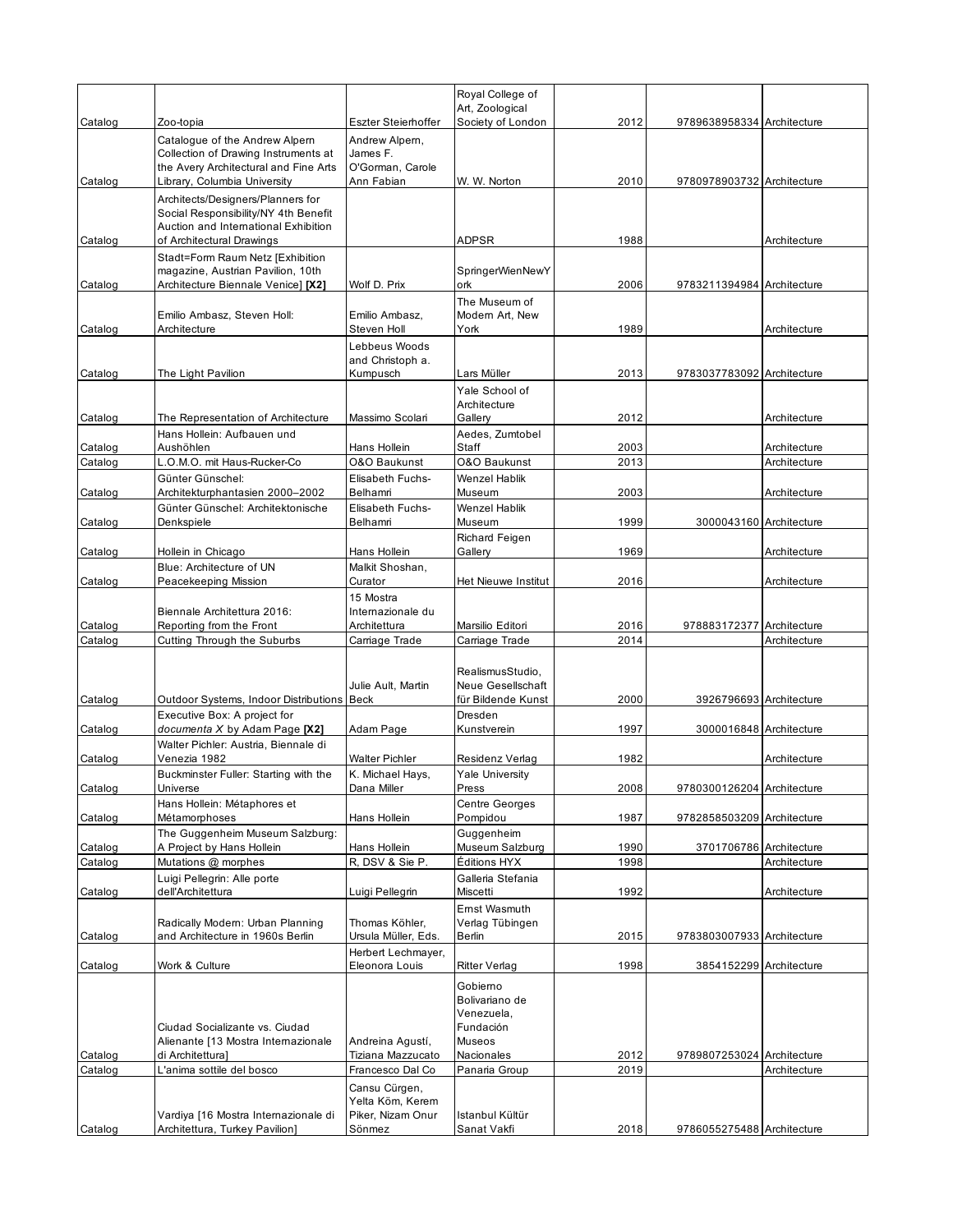|                    |                                                                         |                                           | Royal College of                 |              |                            |                              |
|--------------------|-------------------------------------------------------------------------|-------------------------------------------|----------------------------------|--------------|----------------------------|------------------------------|
|                    |                                                                         |                                           | Art, Zoological                  |              |                            |                              |
| Catalog            | Zoo-topia                                                               | Eszter Steierhoffer                       | Society of London                | 2012         | 9789638958334 Architecture |                              |
|                    | Catalogue of the Andrew Alpern<br>Collection of Drawing Instruments at  | Andrew Alpern,<br>James F.                |                                  |              |                            |                              |
|                    | the Avery Architectural and Fine Arts                                   | O'Gorman, Carole                          |                                  |              |                            |                              |
| Catalog            | Library, Columbia University                                            | Ann Fabian                                | W. W. Norton                     | 2010         | 9780978903732 Architecture |                              |
|                    | Architects/Designers/Planners for                                       |                                           |                                  |              |                            |                              |
|                    | Social Responsibility/NY 4th Benefit                                    |                                           |                                  |              |                            |                              |
|                    | Auction and International Exhibition                                    |                                           |                                  |              |                            |                              |
| Catalog            | of Architectural Drawings                                               |                                           | <b>ADPSR</b>                     | 1988         |                            | Architecture                 |
|                    | Stadt=Form Raum Netz [Exhibition                                        |                                           |                                  |              |                            |                              |
|                    | magazine, Austrian Pavilion, 10th<br>Architecture Biennale Venice] [X2] |                                           | SpringerWienNewY<br>ork          | 2006         |                            |                              |
| Catalog            |                                                                         | Wolf D. Prix                              |                                  |              | 9783211394984 Architecture |                              |
|                    | Emilio Ambasz, Steven Holl:                                             | Emilio Ambasz,                            | The Museum of<br>Modern Art, New |              |                            |                              |
| Catalog            | Architecture                                                            | Steven Holl                               | York                             | 1989         |                            | Architecture                 |
|                    |                                                                         | Lebbeus Woods                             |                                  |              |                            |                              |
|                    |                                                                         | and Christoph a.                          |                                  |              |                            |                              |
| Catalog            | The Light Pavilion                                                      | Kumpusch                                  | Lars Müller                      | 2013         | 9783037783092 Architecture |                              |
|                    |                                                                         |                                           | Yale School of                   |              |                            |                              |
|                    |                                                                         |                                           | Architecture                     |              |                            |                              |
| Catalog            | The Representation of Architecture                                      | Massimo Scolari                           | Gallery                          | 2012         |                            | Architecture                 |
|                    | Hans Hollein: Aufbauen und                                              |                                           | Aedes, Zumtobel                  |              |                            |                              |
| Catalog<br>Catalog | Aushöhlen<br>L.O.M.O. mit Haus-Rucker-Co                                | Hans Hollein<br>O&O Baukunst              | Staff<br><b>O&amp;O Baukunst</b> | 2003<br>2013 |                            | Architecture<br>Architecture |
|                    | Günter Günschel:                                                        | Elisabeth Fuchs-                          | <b>Wenzel Hablik</b>             |              |                            |                              |
| Catalog            | Architekturphantasien 2000–2002                                         | Belhamri                                  | Museum                           | 2003         |                            | Architecture                 |
|                    | Günter Günschel: Architektonische                                       | <b>Elisabeth Fuchs-</b>                   | Wenzel Hablik                    |              |                            |                              |
| Catalog            | Denkspiele                                                              | Belhamri                                  | Museum                           | 1999         | 3000043160 Architecture    |                              |
|                    |                                                                         |                                           | Richard Feigen                   |              |                            |                              |
| Catalog            | Hollein in Chicago                                                      | Hans Hollein                              | Gallery                          | 1969         |                            | Architecture                 |
|                    | Blue: Architecture of UN                                                | Malkit Shoshan,                           |                                  |              |                            |                              |
| Catalog            | Peacekeeping Mission                                                    | Curator                                   | Het Nieuwe Institut              | 2016         |                            | Architecture                 |
|                    |                                                                         | 15 Mostra                                 |                                  |              |                            |                              |
|                    | Biennale Architettura 2016:                                             | Internazionale du<br>Architettura         | Marsilio Editori                 | 2016         | 978883172377 Architecture  |                              |
| Catalog<br>Catalog | Reporting from the Front<br>Cutting Through the Suburbs                 | Carriage Trade                            | Carriage Trade                   | 2014         |                            | Architecture                 |
|                    |                                                                         |                                           |                                  |              |                            |                              |
|                    |                                                                         |                                           | RealismusStudio,                 |              |                            |                              |
|                    |                                                                         | Julie Ault, Martin                        | Neue Gesellschaft                |              |                            |                              |
| Catalog            | Outdoor Systems, Indoor Distributions Beck                              |                                           | für Bildende Kunst               | 2000         | 3926796693 Architecture    |                              |
|                    | Executive Box: A project for                                            |                                           | Dresden                          |              |                            |                              |
| Catalog            | documenta X by Adam Page [X2]                                           | Adam Page                                 | Kunstverein                      | 1997         | 3000016848 Architecture    |                              |
|                    | Walter Pichler: Austria, Biennale di                                    |                                           | Residenz Verlag                  |              |                            |                              |
| Catalog            | Venezia 1982                                                            | <b>Walter Pichler</b><br>K. Michael Havs. |                                  | 1982         |                            | Architecture                 |
| Catalog            | Buckminster Fuller: Starting with the<br>Universe                       | Dana Miller                               | <b>Yale University</b><br>Press  | 2008         | 9780300126204 Architecture |                              |
|                    | Hans Hollein: Métaphores et                                             |                                           | <b>Centre Georges</b>            |              |                            |                              |
| Catalog            | Métamorphoses                                                           | Hans Hollein                              | Pompidou                         | 1987         | 9782858503209 Architecture |                              |
|                    | The Guggenheim Museum Salzburg:                                         |                                           | Guggenheim                       |              |                            |                              |
| Catalog            | A Project by Hans Hollein                                               | Hans Hollein                              | Museum Salzburg                  | 1990         | 3701706786 Architecture    |                              |
| Catalog            | Mutations @ morphes                                                     | R, DSV & Sie P.                           | Éditions HYX                     | 1998         |                            | Architecture                 |
|                    | Luigi Pellegrin: Alle porte                                             |                                           | Galleria Stefania                |              |                            |                              |
| Catalog            | dell'Architettura                                                       | Luigi Pellegrin                           | Miscetti                         | 1992         |                            | Architecture                 |
|                    |                                                                         |                                           | Ernst Wasmuth                    |              |                            |                              |
| Catalog            | Radically Modern: Urban Planning<br>and Architecture in 1960s Berlin    | Thomas Köhler,<br>Ursula Müller, Eds.     | Verlag Tübingen<br>Berlin        | 2015         | 9783803007933 Architecture |                              |
|                    |                                                                         | Herbert Lechmayer,                        |                                  |              |                            |                              |
| Catalog            | Work & Culture                                                          | Eleonora Louis                            | <b>Ritter Verlag</b>             | 1998         | 3854152299 Architecture    |                              |
|                    |                                                                         |                                           | Gobierno                         |              |                            |                              |
|                    |                                                                         |                                           | Bolivariano de                   |              |                            |                              |
|                    |                                                                         |                                           | Venezuela,                       |              |                            |                              |
|                    | Ciudad Socializante vs. Ciudad                                          |                                           | Fundación                        |              |                            |                              |
|                    | Alienante [13 Mostra Internazionale                                     | Andreina Agustí,                          | Museos                           |              |                            |                              |
| Catalog            | di Architettura]                                                        | Tiziana Mazzucato                         | Nacionales                       | 2012         | 9789807253024 Architecture |                              |
| Catalog            | L'anima sottile del bosco                                               | Francesco Dal Co                          | Panaria Group                    | 2019         |                            | Architecture                 |
|                    |                                                                         | Cansu Cürgen,<br>Yelta Köm, Kerem         |                                  |              |                            |                              |
|                    | Vardiya [16 Mostra Internazionale di                                    | Piker, Nizam Onur                         | Istanbul Kültür                  |              |                            |                              |
| Catalog            | Architettura, Turkey Pavilion]                                          | Sönmez                                    | Sanat Vakfi                      | 2018         | 9786055275488 Architecture |                              |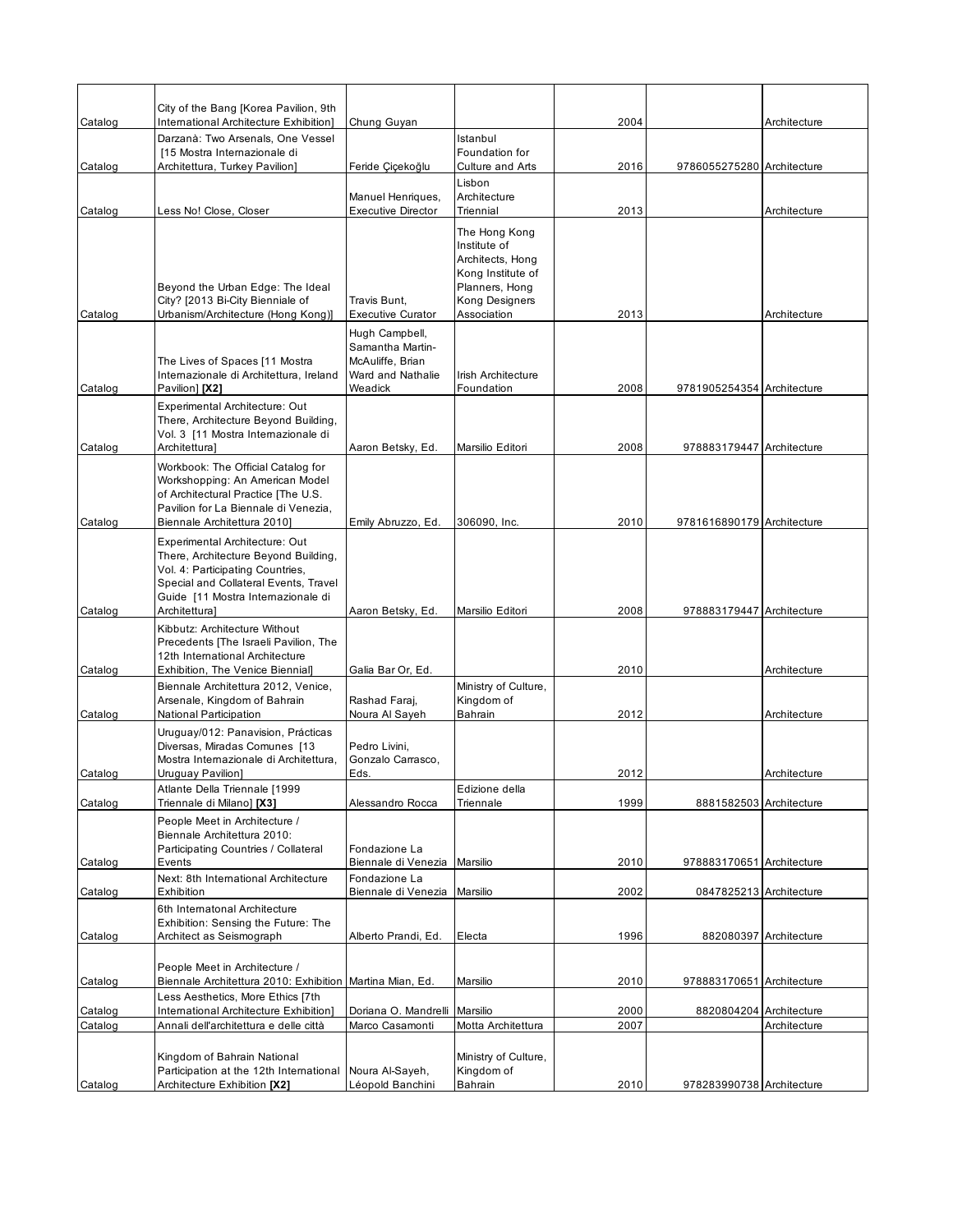|         | City of the Bang [Korea Pavilion, 9th                                                                                                                                                                      |                                                                                        |                                                                                                                           |      |                            |                        |
|---------|------------------------------------------------------------------------------------------------------------------------------------------------------------------------------------------------------------|----------------------------------------------------------------------------------------|---------------------------------------------------------------------------------------------------------------------------|------|----------------------------|------------------------|
| Catalog | International Architecture Exhibition]                                                                                                                                                                     | Chung Guyan                                                                            |                                                                                                                           | 2004 |                            | Architecture           |
| Catalog | Darzanà: Two Arsenals, One Vessel<br>[15 Mostra Internazionale di<br>Architettura, Turkey Pavilion]                                                                                                        | Feride Çiçekoğlu                                                                       | Istanbul<br>Foundation for<br>Culture and Arts                                                                            | 2016 | 9786055275280 Architecture |                        |
| Catalog | Less No! Close, Closer                                                                                                                                                                                     | Manuel Henriques,<br><b>Executive Director</b>                                         | Lisbon<br>Architecture<br>Triennial                                                                                       | 2013 |                            | Architecture           |
| Catalog | Beyond the Urban Edge: The Ideal<br>City? [2013 Bi-City Bienniale of<br>Urbanism/Architecture (Hong Kong)]                                                                                                 | Travis Bunt.<br><b>Executive Curator</b>                                               | The Hong Kong<br>Institute of<br>Architects, Hong<br>Kong Institute of<br>Planners, Hong<br>Kong Designers<br>Association | 2013 |                            | Architecture           |
| Catalog | The Lives of Spaces [11 Mostra<br>Internazionale di Architettura, Ireland<br>Pavilion] [X2]                                                                                                                | Hugh Campbell,<br>Samantha Martin-<br>McAuliffe, Brian<br>Ward and Nathalie<br>Weadick | Irish Architecture<br>Foundation                                                                                          | 2008 | 9781905254354 Architecture |                        |
|         | Experimental Architecture: Out<br>There, Architecture Beyond Building,<br>Vol. 3 [11 Mostra Internazionale di                                                                                              |                                                                                        |                                                                                                                           |      |                            |                        |
| Catalog | Architettura]                                                                                                                                                                                              | Aaron Betsky, Ed.                                                                      | Marsilio Editori                                                                                                          | 2008 | 978883179447 Architecture  |                        |
| Catalog | Workbook: The Official Catalog for<br>Workshopping: An American Model<br>of Architectural Practice [The U.S.<br>Pavilion for La Biennale di Venezia.<br>Biennale Architettura 20101                        | Emily Abruzzo, Ed.                                                                     | 306090, Inc.                                                                                                              | 2010 | 9781616890179 Architecture |                        |
| Catalog | Experimental Architecture: Out<br>There, Architecture Beyond Building,<br>Vol. 4: Participating Countries,<br>Special and Collateral Events, Travel<br>Guide [11 Mostra Internazionale di<br>Architettura] | Aaron Betsky, Ed.                                                                      | Marsilio Editori                                                                                                          | 2008 | 978883179447 Architecture  |                        |
| Catalog | Kibbutz: Architecture Without<br>Precedents [The Israeli Pavilion, The<br>12th International Architecture<br>Exhibition, The Venice Biennial]                                                              | Galia Bar Or, Ed.                                                                      |                                                                                                                           | 2010 |                            | Architecture           |
| Catalog | Biennale Architettura 2012, Venice,<br>Arsenale, Kingdom of Bahrain<br>National Participation                                                                                                              | Rashad Faraj,<br>Noura Al Sayeh                                                        | Ministry of Culture,<br>Kingdom of<br>Bahrain                                                                             | 2012 |                            | Architecture           |
| Catalog | Uruguay/012: Panavision, Prácticas<br>Diversas, Miradas Comunes [13<br>Mostra Internazionale di Architettura,<br>Uruguay Pavilion]                                                                         | Pedro Livini,<br>Gonzalo Carrasco.<br>Eds.                                             |                                                                                                                           | 2012 |                            | Architecture           |
| Catalog | Atlante Della Triennale [1999<br>Triennale di Milano] [X3]                                                                                                                                                 | Alessandro Rocca                                                                       | Edizione della<br>Triennale                                                                                               | 1999 | 8881582503 Architecture    |                        |
| Catalog | People Meet in Architecture /<br>Biennale Architettura 2010:<br>Participating Countries / Collateral<br>Events                                                                                             | Fondazione La<br>Biennale di Venezia                                                   | Marsilio                                                                                                                  | 2010 | 978883170651 Architecture  |                        |
|         | Next: 8th International Architecture                                                                                                                                                                       | Fondazione La                                                                          |                                                                                                                           |      |                            |                        |
| Catalog | Exhibition<br>6th Internatonal Architecture<br>Exhibition: Sensing the Future: The                                                                                                                         | Biennale di Venezia                                                                    | Marsilio                                                                                                                  | 2002 | 0847825213 Architecture    |                        |
| Catalog | Architect as Seismograph                                                                                                                                                                                   | Alberto Prandi, Ed.                                                                    | Electa                                                                                                                    | 1996 |                            | 882080397 Architecture |
| Catalog | People Meet in Architecture /<br>Biennale Architettura 2010: Exhibition Martina Mian, Ed.                                                                                                                  |                                                                                        | Marsilio                                                                                                                  | 2010 | 978883170651 Architecture  |                        |
| Catalog | Less Aesthetics, More Ethics [7th<br>International Architecture Exhibition]                                                                                                                                | Doriana O. Mandrelli                                                                   | Marsilio                                                                                                                  | 2000 | 8820804204 Architecture    |                        |
| Catalog | Annali dell'architettura e delle città                                                                                                                                                                     | Marco Casamonti                                                                        | Motta Architettura                                                                                                        | 2007 |                            | Architecture           |
|         | Kingdom of Bahrain National<br>Participation at the 12th International                                                                                                                                     | Noura Al-Sayeh,                                                                        | Ministry of Culture,<br>Kingdom of                                                                                        |      |                            |                        |
| Catalog | Architecture Exhibition [X2]                                                                                                                                                                               | Léopold Banchini                                                                       | Bahrain                                                                                                                   | 2010 | 978283990738 Architecture  |                        |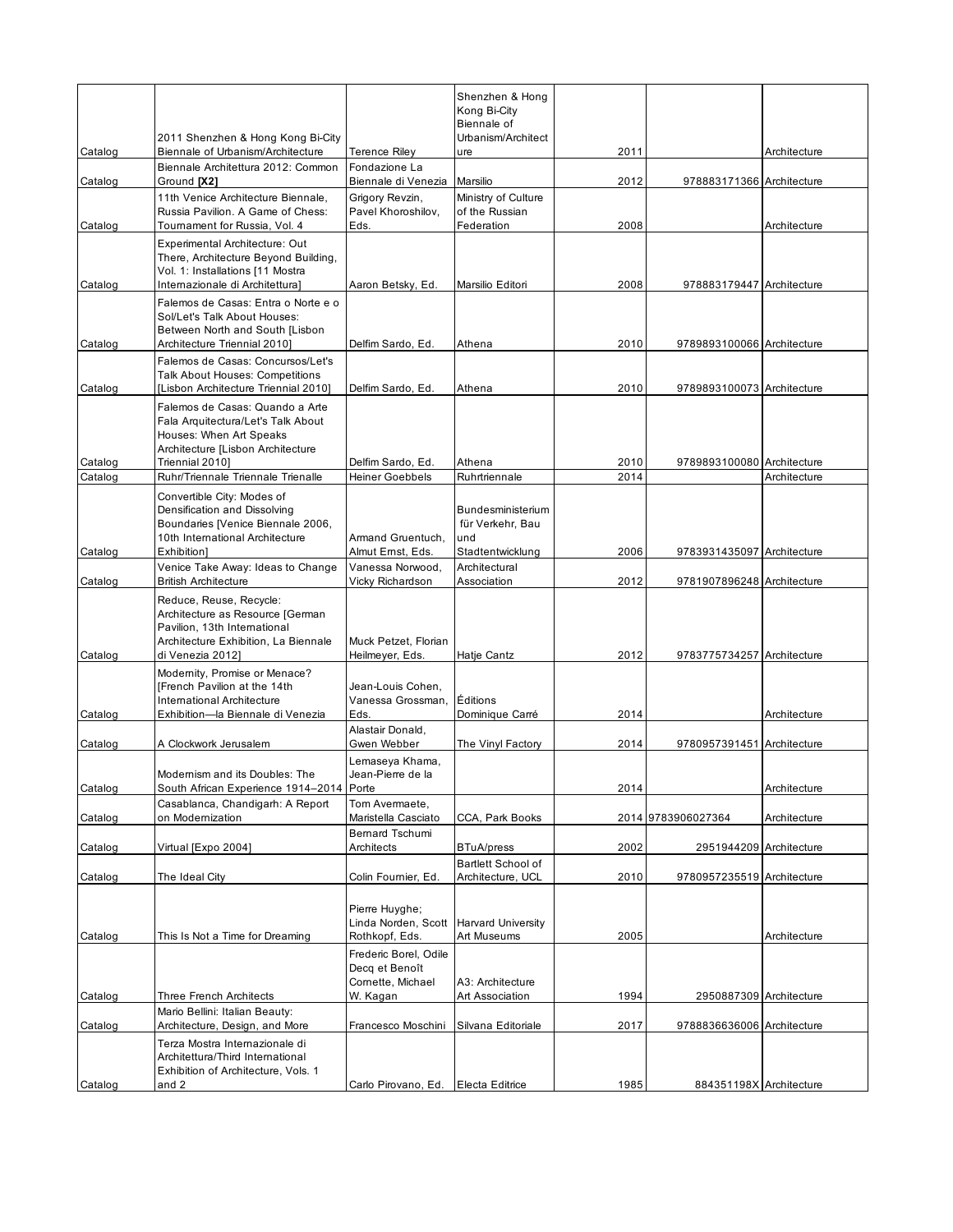|                    |                                                                                                                                                         |                                                | Shenzhen & Hong<br>Kong Bi-City<br>Biennale of      |              |                            |              |
|--------------------|---------------------------------------------------------------------------------------------------------------------------------------------------------|------------------------------------------------|-----------------------------------------------------|--------------|----------------------------|--------------|
| Catalog            | 2011 Shenzhen & Hong Kong Bi-City<br>Biennale of Urbanism/Architecture                                                                                  | <b>Terence Riley</b>                           | Urbanism/Architect<br>ure                           | 2011         |                            | Architecture |
| Catalog            | Biennale Architettura 2012: Common<br>Ground [X2]                                                                                                       | Fondazione La<br>Biennale di Venezia           | Marsilio                                            | 2012         | 978883171366 Architecture  |              |
| Catalog            | 11th Venice Architecture Biennale.<br>Russia Pavilion. A Game of Chess:<br>Toumament for Russia, Vol. 4                                                 | Grigory Revzin,<br>Pavel Khoroshilov,<br>Eds.  | Ministry of Culture<br>of the Russian<br>Federation | 2008         |                            | Architecture |
|                    | Experimental Architecture: Out<br>There, Architecture Beyond Building,<br>Vol. 1: Installations [11 Mostra                                              |                                                |                                                     |              |                            |              |
| Catalog            | Internazionale di Architettura]<br>Falemos de Casas: Entra o Norte e o                                                                                  | Aaron Betsky, Ed.                              | Marsilio Editori                                    | 2008         | 978883179447 Architecture  |              |
|                    | Sol/Let's Talk About Houses:<br>Between North and South [Lisbon                                                                                         |                                                |                                                     |              |                            |              |
| Catalog            | Architecture Triennial 2010]<br>Falemos de Casas: Concursos/Let's                                                                                       | Delfim Sardo, Ed.                              | Athena                                              | 2010         | 9789893100066 Architecture |              |
| Catalog            | <b>Talk About Houses: Competitions</b><br>[Lisbon Architecture Triennial 2010]                                                                          | Delfim Sardo, Ed.                              | Athena                                              | 2010         | 9789893100073 Architecture |              |
|                    | Falemos de Casas: Quando a Arte<br>Fala Arquitectura/Let's Talk About<br>Houses: When Art Speaks<br>Architecture [Lisbon Architecture                   |                                                |                                                     |              |                            |              |
| Catalog<br>Catalog | Triennial 2010]<br>Ruhr/Triennale Triennale Trienalle                                                                                                   | Delfim Sardo, Ed.<br><b>Heiner Goebbels</b>    | Athena<br>Ruhrtriennale                             | 2010<br>2014 | 9789893100080 Architecture | Architecture |
|                    | Convertible City: Modes of<br>Densification and Dissolving<br>Boundaries [Venice Biennale 2006,<br>10th International Architecture                      | Armand Gruentuch,                              | Bundesministerium<br>für Verkehr, Bau<br>und        |              |                            |              |
| Catalog            | Exhibition]<br>Venice Take Away: Ideas to Change                                                                                                        | Almut Ernst, Eds.<br>Vanessa Norwood,          | Stadtentwicklung<br>Architectural                   | 2006         | 9783931435097 Architecture |              |
| Catalog            | <b>British Architecture</b>                                                                                                                             | Vicky Richardson                               | Association                                         | 2012         | 9781907896248 Architecture |              |
| Catalog            | Reduce, Reuse, Recycle:<br>Architecture as Resource [German<br>Pavilion, 13th International<br>Architecture Exhibition, La Biennale<br>di Venezia 2012] | Muck Petzet, Florian<br>Heilmeyer, Eds.        | Hatje Cantz                                         | 2012         | 9783775734257 Architecture |              |
| Catalog            | Modernity, Promise or Menace?<br>[French Pavilion at the 14th<br>International Architecture<br>Exhibition-la Biennale di Venezia                        | Jean-Louis Cohen.<br>Vanessa Grossman,<br>Eds. | Éditions<br>Dominique Carré                         | 2014         |                            | Architecture |
| Catalog            | A Clockwork Jerusalem                                                                                                                                   | Alastair Donald,<br>Gwen Webber                | The Vinyl Factory                                   | 2014         | 9780957391451 Architecture |              |
| Catalog            | Modernism and its Doubles: The<br>South African Experience 1914-2014 Porte                                                                              | Lemaseya Khama,<br>Jean-Pierre de la           |                                                     | 2014         |                            | Architecture |
|                    | Casablanca, Chandigarh: A Report                                                                                                                        | Tom Avermaete,                                 |                                                     |              |                            |              |
| Catalog            | on Modernization                                                                                                                                        | Maristella Casciato<br>Bernard Tschumi         | CCA, Park Books                                     |              | 2014 9783906027364         | Architecture |
| Catalog            | Virtual [Expo 2004]                                                                                                                                     | Architects                                     | <b>BTuA/press</b><br><b>Bartlett School of</b>      | 2002         | 2951944209 Architecture    |              |
| Catalog            | The Ideal City                                                                                                                                          | Colin Foumier, Ed.                             | Architecture, UCL                                   | 2010         | 9780957235519 Architecture |              |
|                    |                                                                                                                                                         | Pierre Huyghe;<br>Linda Norden, Scott          | <b>Harvard University</b>                           |              |                            |              |
| Catalog            | This Is Not a Time for Dreaming                                                                                                                         | Rothkopf, Eds.<br>Frederic Borel, Odile        | Art Museums                                         | 2005         |                            | Architecture |
|                    |                                                                                                                                                         | Decq et Benoît<br>Cornette, Michael            | A3: Architecture                                    |              |                            |              |
| Catalog            | <b>Three French Architects</b>                                                                                                                          | W. Kagan                                       | Art Association                                     | 1994         | 2950887309 Architecture    |              |
| Catalog            | Mario Bellini: Italian Beauty:<br>Architecture, Design, and More                                                                                        | Francesco Moschini                             | Silvana Editoriale                                  | 2017         | 9788836636006 Architecture |              |
|                    | Terza Mostra Internazionale di<br>Architettura/Third International<br>Exhibition of Architecture, Vols. 1                                               |                                                |                                                     |              |                            |              |
| Catalog            | and 2                                                                                                                                                   | Carlo Pirovano, Ed.                            | Electa Editrice                                     | 1985         | 884351198X Architecture    |              |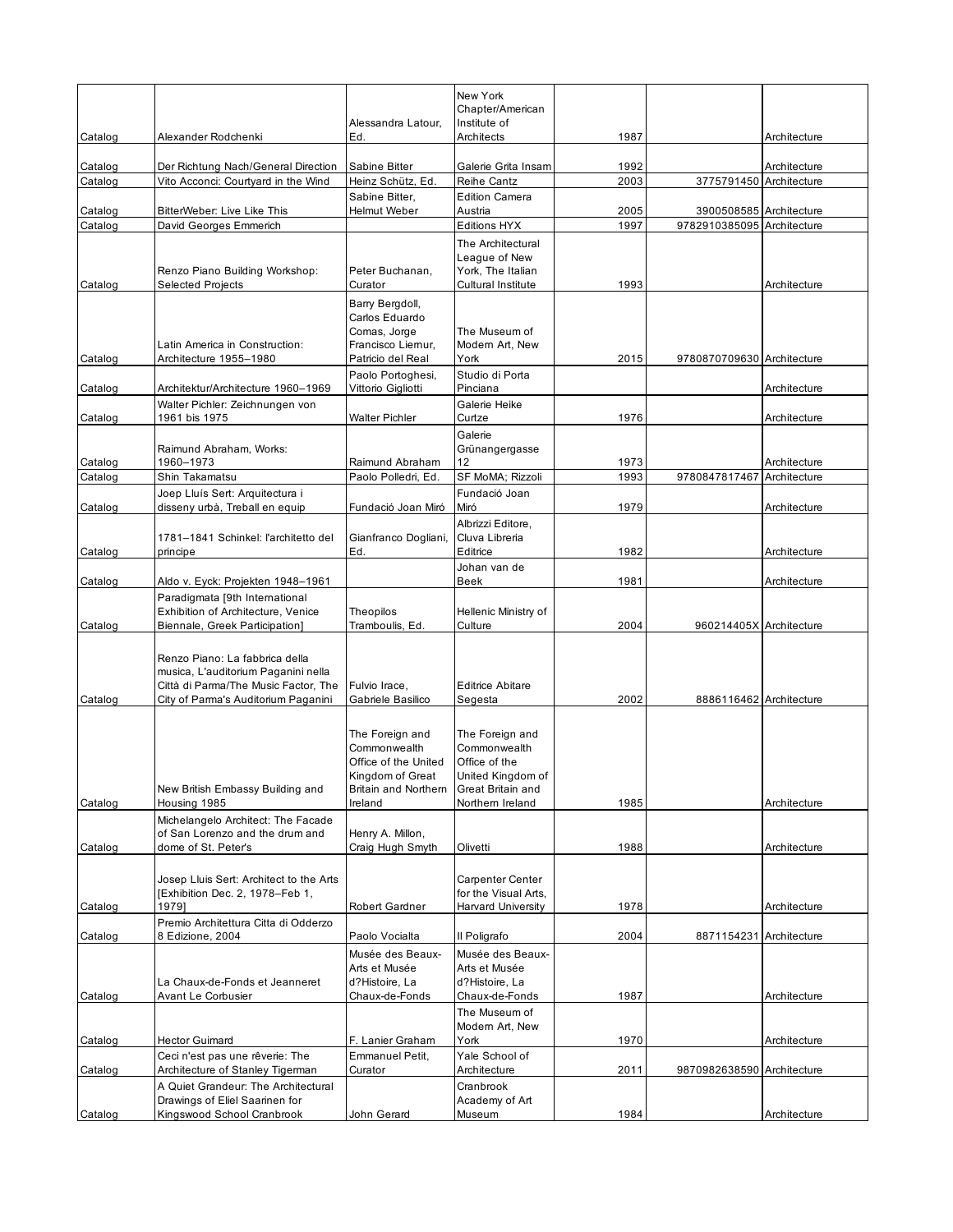|                    |                                                                             |                                          | New York<br>Chapter/American                      |              |                                                       |              |
|--------------------|-----------------------------------------------------------------------------|------------------------------------------|---------------------------------------------------|--------------|-------------------------------------------------------|--------------|
|                    |                                                                             | Alessandra Latour,                       | Institute of                                      |              |                                                       |              |
| Catalog            | Alexander Rodchenki                                                         | Ed.                                      | Architects                                        | 1987         |                                                       | Architecture |
| Catalog            | Der Richtung Nach/General Direction                                         | Sabine Bitter                            | Galerie Grita Insam                               | 1992         |                                                       | Architecture |
| Catalog            | Vito Acconci: Courtyard in the Wind                                         | Heinz Schütz, Ed.                        | <b>Reihe Cantz</b>                                | 2003         | 3775791450 Architecture                               |              |
|                    |                                                                             | Sabine Bitter.                           | <b>Edition Camera</b>                             |              |                                                       |              |
| Catalog<br>Catalog | BitterWeber: Live Like This<br>David Georges Emmerich                       | Helmut Weber                             | Austria<br><b>Editions HYX</b>                    | 2005<br>1997 | 3900508585 Architecture<br>9782910385095 Architecture |              |
|                    |                                                                             |                                          | The Architectural                                 |              |                                                       |              |
|                    |                                                                             |                                          | League of New                                     |              |                                                       |              |
|                    | Renzo Piano Building Workshop:                                              | Peter Buchanan.                          | York, The Italian<br>Cultural Institute           |              |                                                       |              |
| Catalog            | <b>Selected Projects</b>                                                    | Curator                                  |                                                   | 1993         |                                                       | Architecture |
|                    |                                                                             | Barry Bergdoll,<br>Carlos Eduardo        |                                                   |              |                                                       |              |
|                    |                                                                             | Comas, Jorge                             | The Museum of                                     |              |                                                       |              |
| Catalog            | Latin America in Construction:<br>Architecture 1955-1980                    | Francisco Liernur,<br>Patricio del Real  | Modern Art, New<br>York                           | 2015         | 9780870709630 Architecture                            |              |
|                    |                                                                             | Paolo Portoghesi,                        | Studio di Porta                                   |              |                                                       |              |
| Catalog            | Architektur/Architecture 1960-1969                                          | Vittorio Gigliotti                       | Pinciana                                          |              |                                                       | Architecture |
|                    | Walter Pichler: Zeichnungen von                                             |                                          | Galerie Heike                                     |              |                                                       |              |
| Catalog            | 1961 bis 1975                                                               | Walter Pichler                           | Curtze<br>Galerie                                 | 1976         |                                                       | Architecture |
|                    | Raimund Abraham, Works:                                                     |                                          | Grünangergasse                                    |              |                                                       |              |
| Catalog            | 1960-1973                                                                   | Raimund Abraham                          | 12                                                | 1973         |                                                       | Architecture |
| Catalog            | Shin Takamatsu                                                              | Paolo Polledri, Ed.                      | SF MoMA; Rizzoli                                  | 1993         | 9780847817467                                         | Architecture |
| Catalog            | Joep Lluís Sert: Arquitectura i<br>disseny urbà, Treball en equip           | Fundació Joan Miró                       | Fundació Joan<br>Miró                             | 1979         |                                                       | Architecture |
|                    |                                                                             |                                          | Albrizzi Editore.                                 |              |                                                       |              |
|                    | 1781-1841 Schinkel: l'architetto del                                        | Gianfranco Dogliani,                     | Cluva Libreria                                    |              |                                                       |              |
| Catalog            | principe                                                                    | Ed.                                      | Editrice                                          | 1982         |                                                       | Architecture |
| Catalog            | Aldo v. Eyck: Projekten 1948–1961                                           |                                          | Johan van de<br>Beek                              | 1981         |                                                       | Architecture |
|                    | Paradigmata [9th International                                              |                                          |                                                   |              |                                                       |              |
|                    | Exhibition of Architecture, Venice                                          | Theopilos                                | Hellenic Ministry of                              |              |                                                       |              |
| Catalog            | Biennale, Greek Participation]                                              | Tramboulis, Ed.                          | Culture                                           | 2004         | 960214405X Architecture                               |              |
|                    | Renzo Piano: La fabbrica della                                              |                                          |                                                   |              |                                                       |              |
|                    | musica, L'auditorium Paganini nella                                         |                                          |                                                   |              |                                                       |              |
| Catalog            | Città di Parma/The Music Factor, The<br>City of Parma's Auditorium Paganini | Fulvio Irace,<br>Gabriele Basilico       | <b>Editrice Abitare</b><br>Segesta                | 2002         | 8886116462 Architecture                               |              |
|                    |                                                                             |                                          |                                                   |              |                                                       |              |
|                    |                                                                             | The Foreign and                          | The Foreign and                                   |              |                                                       |              |
|                    |                                                                             | Commonwealth                             | Commonwealth                                      |              |                                                       |              |
|                    |                                                                             | Office of the United<br>Kingdom of Great | Office of the<br>United Kingdom of                |              |                                                       |              |
|                    | New British Embassy Building and                                            | Britain and Northern                     | Great Britain and                                 |              |                                                       |              |
| Catalog            | Housing 1985                                                                | Ireland                                  | Northern Ireland                                  | 1985         |                                                       | Architecture |
|                    | Michelangelo Architect: The Facade                                          |                                          |                                                   |              |                                                       |              |
| Catalog            | of San Lorenzo and the drum and<br>dome of St. Peter's                      | Henry A. Millon,<br>Craig Hugh Smyth     | Olivetti                                          | 1988         |                                                       | Architecture |
|                    |                                                                             |                                          |                                                   |              |                                                       |              |
|                    | Josep Lluis Sert: Architect to the Arts                                     |                                          | Carpenter Center                                  |              |                                                       |              |
| Catalog            | [Exhibition Dec. 2, 1978-Feb 1,<br>1979]                                    | Robert Gardner                           | for the Visual Arts.<br><b>Harvard University</b> | 1978         |                                                       | Architecture |
|                    | Premio Architettura Citta di Odderzo                                        |                                          |                                                   |              |                                                       |              |
| Catalog            | 8 Edizione, 2004                                                            | Paolo Vocialta                           | Il Poligrafo                                      | 2004         | 8871154231 Architecture                               |              |
|                    |                                                                             | Musée des Beaux-                         | Musée des Beaux-                                  |              |                                                       |              |
|                    | La Chaux-de-Fonds et Jeanneret                                              | Arts et Musée<br>d?Histoire, La          | Arts et Musée<br>d?Histoire, La                   |              |                                                       |              |
| Catalog            | Avant Le Corbusier                                                          | Chaux-de-Fonds                           | Chaux-de-Fonds                                    | 1987         |                                                       | Architecture |
|                    |                                                                             |                                          | The Museum of                                     |              |                                                       |              |
|                    | <b>Hector Guimard</b>                                                       | F. Lanier Graham                         | Modern Art, New<br>York                           | 1970         |                                                       | Architecture |
| Catalog            | Ceci n'est pas une rêverie: The                                             | Emmanuel Petit,                          | Yale School of                                    |              |                                                       |              |
| Catalog            | Architecture of Stanley Tigerman                                            | Curator                                  | Architecture                                      | 2011         | 9870982638590 Architecture                            |              |
|                    | A Quiet Grandeur: The Architectural                                         |                                          | Cranbrook                                         |              |                                                       |              |
| Catalog            | Drawings of Eliel Saarinen for<br>Kingswood School Cranbrook                | John Gerard                              | Academy of Art<br>Museum                          | 1984         |                                                       | Architecture |
|                    |                                                                             |                                          |                                                   |              |                                                       |              |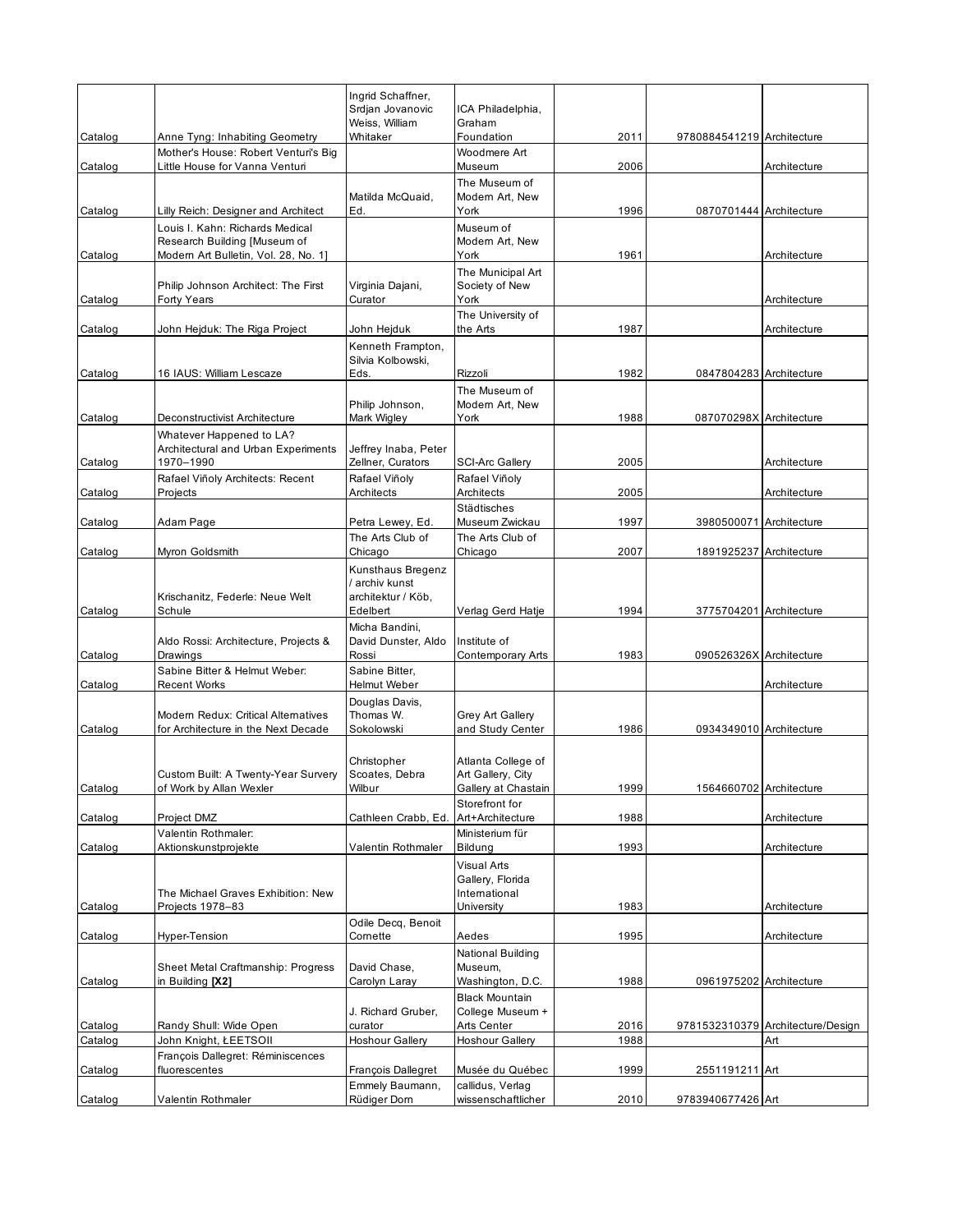|         |                                                                                                         | Ingrid Schaffner,<br>Srdjan Jovanovic<br>Weiss, William   | ICA Philadelphia,<br>Graham                                    |      |                            |                                   |
|---------|---------------------------------------------------------------------------------------------------------|-----------------------------------------------------------|----------------------------------------------------------------|------|----------------------------|-----------------------------------|
| Catalog | Anne Tyng: Inhabiting Geometry                                                                          | Whitaker                                                  | Foundation                                                     | 2011 | 9780884541219 Architecture |                                   |
| Catalog | Mother's House: Robert Venturi's Big<br>Little House for Vanna Venturi                                  |                                                           | Woodmere Art<br>Museum                                         | 2006 |                            | Architecture                      |
| Catalog | Lilly Reich: Designer and Architect                                                                     | Matilda McQuaid,<br>Ed.                                   | The Museum of<br>Modern Art, New<br>York                       | 1996 | 0870701444 Architecture    |                                   |
| Catalog | Louis I. Kahn: Richards Medical<br>Research Building [Museum of<br>Modern Art Bulletin, Vol. 28, No. 1] |                                                           | Museum of<br>Modern Art, New<br>York                           | 1961 |                            | Architecture                      |
| Catalog | Philip Johnson Architect: The First<br><b>Forty Years</b>                                               | Virginia Dajani,<br>Curator                               | The Municipal Art<br>Society of New<br>York                    |      |                            | Architecture                      |
| Catalog | John Hejduk: The Riga Project                                                                           | John Hejduk                                               | The University of<br>the Arts                                  | 1987 |                            | Architecture                      |
|         |                                                                                                         | Kenneth Frampton,<br>Silvia Kolbowski,                    |                                                                |      |                            |                                   |
| Catalog | 16 IAUS: William Lescaze                                                                                | Eds.                                                      | Rizzoli                                                        | 1982 | 0847804283 Architecture    |                                   |
|         |                                                                                                         | Philip Johnson,<br>Mark Wigley                            | The Museum of<br>Modern Art, New                               |      |                            |                                   |
| Catalog | Deconstructivist Architecture<br>Whatever Happened to LA?                                               |                                                           | York                                                           | 1988 | 087070298X Architecture    |                                   |
| Catalog | Architectural and Urban Experiments<br>1970-1990                                                        | Jeffrey Inaba, Peter<br>Zellner, Curators                 | <b>SCI-Arc Gallery</b>                                         | 2005 |                            | Architecture                      |
| Catalog | Rafael Viñoly Architects: Recent<br>Projects                                                            | Rafael Viñoly<br>Architects                               | Rafael Viñoly<br>Architects                                    | 2005 |                            | Architecture                      |
| Catalog | Adam Page                                                                                               | Petra Lewey, Ed.                                          | Städtisches<br>Museum Zwickau                                  | 1997 | 3980500071 Architecture    |                                   |
| Catalog | Myron Goldsmith                                                                                         | The Arts Club of<br>Chicago                               | The Arts Club of<br>Chicago                                    | 2007 | 1891925237 Architecture    |                                   |
|         | Krischanitz, Federle: Neue Welt                                                                         | Kunsthaus Bregenz<br>/ archiv kunst<br>architektur / Köb, |                                                                |      |                            |                                   |
| Catalog | Schule                                                                                                  | Edelbert                                                  | Verlag Gerd Hatje                                              | 1994 | 3775704201 Architecture    |                                   |
| Catalog | Aldo Rossi: Architecture, Projects &<br>Drawings                                                        | Micha Bandini,<br>David Dunster, Aldo<br>Rossi            | Institute of<br>Contemporary Arts                              | 1983 | 090526326X Architecture    |                                   |
| Catalog | Sabine Bitter & Helmut Weber:<br><b>Recent Works</b>                                                    | Sabine Bitter,<br>Helmut Weber                            |                                                                |      |                            | Architecture                      |
| Catalog | Modern Redux: Critical Alternatives<br>for Architecture in the Next Decade                              | Douglas Davis,<br>Thomas W.<br>Sokolowski                 | Grey Art Gallery<br>and Study Center                           | 1986 | 0934349010 Architecture    |                                   |
| Catalog | Custom Built: A Twenty-Year Survery<br>of Work by Allan Wexler                                          | Christopher<br>Scoates, Debra<br>Wilbur                   | Atlanta College of<br>Art Gallery, City<br>Gallery at Chastain | 1999 | 1564660702 Architecture    |                                   |
| Catalog | Project DMZ                                                                                             | Cathleen Crabb, Ed.                                       | Storefront for<br>Art+Architecture                             | 1988 |                            | Architecture                      |
| Catalog | Valentin Rothmaler:<br>Aktionskunstprojekte                                                             | Valentin Rothmaler                                        | Ministerium für<br>Bildung                                     | 1993 |                            | Architecture                      |
|         | The Michael Graves Exhibition: New                                                                      |                                                           | Visual Arts<br>Gallery, Florida<br>International               |      |                            |                                   |
| Catalog | Projects 1978-83                                                                                        | Odile Decq, Benoit                                        | University                                                     | 1983 |                            | Architecture                      |
| Catalog | Hyper-Tension                                                                                           | Cornette                                                  | Aedes                                                          | 1995 |                            | Architecture                      |
| Catalog | Sheet Metal Craftmanship: Progress<br>in Building [X2]                                                  | David Chase.<br>Carolyn Laray                             | National Building<br>Museum,<br>Washington, D.C.               | 1988 | 0961975202 Architecture    |                                   |
| Catalog | Randy Shull: Wide Open                                                                                  | J. Richard Gruber,<br>curator                             | <b>Black Mountain</b><br>College Museum +<br>Arts Center       | 2016 |                            | 9781532310379 Architecture/Design |
| Catalog | John Knight, ŁEETSOII<br>François Dallegret: Réminiscences                                              | <b>Hoshour Gallery</b>                                    | <b>Hoshour Gallery</b>                                         | 1988 |                            | Art                               |
| Catalog | fluorescentes                                                                                           | François Dallegret                                        | Musée du Québec                                                | 1999 | 2551191211 Art             |                                   |
| Catalog | Valentin Rothmaler                                                                                      | Emmely Baumann,<br>Rüdiger Dom                            | callidus, Verlag<br>wissenschaftlicher                         | 2010 | 9783940677426 Art          |                                   |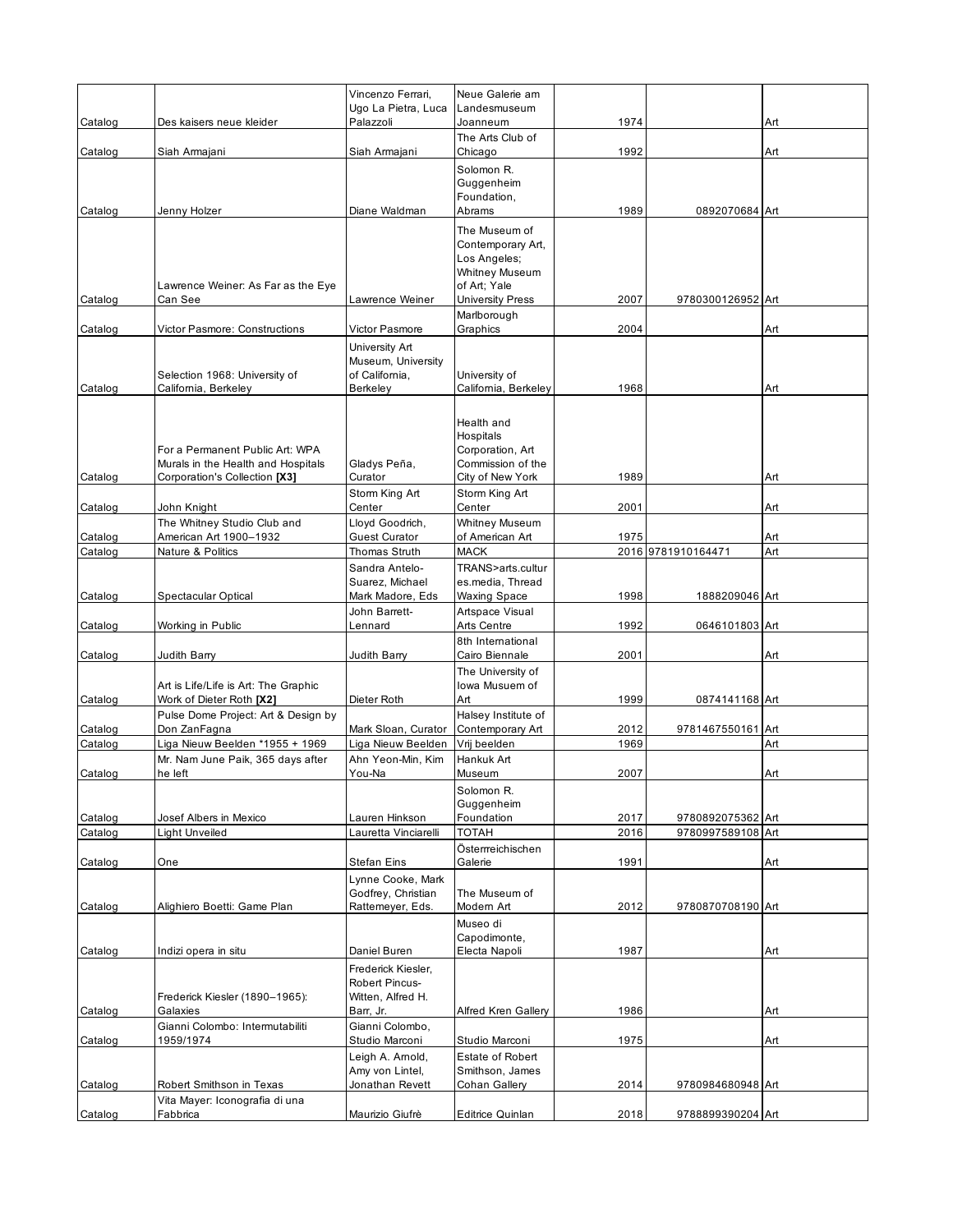|                    |                                                                                                        | Vincenzo Ferrari,                                                      | Neue Galerie am                                                                                                        |              |                    |            |
|--------------------|--------------------------------------------------------------------------------------------------------|------------------------------------------------------------------------|------------------------------------------------------------------------------------------------------------------------|--------------|--------------------|------------|
| Catalog            | Des kaisers neue kleider                                                                               | Ugo La Pietra, Luca<br>Palazzoli                                       | Landesmuseum<br>Joanneum                                                                                               | 1974         |                    | Art        |
| Catalog            | Siah Armajani                                                                                          | Siah Armajani                                                          | The Arts Club of<br>Chicago                                                                                            | 1992         |                    | Art        |
| Catalog            | Jenny Holzer                                                                                           | Diane Waldman                                                          | Solomon R.<br>Guggenheim<br>Foundation,<br>Abrams                                                                      | 1989         | 0892070684 Art     |            |
| Catalog            | Lawrence Weiner: As Far as the Eye<br>Can See                                                          | Lawrence Weiner                                                        | The Museum of<br>Contemporary Art,<br>Los Angeles;<br><b>Whitney Museum</b><br>of Art; Yale<br><b>University Press</b> | 2007         | 9780300126952 Art  |            |
| Catalog            | Victor Pasmore: Constructions                                                                          | Victor Pasmore                                                         | Marlborough<br>Graphics                                                                                                | 2004         |                    | Art        |
| Catalog            | Selection 1968: University of<br>California, Berkeley                                                  | University Art<br>Museum, University<br>of California,<br>Berkeley     | University of<br>California, Berkeley                                                                                  | 1968         |                    | Art        |
| Catalog            | For a Permanent Public Art: WPA<br>Murals in the Health and Hospitals<br>Corporation's Collection [X3] | Gladys Peña,<br>Curator                                                | Health and<br>Hospitals<br>Corporation, Art<br>Commission of the<br>City of New York                                   | 1989         |                    | Art        |
| Catalog            | John Knight                                                                                            | Storm King Art<br>Center                                               | Storm King Art<br>Center                                                                                               | 2001         |                    | Art        |
|                    | The Whitney Studio Club and                                                                            | Lloyd Goodrich,                                                        | <b>Whitney Museum</b>                                                                                                  |              |                    |            |
| Catalog<br>Catalog | American Art 1900-1932<br>Nature & Politics                                                            | <b>Guest Curator</b><br><b>Thomas Struth</b>                           | of American Art<br><b>MACK</b>                                                                                         | 1975         | 2016 9781910164471 | Art<br>Art |
| Catalog            | Spectacular Optical                                                                                    | Sandra Antelo-<br>Suarez, Michael<br>Mark Madore, Eds                  | TRANS>arts.cultur<br>es.media, Thread<br><b>Waxing Space</b>                                                           | 1998         | 1888209046 Art     |            |
| Catalog            | Working in Public                                                                                      | John Barrett-<br>Lennard                                               | Artspace Visual<br><b>Arts Centre</b>                                                                                  | 1992         | 0646101803 Art     |            |
| Catalog            | Judith Barry                                                                                           | Judith Barry                                                           | 8th International<br>Cairo Biennale                                                                                    | 2001         |                    | Art        |
|                    | Art is Life/Life is Art: The Graphic                                                                   |                                                                        | The University of<br>lowa Musuem of                                                                                    |              |                    |            |
| Catalog            | Work of Dieter Roth [X2]<br>Pulse Dome Project: Art & Design by                                        | Dieter Roth                                                            | Art<br>Halsey Institute of                                                                                             | 1999         | 0874141168 Art     |            |
| Catalog<br>Catalog | Don ZanFagna<br>Liga Nieuw Beelden *1955 + 1969                                                        | Mark Sloan, Curator<br>Liga Nieuw Beelden                              | Contemporary Art<br>Vrij beelden                                                                                       | 2012<br>1969 | 9781467550161 Art  | Art        |
| Catalog            | Mr. Nam June Paik, 365 days after<br>he left                                                           | Ahn Yeon-Min, Kim<br>You-Na                                            | Hankuk Art<br>Museum                                                                                                   | 2007         |                    | Art        |
| Catalog            | Josef Albers in Mexico                                                                                 | Lauren Hinkson                                                         | Solomon R.<br>Guggenheim<br>Foundation                                                                                 | 2017         | 9780892075362 Art  |            |
| Catalog            | Light Unveiled                                                                                         | Lauretta Vinciarelli                                                   | <b>TOTAH</b>                                                                                                           | 2016         | 9780997589108 Art  |            |
| Catalog            | One                                                                                                    | Stefan Eins                                                            | Österrreichischen<br>Galerie                                                                                           | 1991         |                    | Art        |
| Catalog            | Alighiero Boetti: Game Plan                                                                            | Lynne Cooke, Mark<br>Godfrey, Christian<br>Rattemeyer, Eds.            | The Museum of<br>Modern Art                                                                                            | 2012         | 9780870708190 Art  |            |
| Catalog            | Indizi opera in situ                                                                                   | Daniel Buren                                                           | Museo di<br>Capodimonte,<br>Electa Napoli                                                                              | 1987         |                    | Art        |
| Catalog            | Frederick Kiesler (1890-1965):<br>Galaxies                                                             | Frederick Kiesler,<br>Robert Pincus-<br>Witten, Alfred H.<br>Barr, Jr. | Alfred Kren Gallery                                                                                                    | 1986         |                    | Art        |
| Catalog            | Gianni Colombo: Intermutabiliti<br>1959/1974                                                           | Gianni Colombo,<br>Studio Marconi                                      | Studio Marconi                                                                                                         | 1975         |                    | Art        |
| Catalog            | Robert Smithson in Texas                                                                               | Leigh A. Arnold,<br>Amy von Lintel,<br>Jonathan Revett                 | Estate of Robert<br>Smithson, James<br>Cohan Gallery                                                                   | 2014         | 9780984680948 Art  |            |
| Catalog            | Vita Mayer: Iconografia di una<br>Fabbrica                                                             | Maurizio Giufrè                                                        | <b>Editrice Quinlan</b>                                                                                                | 2018         | 9788899390204 Art  |            |
|                    |                                                                                                        |                                                                        |                                                                                                                        |              |                    |            |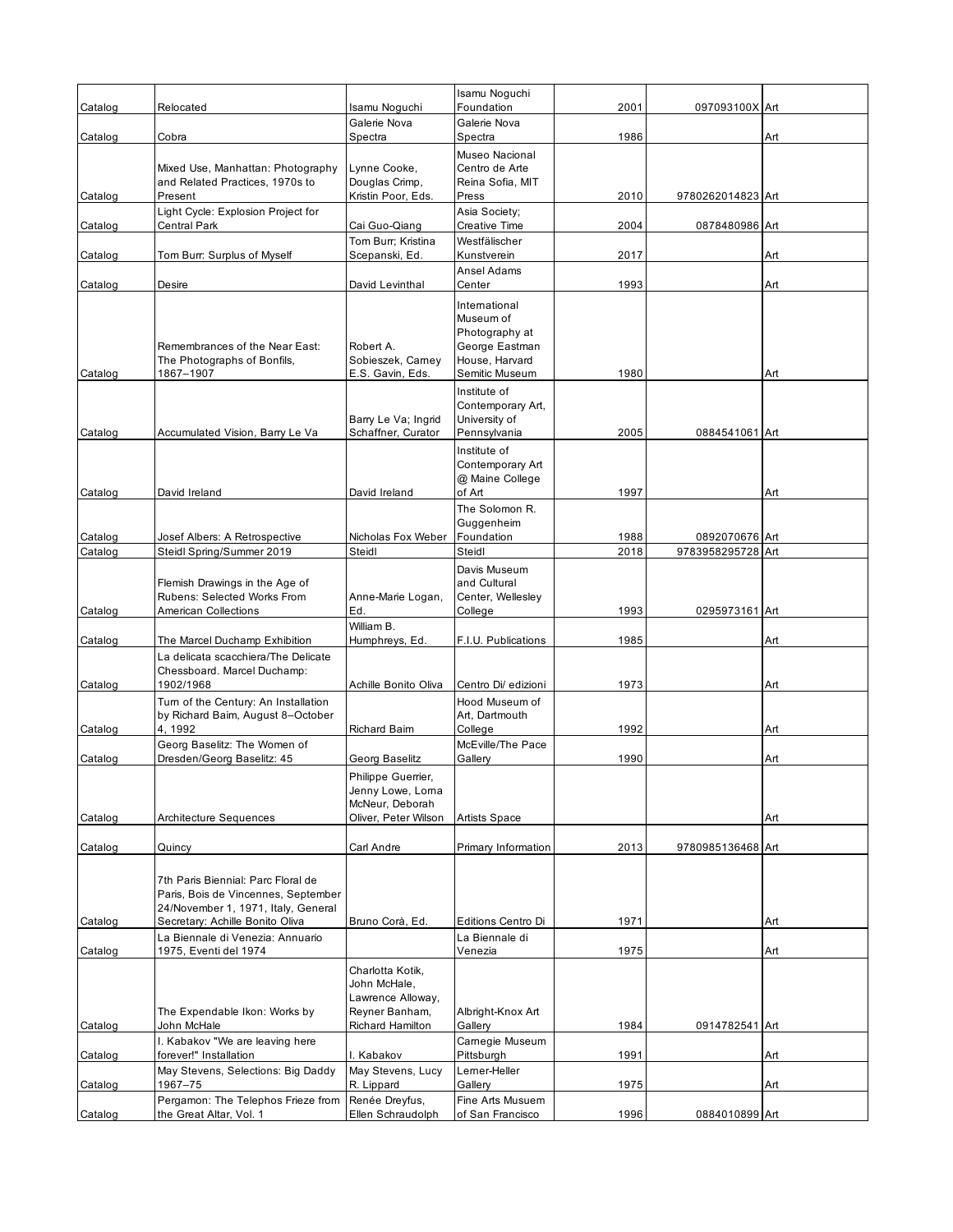|                    |                                                                                                                                                     |                                                                                    | Isamu Noguchi                                                                                      |              |                                     |     |
|--------------------|-----------------------------------------------------------------------------------------------------------------------------------------------------|------------------------------------------------------------------------------------|----------------------------------------------------------------------------------------------------|--------------|-------------------------------------|-----|
| Catalog            | Relocated                                                                                                                                           | Isamu Noguchi<br>Galerie Nova                                                      | Foundation<br>Galerie Nova                                                                         | 2001         | 097093100X Art                      |     |
| Catalog            | Cobra                                                                                                                                               | Spectra                                                                            | Spectra                                                                                            | 1986         |                                     | Art |
|                    | Mixed Use, Manhattan: Photography<br>and Related Practices, 1970s to                                                                                | Lynne Cooke,<br>Douglas Crimp,                                                     | Museo Nacional<br>Centro de Arte<br>Reina Sofia, MIT                                               |              |                                     |     |
| Catalog            | Present                                                                                                                                             | Kristin Poor, Eds.                                                                 | Press                                                                                              | 2010         | 9780262014823 Art                   |     |
| Catalog            | Light Cycle: Explosion Project for<br>Central Park                                                                                                  | Cai Guo-Qiang                                                                      | Asia Society;<br><b>Creative Time</b>                                                              | 2004         | 0878480986 Art                      |     |
| Catalog            | Tom Burr: Surplus of Myself                                                                                                                         | Tom Burr; Kristina<br>Scepanski, Ed.                                               | Westfälischer<br>Kunstverein                                                                       | 2017         |                                     | Art |
| Catalog            | Desire                                                                                                                                              | David Levinthal                                                                    | Ansel Adams<br>Center                                                                              | 1993         |                                     | Art |
| Catalog            | Remembrances of the Near East:<br>The Photographs of Bonfils,<br>1867-1907                                                                          | Robert A.<br>Sobieszek, Carney<br>E.S. Gavin, Eds.                                 | International<br>Museum of<br>Photography at<br>George Eastman<br>House, Harvard<br>Semitic Museum | 1980         |                                     | Art |
|                    |                                                                                                                                                     |                                                                                    | Institute of                                                                                       |              |                                     |     |
| Catalog            | Accumulated Vision, Barry Le Va                                                                                                                     | Barry Le Va; Ingrid<br>Schaffner, Curator                                          | Contemporary Art,<br>University of<br>Pennsylvania                                                 | 2005         | 0884541061 Art                      |     |
| Catalog            | David Ireland                                                                                                                                       | David Ireland                                                                      | Institute of<br>Contemporary Art<br>@ Maine College<br>of Art                                      | 1997         |                                     | Art |
|                    |                                                                                                                                                     |                                                                                    | The Solomon R.<br>Guggenheim                                                                       |              |                                     |     |
| Catalog<br>Catalog | Josef Albers: A Retrospective<br>Steidl Spring/Summer 2019                                                                                          | Nicholas Fox Weber<br>Steidl                                                       | Foundation<br>Steidl                                                                               | 1988<br>2018 | 0892070676 Art<br>9783958295728 Art |     |
|                    | Flemish Drawings in the Age of<br>Rubens: Selected Works From                                                                                       | Anne-Marie Logan,                                                                  | Davis Museum<br>and Cultural<br>Center, Wellesley                                                  |              |                                     |     |
| Catalog            | <b>American Collections</b>                                                                                                                         | Ed.                                                                                | College                                                                                            | 1993         | 0295973161 Art                      |     |
| Catalog            | The Marcel Duchamp Exhibition                                                                                                                       | William B.<br>Humphreys, Ed.                                                       | F.I.U. Publications                                                                                | 1985         |                                     | Art |
| Catalog            | La delicata scacchiera/The Delicate<br>Chessboard. Marcel Duchamp:<br>1902/1968                                                                     | Achille Bonito Oliva                                                               | Centro Di/ edizioni                                                                                | 1973         |                                     | Art |
| Catalog            | Turn of the Century: An Installation<br>by Richard Baim, August 8-October<br>4, 1992                                                                | <b>Richard Baim</b>                                                                | Hood Museum of<br>Art, Dartmouth<br>College                                                        | 1992         |                                     | Art |
| Catalog            | Georg Baselitz: The Women of<br>Dresden/Georg Baselitz: 45                                                                                          | Georg Baselitz                                                                     | McEville/The Pace<br>Gallery                                                                       | 1990         |                                     | Art |
| Catalog            | Architecture Sequences                                                                                                                              | Philippe Guerrier,<br>Jenny Lowe, Lorna<br>McNeur. Deborah<br>Oliver, Peter Wilson | <b>Artists Space</b>                                                                               |              |                                     | Art |
| Catalog            | Quincy                                                                                                                                              | Carl Andre                                                                         | Primary Information                                                                                | 2013         | 9780985136468 Art                   |     |
|                    | 7th Paris Biennial: Parc Floral de<br>Paris, Bois de Vincennes, September<br>24/November 1, 1971, Italy, General<br>Secretary: Achille Bonito Oliva |                                                                                    |                                                                                                    | 1971         |                                     | Art |
| Catalog            | La Biennale di Venezia: Annuario                                                                                                                    | Bruno Corà, Ed.                                                                    | Editions Centro Di<br>La Biennale di                                                               |              |                                     |     |
| Catalog            | 1975, Eventi del 1974<br>The Expendable Ikon: Works by                                                                                              | Charlotta Kotik,<br>John McHale,<br>Lawrence Alloway,<br>Reyner Banham,            | Venezia<br>Albright-Knox Art                                                                       | 1975         |                                     | Art |
| Catalog            | John McHale                                                                                                                                         | Richard Hamilton                                                                   | Gallery                                                                                            | 1984         | 0914782541 Art                      |     |
| Catalog            | I. Kabakov "We are leaving here<br>forever!" Installation                                                                                           | I. Kabakov                                                                         | Carnegie Museum<br>Pittsburgh                                                                      | 1991         |                                     | Art |
| Catalog            | May Stevens, Selections: Big Daddy<br>1967-75                                                                                                       | May Stevens, Lucy<br>R. Lippard                                                    | Lemer-Heller<br>Gallery                                                                            | 1975         |                                     | Art |
| Catalog            | Pergamon: The Telephos Frieze from<br>the Great Altar, Vol. 1                                                                                       | Renée Dreyfus,<br>Ellen Schraudolph                                                | Fine Arts Musuem<br>of San Francisco                                                               | 1996         | 0884010899 Art                      |     |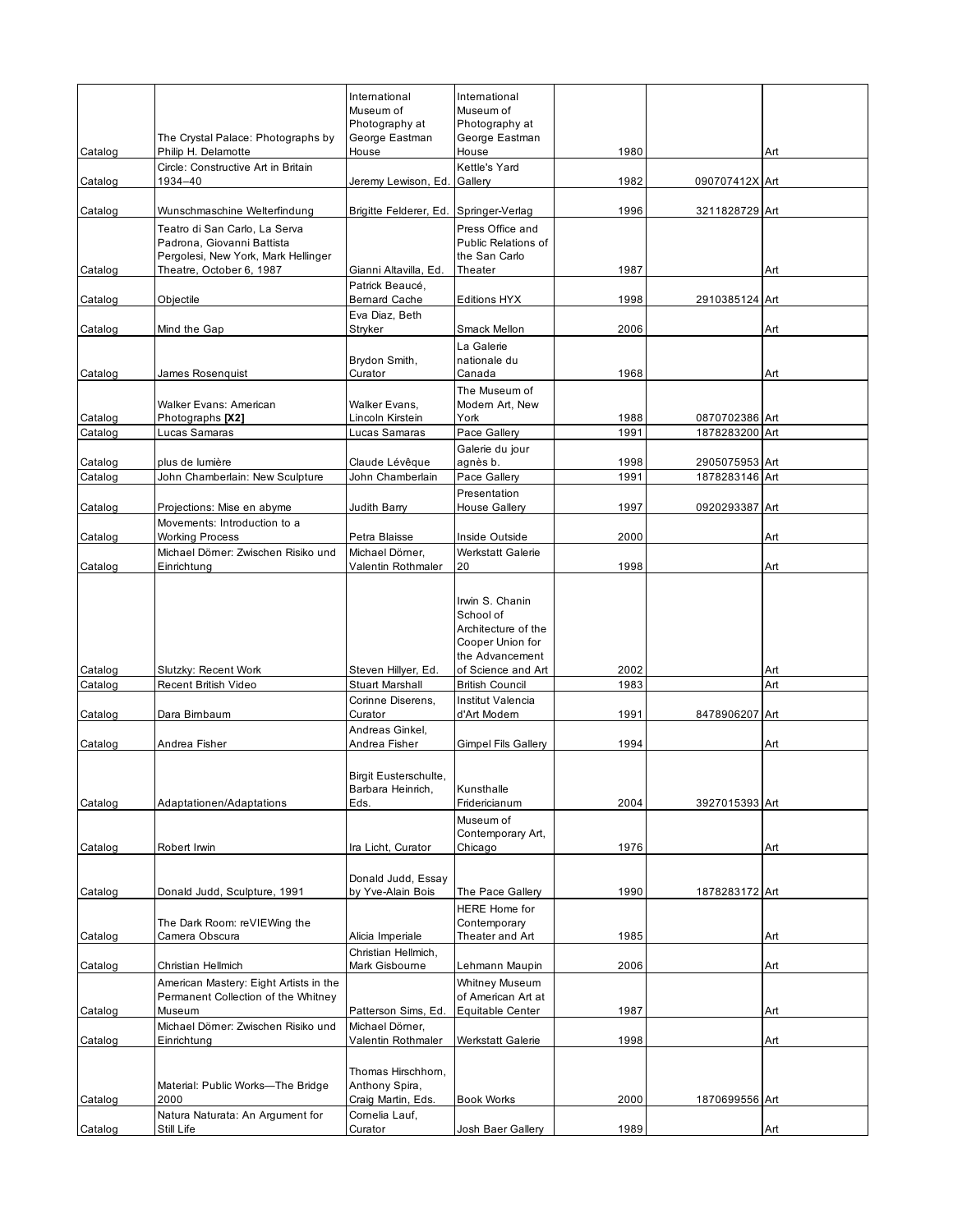|                    | The Crystal Palace: Photographs by                                                                 | International<br>Museum of<br>Photography at<br>George Eastman | International<br>Museum of<br>Photography at<br>George Eastman                             |              |                                  |            |
|--------------------|----------------------------------------------------------------------------------------------------|----------------------------------------------------------------|--------------------------------------------------------------------------------------------|--------------|----------------------------------|------------|
| Catalog            | Philip H. Delamotte<br>Circle: Constructive Art in Britain                                         | House                                                          | House<br>Kettle's Yard                                                                     | 1980         |                                  | Art        |
| Catalog            | 1934-40                                                                                            | Jeremy Lewison, Ed.                                            | Gallery                                                                                    | 1982         | 090707412X Art                   |            |
| Catalog            | Wunschmaschine Welterfindung                                                                       | Brigitte Felderer, Ed.                                         | Springer-Verlag                                                                            | 1996         | 3211828729 Art                   |            |
|                    | Teatro di San Carlo, La Serva<br>Padrona, Giovanni Battista<br>Pergolesi, New York, Mark Hellinger |                                                                | Press Office and<br><b>Public Relations of</b><br>the San Carlo                            |              |                                  |            |
| Catalog            | Theatre, October 6, 1987                                                                           | Gianni Altavilla, Ed.<br>Patrick Beaucé,                       | Theater                                                                                    | 1987         |                                  | Art        |
| Catalog            | Objectile                                                                                          | <b>Bernard Cache</b>                                           | Editions HYX                                                                               | 1998         | 2910385124 Art                   |            |
| Catalog            | Mind the Gap                                                                                       | Eva Diaz, Beth<br>Stryker                                      | Smack Mellon                                                                               | 2006         |                                  | Art        |
| Catalog            | James Rosenquist                                                                                   | Brydon Smith,<br>Curator                                       | La Galerie<br>nationale du<br>Canada                                                       | 1968         |                                  | Art        |
|                    | Walker Evans: American                                                                             | Walker Evans,                                                  | The Museum of<br>Modern Art, New                                                           |              |                                  |            |
| Catalog<br>Catalog | Photographs [X2]<br>Lucas Samaras                                                                  | Lincoln Kirstein<br>Lucas Samaras                              | York<br>Pace Gallery                                                                       | 1988<br>1991 | 0870702386 Art<br>1878283200 Art |            |
|                    |                                                                                                    |                                                                | Galerie du jour                                                                            |              |                                  |            |
| Catalog<br>Catalog | plus de lumière<br>John Chamberlain: New Sculpture                                                 | Claude Lévêque<br>John Chamberlain                             | agnès b.<br>Pace Gallery                                                                   | 1998<br>1991 | 2905075953 Art<br>1878283146 Art |            |
|                    |                                                                                                    |                                                                | Presentation                                                                               |              |                                  |            |
| Catalog            | Projections: Mise en abyme                                                                         | Judith Barry                                                   | House Gallery                                                                              | 1997         | 0920293387 Art                   |            |
| Catalog            | Movements: Introduction to a<br><b>Working Process</b>                                             | Petra Blaisse                                                  | Inside Outside                                                                             | 2000         |                                  | Art        |
| Catalog            | Michael Dömer: Zwischen Risiko und<br>Einrichtung                                                  | Michael Dömer,<br>Valentin Rothmaler                           | <b>Werkstatt Galerie</b><br>20                                                             | 1998         |                                  | Art        |
|                    |                                                                                                    |                                                                | Irwin S. Chanin<br>School of<br>Architecture of the<br>Cooper Union for<br>the Advancement |              |                                  |            |
| Catalog<br>Catalog | Slutzky: Recent Work<br>Recent British Video                                                       | Steven Hillyer, Ed.<br><b>Stuart Marshall</b>                  | of Science and Art<br><b>British Council</b>                                               | 2002<br>1983 |                                  | Art<br>Art |
| Catalog            | Dara Bimbaum                                                                                       | Corinne Diserens,<br>Curator                                   | Institut Valencia<br>d'Art Modern                                                          | 1991         | 8478906207                       | Art        |
|                    |                                                                                                    | Andreas Ginkel,                                                |                                                                                            |              |                                  |            |
| Catalog            | Andrea Fisher                                                                                      | Andrea Fisher<br>Birgit Eusterschulte,                         | <b>Gimpel Fils Gallery</b>                                                                 | 1994         |                                  | Art        |
| Catalog            | Adaptationen/Adaptations                                                                           | Barbara Heinrich,<br>Eds.                                      | Kunsthalle<br>Fridericianum<br>Museum of                                                   | 2004         | 3927015393 Art                   |            |
| Catalog            | Robert Irwin                                                                                       | Ira Licht, Curator                                             | Contemporary Art,<br>Chicago                                                               | 1976         |                                  | Art        |
| Catalog            | Donald Judd, Sculpture, 1991                                                                       | Donald Judd, Essay<br>by Yve-Alain Bois                        | The Pace Gallery                                                                           | 1990         | 1878283172 Art                   |            |
| Catalog            | The Dark Room: reVIEWing the<br>Camera Obscura                                                     | Alicia Imperiale                                               | HERE Home for<br>Contemporary<br>Theater and Art                                           | 1985         |                                  | Art        |
| Catalog            | Christian Hellmich                                                                                 | Christian Hellmich,<br>Mark Gisbourne                          | Lehmann Maupin                                                                             | 2006         |                                  | Art        |
| Catalog            | American Mastery: Eight Artists in the<br>Permanent Collection of the Whitney<br>Museum            | Patterson Sims, Ed.                                            | Whitney Museum<br>of American Art at<br>Equitable Center                                   | 1987         |                                  | Art        |
| Catalog            | Michael Dömer: Zwischen Risiko und<br>Einrichtung                                                  | Michael Dömer,<br>Valentin Rothmaler                           | Werkstatt Galerie                                                                          | 1998         |                                  | Art        |
|                    | Material: Public Works-The Bridge                                                                  | Thomas Hirschhorn,<br>Anthony Spira,                           |                                                                                            |              |                                  |            |
| Catalog            | 2000                                                                                               | Craig Martin, Eds.                                             | <b>Book Works</b>                                                                          | 2000         | 1870699556 Art                   |            |
| Catalog            | Natura Naturata: An Argument for<br>Still Life                                                     | Cornelia Lauf,<br>Curator                                      | Josh Baer Gallery                                                                          | 1989         |                                  | Art        |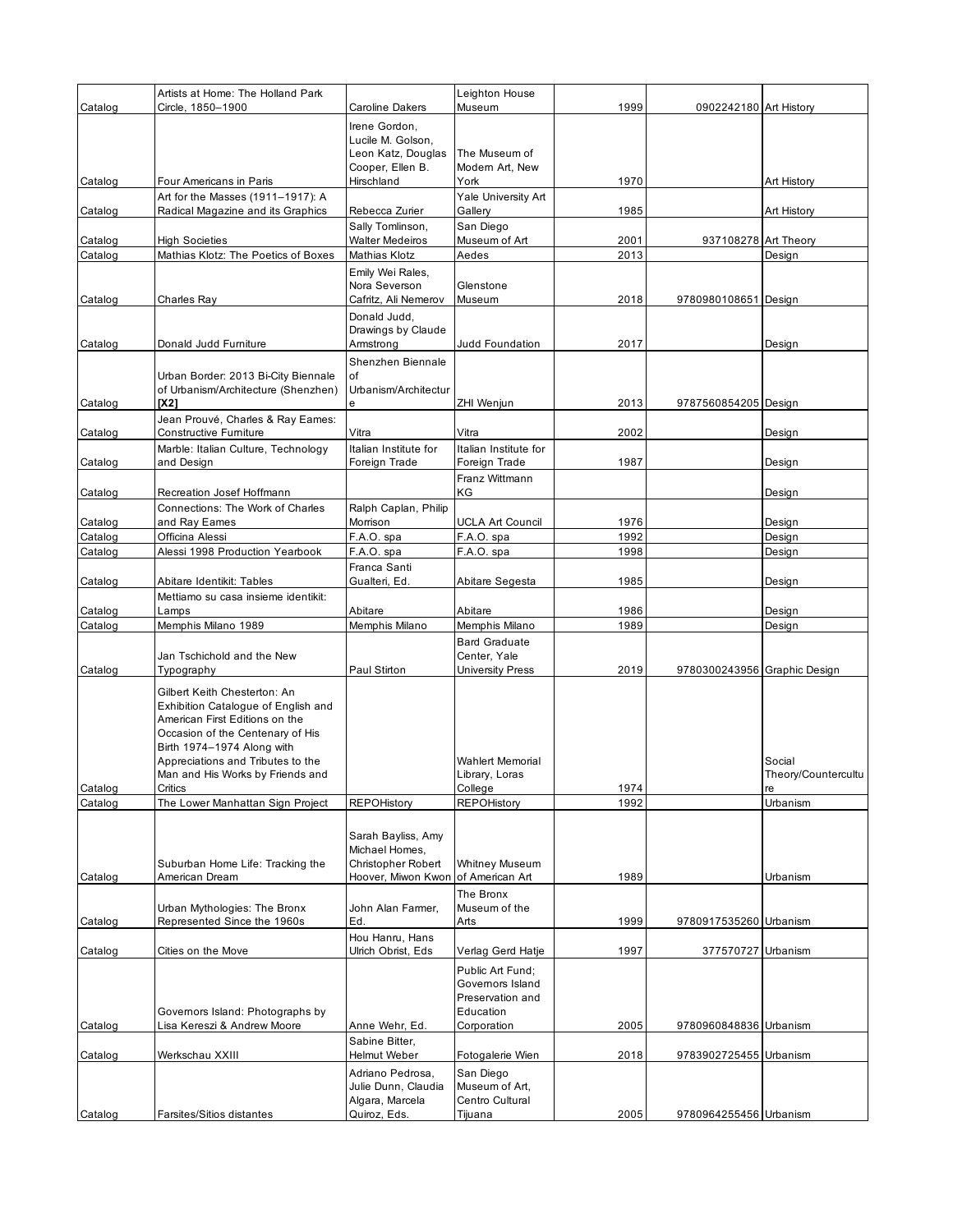|                    | Artists at Home: The Holland Park                                          |                                        | Leighton House                         |              |                              |                     |
|--------------------|----------------------------------------------------------------------------|----------------------------------------|----------------------------------------|--------------|------------------------------|---------------------|
| Catalog            | Circle, 1850-1900                                                          | <b>Caroline Dakers</b>                 | Museum                                 | 1999         | 0902242180 Art History       |                     |
|                    |                                                                            | Irene Gordon,<br>Lucile M. Golson,     |                                        |              |                              |                     |
|                    |                                                                            | Leon Katz, Douglas                     | The Museum of                          |              |                              |                     |
|                    |                                                                            | Cooper, Ellen B.                       | Modern Art, New                        |              |                              |                     |
| Catalog            | Four Americans in Paris                                                    | Hirschland                             | York                                   | 1970         |                              | Art History         |
| Catalog            | Art for the Masses (1911–1917): A<br>Radical Magazine and its Graphics     | Rebecca Zurier                         | Yale University Art<br>Gallery         | 1985         |                              | Art History         |
|                    |                                                                            | Sally Tomlinson,                       | San Diego                              |              |                              |                     |
| Catalog            | <b>High Societies</b>                                                      | <b>Walter Medeiros</b>                 | Museum of Art                          | 2001         | 937108278 Art Theory         |                     |
| Catalog            | Mathias Klotz: The Poetics of Boxes                                        | Mathias Klotz                          | Aedes                                  | 2013         |                              | Design              |
|                    |                                                                            | Emily Wei Rales,                       |                                        |              |                              |                     |
| Catalog            | Charles Ray                                                                | Nora Severson<br>Cafritz, Ali Nemerov  | Glenstone<br>Museum                    | 2018         | 9780980108651 Design         |                     |
|                    |                                                                            | Donald Judd,                           |                                        |              |                              |                     |
|                    |                                                                            | Drawings by Claude                     |                                        |              |                              |                     |
| Catalog            | Donald Judd Furniture                                                      | Armstrong                              | Judd Foundation                        | 2017         |                              | Design              |
|                    |                                                                            | Shenzhen Biennale                      |                                        |              |                              |                     |
|                    | Urban Border: 2013 Bi-City Biennale<br>of Urbanism/Architecture (Shenzhen) | of<br>Urbanism/Architectur             |                                        |              |                              |                     |
| Catalog            | [X2]                                                                       | e                                      | ZHI Wenjun                             | 2013         | 9787560854205 Design         |                     |
|                    | Jean Prouvé, Charles & Ray Eames:                                          |                                        |                                        |              |                              |                     |
| Catalog            | Constructive Furniture                                                     | Vitra                                  | Vitra                                  | 2002         |                              | Design              |
| Catalog            | Marble: Italian Culture, Technology<br>and Design                          | Italian Institute for<br>Foreign Trade | Italian Institute for<br>Foreign Trade | 1987         |                              | Design              |
|                    |                                                                            |                                        | Franz Wittmann                         |              |                              |                     |
| Catalog            | Recreation Josef Hoffmann                                                  |                                        | ΚG                                     |              |                              | Design              |
|                    | Connections: The Work of Charles                                           | Ralph Caplan, Philip                   |                                        |              |                              |                     |
| Catalog            | and Ray Eames                                                              | Morrison                               | <b>UCLA Art Council</b>                | 1976         |                              | Design              |
| Catalog<br>Catalog | Officina Alessi<br>Alessi 1998 Production Yearbook                         | F.A.O. spa<br>F.A.O. spa               | F.A.O. spa<br>F.A.O. spa               | 1992<br>1998 |                              | Design<br>Design    |
|                    |                                                                            | Franca Santi                           |                                        |              |                              |                     |
| Catalog            | Abitare Identikit: Tables                                                  | Gualteri, Ed.                          | Abitare Segesta                        | 1985         |                              | Design              |
|                    | Mettiamo su casa insieme identikit:                                        |                                        |                                        |              |                              |                     |
| Catalog            | Lamps                                                                      | Abitare                                | Abitare                                | 1986         |                              | Design              |
| Catalog            | Memphis Milano 1989                                                        | Memphis Milano                         | Memphis Milano                         | 1989         |                              | Design              |
|                    | Jan Tschichold and the New                                                 |                                        | <b>Bard Graduate</b><br>Center, Yale   |              |                              |                     |
| Catalog            | Typography                                                                 | Paul Stirton                           | University Press                       | 2019         | 9780300243956 Graphic Design |                     |
|                    | Gilbert Keith Chesterton: An                                               |                                        |                                        |              |                              |                     |
|                    | Exhibition Catalogue of English and                                        |                                        |                                        |              |                              |                     |
|                    | American First Editions on the                                             |                                        |                                        |              |                              |                     |
|                    | Occasion of the Centenary of His<br>Birth 1974-1974 Along with             |                                        |                                        |              |                              |                     |
|                    | Appreciations and Tributes to the                                          |                                        | <b>Wahlert Memorial</b>                |              |                              | Social              |
|                    | Man and His Works by Friends and                                           |                                        | Library, Loras                         |              |                              | Theory/Countercultu |
| Catalog            | Critics                                                                    | <b>REPOHistory</b>                     | College<br><b>REPOHistory</b>          | 1974         |                              | re<br>Urbanism      |
| Catalog            | The Lower Manhattan Sign Project                                           |                                        |                                        | 1992         |                              |                     |
|                    |                                                                            | Sarah Bayliss, Amy                     |                                        |              |                              |                     |
|                    |                                                                            | Michael Homes,                         |                                        |              |                              |                     |
|                    | Suburban Home Life: Tracking the                                           | Christopher Robert                     | <b>Whitney Museum</b>                  |              |                              |                     |
| Catalog            | American Dream                                                             | Hoover, Miwon Kwon                     | of American Art                        | 1989         |                              | Urbanism            |
|                    | Urban Mythologies: The Bronx                                               | John Alan Farmer,                      | The Bronx<br>Museum of the             |              |                              |                     |
| Catalog            | Represented Since the 1960s                                                | Ed.                                    | Arts                                   | 1999         | 9780917535260 Urbanism       |                     |
|                    |                                                                            | Hou Hanru, Hans                        |                                        |              |                              |                     |
| Catalog            | Cities on the Move                                                         | Ulrich Obrist, Eds                     | Verlag Gerd Hatje                      | 1997         | 377570727 Urbanism           |                     |
|                    |                                                                            |                                        | Public Art Fund:                       |              |                              |                     |
|                    |                                                                            |                                        | Governors Island                       |              |                              |                     |
|                    |                                                                            |                                        |                                        |              |                              |                     |
|                    | Governors Island: Photographs by                                           |                                        | Preservation and<br>Education          |              |                              |                     |
| Catalog            | Lisa Kereszi & Andrew Moore                                                | Anne Wehr, Ed.                         | Corporation                            | 2005         | 9780960848836 Urbanism       |                     |
|                    |                                                                            | Sabine Bitter,                         |                                        |              |                              |                     |
| Catalog            | Werkschau XXIII                                                            | Helmut Weber                           | Fotogalerie Wien                       | 2018         | 9783902725455 Urbanism       |                     |
|                    |                                                                            | Adriano Pedrosa,                       | San Diego                              |              |                              |                     |
|                    |                                                                            | Julie Dunn, Claudia<br>Algara, Marcela | Museum of Art,<br>Centro Cultural      |              |                              |                     |